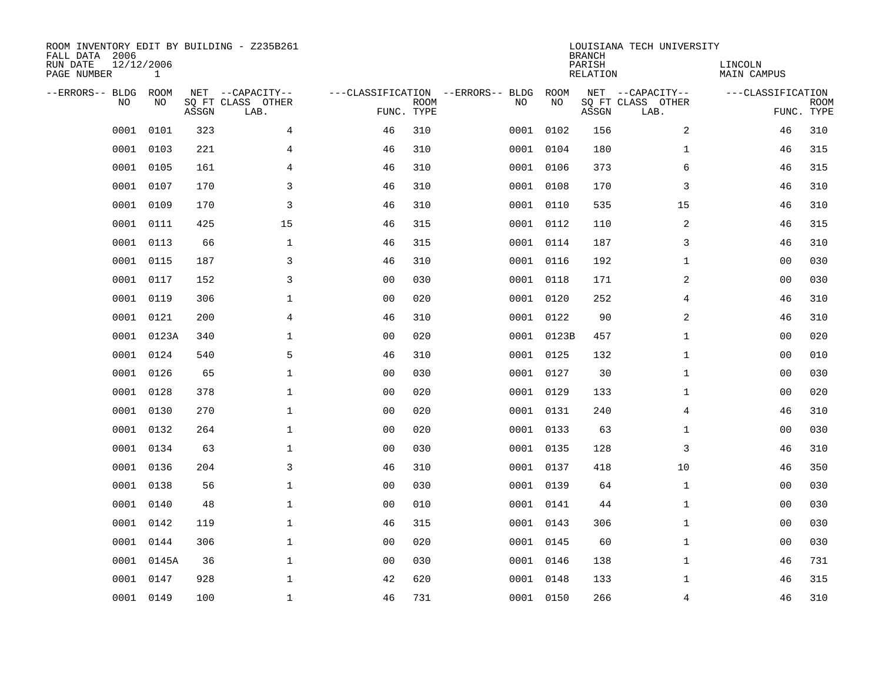| ROOM INVENTORY EDIT BY BUILDING - Z235B261<br>FALL DATA 2006<br>RUN DATE<br>PAGE NUMBER | 12/12/2006<br>$\mathbf 1$ |       |                                               |                |             |                                         |            | <b>BRANCH</b><br>PARISH<br><b>RELATION</b> | LOUISIANA TECH UNIVERSITY                     | LINCOLN<br><b>MAIN CAMPUS</b> |                           |
|-----------------------------------------------------------------------------------------|---------------------------|-------|-----------------------------------------------|----------------|-------------|-----------------------------------------|------------|--------------------------------------------|-----------------------------------------------|-------------------------------|---------------------------|
| --ERRORS-- BLDG<br>NO.                                                                  | ROOM<br>NO                | ASSGN | NET --CAPACITY--<br>SQ FT CLASS OTHER<br>LAB. | FUNC. TYPE     | <b>ROOM</b> | ---CLASSIFICATION --ERRORS-- BLDG<br>NO | ROOM<br>NO | ASSGN                                      | NET --CAPACITY--<br>SQ FT CLASS OTHER<br>LAB. | ---CLASSIFICATION             | <b>ROOM</b><br>FUNC. TYPE |
| 0001                                                                                    | 0101                      | 323   | 4                                             | 46             | 310         | 0001                                    | 0102       | 156                                        | 2                                             | 46                            | 310                       |
| 0001                                                                                    | 0103                      | 221   | 4                                             | 46             | 310         |                                         | 0001 0104  | 180                                        | $\mathbf{1}$                                  | 46                            | 315                       |
| 0001                                                                                    | 0105                      | 161   | 4                                             | 46             | 310         |                                         | 0001 0106  | 373                                        | 6                                             | 46                            | 315                       |
| 0001                                                                                    | 0107                      | 170   | $\mathsf{3}$                                  | 46             | 310         |                                         | 0001 0108  | 170                                        | 3                                             | 46                            | 310                       |
| 0001                                                                                    | 0109                      | 170   | 3                                             | 46             | 310         |                                         | 0001 0110  | 535                                        | 15                                            | 46                            | 310                       |
| 0001                                                                                    | 0111                      | 425   | 15                                            | 46             | 315         |                                         | 0001 0112  | 110                                        | 2                                             | 46                            | 315                       |
| 0001                                                                                    | 0113                      | 66    | $\mathbf{1}$                                  | 46             | 315         |                                         | 0001 0114  | 187                                        | 3                                             | 46                            | 310                       |
| 0001                                                                                    | 0115                      | 187   | 3                                             | 46             | 310         |                                         | 0001 0116  | 192                                        | $\mathbf{1}$                                  | 0 <sub>0</sub>                | 030                       |
| 0001                                                                                    | 0117                      | 152   | 3                                             | 0 <sub>0</sub> | 030         |                                         | 0001 0118  | 171                                        | 2                                             | 00                            | 030                       |
| 0001                                                                                    | 0119                      | 306   | $\mathbf 1$                                   | 0 <sub>0</sub> | 020         |                                         | 0001 0120  | 252                                        | 4                                             | 46                            | 310                       |
| 0001                                                                                    | 0121                      | 200   | $\overline{4}$                                | 46             | 310         |                                         | 0001 0122  | 90                                         | 2                                             | 46                            | 310                       |
| 0001                                                                                    | 0123A                     | 340   | $\mathbf 1$                                   | 0 <sub>0</sub> | 020         |                                         | 0001 0123B | 457                                        | $\mathbf{1}$                                  | 0 <sub>0</sub>                | 020                       |
| 0001                                                                                    | 0124                      | 540   | 5                                             | 46             | 310         |                                         | 0001 0125  | 132                                        | $\mathbf{1}$                                  | 0 <sub>0</sub>                | 010                       |
| 0001                                                                                    | 0126                      | 65    | $\mathbf{1}$                                  | 00             | 030         |                                         | 0001 0127  | 30                                         | $\mathbf{1}$                                  | 00                            | 030                       |
| 0001                                                                                    | 0128                      | 378   | 1                                             | 0 <sub>0</sub> | 020         | 0001                                    | 0129       | 133                                        | $\mathbf{1}$                                  | 00                            | 020                       |
| 0001                                                                                    | 0130                      | 270   | $\mathbf 1$                                   | 0 <sub>0</sub> | 020         |                                         | 0001 0131  | 240                                        | 4                                             | 46                            | 310                       |
| 0001                                                                                    | 0132                      | 264   | $\mathbf 1$                                   | 0 <sub>0</sub> | 020         | 0001                                    | 0133       | 63                                         | $\mathbf{1}$                                  | 00                            | 030                       |
| 0001                                                                                    | 0134                      | 63    | $\mathbf 1$                                   | 0 <sub>0</sub> | 030         |                                         | 0001 0135  | 128                                        | 3                                             | 46                            | 310                       |
| 0001                                                                                    | 0136                      | 204   | 3                                             | 46             | 310         |                                         | 0001 0137  | 418                                        | 10                                            | 46                            | 350                       |
| 0001                                                                                    | 0138                      | 56    | $\mathbf 1$                                   | 0 <sub>0</sub> | 030         |                                         | 0001 0139  | 64                                         | $\mathbf{1}$                                  | 00                            | 030                       |
| 0001                                                                                    | 0140                      | 48    | $\mathbf{1}$                                  | 0 <sub>0</sub> | 010         |                                         | 0001 0141  | 44                                         | $\mathbf{1}$                                  | 0 <sub>0</sub>                | 030                       |
| 0001                                                                                    | 0142                      | 119   | $\mathbf{1}$                                  | 46             | 315         |                                         | 0001 0143  | 306                                        | $\mathbf{1}$                                  | 00                            | 030                       |
| 0001                                                                                    | 0144                      | 306   | $\mathbf{1}$                                  | 0 <sub>0</sub> | 020         |                                         | 0001 0145  | 60                                         | $\mathbf{1}$                                  | 0 <sub>0</sub>                | 030                       |
| 0001                                                                                    | 0145A                     | 36    | $\mathbf 1$                                   | 00             | 030         |                                         | 0001 0146  | 138                                        | $\mathbf{1}$                                  | 46                            | 731                       |
| 0001                                                                                    | 0147                      | 928   | $\mathbf 1$                                   | 42             | 620         |                                         | 0001 0148  | 133                                        | $\mathbf{1}$                                  | 46                            | 315                       |
|                                                                                         | 0001 0149                 | 100   | $\mathbf 1$                                   | 46             | 731         |                                         | 0001 0150  | 266                                        | 4                                             | 46                            | 310                       |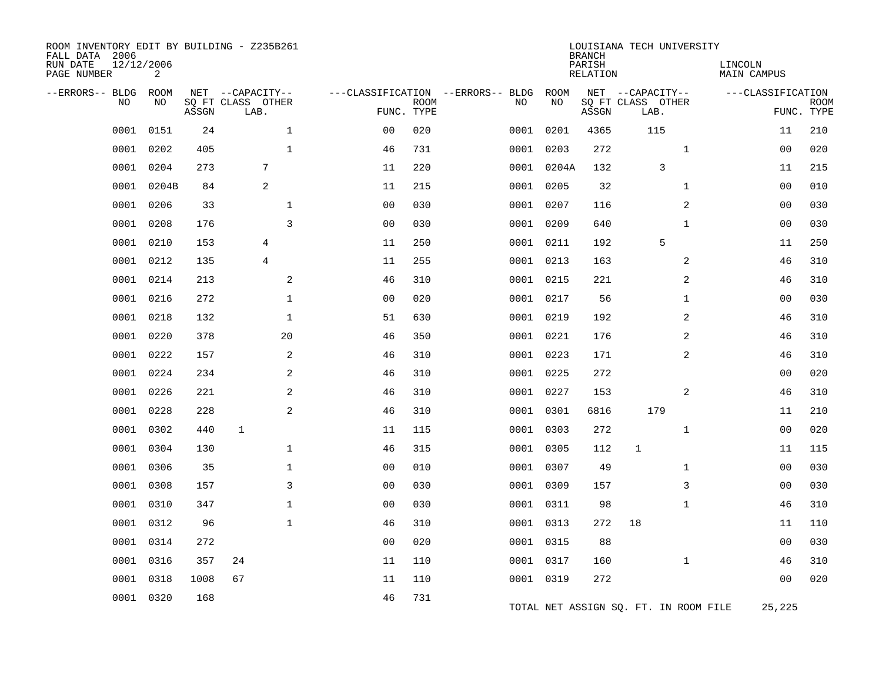| ROOM INVENTORY EDIT BY BUILDING - Z235B261<br>FALL DATA 2006<br>RUN DATE<br>PAGE NUMBER | 12/12/2006<br>2    |       |                                               |                |             |                                         |            | <b>BRANCH</b><br>PARISH<br><b>RELATION</b> | LOUISIANA TECH UNIVERSITY                     | LINCOLN<br><b>MAIN CAMPUS</b>   |             |
|-----------------------------------------------------------------------------------------|--------------------|-------|-----------------------------------------------|----------------|-------------|-----------------------------------------|------------|--------------------------------------------|-----------------------------------------------|---------------------------------|-------------|
| --ERRORS-- BLDG<br>N <sub>O</sub>                                                       | <b>ROOM</b><br>NO. | ASSGN | NET --CAPACITY--<br>SQ FT CLASS OTHER<br>LAB. | FUNC. TYPE     | <b>ROOM</b> | ---CLASSIFICATION --ERRORS-- BLDG<br>NO | ROOM<br>NO | ASSGN                                      | NET --CAPACITY--<br>SQ FT CLASS OTHER<br>LAB. | ---CLASSIFICATION<br>FUNC. TYPE | <b>ROOM</b> |
| 0001                                                                                    | 0151               | 24    | $\mathbf{1}$                                  | 0 <sub>0</sub> | 020         | 0001                                    | 0201       | 4365                                       | 115                                           | 11                              | 210         |
| 0001                                                                                    | 0202               | 405   | $\mathbf{1}$                                  | 46             | 731         | 0001                                    | 0203       | 272                                        | $\mathbf{1}$                                  | 0 <sub>0</sub>                  | 020         |
| 0001                                                                                    | 0204               | 273   | 7                                             | 11             | 220         |                                         | 0001 0204A | 132                                        | 3                                             | 11                              | 215         |
| 0001                                                                                    | 0204B              | 84    | $\overline{2}$                                | 11             | 215         |                                         | 0001 0205  | 32                                         | $\mathbf{1}$                                  | 0 <sub>0</sub>                  | 010         |
| 0001                                                                                    | 0206               | 33    | $\mathbf{1}$                                  | 0 <sub>0</sub> | 030         |                                         | 0001 0207  | 116                                        | 2                                             | 00                              | 030         |
| 0001                                                                                    | 0208               | 176   | $\overline{3}$                                | 0 <sub>0</sub> | 030         |                                         | 0001 0209  | 640                                        | $\mathbf{1}$                                  | 00                              | 030         |
| 0001                                                                                    | 0210               | 153   | 4                                             | 11             | 250         |                                         | 0001 0211  | 192                                        | 5                                             | 11                              | 250         |
| 0001                                                                                    | 0212               | 135   | $\overline{4}$                                | 11             | 255         |                                         | 0001 0213  | 163                                        | 2                                             | 46                              | 310         |
| 0001                                                                                    | 0214               | 213   | 2                                             | 46             | 310         |                                         | 0001 0215  | 221                                        | 2                                             | 46                              | 310         |
| 0001                                                                                    | 0216               | 272   | $\mathbf 1$                                   | 0 <sub>0</sub> | 020         |                                         | 0001 0217  | 56                                         | $\mathbf{1}$                                  | 00                              | 030         |
| 0001                                                                                    | 0218               | 132   | $\mathbf{1}$                                  | 51             | 630         | 0001                                    | 0219       | 192                                        | 2                                             | 46                              | 310         |
| 0001                                                                                    | 0220               | 378   | 20                                            | 46             | 350         |                                         | 0001 0221  | 176                                        | 2                                             | 46                              | 310         |
| 0001                                                                                    | 0222               | 157   | 2                                             | 46             | 310         |                                         | 0001 0223  | 171                                        | 2                                             | 46                              | 310         |
| 0001                                                                                    | 0224               | 234   | 2                                             | 46             | 310         |                                         | 0001 0225  | 272                                        |                                               | 0 <sub>0</sub>                  | 020         |
| 0001                                                                                    | 0226               | 221   | 2                                             | 46             | 310         |                                         | 0001 0227  | 153                                        | 2                                             | 46                              | 310         |
| 0001                                                                                    | 0228               | 228   | 2                                             | 46             | 310         |                                         | 0001 0301  | 6816                                       | 179                                           | 11                              | 210         |
| 0001                                                                                    | 0302               | 440   | $\mathbf 1$                                   | 11             | 115         |                                         | 0001 0303  | 272                                        | $\mathbf{1}$                                  | 00                              | 020         |
| 0001                                                                                    | 0304               | 130   | $\mathbf{1}$                                  | 46             | 315         |                                         | 0001 0305  | 112                                        | $\mathbf{1}$                                  | 11                              | 115         |
| 0001                                                                                    | 0306               | 35    | $\mathbf 1$                                   | 0 <sub>0</sub> | 010         |                                         | 0001 0307  | 49                                         | $\mathbf{1}$                                  | 00                              | 030         |
| 0001                                                                                    | 0308               | 157   | 3                                             | 0 <sub>0</sub> | 030         |                                         | 0001 0309  | 157                                        | 3                                             | 00                              | 030         |
| 0001                                                                                    | 0310               | 347   | $\mathbf{1}$                                  | 0 <sub>0</sub> | 030         |                                         | 0001 0311  | 98                                         | $\mathbf{1}$                                  | 46                              | 310         |
| 0001                                                                                    | 0312               | 96    | $\mathbf 1$                                   | 46             | 310         |                                         | 0001 0313  | 272                                        | 18                                            | 11                              | 110         |
| 0001                                                                                    | 0314               | 272   |                                               | 0 <sub>0</sub> | 020         |                                         | 0001 0315  | 88                                         |                                               | 00                              | 030         |
| 0001                                                                                    | 0316               | 357   | 24                                            | 11             | 110         |                                         | 0001 0317  | 160                                        | $\mathbf{1}$                                  | 46                              | 310         |
| 0001                                                                                    | 0318               | 1008  | 67                                            | 11             | 110         |                                         | 0001 0319  | 272                                        |                                               | 0 <sub>0</sub>                  | 020         |
| 0001                                                                                    | 0320               | 168   |                                               | 46             | 731         |                                         |            |                                            | TOTAL NET ASSIGN SQ. FT. IN ROOM FILE         | 25,225                          |             |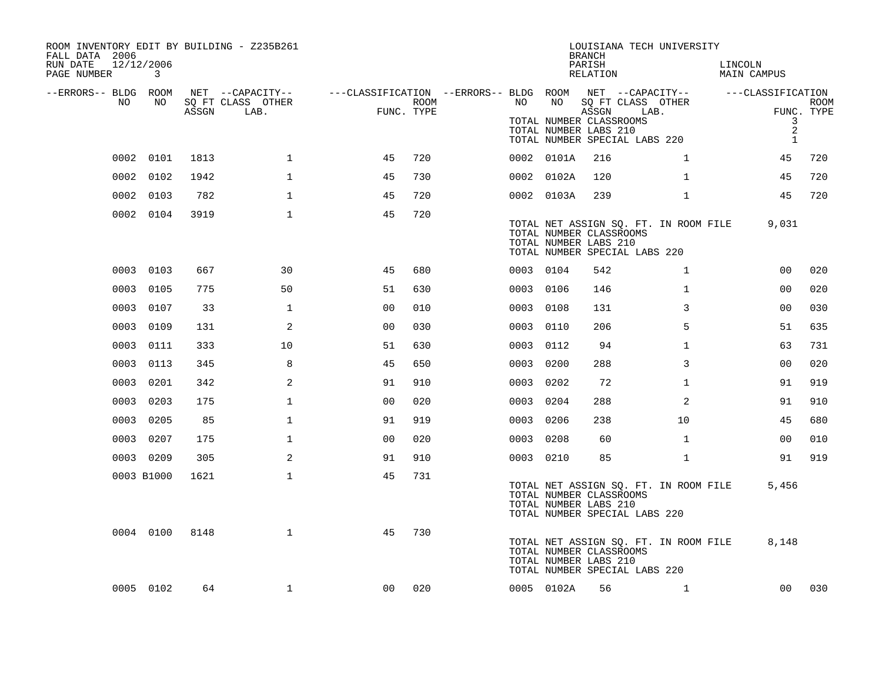| ROOM INVENTORY EDIT BY BUILDING - Z235B261<br>FALL DATA 2006 |                 |       |                                       |                                                          |      |           |            | <b>BRANCH</b>                                             | LOUISIANA TECH UNIVERSITY                                              |                                     |             |
|--------------------------------------------------------------|-----------------|-------|---------------------------------------|----------------------------------------------------------|------|-----------|------------|-----------------------------------------------------------|------------------------------------------------------------------------|-------------------------------------|-------------|
| RUN DATE<br>PAGE NUMBER                                      | 12/12/2006<br>3 |       |                                       |                                                          |      |           |            | PARISH<br>RELATION                                        |                                                                        | LINCOLN<br><b>MAIN CAMPUS</b>       |             |
| --ERRORS-- BLDG ROOM<br>NO                                   | NO              |       | NET --CAPACITY--<br>SQ FT CLASS OTHER | ---CLASSIFICATION --ERRORS-- BLDG ROOM  NET --CAPACITY-- | ROOM | NO        | NO         |                                                           | SQ FT CLASS OTHER                                                      | ---CLASSIFICATION                   | <b>ROOM</b> |
|                                                              |                 | ASSGN | LAB.                                  | FUNC. TYPE                                               |      |           |            | ASSGN<br>TOTAL NUMBER CLASSROOMS<br>TOTAL NUMBER LABS 210 | LAB.<br>TOTAL NUMBER SPECIAL LABS 220                                  | 3<br>$\overline{2}$<br>$\mathbf{1}$ | FUNC. TYPE  |
|                                                              | 0002 0101       | 1813  | $\mathbf 1$                           | 45                                                       | 720  |           | 0002 0101A | 216                                                       | $\mathbf{1}$                                                           | 45                                  | 720         |
|                                                              | 0002 0102       | 1942  | 1                                     | 45                                                       | 730  |           | 0002 0102A | 120                                                       | $\mathbf{1}$                                                           | 45                                  | 720         |
|                                                              | 0002 0103       | 782   | $\mathbf{1}$                          | 45                                                       | 720  |           | 0002 0103A | 239                                                       | $\mathbf{1}$                                                           | 45                                  | 720         |
|                                                              | 0002 0104       | 3919  | $\mathbf 1$                           | 45                                                       | 720  |           |            | TOTAL NUMBER CLASSROOMS<br>TOTAL NUMBER LABS 210          | TOTAL NET ASSIGN SQ. FT. IN ROOM FILE<br>TOTAL NUMBER SPECIAL LABS 220 | 9,031                               |             |
|                                                              | 0003 0103       | 667   | 30                                    | 45                                                       | 680  | 0003 0104 |            | 542                                                       | $\mathbf{1}$                                                           | 00                                  | 020         |
|                                                              | 0003 0105       | 775   | 50                                    | 51                                                       | 630  | 0003 0106 |            | 146                                                       | $\mathbf{1}$                                                           | 0 <sub>0</sub>                      | 020         |
|                                                              | 0003 0107       | 33    | $\mathbf{1}$                          | 0 <sub>0</sub>                                           | 010  | 0003 0108 |            | 131                                                       | 3                                                                      | 00                                  | 030         |
|                                                              | 0003 0109       | 131   | 2                                     | 0 <sub>0</sub>                                           | 030  | 0003 0110 |            | 206                                                       | 5                                                                      | 51                                  | 635         |
|                                                              | 0003 0111       | 333   | 10                                    | 51                                                       | 630  | 0003 0112 |            | 94                                                        | $\mathbf{1}$                                                           | 63                                  | 731         |
|                                                              | 0003 0113       | 345   | 8                                     | 45                                                       | 650  | 0003      | 0200       | 288                                                       | 3                                                                      | 0 <sub>0</sub>                      | 020         |
|                                                              | 0003 0201       | 342   | 2                                     | 91                                                       | 910  | 0003 0202 |            | 72                                                        | $\mathbf{1}$                                                           | 91                                  | 919         |
|                                                              | 0003 0203       | 175   | $\mathbf{1}$                          | 0 <sub>0</sub>                                           | 020  | 0003 0204 |            | 288                                                       | 2                                                                      | 91                                  | 910         |
|                                                              | 0003 0205       | 85    | $\mathbf 1$                           | 91                                                       | 919  | 0003 0206 |            | 238                                                       | 10                                                                     | 45                                  | 680         |
|                                                              | 0003 0207       | 175   | $\mathbf{1}$                          | 0 <sub>0</sub>                                           | 020  | 0003 0208 |            | 60                                                        | $\mathbf{1}$                                                           | 0 <sub>0</sub>                      | 010         |
|                                                              | 0003 0209       | 305   | 2                                     | 91                                                       | 910  | 0003 0210 |            | 85                                                        | $\mathbf{1}$                                                           | 91                                  | 919         |
|                                                              | 0003 B1000      | 1621  | $\mathbf{1}$                          | 45                                                       | 731  |           |            | TOTAL NUMBER CLASSROOMS<br>TOTAL NUMBER LABS 210          | TOTAL NET ASSIGN SQ. FT. IN ROOM FILE<br>TOTAL NUMBER SPECIAL LABS 220 | 5,456                               |             |
|                                                              | 0004 0100       | 8148  | $\mathbf{1}$                          | 45                                                       | 730  |           |            | TOTAL NUMBER CLASSROOMS<br>TOTAL NUMBER LABS 210          | TOTAL NET ASSIGN SQ. FT. IN ROOM FILE<br>TOTAL NUMBER SPECIAL LABS 220 | 8,148                               |             |
|                                                              | 0005 0102       | 64    | $\mathbf 1$                           | 00                                                       | 020  |           | 0005 0102A | 56                                                        | $\mathbf{1}$                                                           | 00 <sub>o</sub>                     | 030         |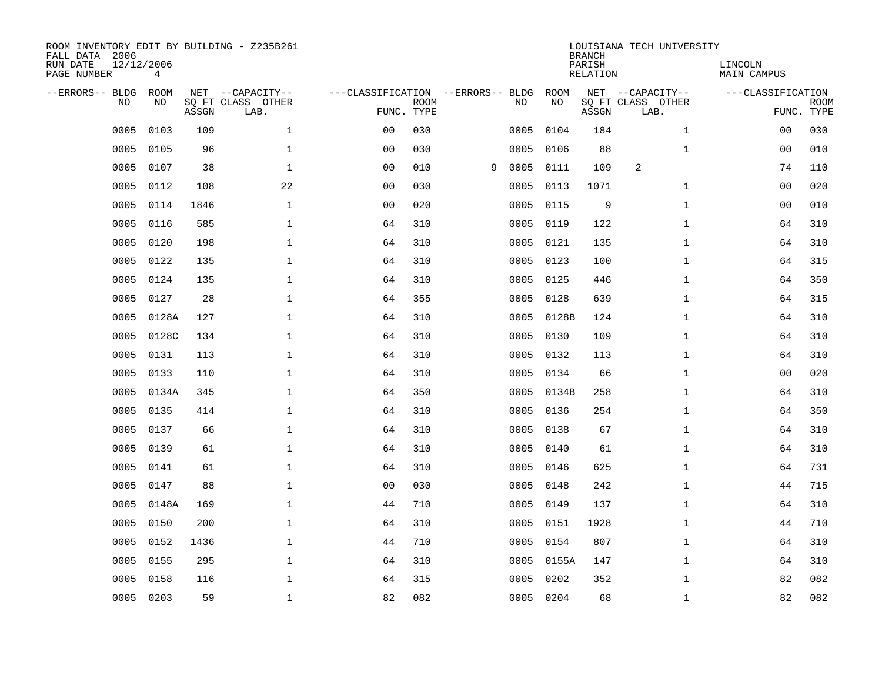| ROOM INVENTORY EDIT BY BUILDING - Z235B261<br>FALL DATA 2006<br>RUN DATE<br>PAGE NUMBER | 12/12/2006<br>4 |       |                                               |                                                 |             |   |      |            | <b>BRANCH</b><br>PARISH<br><b>RELATION</b> | LOUISIANA TECH UNIVERSITY                     | LINCOLN<br><b>MAIN CAMPUS</b> |                           |
|-----------------------------------------------------------------------------------------|-----------------|-------|-----------------------------------------------|-------------------------------------------------|-------------|---|------|------------|--------------------------------------------|-----------------------------------------------|-------------------------------|---------------------------|
| --ERRORS-- BLDG<br>NO                                                                   | ROOM<br>NO      | ASSGN | NET --CAPACITY--<br>SQ FT CLASS OTHER<br>LAB. | ---CLASSIFICATION --ERRORS-- BLDG<br>FUNC. TYPE | <b>ROOM</b> |   | NO   | ROOM<br>NO | ASSGN                                      | NET --CAPACITY--<br>SQ FT CLASS OTHER<br>LAB. | ---CLASSIFICATION             | <b>ROOM</b><br>FUNC. TYPE |
| 0005                                                                                    | 0103            | 109   | $\mathbf 1$                                   | 0 <sub>0</sub>                                  | 030         |   | 0005 | 0104       | 184                                        | $\mathbf{1}$                                  | 0 <sub>0</sub>                | 030                       |
| 0005                                                                                    | 0105            | 96    | $\mathbf 1$                                   | 0 <sub>0</sub>                                  | 030         |   | 0005 | 0106       | 88                                         | $\mathbf{1}$                                  | 00                            | 010                       |
| 0005                                                                                    | 0107            | 38    | $\mathbf 1$                                   | 0 <sub>0</sub>                                  | 010         | 9 | 0005 | 0111       | 109                                        | 2                                             | 74                            | 110                       |
| 0005                                                                                    | 0112            | 108   | 22                                            | 0 <sub>0</sub>                                  | 030         |   | 0005 | 0113       | 1071                                       | $\mathbf{1}$                                  | 00                            | 020                       |
| 0005                                                                                    | 0114            | 1846  | $\mathbf{1}$                                  | 0 <sub>0</sub>                                  | 020         |   | 0005 | 0115       | 9                                          | $\mathbf{1}$                                  | 0 <sub>0</sub>                | 010                       |
| 0005                                                                                    | 0116            | 585   | $\mathbf 1$                                   | 64                                              | 310         |   | 0005 | 0119       | 122                                        | $\mathbf{1}$                                  | 64                            | 310                       |
| 0005                                                                                    | 0120            | 198   | $\mathbf{1}$                                  | 64                                              | 310         |   | 0005 | 0121       | 135                                        | $\mathbf{1}$                                  | 64                            | 310                       |
| 0005                                                                                    | 0122            | 135   | $\mathbf{1}$                                  | 64                                              | 310         |   | 0005 | 0123       | 100                                        | $\mathbf{1}$                                  | 64                            | 315                       |
| 0005                                                                                    | 0124            | 135   | $\mathbf{1}$                                  | 64                                              | 310         |   | 0005 | 0125       | 446                                        | $\mathbf{1}$                                  | 64                            | 350                       |
| 0005                                                                                    | 0127            | 28    | $\mathbf{1}$                                  | 64                                              | 355         |   | 0005 | 0128       | 639                                        | $\mathbf{1}$                                  | 64                            | 315                       |
| 0005                                                                                    | 0128A           | 127   | $\mathbf 1$                                   | 64                                              | 310         |   | 0005 | 0128B      | 124                                        | $\mathbf{1}$                                  | 64                            | 310                       |
| 0005                                                                                    | 0128C           | 134   | $\mathbf 1$                                   | 64                                              | 310         |   | 0005 | 0130       | 109                                        | $\mathbf{1}$                                  | 64                            | 310                       |
| 0005                                                                                    | 0131            | 113   | $\mathbf{1}$                                  | 64                                              | 310         |   | 0005 | 0132       | 113                                        | $\mathbf{1}$                                  | 64                            | 310                       |
| 0005                                                                                    | 0133            | 110   | $\mathbf 1$                                   | 64                                              | 310         |   | 0005 | 0134       | 66                                         | $\mathbf{1}$                                  | 00                            | 020                       |
| 0005                                                                                    | 0134A           | 345   | $\mathbf{1}$                                  | 64                                              | 350         |   | 0005 | 0134B      | 258                                        | $\mathbf{1}$                                  | 64                            | 310                       |
| 0005                                                                                    | 0135            | 414   | $\mathbf{1}$                                  | 64                                              | 310         |   | 0005 | 0136       | 254                                        | $\mathbf{1}$                                  | 64                            | 350                       |
| 0005                                                                                    | 0137            | 66    | $\mathbf{1}$                                  | 64                                              | 310         |   | 0005 | 0138       | 67                                         | $\mathbf{1}$                                  | 64                            | 310                       |
| 0005                                                                                    | 0139            | 61    | $\mathbf 1$                                   | 64                                              | 310         |   | 0005 | 0140       | 61                                         | $\mathbf{1}$                                  | 64                            | 310                       |
| 0005                                                                                    | 0141            | 61    | $\mathbf 1$                                   | 64                                              | 310         |   | 0005 | 0146       | 625                                        | $\mathbf{1}$                                  | 64                            | 731                       |
| 0005                                                                                    | 0147            | 88    | $\mathbf{1}$                                  | 0 <sub>0</sub>                                  | 030         |   | 0005 | 0148       | 242                                        | $\mathbf{1}$                                  | 44                            | 715                       |
| 0005                                                                                    | 0148A           | 169   | $\mathbf{1}$                                  | 44                                              | 710         |   | 0005 | 0149       | 137                                        | $\mathbf{1}$                                  | 64                            | 310                       |
| 0005                                                                                    | 0150            | 200   | $\mathbf{1}$                                  | 64                                              | 310         |   | 0005 | 0151       | 1928                                       | $\mathbf{1}$                                  | 44                            | 710                       |
| 0005                                                                                    | 0152            | 1436  | $\mathbf{1}$                                  | 44                                              | 710         |   |      | 0005 0154  | 807                                        | $\mathbf{1}$                                  | 64                            | 310                       |
| 0005                                                                                    | 0155            | 295   | $\mathbf 1$                                   | 64                                              | 310         |   | 0005 | 0155A      | 147                                        | $\mathbf{1}$                                  | 64                            | 310                       |
| 0005                                                                                    | 0158            | 116   | $\mathbf{1}$                                  | 64                                              | 315         |   | 0005 | 0202       | 352                                        | $\mathbf{1}$                                  | 82                            | 082                       |
|                                                                                         | 0005 0203       | 59    | $\mathbf 1$                                   | 82                                              | 082         |   |      | 0005 0204  | 68                                         | $\mathbf{1}$                                  | 82                            | 082                       |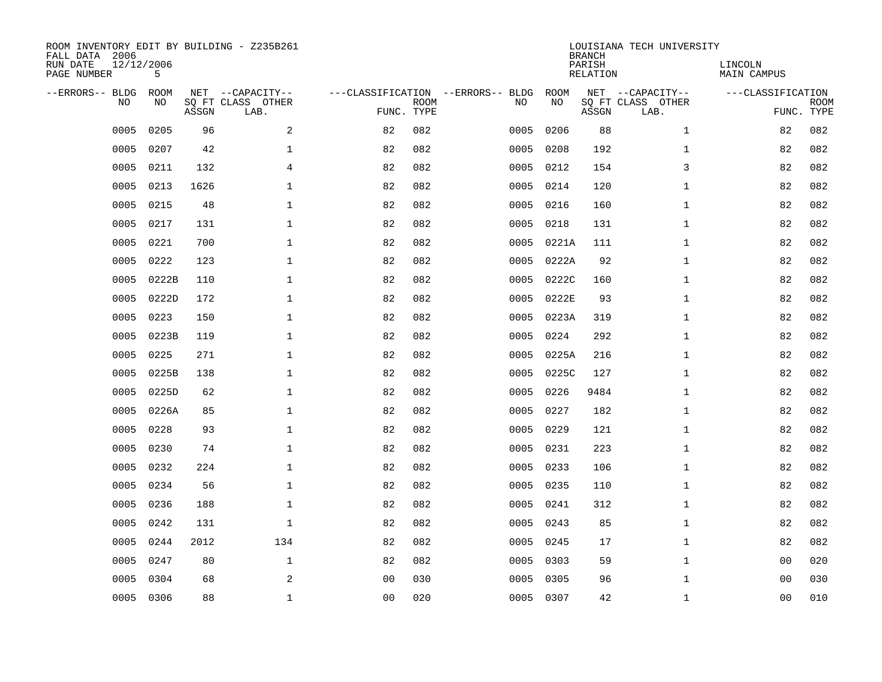| ROOM INVENTORY EDIT BY BUILDING - Z235B261<br>FALL DATA 2006<br>RUN DATE<br>PAGE NUMBER | 12/12/2006<br>5   |       |                                               |                |             |                                   |      |            | <b>BRANCH</b><br>PARISH<br><b>RELATION</b> | LOUISIANA TECH UNIVERSITY                     | LINCOLN<br>MAIN CAMPUS |                           |
|-----------------------------------------------------------------------------------------|-------------------|-------|-----------------------------------------------|----------------|-------------|-----------------------------------|------|------------|--------------------------------------------|-----------------------------------------------|------------------------|---------------------------|
| --ERRORS-- BLDG<br>NO                                                                   | <b>ROOM</b><br>NO | ASSGN | NET --CAPACITY--<br>SQ FT CLASS OTHER<br>LAB. | FUNC. TYPE     | <b>ROOM</b> | ---CLASSIFICATION --ERRORS-- BLDG | NO   | ROOM<br>NO | ASSGN                                      | NET --CAPACITY--<br>SQ FT CLASS OTHER<br>LAB. | ---CLASSIFICATION      | <b>ROOM</b><br>FUNC. TYPE |
| 0005                                                                                    | 0205              | 96    | 2                                             | 82             | 082         |                                   | 0005 | 0206       | 88                                         | $\mathbf{1}$                                  | 82                     | 082                       |
| 0005                                                                                    | 0207              | 42    | $\mathbf 1$                                   | 82             | 082         |                                   | 0005 | 0208       | 192                                        | $\mathbf{1}$                                  | 82                     | 082                       |
| 0005                                                                                    | 0211              | 132   | 4                                             | 82             | 082         |                                   | 0005 | 0212       | 154                                        | 3                                             | 82                     | 082                       |
| 0005                                                                                    | 0213              | 1626  | $\mathbf 1$                                   | 82             | 082         |                                   | 0005 | 0214       | 120                                        | $\mathbf{1}$                                  | 82                     | 082                       |
| 0005                                                                                    | 0215              | 48    | $\mathbf 1$                                   | 82             | 082         |                                   | 0005 | 0216       | 160                                        | $\mathbf{1}$                                  | 82                     | 082                       |
| 0005                                                                                    | 0217              | 131   | $\mathbf{1}$                                  | 82             | 082         |                                   | 0005 | 0218       | 131                                        | $\mathbf{1}$                                  | 82                     | 082                       |
| 0005                                                                                    | 0221              | 700   | $\mathbf{1}$                                  | 82             | 082         |                                   | 0005 | 0221A      | 111                                        | $\mathbf{1}$                                  | 82                     | 082                       |
| 0005                                                                                    | 0222              | 123   | $\mathbf{1}$                                  | 82             | 082         |                                   | 0005 | 0222A      | 92                                         | $\mathbf{1}$                                  | 82                     | 082                       |
| 0005                                                                                    | 0222B             | 110   | $\mathbf{1}$                                  | 82             | 082         |                                   | 0005 | 0222C      | 160                                        | $\mathbf{1}$                                  | 82                     | 082                       |
| 0005                                                                                    | 0222D             | 172   | $\mathbf 1$                                   | 82             | 082         |                                   | 0005 | 0222E      | 93                                         | $\mathbf{1}$                                  | 82                     | 082                       |
| 0005                                                                                    | 0223              | 150   | $\mathbf{1}$                                  | 82             | 082         |                                   | 0005 | 0223A      | 319                                        | $\mathbf{1}$                                  | 82                     | 082                       |
| 0005                                                                                    | 0223B             | 119   | $\mathbf{1}$                                  | 82             | 082         |                                   | 0005 | 0224       | 292                                        | $\mathbf{1}$                                  | 82                     | 082                       |
| 0005                                                                                    | 0225              | 271   | $\mathbf{1}$                                  | 82             | 082         |                                   | 0005 | 0225A      | 216                                        | $\mathbf{1}$                                  | 82                     | 082                       |
| 0005                                                                                    | 0225B             | 138   | $\mathbf 1$                                   | 82             | 082         |                                   | 0005 | 0225C      | 127                                        | $\mathbf{1}$                                  | 82                     | 082                       |
| 0005                                                                                    | 0225D             | 62    | 1                                             | 82             | 082         |                                   | 0005 | 0226       | 9484                                       | $\mathbf{1}$                                  | 82                     | 082                       |
| 0005                                                                                    | 0226A             | 85    | $\mathbf 1$                                   | 82             | 082         |                                   | 0005 | 0227       | 182                                        | $\mathbf{1}$                                  | 82                     | 082                       |
| 0005                                                                                    | 0228              | 93    | $\mathbf 1$                                   | 82             | 082         |                                   | 0005 | 0229       | 121                                        | $\mathbf{1}$                                  | 82                     | 082                       |
| 0005                                                                                    | 0230              | 74    | $\mathbf 1$                                   | 82             | 082         |                                   | 0005 | 0231       | 223                                        | $\mathbf{1}$                                  | 82                     | 082                       |
| 0005                                                                                    | 0232              | 224   | $\mathbf 1$                                   | 82             | 082         |                                   | 0005 | 0233       | 106                                        | $\mathbf{1}$                                  | 82                     | 082                       |
| 0005                                                                                    | 0234              | 56    | $\mathbf 1$                                   | 82             | 082         |                                   | 0005 | 0235       | 110                                        | $\mathbf{1}$                                  | 82                     | 082                       |
| 0005                                                                                    | 0236              | 188   | $\mathbf{1}$                                  | 82             | 082         |                                   | 0005 | 0241       | 312                                        | $\mathbf{1}$                                  | 82                     | 082                       |
| 0005                                                                                    | 0242              | 131   | $\mathbf 1$                                   | 82             | 082         |                                   | 0005 | 0243       | 85                                         | $\mathbf{1}$                                  | 82                     | 082                       |
| 0005                                                                                    | 0244              | 2012  | 134                                           | 82             | 082         |                                   | 0005 | 0245       | 17                                         | $\mathbf{1}$                                  | 82                     | 082                       |
| 0005                                                                                    | 0247              | 80    | $\mathbf 1$                                   | 82             | 082         |                                   | 0005 | 0303       | 59                                         | $\mathbf{1}$                                  | 0 <sub>0</sub>         | 020                       |
| 0005                                                                                    | 0304              | 68    | 2                                             | 0 <sub>0</sub> | 030         |                                   | 0005 | 0305       | 96                                         | $\mathbf{1}$                                  | 0 <sub>0</sub>         | 030                       |
|                                                                                         | 0005 0306         | 88    | $\mathbf 1$                                   | 00             | 020         |                                   |      | 0005 0307  | 42                                         | $\mathbf{1}$                                  | 00                     | 010                       |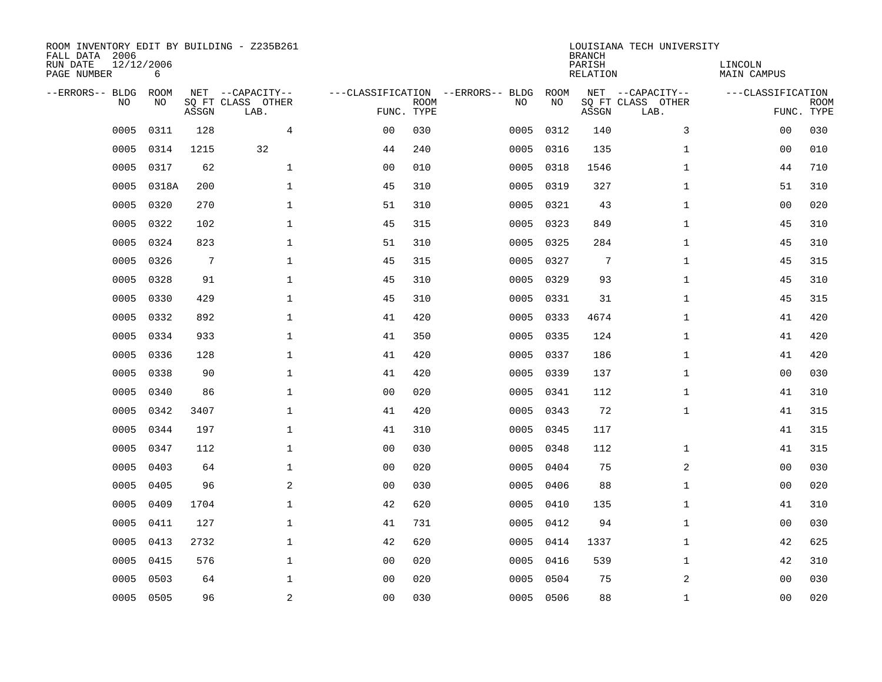| ROOM INVENTORY EDIT BY BUILDING - Z235B261<br>FALL DATA 2006<br>RUN DATE<br>PAGE NUMBER | 12/12/2006<br>6 |       |                                               |                |             |                                         |            | <b>BRANCH</b><br>PARISH<br><b>RELATION</b> | LOUISIANA TECH UNIVERSITY                     | LINCOLN<br><b>MAIN CAMPUS</b> |                           |
|-----------------------------------------------------------------------------------------|-----------------|-------|-----------------------------------------------|----------------|-------------|-----------------------------------------|------------|--------------------------------------------|-----------------------------------------------|-------------------------------|---------------------------|
| --ERRORS-- BLDG<br>NO                                                                   | ROOM<br>NO      | ASSGN | NET --CAPACITY--<br>SQ FT CLASS OTHER<br>LAB. | FUNC. TYPE     | <b>ROOM</b> | ---CLASSIFICATION --ERRORS-- BLDG<br>NO | ROOM<br>NO | ASSGN                                      | NET --CAPACITY--<br>SQ FT CLASS OTHER<br>LAB. | ---CLASSIFICATION             | <b>ROOM</b><br>FUNC. TYPE |
| 0005                                                                                    | 0311            | 128   | $\overline{4}$                                | 0 <sub>0</sub> | 030         | 0005                                    | 0312       | 140                                        | 3                                             | 00                            | 030                       |
| 0005                                                                                    | 0314            | 1215  | 32                                            | 44             | 240         | 0005                                    | 0316       | 135                                        | $\mathbf{1}$                                  | 00                            | 010                       |
| 0005                                                                                    | 0317            | 62    | $\mathbf 1$                                   | 0 <sub>0</sub> | 010         | 0005                                    | 0318       | 1546                                       | $\mathbf{1}$                                  | 44                            | 710                       |
| 0005                                                                                    | 0318A           | 200   | $\mathbf 1$                                   | 45             | 310         | 0005                                    | 0319       | 327                                        | $\mathbf{1}$                                  | 51                            | 310                       |
| 0005                                                                                    | 0320            | 270   | $\mathbf{1}$                                  | 51             | 310         | 0005                                    | 0321       | 43                                         | $\mathbf{1}$                                  | 0 <sub>0</sub>                | 020                       |
| 0005                                                                                    | 0322            | 102   | $\mathbf{1}$                                  | 45             | 315         | 0005                                    | 0323       | 849                                        | $\mathbf{1}$                                  | 45                            | 310                       |
| 0005                                                                                    | 0324            | 823   | $\mathbf{1}$                                  | 51             | 310         | 0005                                    | 0325       | 284                                        | $\mathbf{1}$                                  | 45                            | 310                       |
| 0005                                                                                    | 0326            | 7     | $\mathbf{1}$                                  | 45             | 315         | 0005                                    | 0327       | 7                                          | $\mathbf{1}$                                  | 45                            | 315                       |
| 0005                                                                                    | 0328            | 91    | $\mathbf{1}$                                  | 45             | 310         | 0005                                    | 0329       | 93                                         | $\mathbf{1}$                                  | 45                            | 310                       |
| 0005                                                                                    | 0330            | 429   | $\mathbf 1$                                   | 45             | 310         | 0005                                    | 0331       | 31                                         | $\mathbf{1}$                                  | 45                            | 315                       |
| 0005                                                                                    | 0332            | 892   | $\mathbf{1}$                                  | 41             | 420         | 0005                                    | 0333       | 4674                                       | $\mathbf{1}$                                  | 41                            | 420                       |
| 0005                                                                                    | 0334            | 933   | $\mathbf{1}$                                  | 41             | 350         | 0005                                    | 0335       | 124                                        | $\mathbf{1}$                                  | 41                            | 420                       |
| 0005                                                                                    | 0336            | 128   | $\mathbf 1$                                   | 41             | 420         | 0005                                    | 0337       | 186                                        | $\mathbf{1}$                                  | 41                            | 420                       |
| 0005                                                                                    | 0338            | 90    | $\mathbf 1$                                   | 41             | 420         | 0005                                    | 0339       | 137                                        | $\mathbf{1}$                                  | 00                            | 030                       |
| 0005                                                                                    | 0340            | 86    | $\mathbf 1$                                   | 0 <sub>0</sub> | 020         | 0005                                    | 0341       | 112                                        | $\mathbf{1}$                                  | 41                            | 310                       |
| 0005                                                                                    | 0342            | 3407  | $\mathbf{1}$                                  | 41             | 420         | 0005                                    | 0343       | 72                                         | $\mathbf{1}$                                  | 41                            | 315                       |
| 0005                                                                                    | 0344            | 197   | $\mathbf 1$                                   | 41             | 310         | 0005                                    | 0345       | 117                                        |                                               | 41                            | 315                       |
| 0005                                                                                    | 0347            | 112   | $\mathbf{1}$                                  | 0 <sub>0</sub> | 030         | 0005                                    | 0348       | 112                                        | $\mathbf{1}$                                  | 41                            | 315                       |
| 0005                                                                                    | 0403            | 64    | $\mathbf{1}$                                  | 0 <sub>0</sub> | 020         | 0005                                    | 0404       | 75                                         | 2                                             | 0 <sub>0</sub>                | 030                       |
| 0005                                                                                    | 0405            | 96    | 2                                             | 0 <sub>0</sub> | 030         | 0005                                    | 0406       | 88                                         | $\mathbf{1}$                                  | 00                            | 020                       |
| 0005                                                                                    | 0409            | 1704  | $\mathbf 1$                                   | 42             | 620         | 0005                                    | 0410       | 135                                        | $\mathbf{1}$                                  | 41                            | 310                       |
| 0005                                                                                    | 0411            | 127   | $\mathbf{1}$                                  | 41             | 731         | 0005                                    | 0412       | 94                                         | $\mathbf{1}$                                  | 00                            | 030                       |
| 0005                                                                                    | 0413            | 2732  | $\mathbf{1}$                                  | 42             | 620         | 0005                                    | 0414       | 1337                                       | $\mathbf{1}$                                  | 42                            | 625                       |
| 0005                                                                                    | 0415            | 576   | $\mathbf{1}$                                  | 0 <sub>0</sub> | 020         | 0005                                    | 0416       | 539                                        | $\mathbf{1}$                                  | 42                            | 310                       |
| 0005                                                                                    | 0503            | 64    | $\mathbf 1$                                   | 0 <sub>0</sub> | 020         | 0005                                    | 0504       | 75                                         | 2                                             | 00                            | 030                       |
|                                                                                         | 0005 0505       | 96    | $\sqrt{2}$                                    | 0 <sub>0</sub> | 030         |                                         | 0005 0506  | 88                                         | $\mathbf{1}$                                  | 0 <sub>0</sub>                | 020                       |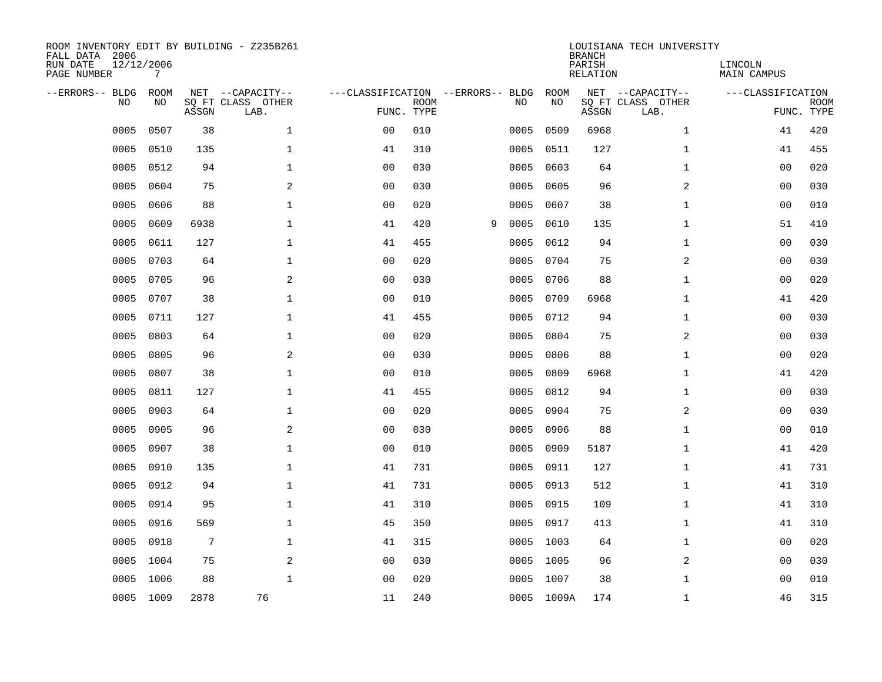| ROOM INVENTORY EDIT BY BUILDING - Z235B261<br>FALL DATA 2006<br>RUN DATE<br>PAGE NUMBER | 12/12/2006<br>7 |       |                                               |                                                 |             |   |      |            | <b>BRANCH</b><br>PARISH<br><b>RELATION</b> | LOUISIANA TECH UNIVERSITY                     | LINCOLN<br><b>MAIN CAMPUS</b> |                           |
|-----------------------------------------------------------------------------------------|-----------------|-------|-----------------------------------------------|-------------------------------------------------|-------------|---|------|------------|--------------------------------------------|-----------------------------------------------|-------------------------------|---------------------------|
| --ERRORS-- BLDG<br>NO                                                                   | ROOM<br>NO      | ASSGN | NET --CAPACITY--<br>SQ FT CLASS OTHER<br>LAB. | ---CLASSIFICATION --ERRORS-- BLDG<br>FUNC. TYPE | <b>ROOM</b> |   | NO   | ROOM<br>NO | ASSGN                                      | NET --CAPACITY--<br>SQ FT CLASS OTHER<br>LAB. | ---CLASSIFICATION             | <b>ROOM</b><br>FUNC. TYPE |
| 0005                                                                                    | 0507            | 38    | $\mathbf{1}$                                  | 0 <sub>0</sub>                                  | 010         |   | 0005 | 0509       | 6968                                       | $\mathbf{1}$                                  | 41                            | 420                       |
| 0005                                                                                    | 0510            | 135   | $\mathbf 1$                                   | 41                                              | 310         |   | 0005 | 0511       | 127                                        | $\mathbf{1}$                                  | 41                            | 455                       |
| 0005                                                                                    | 0512            | 94    | $\mathbf{1}$                                  | 0 <sub>0</sub>                                  | 030         |   | 0005 | 0603       | 64                                         | $\mathbf{1}$                                  | 0 <sub>0</sub>                | 020                       |
| 0005                                                                                    | 0604            | 75    | 2                                             | 0 <sub>0</sub>                                  | 030         |   | 0005 | 0605       | 96                                         | 2                                             | 0 <sub>0</sub>                | 030                       |
| 0005                                                                                    | 0606            | 88    | $\mathbf{1}$                                  | 0 <sub>0</sub>                                  | 020         |   | 0005 | 0607       | 38                                         | $\mathbf{1}$                                  | 0 <sub>0</sub>                | 010                       |
| 0005                                                                                    | 0609            | 6938  | $\mathbf{1}$                                  | 41                                              | 420         | 9 | 0005 | 0610       | 135                                        | $\mathbf{1}$                                  | 51                            | 410                       |
| 0005                                                                                    | 0611            | 127   | $\mathbf 1$                                   | 41                                              | 455         |   | 0005 | 0612       | 94                                         | $\mathbf{1}$                                  | 00                            | 030                       |
| 0005                                                                                    | 0703            | 64    | $\mathbf 1$                                   | 0 <sub>0</sub>                                  | 020         |   | 0005 | 0704       | 75                                         | 2                                             | 00                            | 030                       |
| 0005                                                                                    | 0705            | 96    | 2                                             | 0 <sub>0</sub>                                  | 030         |   | 0005 | 0706       | 88                                         | $\mathbf{1}$                                  | 0 <sub>0</sub>                | 020                       |
| 0005                                                                                    | 0707            | 38    | $\mathbf 1$                                   | 0 <sub>0</sub>                                  | 010         |   | 0005 | 0709       | 6968                                       | $\mathbf{1}$                                  | 41                            | 420                       |
| 0005                                                                                    | 0711            | 127   | $\mathbf{1}$                                  | 41                                              | 455         |   | 0005 | 0712       | 94                                         | $\mathbf{1}$                                  | 00                            | 030                       |
| 0005                                                                                    | 0803            | 64    | $\mathbf{1}$                                  | 0 <sub>0</sub>                                  | 020         |   | 0005 | 0804       | 75                                         | 2                                             | 0 <sub>0</sub>                | 030                       |
| 0005                                                                                    | 0805            | 96    | 2                                             | 0 <sub>0</sub>                                  | 030         |   | 0005 | 0806       | 88                                         | $\mathbf{1}$                                  | 0 <sub>0</sub>                | 020                       |
| 0005                                                                                    | 0807            | 38    | $\mathbf 1$                                   | 0 <sub>0</sub>                                  | 010         |   | 0005 | 0809       | 6968                                       | $\mathbf{1}$                                  | 41                            | 420                       |
| 0005                                                                                    | 0811            | 127   | $\mathbf{1}$                                  | 41                                              | 455         |   | 0005 | 0812       | 94                                         | $\mathbf{1}$                                  | 00                            | 030                       |
| 0005                                                                                    | 0903            | 64    | $\mathbf 1$                                   | 0 <sub>0</sub>                                  | 020         |   | 0005 | 0904       | 75                                         | 2                                             | 0 <sub>0</sub>                | 030                       |
| 0005                                                                                    | 0905            | 96    | 2                                             | 0 <sub>0</sub>                                  | 030         |   | 0005 | 0906       | 88                                         | $\mathbf{1}$                                  | 0 <sub>0</sub>                | 010                       |
| 0005                                                                                    | 0907            | 38    | $\mathbf 1$                                   | 0 <sub>0</sub>                                  | 010         |   | 0005 | 0909       | 5187                                       | $\mathbf{1}$                                  | 41                            | 420                       |
| 0005                                                                                    | 0910            | 135   | 1                                             | 41                                              | 731         |   | 0005 | 0911       | 127                                        | $\mathbf{1}$                                  | 41                            | 731                       |
| 0005                                                                                    | 0912            | 94    | $\mathbf{1}$                                  | 41                                              | 731         |   | 0005 | 0913       | 512                                        | $\mathbf{1}$                                  | 41                            | 310                       |
| 0005                                                                                    | 0914            | 95    | $\mathbf{1}$                                  | 41                                              | 310         |   | 0005 | 0915       | 109                                        | $\mathbf{1}$                                  | 41                            | 310                       |
| 0005                                                                                    | 0916            | 569   | $\mathbf 1$                                   | 45                                              | 350         |   | 0005 | 0917       | 413                                        | $\mathbf{1}$                                  | 41                            | 310                       |
| 0005                                                                                    | 0918            | 7     | $\mathbf 1$                                   | 41                                              | 315         |   | 0005 | 1003       | 64                                         | $\mathbf{1}$                                  | 0 <sub>0</sub>                | 020                       |
| 0005                                                                                    | 1004            | 75    | 2                                             | 0 <sub>0</sub>                                  | 030         |   | 0005 | 1005       | 96                                         | 2                                             | 00                            | 030                       |
| 0005                                                                                    | 1006            | 88    | $\mathbf{1}$                                  | 0 <sub>0</sub>                                  | 020         |   | 0005 | 1007       | 38                                         | $\mathbf{1}$                                  | 00                            | 010                       |
|                                                                                         | 0005 1009       | 2878  | 76                                            | 11                                              | 240         |   |      | 0005 1009A | 174                                        | $\mathbf{1}$                                  | 46                            | 315                       |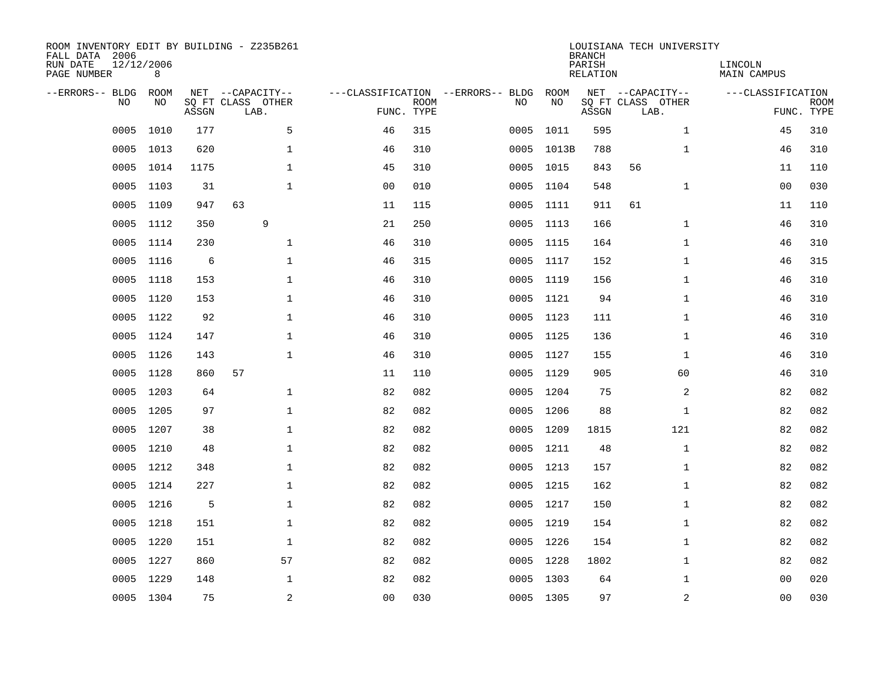| ROOM INVENTORY EDIT BY BUILDING - Z235B261<br>FALL DATA 2006<br>RUN DATE<br>PAGE NUMBER | 12/12/2006<br>8 |       |                                               |                                                 |             |      |            | <b>BRANCH</b><br>PARISH<br><b>RELATION</b> | LOUISIANA TECH UNIVERSITY                     | LINCOLN<br><b>MAIN CAMPUS</b> |                           |
|-----------------------------------------------------------------------------------------|-----------------|-------|-----------------------------------------------|-------------------------------------------------|-------------|------|------------|--------------------------------------------|-----------------------------------------------|-------------------------------|---------------------------|
| --ERRORS-- BLDG<br>NO                                                                   | ROOM<br>NO      | ASSGN | NET --CAPACITY--<br>SQ FT CLASS OTHER<br>LAB. | ---CLASSIFICATION --ERRORS-- BLDG<br>FUNC. TYPE | <b>ROOM</b> | NO   | ROOM<br>NO | ASSGN                                      | NET --CAPACITY--<br>SQ FT CLASS OTHER<br>LAB. | ---CLASSIFICATION             | <b>ROOM</b><br>FUNC. TYPE |
| 0005                                                                                    | 1010            | 177   | 5                                             | 46                                              | 315         | 0005 | 1011       | 595                                        | $\mathbf{1}$                                  | 45                            | 310                       |
| 0005                                                                                    | 1013            | 620   | $\mathbf 1$                                   | 46                                              | 310         |      | 0005 1013B | 788                                        | $\mathbf{1}$                                  | 46                            | 310                       |
| 0005                                                                                    | 1014            | 1175  | $\mathbf 1$                                   | 45                                              | 310         | 0005 | 1015       | 843                                        | 56                                            | 11                            | 110                       |
| 0005                                                                                    | 1103            | 31    | $\mathbf{1}$                                  | 0 <sub>0</sub>                                  | 010         | 0005 | 1104       | 548                                        | $\mathbf{1}$                                  | 0 <sub>0</sub>                | 030                       |
| 0005                                                                                    | 1109            | 947   | 63                                            | 11                                              | 115         | 0005 | 1111       | 911                                        | 61                                            | 11                            | 110                       |
| 0005                                                                                    | 1112            | 350   | 9                                             | 21                                              | 250         |      | 0005 1113  | 166                                        | $\mathbf{1}$                                  | 46                            | 310                       |
| 0005                                                                                    | 1114            | 230   | $\mathbf{1}$                                  | 46                                              | 310         | 0005 | 1115       | 164                                        | $\mathbf{1}$                                  | 46                            | 310                       |
| 0005                                                                                    | 1116            | 6     | $\mathbf 1$                                   | 46                                              | 315         | 0005 | 1117       | 152                                        | $\mathbf{1}$                                  | 46                            | 315                       |
| 0005                                                                                    | 1118            | 153   | $\mathbf{1}$                                  | 46                                              | 310         | 0005 | 1119       | 156                                        | $\mathbf{1}$                                  | 46                            | 310                       |
| 0005                                                                                    | 1120            | 153   | $\mathbf 1$                                   | 46                                              | 310         |      | 0005 1121  | 94                                         | $\mathbf{1}$                                  | 46                            | 310                       |
| 0005                                                                                    | 1122            | 92    | $\mathbf 1$                                   | 46                                              | 310         |      | 0005 1123  | 111                                        | $\mathbf{1}$                                  | 46                            | 310                       |
| 0005                                                                                    | 1124            | 147   | $\mathbf{1}$                                  | 46                                              | 310         |      | 0005 1125  | 136                                        | $\mathbf{1}$                                  | 46                            | 310                       |
| 0005                                                                                    | 1126            | 143   | $\mathbf 1$                                   | 46                                              | 310         | 0005 | 1127       | 155                                        | $\mathbf{1}$                                  | 46                            | 310                       |
| 0005                                                                                    | 1128            | 860   | 57                                            | 11                                              | 110         |      | 0005 1129  | 905                                        | 60                                            | 46                            | 310                       |
| 0005                                                                                    | 1203            | 64    | $\mathbf 1$                                   | 82                                              | 082         | 0005 | 1204       | 75                                         | 2                                             | 82                            | 082                       |
| 0005                                                                                    | 1205            | 97    | $\mathbf{1}$                                  | 82                                              | 082         | 0005 | 1206       | 88                                         | $\mathbf{1}$                                  | 82                            | 082                       |
| 0005                                                                                    | 1207            | 38    | $\mathbf 1$                                   | 82                                              | 082         | 0005 | 1209       | 1815                                       | 121                                           | 82                            | 082                       |
| 0005                                                                                    | 1210            | 48    | $\mathbf{1}$                                  | 82                                              | 082         |      | 0005 1211  | 48                                         | $\mathbf{1}$                                  | 82                            | 082                       |
|                                                                                         | 0005 1212       | 348   | $\mathbf{1}$                                  | 82                                              | 082         |      | 0005 1213  | 157                                        | $\mathbf{1}$                                  | 82                            | 082                       |
| 0005                                                                                    | 1214            | 227   | $\mathbf 1$                                   | 82                                              | 082         |      | 0005 1215  | 162                                        | $\mathbf{1}$                                  | 82                            | 082                       |
|                                                                                         | 0005 1216       | 5     | $\mathbf 1$                                   | 82                                              | 082         |      | 0005 1217  | 150                                        | $\mathbf{1}$                                  | 82                            | 082                       |
| 0005                                                                                    | 1218            | 151   | $\mathbf{1}$                                  | 82                                              | 082         |      | 0005 1219  | 154                                        | $\mathbf{1}$                                  | 82                            | 082                       |
|                                                                                         | 0005 1220       | 151   | $\mathbf 1$                                   | 82                                              | 082         |      | 0005 1226  | 154                                        | $\mathbf{1}$                                  | 82                            | 082                       |
| 0005                                                                                    | 1227            | 860   | 57                                            | 82                                              | 082         |      | 0005 1228  | 1802                                       | $\mathbf{1}$                                  | 82                            | 082                       |
| 0005                                                                                    | 1229            | 148   | $\mathbf 1$                                   | 82                                              | 082         |      | 0005 1303  | 64                                         | $\mathbf{1}$                                  | 00                            | 020                       |
|                                                                                         | 0005 1304       | 75    | $\sqrt{2}$                                    | 0 <sub>0</sub>                                  | 030         |      | 0005 1305  | 97                                         | $\mathbf 2$                                   | 0 <sub>0</sub>                | 030                       |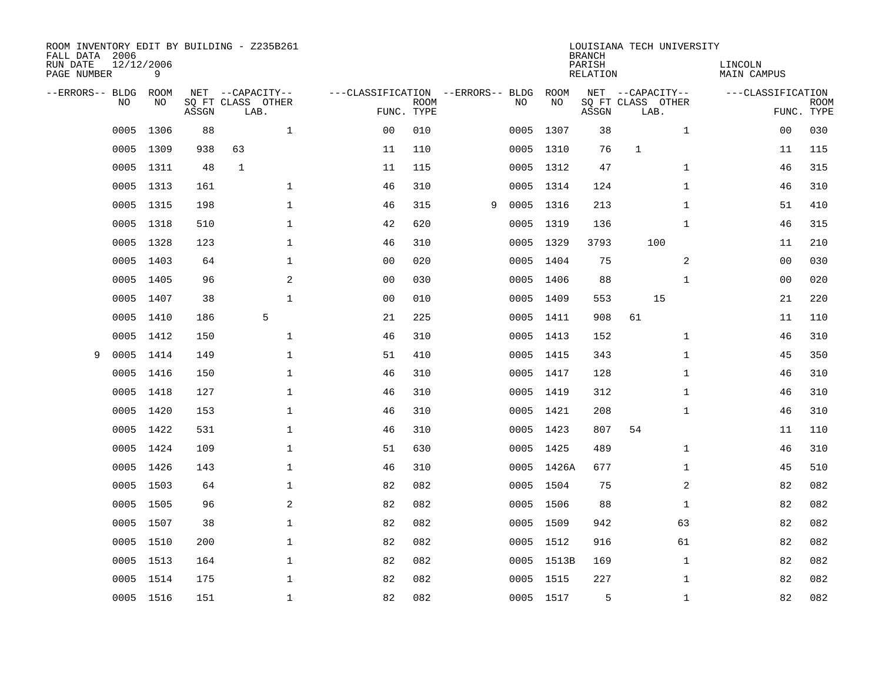| ROOM INVENTORY EDIT BY BUILDING - Z235B261<br>FALL DATA 2006 |                 |       |                           | LOUISIANA TECH UNIVERSITY<br><b>BRANCH</b> |             |   |      |            |                    |                           |                        |                           |
|--------------------------------------------------------------|-----------------|-------|---------------------------|--------------------------------------------|-------------|---|------|------------|--------------------|---------------------------|------------------------|---------------------------|
| RUN DATE<br>PAGE NUMBER                                      | 12/12/2006<br>9 |       |                           |                                            |             |   |      |            | PARISH<br>RELATION |                           | LINCOLN<br>MAIN CAMPUS |                           |
| --ERRORS-- BLDG ROOM                                         |                 |       | NET --CAPACITY--          | ---CLASSIFICATION --ERRORS-- BLDG          |             |   |      | ROOM       |                    | NET --CAPACITY--          | ---CLASSIFICATION      |                           |
| NO.                                                          | NO.             | ASSGN | SQ FT CLASS OTHER<br>LAB. | FUNC. TYPE                                 | <b>ROOM</b> |   | NO.  | NO         | ASSGN              | SQ FT CLASS OTHER<br>LAB. |                        | <b>ROOM</b><br>FUNC. TYPE |
| 0005                                                         | 1306            | 88    | $\mathbf{1}$              | 0 <sub>0</sub>                             | 010         |   | 0005 | 1307       | 38                 | $\mathbf{1}$              | 0 <sub>0</sub>         | 030                       |
| 0005                                                         | 1309            | 938   | 63                        | 11                                         | 110         |   |      | 0005 1310  | 76                 | $\mathbf{1}$              | 11                     | 115                       |
| 0005                                                         | 1311            | 48    | $\mathbf{1}$              | 11                                         | 115         |   |      | 0005 1312  | 47                 | $\mathbf{1}$              | 46                     | 315                       |
|                                                              | 0005 1313       | 161   | $\mathbf{1}$              | 46                                         | 310         |   |      | 0005 1314  | 124                | $\mathbf{1}$              | 46                     | 310                       |
| 0005                                                         | 1315            | 198   | $\mathbf 1$               | 46                                         | 315         | 9 |      | 0005 1316  | 213                | $\mathbf{1}$              | 51                     | 410                       |
|                                                              | 0005 1318       | 510   | $\mathbf 1$               | 42                                         | 620         |   |      | 0005 1319  | 136                | $\mathbf{1}$              | 46                     | 315                       |
| 0005                                                         | 1328            | 123   | $\mathbf 1$               | 46                                         | 310         |   | 0005 | 1329       | 3793               | 100                       | 11                     | 210                       |
| 0005                                                         | 1403            | 64    | $\mathbf{1}$              | 0 <sub>0</sub>                             | 020         |   |      | 0005 1404  | 75                 | 2                         | 0 <sub>0</sub>         | 030                       |
| 0005                                                         | 1405            | 96    | 2                         | 0 <sub>0</sub>                             | 030         |   |      | 0005 1406  | 88                 | $\mathbf{1}$              | 0 <sub>0</sub>         | 020                       |
| 0005                                                         | 1407            | 38    | $\mathbf 1$               | 0 <sub>0</sub>                             | 010         |   |      | 0005 1409  | 553                | 15                        | 21                     | 220                       |
| 0005                                                         | 1410            | 186   | 5                         | 21                                         | 225         |   |      | 0005 1411  | 908                | 61                        | 11                     | 110                       |
| 0005                                                         | 1412            | 150   | $\mathbf 1$               | 46                                         | 310         |   |      | 0005 1413  | 152                | $\mathbf{1}$              | 46                     | 310                       |
| 0005<br>9                                                    | 1414            | 149   | $\mathbf{1}$              | 51                                         | 410         |   |      | 0005 1415  | 343                | $\mathbf{1}$              | 45                     | 350                       |
| 0005                                                         | 1416            | 150   | $\mathbf{1}$              | 46                                         | 310         |   |      | 0005 1417  | 128                | $\mathbf{1}$              | 46                     | 310                       |
| 0005                                                         | 1418            | 127   | $\mathbf 1$               | 46                                         | 310         |   |      | 0005 1419  | 312                | $\mathbf{1}$              | 46                     | 310                       |
| 0005                                                         | 1420            | 153   | $\mathbf 1$               | 46                                         | 310         |   |      | 0005 1421  | 208                | $\mathbf{1}$              | 46                     | 310                       |
| 0005                                                         | 1422            | 531   | $\mathbf 1$               | 46                                         | 310         |   |      | 0005 1423  | 807                | 54                        | 11                     | 110                       |
|                                                              | 0005 1424       | 109   | $\mathbf 1$               | 51                                         | 630         |   |      | 0005 1425  | 489                | $\mathbf{1}$              | 46                     | 310                       |
|                                                              | 0005 1426       | 143   | $\mathbf{1}$              | 46                                         | 310         |   |      | 0005 1426A | 677                | $\mathbf{1}$              | 45                     | 510                       |
| 0005                                                         | 1503            | 64    | $\mathbf{1}$              | 82                                         | 082         |   |      | 0005 1504  | 75                 | 2                         | 82                     | 082                       |
|                                                              | 0005 1505       | 96    | 2                         | 82                                         | 082         |   |      | 0005 1506  | 88                 | $\mathbf{1}$              | 82                     | 082                       |
|                                                              | 0005 1507       | 38    | $\mathbf 1$               | 82                                         | 082         |   |      | 0005 1509  | 942                | 63                        | 82                     | 082                       |
|                                                              | 0005 1510       | 200   | $\mathbf{1}$              | 82                                         | 082         |   |      | 0005 1512  | 916                | 61                        | 82                     | 082                       |
| 0005                                                         | 1513            | 164   | $\mathbf 1$               | 82                                         | 082         |   |      | 0005 1513B | 169                | $\mathbf{1}$              | 82                     | 082                       |
|                                                              | 0005 1514       | 175   | $\mathbf{1}$              | 82                                         | 082         |   |      | 0005 1515  | 227                | $\mathbf{1}$              | 82                     | 082                       |
|                                                              | 0005 1516       | 151   | $\mathbf{1}$              | 82                                         | 082         |   |      | 0005 1517  | 5                  | $\mathbf{1}$              | 82                     | 082                       |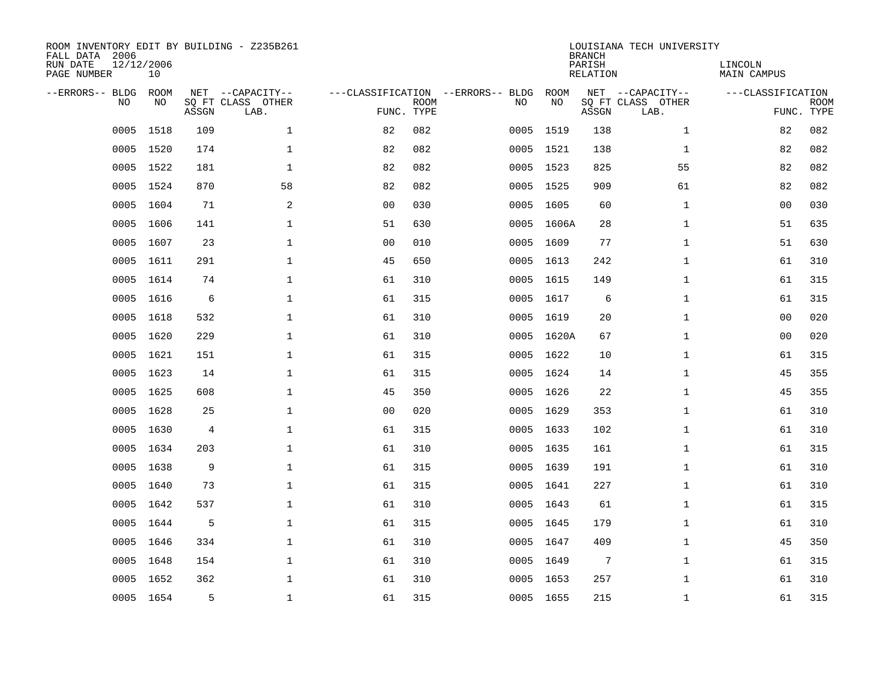| ROOM INVENTORY EDIT BY BUILDING - Z235B261<br>FALL DATA 2006<br>RUN DATE<br>PAGE NUMBER | 12/12/2006<br>10 |       |                                               |                |             |                                         |            | <b>BRANCH</b><br>PARISH<br><b>RELATION</b> | LOUISIANA TECH UNIVERSITY                     | LINCOLN<br><b>MAIN CAMPUS</b> |                           |
|-----------------------------------------------------------------------------------------|------------------|-------|-----------------------------------------------|----------------|-------------|-----------------------------------------|------------|--------------------------------------------|-----------------------------------------------|-------------------------------|---------------------------|
| --ERRORS-- BLDG<br>NO                                                                   | ROOM<br>NO       | ASSGN | NET --CAPACITY--<br>SQ FT CLASS OTHER<br>LAB. | FUNC. TYPE     | <b>ROOM</b> | ---CLASSIFICATION --ERRORS-- BLDG<br>NO | ROOM<br>NO | ASSGN                                      | NET --CAPACITY--<br>SQ FT CLASS OTHER<br>LAB. | ---CLASSIFICATION             | <b>ROOM</b><br>FUNC. TYPE |
| 0005                                                                                    | 1518             | 109   | $\mathbf 1$                                   | 82             | 082         |                                         | 0005 1519  | 138                                        | $\mathbf{1}$                                  | 82                            | 082                       |
|                                                                                         | 0005 1520        | 174   | $\mathbf 1$                                   | 82             | 082         |                                         | 0005 1521  | 138                                        | $\mathbf{1}$                                  | 82                            | 082                       |
| 0005                                                                                    | 1522             | 181   | $\mathbf 1$                                   | 82             | 082         |                                         | 0005 1523  | 825                                        | 55                                            | 82                            | 082                       |
|                                                                                         | 0005 1524        | 870   | 58                                            | 82             | 082         |                                         | 0005 1525  | 909                                        | 61                                            | 82                            | 082                       |
| 0005                                                                                    | 1604             | 71    | 2                                             | 0 <sub>0</sub> | 030         |                                         | 0005 1605  | 60                                         | $\mathbf{1}$                                  | 0 <sub>0</sub>                | 030                       |
| 0005                                                                                    | 1606             | 141   | $\mathbf 1$                                   | 51             | 630         |                                         | 0005 1606A | 28                                         | $\mathbf{1}$                                  | 51                            | 635                       |
| 0005                                                                                    | 1607             | 23    | $\mathbf{1}$                                  | 0 <sub>0</sub> | 010         |                                         | 0005 1609  | 77                                         | $\mathbf{1}$                                  | 51                            | 630                       |
| 0005                                                                                    | 1611             | 291   | $\mathbf{1}$                                  | 45             | 650         |                                         | 0005 1613  | 242                                        | $\mathbf{1}$                                  | 61                            | 310                       |
| 0005                                                                                    | 1614             | 74    | $\mathbf{1}$                                  | 61             | 310         | 0005                                    | 1615       | 149                                        | $\mathbf{1}$                                  | 61                            | 315                       |
| 0005                                                                                    | 1616             | 6     | $\mathbf{1}$                                  | 61             | 315         |                                         | 0005 1617  | 6                                          | $\mathbf{1}$                                  | 61                            | 315                       |
| 0005                                                                                    | 1618             | 532   | $\mathbf 1$                                   | 61             | 310         |                                         | 0005 1619  | 20                                         | $\mathbf{1}$                                  | 00                            | 020                       |
|                                                                                         | 0005 1620        | 229   | $\mathbf 1$                                   | 61             | 310         |                                         | 0005 1620A | 67                                         | $\mathbf{1}$                                  | 00                            | 020                       |
| 0005                                                                                    | 1621             | 151   | $\mathbf{1}$                                  | 61             | 315         |                                         | 0005 1622  | 10                                         | $\mathbf{1}$                                  | 61                            | 315                       |
|                                                                                         | 0005 1623        | 14    | $\mathbf 1$                                   | 61             | 315         |                                         | 0005 1624  | 14                                         | $\mathbf{1}$                                  | 45                            | 355                       |
| 0005                                                                                    | 1625             | 608   | $\mathbf{1}$                                  | 45             | 350         |                                         | 0005 1626  | 22                                         | $\mathbf{1}$                                  | 45                            | 355                       |
|                                                                                         | 0005 1628        | 25    | $\mathbf 1$                                   | 00             | 020         |                                         | 0005 1629  | 353                                        | $\mathbf{1}$                                  | 61                            | 310                       |
| 0005                                                                                    | 1630             | 4     | $\mathbf{1}$                                  | 61             | 315         |                                         | 0005 1633  | 102                                        | $\mathbf{1}$                                  | 61                            | 310                       |
| 0005                                                                                    | 1634             | 203   | $\mathbf 1$                                   | 61             | 310         |                                         | 0005 1635  | 161                                        | $\mathbf{1}$                                  | 61                            | 315                       |
|                                                                                         | 0005 1638        | 9     | $\mathbf 1$                                   | 61             | 315         |                                         | 0005 1639  | 191                                        | $\mathbf{1}$                                  | 61                            | 310                       |
| 0005                                                                                    | 1640             | 73    | $\mathbf 1$                                   | 61             | 315         |                                         | 0005 1641  | 227                                        | $\mathbf{1}$                                  | 61                            | 310                       |
|                                                                                         | 0005 1642        | 537   | $\mathbf{1}$                                  | 61             | 310         |                                         | 0005 1643  | 61                                         | $\mathbf{1}$                                  | 61                            | 315                       |
| 0005                                                                                    | 1644             | 5     | $\mathbf{1}$                                  | 61             | 315         |                                         | 0005 1645  | 179                                        | $\mathbf{1}$                                  | 61                            | 310                       |
|                                                                                         | 0005 1646        | 334   | $\mathbf{1}$                                  | 61             | 310         |                                         | 0005 1647  | 409                                        | $\mathbf{1}$                                  | 45                            | 350                       |
| 0005                                                                                    | 1648             | 154   | $\mathbf 1$                                   | 61             | 310         |                                         | 0005 1649  | $7\phantom{.0}$                            | $\mathbf{1}$                                  | 61                            | 315                       |
|                                                                                         | 0005 1652        | 362   | $\mathbf{1}$                                  | 61             | 310         |                                         | 0005 1653  | 257                                        | $\mathbf{1}$                                  | 61                            | 310                       |
|                                                                                         | 0005 1654        | 5     | $\mathbf 1$                                   | 61             | 315         |                                         | 0005 1655  | 215                                        | $\mathbf{1}$                                  | 61                            | 315                       |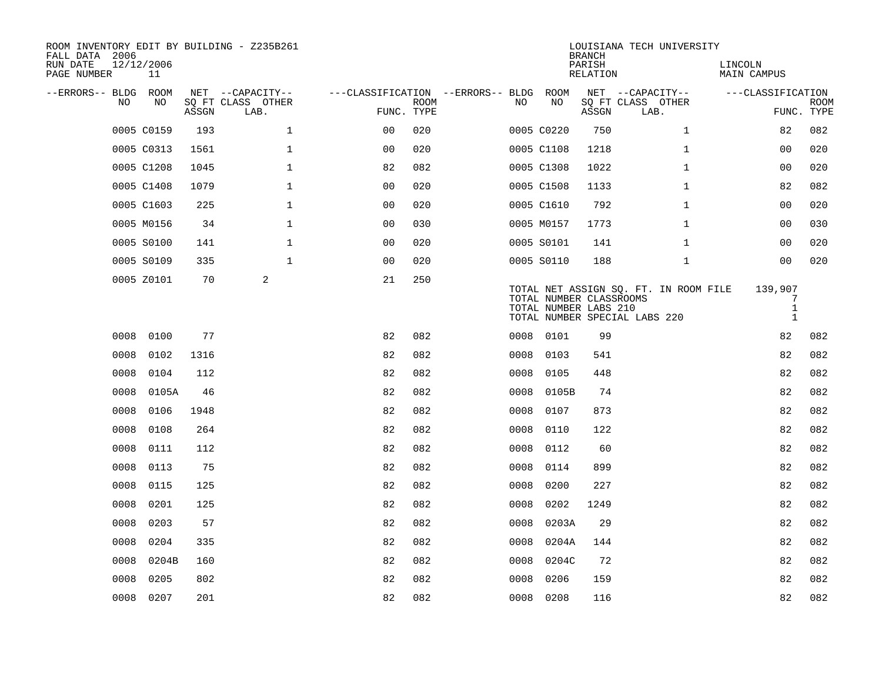| ROOM INVENTORY EDIT BY BUILDING - Z235B261<br>FALL DATA 2006 |                  |       |                           |                                        |      |      |            | <b>BRANCH</b>                                    | LOUISIANA TECH UNIVERSITY                                              |                                              |                           |
|--------------------------------------------------------------|------------------|-------|---------------------------|----------------------------------------|------|------|------------|--------------------------------------------------|------------------------------------------------------------------------|----------------------------------------------|---------------------------|
| RUN DATE<br>PAGE NUMBER                                      | 12/12/2006<br>11 |       |                           |                                        |      |      |            | PARISH<br>RELATION                               |                                                                        | LINCOLN<br>MAIN CAMPUS                       |                           |
| --ERRORS-- BLDG ROOM                                         |                  |       | NET --CAPACITY--          | ---CLASSIFICATION --ERRORS-- BLDG ROOM |      |      |            |                                                  | NET --CAPACITY--                                                       | ---CLASSIFICATION                            |                           |
| NO.                                                          | NO               | ASSGN | SQ FT CLASS OTHER<br>LAB. | FUNC. TYPE                             | ROOM | NO.  | NO         | ASSGN                                            | SQ FT CLASS OTHER<br>LAB.                                              |                                              | <b>ROOM</b><br>FUNC. TYPE |
|                                                              | 0005 C0159       | 193   | $\mathbf{1}$              | 0 <sup>0</sup>                         | 020  |      | 0005 C0220 | 750                                              | $\mathbf{1}$                                                           | 82                                           | 082                       |
|                                                              | 0005 C0313       | 1561  | $\mathbf{1}$              | 0 <sup>0</sup>                         | 020  |      | 0005 C1108 | 1218                                             | $\mathbf{1}$                                                           | 0 <sub>0</sub>                               | 020                       |
|                                                              | 0005 C1208       | 1045  | $\mathbf{1}$              | 82                                     | 082  |      | 0005 C1308 | 1022                                             | $\mathbf{1}$                                                           | 0 <sub>0</sub>                               | 020                       |
|                                                              | 0005 C1408       | 1079  | $\mathbf 1$               | 0 <sub>0</sub>                         | 020  |      | 0005 C1508 | 1133                                             | $\mathbf{1}$                                                           | 82                                           | 082                       |
|                                                              | 0005 C1603       | 225   | $\mathbf 1$               | 00                                     | 020  |      | 0005 C1610 | 792                                              | $\mathbf{1}$                                                           | 00                                           | 020                       |
|                                                              | 0005 M0156       | 34    | $\mathbf 1$               | 0 <sub>0</sub>                         | 030  |      | 0005 M0157 | 1773                                             | $\mathbf{1}$                                                           | 00                                           | 030                       |
|                                                              | 0005 S0100       | 141   | $\mathbf{1}$              | 0 <sub>0</sub>                         | 020  |      | 0005 S0101 | 141                                              | $\mathbf{1}$                                                           | 0 <sub>0</sub>                               | 020                       |
|                                                              | 0005 S0109       | 335   | $\mathbf{1}$              | 0 <sub>0</sub>                         | 020  |      | 0005 S0110 | 188                                              | $\mathbf{1}$                                                           | 0 <sub>0</sub>                               | 020                       |
|                                                              | 0005 Z0101       | 70    | 2                         | 21                                     | 250  |      |            | TOTAL NUMBER CLASSROOMS<br>TOTAL NUMBER LABS 210 | TOTAL NET ASSIGN SQ. FT. IN ROOM FILE<br>TOTAL NUMBER SPECIAL LABS 220 | 139,907<br>7<br>$\mathbf{1}$<br>$\mathbf{1}$ |                           |
| 0008                                                         | 0100             | 77    |                           | 82                                     | 082  |      | 0008 0101  | 99                                               |                                                                        | 82                                           | 082                       |
| 0008                                                         | 0102             | 1316  |                           | 82                                     | 082  | 0008 | 0103       | 541                                              |                                                                        | 82                                           | 082                       |
| 0008                                                         | 0104             | 112   |                           | 82                                     | 082  |      | 0008 0105  | 448                                              |                                                                        | 82                                           | 082                       |
| 0008                                                         | 0105A            | 46    |                           | 82                                     | 082  | 0008 | 0105B      | 74                                               |                                                                        | 82                                           | 082                       |
| 0008                                                         | 0106             | 1948  |                           | 82                                     | 082  | 0008 | 0107       | 873                                              |                                                                        | 82                                           | 082                       |
| 0008                                                         | 0108             | 264   |                           | 82                                     | 082  | 0008 | 0110       | 122                                              |                                                                        | 82                                           | 082                       |
| 0008                                                         | 0111             | 112   |                           | 82                                     | 082  | 0008 | 0112       | 60                                               |                                                                        | 82                                           | 082                       |
| 0008                                                         | 0113             | 75    |                           | 82                                     | 082  | 0008 | 0114       | 899                                              |                                                                        | 82                                           | 082                       |
| 0008                                                         | 0115             | 125   |                           | 82                                     | 082  | 0008 | 0200       | 227                                              |                                                                        | 82                                           | 082                       |
| 0008                                                         | 0201             | 125   |                           | 82                                     | 082  | 0008 | 0202       | 1249                                             |                                                                        | 82                                           | 082                       |
| 0008                                                         | 0203             | 57    |                           | 82                                     | 082  | 0008 | 0203A      | 29                                               |                                                                        | 82                                           | 082                       |
| 0008                                                         | 0204             | 335   |                           | 82                                     | 082  | 0008 | 0204A      | 144                                              |                                                                        | 82                                           | 082                       |
| 0008                                                         | 0204B            | 160   |                           | 82                                     | 082  | 0008 | 0204C      | 72                                               |                                                                        | 82                                           | 082                       |
| 0008                                                         | 0205             | 802   |                           | 82                                     | 082  | 0008 | 0206       | 159                                              |                                                                        | 82                                           | 082                       |
|                                                              | 0008 0207        | 201   |                           | 82                                     | 082  |      | 0008 0208  | 116                                              |                                                                        | 82                                           | 082                       |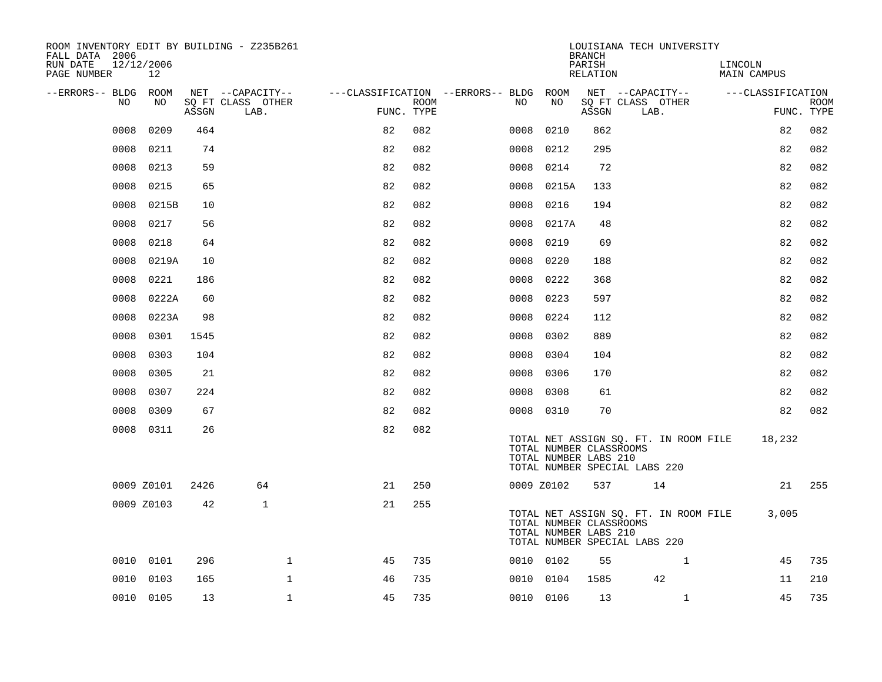| ROOM INVENTORY EDIT BY BUILDING - Z235B261<br>FALL DATA 2006 |            |       |                           |            |      |                                        |                                                  | <b>BRANCH</b>      | LOUISIANA TECH UNIVERSITY                                              |                               |                           |
|--------------------------------------------------------------|------------|-------|---------------------------|------------|------|----------------------------------------|--------------------------------------------------|--------------------|------------------------------------------------------------------------|-------------------------------|---------------------------|
| RUN DATE<br>12/12/2006<br>PAGE NUMBER                        | 12         |       |                           |            |      |                                        |                                                  | PARISH<br>RELATION |                                                                        | LINCOLN<br><b>MAIN CAMPUS</b> |                           |
| --ERRORS-- BLDG ROOM                                         |            |       | NET --CAPACITY--          |            |      | ---CLASSIFICATION --ERRORS-- BLDG ROOM |                                                  |                    | NET --CAPACITY-- ---CLASSIFICATION                                     |                               |                           |
| NO                                                           | NO.        | ASSGN | SQ FT CLASS OTHER<br>LAB. | FUNC. TYPE | ROOM | NO                                     | NO                                               | ASSGN              | SQ FT CLASS OTHER<br>LAB.                                              |                               | <b>ROOM</b><br>FUNC. TYPE |
| 0008                                                         | 0209       | 464   |                           | 82         | 082  | 0008                                   | 0210                                             | 862                |                                                                        | 82                            | 082                       |
| 0008                                                         | 0211       | 74    |                           | 82         | 082  |                                        | 0008 0212                                        | 295                |                                                                        | 82                            | 082                       |
| 0008                                                         | 0213       | 59    |                           | 82         | 082  |                                        | 0008 0214                                        | 72                 |                                                                        | 82                            | 082                       |
| 0008                                                         | 0215       | 65    |                           | 82         | 082  |                                        | 0008 0215A                                       | 133                |                                                                        | 82                            | 082                       |
| 0008                                                         | 0215B      | 10    |                           | 82         | 082  | 0008                                   | 0216                                             | 194                |                                                                        | 82                            | 082                       |
| 0008                                                         | 0217       | 56    |                           | 82         | 082  |                                        | 0008 0217A                                       | 48                 |                                                                        | 82                            | 082                       |
| 0008                                                         | 0218       | 64    |                           | 82         | 082  | 0008                                   | 0219                                             | 69                 |                                                                        | 82                            | 082                       |
| 0008                                                         | 0219A      | 10    |                           | 82         | 082  | 0008                                   | 0220                                             | 188                |                                                                        | 82                            | 082                       |
| 0008                                                         | 0221       | 186   |                           | 82         | 082  | 0008                                   | 0222                                             | 368                |                                                                        | 82                            | 082                       |
| 0008                                                         | 0222A      | 60    |                           | 82         | 082  |                                        | 0008 0223                                        | 597                |                                                                        | 82                            | 082                       |
| 0008                                                         | 0223A      | 98    |                           | 82         | 082  |                                        | 0008 0224                                        | 112                |                                                                        | 82                            | 082                       |
| 0008                                                         | 0301       | 1545  |                           | 82         | 082  |                                        | 0008 0302                                        | 889                |                                                                        | 82                            | 082                       |
| 0008                                                         | 0303       | 104   |                           | 82         | 082  | 0008                                   | 0304                                             | 104                |                                                                        | 82                            | 082                       |
| 0008                                                         | 0305       | 21    |                           | 82         | 082  |                                        | 0008 0306                                        | 170                |                                                                        | 82                            | 082                       |
| 0008                                                         | 0307       | 224   |                           | 82         | 082  |                                        | 0008 0308                                        | 61                 |                                                                        | 82                            | 082                       |
| 0008                                                         | 0309       | 67    |                           | 82         | 082  |                                        | 0008 0310                                        | 70                 |                                                                        | 82                            | 082                       |
|                                                              | 0008 0311  | 26    |                           | 82         | 082  |                                        | TOTAL NUMBER CLASSROOMS<br>TOTAL NUMBER LABS 210 |                    | TOTAL NET ASSIGN SQ. FT. IN ROOM FILE<br>TOTAL NUMBER SPECIAL LABS 220 | 18,232                        |                           |
|                                                              | 0009 Z0101 | 2426  | 64                        | 21         | 250  |                                        | 0009 Z0102                                       | 537                | 14                                                                     |                               | 21 255                    |
|                                                              | 0009 Z0103 | 42    | $\mathbf{1}$              | 21         | 255  |                                        | TOTAL NUMBER CLASSROOMS<br>TOTAL NUMBER LABS 210 |                    | TOTAL NET ASSIGN SQ. FT. IN ROOM FILE<br>TOTAL NUMBER SPECIAL LABS 220 | 3,005                         |                           |
|                                                              | 0010 0101  | 296   | $\mathbf{1}$              | 45         | 735  |                                        | 0010 0102                                        | 55                 | $\mathbf{1}$                                                           | 45                            | 735                       |
|                                                              | 0010 0103  | 165   | $\mathbf{1}$              | 46         | 735  |                                        | 0010 0104                                        | 1585               | 42                                                                     | 11                            | 210                       |
|                                                              | 0010 0105  | 13    | $\mathbf 1$               | 45         | 735  |                                        | 0010 0106                                        | 13                 | $\mathbf{1}$                                                           | 45                            | 735                       |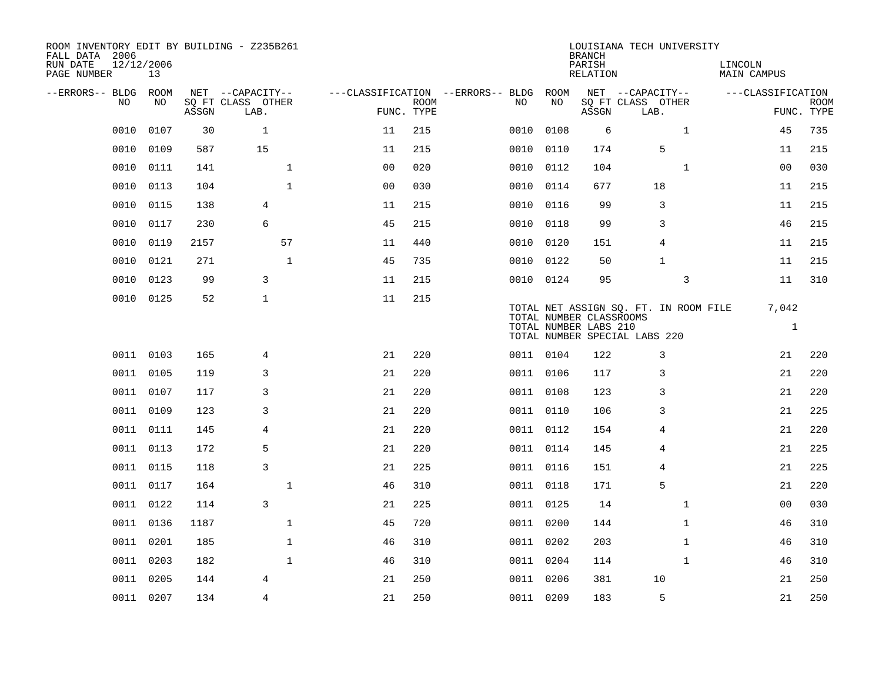| ROOM INVENTORY EDIT BY BUILDING - Z235B261<br>FALL DATA 2006<br>RUN DATE<br>PAGE NUMBER | 12/12/2006<br>13 |       |                           |                |                           |                                   |           | <b>BRANCH</b><br>PARISH<br>RELATION              | LOUISIANA TECH UNIVERSITY                                              | LINCOLN<br>MAIN CAMPUS |                           |
|-----------------------------------------------------------------------------------------|------------------|-------|---------------------------|----------------|---------------------------|-----------------------------------|-----------|--------------------------------------------------|------------------------------------------------------------------------|------------------------|---------------------------|
| --ERRORS-- BLDG                                                                         | ROOM             |       | NET --CAPACITY--          |                |                           | ---CLASSIFICATION --ERRORS-- BLDG | ROOM      |                                                  | NET --CAPACITY--                                                       | ---CLASSIFICATION      |                           |
| N <sub>O</sub>                                                                          | NO.              | ASSGN | SO FT CLASS OTHER<br>LAB. |                | <b>ROOM</b><br>FUNC. TYPE | NO.                               | NO        | ASSGN                                            | SQ FT CLASS OTHER<br>LAB.                                              |                        | <b>ROOM</b><br>FUNC. TYPE |
| 0010                                                                                    | 0107             | 30    | $\mathbf{1}$              | 11             | 215                       | 0010                              | 0108      | 6                                                | $\mathbf{1}$                                                           | 45                     | 735                       |
| 0010                                                                                    | 0109             | 587   | 15                        | 11             | 215                       | 0010                              | 0110      | 174                                              | 5                                                                      | 11                     | 215                       |
| 0010                                                                                    | 0111             | 141   | $\mathbf{1}$              | 0 <sub>0</sub> | 020                       | 0010                              | 0112      | 104                                              | $\mathbf{1}$                                                           | 0 <sub>0</sub>         | 030                       |
| 0010                                                                                    | 0113             | 104   | $\mathbf{1}$              | 0 <sub>0</sub> | 030                       | 0010                              | 0114      | 677                                              | 18                                                                     | 11                     | 215                       |
| 0010                                                                                    | 0115             | 138   | 4                         | 11             | 215                       | 0010                              | 0116      | 99                                               | 3                                                                      | 11                     | 215                       |
| 0010                                                                                    | 0117             | 230   | 6                         | 45             | 215                       |                                   | 0010 0118 | 99                                               | 3                                                                      | 46                     | 215                       |
| 0010                                                                                    | 0119             | 2157  | 57                        | 11             | 440                       | 0010                              | 0120      | 151                                              | $\overline{4}$                                                         | 11                     | 215                       |
| 0010                                                                                    | 0121             | 271   | $\mathbf{1}$              | 45             | 735                       |                                   | 0010 0122 | 50                                               | $\mathbf{1}$                                                           | 11                     | 215                       |
| 0010                                                                                    | 0123             | 99    | 3                         | 11             | 215                       | 0010                              | 0124      | 95                                               | 3                                                                      | 11                     | 310                       |
|                                                                                         | 0010 0125        | 52    | $\mathbf{1}$              | 11             | 215                       |                                   |           | TOTAL NUMBER CLASSROOMS<br>TOTAL NUMBER LABS 210 | TOTAL NET ASSIGN SQ. FT. IN ROOM FILE<br>TOTAL NUMBER SPECIAL LABS 220 | 7,042<br>$\mathbf{1}$  |                           |
|                                                                                         | 0011 0103        | 165   | 4                         | 21             | 220                       |                                   | 0011 0104 | 122                                              | 3                                                                      | 21                     | 220                       |
|                                                                                         | 0011 0105        | 119   | 3                         | 21             | 220                       |                                   | 0011 0106 | 117                                              | 3                                                                      | 21                     | 220                       |
| 0011                                                                                    | 0107             | 117   | 3                         | 21             | 220                       |                                   | 0011 0108 | 123                                              | 3                                                                      | 21                     | 220                       |
|                                                                                         | 0011 0109        | 123   | 3                         | 21             | 220                       |                                   | 0011 0110 | 106                                              | 3                                                                      | 21                     | 225                       |
| 0011                                                                                    | 0111             | 145   | 4                         | 21             | 220                       |                                   | 0011 0112 | 154                                              | 4                                                                      | 21                     | 220                       |
| 0011                                                                                    | 0113             | 172   | 5                         | 21             | 220                       |                                   | 0011 0114 | 145                                              | 4                                                                      | 21                     | 225                       |
| 0011                                                                                    | 0115             | 118   | 3                         | 21             | 225                       |                                   | 0011 0116 | 151                                              | 4                                                                      | 21                     | 225                       |
|                                                                                         | 0011 0117        | 164   | $\mathbf{1}$              | 46             | 310                       |                                   | 0011 0118 | 171                                              | 5                                                                      | 21                     | 220                       |
|                                                                                         | 0011 0122        | 114   | 3                         | 21             | 225                       |                                   | 0011 0125 | 14                                               | $\mathbf{1}$                                                           | 00                     | 030                       |
|                                                                                         | 0011 0136        | 1187  | $\mathbf 1$               | 45             | 720                       |                                   | 0011 0200 | 144                                              | $\mathbf{1}$                                                           | 46                     | 310                       |
|                                                                                         | 0011 0201        | 185   | $\mathbf{1}$              | 46             | 310                       |                                   | 0011 0202 | 203                                              | $\mathbf{1}$                                                           | 46                     | 310                       |
|                                                                                         | 0011 0203        | 182   | $\mathbf{1}$              | 46             | 310                       |                                   | 0011 0204 | 114                                              | $\mathbf{1}$                                                           | 46                     | 310                       |
| 0011                                                                                    | 0205             | 144   | 4                         | 21             | 250                       |                                   | 0011 0206 | 381                                              | 10                                                                     | 21                     | 250                       |
|                                                                                         | 0011 0207        | 134   | $\overline{4}$            | 21             | 250                       |                                   | 0011 0209 | 183                                              | 5                                                                      | 21                     | 250                       |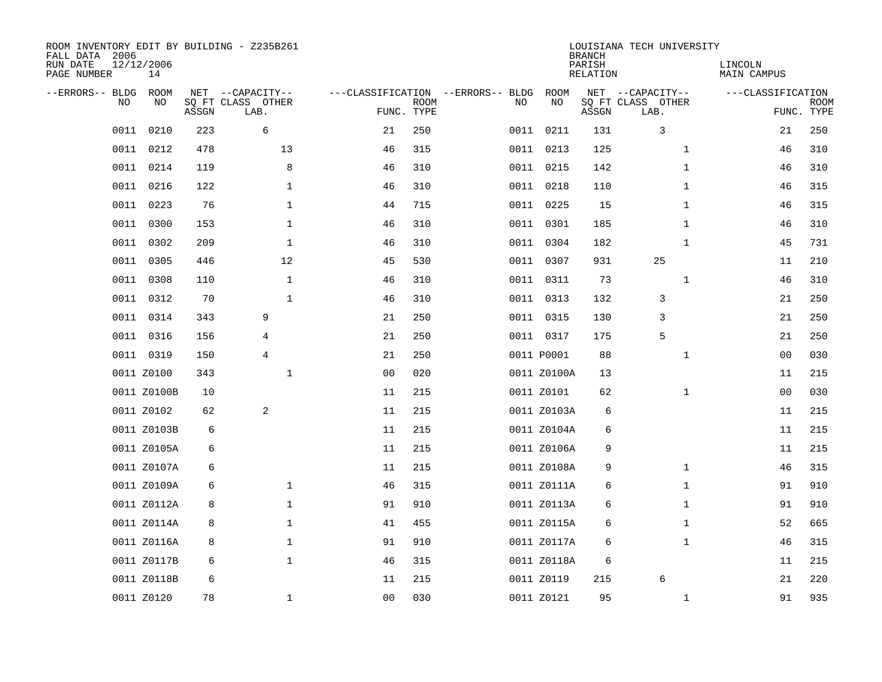| ROOM INVENTORY EDIT BY BUILDING - Z235B261<br>FALL DATA 2006<br>RUN DATE<br>PAGE NUMBER | 12/12/2006<br>14 |       |                                               |                                                 |             |    |             | <b>BRANCH</b><br>PARISH<br><b>RELATION</b> | LOUISIANA TECH UNIVERSITY                     | LINCOLN<br>MAIN CAMPUS |                           |
|-----------------------------------------------------------------------------------------|------------------|-------|-----------------------------------------------|-------------------------------------------------|-------------|----|-------------|--------------------------------------------|-----------------------------------------------|------------------------|---------------------------|
| --ERRORS-- BLDG<br>NO                                                                   | ROOM<br>NO       | ASSGN | NET --CAPACITY--<br>SQ FT CLASS OTHER<br>LAB. | ---CLASSIFICATION --ERRORS-- BLDG<br>FUNC. TYPE | <b>ROOM</b> | NO | ROOM<br>NO  | ASSGN                                      | NET --CAPACITY--<br>SQ FT CLASS OTHER<br>LAB. | ---CLASSIFICATION      | <b>ROOM</b><br>FUNC. TYPE |
| 0011                                                                                    | 0210             | 223   | 6                                             | 21                                              | 250         |    | 0011 0211   | 131                                        | 3                                             | 21                     | 250                       |
| 0011                                                                                    | 0212             | 478   | 13                                            | 46                                              | 315         |    | 0011 0213   | 125                                        | $\mathbf{1}$                                  | 46                     | 310                       |
| 0011                                                                                    | 0214             | 119   | 8                                             | 46                                              | 310         |    | 0011 0215   | 142                                        | $\mathbf{1}$                                  | 46                     | 310                       |
|                                                                                         | 0011 0216        | 122   | $\mathbf 1$                                   | 46                                              | 310         |    | 0011 0218   | 110                                        | $\mathbf{1}$                                  | 46                     | 315                       |
| 0011                                                                                    | 0223             | 76    | $\mathbf 1$                                   | 44                                              | 715         |    | 0011 0225   | 15                                         | $\mathbf{1}$                                  | 46                     | 315                       |
|                                                                                         | 0011 0300        | 153   | $\mathbf 1$                                   | 46                                              | 310         |    | 0011 0301   | 185                                        | $\mathbf{1}$                                  | 46                     | 310                       |
| 0011                                                                                    | 0302             | 209   | $\mathbf{1}$                                  | 46                                              | 310         |    | 0011 0304   | 182                                        | $\mathbf{1}$                                  | 45                     | 731                       |
|                                                                                         | 0011 0305        | 446   | 12                                            | 45                                              | 530         |    | 0011 0307   | 931                                        | 25                                            | 11                     | 210                       |
| 0011                                                                                    | 0308             | 110   | $\mathbf{1}$                                  | 46                                              | 310         |    | 0011 0311   | 73                                         | $\mathbf{1}$                                  | 46                     | 310                       |
|                                                                                         | 0011 0312        | 70    | $\mathbf{1}$                                  | 46                                              | 310         |    | 0011 0313   | 132                                        | 3                                             | 21                     | 250                       |
| 0011                                                                                    | 0314             | 343   | 9                                             | 21                                              | 250         |    | 0011 0315   | 130                                        | 3                                             | 21                     | 250                       |
|                                                                                         | 0011 0316        | 156   | 4                                             | 21                                              | 250         |    | 0011 0317   | 175                                        | 5                                             | 21                     | 250                       |
|                                                                                         | 0011 0319        | 150   | 4                                             | 21                                              | 250         |    | 0011 P0001  | 88                                         | $\mathbf{1}$                                  | 00                     | 030                       |
|                                                                                         | 0011 Z0100       | 343   | 1                                             | 0 <sub>0</sub>                                  | 020         |    | 0011 Z0100A | 13                                         |                                               | 11                     | 215                       |
|                                                                                         | 0011 Z0100B      | 10    |                                               | 11                                              | 215         |    | 0011 Z0101  | 62                                         | $\mathbf{1}$                                  | 00                     | 030                       |
|                                                                                         | 0011 Z0102       | 62    | 2                                             | 11                                              | 215         |    | 0011 Z0103A | 6                                          |                                               | 11                     | 215                       |
|                                                                                         | 0011 Z0103B      | 6     |                                               | 11                                              | 215         |    | 0011 Z0104A | 6                                          |                                               | 11                     | 215                       |
|                                                                                         | 0011 Z0105A      | 6     |                                               | 11                                              | 215         |    | 0011 Z0106A | 9                                          |                                               | 11                     | 215                       |
|                                                                                         | 0011 Z0107A      | 6     |                                               | 11                                              | 215         |    | 0011 Z0108A | 9                                          | $\mathbf{1}$                                  | 46                     | 315                       |
|                                                                                         | 0011 Z0109A      | 6     | $\mathbf 1$                                   | 46                                              | 315         |    | 0011 Z0111A | 6                                          | $\mathbf{1}$                                  | 91                     | 910                       |
|                                                                                         | 0011 Z0112A      | 8     | $\mathbf 1$                                   | 91                                              | 910         |    | 0011 Z0113A | 6                                          | $\mathbf{1}$                                  | 91                     | 910                       |
|                                                                                         | 0011 Z0114A      | 8     | $\mathbf 1$                                   | 41                                              | 455         |    | 0011 Z0115A | 6                                          | $\mathbf{1}$                                  | 52                     | 665                       |
|                                                                                         | 0011 Z0116A      | 8     | $\mathbf 1$                                   | 91                                              | 910         |    | 0011 Z0117A | 6                                          | $\mathbf{1}$                                  | 46                     | 315                       |
|                                                                                         | 0011 Z0117B      | 6     | $\mathbf{1}$                                  | 46                                              | 315         |    | 0011 Z0118A | 6                                          |                                               | 11                     | 215                       |
|                                                                                         | 0011 Z0118B      | 6     |                                               | 11                                              | 215         |    | 0011 Z0119  | 215                                        | 6                                             | 21                     | 220                       |
|                                                                                         | 0011 Z0120       | 78    | $\mathbf{1}$                                  | 0 <sub>0</sub>                                  | 030         |    | 0011 Z0121  | 95                                         | $\mathbf{1}$                                  | 91                     | 935                       |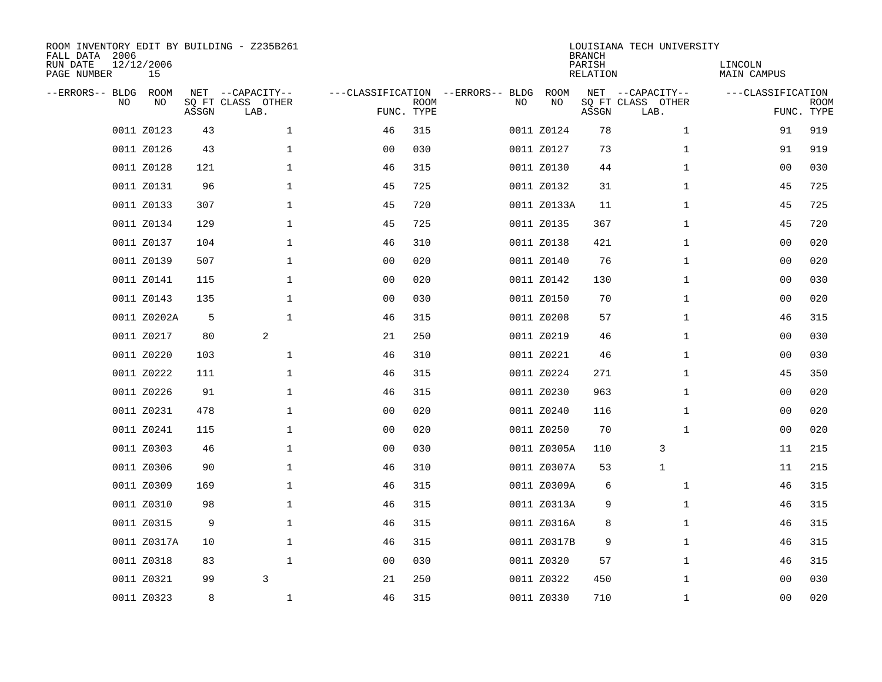| FALL DATA 2006<br>RUN DATE<br>PAGE NUMBER |     | 12/12/2006<br>15 |       | ROOM INVENTORY EDIT BY BUILDING - Z235B261    |                                                 |             |    |             | <b>BRANCH</b><br>PARISH<br>RELATION | LOUISIANA TECH UNIVERSITY                     | LINCOLN<br>MAIN CAMPUS |                           |
|-------------------------------------------|-----|------------------|-------|-----------------------------------------------|-------------------------------------------------|-------------|----|-------------|-------------------------------------|-----------------------------------------------|------------------------|---------------------------|
| --ERRORS-- BLDG                           | NO. | ROOM<br>NO       | ASSGN | NET --CAPACITY--<br>SQ FT CLASS OTHER<br>LAB. | ---CLASSIFICATION --ERRORS-- BLDG<br>FUNC. TYPE | <b>ROOM</b> | NO | ROOM<br>NO  | ASSGN                               | NET --CAPACITY--<br>SQ FT CLASS OTHER<br>LAB. | ---CLASSIFICATION      | <b>ROOM</b><br>FUNC. TYPE |
|                                           |     | 0011 Z0123       | 43    | $\mathbf{1}$                                  | 46                                              | 315         |    | 0011 Z0124  | 78                                  | $\mathbf{1}$                                  | 91                     | 919                       |
|                                           |     | 0011 Z0126       | 43    | $\mathbf 1$                                   | 0 <sub>0</sub>                                  | 030         |    | 0011 Z0127  | 73                                  | $\mathbf{1}$                                  | 91                     | 919                       |
|                                           |     | 0011 Z0128       | 121   | $\mathbf 1$                                   | 46                                              | 315         |    | 0011 Z0130  | 44                                  | $\mathbf{1}$                                  | 0 <sub>0</sub>         | 030                       |
|                                           |     | 0011 Z0131       | 96    | $\mathbf{1}$                                  | 45                                              | 725         |    | 0011 Z0132  | 31                                  | $\mathbf{1}$                                  | 45                     | 725                       |
|                                           |     | 0011 Z0133       | 307   | $\mathbf{1}$                                  | 45                                              | 720         |    | 0011 Z0133A | 11                                  | $\mathbf{1}$                                  | 45                     | 725                       |
|                                           |     | 0011 Z0134       | 129   | $\mathbf{1}$                                  | 45                                              | 725         |    | 0011 Z0135  | 367                                 | $\mathbf{1}$                                  | 45                     | 720                       |
|                                           |     | 0011 Z0137       | 104   | $\mathbf{1}$                                  | 46                                              | 310         |    | 0011 Z0138  | 421                                 | $\mathbf{1}$                                  | 0 <sub>0</sub>         | 020                       |
|                                           |     | 0011 Z0139       | 507   | $\mathbf 1$                                   | 0 <sub>0</sub>                                  | 020         |    | 0011 Z0140  | 76                                  | $\mathbf{1}$                                  | 0 <sub>0</sub>         | 020                       |
|                                           |     | 0011 Z0141       | 115   | $\mathbf 1$                                   | 0 <sub>0</sub>                                  | 020         |    | 0011 Z0142  | 130                                 | $\mathbf{1}$                                  | 0 <sub>0</sub>         | 030                       |
|                                           |     | 0011 Z0143       | 135   | $\mathbf 1$                                   | 0 <sub>0</sub>                                  | 030         |    | 0011 Z0150  | 70                                  | $\mathbf{1}$                                  | 0 <sub>0</sub>         | 020                       |
|                                           |     | 0011 Z0202A      | 5     | $\mathbf 1$                                   | 46                                              | 315         |    | 0011 Z0208  | 57                                  | $\mathbf{1}$                                  | 46                     | 315                       |
|                                           |     | 0011 Z0217       | 80    | 2                                             | 21                                              | 250         |    | 0011 Z0219  | 46                                  | $\mathbf{1}$                                  | 00                     | 030                       |
|                                           |     | 0011 Z0220       | 103   | $\mathbf 1$                                   | 46                                              | 310         |    | 0011 Z0221  | 46                                  | $\mathbf{1}$                                  | 00                     | 030                       |
|                                           |     | 0011 Z0222       | 111   | 1                                             | 46                                              | 315         |    | 0011 Z0224  | 271                                 | $\mathbf{1}$                                  | 45                     | 350                       |
|                                           |     | 0011 Z0226       | 91    | $\mathbf 1$                                   | 46                                              | 315         |    | 0011 Z0230  | 963                                 | $\mathbf{1}$                                  | 0 <sub>0</sub>         | 020                       |
|                                           |     | 0011 Z0231       | 478   | $\mathbf 1$                                   | 0 <sub>0</sub>                                  | 020         |    | 0011 Z0240  | 116                                 | $\mathbf{1}$                                  | 00                     | 020                       |
|                                           |     | 0011 Z0241       | 115   | $\mathbf 1$                                   | 0 <sub>0</sub>                                  | 020         |    | 0011 Z0250  | 70                                  | $\mathbf{1}$                                  | 0 <sub>0</sub>         | 020                       |
|                                           |     | 0011 Z0303       | 46    | $\mathbf{1}$                                  | 0 <sub>0</sub>                                  | 030         |    | 0011 Z0305A | 110                                 | 3                                             | 11                     | 215                       |
|                                           |     | 0011 Z0306       | 90    | $\mathbf{1}$                                  | 46                                              | 310         |    | 0011 Z0307A | 53                                  | $\mathbf{1}$                                  | 11                     | 215                       |
|                                           |     | 0011 Z0309       | 169   | $\mathbf 1$                                   | 46                                              | 315         |    | 0011 Z0309A | 6                                   | $\mathbf{1}$                                  | 46                     | 315                       |
|                                           |     | 0011 Z0310       | 98    | $\mathbf{1}$                                  | 46                                              | 315         |    | 0011 Z0313A | 9                                   | $\mathbf{1}$                                  | 46                     | 315                       |
|                                           |     | 0011 Z0315       | 9     | $\mathbf{1}$                                  | 46                                              | 315         |    | 0011 Z0316A | 8                                   | $\mathbf{1}$                                  | 46                     | 315                       |
|                                           |     | 0011 Z0317A      | 10    | $\mathbf 1$                                   | 46                                              | 315         |    | 0011 Z0317B | 9                                   | $\mathbf{1}$                                  | 46                     | 315                       |
|                                           |     | 0011 Z0318       | 83    | $\mathbf{1}$                                  | 00                                              | 030         |    | 0011 Z0320  | 57                                  | $\mathbf{1}$                                  | 46                     | 315                       |
|                                           |     | 0011 Z0321       | 99    | 3                                             | 21                                              | 250         |    | 0011 Z0322  | 450                                 | $\mathbf{1}$                                  | 00                     | 030                       |
|                                           |     | 0011 Z0323       | 8     | 1                                             | 46                                              | 315         |    | 0011 Z0330  | 710                                 | $\mathbf{1}$                                  | 00                     | 020                       |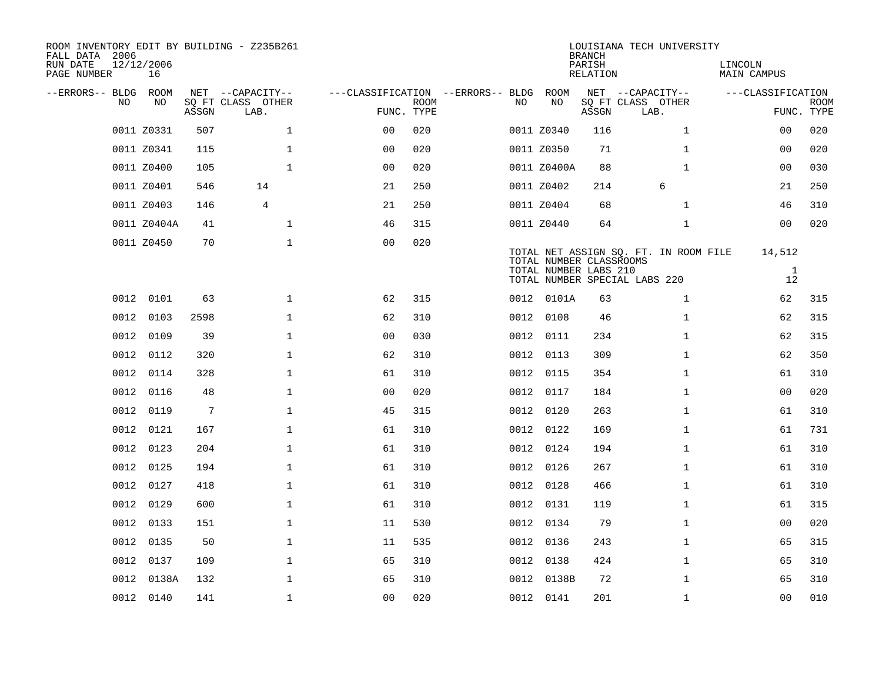| ROOM INVENTORY EDIT BY BUILDING - Z235B261<br>FALL DATA 2006<br>RUN DATE | 12/12/2006  |                 |                           |                                        |             |     |                         | <b>BRANCH</b><br>PARISH | LOUISIANA TECH UNIVERSITY             | LINCOLN            |                           |
|--------------------------------------------------------------------------|-------------|-----------------|---------------------------|----------------------------------------|-------------|-----|-------------------------|-------------------------|---------------------------------------|--------------------|---------------------------|
| PAGE NUMBER                                                              | 16          |                 |                           |                                        |             |     |                         | RELATION                |                                       | MAIN CAMPUS        |                           |
| --ERRORS-- BLDG ROOM<br>NO.                                              | NO.         |                 | NET --CAPACITY--          | ---CLASSIFICATION --ERRORS-- BLDG ROOM | <b>ROOM</b> | NO. | NO                      |                         | NET --CAPACITY--                      | ---CLASSIFICATION  |                           |
|                                                                          |             | ASSGN           | SQ FT CLASS OTHER<br>LAB. | FUNC. TYPE                             |             |     |                         | ASSGN                   | SQ FT CLASS OTHER<br>LAB.             |                    | <b>ROOM</b><br>FUNC. TYPE |
|                                                                          | 0011 Z0331  | 507             | $\mathbf{1}$              | 0 <sup>0</sup>                         | 020         |     | 0011 Z0340              | 116                     | $\mathbf{1}$                          | 0 <sub>0</sub>     | 020                       |
|                                                                          | 0011 Z0341  | 115             | $\mathbf{1}$              | 0 <sub>0</sub>                         | 020         |     | 0011 Z0350              | 71                      | $\mathbf{1}$                          | 0 <sub>0</sub>     | 020                       |
|                                                                          | 0011 Z0400  | 105             | 1                         | 0 <sub>0</sub>                         | 020         |     | 0011 Z0400A             | 88                      | $\mathbf{1}$                          | 0 <sub>0</sub>     | 030                       |
|                                                                          | 0011 Z0401  | 546             | 14                        | 21                                     | 250         |     | 0011 Z0402              | 214                     | 6                                     | 21                 | 250                       |
|                                                                          | 0011 Z0403  | 146             | 4                         | 21                                     | 250         |     | 0011 Z0404              | 68                      | $\mathbf{1}$                          | 46                 | 310                       |
|                                                                          | 0011 Z0404A | 41              | $\mathbf 1$               | 46                                     | 315         |     | 0011 Z0440              | 64                      | $\mathbf{1}$                          | 0 <sub>0</sub>     | 020                       |
|                                                                          | 0011 Z0450  | 70              | $\mathbf{1}$              | 0 <sub>0</sub>                         | 020         |     | TOTAL NUMBER CLASSROOMS |                         | TOTAL NET ASSIGN SQ. FT. IN ROOM FILE | 14,512             |                           |
|                                                                          |             |                 |                           |                                        |             |     | TOTAL NUMBER LABS 210   |                         | TOTAL NUMBER SPECIAL LABS 220         | <sup>1</sup><br>12 |                           |
|                                                                          | 0012 0101   | 63              | $\mathbf{1}$              | 62                                     | 315         |     | 0012 0101A              | 63                      | $\mathbf{1}$                          | 62                 | 315                       |
|                                                                          | 0012 0103   | 2598            | $\mathbf{1}$              | 62                                     | 310         |     | 0012 0108               | 46                      | $\mathbf{1}$                          | 62                 | 315                       |
|                                                                          | 0012 0109   | 39              | $\mathbf 1$               | 0 <sub>0</sub>                         | 030         |     | 0012 0111               | 234                     | $\mathbf{1}$                          | 62                 | 315                       |
| 0012                                                                     | 0112        | 320             | $\mathbf{1}$              | 62                                     | 310         |     | 0012 0113               | 309                     | $\mathbf{1}$                          | 62                 | 350                       |
|                                                                          | 0012 0114   | 328             | $\mathbf 1$               | 61                                     | 310         |     | 0012 0115               | 354                     | $\mathbf{1}$                          | 61                 | 310                       |
| 0012                                                                     | 0116        | 48              | $\mathbf 1$               | 0 <sub>0</sub>                         | 020         |     | 0012 0117               | 184                     | $\mathbf{1}$                          | 00                 | 020                       |
|                                                                          | 0012 0119   | $7\phantom{.0}$ | $\mathbf{1}$              | 45                                     | 315         |     | 0012 0120               | 263                     | $\mathbf{1}$                          | 61                 | 310                       |
| 0012                                                                     | 0121        | 167             | $\mathbf 1$               | 61                                     | 310         |     | 0012 0122               | 169                     | $\mathbf{1}$                          | 61                 | 731                       |
| 0012                                                                     | 0123        | 204             | $\mathbf 1$               | 61                                     | 310         |     | 0012 0124               | 194                     | $\mathbf{1}$                          | 61                 | 310                       |
|                                                                          | 0012 0125   | 194             | $\mathbf 1$               | 61                                     | 310         |     | 0012 0126               | 267                     | $\mathbf{1}$                          | 61                 | 310                       |
|                                                                          | 0012 0127   | 418             | $\mathbf{1}$              | 61                                     | 310         |     | 0012 0128               | 466                     | $\mathbf{1}$                          | 61                 | 310                       |
|                                                                          | 0012 0129   | 600             | $\mathbf{1}$              | 61                                     | 310         |     | 0012 0131               | 119                     | $\mathbf{1}$                          | 61                 | 315                       |
| 0012                                                                     | 0133        | 151             | $\mathbf 1$               | 11                                     | 530         |     | 0012 0134               | 79                      | $\mathbf{1}$                          | 00                 | 020                       |
|                                                                          | 0012 0135   | 50              | $\mathbf 1$               | 11                                     | 535         |     | 0012 0136               | 243                     | $\mathbf{1}$                          | 65                 | 315                       |
|                                                                          | 0012 0137   | 109             | $\mathbf 1$               | 65                                     | 310         |     | 0012 0138               | 424                     | $\mathbf{1}$                          | 65                 | 310                       |
|                                                                          | 0012 0138A  | 132             | $\mathbf{1}$              | 65                                     | 310         |     | 0012 0138B              | 72                      | $\mathbf{1}$                          | 65                 | 310                       |
|                                                                          | 0012 0140   | 141             | $\mathbf{1}$              | 0 <sub>0</sub>                         | 020         |     | 0012 0141               | 201                     | $\mathbf{1}$                          | 0 <sub>0</sub>     | 010                       |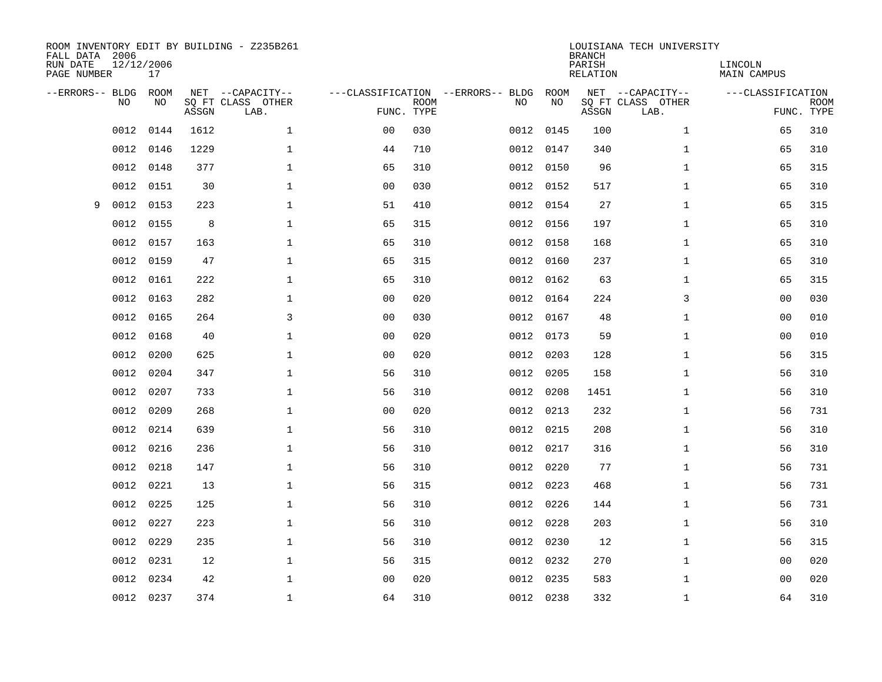| FALL DATA 2006<br>RUN DATE<br>PAGE NUMBER |           | 12/12/2006<br>17 |       | ROOM INVENTORY EDIT BY BUILDING - Z235B261    |                                                 |             |      |            | <b>BRANCH</b><br>PARISH<br>RELATION | LOUISIANA TECH UNIVERSITY                     | LINCOLN<br><b>MAIN CAMPUS</b> |                           |
|-------------------------------------------|-----------|------------------|-------|-----------------------------------------------|-------------------------------------------------|-------------|------|------------|-------------------------------------|-----------------------------------------------|-------------------------------|---------------------------|
| --ERRORS-- BLDG                           | <b>NO</b> | ROOM<br>NO       | ASSGN | NET --CAPACITY--<br>SO FT CLASS OTHER<br>LAB. | ---CLASSIFICATION --ERRORS-- BLDG<br>FUNC. TYPE | <b>ROOM</b> | NO   | ROOM<br>NO | ASSGN                               | NET --CAPACITY--<br>SQ FT CLASS OTHER<br>LAB. | ---CLASSIFICATION             | <b>ROOM</b><br>FUNC. TYPE |
|                                           | 0012      | 0144             | 1612  | $\mathbf{1}$                                  | 0 <sub>0</sub>                                  | 030         | 0012 | 0145       | 100                                 | $\mathbf{1}$                                  | 65                            | 310                       |
|                                           | 0012      | 0146             | 1229  | $\mathbf 1$                                   | 44                                              | 710         |      | 0012 0147  | 340                                 | $\mathbf{1}$                                  | 65                            | 310                       |
|                                           | 0012      | 0148             | 377   | $\mathbf 1$                                   | 65                                              | 310         |      | 0012 0150  | 96                                  | $\mathbf{1}$                                  | 65                            | 315                       |
|                                           | 0012      | 0151             | 30    | $\mathbf 1$                                   | 0 <sub>0</sub>                                  | 030         |      | 0012 0152  | 517                                 | $\mathbf{1}$                                  | 65                            | 310                       |
| 9                                         | 0012      | 0153             | 223   | $\mathbf{1}$                                  | 51                                              | 410         |      | 0012 0154  | 27                                  | $\mathbf{1}$                                  | 65                            | 315                       |
|                                           | 0012      | 0155             | 8     | $\mathbf{1}$                                  | 65                                              | 315         |      | 0012 0156  | 197                                 | $\mathbf{1}$                                  | 65                            | 310                       |
|                                           | 0012      | 0157             | 163   | $\mathbf{1}$                                  | 65                                              | 310         | 0012 | 0158       | 168                                 | $\mathbf{1}$                                  | 65                            | 310                       |
|                                           | 0012      | 0159             | 47    | $\mathbf 1$                                   | 65                                              | 315         |      | 0012 0160  | 237                                 | $\mathbf{1}$                                  | 65                            | 310                       |
|                                           | 0012      | 0161             | 222   | $\mathbf{1}$                                  | 65                                              | 310         | 0012 | 0162       | 63                                  | $\mathbf{1}$                                  | 65                            | 315                       |
|                                           | 0012      | 0163             | 282   | $\mathbf 1$                                   | 0 <sub>0</sub>                                  | 020         |      | 0012 0164  | 224                                 | 3                                             | 0 <sub>0</sub>                | 030                       |
|                                           | 0012      | 0165             | 264   | 3                                             | 0 <sub>0</sub>                                  | 030         | 0012 | 0167       | 48                                  | $\mathbf{1}$                                  | 00                            | 010                       |
|                                           | 0012      | 0168             | 40    | $\mathbf 1$                                   | 0 <sub>0</sub>                                  | 020         |      | 0012 0173  | 59                                  | $\mathbf{1}$                                  | 00                            | 010                       |
|                                           | 0012      | 0200             | 625   | $\mathbf 1$                                   | 0 <sub>0</sub>                                  | 020         | 0012 | 0203       | 128                                 | $\mathbf{1}$                                  | 56                            | 315                       |
|                                           | 0012      | 0204             | 347   | $\mathbf 1$                                   | 56                                              | 310         | 0012 | 0205       | 158                                 | $\mathbf{1}$                                  | 56                            | 310                       |
|                                           | 0012      | 0207             | 733   | $\mathbf 1$                                   | 56                                              | 310         | 0012 | 0208       | 1451                                | $\mathbf{1}$                                  | 56                            | 310                       |
|                                           | 0012      | 0209             | 268   | $\mathbf 1$                                   | 0 <sub>0</sub>                                  | 020         |      | 0012 0213  | 232                                 | $\mathbf{1}$                                  | 56                            | 731                       |
|                                           | 0012      | 0214             | 639   | $\mathbf{1}$                                  | 56                                              | 310         |      | 0012 0215  | 208                                 | $\mathbf{1}$                                  | 56                            | 310                       |
|                                           | 0012      | 0216             | 236   | $\mathbf{1}$                                  | 56                                              | 310         |      | 0012 0217  | 316                                 | $\mathbf{1}$                                  | 56                            | 310                       |
|                                           | 0012      | 0218             | 147   | $\mathbf{1}$                                  | 56                                              | 310         |      | 0012 0220  | 77                                  | $\mathbf{1}$                                  | 56                            | 731                       |
|                                           | 0012      | 0221             | 13    | $\mathbf{1}$                                  | 56                                              | 315         |      | 0012 0223  | 468                                 | $\mathbf{1}$                                  | 56                            | 731                       |
|                                           | 0012      | 0225             | 125   | $\mathbf{1}$                                  | 56                                              | 310         |      | 0012 0226  | 144                                 | $\mathbf{1}$                                  | 56                            | 731                       |
|                                           | 0012      | 0227             | 223   | $\mathbf{1}$                                  | 56                                              | 310         |      | 0012 0228  | 203                                 | $\mathbf{1}$                                  | 56                            | 310                       |
|                                           | 0012      | 0229             | 235   | $\mathbf{1}$                                  | 56                                              | 310         |      | 0012 0230  | 12                                  | $\mathbf{1}$                                  | 56                            | 315                       |
|                                           | 0012      | 0231             | 12    | $\mathbf{1}$                                  | 56                                              | 315         |      | 0012 0232  | 270                                 | $\mathbf{1}$                                  | 0 <sub>0</sub>                | 020                       |
|                                           | 0012      | 0234             | 42    | 1                                             | 0 <sub>0</sub>                                  | 020         |      | 0012 0235  | 583                                 | $\mathbf{1}$                                  | 00                            | 020                       |
|                                           |           | 0012 0237        | 374   | $\mathbf 1$                                   | 64                                              | 310         |      | 0012 0238  | 332                                 | $\mathbf{1}$                                  | 64                            | 310                       |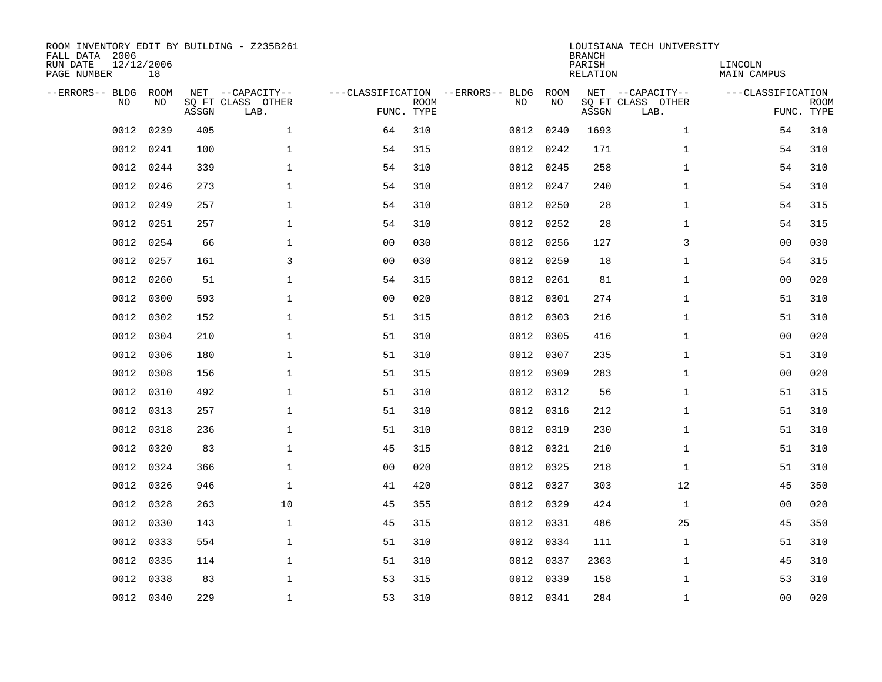| ROOM INVENTORY EDIT BY BUILDING - Z235B261<br>FALL DATA 2006<br>RUN DATE<br>PAGE NUMBER | 12/12/2006<br>18 |       |                                               |                |                           |                                         |            | <b>BRANCH</b><br>PARISH<br><b>RELATION</b> | LOUISIANA TECH UNIVERSITY                     | LINCOLN<br><b>MAIN CAMPUS</b> |                           |
|-----------------------------------------------------------------------------------------|------------------|-------|-----------------------------------------------|----------------|---------------------------|-----------------------------------------|------------|--------------------------------------------|-----------------------------------------------|-------------------------------|---------------------------|
| --ERRORS-- BLDG<br>NO.                                                                  | ROOM<br>NO       | ASSGN | NET --CAPACITY--<br>SQ FT CLASS OTHER<br>LAB. |                | <b>ROOM</b><br>FUNC. TYPE | ---CLASSIFICATION --ERRORS-- BLDG<br>NO | ROOM<br>NO | ASSGN                                      | NET --CAPACITY--<br>SQ FT CLASS OTHER<br>LAB. | ---CLASSIFICATION             | <b>ROOM</b><br>FUNC. TYPE |
| 0012                                                                                    | 0239             | 405   | $\mathbf{1}$                                  | 64             | 310                       | 0012                                    | 0240       | 1693                                       | $\mathbf{1}$                                  | 54                            | 310                       |
| 0012                                                                                    | 0241             | 100   | $\mathbf 1$                                   | 54             | 315                       |                                         | 0012 0242  | 171                                        | $\mathbf{1}$                                  | 54                            | 310                       |
| 0012                                                                                    | 0244             | 339   | $\mathbf 1$                                   | 54             | 310                       |                                         | 0012 0245  | 258                                        | $\mathbf{1}$                                  | 54                            | 310                       |
| 0012                                                                                    | 0246             | 273   | $\mathbf 1$                                   | 54             | 310                       |                                         | 0012 0247  | 240                                        | $\mathbf{1}$                                  | 54                            | 310                       |
| 0012                                                                                    | 0249             | 257   | $\mathbf 1$                                   | 54             | 310                       |                                         | 0012 0250  | 28                                         | $\mathbf{1}$                                  | 54                            | 315                       |
| 0012                                                                                    | 0251             | 257   | $\mathbf 1$                                   | 54             | 310                       |                                         | 0012 0252  | 28                                         | $\mathbf{1}$                                  | 54                            | 315                       |
| 0012                                                                                    | 0254             | 66    | $\mathbf{1}$                                  | 0 <sub>0</sub> | 030                       |                                         | 0012 0256  | 127                                        | 3                                             | 0 <sub>0</sub>                | 030                       |
| 0012                                                                                    | 0257             | 161   | 3                                             | 0 <sub>0</sub> | 030                       |                                         | 0012 0259  | 18                                         | $\mathbf{1}$                                  | 54                            | 315                       |
| 0012                                                                                    | 0260             | 51    | $\mathbf 1$                                   | 54             | 315                       | 0012                                    | 0261       | 81                                         | $\mathbf{1}$                                  | 0 <sub>0</sub>                | 020                       |
| 0012                                                                                    | 0300             | 593   | $\mathbf 1$                                   | 0 <sub>0</sub> | 020                       |                                         | 0012 0301  | 274                                        | $\mathbf{1}$                                  | 51                            | 310                       |
| 0012                                                                                    | 0302             | 152   | $\mathbf{1}$                                  | 51             | 315                       |                                         | 0012 0303  | 216                                        | $\mathbf{1}$                                  | 51                            | 310                       |
| 0012                                                                                    | 0304             | 210   | $\mathbf 1$                                   | 51             | 310                       |                                         | 0012 0305  | 416                                        | $\mathbf{1}$                                  | 0 <sub>0</sub>                | 020                       |
| 0012                                                                                    | 0306             | 180   | $\mathbf{1}$                                  | 51             | 310                       | 0012                                    | 0307       | 235                                        | $\mathbf{1}$                                  | 51                            | 310                       |
| 0012                                                                                    | 0308             | 156   | $\mathbf 1$                                   | 51             | 315                       |                                         | 0012 0309  | 283                                        | $\mathbf{1}$                                  | 00                            | 020                       |
| 0012                                                                                    | 0310             | 492   | 1                                             | 51             | 310                       |                                         | 0012 0312  | 56                                         | $\mathbf{1}$                                  | 51                            | 315                       |
| 0012                                                                                    | 0313             | 257   | $\mathbf 1$                                   | 51             | 310                       |                                         | 0012 0316  | 212                                        | $\mathbf{1}$                                  | 51                            | 310                       |
| 0012                                                                                    | 0318             | 236   | $\mathbf 1$                                   | 51             | 310                       |                                         | 0012 0319  | 230                                        | $\mathbf{1}$                                  | 51                            | 310                       |
| 0012                                                                                    | 0320             | 83    | $\mathbf 1$                                   | 45             | 315                       |                                         | 0012 0321  | 210                                        | $\mathbf{1}$                                  | 51                            | 310                       |
|                                                                                         | 0012 0324        | 366   | $\mathbf 1$                                   | 0 <sub>0</sub> | 020                       |                                         | 0012 0325  | 218                                        | $\mathbf{1}$                                  | 51                            | 310                       |
| 0012                                                                                    | 0326             | 946   | $\mathbf{1}$                                  | 41             | 420                       |                                         | 0012 0327  | 303                                        | 12                                            | 45                            | 350                       |
| 0012                                                                                    | 0328             | 263   | 10                                            | 45             | 355                       |                                         | 0012 0329  | 424                                        | $\mathbf{1}$                                  | 0 <sub>0</sub>                | 020                       |
| 0012                                                                                    | 0330             | 143   | $\mathbf{1}$                                  | 45             | 315                       |                                         | 0012 0331  | 486                                        | 25                                            | 45                            | 350                       |
| 0012                                                                                    | 0333             | 554   | $\mathbf{1}$                                  | 51             | 310                       |                                         | 0012 0334  | 111                                        | $\mathbf{1}$                                  | 51                            | 310                       |
| 0012                                                                                    | 0335             | 114   | $\mathbf 1$                                   | 51             | 310                       |                                         | 0012 0337  | 2363                                       | $\mathbf{1}$                                  | 45                            | 310                       |
| 0012                                                                                    | 0338             | 83    | $\mathbf 1$                                   | 53             | 315                       |                                         | 0012 0339  | 158                                        | $\mathbf{1}$                                  | 53                            | 310                       |
|                                                                                         | 0012 0340        | 229   | $\mathbf 1$                                   | 53             | 310                       |                                         | 0012 0341  | 284                                        | $\mathbf{1}$                                  | 00                            | 020                       |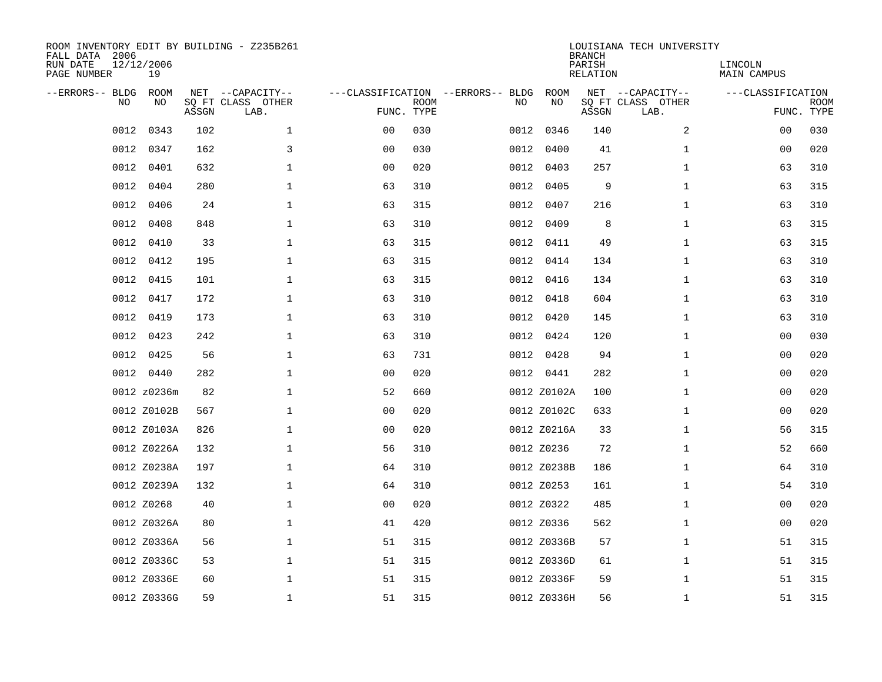| FALL DATA 2006<br>RUN DATE<br>PAGE NUMBER |           | 12/12/2006<br>19 |       | ROOM INVENTORY EDIT BY BUILDING - Z235B261    |                                                 |             |      |             | <b>BRANCH</b><br>PARISH<br>RELATION | LOUISIANA TECH UNIVERSITY                     | LINCOLN<br>MAIN CAMPUS |                           |
|-------------------------------------------|-----------|------------------|-------|-----------------------------------------------|-------------------------------------------------|-------------|------|-------------|-------------------------------------|-----------------------------------------------|------------------------|---------------------------|
| --ERRORS-- BLDG                           | <b>NO</b> | ROOM<br>NO       | ASSGN | NET --CAPACITY--<br>SQ FT CLASS OTHER<br>LAB. | ---CLASSIFICATION --ERRORS-- BLDG<br>FUNC. TYPE | <b>ROOM</b> | NO   | ROOM<br>NO  | ASSGN                               | NET --CAPACITY--<br>SQ FT CLASS OTHER<br>LAB. | ---CLASSIFICATION      | <b>ROOM</b><br>FUNC. TYPE |
|                                           | 0012      | 0343             | 102   | $\mathbf{1}$                                  | 0 <sub>0</sub>                                  | 030         | 0012 | 0346        | 140                                 | 2                                             | 00                     | 030                       |
|                                           | 0012      | 0347             | 162   | 3                                             | 0 <sub>0</sub>                                  | 030         |      | 0012 0400   | 41                                  | $\mathbf{1}$                                  | 0 <sub>0</sub>         | 020                       |
|                                           | 0012      | 0401             | 632   | $\mathbf{1}$                                  | 0 <sub>0</sub>                                  | 020         |      | 0012 0403   | 257                                 | $\mathbf{1}$                                  | 63                     | 310                       |
|                                           | 0012      | 0404             | 280   | $\mathbf{1}$                                  | 63                                              | 310         |      | 0012 0405   | 9                                   | $\mathbf{1}$                                  | 63                     | 315                       |
|                                           | 0012      | 0406             | 24    | $\mathbf 1$                                   | 63                                              | 315         | 0012 | 0407        | 216                                 | $\mathbf{1}$                                  | 63                     | 310                       |
|                                           | 0012      | 0408             | 848   | $\mathbf 1$                                   | 63                                              | 310         |      | 0012 0409   | 8                                   | $\mathbf{1}$                                  | 63                     | 315                       |
|                                           | 0012      | 0410             | 33    | $\mathbf 1$                                   | 63                                              | 315         | 0012 | 0411        | 49                                  | $\mathbf{1}$                                  | 63                     | 315                       |
|                                           | 0012      | 0412             | 195   | $\mathbf 1$                                   | 63                                              | 315         |      | 0012 0414   | 134                                 | $\mathbf{1}$                                  | 63                     | 310                       |
|                                           | 0012      | 0415             | 101   | $\mathbf 1$                                   | 63                                              | 315         | 0012 | 0416        | 134                                 | $\mathbf{1}$                                  | 63                     | 310                       |
|                                           | 0012      | 0417             | 172   | $\mathbf 1$                                   | 63                                              | 310         |      | 0012 0418   | 604                                 | $\mathbf{1}$                                  | 63                     | 310                       |
|                                           | 0012      | 0419             | 173   | $\mathbf 1$                                   | 63                                              | 310         | 0012 | 0420        | 145                                 | $\mathbf{1}$                                  | 63                     | 310                       |
|                                           | 0012      | 0423             | 242   | $\mathbf{1}$                                  | 63                                              | 310         |      | 0012 0424   | 120                                 | $\mathbf{1}$                                  | 00                     | 030                       |
|                                           | 0012      | 0425             | 56    | $\mathbf 1$                                   | 63                                              | 731         |      | 0012 0428   | 94                                  | $\mathbf{1}$                                  | 00                     | 020                       |
|                                           |           | 0012 0440        | 282   | $\mathbf{1}$                                  | 0 <sub>0</sub>                                  | 020         |      | 0012 0441   | 282                                 | $\mathbf{1}$                                  | 00                     | 020                       |
|                                           |           | 0012 z0236m      | 82    | $\mathbf 1$                                   | 52                                              | 660         |      | 0012 Z0102A | 100                                 | $\mathbf{1}$                                  | 00                     | 020                       |
|                                           |           | 0012 Z0102B      | 567   | $\mathbf 1$                                   | 0 <sub>0</sub>                                  | 020         |      | 0012 Z0102C | 633                                 | $\mathbf{1}$                                  | 00                     | 020                       |
|                                           |           | 0012 Z0103A      | 826   | $\mathbf 1$                                   | 0 <sub>0</sub>                                  | 020         |      | 0012 Z0216A | 33                                  | $\mathbf{1}$                                  | 56                     | 315                       |
|                                           |           | 0012 Z0226A      | 132   | $\mathbf 1$                                   | 56                                              | 310         |      | 0012 Z0236  | 72                                  | $\mathbf{1}$                                  | 52                     | 660                       |
|                                           |           | 0012 Z0238A      | 197   | 1                                             | 64                                              | 310         |      | 0012 Z0238B | 186                                 | $\mathbf{1}$                                  | 64                     | 310                       |
|                                           |           | 0012 Z0239A      | 132   | $\mathbf 1$                                   | 64                                              | 310         |      | 0012 Z0253  | 161                                 | $\mathbf{1}$                                  | 54                     | 310                       |
|                                           |           | 0012 Z0268       | 40    | $\mathbf 1$                                   | 0 <sub>0</sub>                                  | 020         |      | 0012 Z0322  | 485                                 | $\mathbf{1}$                                  | 00                     | 020                       |
|                                           |           | 0012 Z0326A      | 80    | $\mathbf 1$                                   | 41                                              | 420         |      | 0012 Z0336  | 562                                 | $\mathbf{1}$                                  | 00                     | 020                       |
|                                           |           | 0012 Z0336A      | 56    | $\mathbf 1$                                   | 51                                              | 315         |      | 0012 Z0336B | 57                                  | $\mathbf{1}$                                  | 51                     | 315                       |
|                                           |           | 0012 Z0336C      | 53    | $\mathbf 1$                                   | 51                                              | 315         |      | 0012 Z0336D | 61                                  | $\mathbf{1}$                                  | 51                     | 315                       |
|                                           |           | 0012 Z0336E      | 60    | $\mathbf 1$                                   | 51                                              | 315         |      | 0012 Z0336F | 59                                  | $\mathbf{1}$                                  | 51                     | 315                       |
|                                           |           | 0012 Z0336G      | 59    | $\mathbf{1}$                                  | 51                                              | 315         |      | 0012 Z0336H | 56                                  | $\mathbf{1}$                                  | 51                     | 315                       |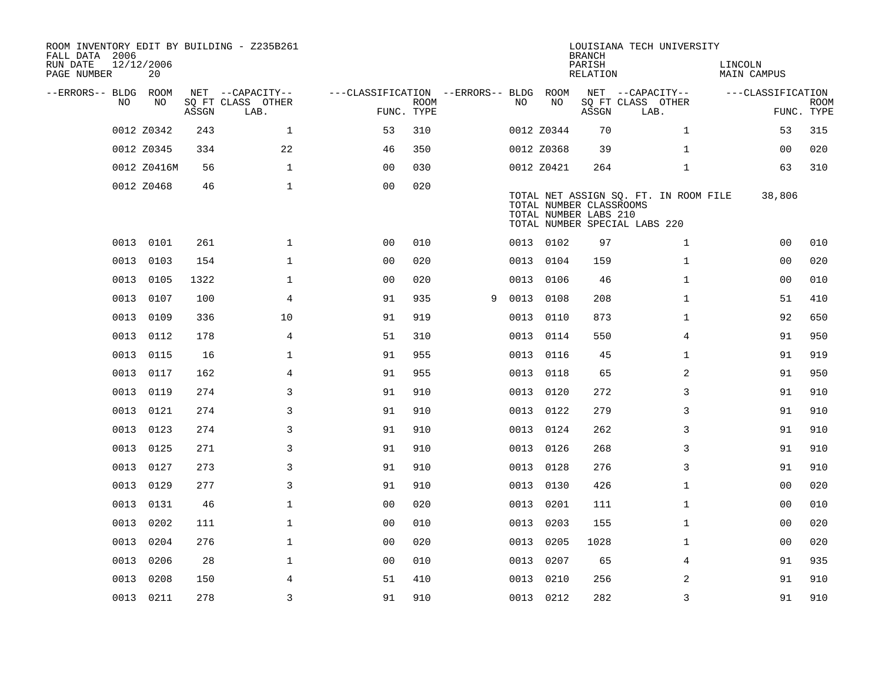| ROOM INVENTORY EDIT BY BUILDING - Z235B261<br>FALL DATA 2006<br>RUN DATE<br>PAGE NUMBER | 12/12/2006<br>20 |       |                           |                                        |             |   |      |            | <b>BRANCH</b><br>PARISH<br>RELATION              | LOUISIANA TECH UNIVERSITY                                              | LINCOLN<br>MAIN CAMPUS |                           |
|-----------------------------------------------------------------------------------------|------------------|-------|---------------------------|----------------------------------------|-------------|---|------|------------|--------------------------------------------------|------------------------------------------------------------------------|------------------------|---------------------------|
| --ERRORS-- BLDG ROOM                                                                    |                  |       | NET --CAPACITY--          | ---CLASSIFICATION --ERRORS-- BLDG ROOM |             |   |      |            |                                                  | NET --CAPACITY--                                                       | ---CLASSIFICATION      |                           |
| NO.                                                                                     | NO               | ASSGN | SQ FT CLASS OTHER<br>LAB. | FUNC. TYPE                             | <b>ROOM</b> |   | NO.  | NO         | ASSGN                                            | SQ FT CLASS OTHER<br>LAB.                                              |                        | <b>ROOM</b><br>FUNC. TYPE |
|                                                                                         | 0012 Z0342       | 243   | $\mathbf{1}$              | 53                                     | 310         |   |      | 0012 Z0344 | 70                                               | $\mathbf{1}$                                                           | 53                     | 315                       |
|                                                                                         | 0012 Z0345       | 334   | 22                        | 46                                     | 350         |   |      | 0012 Z0368 | 39                                               | $\mathbf{1}$                                                           | 00                     | 020                       |
|                                                                                         | 0012 Z0416M      | 56    | $\mathbf{1}$              | 0 <sub>0</sub>                         | 030         |   |      | 0012 Z0421 | 264                                              | $\mathbf{1}$                                                           | 63                     | 310                       |
|                                                                                         | 0012 Z0468       | 46    | $\mathbf{1}$              | 0 <sub>0</sub>                         | 020         |   |      |            | TOTAL NUMBER CLASSROOMS<br>TOTAL NUMBER LABS 210 | TOTAL NET ASSIGN SQ. FT. IN ROOM FILE<br>TOTAL NUMBER SPECIAL LABS 220 | 38,806                 |                           |
|                                                                                         | 0013 0101        | 261   | $\mathbf 1$               | 0 <sub>0</sub>                         | 010         |   |      | 0013 0102  | 97                                               | $\mathbf{1}$                                                           | 00                     | 010                       |
|                                                                                         | 0013 0103        | 154   | $\mathbf{1}$              | 0 <sub>0</sub>                         | 020         |   |      | 0013 0104  | 159                                              | $\mathbf{1}$                                                           | 0 <sub>0</sub>         | 020                       |
| 0013                                                                                    | 0105             | 1322  | $\mathbf{1}$              | 0 <sub>0</sub>                         | 020         |   |      | 0013 0106  | 46                                               | $\mathbf{1}$                                                           | 0 <sub>0</sub>         | 010                       |
|                                                                                         | 0013 0107        | 100   | 4                         | 91                                     | 935         | 9 |      | 0013 0108  | 208                                              | $\mathbf{1}$                                                           | 51                     | 410                       |
| 0013                                                                                    | 0109             | 336   | 10                        | 91                                     | 919         |   | 0013 | 0110       | 873                                              | $\mathbf{1}$                                                           | 92                     | 650                       |
|                                                                                         | 0013 0112        | 178   | $\overline{4}$            | 51                                     | 310         |   |      | 0013 0114  | 550                                              | $\overline{4}$                                                         | 91                     | 950                       |
| 0013                                                                                    | 0115             | 16    | $\mathbf{1}$              | 91                                     | 955         |   | 0013 | 0116       | 45                                               | $\mathbf{1}$                                                           | 91                     | 919                       |
| 0013                                                                                    | 0117             | 162   | 4                         | 91                                     | 955         |   |      | 0013 0118  | 65                                               | $\overline{a}$                                                         | 91                     | 950                       |
| 0013                                                                                    | 0119             | 274   | 3                         | 91                                     | 910         |   | 0013 | 0120       | 272                                              | 3                                                                      | 91                     | 910                       |
|                                                                                         | 0013 0121        | 274   | 3                         | 91                                     | 910         |   |      | 0013 0122  | 279                                              | 3                                                                      | 91                     | 910                       |
| 0013                                                                                    | 0123             | 274   | 3                         | 91                                     | 910         |   | 0013 | 0124       | 262                                              | 3                                                                      | 91                     | 910                       |
| 0013                                                                                    | 0125             | 271   | 3                         | 91                                     | 910         |   |      | 0013 0126  | 268                                              | 3                                                                      | 91                     | 910                       |
|                                                                                         | 0013 0127        | 273   | 3                         | 91                                     | 910         |   |      | 0013 0128  | 276                                              | 3                                                                      | 91                     | 910                       |
|                                                                                         | 0013 0129        | 277   | 3                         | 91                                     | 910         |   |      | 0013 0130  | 426                                              | $\mathbf{1}$                                                           | 0 <sub>0</sub>         | 020                       |
|                                                                                         | 0013 0131        | 46    | $\mathbf{1}$              | 0 <sub>0</sub>                         | 020         |   | 0013 | 0201       | 111                                              | $\mathbf{1}$                                                           | 0 <sub>0</sub>         | 010                       |
| 0013                                                                                    | 0202             | 111   | $\mathbf 1$               | 0 <sub>0</sub>                         | 010         |   | 0013 | 0203       | 155                                              | $\mathbf{1}$                                                           | 00                     | 020                       |
| 0013                                                                                    | 0204             | 276   | $\mathbf 1$               | 0 <sub>0</sub>                         | 020         |   |      | 0013 0205  | 1028                                             | $\mathbf{1}$                                                           | 00                     | 020                       |
| 0013                                                                                    | 0206             | 28    | $\mathbf{1}$              | 0 <sub>0</sub>                         | 010         |   | 0013 | 0207       | 65                                               | 4                                                                      | 91                     | 935                       |
| 0013                                                                                    | 0208             | 150   | 4                         | 51                                     | 410         |   | 0013 | 0210       | 256                                              | 2                                                                      | 91                     | 910                       |
|                                                                                         | 0013 0211        | 278   | $\overline{3}$            | 91                                     | 910         |   |      | 0013 0212  | 282                                              | 3                                                                      | 91                     | 910                       |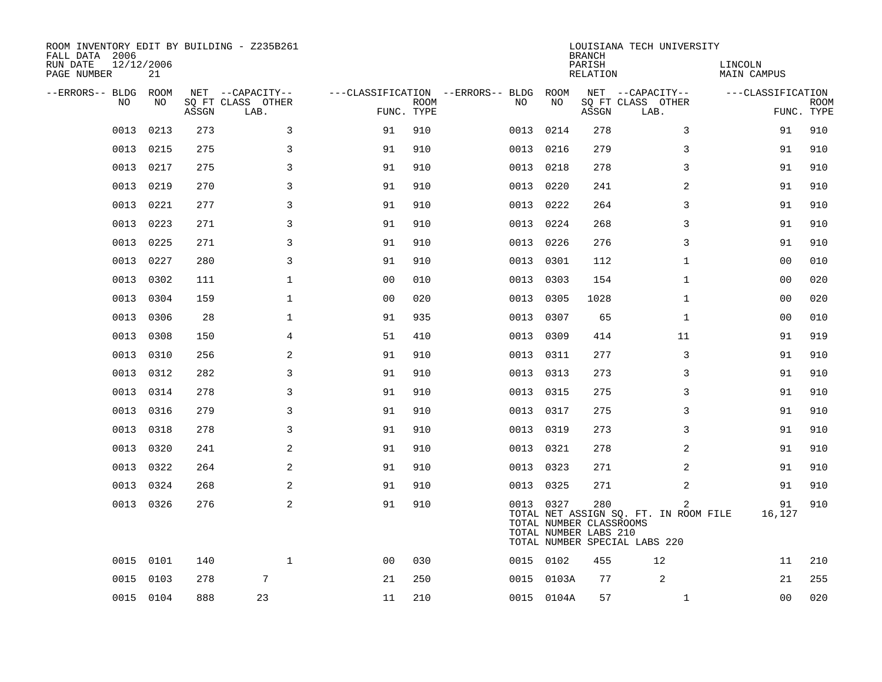| ROOM INVENTORY EDIT BY BUILDING - Z235B261<br>FALL DATA 2006<br>RUN DATE<br>PAGE NUMBER | 12/12/2006<br>21 |       |                                               |                |             |                                               |            | <b>BRANCH</b><br>PARISH<br><b>RELATION</b>              | LOUISIANA TECH UNIVERSITY                                                                | LINCOLN<br><b>MAIN CAMPUS</b> |                           |
|-----------------------------------------------------------------------------------------|------------------|-------|-----------------------------------------------|----------------|-------------|-----------------------------------------------|------------|---------------------------------------------------------|------------------------------------------------------------------------------------------|-------------------------------|---------------------------|
| --ERRORS-- BLDG<br>NO.                                                                  | ROOM<br>NO.      | ASSGN | NET --CAPACITY--<br>SO FT CLASS OTHER<br>LAB. | FUNC. TYPE     | <b>ROOM</b> | ---CLASSIFICATION --ERRORS-- BLDG ROOM<br>NO. | NO         | ASSGN                                                   | NET --CAPACITY--<br>SQ FT CLASS OTHER<br>LAB.                                            | ---CLASSIFICATION             | <b>ROOM</b><br>FUNC. TYPE |
| 0013                                                                                    | 0213             | 273   | 3                                             | 91             | 910         | 0013                                          | 0214       | 278                                                     | 3                                                                                        | 91                            | 910                       |
| 0013                                                                                    | 0215             | 275   | 3                                             | 91             | 910         | 0013                                          | 0216       | 279                                                     | 3                                                                                        | 91                            | 910                       |
| 0013                                                                                    | 0217             | 275   | 3                                             | 91             | 910         | 0013                                          | 0218       | 278                                                     | 3                                                                                        | 91                            | 910                       |
| 0013                                                                                    | 0219             | 270   | 3                                             | 91             | 910         |                                               | 0013 0220  | 241                                                     | 2                                                                                        | 91                            | 910                       |
| 0013                                                                                    | 0221             | 277   | 3                                             | 91             | 910         | 0013                                          | 0222       | 264                                                     | 3                                                                                        | 91                            | 910                       |
| 0013                                                                                    | 0223             | 271   | 3                                             | 91             | 910         |                                               | 0013 0224  | 268                                                     | 3                                                                                        | 91                            | 910                       |
| 0013                                                                                    | 0225             | 271   | 3                                             | 91             | 910         | 0013                                          | 0226       | 276                                                     | 3                                                                                        | 91                            | 910                       |
| 0013                                                                                    | 0227             | 280   | 3                                             | 91             | 910         |                                               | 0013 0301  | 112                                                     | $\mathbf{1}$                                                                             | 00                            | 010                       |
| 0013                                                                                    | 0302             | 111   | $\mathbf 1$                                   | 00             | 010         | 0013                                          | 0303       | 154                                                     | $\mathbf{1}$                                                                             | 0 <sub>0</sub>                | 020                       |
| 0013                                                                                    | 0304             | 159   | $\mathbf 1$                                   | 0 <sub>0</sub> | 020         |                                               | 0013 0305  | 1028                                                    | $\mathbf{1}$                                                                             | 00                            | 020                       |
| 0013                                                                                    | 0306             | 28    | $\mathbf 1$                                   | 91             | 935         | 0013                                          | 0307       | 65                                                      | $\mathbf{1}$                                                                             | 00                            | 010                       |
| 0013                                                                                    | 0308             | 150   | $\overline{4}$                                | 51             | 410         |                                               | 0013 0309  | 414                                                     | 11                                                                                       | 91                            | 919                       |
| 0013                                                                                    | 0310             | 256   | $\mathbf{2}$                                  | 91             | 910         | 0013                                          | 0311       | 277                                                     | 3                                                                                        | 91                            | 910                       |
|                                                                                         | 0013 0312        | 282   | 3                                             | 91             | 910         |                                               | 0013 0313  | 273                                                     | 3                                                                                        | 91                            | 910                       |
| 0013                                                                                    | 0314             | 278   | 3                                             | 91             | 910         |                                               | 0013 0315  | 275                                                     | 3                                                                                        | 91                            | 910                       |
|                                                                                         | 0013 0316        | 279   | 3                                             | 91             | 910         |                                               | 0013 0317  | 275                                                     | 3                                                                                        | 91                            | 910                       |
| 0013                                                                                    | 0318             | 278   | 3                                             | 91             | 910         | 0013                                          | 0319       | 273                                                     | 3                                                                                        | 91                            | 910                       |
| 0013                                                                                    | 0320             | 241   | 2                                             | 91             | 910         |                                               | 0013 0321  | 278                                                     | 2                                                                                        | 91                            | 910                       |
| 0013                                                                                    | 0322             | 264   | 2                                             | 91             | 910         |                                               | 0013 0323  | 271                                                     | 2                                                                                        | 91                            | 910                       |
| 0013                                                                                    | 0324             | 268   | 2                                             | 91             | 910         |                                               | 0013 0325  | 271                                                     | 2                                                                                        | 91                            | 910                       |
|                                                                                         | 0013 0326        | 276   | 2                                             | 91             | 910         |                                               | 0013 0327  | 280<br>TOTAL NUMBER CLASSROOMS<br>TOTAL NUMBER LABS 210 | $\overline{2}$<br>TOTAL NET ASSIGN SQ. FT. IN ROOM FILE<br>TOTAL NUMBER SPECIAL LABS 220 | 91<br>16,127                  | 910                       |
|                                                                                         | 0015 0101        | 140   | $\mathbf 1$                                   | 0 <sub>0</sub> | 030         |                                               | 0015 0102  | 455                                                     | 12                                                                                       | 11                            | 210                       |
| 0015                                                                                    | 0103             | 278   | 7                                             | 21             | 250         |                                               | 0015 0103A | 77                                                      | 2                                                                                        | 21                            | 255                       |
|                                                                                         | 0015 0104        | 888   | 23                                            | 11             | 210         |                                               | 0015 0104A | 57                                                      | $\mathbf{1}$                                                                             | 0 <sub>0</sub>                | 020                       |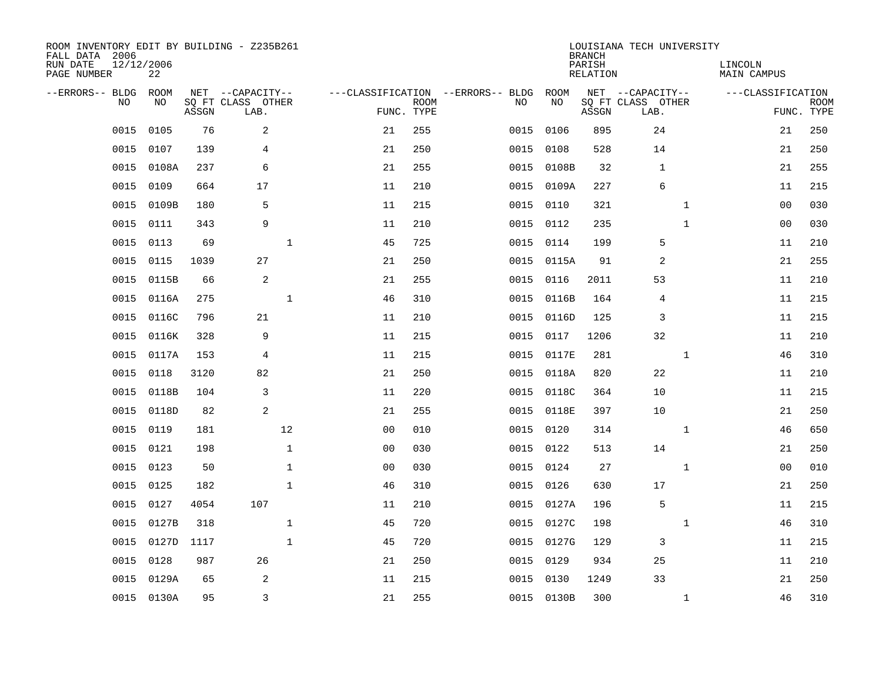| ROOM INVENTORY EDIT BY BUILDING - Z235B261<br>FALL DATA 2006<br>RUN DATE<br>PAGE NUMBER | 12/12/2006<br>22 |       |                                               |              |                                                      |             |           |            | <b>BRANCH</b><br>PARISH<br><b>RELATION</b> | LOUISIANA TECH UNIVERSITY                     |              | LINCOLN<br><b>MAIN CAMPUS</b> |                           |
|-----------------------------------------------------------------------------------------|------------------|-------|-----------------------------------------------|--------------|------------------------------------------------------|-------------|-----------|------------|--------------------------------------------|-----------------------------------------------|--------------|-------------------------------|---------------------------|
| --ERRORS-- BLDG ROOM<br>NO                                                              | NO               | ASSGN | NET --CAPACITY--<br>SQ FT CLASS OTHER<br>LAB. |              | ---CLASSIFICATION --ERRORS-- BLDG ROOM<br>FUNC. TYPE | <b>ROOM</b> | NO        | NO         | ASSGN                                      | NET --CAPACITY--<br>SQ FT CLASS OTHER<br>LAB. |              | ---CLASSIFICATION             | <b>ROOM</b><br>FUNC. TYPE |
| 0015                                                                                    | 0105             | 76    | 2                                             |              | 21                                                   | 255         | 0015      | 0106       | 895                                        | 24                                            |              | 21                            | 250                       |
| 0015                                                                                    | 0107             | 139   | 4                                             |              | 21                                                   | 250         | 0015      | 0108       | 528                                        | 14                                            |              | 21                            | 250                       |
| 0015                                                                                    | 0108A            | 237   | 6                                             |              | 21                                                   | 255         |           | 0015 0108B | 32                                         | 1                                             |              | 21                            | 255                       |
| 0015                                                                                    | 0109             | 664   | 17                                            |              | 11                                                   | 210         |           | 0015 0109A | 227                                        | 6                                             |              | 11                            | 215                       |
| 0015                                                                                    | 0109B            | 180   | 5                                             |              | 11                                                   | 215         | 0015      | 0110       | 321                                        |                                               | $\mathbf{1}$ | 00                            | 030                       |
| 0015                                                                                    | 0111             | 343   | 9                                             |              | 11                                                   | 210         | 0015 0112 |            | 235                                        |                                               | $\mathbf{1}$ | 0 <sub>0</sub>                | 030                       |
| 0015                                                                                    | 0113             | 69    |                                               | $\mathbf 1$  | 45                                                   | 725         | 0015 0114 |            | 199                                        | 5                                             |              | 11                            | 210                       |
| 0015                                                                                    | 0115             | 1039  | 27                                            |              | 21                                                   | 250         |           | 0015 0115A | 91                                         | 2                                             |              | 21                            | 255                       |
| 0015                                                                                    | 0115B            | 66    | 2                                             |              | 21                                                   | 255         | 0015      | 0116       | 2011                                       | 53                                            |              | 11                            | 210                       |
| 0015                                                                                    | 0116A            | 275   |                                               | $\mathbf{1}$ | 46                                                   | 310         |           | 0015 0116B | 164                                        | 4                                             |              | 11                            | 215                       |
| 0015                                                                                    | 0116C            | 796   | 21                                            |              | 11                                                   | 210         | 0015      | 0116D      | 125                                        | 3                                             |              | 11                            | 215                       |
| 0015                                                                                    | 0116K            | 328   | 9                                             |              | 11                                                   | 215         | 0015      | 0117       | 1206                                       | 32                                            |              | 11                            | 210                       |
| 0015                                                                                    | 0117A            | 153   | 4                                             |              | 11                                                   | 215         | 0015      | 0117E      | 281                                        |                                               | $\mathbf{1}$ | 46                            | 310                       |
| 0015                                                                                    | 0118             | 3120  | 82                                            |              | 21                                                   | 250         | 0015      | 0118A      | 820                                        | 22                                            |              | 11                            | 210                       |
| 0015                                                                                    | 0118B            | 104   | 3                                             |              | 11                                                   | 220         | 0015      | 0118C      | 364                                        | 10                                            |              | 11                            | 215                       |
| 0015                                                                                    | 0118D            | 82    | 2                                             |              | 21                                                   | 255         |           | 0015 0118E | 397                                        | 10                                            |              | 21                            | 250                       |
| 0015                                                                                    | 0119             | 181   |                                               | 12           | 0 <sub>0</sub>                                       | 010         | 0015      | 0120       | 314                                        |                                               | $\mathbf{1}$ | 46                            | 650                       |
| 0015                                                                                    | 0121             | 198   |                                               | $\mathbf{1}$ | 0 <sub>0</sub>                                       | 030         | 0015 0122 |            | 513                                        | 14                                            |              | 21                            | 250                       |
| 0015                                                                                    | 0123             | 50    |                                               | $\mathbf 1$  | 0 <sub>0</sub>                                       | 030         | 0015      | 0124       | 27                                         |                                               | $\mathbf{1}$ | 00                            | 010                       |
| 0015                                                                                    | 0125             | 182   |                                               | $\mathbf{1}$ | 46                                                   | 310         | 0015 0126 |            | 630                                        | 17                                            |              | 21                            | 250                       |
| 0015                                                                                    | 0127             | 4054  | 107                                           |              | 11                                                   | 210         | 0015      | 0127A      | 196                                        | 5                                             |              | 11                            | 215                       |
| 0015                                                                                    | 0127B            | 318   |                                               | $\mathbf{1}$ | 45                                                   | 720         | 0015      | 0127C      | 198                                        |                                               | $\mathbf{1}$ | 46                            | 310                       |
| 0015                                                                                    | 0127D            | 1117  |                                               | $\mathbf{1}$ | 45                                                   | 720         |           | 0015 0127G | 129                                        | 3                                             |              | 11                            | 215                       |
| 0015                                                                                    | 0128             | 987   | 26                                            |              | 21                                                   | 250         | 0015      | 0129       | 934                                        | 25                                            |              | 11                            | 210                       |
|                                                                                         | 0015 0129A       | 65    | 2                                             |              | 11                                                   | 215         | 0015 0130 |            | 1249                                       | 33                                            |              | 21                            | 250                       |
|                                                                                         | 0015 0130A       | 95    | 3                                             |              | 21                                                   | 255         |           | 0015 0130B | 300                                        |                                               | $\mathbf{1}$ | 46                            | 310                       |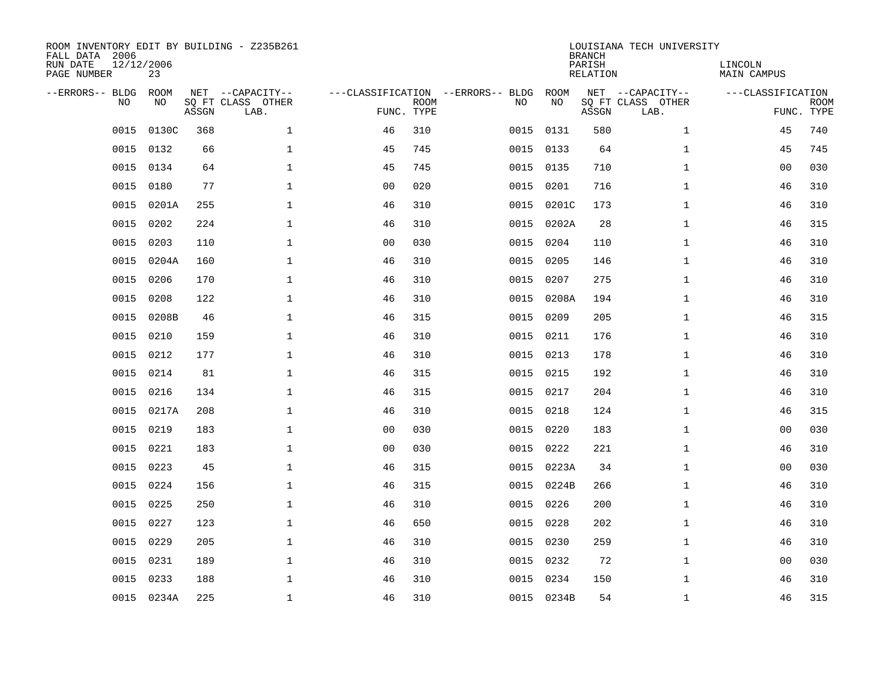| ROOM INVENTORY EDIT BY BUILDING - Z235B261<br>FALL DATA 2006<br>RUN DATE<br>PAGE NUMBER | 12/12/2006<br>23 |       |                                               |                |             |                                         |            | <b>BRANCH</b><br>PARISH<br><b>RELATION</b> | LOUISIANA TECH UNIVERSITY                     | LINCOLN<br><b>MAIN CAMPUS</b> |                           |
|-----------------------------------------------------------------------------------------|------------------|-------|-----------------------------------------------|----------------|-------------|-----------------------------------------|------------|--------------------------------------------|-----------------------------------------------|-------------------------------|---------------------------|
| --ERRORS-- BLDG<br>NO                                                                   | ROOM<br>NO       | ASSGN | NET --CAPACITY--<br>SQ FT CLASS OTHER<br>LAB. | FUNC. TYPE     | <b>ROOM</b> | ---CLASSIFICATION --ERRORS-- BLDG<br>NO | ROOM<br>NO | ASSGN                                      | NET --CAPACITY--<br>SQ FT CLASS OTHER<br>LAB. | ---CLASSIFICATION             | <b>ROOM</b><br>FUNC. TYPE |
| 0015                                                                                    | 0130C            | 368   | $\mathbf{1}$                                  | 46             | 310         | 0015                                    | 0131       | 580                                        | $\mathbf{1}$                                  | 45                            | 740                       |
| 0015                                                                                    | 0132             | 66    | $\mathbf 1$                                   | 45             | 745         | 0015                                    | 0133       | 64                                         | $\mathbf{1}$                                  | 45                            | 745                       |
| 0015                                                                                    | 0134             | 64    | $\mathbf 1$                                   | 45             | 745         | 0015                                    | 0135       | 710                                        | $\mathbf{1}$                                  | 0 <sub>0</sub>                | 030                       |
| 0015                                                                                    | 0180             | 77    | $\mathbf{1}$                                  | 0 <sub>0</sub> | 020         | 0015                                    | 0201       | 716                                        | $\mathbf{1}$                                  | 46                            | 310                       |
| 0015                                                                                    | 0201A            | 255   | $\mathbf{1}$                                  | 46             | 310         | 0015                                    | 0201C      | 173                                        | $\mathbf{1}$                                  | 46                            | 310                       |
| 0015                                                                                    | 0202             | 224   | $\mathbf 1$                                   | 46             | 310         |                                         | 0015 0202A | 28                                         | $\mathbf{1}$                                  | 46                            | 315                       |
| 0015                                                                                    | 0203             | 110   | $\mathbf{1}$                                  | 0 <sub>0</sub> | 030         | 0015                                    | 0204       | 110                                        | $\mathbf{1}$                                  | 46                            | 310                       |
| 0015                                                                                    | 0204A            | 160   | $\mathbf 1$                                   | 46             | 310         | 0015                                    | 0205       | 146                                        | $\mathbf{1}$                                  | 46                            | 310                       |
| 0015                                                                                    | 0206             | 170   | $\mathbf{1}$                                  | 46             | 310         | 0015                                    | 0207       | 275                                        | $\mathbf{1}$                                  | 46                            | 310                       |
| 0015                                                                                    | 0208             | 122   | $\mathbf 1$                                   | 46             | 310         | 0015                                    | 0208A      | 194                                        | $\mathbf{1}$                                  | 46                            | 310                       |
| 0015                                                                                    | 0208B            | 46    | $\mathbf{1}$                                  | 46             | 315         | 0015                                    | 0209       | 205                                        | $\mathbf{1}$                                  | 46                            | 315                       |
| 0015                                                                                    | 0210             | 159   | $\mathbf 1$                                   | 46             | 310         | 0015                                    | 0211       | 176                                        | $\mathbf{1}$                                  | 46                            | 310                       |
| 0015                                                                                    | 0212             | 177   | $\mathbf{1}$                                  | 46             | 310         | 0015                                    | 0213       | 178                                        | $\mathbf{1}$                                  | 46                            | 310                       |
| 0015                                                                                    | 0214             | 81    | $\mathbf{1}$                                  | 46             | 315         | 0015                                    | 0215       | 192                                        | $\mathbf{1}$                                  | 46                            | 310                       |
| 0015                                                                                    | 0216             | 134   | 1                                             | 46             | 315         | 0015                                    | 0217       | 204                                        | $\mathbf{1}$                                  | 46                            | 310                       |
| 0015                                                                                    | 0217A            | 208   | $\mathbf 1$                                   | 46             | 310         | 0015                                    | 0218       | 124                                        | $\mathbf{1}$                                  | 46                            | 315                       |
| 0015                                                                                    | 0219             | 183   | $\mathbf 1$                                   | 0 <sub>0</sub> | 030         | 0015                                    | 0220       | 183                                        | $\mathbf{1}$                                  | 00                            | 030                       |
| 0015                                                                                    | 0221             | 183   | $\mathbf 1$                                   | 0 <sub>0</sub> | 030         | 0015                                    | 0222       | 221                                        | $\mathbf{1}$                                  | 46                            | 310                       |
| 0015                                                                                    | 0223             | 45    | $\mathbf 1$                                   | 46             | 315         |                                         | 0015 0223A | 34                                         | $\mathbf{1}$                                  | 00                            | 030                       |
| 0015                                                                                    | 0224             | 156   | $\mathbf 1$                                   | 46             | 315         |                                         | 0015 0224B | 266                                        | $\mathbf{1}$                                  | 46                            | 310                       |
| 0015                                                                                    | 0225             | 250   | $\mathbf{1}$                                  | 46             | 310         |                                         | 0015 0226  | 200                                        | $\mathbf{1}$                                  | 46                            | 310                       |
| 0015                                                                                    | 0227             | 123   | $\mathbf{1}$                                  | 46             | 650         | 0015                                    | 0228       | 202                                        | $\mathbf{1}$                                  | 46                            | 310                       |
| 0015                                                                                    | 0229             | 205   | $\mathbf{1}$                                  | 46             | 310         |                                         | 0015 0230  | 259                                        | $\mathbf{1}$                                  | 46                            | 310                       |
| 0015                                                                                    | 0231             | 189   | $\mathbf 1$                                   | 46             | 310         | 0015                                    | 0232       | 72                                         | $\mathbf{1}$                                  | 00                            | 030                       |
| 0015                                                                                    | 0233             | 188   | $\mathbf 1$                                   | 46             | 310         | 0015                                    | 0234       | 150                                        | $\mathbf{1}$                                  | 46                            | 310                       |
|                                                                                         | 0015 0234A       | 225   | $\mathbf 1$                                   | 46             | 310         |                                         | 0015 0234B | 54                                         | $\mathbf{1}$                                  | 46                            | 315                       |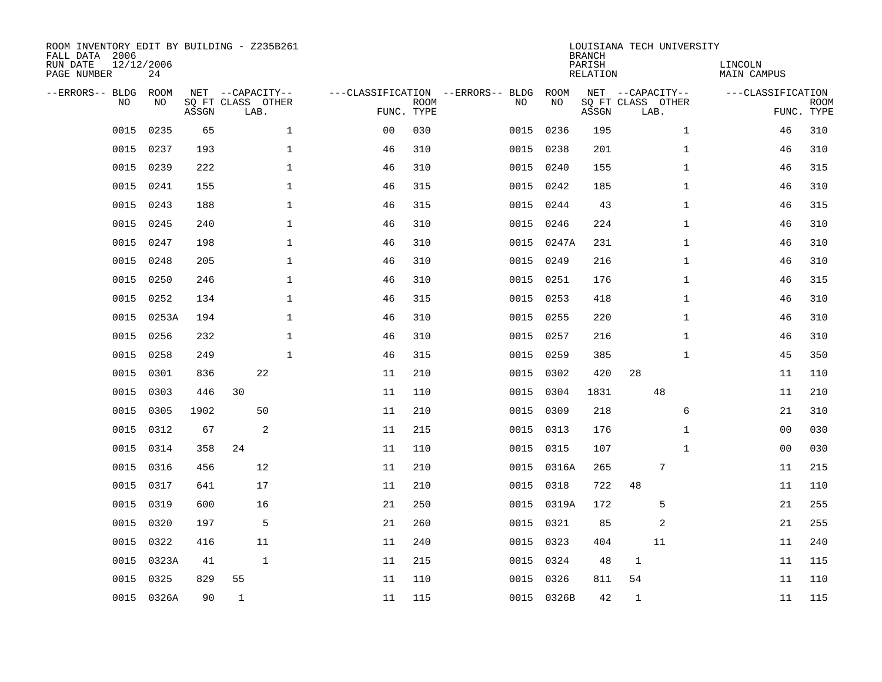| ROOM INVENTORY EDIT BY BUILDING - Z235B261<br>FALL DATA 2006<br>RUN DATE<br>PAGE NUMBER | 12/12/2006<br>24  |       |                                               |                    |                           |                                         |            | <b>BRANCH</b><br>PARISH<br><b>RELATION</b> | LOUISIANA TECH UNIVERSITY                     | LINCOLN<br><b>MAIN CAMPUS</b> |                           |
|-----------------------------------------------------------------------------------------|-------------------|-------|-----------------------------------------------|--------------------|---------------------------|-----------------------------------------|------------|--------------------------------------------|-----------------------------------------------|-------------------------------|---------------------------|
| --ERRORS-- BLDG<br>NO                                                                   | <b>ROOM</b><br>NO | ASSGN | NET --CAPACITY--<br>SQ FT CLASS OTHER<br>LAB. |                    | <b>ROOM</b><br>FUNC. TYPE | ---CLASSIFICATION --ERRORS-- BLDG<br>NO | ROOM<br>NO | ASSGN                                      | NET --CAPACITY--<br>SQ FT CLASS OTHER<br>LAB. | ---CLASSIFICATION             | <b>ROOM</b><br>FUNC. TYPE |
| 0015                                                                                    | 0235              | 65    |                                               | $\mathbf{1}$<br>00 | 030                       | 0015                                    | 0236       | 195                                        | $\mathbf{1}$                                  | 46                            | 310                       |
| 0015                                                                                    | 0237              | 193   |                                               | 1<br>46            | 310                       | 0015                                    | 0238       | 201                                        | $\mathbf{1}$                                  | 46                            | 310                       |
| 0015                                                                                    | 0239              | 222   |                                               | $\mathbf 1$<br>46  | 310                       | 0015                                    | 0240       | 155                                        | $\mathbf{1}$                                  | 46                            | 315                       |
| 0015                                                                                    | 0241              | 155   |                                               | $\mathbf 1$<br>46  | 315                       | 0015                                    | 0242       | 185                                        | $\mathbf{1}$                                  | 46                            | 310                       |
| 0015                                                                                    | 0243              | 188   |                                               | $\mathbf{1}$<br>46 | 315                       | 0015                                    | 0244       | 43                                         | $\mathbf{1}$                                  | 46                            | 315                       |
| 0015                                                                                    | 0245              | 240   |                                               | $\mathbf 1$<br>46  | 310                       | 0015                                    | 0246       | 224                                        | $\mathbf{1}$                                  | 46                            | 310                       |
| 0015                                                                                    | 0247              | 198   |                                               | $\mathbf{1}$<br>46 | 310                       | 0015                                    | 0247A      | 231                                        | $\mathbf{1}$                                  | 46                            | 310                       |
| 0015                                                                                    | 0248              | 205   |                                               | $\mathbf{1}$<br>46 | 310                       |                                         | 0015 0249  | 216                                        | $\mathbf{1}$                                  | 46                            | 310                       |
| 0015                                                                                    | 0250              | 246   |                                               | $\mathbf{1}$<br>46 | 310                       | 0015                                    | 0251       | 176                                        | $\mathbf{1}$                                  | 46                            | 315                       |
| 0015                                                                                    | 0252              | 134   |                                               | $\mathbf 1$<br>46  | 315                       | 0015                                    | 0253       | 418                                        | $\mathbf{1}$                                  | 46                            | 310                       |
| 0015                                                                                    | 0253A             | 194   |                                               | $\mathbf 1$<br>46  | 310                       | 0015                                    | 0255       | 220                                        | $\mathbf{1}$                                  | 46                            | 310                       |
| 0015                                                                                    | 0256              | 232   |                                               | $\mathbf 1$<br>46  | 310                       | 0015                                    | 0257       | 216                                        | $\mathbf{1}$                                  | 46                            | 310                       |
| 0015                                                                                    | 0258              | 249   |                                               | $\mathbf{1}$<br>46 | 315                       | 0015                                    | 0259       | 385                                        | $\mathbf{1}$                                  | 45                            | 350                       |
| 0015                                                                                    | 0301              | 836   | 22                                            | 11                 | 210                       | 0015                                    | 0302       | 420                                        | 28                                            | 11                            | 110                       |
| 0015                                                                                    | 0303              | 446   | 30                                            | 11                 | 110                       | 0015                                    | 0304       | 1831                                       | 48                                            | 11                            | 210                       |
| 0015                                                                                    | 0305              | 1902  | 50                                            | 11                 | 210                       | 0015                                    | 0309       | 218                                        | 6                                             | 21                            | 310                       |
| 0015                                                                                    | 0312              | 67    | 2                                             | 11                 | 215                       | 0015                                    | 0313       | 176                                        | $\mathbf{1}$                                  | 0 <sub>0</sub>                | 030                       |
| 0015                                                                                    | 0314              | 358   | 24                                            | 11                 | 110                       | 0015                                    | 0315       | 107                                        | $\mathbf{1}$                                  | 0 <sub>0</sub>                | 030                       |
| 0015                                                                                    | 0316              | 456   | 12                                            | 11                 | 210                       |                                         | 0015 0316A | 265                                        | 7                                             | 11                            | 215                       |
| 0015                                                                                    | 0317              | 641   | 17                                            | 11                 | 210                       | 0015                                    | 0318       | 722                                        | 48                                            | 11                            | 110                       |
| 0015                                                                                    | 0319              | 600   | 16                                            | 21                 | 250                       |                                         | 0015 0319A | 172                                        | 5                                             | 21                            | 255                       |
| 0015                                                                                    | 0320              | 197   | 5                                             | 21                 | 260                       | 0015                                    | 0321       | 85                                         | 2                                             | 21                            | 255                       |
| 0015                                                                                    | 0322              | 416   | 11                                            | 11                 | 240                       |                                         | 0015 0323  | 404                                        | 11                                            | 11                            | 240                       |
| 0015                                                                                    | 0323A             | 41    | $\mathbf{1}$                                  | 11                 | 215                       | 0015                                    | 0324       | 48                                         | $\mathbf 1$                                   | 11                            | 115                       |
| 0015                                                                                    | 0325              | 829   | 55                                            | 11                 | 110                       | 0015                                    | 0326       | 811                                        | 54                                            | 11                            | 110                       |
|                                                                                         | 0015 0326A        | 90    | 1                                             | 11                 | 115                       |                                         | 0015 0326B | 42                                         | $\mathbf 1$                                   | 11                            | 115                       |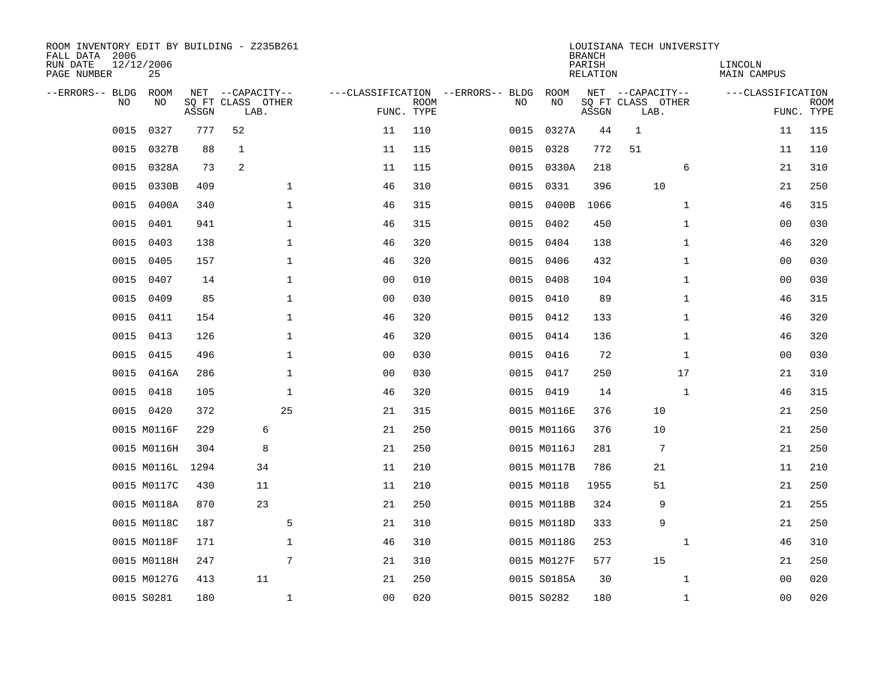| ROOM INVENTORY EDIT BY BUILDING - Z235B261<br>FALL DATA 2006<br>RUN DATE<br>PAGE NUMBER | 12/12/2006<br>25 |       |                           |                |                           |                                   |             | <b>BRANCH</b><br>PARISH<br>RELATION | LOUISIANA TECH UNIVERSITY |              | LINCOLN<br>MAIN CAMPUS |                           |
|-----------------------------------------------------------------------------------------|------------------|-------|---------------------------|----------------|---------------------------|-----------------------------------|-------------|-------------------------------------|---------------------------|--------------|------------------------|---------------------------|
| --ERRORS-- BLDG                                                                         | ROOM             |       | NET --CAPACITY--          |                |                           | ---CLASSIFICATION --ERRORS-- BLDG | ROOM        |                                     | NET --CAPACITY--          |              | ---CLASSIFICATION      |                           |
| N <sub>O</sub>                                                                          | NO.              | ASSGN | SO FT CLASS OTHER<br>LAB. |                | <b>ROOM</b><br>FUNC. TYPE | NO.                               | NO.         | ASSGN                               | SQ FT CLASS OTHER<br>LAB. |              |                        | <b>ROOM</b><br>FUNC. TYPE |
| 0015                                                                                    | 0327             | 777   | 52                        | 11             | 110                       | 0015                              | 0327A       | 44                                  | $\mathbf 1$               |              | 11                     | 115                       |
| 0015                                                                                    | 0327B            | 88    | $\mathbf 1$               | 11             | 115                       | 0015                              | 0328        | 772                                 | 51                        |              | 11                     | 110                       |
| 0015                                                                                    | 0328A            | 73    | $\overline{2}$            | 11             | 115                       | 0015                              | 0330A       | 218                                 |                           | 6            | 21                     | 310                       |
| 0015                                                                                    | 0330B            | 409   | $\mathbf{1}$              | 46             | 310                       | 0015                              | 0331        | 396                                 | 10                        |              | 21                     | 250                       |
| 0015                                                                                    | 0400A            | 340   | $\mathbf 1$               | 46             | 315                       | 0015                              | 0400B       | 1066                                |                           | $\mathbf{1}$ | 46                     | 315                       |
| 0015                                                                                    | 0401             | 941   | 1                         | 46             | 315                       |                                   | 0015 0402   | 450                                 |                           | $\mathbf{1}$ | 00                     | 030                       |
| 0015                                                                                    | 0403             | 138   | $\mathbf 1$               | 46             | 320                       | 0015                              | 0404        | 138                                 |                           | $\mathbf{1}$ | 46                     | 320                       |
| 0015                                                                                    | 0405             | 157   | $\mathbf 1$               | 46             | 320                       | 0015                              | 0406        | 432                                 |                           | $\mathbf{1}$ | 0 <sub>0</sub>         | 030                       |
| 0015                                                                                    | 0407             | 14    | $\mathbf 1$               | 0 <sub>0</sub> | 010                       | 0015                              | 0408        | 104                                 |                           | $\mathbf{1}$ | 0 <sub>0</sub>         | 030                       |
| 0015                                                                                    | 0409             | 85    | $\mathbf 1$               | 0 <sub>0</sub> | 030                       |                                   | 0015 0410   | 89                                  |                           | $\mathbf{1}$ | 46                     | 315                       |
| 0015                                                                                    | 0411             | 154   | $\mathbf 1$               | 46             | 320                       | 0015                              | 0412        | 133                                 |                           | $\mathbf{1}$ | 46                     | 320                       |
| 0015                                                                                    | 0413             | 126   | $\mathbf 1$               | 46             | 320                       |                                   | 0015 0414   | 136                                 |                           | $\mathbf{1}$ | 46                     | 320                       |
| 0015                                                                                    | 0415             | 496   | $\mathbf{1}$              | 00             | 030                       | 0015                              | 0416        | 72                                  |                           | $\mathbf{1}$ | 0 <sub>0</sub>         | 030                       |
| 0015                                                                                    | 0416A            | 286   | $\mathbf{1}$              | 0 <sub>0</sub> | 030                       |                                   | 0015 0417   | 250                                 |                           | 17           | 21                     | 310                       |
| 0015                                                                                    | 0418             | 105   | 1                         | 46             | 320                       |                                   | 0015 0419   | 14                                  |                           | 1            | 46                     | 315                       |
|                                                                                         | 0015 0420        | 372   | 25                        | 21             | 315                       |                                   | 0015 M0116E | 376                                 | 10                        |              | 21                     | 250                       |
|                                                                                         | 0015 M0116F      | 229   | 6                         | 21             | 250                       |                                   | 0015 M0116G | 376                                 | 10                        |              | 21                     | 250                       |
|                                                                                         | 0015 M0116H      | 304   | 8                         | 21             | 250                       |                                   | 0015 M0116J | 281                                 | $7\phantom{.0}$           |              | 21                     | 250                       |
|                                                                                         | 0015 M0116L      | 1294  | 34                        | 11             | 210                       |                                   | 0015 M0117B | 786                                 | 21                        |              | 11                     | 210                       |
|                                                                                         | 0015 M0117C      | 430   | 11                        | 11             | 210                       |                                   | 0015 M0118  | 1955                                | 51                        |              | 21                     | 250                       |
|                                                                                         | 0015 M0118A      | 870   | 23                        | 21             | 250                       |                                   | 0015 M0118B | 324                                 | 9                         |              | 21                     | 255                       |
|                                                                                         | 0015 M0118C      | 187   | 5                         | 21             | 310                       |                                   | 0015 M0118D | 333                                 | 9                         |              | 21                     | 250                       |
|                                                                                         | 0015 M0118F      | 171   | $\mathbf 1$               | 46             | 310                       |                                   | 0015 M0118G | 253                                 |                           | $\mathbf{1}$ | 46                     | 310                       |
|                                                                                         | 0015 M0118H      | 247   | 7                         | 21             | 310                       |                                   | 0015 M0127F | 577                                 | 15                        |              | 21                     | 250                       |
|                                                                                         | 0015 M0127G      | 413   | 11                        | 21             | 250                       |                                   | 0015 S0185A | 30                                  |                           | $\mathbf{1}$ | 00                     | 020                       |
|                                                                                         | 0015 S0281       | 180   | $\mathbf{1}$              | 0 <sub>0</sub> | 020                       |                                   | 0015 S0282  | 180                                 |                           | $\mathbf{1}$ | 0 <sub>0</sub>         | 020                       |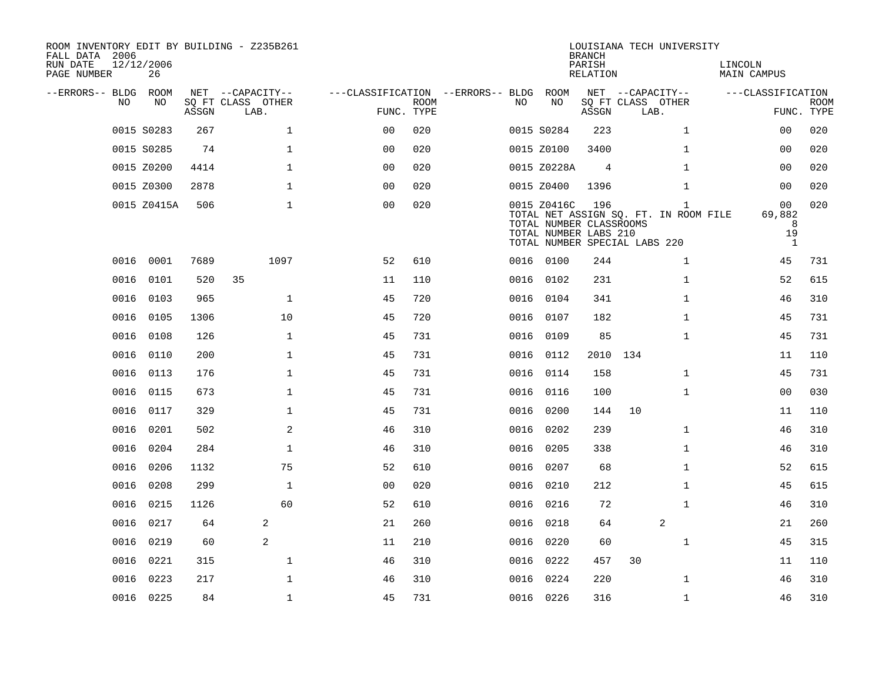| ROOM INVENTORY EDIT BY BUILDING - Z235B261<br>FALL DATA 2006 |                  |       |                           |                                        |             |      |                                                                                                  | <b>BRANCH</b>      |                           | LOUISIANA TECH UNIVERSITY                             |                        |                                      |  |
|--------------------------------------------------------------|------------------|-------|---------------------------|----------------------------------------|-------------|------|--------------------------------------------------------------------------------------------------|--------------------|---------------------------|-------------------------------------------------------|------------------------|--------------------------------------|--|
| RUN DATE<br>PAGE NUMBER                                      | 12/12/2006<br>26 |       |                           |                                        |             |      |                                                                                                  | PARISH<br>RELATION |                           |                                                       | LINCOLN<br>MAIN CAMPUS |                                      |  |
| --ERRORS-- BLDG ROOM<br>NO.                                  | NO.              |       | NET --CAPACITY--          | ---CLASSIFICATION --ERRORS-- BLDG ROOM |             | NO.  | NO                                                                                               |                    | NET --CAPACITY--          |                                                       | ---CLASSIFICATION      |                                      |  |
|                                                              |                  | ASSGN | SQ FT CLASS OTHER<br>LAB. | FUNC. TYPE                             | <b>ROOM</b> |      |                                                                                                  | ASSGN              | SQ FT CLASS OTHER<br>LAB. |                                                       |                        | <b>ROOM</b><br>FUNC. TYPE            |  |
|                                                              | 0015 S0283       | 267   | $\mathbf{1}$              | 0 <sup>0</sup>                         | 020         |      | 0015 S0284                                                                                       | 223                |                           | $\mathbf{1}$                                          |                        | 020<br>0 <sub>0</sub>                |  |
|                                                              | 0015 S0285       | 74    | $\mathbf{1}$              | 0 <sub>0</sub>                         | 020         |      | 0015 Z0100                                                                                       | 3400               |                           | $\mathbf{1}$                                          |                        | 020<br>0 <sub>0</sub>                |  |
|                                                              | 0015 Z0200       | 4414  | $\mathbf{1}$              | 0 <sub>0</sub>                         | 020         |      | 0015 Z0228A                                                                                      | $\overline{4}$     |                           | $\mathbf{1}$                                          |                        | 0 <sub>0</sub><br>020                |  |
|                                                              | 0015 Z0300       | 2878  | $\mathbf 1$               | 0 <sub>0</sub>                         | 020         |      | 0015 Z0400                                                                                       | 1396               |                           | $\mathbf{1}$                                          |                        | 0 <sub>0</sub><br>020                |  |
|                                                              | 0015 Z0415A      | 506   | $\mathbf 1$               | 00                                     | 020         |      | 0015 Z0416C<br>TOTAL NUMBER CLASSROOMS<br>TOTAL NUMBER LABS 210<br>TOTAL NUMBER SPECIAL LABS 220 | 196                |                           | $\mathbf{1}$<br>TOTAL NET ASSIGN SO. FT. IN ROOM FILE | 69,882                 | 020<br>00<br>8<br>19<br>$\mathbf{1}$ |  |
|                                                              | 0016 0001        | 7689  | 1097                      | 52                                     | 610         |      | 0016 0100                                                                                        | 244                |                           | $\mathbf{1}$                                          |                        | 45<br>731                            |  |
| 0016                                                         | 0101             | 520   | 35                        | 11                                     | 110         |      | 0016 0102                                                                                        | 231                |                           | $\mathbf{1}$                                          |                        | 615<br>52                            |  |
|                                                              | 0016 0103        | 965   | $\mathbf{1}$              | 45                                     | 720         |      | 0016 0104                                                                                        | 341                |                           | $\mathbf{1}$                                          |                        | 310<br>46                            |  |
| 0016                                                         | 0105             | 1306  | 10                        | 45                                     | 720         |      | 0016 0107                                                                                        | 182                |                           | $\mathbf{1}$                                          |                        | 45<br>731                            |  |
|                                                              | 0016 0108        | 126   | $\mathbf{1}$              | 45                                     | 731         |      | 0016 0109                                                                                        | 85                 |                           | $\mathbf{1}$                                          |                        | 45<br>731                            |  |
| 0016                                                         | 0110             | 200   | $\mathbf{1}$              | 45                                     | 731         |      | 0016 0112                                                                                        | 2010               | 134                       |                                                       |                        | 11<br>110                            |  |
| 0016                                                         | 0113             | 176   | $\mathbf{1}$              | 45                                     | 731         |      | 0016 0114                                                                                        | 158                |                           | $\mathbf{1}$                                          |                        | 45<br>731                            |  |
| 0016                                                         | 0115             | 673   | $\mathbf 1$               | 45                                     | 731         | 0016 | 0116                                                                                             | 100                |                           | $\mathbf{1}$                                          |                        | 0 <sub>0</sub><br>030                |  |
| 0016                                                         | 0117             | 329   | $\mathbf 1$               | 45                                     | 731         |      | 0016 0200                                                                                        | 144                | 10                        |                                                       |                        | 11<br>110                            |  |
| 0016                                                         | 0201             | 502   | 2                         | 46                                     | 310         | 0016 | 0202                                                                                             | 239                |                           | $\mathbf{1}$                                          |                        | 310<br>46                            |  |
| 0016                                                         | 0204             | 284   | $\mathbf{1}$              | 46                                     | 310         | 0016 | 0205                                                                                             | 338                |                           | $\mathbf{1}$                                          |                        | 46<br>310                            |  |
| 0016                                                         | 0206             | 1132  | 75                        | 52                                     | 610         | 0016 | 0207                                                                                             | 68                 |                           | $\mathbf{1}$                                          |                        | 52<br>615                            |  |
| 0016                                                         | 0208             | 299   | $\mathbf{1}$              | 0 <sub>0</sub>                         | 020         |      | 0016 0210                                                                                        | 212                |                           | $\mathbf{1}$                                          |                        | 45<br>615                            |  |
| 0016                                                         | 0215             | 1126  | 60                        | 52                                     | 610         |      | 0016 0216                                                                                        | 72                 |                           | $\mathbf{1}$                                          |                        | 310<br>46                            |  |
| 0016                                                         | 0217             | 64    | 2                         | 21                                     | 260         |      | 0016 0218                                                                                        | 64                 |                           | 2                                                     |                        | 21<br>260                            |  |
|                                                              | 0016 0219        | 60    | 2                         | 11                                     | 210         |      | 0016 0220                                                                                        | 60                 |                           | $\mathbf{1}$                                          |                        | 45<br>315                            |  |
| 0016                                                         | 0221             | 315   | $\mathbf 1$               | 46                                     | 310         |      | 0016 0222                                                                                        | 457                | 30                        |                                                       |                        | 11<br>110                            |  |
| 0016                                                         | 0223             | 217   | $\mathbf{1}$              | 46                                     | 310         | 0016 | 0224                                                                                             | 220                |                           | $\mathbf{1}$                                          |                        | 310<br>46                            |  |
|                                                              | 0016 0225        | 84    | $\mathbf{1}$              | 45                                     | 731         |      | 0016 0226                                                                                        | 316                |                           | $\mathbf{1}$                                          |                        | 310<br>46                            |  |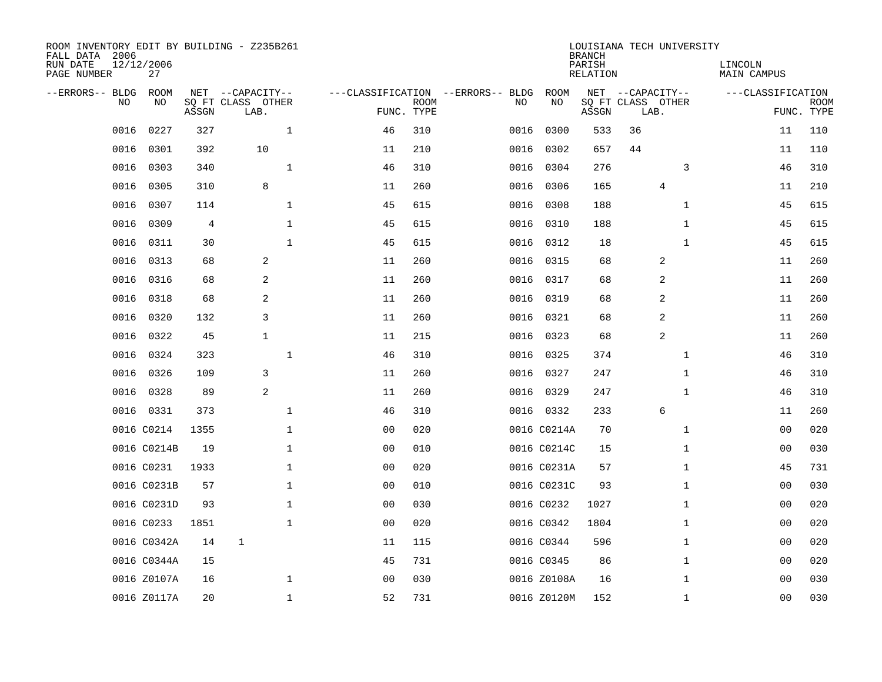| ROOM INVENTORY EDIT BY BUILDING - Z235B261<br>FALL DATA 2006<br>RUN DATE<br>PAGE NUMBER | 12/12/2006<br>27 |       |                           |                |                           |                                   |             | <b>BRANCH</b><br>PARISH<br>RELATION | LOUISIANA TECH UNIVERSITY |              | LINCOLN<br>MAIN CAMPUS |                           |
|-----------------------------------------------------------------------------------------|------------------|-------|---------------------------|----------------|---------------------------|-----------------------------------|-------------|-------------------------------------|---------------------------|--------------|------------------------|---------------------------|
| --ERRORS-- BLDG                                                                         | ROOM             |       | NET --CAPACITY--          |                |                           | ---CLASSIFICATION --ERRORS-- BLDG | <b>ROOM</b> |                                     | NET --CAPACITY--          |              | ---CLASSIFICATION      |                           |
| N <sub>O</sub>                                                                          | NO.              | ASSGN | SQ FT CLASS OTHER<br>LAB. |                | <b>ROOM</b><br>FUNC. TYPE | NO.                               | NO.         | ASSGN                               | SQ FT CLASS OTHER<br>LAB. |              |                        | <b>ROOM</b><br>FUNC. TYPE |
| 0016                                                                                    | 0227             | 327   | $\mathbf{1}$              | 46             | 310                       | 0016                              | 0300        | 533                                 | 36                        |              | 11                     | 110                       |
| 0016                                                                                    | 0301             | 392   | 10                        | 11             | 210                       | 0016                              | 0302        | 657                                 | 44                        |              | 11                     | 110                       |
| 0016                                                                                    | 0303             | 340   | $\mathbf{1}$              | 46             | 310                       | 0016                              | 0304        | 276                                 |                           | 3            | 46                     | 310                       |
| 0016                                                                                    | 0305             | 310   | 8                         | 11             | 260                       | 0016                              | 0306        | 165                                 | 4                         |              | 11                     | 210                       |
| 0016                                                                                    | 0307             | 114   | $\mathbf{1}$              | 45             | 615                       | 0016                              | 0308        | 188                                 |                           | $\mathbf{1}$ | 45                     | 615                       |
| 0016                                                                                    | 0309             | 4     | $\mathbf 1$               | 45             | 615                       | 0016                              | 0310        | 188                                 |                           | $\mathbf{1}$ | 45                     | 615                       |
| 0016                                                                                    | 0311             | 30    | $\mathbf{1}$              | 45             | 615                       | 0016                              | 0312        | 18                                  |                           | $\mathbf{1}$ | 45                     | 615                       |
| 0016                                                                                    | 0313             | 68    | 2                         | 11             | 260                       | 0016                              | 0315        | 68                                  | $\overline{c}$            |              | 11                     | 260                       |
| 0016                                                                                    | 0316             | 68    | 2                         | 11             | 260                       | 0016                              | 0317        | 68                                  | 2                         |              | 11                     | 260                       |
| 0016                                                                                    | 0318             | 68    | 2                         | 11             | 260                       | 0016                              | 0319        | 68                                  | 2                         |              | 11                     | 260                       |
| 0016                                                                                    | 0320             | 132   | 3                         | 11             | 260                       | 0016                              | 0321        | 68                                  | 2                         |              | 11                     | 260                       |
| 0016                                                                                    | 0322             | 45    | $\mathbf{1}$              | 11             | 215                       | 0016                              | 0323        | 68                                  | 2                         |              | 11                     | 260                       |
| 0016                                                                                    | 0324             | 323   | $\mathbf 1$               | 46             | 310                       | 0016                              | 0325        | 374                                 |                           | $\mathbf{1}$ | 46                     | 310                       |
| 0016                                                                                    | 0326             | 109   | 3                         | 11             | 260                       | 0016                              | 0327        | 247                                 |                           | $\mathbf{1}$ | 46                     | 310                       |
| 0016                                                                                    | 0328             | 89    | 2                         | 11             | 260                       | 0016                              | 0329        | 247                                 |                           | $\mathbf{1}$ | 46                     | 310                       |
|                                                                                         | 0016 0331        | 373   | $\mathbf{1}$              | 46             | 310                       |                                   | 0016 0332   | 233                                 | 6                         |              | 11                     | 260                       |
|                                                                                         | 0016 C0214       | 1355  | $\mathbf{1}$              | 0 <sub>0</sub> | 020                       |                                   | 0016 C0214A | 70                                  |                           | $\mathbf{1}$ | 0 <sub>0</sub>         | 020                       |
|                                                                                         | 0016 C0214B      | 19    | $\mathbf 1$               | 0 <sub>0</sub> | 010                       |                                   | 0016 C0214C | 15                                  |                           | $\mathbf{1}$ | 00                     | 030                       |
|                                                                                         | 0016 C0231       | 1933  | $\mathbf 1$               | 0 <sub>0</sub> | 020                       |                                   | 0016 C0231A | 57                                  |                           | $\mathbf{1}$ | 45                     | 731                       |
|                                                                                         | 0016 C0231B      | 57    | $\mathbf 1$               | 00             | 010                       |                                   | 0016 C0231C | 93                                  |                           | $\mathbf{1}$ | 00                     | 030                       |
|                                                                                         | 0016 C0231D      | 93    | $\mathbf 1$               | 0 <sub>0</sub> | 030                       |                                   | 0016 C0232  | 1027                                |                           | $\mathbf{1}$ | 00                     | 020                       |
|                                                                                         | 0016 C0233       | 1851  | $\mathbf 1$               | 00             | 020                       |                                   | 0016 C0342  | 1804                                |                           | $\mathbf{1}$ | 00                     | 020                       |
|                                                                                         | 0016 C0342A      | 14    | $\mathbf 1$               | 11             | 115                       |                                   | 0016 C0344  | 596                                 |                           | $\mathbf{1}$ | 0 <sub>0</sub>         | 020                       |
|                                                                                         | 0016 C0344A      | 15    |                           | 45             | 731                       |                                   | 0016 C0345  | 86                                  |                           | $\mathbf{1}$ | 00                     | 020                       |
|                                                                                         | 0016 Z0107A      | 16    | $\mathbf 1$               | 0 <sub>0</sub> | 030                       |                                   | 0016 Z0108A | 16                                  |                           | $\mathbf{1}$ | 0 <sub>0</sub>         | 030                       |
|                                                                                         | 0016 Z0117A      | 20    | $\mathbf{1}$              | 52             | 731                       |                                   | 0016 Z0120M | 152                                 |                           | $\mathbf{1}$ | 0 <sub>0</sub>         | 030                       |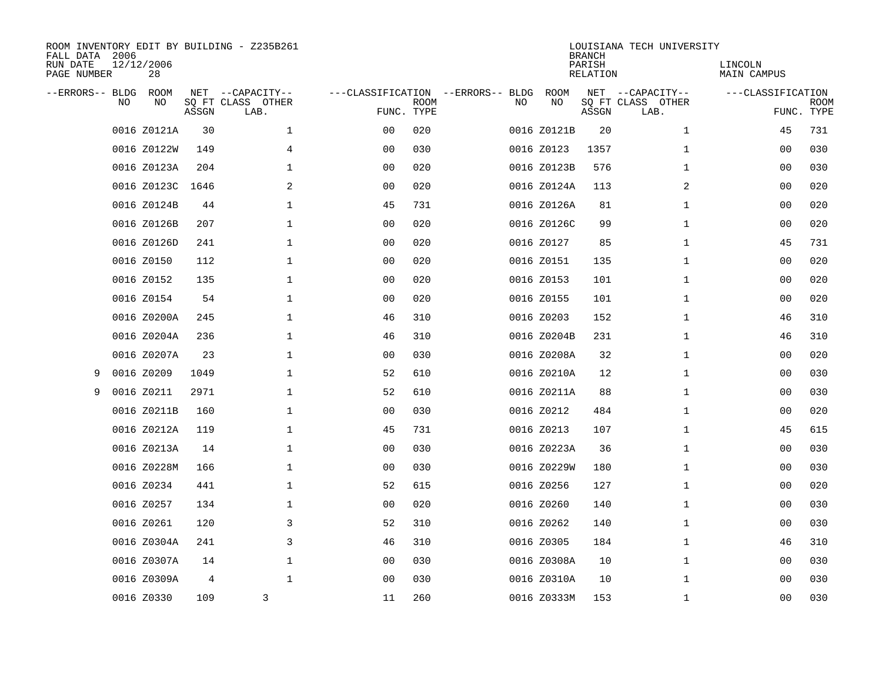| FALL DATA 2006<br>RUN DATE<br>PAGE NUMBER |    | 12/12/2006<br>28 |       | ROOM INVENTORY EDIT BY BUILDING - Z235B261    |                                                 |             |    |             | <b>BRANCH</b><br>PARISH<br>RELATION | LOUISIANA TECH UNIVERSITY                     | LINCOLN<br>MAIN CAMPUS |                           |
|-------------------------------------------|----|------------------|-------|-----------------------------------------------|-------------------------------------------------|-------------|----|-------------|-------------------------------------|-----------------------------------------------|------------------------|---------------------------|
| --ERRORS-- BLDG                           | NO | ROOM<br>NO       | ASSGN | NET --CAPACITY--<br>SQ FT CLASS OTHER<br>LAB. | ---CLASSIFICATION --ERRORS-- BLDG<br>FUNC. TYPE | <b>ROOM</b> | NO | ROOM<br>NO  | ASSGN                               | NET --CAPACITY--<br>SQ FT CLASS OTHER<br>LAB. | ---CLASSIFICATION      | <b>ROOM</b><br>FUNC. TYPE |
|                                           |    | 0016 Z0121A      | 30    | $\mathbf 1$                                   | 0 <sub>0</sub>                                  | 020         |    | 0016 Z0121B | 20                                  | $\mathbf{1}$                                  | 45                     | 731                       |
|                                           |    | 0016 Z0122W      | 149   | $\overline{4}$                                | 0 <sub>0</sub>                                  | 030         |    | 0016 Z0123  | 1357                                | $\mathbf{1}$                                  | 00                     | 030                       |
|                                           |    | 0016 Z0123A      | 204   | 1                                             | 00                                              | 020         |    | 0016 Z0123B | 576                                 | $\mathbf{1}$                                  | 00                     | 030                       |
|                                           |    | 0016 Z0123C 1646 |       | 2                                             | 00                                              | 020         |    | 0016 Z0124A | 113                                 | 2                                             | 00                     | 020                       |
|                                           |    | 0016 Z0124B      | 44    | $\mathbf{1}$                                  | 45                                              | 731         |    | 0016 Z0126A | 81                                  | $\mathbf{1}$                                  | 00                     | 020                       |
|                                           |    | 0016 Z0126B      | 207   | $\mathbf{1}$                                  | 0 <sub>0</sub>                                  | 020         |    | 0016 Z0126C | 99                                  | $\mathbf{1}$                                  | 00                     | 020                       |
|                                           |    | 0016 Z0126D      | 241   | $\mathbf 1$                                   | 00                                              | 020         |    | 0016 Z0127  | 85                                  | $\mathbf{1}$                                  | 45                     | 731                       |
|                                           |    | 0016 Z0150       | 112   | $\mathbf 1$                                   | 0 <sub>0</sub>                                  | 020         |    | 0016 Z0151  | 135                                 | $\mathbf{1}$                                  | 00                     | 020                       |
|                                           |    | 0016 Z0152       | 135   | $\mathbf 1$                                   | 0 <sub>0</sub>                                  | 020         |    | 0016 Z0153  | 101                                 | $\mathbf{1}$                                  | 00                     | 020                       |
|                                           |    | 0016 Z0154       | 54    | $\mathbf 1$                                   | 0 <sub>0</sub>                                  | 020         |    | 0016 Z0155  | 101                                 | $\mathbf{1}$                                  | 00                     | 020                       |
|                                           |    | 0016 Z0200A      | 245   | $\mathbf 1$                                   | 46                                              | 310         |    | 0016 Z0203  | 152                                 | $\mathbf{1}$                                  | 46                     | 310                       |
|                                           |    | 0016 Z0204A      | 236   | $\mathbf 1$                                   | 46                                              | 310         |    | 0016 Z0204B | 231                                 | $\mathbf{1}$                                  | 46                     | 310                       |
|                                           |    | 0016 Z0207A      | 23    | $\mathbf{1}$                                  | 0 <sub>0</sub>                                  | 030         |    | 0016 Z0208A | 32                                  | $\mathbf{1}$                                  | 0 <sub>0</sub>         | 020                       |
| 9                                         |    | 0016 Z0209       | 1049  | $\mathbf 1$                                   | 52                                              | 610         |    | 0016 Z0210A | 12                                  | $\mathbf{1}$                                  | 00                     | 030                       |
| 9                                         |    | 0016 Z0211       | 2971  | $\mathbf 1$                                   | 52                                              | 610         |    | 0016 Z0211A | 88                                  | $\mathbf{1}$                                  | 0 <sub>0</sub>         | 030                       |
|                                           |    | 0016 Z0211B      | 160   | $\mathbf 1$                                   | 00                                              | 030         |    | 0016 Z0212  | 484                                 | $\mathbf{1}$                                  | 00                     | 020                       |
|                                           |    | 0016 Z0212A      | 119   | $\mathbf 1$                                   | 45                                              | 731         |    | 0016 Z0213  | 107                                 | $\mathbf{1}$                                  | 45                     | 615                       |
|                                           |    | 0016 Z0213A      | 14    | $\mathbf 1$                                   | 00                                              | 030         |    | 0016 Z0223A | 36                                  | $\mathbf{1}$                                  | 00                     | 030                       |
|                                           |    | 0016 Z0228M      | 166   | 1                                             | 00                                              | 030         |    | 0016 Z0229W | 180                                 | $\mathbf{1}$                                  | 00                     | 030                       |
|                                           |    | 0016 Z0234       | 441   | 1                                             | 52                                              | 615         |    | 0016 Z0256  | 127                                 | $\mathbf{1}$                                  | 00                     | 020                       |
|                                           |    | 0016 Z0257       | 134   | 1                                             | 00                                              | 020         |    | 0016 Z0260  | 140                                 | $\mathbf{1}$                                  | 00                     | 030                       |
|                                           |    | 0016 Z0261       | 120   | 3                                             | 52                                              | 310         |    | 0016 Z0262  | 140                                 | $\mathbf{1}$                                  | 00                     | 030                       |
|                                           |    | 0016 Z0304A      | 241   | 3                                             | 46                                              | 310         |    | 0016 Z0305  | 184                                 | $\mathbf{1}$                                  | 46                     | 310                       |
|                                           |    | 0016 Z0307A      | 14    | $\mathbf 1$                                   | 00                                              | 030         |    | 0016 Z0308A | 10                                  | $\mathbf{1}$                                  | 00                     | 030                       |
|                                           |    | 0016 Z0309A      | 4     | $\mathbf{1}$                                  | 0 <sub>0</sub>                                  | 030         |    | 0016 Z0310A | 10                                  | $\mathbf{1}$                                  | 00                     | 030                       |
|                                           |    | 0016 Z0330       | 109   | 3                                             | 11                                              | 260         |    | 0016 Z0333M | 153                                 | $\mathbf{1}$                                  | 0 <sub>0</sub>         | 030                       |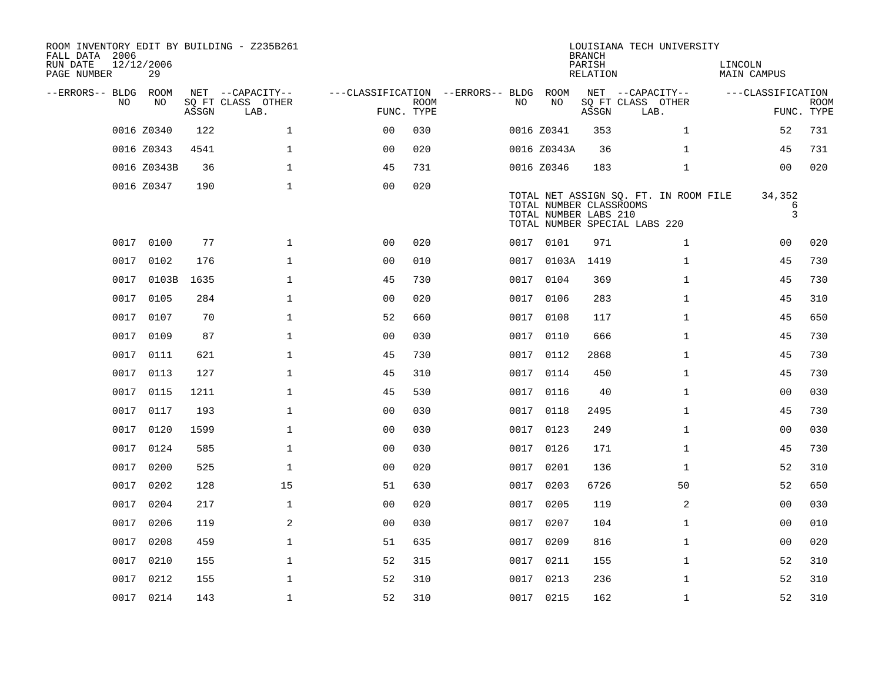| ROOM INVENTORY EDIT BY BUILDING - Z235B261<br>FALL DATA 2006<br>RUN DATE<br>PAGE NUMBER | 12/12/2006<br>29 |       |                           |                                        |             |      |                                                  | <b>BRANCH</b><br>PARISH<br>RELATION | LOUISIANA TECH UNIVERSITY                                              | LINCOLN<br>MAIN CAMPUS |                           |
|-----------------------------------------------------------------------------------------|------------------|-------|---------------------------|----------------------------------------|-------------|------|--------------------------------------------------|-------------------------------------|------------------------------------------------------------------------|------------------------|---------------------------|
| --ERRORS-- BLDG ROOM                                                                    |                  |       | NET --CAPACITY--          | ---CLASSIFICATION --ERRORS-- BLDG ROOM |             |      |                                                  |                                     | NET --CAPACITY--                                                       | ---CLASSIFICATION      |                           |
| NO.                                                                                     | NO.              | ASSGN | SQ FT CLASS OTHER<br>LAB. | FUNC. TYPE                             | <b>ROOM</b> | NO.  | NO                                               | ASSGN                               | SQ FT CLASS OTHER<br>LAB.                                              |                        | <b>ROOM</b><br>FUNC. TYPE |
|                                                                                         | 0016 Z0340       | 122   | $\mathbf{1}$              | 0 <sup>0</sup>                         | 030         |      | 0016 Z0341                                       | 353                                 | $\mathbf{1}$                                                           | 52                     | 731                       |
|                                                                                         | 0016 Z0343       | 4541  | $\mathbf{1}$              | 0 <sub>0</sub>                         | 020         |      | 0016 Z0343A                                      | 36                                  | $\mathbf{1}$                                                           | 45                     | 731                       |
|                                                                                         | 0016 Z0343B      | 36    | 1                         | 45                                     | 731         |      | 0016 Z0346                                       | 183                                 | $\mathbf{1}$                                                           | 0 <sub>0</sub>         | 020                       |
|                                                                                         | 0016 Z0347       | 190   | $\mathbf{1}$              | 0 <sub>0</sub>                         | 020         |      | TOTAL NUMBER CLASSROOMS<br>TOTAL NUMBER LABS 210 |                                     | TOTAL NET ASSIGN SQ. FT. IN ROOM FILE<br>TOTAL NUMBER SPECIAL LABS 220 | 34,352<br>6<br>3       |                           |
| 0017                                                                                    | 0100             | 77    | $\mathbf{1}$              | 00                                     | 020         |      | 0017 0101                                        | 971                                 | $\mathbf{1}$                                                           | 00                     | 020                       |
| 0017                                                                                    | 0102             | 176   | $\mathbf{1}$              | 0 <sub>0</sub>                         | 010         |      | 0017 0103A 1419                                  |                                     | $\mathbf{1}$                                                           | 45                     | 730                       |
| 0017                                                                                    | 0103B            | 1635  | $\mathbf{1}$              | 45                                     | 730         | 0017 | 0104                                             | 369                                 | $\mathbf{1}$                                                           | 45                     | 730                       |
|                                                                                         | 0017 0105        | 284   | $\mathbf{1}$              | 0 <sub>0</sub>                         | 020         |      | 0017 0106                                        | 283                                 | $\mathbf{1}$                                                           | 45                     | 310                       |
|                                                                                         | 0017 0107        | 70    | $\mathbf{1}$              | 52                                     | 660         | 0017 | 0108                                             | 117                                 | $\mathbf{1}$                                                           | 45                     | 650                       |
|                                                                                         | 0017 0109        | 87    | $\mathbf 1$               | 0 <sub>0</sub>                         | 030         |      | 0017 0110                                        | 666                                 | $\mathbf{1}$                                                           | 45                     | 730                       |
| 0017                                                                                    | 0111             | 621   | $\mathbf{1}$              | 45                                     | 730         | 0017 | 0112                                             | 2868                                | $\mathbf{1}$                                                           | 45                     | 730                       |
|                                                                                         | 0017 0113        | 127   | $\mathbf 1$               | 45                                     | 310         |      | 0017 0114                                        | 450                                 | $\mathbf{1}$                                                           | 45                     | 730                       |
| 0017                                                                                    | 0115             | 1211  | $\mathbf{1}$              | 45                                     | 530         | 0017 | 0116                                             | 40                                  | $\mathbf{1}$                                                           | 0 <sub>0</sub>         | 030                       |
|                                                                                         | 0017 0117        | 193   | $\mathbf{1}$              | 0 <sub>0</sub>                         | 030         |      | 0017 0118                                        | 2495                                | $\mathbf{1}$                                                           | 45                     | 730                       |
| 0017                                                                                    | 0120             | 1599  | $\mathbf 1$               | 0 <sub>0</sub>                         | 030         | 0017 | 0123                                             | 249                                 | $\mathbf{1}$                                                           | 00                     | 030                       |
| 0017                                                                                    | 0124             | 585   | $\mathbf 1$               | 0 <sub>0</sub>                         | 030         |      | 0017 0126                                        | 171                                 | $\mathbf{1}$                                                           | 45                     | 730                       |
| 0017                                                                                    | 0200             | 525   | $\mathbf{1}$              | 0 <sub>0</sub>                         | 020         |      | 0017 0201                                        | 136                                 | $\mathbf{1}$                                                           | 52                     | 310                       |
| 0017                                                                                    | 0202             | 128   | 15                        | 51                                     | 630         |      | 0017 0203                                        | 6726                                | 50                                                                     | 52                     | 650                       |
| 0017                                                                                    | 0204             | 217   | $\mathbf{1}$              | 0 <sub>0</sub>                         | 020         |      | 0017 0205                                        | 119                                 | 2                                                                      | 0 <sub>0</sub>         | 030                       |
| 0017                                                                                    | 0206             | 119   | 2                         | 0 <sub>0</sub>                         | 030         | 0017 | 0207                                             | 104                                 | $\mathbf{1}$                                                           | 00                     | 010                       |
| 0017                                                                                    | 0208             | 459   | $\mathbf 1$               | 51                                     | 635         |      | 0017 0209                                        | 816                                 | $\mathbf{1}$                                                           | 00                     | 020                       |
| 0017                                                                                    | 0210             | 155   | $\mathbf 1$               | 52                                     | 315         |      | 0017 0211                                        | 155                                 | $\mathbf{1}$                                                           | 52                     | 310                       |
|                                                                                         | 0017 0212        | 155   | $\mathbf{1}$              | 52                                     | 310         |      | 0017 0213                                        | 236                                 | $\mathbf{1}$                                                           | 52                     | 310                       |
|                                                                                         | 0017 0214        | 143   | $\mathbf{1}$              | 52                                     | 310         |      | 0017 0215                                        | 162                                 | $\mathbf{1}$                                                           | 52                     | 310                       |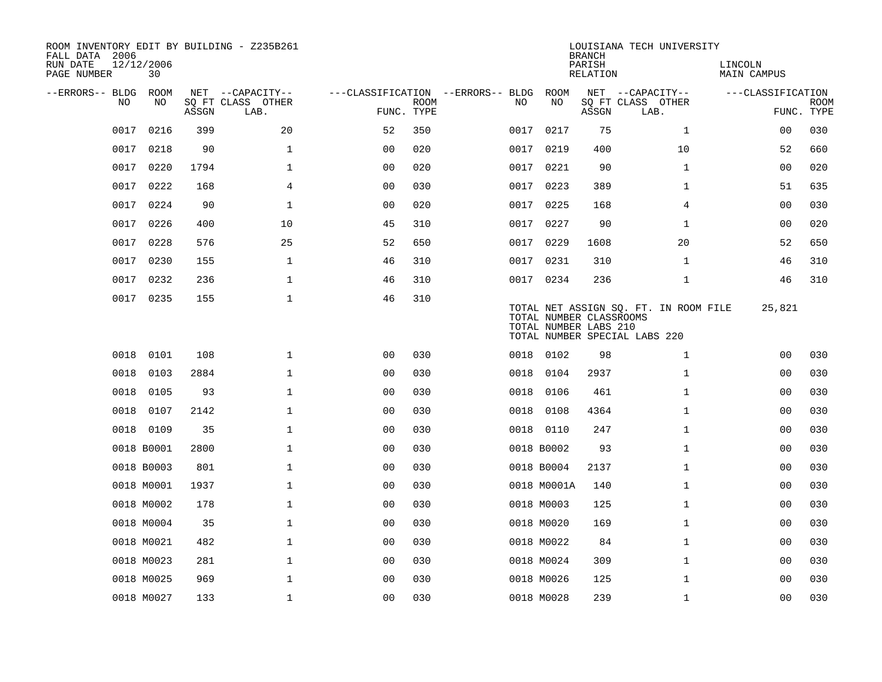| ROOM INVENTORY EDIT BY BUILDING - Z235B261<br>FALL DATA 2006 |                  |       |                           |                |             |                                   |      |                                                  | <b>BRANCH</b>      | LOUISIANA TECH UNIVERSITY                                              |                        |                           |
|--------------------------------------------------------------|------------------|-------|---------------------------|----------------|-------------|-----------------------------------|------|--------------------------------------------------|--------------------|------------------------------------------------------------------------|------------------------|---------------------------|
| RUN DATE<br>PAGE NUMBER                                      | 12/12/2006<br>30 |       |                           |                |             |                                   |      |                                                  | PARISH<br>RELATION |                                                                        | LINCOLN<br>MAIN CAMPUS |                           |
| --ERRORS-- BLDG ROOM                                         |                  |       | NET --CAPACITY--          |                |             | ---CLASSIFICATION --ERRORS-- BLDG |      | ROOM                                             |                    | NET --CAPACITY--                                                       | ---CLASSIFICATION      |                           |
| NO.                                                          | NO.              | ASSGN | SQ FT CLASS OTHER<br>LAB. | FUNC. TYPE     | <b>ROOM</b> | NO.                               |      | NO                                               | ASSGN              | SQ FT CLASS OTHER<br>LAB.                                              |                        | <b>ROOM</b><br>FUNC. TYPE |
| 0017                                                         | 0216             | 399   | 20                        | 52             | 350         |                                   | 0017 | 0217                                             | 75                 | $\mathbf{1}$                                                           | 0 <sub>0</sub>         | 030                       |
| 0017                                                         | 0218             | 90    | $\mathbf{1}$              | 0 <sub>0</sub> | 020         |                                   | 0017 | 0219                                             | 400                | 10                                                                     | 52                     | 660                       |
| 0017                                                         | 0220             | 1794  | $\mathbf 1$               | 0 <sub>0</sub> | 020         |                                   | 0017 | 0221                                             | 90                 | $\mathbf{1}$                                                           | 0 <sub>0</sub>         | 020                       |
| 0017                                                         | 0222             | 168   | 4                         | 00             | 030         |                                   |      | 0017 0223                                        | 389                | $\mathbf{1}$                                                           | 51                     | 635                       |
| 0017                                                         | 0224             | 90    | $\mathbf{1}$              | 00             | 020         |                                   | 0017 | 0225                                             | 168                | 4                                                                      | 00                     | 030                       |
| 0017                                                         | 0226             | 400   | 10                        | 45             | 310         |                                   |      | 0017 0227                                        | 90                 | $\mathbf{1}$                                                           | 00                     | 020                       |
| 0017                                                         | 0228             | 576   | 25                        | 52             | 650         |                                   | 0017 | 0229                                             | 1608               | 20                                                                     | 52                     | 650                       |
|                                                              | 0017 0230        | 155   | $\mathbf 1$               | 46             | 310         |                                   |      | 0017 0231                                        | 310                | $\mathbf{1}$                                                           | 46                     | 310                       |
| 0017                                                         | 0232             | 236   | $\mathbf{1}$              | 46             | 310         |                                   |      | 0017 0234                                        | 236                | $\mathbf{1}$                                                           | 46                     | 310                       |
|                                                              | 0017 0235        | 155   | $\mathbf{1}$              | 46             | 310         |                                   |      | TOTAL NUMBER CLASSROOMS<br>TOTAL NUMBER LABS 210 |                    | TOTAL NET ASSIGN SQ. FT. IN ROOM FILE<br>TOTAL NUMBER SPECIAL LABS 220 | 25,821                 |                           |
| 0018                                                         | 0101             | 108   | $\mathbf{1}$              | 0 <sub>0</sub> | 030         |                                   |      | 0018 0102                                        | 98                 | $\mathbf{1}$                                                           | 00                     | 030                       |
| 0018                                                         | 0103             | 2884  | $\mathbf 1$               | 0 <sub>0</sub> | 030         |                                   | 0018 | 0104                                             | 2937               | $\mathbf{1}$                                                           | 00                     | 030                       |
| 0018                                                         | 0105             | 93    | $\mathbf 1$               | 0 <sub>0</sub> | 030         |                                   | 0018 | 0106                                             | 461                | $\mathbf{1}$                                                           | 0 <sub>0</sub>         | 030                       |
| 0018                                                         | 0107             | 2142  | $\mathbf{1}$              | 0 <sub>0</sub> | 030         |                                   | 0018 | 0108                                             | 4364               | $\mathbf{1}$                                                           | 0 <sub>0</sub>         | 030                       |
| 0018                                                         | 0109             | 35    | $\mathbf 1$               | 0 <sub>0</sub> | 030         |                                   | 0018 | 0110                                             | 247                | $\mathbf{1}$                                                           | 00                     | 030                       |
|                                                              | 0018 B0001       | 2800  | $\mathbf 1$               | 0 <sub>0</sub> | 030         |                                   |      | 0018 B0002                                       | 93                 | $\mathbf{1}$                                                           | 00                     | 030                       |
|                                                              | 0018 B0003       | 801   | $\mathbf 1$               | 0 <sub>0</sub> | 030         |                                   |      | 0018 B0004                                       | 2137               | $\mathbf{1}$                                                           | 00                     | 030                       |
|                                                              | 0018 M0001       | 1937  | $\mathbf{1}$              | 0 <sub>0</sub> | 030         |                                   |      | 0018 M0001A                                      | 140                | $\mathbf{1}$                                                           | 0 <sub>0</sub>         | 030                       |
|                                                              | 0018 M0002       | 178   | $\mathbf{1}$              | 0 <sub>0</sub> | 030         |                                   |      | 0018 M0003                                       | 125                | $\mathbf{1}$                                                           | 0 <sub>0</sub>         | 030                       |
|                                                              | 0018 M0004       | 35    | $\mathbf 1$               | 0 <sub>0</sub> | 030         |                                   |      | 0018 M0020                                       | 169                | $\mathbf{1}$                                                           | 00                     | 030                       |
|                                                              | 0018 M0021       | 482   | $\mathbf 1$               | 0 <sub>0</sub> | 030         |                                   |      | 0018 M0022                                       | 84                 | $\mathbf{1}$                                                           | 00                     | 030                       |
|                                                              | 0018 M0023       | 281   | $\mathbf 1$               | 00             | 030         |                                   |      | 0018 M0024                                       | 309                | $\mathbf{1}$                                                           | 00                     | 030                       |
|                                                              | 0018 M0025       | 969   | $\mathbf{1}$              | 0 <sub>0</sub> | 030         |                                   |      | 0018 M0026                                       | 125                | $\mathbf{1}$                                                           | 00                     | 030                       |
|                                                              | 0018 M0027       | 133   | $\mathbf{1}$              | 0 <sub>0</sub> | 030         |                                   |      | 0018 M0028                                       | 239                | $\mathbf{1}$                                                           | 0 <sub>0</sub>         | 030                       |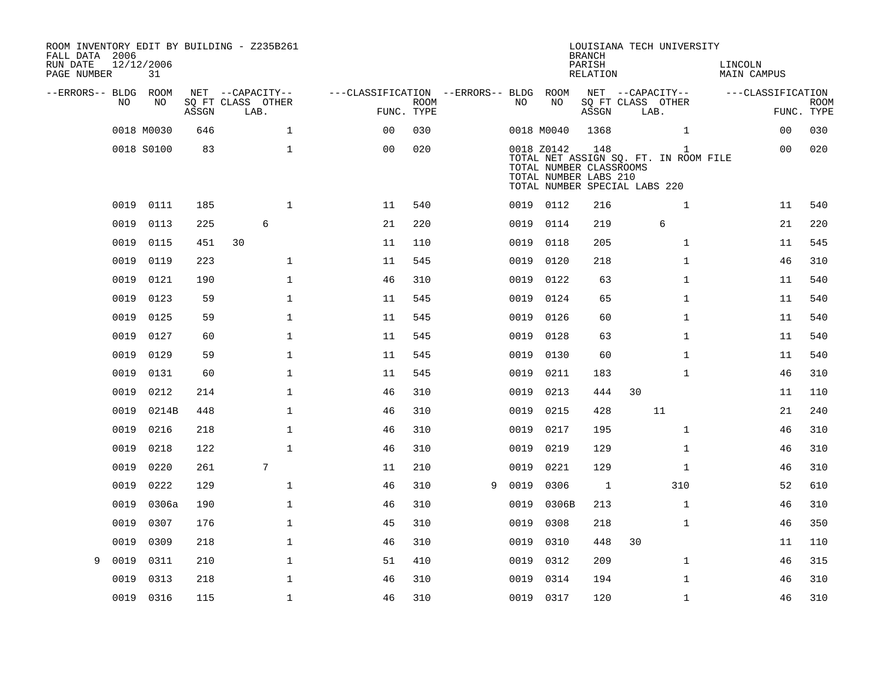| ROOM INVENTORY EDIT BY BUILDING - Z235B261<br>FALL DATA 2006<br>RUN DATE<br>PAGE NUMBER | 12/12/2006<br>31 |       |                           |                                        |                           |   |      |                                                                | <b>BRANCH</b><br>PARISH<br><b>RELATION</b> | LOUISIANA TECH UNIVERSITY                                                   | LINCOLN<br><b>MAIN CAMPUS</b> |                           |
|-----------------------------------------------------------------------------------------|------------------|-------|---------------------------|----------------------------------------|---------------------------|---|------|----------------------------------------------------------------|--------------------------------------------|-----------------------------------------------------------------------------|-------------------------------|---------------------------|
| --ERRORS-- BLDG ROOM                                                                    |                  |       | NET --CAPACITY--          | ---CLASSIFICATION --ERRORS-- BLDG ROOM |                           |   |      |                                                                |                                            | NET --CAPACITY--                                                            | ---CLASSIFICATION             |                           |
| NO                                                                                      | NO               | ASSGN | SQ FT CLASS OTHER<br>LAB. |                                        | <b>ROOM</b><br>FUNC. TYPE |   | NO   | NO                                                             | ASSGN                                      | SQ FT CLASS OTHER<br>LAB.                                                   |                               | <b>ROOM</b><br>FUNC. TYPE |
|                                                                                         | 0018 M0030       | 646   | $\mathbf{1}$              | 0 <sub>0</sub>                         | 030                       |   |      | 0018 M0040                                                     | 1368                                       | $\mathbf{1}$                                                                | 0 <sub>0</sub>                | 030                       |
|                                                                                         | 0018 S0100       | 83    | $\mathbf{1}$              | 0 <sub>0</sub>                         | 020                       |   |      | 0018 Z0142<br>TOTAL NUMBER CLASSROOMS<br>TOTAL NUMBER LABS 210 | 148                                        | 1<br>TOTAL NET ASSIGN SQ. FT. IN ROOM FILE<br>TOTAL NUMBER SPECIAL LABS 220 | 0 <sub>0</sub>                | 020                       |
| 0019                                                                                    | 0111             | 185   | $\mathbf{1}$              | 11                                     | 540                       |   |      | 0019 0112                                                      | 216                                        | $\mathbf{1}$                                                                | 11                            | 540                       |
| 0019                                                                                    | 0113             | 225   | 6                         | 21                                     | 220                       |   | 0019 | 0114                                                           | 219                                        | 6                                                                           | 21                            | 220                       |
| 0019                                                                                    | 0115             | 451   | 30                        | 11                                     | 110                       |   | 0019 | 0118                                                           | 205                                        | $\mathbf{1}$                                                                | 11                            | 545                       |
| 0019                                                                                    | 0119             | 223   | $\mathbf{1}$              | 11                                     | 545                       |   | 0019 | 0120                                                           | 218                                        | $\mathbf{1}$                                                                | 46                            | 310                       |
| 0019                                                                                    | 0121             | 190   | $\mathbf{1}$              | 46                                     | 310                       |   | 0019 | 0122                                                           | 63                                         | $\mathbf{1}$                                                                | 11                            | 540                       |
| 0019                                                                                    | 0123             | 59    | $\mathbf{1}$              | 11                                     | 545                       |   | 0019 | 0124                                                           | 65                                         | $\mathbf{1}$                                                                | 11                            | 540                       |
| 0019                                                                                    | 0125             | 59    | $\mathbf{1}$              | 11                                     | 545                       |   | 0019 | 0126                                                           | 60                                         | $\mathbf{1}$                                                                | 11                            | 540                       |
| 0019                                                                                    | 0127             | 60    | $\mathbf{1}$              | 11                                     | 545                       |   | 0019 | 0128                                                           | 63                                         | $\mathbf{1}$                                                                | 11                            | 540                       |
| 0019                                                                                    | 0129             | 59    | $\mathbf{1}$              | 11                                     | 545                       |   | 0019 | 0130                                                           | 60                                         | $\mathbf{1}$                                                                | 11                            | 540                       |
| 0019                                                                                    | 0131             | 60    | $\mathbf 1$               | 11                                     | 545                       |   | 0019 | 0211                                                           | 183                                        | $\mathbf{1}$                                                                | 46                            | 310                       |
| 0019                                                                                    | 0212             | 214   | $\mathbf 1$               | 46                                     | 310                       |   | 0019 | 0213                                                           | 444                                        | 30                                                                          | 11                            | 110                       |
| 0019                                                                                    | 0214B            | 448   | $\mathbf 1$               | 46                                     | 310                       |   | 0019 | 0215                                                           | 428                                        | 11                                                                          | 21                            | 240                       |
| 0019                                                                                    | 0216             | 218   | $\mathbf 1$               | 46                                     | 310                       |   | 0019 | 0217                                                           | 195                                        | $\mathbf{1}$                                                                | 46                            | 310                       |
| 0019                                                                                    | 0218             | 122   | $\mathbf{1}$              | 46                                     | 310                       |   | 0019 | 0219                                                           | 129                                        | $\mathbf{1}$                                                                | 46                            | 310                       |
| 0019                                                                                    | 0220             | 261   | $7\phantom{.0}$           | 11                                     | 210                       |   | 0019 | 0221                                                           | 129                                        | $\mathbf{1}$                                                                | 46                            | 310                       |
| 0019                                                                                    | 0222             | 129   | $\mathbf{1}$              | 46                                     | 310                       | 9 | 0019 | 0306                                                           | $\mathbf{1}$                               | 310                                                                         | 52                            | 610                       |
| 0019                                                                                    | 0306a            | 190   | $\mathbf{1}$              | 46                                     | 310                       |   | 0019 | 0306B                                                          | 213                                        | $\mathbf{1}$                                                                | 46                            | 310                       |
| 0019                                                                                    | 0307             | 176   | $\mathbf{1}$              | 45                                     | 310                       |   | 0019 | 0308                                                           | 218                                        | $\mathbf{1}$                                                                | 46                            | 350                       |
| 0019                                                                                    | 0309             | 218   | $\mathbf{1}$              | 46                                     | 310                       |   | 0019 | 0310                                                           | 448                                        | 30                                                                          | 11                            | 110                       |
| 0019<br>9                                                                               | 0311             | 210   | $\mathbf{1}$              | 51                                     | 410                       |   | 0019 | 0312                                                           | 209                                        | $\mathbf{1}$                                                                | 46                            | 315                       |
| 0019                                                                                    | 0313             | 218   | $\mathbf 1$               | 46                                     | 310                       |   | 0019 | 0314                                                           | 194                                        | $\mathbf{1}$                                                                | 46                            | 310                       |
|                                                                                         | 0019 0316        | 115   | $\mathbf{1}$              | 46                                     | 310                       |   |      | 0019 0317                                                      | 120                                        | $\mathbf{1}$                                                                | 46                            | 310                       |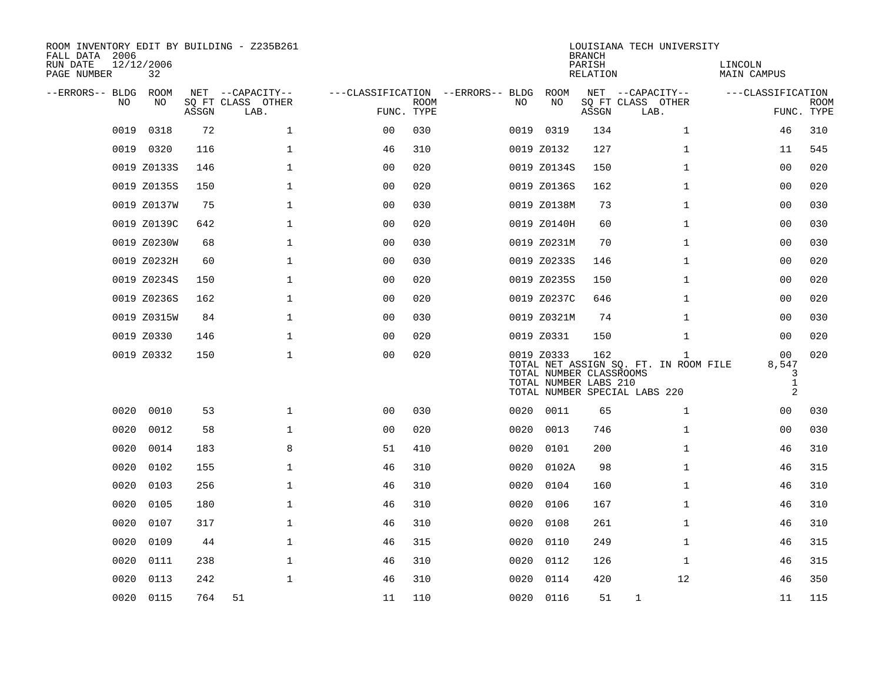| ROOM INVENTORY EDIT BY BUILDING - Z235B261<br>FALL DATA 2006 |                  |       |                           |                                        |             |      |                                                                | <b>BRANCH</b>      | LOUISIANA TECH UNIVERSITY                                                              |                                                                |                    |
|--------------------------------------------------------------|------------------|-------|---------------------------|----------------------------------------|-------------|------|----------------------------------------------------------------|--------------------|----------------------------------------------------------------------------------------|----------------------------------------------------------------|--------------------|
| RUN DATE<br>PAGE NUMBER                                      | 12/12/2006<br>32 |       |                           |                                        |             |      |                                                                | PARISH<br>RELATION |                                                                                        | LINCOLN<br>MAIN CAMPUS                                         |                    |
| --ERRORS-- BLDG ROOM                                         |                  |       | NET --CAPACITY--          | ---CLASSIFICATION --ERRORS-- BLDG ROOM |             |      |                                                                |                    | NET --CAPACITY--                                                                       | ---CLASSIFICATION                                              |                    |
| NO.                                                          | NO.              | ASSGN | SQ FT CLASS OTHER<br>LAB. | FUNC. TYPE                             | <b>ROOM</b> | NO.  | NO                                                             | ASSGN              | SQ FT CLASS OTHER<br>LAB.                                                              |                                                                | ROOM<br>FUNC. TYPE |
| 0019                                                         | 0318             | 72    | $\mathbf{1}$              | 0 <sub>0</sub>                         | 030         |      | 0019 0319                                                      | 134                | $\mathbf{1}$                                                                           | 46                                                             | 310                |
|                                                              | 0019 0320        | 116   | 1                         | 46                                     | 310         |      | 0019 Z0132                                                     | 127                | $\mathbf{1}$                                                                           | 11                                                             | 545                |
|                                                              | 0019 Z0133S      | 146   | $\mathbf 1$               | 0 <sub>0</sub>                         | 020         |      | 0019 Z0134S                                                    | 150                | $\mathbf{1}$                                                                           | 00                                                             | 020                |
|                                                              | 0019 Z0135S      | 150   | 1                         | 0 <sub>0</sub>                         | 020         |      | 0019 Z0136S                                                    | 162                | $\mathbf{1}$                                                                           | 00                                                             | 020                |
|                                                              | 0019 Z0137W      | 75    | $\mathbf{1}$              | 00                                     | 030         |      | 0019 Z0138M                                                    | 73                 | $\mathbf{1}$                                                                           | 0 <sub>0</sub>                                                 | 030                |
|                                                              | 0019 Z0139C      | 642   | 1                         | 0 <sub>0</sub>                         | 020         |      | 0019 Z0140H                                                    | 60                 | $\mathbf{1}$                                                                           | 0 <sub>0</sub>                                                 | 030                |
|                                                              | 0019 Z0230W      | 68    | $\mathbf 1$               | 0 <sub>0</sub>                         | 030         |      | 0019 Z0231M                                                    | 70                 | $\mathbf{1}$                                                                           | 00                                                             | 030                |
|                                                              | 0019 Z0232H      | 60    | $\mathbf 1$               | 0 <sub>0</sub>                         | 030         |      | 0019 Z0233S                                                    | 146                | $\mathbf{1}$                                                                           | 00                                                             | 020                |
|                                                              | 0019 Z0234S      | 150   | $\mathbf{1}$              | 0 <sub>0</sub>                         | 020         |      | 0019 Z0235S                                                    | 150                | $\mathbf{1}$                                                                           | 0 <sub>0</sub>                                                 | 020                |
|                                                              | 0019 Z0236S      | 162   | $\mathbf{1}$              | 0 <sub>0</sub>                         | 020         |      | 0019 Z0237C                                                    | 646                | $\mathbf{1}$                                                                           | 0 <sub>0</sub>                                                 | 020                |
|                                                              | 0019 Z0315W      | 84    | $\mathbf 1$               | 0 <sub>0</sub>                         | 030         |      | 0019 Z0321M                                                    | 74                 | $\mathbf{1}$                                                                           | 00                                                             | 030                |
|                                                              | 0019 Z0330       | 146   | $\mathbf 1$               | 0 <sub>0</sub>                         | 020         |      | 0019 Z0331                                                     | 150                | $\mathbf{1}$                                                                           | 00                                                             | 020                |
|                                                              | 0019 Z0332       | 150   | $\mathbf{1}$              | 0 <sub>0</sub>                         | 020         |      | 0019 Z0333<br>TOTAL NUMBER CLASSROOMS<br>TOTAL NUMBER LABS 210 | 162                | $\mathbf{1}$<br>TOTAL NET ASSIGN SQ. FT. IN ROOM FILE<br>TOTAL NUMBER SPECIAL LABS 220 | 0 <sub>0</sub><br>8,547<br>3<br>$\mathbf{1}$<br>$\overline{a}$ | 020                |
| 0020                                                         | 0010             | 53    | $\mathbf{1}$              | 0 <sub>0</sub>                         | 030         | 0020 | 0011                                                           | 65                 | $\mathbf{1}$                                                                           | 00                                                             | 030                |
| 0020                                                         | 0012             | 58    | $\mathbf{1}$              | 0 <sub>0</sub>                         | 020         | 0020 | 0013                                                           | 746                | $\mathbf{1}$                                                                           | 0 <sub>0</sub>                                                 | 030                |
| 0020                                                         | 0014             | 183   | 8                         | 51                                     | 410         | 0020 | 0101                                                           | 200                | $\mathbf{1}$                                                                           | 46                                                             | 310                |
| 0020                                                         | 0102             | 155   | $\mathbf 1$               | 46                                     | 310         |      | 0020 0102A                                                     | 98                 | $\mathbf{1}$                                                                           | 46                                                             | 315                |
| 0020                                                         | 0103             | 256   | 1                         | 46                                     | 310         | 0020 | 0104                                                           | 160                | $\mathbf{1}$                                                                           | 46                                                             | 310                |
| 0020                                                         | 0105             | 180   | $\mathbf 1$               | 46                                     | 310         | 0020 | 0106                                                           | 167                | $\mathbf{1}$                                                                           | 46                                                             | 310                |
| 0020                                                         | 0107             | 317   | $\mathbf{1}$              | 46                                     | 310         | 0020 | 0108                                                           | 261                | $\mathbf{1}$                                                                           | 46                                                             | 310                |
| 0020                                                         | 0109             | 44    | 1                         | 46                                     | 315         | 0020 | 0110                                                           | 249                | $\mathbf{1}$                                                                           | 46                                                             | 315                |
| 0020                                                         | 0111             | 238   | $\mathbf 1$               | 46                                     | 310         | 0020 | 0112                                                           | 126                | $\mathbf{1}$                                                                           | 46                                                             | 315                |
| 0020                                                         | 0113             | 242   | $\mathbf{1}$              | 46                                     | 310         | 0020 | 0114                                                           | 420                | 12                                                                                     | 46                                                             | 350                |
|                                                              | 0020 0115        | 764   | 51                        | 11                                     | 110         |      | 0020 0116                                                      | 51                 | $\mathbf{1}$                                                                           | 11                                                             | 115                |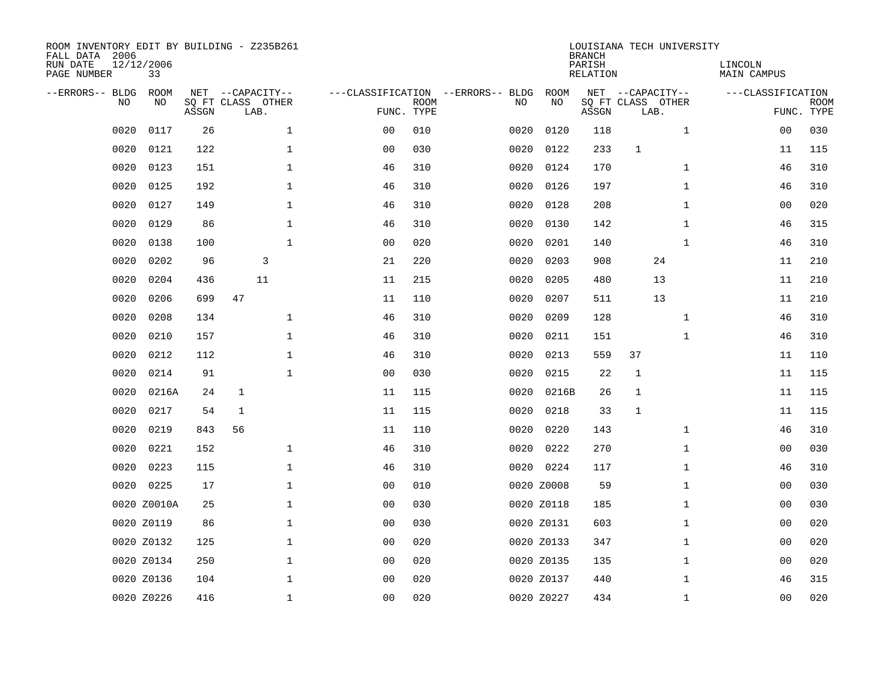| ROOM INVENTORY EDIT BY BUILDING - Z235B261<br>FALL DATA 2006<br>RUN DATE<br>PAGE NUMBER | 12/12/2006<br>33  |       |                                               |              |                |             |                                         |                   | <b>BRANCH</b><br>PARISH<br><b>RELATION</b> |                   | LOUISIANA TECH UNIVERSITY | LINCOLN<br>MAIN CAMPUS |                           |
|-----------------------------------------------------------------------------------------|-------------------|-------|-----------------------------------------------|--------------|----------------|-------------|-----------------------------------------|-------------------|--------------------------------------------|-------------------|---------------------------|------------------------|---------------------------|
| --ERRORS-- BLDG<br>NO                                                                   | <b>ROOM</b><br>NO | ASSGN | NET --CAPACITY--<br>SQ FT CLASS OTHER<br>LAB. |              | FUNC. TYPE     | <b>ROOM</b> | ---CLASSIFICATION --ERRORS-- BLDG<br>NO | <b>ROOM</b><br>NO | ASSGN                                      | SQ FT CLASS OTHER | NET --CAPACITY--<br>LAB.  | ---CLASSIFICATION      | <b>ROOM</b><br>FUNC. TYPE |
| 0020                                                                                    | 0117              | 26    |                                               | $\mathbf 1$  | 00             | 010         | 0020                                    | 0120              | 118                                        |                   | $\mathbf{1}$              | 0 <sub>0</sub>         | 030                       |
| 0020                                                                                    | 0121              | 122   |                                               | $\mathbf{1}$ | 0 <sub>0</sub> | 030         | 0020                                    | 0122              | 233                                        | $\mathbf{1}$      |                           | 11                     | 115                       |
| 0020                                                                                    | 0123              | 151   |                                               | $\mathbf 1$  | 46             | 310         | 0020                                    | 0124              | 170                                        |                   | $\mathbf{1}$              | 46                     | 310                       |
| 0020                                                                                    | 0125              | 192   |                                               | $\mathbf 1$  | 46             | 310         | 0020                                    | 0126              | 197                                        |                   | $\mathbf{1}$              | 46                     | 310                       |
| 0020                                                                                    | 0127              | 149   |                                               | $\mathbf{1}$ | 46             | 310         | 0020                                    | 0128              | 208                                        |                   | $\mathbf{1}$              | 0 <sub>0</sub>         | 020                       |
| 0020                                                                                    | 0129              | 86    |                                               | $\mathbf 1$  | 46             | 310         | 0020                                    | 0130              | 142                                        |                   | $\mathbf{1}$              | 46                     | 315                       |
| 0020                                                                                    | 0138              | 100   |                                               | $\mathbf{1}$ | 0 <sub>0</sub> | 020         | 0020                                    | 0201              | 140                                        |                   | $\mathbf{1}$              | 46                     | 310                       |
| 0020                                                                                    | 0202              | 96    | 3                                             |              | 21             | 220         | 0020                                    | 0203              | 908                                        |                   | 24                        | 11                     | 210                       |
| 0020                                                                                    | 0204              | 436   | 11                                            |              | 11             | 215         | 0020                                    | 0205              | 480                                        |                   | 13                        | 11                     | 210                       |
| 0020                                                                                    | 0206              | 699   | 47                                            |              | 11             | 110         | 0020                                    | 0207              | 511                                        |                   | 13                        | 11                     | 210                       |
| 0020                                                                                    | 0208              | 134   |                                               | $\mathbf 1$  | 46             | 310         | 0020                                    | 0209              | 128                                        |                   | $\mathbf{1}$              | 46                     | 310                       |
| 0020                                                                                    | 0210              | 157   |                                               | $\mathbf 1$  | 46             | 310         | 0020                                    | 0211              | 151                                        |                   | $\mathbf{1}$              | 46                     | 310                       |
| 0020                                                                                    | 0212              | 112   |                                               | $\mathbf{1}$ | 46             | 310         | 0020                                    | 0213              | 559                                        | 37                |                           | 11                     | 110                       |
| 0020                                                                                    | 0214              | 91    |                                               | $\mathbf{1}$ | 0 <sub>0</sub> | 030         | 0020                                    | 0215              | 22                                         | $\mathbf{1}$      |                           | 11                     | 115                       |
| 0020                                                                                    | 0216A             | 24    | $\mathbf 1$                                   |              | 11             | 115         | 0020                                    | 0216B             | 26                                         | $\mathbf 1$       |                           | 11                     | 115                       |
| 0020                                                                                    | 0217              | 54    | 1                                             |              | 11             | 115         | 0020                                    | 0218              | 33                                         | $\mathbf 1$       |                           | 11                     | 115                       |
| 0020                                                                                    | 0219              | 843   | 56                                            |              | 11             | 110         | 0020                                    | 0220              | 143                                        |                   | $\mathbf{1}$              | 46                     | 310                       |
| 0020                                                                                    | 0221              | 152   |                                               | $\mathbf{1}$ | 46             | 310         | 0020                                    | 0222              | 270                                        |                   | $\mathbf{1}$              | 00                     | 030                       |
| 0020                                                                                    | 0223              | 115   |                                               | $\mathbf 1$  | 46             | 310         |                                         | 0020 0224         | 117                                        |                   | $\mathbf{1}$              | 46                     | 310                       |
| 0020                                                                                    | 0225              | 17    |                                               | $\mathbf{1}$ | 00             | 010         |                                         | 0020 Z0008        | 59                                         |                   | $\mathbf{1}$              | 0 <sub>0</sub>         | 030                       |
|                                                                                         | 0020 Z0010A       | 25    |                                               | 1            | 0 <sub>0</sub> | 030         |                                         | 0020 Z0118        | 185                                        |                   | $\mathbf{1}$              | 0 <sub>0</sub>         | 030                       |
|                                                                                         | 0020 Z0119        | 86    |                                               | $\mathbf 1$  | 00             | 030         |                                         | 0020 Z0131        | 603                                        |                   | $\mathbf{1}$              | 00                     | 020                       |
|                                                                                         | 0020 Z0132        | 125   |                                               | 1            | 0 <sub>0</sub> | 020         |                                         | 0020 Z0133        | 347                                        |                   | $\mathbf{1}$              | 0 <sub>0</sub>         | 020                       |
|                                                                                         | 0020 Z0134        | 250   |                                               | $\mathbf 1$  | 0 <sub>0</sub> | 020         |                                         | 0020 Z0135        | 135                                        |                   | $\mathbf{1}$              | 00                     | 020                       |
|                                                                                         | 0020 Z0136        | 104   |                                               | $\mathbf 1$  | 0 <sub>0</sub> | 020         |                                         | 0020 Z0137        | 440                                        |                   | $\mathbf{1}$              | 46                     | 315                       |
|                                                                                         | 0020 Z0226        | 416   |                                               | $\mathbf{1}$ | 0 <sub>0</sub> | 020         |                                         | 0020 Z0227        | 434                                        |                   | $\mathbf{1}$              | 0 <sub>0</sub>         | 020                       |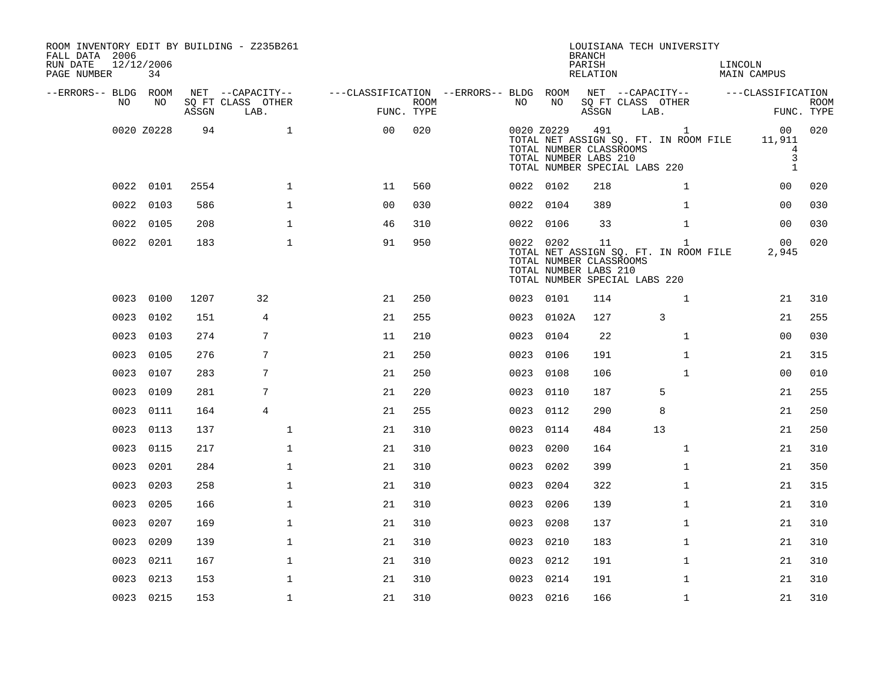| ROOM INVENTORY EDIT BY BUILDING - Z235B261<br>FALL DATA 2006<br>RUN DATE<br>PAGE NUMBER | 12/12/2006<br>34 |       |                                               |                                                      |             |           |            | <b>BRANCH</b><br>PARISH<br><b>RELATION</b>              | LOUISIANA TECH UNIVERSITY                                              |              | LINCOLN<br>MAIN CAMPUS                              |                           |
|-----------------------------------------------------------------------------------------|------------------|-------|-----------------------------------------------|------------------------------------------------------|-------------|-----------|------------|---------------------------------------------------------|------------------------------------------------------------------------|--------------|-----------------------------------------------------|---------------------------|
| --ERRORS-- BLDG ROOM<br>NO                                                              | NO               | ASSGN | NET --CAPACITY--<br>SQ FT CLASS OTHER<br>LAB. | ---CLASSIFICATION --ERRORS-- BLDG ROOM<br>FUNC. TYPE | <b>ROOM</b> | NO        | NO         | ASSGN                                                   | NET --CAPACITY--<br>SQ FT CLASS OTHER<br>LAB.                          |              | ---CLASSIFICATION                                   | <b>ROOM</b><br>FUNC. TYPE |
|                                                                                         | 0020 Z0228       | 94    | $\mathbf{1}$                                  | 0 <sub>0</sub>                                       | 020         |           | 0020 Z0229 | 491<br>TOTAL NUMBER CLASSROOMS<br>TOTAL NUMBER LABS 210 | TOTAL NET ASSIGN SQ. FT. IN ROOM FILE<br>TOTAL NUMBER SPECIAL LABS 220 | $\mathbf{1}$ | 00<br>11,911<br>$\overline{4}$<br>3<br>$\mathbf{1}$ | 020                       |
|                                                                                         | 0022 0101        | 2554  | $\mathbf 1$                                   | 11                                                   | 560         | 0022 0102 |            | 218                                                     |                                                                        | $\mathbf{1}$ | 00                                                  | 020                       |
| 0022                                                                                    | 0103             | 586   | $\mathbf{1}$                                  | 0 <sub>0</sub>                                       | 030         | 0022 0104 |            | 389                                                     |                                                                        | $\mathbf{1}$ | 0 <sub>0</sub>                                      | 030                       |
|                                                                                         | 0022 0105        | 208   | $\mathbf{1}$                                  | 46                                                   | 310         |           | 0022 0106  | 33                                                      |                                                                        | $\mathbf{1}$ | 0 <sub>0</sub>                                      | 030                       |
|                                                                                         | 0022 0201        | 183   | $\mathbf{1}$                                  | 91                                                   | 950         |           | 0022 0202  | 11<br>TOTAL NUMBER CLASSROOMS<br>TOTAL NUMBER LABS 210  | TOTAL NET ASSIGN SQ. FT. IN ROOM FILE<br>TOTAL NUMBER SPECIAL LABS 220 | $\mathbf{1}$ | 00<br>2,945                                         | 020                       |
|                                                                                         | 0023 0100        | 1207  | 32                                            | 21                                                   | 250         | 0023 0101 |            | 114                                                     |                                                                        | $\mathbf{1}$ | 21                                                  | 310                       |
| 0023                                                                                    | 0102             | 151   | 4                                             | 21                                                   | 255         |           | 0023 0102A | 127                                                     | 3                                                                      |              | 21                                                  | 255                       |
|                                                                                         | 0023 0103        | 274   | 7                                             | 11                                                   | 210         |           | 0023 0104  | 22                                                      |                                                                        | $\mathbf{1}$ | 0 <sub>0</sub>                                      | 030                       |
| 0023                                                                                    | 0105             | 276   | 7                                             | 21                                                   | 250         | 0023      | 0106       | 191                                                     |                                                                        | $\mathbf{1}$ | 21                                                  | 315                       |
| 0023                                                                                    | 0107             | 283   | 7                                             | 21                                                   | 250         |           | 0023 0108  | 106                                                     |                                                                        | $\mathbf{1}$ | 00                                                  | 010                       |
|                                                                                         | 0023 0109        | 281   | 7                                             | 21                                                   | 220         | 0023 0110 |            | 187                                                     | 5                                                                      |              | 21                                                  | 255                       |
|                                                                                         | 0023 0111        | 164   | $\overline{4}$                                | 21                                                   | 255         | 0023 0112 |            | 290                                                     | 8                                                                      |              | 21                                                  | 250                       |
|                                                                                         | 0023 0113        | 137   | $\mathbf{1}$                                  | 21                                                   | 310         | 0023 0114 |            | 484                                                     | 13                                                                     |              | 21                                                  | 250                       |
| 0023                                                                                    | 0115             | 217   | $\mathbf 1$                                   | 21                                                   | 310         | 0023      | 0200       | 164                                                     |                                                                        | $\mathbf{1}$ | 21                                                  | 310                       |
| 0023                                                                                    | 0201             | 284   | $\mathbf 1$                                   | 21                                                   | 310         | 0023 0202 |            | 399                                                     |                                                                        | $\mathbf{1}$ | 21                                                  | 350                       |
| 0023                                                                                    | 0203             | 258   | $\mathbf 1$                                   | 21                                                   | 310         | 0023      | 0204       | 322                                                     |                                                                        | $\mathbf{1}$ | 21                                                  | 315                       |
| 0023                                                                                    | 0205             | 166   | $\mathbf{1}$                                  | 21                                                   | 310         | 0023      | 0206       | 139                                                     |                                                                        | $\mathbf{1}$ | 21                                                  | 310                       |
| 0023                                                                                    | 0207             | 169   | $\mathbf{1}$                                  | 21                                                   | 310         | 0023      | 0208       | 137                                                     |                                                                        | $\mathbf{1}$ | 21                                                  | 310                       |
| 0023                                                                                    | 0209             | 139   | $\mathbf 1$                                   | 21                                                   | 310         | 0023 0210 |            | 183                                                     |                                                                        | $\mathbf{1}$ | 21                                                  | 310                       |
| 0023                                                                                    | 0211             | 167   | $\mathbf{1}$                                  | 21                                                   | 310         | 0023 0212 |            | 191                                                     |                                                                        | $\mathbf{1}$ | 21                                                  | 310                       |
| 0023                                                                                    | 0213             | 153   | $\mathbf{1}$                                  | 21                                                   | 310         |           | 0023 0214  | 191                                                     |                                                                        | $\mathbf{1}$ | 21                                                  | 310                       |
|                                                                                         | 0023 0215        | 153   | $\mathbf{1}$                                  | 21                                                   | 310         | 0023 0216 |            | 166                                                     |                                                                        | $\mathbf{1}$ | 21                                                  | 310                       |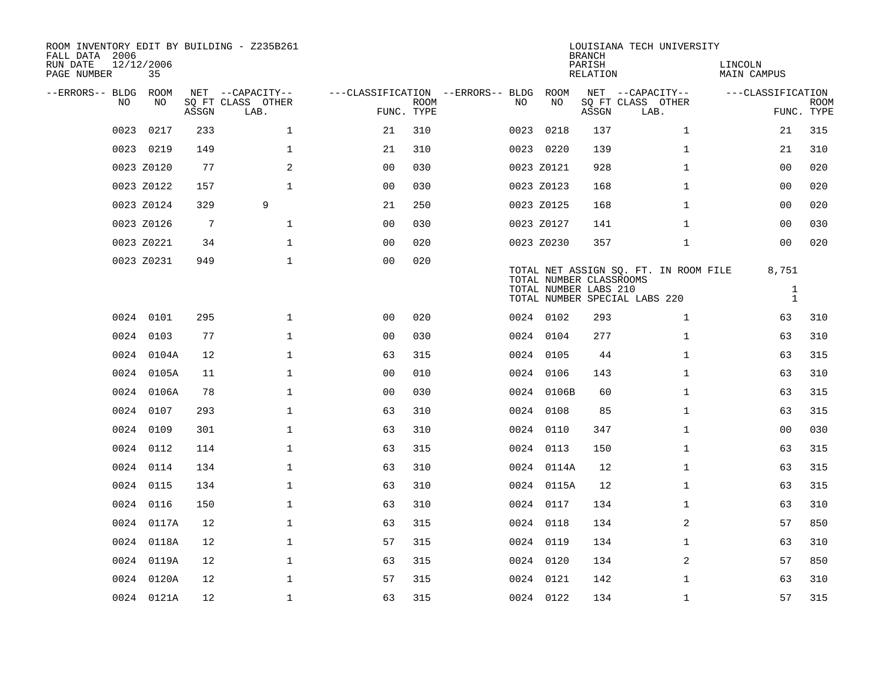| ROOM INVENTORY EDIT BY BUILDING - Z235B261<br>FALL DATA 2006 |                  |       |                           |                                        |             |      |            | <b>BRANCH</b>                                    | LOUISIANA TECH UNIVERSITY             |                        |                           |
|--------------------------------------------------------------|------------------|-------|---------------------------|----------------------------------------|-------------|------|------------|--------------------------------------------------|---------------------------------------|------------------------|---------------------------|
| RUN DATE<br>PAGE NUMBER                                      | 12/12/2006<br>35 |       |                           |                                        |             |      |            | PARISH<br>RELATION                               |                                       | LINCOLN<br>MAIN CAMPUS |                           |
| --ERRORS-- BLDG ROOM                                         |                  |       | NET --CAPACITY--          | ---CLASSIFICATION --ERRORS-- BLDG ROOM |             |      |            |                                                  | NET --CAPACITY--                      | ---CLASSIFICATION      |                           |
| NO.                                                          | NO.              | ASSGN | SQ FT CLASS OTHER<br>LAB. | FUNC. TYPE                             | <b>ROOM</b> | NO.  | NO         | ASSGN                                            | SQ FT CLASS OTHER<br>LAB.             |                        | <b>ROOM</b><br>FUNC. TYPE |
| 0023                                                         | 0217             | 233   | $\mathbf{1}$              | 21                                     | 310         | 0023 | 0218       | 137                                              | $\mathbf{1}$                          | 21                     | 315                       |
|                                                              | 0023 0219        | 149   | $\mathbf{1}$              | 21                                     | 310         |      | 0023 0220  | 139                                              | $\mathbf{1}$                          | 21                     | 310                       |
|                                                              | 0023 Z0120       | 77    | 2                         | 0 <sub>0</sub>                         | 030         |      | 0023 Z0121 | 928                                              | $\mathbf{1}$                          | 0 <sub>0</sub>         | 020                       |
|                                                              | 0023 Z0122       | 157   | $\mathbf 1$               | 00                                     | 030         |      | 0023 Z0123 | 168                                              | $\mathbf{1}$                          | 00                     | 020                       |
|                                                              | 0023 Z0124       | 329   | 9                         | 21                                     | 250         |      | 0023 Z0125 | 168                                              | $\mathbf{1}$                          | 0 <sub>0</sub>         | 020                       |
|                                                              | 0023 Z0126       | 7     | $\mathbf 1$               | 0 <sub>0</sub>                         | 030         |      | 0023 Z0127 | 141                                              | $\mathbf{1}$                          | 00                     | 030                       |
|                                                              | 0023 Z0221       | 34    | $\mathbf{1}$              | 0 <sub>0</sub>                         | 020         |      | 0023 Z0230 | 357                                              | $\mathbf{1}$                          | 0 <sub>0</sub>         | 020                       |
|                                                              | 0023 Z0231       | 949   | $\mathbf{1}$              | 0 <sub>0</sub>                         | 020         |      |            |                                                  | TOTAL NET ASSIGN SQ. FT. IN ROOM FILE | 8,751                  |                           |
|                                                              |                  |       |                           |                                        |             |      |            | TOTAL NUMBER CLASSROOMS<br>TOTAL NUMBER LABS 210 |                                       | $\mathbf{1}$           |                           |
|                                                              |                  |       |                           |                                        |             |      |            |                                                  | TOTAL NUMBER SPECIAL LABS 220         | $\mathbf{1}$           |                           |
|                                                              | 0024 0101        | 295   | $\mathbf{1}$              | 0 <sub>0</sub>                         | 020         |      | 0024 0102  | 293                                              | $\mathbf{1}$                          | 63                     | 310                       |
|                                                              | 0024 0103        | 77    | $\mathbf 1$               | 0 <sub>0</sub>                         | 030         |      | 0024 0104  | 277                                              | $\mathbf{1}$                          | 63                     | 310                       |
|                                                              | 0024 0104A       | 12    | $\mathbf 1$               | 63                                     | 315         |      | 0024 0105  | 44                                               | $\mathbf{1}$                          | 63                     | 315                       |
|                                                              | 0024 0105A       | 11    | $\mathbf 1$               | 0 <sub>0</sub>                         | 010         |      | 0024 0106  | 143                                              | $\mathbf{1}$                          | 63                     | 310                       |
|                                                              | 0024 0106A       | 78    | $\mathbf 1$               | 0 <sub>0</sub>                         | 030         |      | 0024 0106B | 60                                               | $\mathbf{1}$                          | 63                     | 315                       |
|                                                              | 0024 0107        | 293   | $\mathbf{1}$              | 63                                     | 310         |      | 0024 0108  | 85                                               | $\mathbf{1}$                          | 63                     | 315                       |
| 0024                                                         | 0109             | 301   | $\mathbf 1$               | 63                                     | 310         |      | 0024 0110  | 347                                              | $\mathbf{1}$                          | 00                     | 030                       |
|                                                              | 0024 0112        | 114   | $\mathbf 1$               | 63                                     | 315         |      | 0024 0113  | 150                                              | $\mathbf{1}$                          | 63                     | 315                       |
|                                                              | 0024 0114        | 134   | $\mathbf 1$               | 63                                     | 310         |      | 0024 0114A | 12                                               | $\mathbf{1}$                          | 63                     | 315                       |
|                                                              | 0024 0115        | 134   | $\mathbf{1}$              | 63                                     | 310         |      | 0024 0115A | 12                                               | $\mathbf{1}$                          | 63                     | 315                       |
|                                                              | 0024 0116        | 150   | $\mathbf{1}$              | 63                                     | 310         |      | 0024 0117  | 134                                              | $\mathbf{1}$                          | 63                     | 310                       |
|                                                              | 0024 0117A       | 12    | $\mathbf 1$               | 63                                     | 315         |      | 0024 0118  | 134                                              | 2                                     | 57                     | 850                       |
|                                                              | 0024 0118A       | 12    | $\mathbf 1$               | 57                                     | 315         |      | 0024 0119  | 134                                              | $\mathbf{1}$                          | 63                     | 310                       |
|                                                              | 0024 0119A       | 12    | $\mathbf 1$               | 63                                     | 315         |      | 0024 0120  | 134                                              | 2                                     | 57                     | 850                       |
|                                                              | 0024 0120A       | 12    | $\mathbf{1}$              | 57                                     | 315         |      | 0024 0121  | 142                                              | $\mathbf{1}$                          | 63                     | 310                       |
|                                                              | 0024 0121A       | 12    | $\mathbf{1}$              | 63                                     | 315         |      | 0024 0122  | 134                                              | $\mathbf{1}$                          | 57                     | 315                       |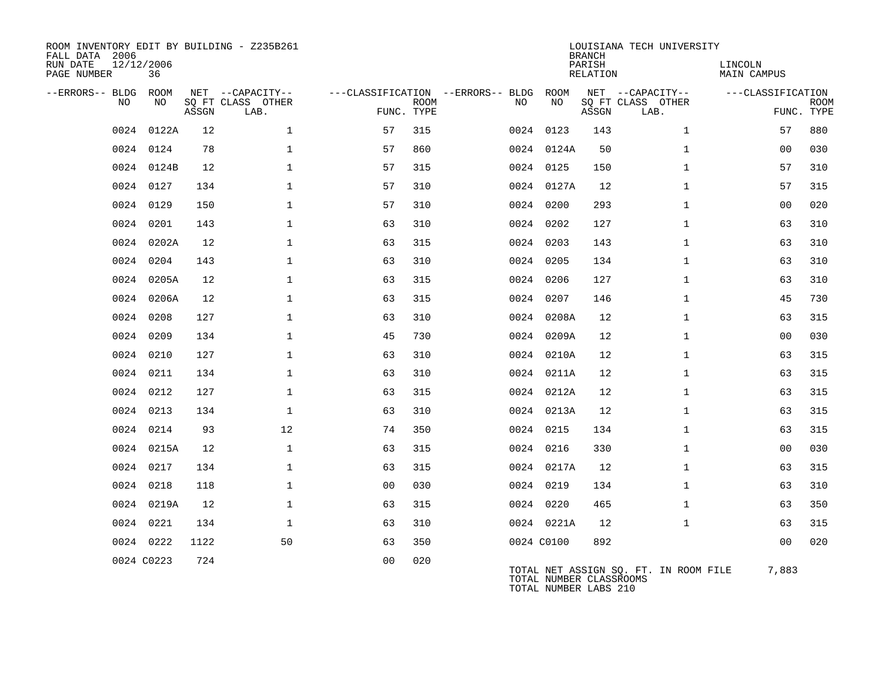| ROOM INVENTORY EDIT BY BUILDING - Z235B261<br>FALL DATA 2006<br>RUN DATE<br>PAGE NUMBER | 12/12/2006<br>36 |       |                           |                |             |                                   |                                                  | <b>BRANCH</b><br>PARISH<br>RELATION | LOUISIANA TECH UNIVERSITY             | LINCOLN<br>MAIN CAMPUS |                           |
|-----------------------------------------------------------------------------------------|------------------|-------|---------------------------|----------------|-------------|-----------------------------------|--------------------------------------------------|-------------------------------------|---------------------------------------|------------------------|---------------------------|
| --ERRORS-- BLDG ROOM                                                                    | NO               |       | NET --CAPACITY--          |                |             | ---CLASSIFICATION --ERRORS-- BLDG | ROOM<br>NO                                       |                                     | NET --CAPACITY--                      | ---CLASSIFICATION      |                           |
| NO                                                                                      |                  | ASSGN | SQ FT CLASS OTHER<br>LAB. | FUNC. TYPE     | <b>ROOM</b> | NO.                               |                                                  | ASSGN                               | SQ FT CLASS OTHER<br>LAB.             |                        | <b>ROOM</b><br>FUNC. TYPE |
| 0024                                                                                    | 0122A            | 12    | $\mathbf 1$               | 57             | 315         |                                   | 0024 0123                                        | 143                                 | $\mathbf{1}$                          | 57                     | 880                       |
|                                                                                         | 0024 0124        | 78    | $\mathbf{1}$              | 57             | 860         |                                   | 0024 0124A                                       | 50                                  | $\mathbf{1}$                          | 0 <sub>0</sub>         | 030                       |
|                                                                                         | 0024 0124B       | 12    | $\mathbf 1$               | 57             | 315         |                                   | 0024 0125                                        | 150                                 | $\mathbf{1}$                          | 57                     | 310                       |
|                                                                                         | 0024 0127        | 134   | $\mathbf{1}$              | 57             | 310         |                                   | 0024 0127A                                       | 12                                  | $\mathbf{1}$                          | 57                     | 315                       |
|                                                                                         | 0024 0129        | 150   | $\mathbf{1}$              | 57             | 310         |                                   | 0024 0200                                        | 293                                 | $\mathbf{1}$                          | 00                     | 020                       |
|                                                                                         | 0024 0201        | 143   | $\mathbf{1}$              | 63             | 310         |                                   | 0024 0202                                        | 127                                 | $\mathbf{1}$                          | 63                     | 310                       |
|                                                                                         | 0024 0202A       | 12    | $\mathbf{1}$              | 63             | 315         |                                   | 0024 0203                                        | 143                                 | $\mathbf{1}$                          | 63                     | 310                       |
| 0024                                                                                    | 0204             | 143   | $\mathbf 1$               | 63             | 310         |                                   | 0024 0205                                        | 134                                 | $\mathbf{1}$                          | 63                     | 310                       |
|                                                                                         | 0024 0205A       | 12    | $\mathbf 1$               | 63             | 315         |                                   | 0024 0206                                        | 127                                 | $\mathbf{1}$                          | 63                     | 310                       |
|                                                                                         | 0024 0206A       | 12    | $\mathbf 1$               | 63             | 315         |                                   | 0024 0207                                        | 146                                 | $\mathbf{1}$                          | 45                     | 730                       |
|                                                                                         | 0024 0208        | 127   | $\mathbf{1}$              | 63             | 310         |                                   | 0024 0208A                                       | 12                                  | $\mathbf{1}$                          | 63                     | 315                       |
|                                                                                         | 0024 0209        | 134   | $\mathbf 1$               | 45             | 730         |                                   | 0024 0209A                                       | 12                                  | $\mathbf{1}$                          | 0 <sub>0</sub>         | 030                       |
|                                                                                         | 0024 0210        | 127   | $\mathbf{1}$              | 63             | 310         |                                   | 0024 0210A                                       | 12                                  | $\mathbf{1}$                          | 63                     | 315                       |
|                                                                                         | 0024 0211        | 134   | $\mathbf{1}$              | 63             | 310         |                                   | 0024 0211A                                       | 12                                  | $\mathbf{1}$                          | 63                     | 315                       |
| 0024                                                                                    | 0212             | 127   | $\mathbf{1}$              | 63             | 315         |                                   | 0024 0212A                                       | 12                                  | $\mathbf{1}$                          | 63                     | 315                       |
|                                                                                         | 0024 0213        | 134   | $\mathbf{1}$              | 63             | 310         |                                   | 0024 0213A                                       | 12                                  | $\mathbf{1}$                          | 63                     | 315                       |
|                                                                                         | 0024 0214        | 93    | 12                        | 74             | 350         |                                   | 0024 0215                                        | 134                                 | $\mathbf{1}$                          | 63                     | 315                       |
|                                                                                         | 0024 0215A       | 12    | $\mathbf{1}$              | 63             | 315         |                                   | 0024 0216                                        | 330                                 | $\mathbf{1}$                          | 0 <sub>0</sub>         | 030                       |
|                                                                                         | 0024 0217        | 134   | $\mathbf{1}$              | 63             | 315         |                                   | 0024 0217A                                       | 12                                  | $\mathbf{1}$                          | 63                     | 315                       |
|                                                                                         | 0024 0218        | 118   | $\mathbf{1}$              | 0 <sub>0</sub> | 030         |                                   | 0024 0219                                        | 134                                 | $\mathbf{1}$                          | 63                     | 310                       |
|                                                                                         | 0024 0219A       | 12    | $\mathbf{1}$              | 63             | 315         |                                   | 0024 0220                                        | 465                                 | $\mathbf{1}$                          | 63                     | 350                       |
|                                                                                         | 0024 0221        | 134   | $\mathbf 1$               | 63             | 310         |                                   | 0024 0221A                                       | 12                                  | $\mathbf{1}$                          | 63                     | 315                       |
|                                                                                         | 0024 0222        | 1122  | 50                        | 63             | 350         |                                   | 0024 C0100                                       | 892                                 |                                       | 0 <sub>0</sub>         | 020                       |
|                                                                                         | 0024 C0223       | 724   |                           | 0 <sub>0</sub> | 020         |                                   | TOTAL NUMBER CLASSROOMS<br>TOTAL NUMBER LABS 210 |                                     | TOTAL NET ASSIGN SQ. FT. IN ROOM FILE | 7,883                  |                           |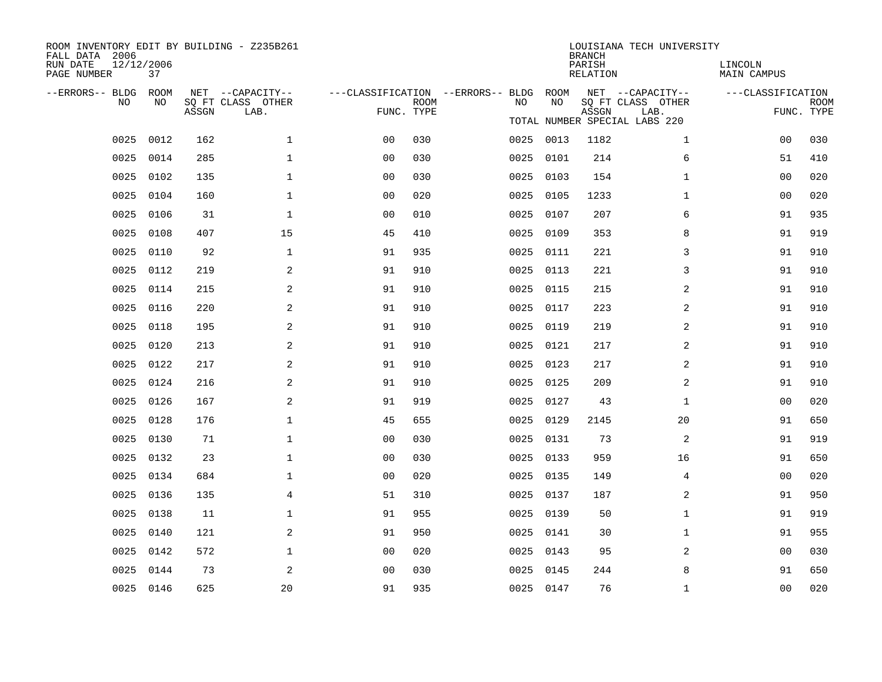| ROOM INVENTORY EDIT BY BUILDING - Z235B261<br>FALL DATA 2006<br>RUN DATE<br>PAGE NUMBER | 12/12/2006<br>37 |       |                   |                |             |                                   |           | <b>BRANCH</b><br>PARISH<br>RELATION | LOUISIANA TECH UNIVERSITY             | LINCOLN<br><b>MAIN CAMPUS</b> |             |
|-----------------------------------------------------------------------------------------|------------------|-------|-------------------|----------------|-------------|-----------------------------------|-----------|-------------------------------------|---------------------------------------|-------------------------------|-------------|
| --ERRORS-- BLDG                                                                         | ROOM             |       | NET --CAPACITY--  |                |             | ---CLASSIFICATION --ERRORS-- BLDG | ROOM      |                                     | NET --CAPACITY--                      | ---CLASSIFICATION             |             |
| NO                                                                                      | NO               |       | SQ FT CLASS OTHER |                | <b>ROOM</b> | NO.                               | NO        |                                     | SQ FT CLASS OTHER                     |                               | <b>ROOM</b> |
|                                                                                         |                  | ASSGN | LAB.              | FUNC. TYPE     |             |                                   |           | ASSGN                               | LAB.<br>TOTAL NUMBER SPECIAL LABS 220 |                               | FUNC. TYPE  |
| 0025                                                                                    | 0012             | 162   | $\mathbf 1$       | 0 <sub>0</sub> | 030         |                                   | 0025 0013 | 1182                                | $\mathbf{1}$                          | 0 <sub>0</sub>                | 030         |
| 0025                                                                                    | 0014             | 285   | $\mathbf 1$       | 00             | 030         | 0025                              | 0101      | 214                                 | 6                                     | 51                            | 410         |
| 0025                                                                                    | 0102             | 135   | $\mathbf{1}$      | 0 <sub>0</sub> | 030         |                                   | 0025 0103 | 154                                 | $\mathbf{1}$                          | 0 <sub>0</sub>                | 020         |
| 0025                                                                                    | 0104             | 160   | $\mathbf{1}$      | 0 <sub>0</sub> | 020         |                                   | 0025 0105 | 1233                                | $\mathbf{1}$                          | 00                            | 020         |
| 0025                                                                                    | 0106             | 31    | $\mathbf{1}$      | 0 <sub>0</sub> | 010         |                                   | 0025 0107 | 207                                 | 6                                     | 91                            | 935         |
| 0025                                                                                    | 0108             | 407   | 15                | 45             | 410         |                                   | 0025 0109 | 353                                 | 8                                     | 91                            | 919         |
| 0025                                                                                    | 0110             | 92    | $\mathbf{1}$      | 91             | 935         |                                   | 0025 0111 | 221                                 | 3                                     | 91                            | 910         |
| 0025                                                                                    | 0112             | 219   | 2                 | 91             | 910         | 0025                              | 0113      | 221                                 | 3                                     | 91                            | 910         |
| 0025                                                                                    | 0114             | 215   | 2                 | 91             | 910         | 0025                              | 0115      | 215                                 | $\overline{a}$                        | 91                            | 910         |
| 0025                                                                                    | 0116             | 220   | 2                 | 91             | 910         |                                   | 0025 0117 | 223                                 | 2                                     | 91                            | 910         |
| 0025                                                                                    | 0118             | 195   | 2                 | 91             | 910         | 0025                              | 0119      | 219                                 | 2                                     | 91                            | 910         |
| 0025                                                                                    | 0120             | 213   | 2                 | 91             | 910         |                                   | 0025 0121 | 217                                 | 2                                     | 91                            | 910         |
| 0025                                                                                    | 0122             | 217   | 2                 | 91             | 910         | 0025                              | 0123      | 217                                 | 2                                     | 91                            | 910         |
| 0025                                                                                    | 0124             | 216   | 2                 | 91             | 910         |                                   | 0025 0125 | 209                                 | 2                                     | 91                            | 910         |
| 0025                                                                                    | 0126             | 167   | 2                 | 91             | 919         | 0025                              | 0127      | 43                                  | $\mathbf{1}$                          | 0 <sub>0</sub>                | 020         |
| 0025                                                                                    | 0128             | 176   | $\mathbf{1}$      | 45             | 655         |                                   | 0025 0129 | 2145                                | 20                                    | 91                            | 650         |
| 0025                                                                                    | 0130             | 71    | $\mathbf{1}$      | 0 <sub>0</sub> | 030         | 0025                              | 0131      | 73                                  | 2                                     | 91                            | 919         |
| 0025                                                                                    | 0132             | 23    | $\mathbf{1}$      | 0 <sub>0</sub> | 030         |                                   | 0025 0133 | 959                                 | 16                                    | 91                            | 650         |
| 0025                                                                                    | 0134             | 684   | $\mathbf{1}$      | 0 <sub>0</sub> | 020         |                                   | 0025 0135 | 149                                 | $\overline{4}$                        | 0 <sub>0</sub>                | 020         |
| 0025                                                                                    | 0136             | 135   | 4                 | 51             | 310         |                                   | 0025 0137 | 187                                 | 2                                     | 91                            | 950         |
| 0025                                                                                    | 0138             | 11    | $\mathbf 1$       | 91             | 955         | 0025                              | 0139      | 50                                  | $\mathbf{1}$                          | 91                            | 919         |
| 0025                                                                                    | 0140             | 121   | 2                 | 91             | 950         |                                   | 0025 0141 | 30                                  | $\mathbf{1}$                          | 91                            | 955         |
| 0025                                                                                    | 0142             | 572   | $\mathbf 1$       | 0 <sub>0</sub> | 020         |                                   | 0025 0143 | 95                                  | 2                                     | 00                            | 030         |
| 0025                                                                                    | 0144             | 73    | 2                 | 0 <sub>0</sub> | 030         |                                   | 0025 0145 | 244                                 | 8                                     | 91                            | 650         |
|                                                                                         | 0025 0146        | 625   | 20                | 91             | 935         |                                   | 0025 0147 | 76                                  | $\mathbf{1}$                          | 0 <sub>0</sub>                | 020         |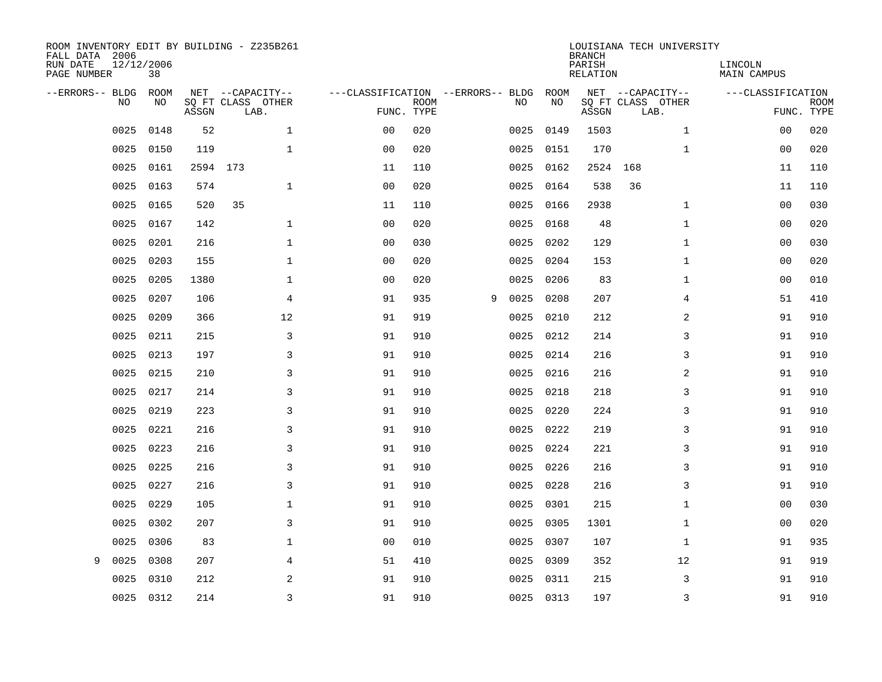| ROOM INVENTORY EDIT BY BUILDING - Z235B261<br>FALL DATA 2006<br>RUN DATE<br>PAGE NUMBER | 12/12/2006<br>38 |          |                                               |                                   |                           |   |      |            | <b>BRANCH</b><br>PARISH<br><b>RELATION</b> | LOUISIANA TECH UNIVERSITY                     | LINCOLN<br><b>MAIN CAMPUS</b> |                           |
|-----------------------------------------------------------------------------------------|------------------|----------|-----------------------------------------------|-----------------------------------|---------------------------|---|------|------------|--------------------------------------------|-----------------------------------------------|-------------------------------|---------------------------|
| --ERRORS-- BLDG<br>NO                                                                   | ROOM<br>NO       | ASSGN    | NET --CAPACITY--<br>SQ FT CLASS OTHER<br>LAB. | ---CLASSIFICATION --ERRORS-- BLDG | <b>ROOM</b><br>FUNC. TYPE |   | NO   | ROOM<br>NO | ASSGN                                      | NET --CAPACITY--<br>SQ FT CLASS OTHER<br>LAB. | ---CLASSIFICATION             | <b>ROOM</b><br>FUNC. TYPE |
| 0025                                                                                    | 0148             | 52       | $\mathbf{1}$                                  | 0 <sub>0</sub>                    | 020                       |   | 0025 | 0149       | 1503                                       | $\mathbf{1}$                                  | 0 <sub>0</sub>                | 020                       |
| 0025                                                                                    | 0150             | 119      | $\mathbf{1}$                                  | 0 <sub>0</sub>                    | 020                       |   | 0025 | 0151       | 170                                        | $\mathbf{1}$                                  | 0 <sub>0</sub>                | 020                       |
| 0025                                                                                    | 0161             | 2594 173 |                                               | 11                                | 110                       |   | 0025 | 0162       | 2524                                       | 168                                           | 11                            | 110                       |
| 0025                                                                                    | 0163             | 574      | $\mathbf{1}$                                  | 0 <sub>0</sub>                    | 020                       |   | 0025 | 0164       | 538                                        | 36                                            | 11                            | 110                       |
| 0025                                                                                    | 0165             | 520      | 35                                            | 11                                | 110                       |   | 0025 | 0166       | 2938                                       | $\mathbf{1}$                                  | 0 <sub>0</sub>                | 030                       |
| 0025                                                                                    | 0167             | 142      | $\mathbf{1}$                                  | 0 <sub>0</sub>                    | 020                       |   | 0025 | 0168       | 48                                         | $\mathbf{1}$                                  | 0 <sub>0</sub>                | 020                       |
| 0025                                                                                    | 0201             | 216      | $\mathbf 1$                                   | 0 <sub>0</sub>                    | 030                       |   | 0025 | 0202       | 129                                        | $\mathbf{1}$                                  | 00                            | 030                       |
| 0025                                                                                    | 0203             | 155      | 1                                             | 0 <sub>0</sub>                    | 020                       |   | 0025 | 0204       | 153                                        | $\mathbf{1}$                                  | 00                            | 020                       |
| 0025                                                                                    | 0205             | 1380     | $\mathbf{1}$                                  | 0 <sub>0</sub>                    | 020                       |   | 0025 | 0206       | 83                                         | $\mathbf{1}$                                  | 00                            | 010                       |
| 0025                                                                                    | 0207             | 106      | 4                                             | 91                                | 935                       | 9 | 0025 | 0208       | 207                                        | 4                                             | 51                            | 410                       |
| 0025                                                                                    | 0209             | 366      | 12                                            | 91                                | 919                       |   | 0025 | 0210       | 212                                        | 2                                             | 91                            | 910                       |
| 0025                                                                                    | 0211             | 215      | 3                                             | 91                                | 910                       |   | 0025 | 0212       | 214                                        | 3                                             | 91                            | 910                       |
| 0025                                                                                    | 0213             | 197      | 3                                             | 91                                | 910                       |   | 0025 | 0214       | 216                                        | 3                                             | 91                            | 910                       |
| 0025                                                                                    | 0215             | 210      | 3                                             | 91                                | 910                       |   | 0025 | 0216       | 216                                        | 2                                             | 91                            | 910                       |
| 0025                                                                                    | 0217             | 214      | 3                                             | 91                                | 910                       |   | 0025 | 0218       | 218                                        | 3                                             | 91                            | 910                       |
| 0025                                                                                    | 0219             | 223      | 3                                             | 91                                | 910                       |   | 0025 | 0220       | 224                                        | 3                                             | 91                            | 910                       |
| 0025                                                                                    | 0221             | 216      | 3                                             | 91                                | 910                       |   | 0025 | 0222       | 219                                        | 3                                             | 91                            | 910                       |
| 0025                                                                                    | 0223             | 216      | 3                                             | 91                                | 910                       |   | 0025 | 0224       | 221                                        | 3                                             | 91                            | 910                       |
| 0025                                                                                    | 0225             | 216      | 3                                             | 91                                | 910                       |   | 0025 | 0226       | 216                                        | 3                                             | 91                            | 910                       |
| 0025                                                                                    | 0227             | 216      | $\mathsf{3}$                                  | 91                                | 910                       |   | 0025 | 0228       | 216                                        | 3                                             | 91                            | 910                       |
| 0025                                                                                    | 0229             | 105      | $\mathbf 1$                                   | 91                                | 910                       |   | 0025 | 0301       | 215                                        | $\mathbf{1}$                                  | 0 <sub>0</sub>                | 030                       |
| 0025                                                                                    | 0302             | 207      | 3                                             | 91                                | 910                       |   | 0025 | 0305       | 1301                                       | $\mathbf{1}$                                  | 00                            | 020                       |
| 0025                                                                                    | 0306             | 83       | $\mathbf 1$                                   | 0 <sub>0</sub>                    | 010                       |   | 0025 | 0307       | 107                                        | $\mathbf{1}$                                  | 91                            | 935                       |
| 0025<br>9                                                                               | 0308             | 207      | 4                                             | 51                                | 410                       |   | 0025 | 0309       | 352                                        | 12                                            | 91                            | 919                       |
| 0025                                                                                    | 0310             | 212      | 2                                             | 91                                | 910                       |   | 0025 | 0311       | 215                                        | 3                                             | 91                            | 910                       |
|                                                                                         | 0025 0312        | 214      | $\overline{3}$                                | 91                                | 910                       |   |      | 0025 0313  | 197                                        | 3                                             | 91                            | 910                       |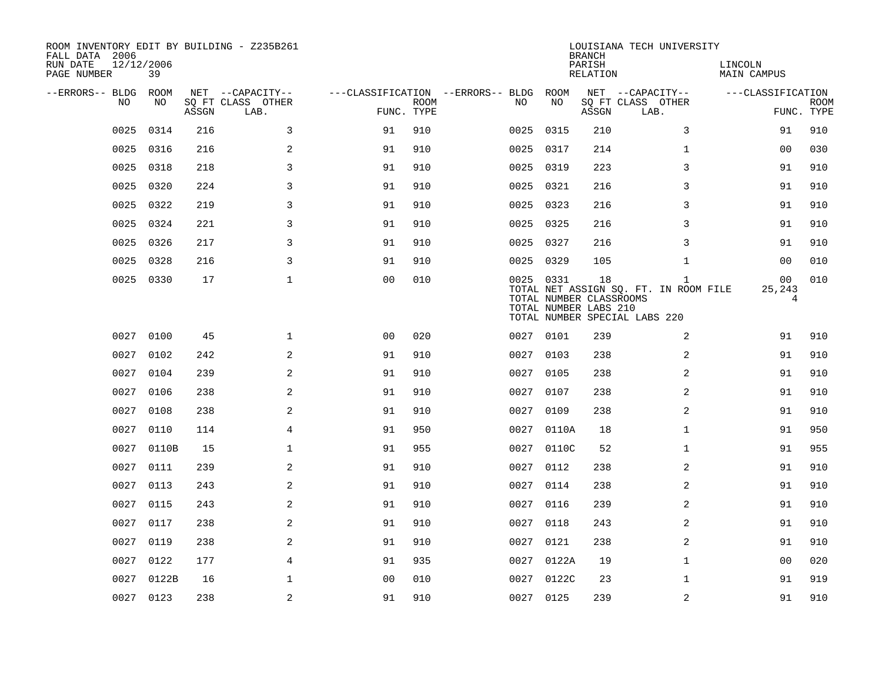| ROOM INVENTORY EDIT BY BUILDING - Z235B261<br>FALL DATA 2006 |            |       |                           |                                        |             |           |            | <b>BRANCH</b>                                          | LOUISIANA TECH UNIVERSITY                                                              |                                            |                           |
|--------------------------------------------------------------|------------|-------|---------------------------|----------------------------------------|-------------|-----------|------------|--------------------------------------------------------|----------------------------------------------------------------------------------------|--------------------------------------------|---------------------------|
| 12/12/2006<br>RUN DATE<br>PAGE NUMBER                        | 39         |       |                           |                                        |             |           |            | PARISH<br>RELATION                                     |                                                                                        | LINCOLN<br>MAIN CAMPUS                     |                           |
| --ERRORS-- BLDG ROOM                                         |            |       | NET --CAPACITY--          | ---CLASSIFICATION --ERRORS-- BLDG ROOM |             |           |            |                                                        | NET --CAPACITY--                                                                       | ---CLASSIFICATION                          |                           |
| NO.                                                          | NO.        | ASSGN | SQ FT CLASS OTHER<br>LAB. | FUNC. TYPE                             | <b>ROOM</b> | NO.       | NO         | ASSGN                                                  | SQ FT CLASS OTHER<br>LAB.                                                              |                                            | <b>ROOM</b><br>FUNC. TYPE |
| 0025                                                         | 0314       | 216   | 3                         | 91                                     | 910         | 0025      | 0315       | 210                                                    | 3                                                                                      | 91                                         | 910                       |
| 0025                                                         | 0316       | 216   | 2                         | 91                                     | 910         | 0025 0317 |            | 214                                                    | $\mathbf{1}$                                                                           | 00                                         | 030                       |
| 0025                                                         | 0318       | 218   | 3                         | 91                                     | 910         | 0025 0319 |            | 223                                                    | 3                                                                                      | 91                                         | 910                       |
| 0025                                                         | 0320       | 224   | 3                         | 91                                     | 910         | 0025 0321 |            | 216                                                    | 3                                                                                      | 91                                         | 910                       |
| 0025                                                         | 0322       | 219   | 3                         | 91                                     | 910         | 0025 0323 |            | 216                                                    | 3                                                                                      | 91                                         | 910                       |
| 0025                                                         | 0324       | 221   | 3                         | 91                                     | 910         | 0025 0325 |            | 216                                                    | 3                                                                                      | 91                                         | 910                       |
| 0025                                                         | 0326       | 217   | $\mathsf{3}$              | 91                                     | 910         | 0025 0327 |            | 216                                                    | 3                                                                                      | 91                                         | 910                       |
| 0025                                                         | 0328       | 216   | 3                         | 91                                     | 910         | 0025 0329 |            | 105                                                    | $\mathbf{1}$                                                                           | 00                                         | 010                       |
| 0025                                                         | 0330       | 17    | $\mathbf{1}$              | 0 <sub>0</sub>                         | 010         | 0025 0331 |            | 18<br>TOTAL NUMBER CLASSROOMS<br>TOTAL NUMBER LABS 210 | $\mathbf{1}$<br>TOTAL NET ASSIGN SQ. FT. IN ROOM FILE<br>TOTAL NUMBER SPECIAL LABS 220 | 0 <sub>0</sub><br>25,243<br>$\overline{4}$ | 010                       |
|                                                              | 0027 0100  | 45    | $\mathbf 1$               | 0 <sub>0</sub>                         | 020         | 0027 0101 |            | 239                                                    | 2                                                                                      | 91                                         | 910                       |
| 0027                                                         | 0102       | 242   | 2                         | 91                                     | 910         | 0027      | 0103       | 238                                                    | 2                                                                                      | 91                                         | 910                       |
|                                                              | 0027 0104  | 239   | 2                         | 91                                     | 910         | 0027 0105 |            | 238                                                    | 2                                                                                      | 91                                         | 910                       |
| 0027                                                         | 0106       | 238   | 2                         | 91                                     | 910         | 0027      | 0107       | 238                                                    | 2                                                                                      | 91                                         | 910                       |
| 0027                                                         | 0108       | 238   | 2                         | 91                                     | 910         | 0027 0109 |            | 238                                                    | $\overline{a}$                                                                         | 91                                         | 910                       |
| 0027                                                         | 0110       | 114   | 4                         | 91                                     | 950         |           | 0027 0110A | 18                                                     | $\mathbf{1}$                                                                           | 91                                         | 950                       |
| 0027                                                         | 0110B      | 15    | $\mathbf 1$               | 91                                     | 955         |           | 0027 0110C | 52                                                     | $\mathbf{1}$                                                                           | 91                                         | 955                       |
| 0027                                                         | 0111       | 239   | 2                         | 91                                     | 910         | 0027 0112 |            | 238                                                    | 2                                                                                      | 91                                         | 910                       |
| 0027                                                         | 0113       | 243   | 2                         | 91                                     | 910         | 0027 0114 |            | 238                                                    | 2                                                                                      | 91                                         | 910                       |
| 0027                                                         | 0115       | 243   | 2                         | 91                                     | 910         | 0027 0116 |            | 239                                                    | $\overline{2}$                                                                         | 91                                         | 910                       |
| 0027                                                         | 0117       | 238   | 2                         | 91                                     | 910         | 0027      | 0118       | 243                                                    | 2                                                                                      | 91                                         | 910                       |
| 0027                                                         | 0119       | 238   | 2                         | 91                                     | 910         | 0027 0121 |            | 238                                                    | 2                                                                                      | 91                                         | 910                       |
| 0027                                                         | 0122       | 177   | 4                         | 91                                     | 935         |           | 0027 0122A | 19                                                     | $\mathbf{1}$                                                                           | 00                                         | 020                       |
|                                                              | 0027 0122B | 16    | $\mathbf 1$               | 0 <sub>0</sub>                         | 010         |           | 0027 0122C | 23                                                     | $\mathbf{1}$                                                                           | 91                                         | 919                       |
|                                                              | 0027 0123  | 238   | $\sqrt{2}$                | 91                                     | 910         | 0027 0125 |            | 239                                                    | $\mathbf 2$                                                                            | 91                                         | 910                       |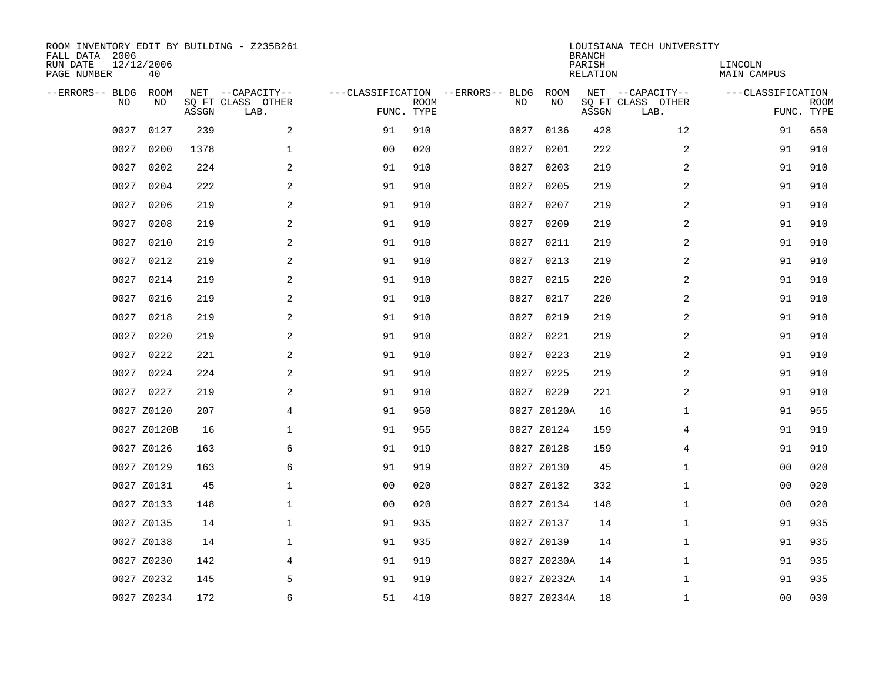| ROOM INVENTORY EDIT BY BUILDING - Z235B261<br>FALL DATA 2006<br>RUN DATE<br>PAGE NUMBER | 12/12/2006<br>40 |       |                                               |                |             |                                         |             | <b>BRANCH</b><br>PARISH<br><b>RELATION</b> | LOUISIANA TECH UNIVERSITY                     | LINCOLN<br><b>MAIN CAMPUS</b>   |             |
|-----------------------------------------------------------------------------------------|------------------|-------|-----------------------------------------------|----------------|-------------|-----------------------------------------|-------------|--------------------------------------------|-----------------------------------------------|---------------------------------|-------------|
| --ERRORS-- BLDG<br>NO                                                                   | ROOM<br>NO       | ASSGN | NET --CAPACITY--<br>SQ FT CLASS OTHER<br>LAB. | FUNC. TYPE     | <b>ROOM</b> | ---CLASSIFICATION --ERRORS-- BLDG<br>NO | ROOM<br>NO  | ASSGN                                      | NET --CAPACITY--<br>SQ FT CLASS OTHER<br>LAB. | ---CLASSIFICATION<br>FUNC. TYPE | <b>ROOM</b> |
| 0027                                                                                    | 0127             | 239   | 2                                             | 91             | 910         | 0027                                    | 0136        | 428                                        | 12                                            | 91                              | 650         |
| 0027                                                                                    | 0200             | 1378  | $\mathbf 1$                                   | 0 <sub>0</sub> | 020         | 0027                                    | 0201        | 222                                        | 2                                             | 91                              | 910         |
| 0027                                                                                    | 0202             | 224   | 2                                             | 91             | 910         | 0027                                    | 0203        | 219                                        | 2                                             | 91                              | 910         |
| 0027                                                                                    | 0204             | 222   | 2                                             | 91             | 910         | 0027                                    | 0205        | 219                                        | 2                                             | 91                              | 910         |
| 0027                                                                                    | 0206             | 219   | 2                                             | 91             | 910         | 0027                                    | 0207        | 219                                        | $\overline{a}$                                | 91                              | 910         |
| 0027                                                                                    | 0208             | 219   | 2                                             | 91             | 910         | 0027                                    | 0209        | 219                                        | 2                                             | 91                              | 910         |
| 0027                                                                                    | 0210             | 219   | 2                                             | 91             | 910         | 0027                                    | 0211        | 219                                        | $\overline{a}$                                | 91                              | 910         |
| 0027                                                                                    | 0212             | 219   | $\mathbf{2}$                                  | 91             | 910         | 0027                                    | 0213        | 219                                        | 2                                             | 91                              | 910         |
| 0027                                                                                    | 0214             | 219   | 2                                             | 91             | 910         | 0027                                    | 0215        | 220                                        | 2                                             | 91                              | 910         |
| 0027                                                                                    | 0216             | 219   | 2                                             | 91             | 910         | 0027                                    | 0217        | 220                                        | 2                                             | 91                              | 910         |
| 0027                                                                                    | 0218             | 219   | 2                                             | 91             | 910         | 0027                                    | 0219        | 219                                        | 2                                             | 91                              | 910         |
| 0027                                                                                    | 0220             | 219   | 2                                             | 91             | 910         |                                         | 0027 0221   | 219                                        | 2                                             | 91                              | 910         |
| 0027                                                                                    | 0222             | 221   | 2                                             | 91             | 910         | 0027                                    | 0223        | 219                                        | 2                                             | 91                              | 910         |
|                                                                                         | 0027 0224        | 224   | 2                                             | 91             | 910         |                                         | 0027 0225   | 219                                        | 2                                             | 91                              | 910         |
|                                                                                         | 0027 0227        | 219   | 2                                             | 91             | 910         |                                         | 0027 0229   | 221                                        | 2                                             | 91                              | 910         |
|                                                                                         | 0027 Z0120       | 207   | 4                                             | 91             | 950         |                                         | 0027 Z0120A | 16                                         | $\mathbf{1}$                                  | 91                              | 955         |
|                                                                                         | 0027 Z0120B      | 16    | 1                                             | 91             | 955         |                                         | 0027 Z0124  | 159                                        | 4                                             | 91                              | 919         |
|                                                                                         | 0027 Z0126       | 163   | 6                                             | 91             | 919         |                                         | 0027 Z0128  | 159                                        | 4                                             | 91                              | 919         |
|                                                                                         | 0027 Z0129       | 163   | 6                                             | 91             | 919         |                                         | 0027 Z0130  | 45                                         | $\mathbf{1}$                                  | 00                              | 020         |
|                                                                                         | 0027 Z0131       | 45    | $\mathbf 1$                                   | 0 <sub>0</sub> | 020         |                                         | 0027 Z0132  | 332                                        | $\mathbf{1}$                                  | 00                              | 020         |
|                                                                                         | 0027 Z0133       | 148   | $\mathbf{1}$                                  | 0 <sub>0</sub> | 020         |                                         | 0027 Z0134  | 148                                        | $\mathbf{1}$                                  | 00                              | 020         |
|                                                                                         | 0027 Z0135       | 14    | $\mathbf{1}$                                  | 91             | 935         |                                         | 0027 Z0137  | 14                                         | $\mathbf{1}$                                  | 91                              | 935         |
|                                                                                         | 0027 Z0138       | 14    | $\mathbf 1$                                   | 91             | 935         |                                         | 0027 Z0139  | 14                                         | $\mathbf{1}$                                  | 91                              | 935         |
|                                                                                         | 0027 Z0230       | 142   | 4                                             | 91             | 919         |                                         | 0027 Z0230A | 14                                         | $\mathbf{1}$                                  | 91                              | 935         |
|                                                                                         | 0027 Z0232       | 145   | 5                                             | 91             | 919         |                                         | 0027 Z0232A | 14                                         | $\mathbf{1}$                                  | 91                              | 935         |
|                                                                                         | 0027 Z0234       | 172   | 6                                             | 51             | 410         |                                         | 0027 Z0234A | 18                                         | $\mathbf{1}$                                  | 00                              | 030         |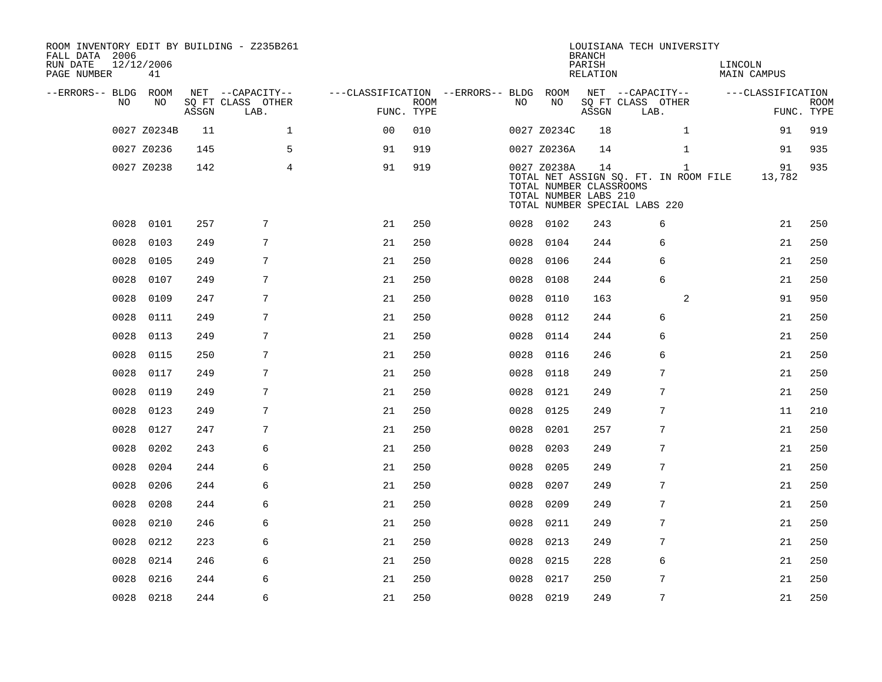| ROOM INVENTORY EDIT BY BUILDING - Z235B261<br>FALL DATA 2006<br>RUN DATE<br>PAGE NUMBER | 12/12/2006<br>41 |       |                           |                                        |      |      |                                                                 | <b>BRANCH</b><br>PARISH<br>RELATION | LOUISIANA TECH UNIVERSITY                                              |                | LINCOLN | MAIN CAMPUS       |                           |
|-----------------------------------------------------------------------------------------|------------------|-------|---------------------------|----------------------------------------|------|------|-----------------------------------------------------------------|-------------------------------------|------------------------------------------------------------------------|----------------|---------|-------------------|---------------------------|
| --ERRORS-- BLDG ROOM                                                                    |                  |       | NET --CAPACITY--          | ---CLASSIFICATION --ERRORS-- BLDG ROOM |      |      |                                                                 |                                     | NET --CAPACITY--                                                       |                |         | ---CLASSIFICATION |                           |
| NO.                                                                                     | NO               | ASSGN | SQ FT CLASS OTHER<br>LAB. | FUNC. TYPE                             | ROOM | NO.  | NO                                                              | ASSGN                               | SQ FT CLASS OTHER<br>LAB.                                              |                |         |                   | <b>ROOM</b><br>FUNC. TYPE |
|                                                                                         | 0027 Z0234B      | 11    | $\mathbf{1}$              | 0 <sup>0</sup>                         | 010  |      | 0027 Z0234C                                                     | 18                                  |                                                                        | $\mathbf{1}$   |         | 91                | 919                       |
|                                                                                         | 0027 Z0236       | 145   | 5                         | 91                                     | 919  |      | 0027 Z0236A                                                     | 14                                  |                                                                        | $\mathbf{1}$   |         | 91                | 935                       |
|                                                                                         | 0027 Z0238       | 142   | $\overline{4}$            | 91                                     | 919  |      | 0027 Z0238A<br>TOTAL NUMBER CLASSROOMS<br>TOTAL NUMBER LABS 210 | 14                                  | TOTAL NET ASSIGN SQ. FT. IN ROOM FILE<br>TOTAL NUMBER SPECIAL LABS 220 | 1              |         | 91<br>13,782      | 935                       |
| 0028                                                                                    | 0101             | 257   | 7                         | 21                                     | 250  |      | 0028 0102                                                       | 243                                 |                                                                        | 6              |         | 21                | 250                       |
| 0028                                                                                    | 0103             | 249   | $7\overline{ }$           | 21                                     | 250  | 0028 | 0104                                                            | 244                                 |                                                                        | 6              |         | 21                | 250                       |
| 0028                                                                                    | 0105             | 249   | 7                         | 21                                     | 250  | 0028 | 0106                                                            | 244                                 |                                                                        | 6              |         | 21                | 250                       |
| 0028                                                                                    | 0107             | 249   | 7                         | 21                                     | 250  | 0028 | 0108                                                            | 244                                 |                                                                        | 6              |         | 21                | 250                       |
| 0028                                                                                    | 0109             | 247   | 7                         | 21                                     | 250  |      | 0028 0110                                                       | 163                                 |                                                                        | 2              |         | 91                | 950                       |
| 0028                                                                                    | 0111             | 249   | 7                         | 21                                     | 250  | 0028 | 0112                                                            | 244                                 |                                                                        | 6              |         | 21                | 250                       |
| 0028                                                                                    | 0113             | 249   | 7                         | 21                                     | 250  | 0028 | 0114                                                            | 244                                 |                                                                        | 6              |         | 21                | 250                       |
| 0028                                                                                    | 0115             | 250   | 7                         | 21                                     | 250  | 0028 | 0116                                                            | 246                                 |                                                                        | 6              |         | 21                | 250                       |
| 0028                                                                                    | 0117             | 249   | 7                         | 21                                     | 250  | 0028 | 0118                                                            | 249                                 |                                                                        | 7              |         | 21                | 250                       |
| 0028                                                                                    | 0119             | 249   | 7                         | 21                                     | 250  | 0028 | 0121                                                            | 249                                 |                                                                        | 7              |         | 21                | 250                       |
| 0028                                                                                    | 0123             | 249   | 7                         | 21                                     | 250  | 0028 | 0125                                                            | 249                                 |                                                                        | 7              |         | 11                | 210                       |
| 0028                                                                                    | 0127             | 247   | 7                         | 21                                     | 250  | 0028 | 0201                                                            | 257                                 |                                                                        | $\overline{7}$ |         | 21                | 250                       |
| 0028                                                                                    | 0202             | 243   | 6                         | 21                                     | 250  | 0028 | 0203                                                            | 249                                 |                                                                        | 7              |         | 21                | 250                       |
| 0028                                                                                    | 0204             | 244   | 6                         | 21                                     | 250  | 0028 | 0205                                                            | 249                                 |                                                                        | 7              |         | 21                | 250                       |
| 0028                                                                                    | 0206             | 244   | 6                         | 21                                     | 250  | 0028 | 0207                                                            | 249                                 |                                                                        | 7              |         | 21                | 250                       |
| 0028                                                                                    | 0208             | 244   | 6                         | 21                                     | 250  | 0028 | 0209                                                            | 249                                 |                                                                        | 7              |         | 21                | 250                       |
| 0028                                                                                    | 0210             | 246   | 6                         | 21                                     | 250  | 0028 | 0211                                                            | 249                                 |                                                                        | 7              |         | 21                | 250                       |
| 0028                                                                                    | 0212             | 223   | 6                         | 21                                     | 250  | 0028 | 0213                                                            | 249                                 |                                                                        | 7              |         | 21                | 250                       |
| 0028                                                                                    | 0214             | 246   | 6                         | 21                                     | 250  |      | 0028 0215                                                       | 228                                 |                                                                        | 6              |         | 21                | 250                       |
| 0028                                                                                    | 0216             | 244   | 6                         | 21                                     | 250  | 0028 | 0217                                                            | 250                                 |                                                                        | 7              |         | 21                | 250                       |
|                                                                                         | 0028 0218        | 244   | 6                         | 21                                     | 250  |      | 0028 0219                                                       | 249                                 |                                                                        | $\overline{7}$ |         | 21                | 250                       |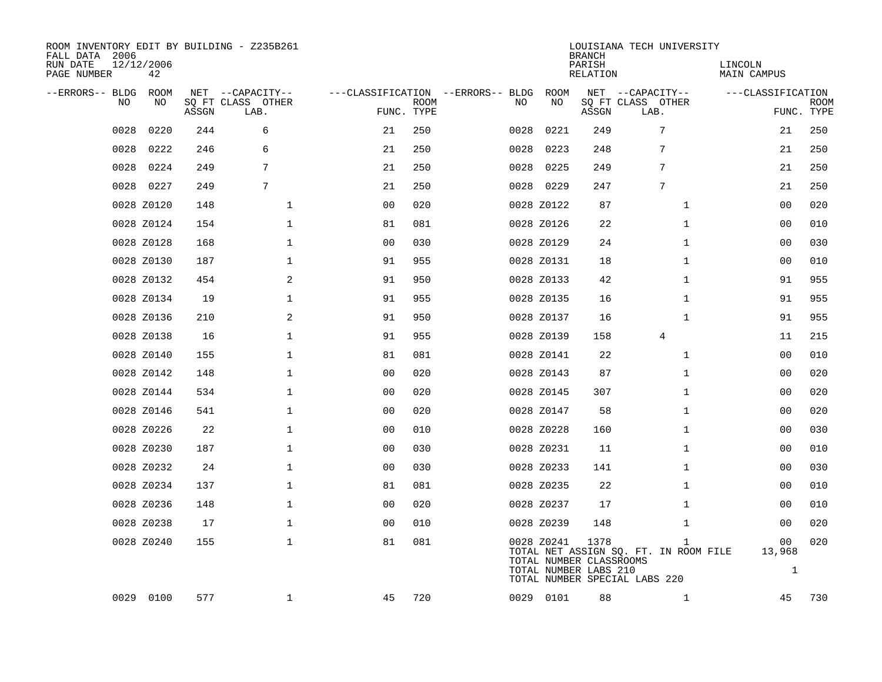| ROOM INVENTORY EDIT BY BUILDING - Z235B261<br>FALL DATA 2006<br>RUN DATE<br>PAGE NUMBER | 12/12/2006<br>42 |       |                                               |                |             |                                   |      |            | <b>BRANCH</b><br>PARISH<br><b>RELATION</b>               | LOUISIANA TECH UNIVERSITY                                                              | LINCOLN<br><b>MAIN CAMPUS</b> |                              |             |
|-----------------------------------------------------------------------------------------|------------------|-------|-----------------------------------------------|----------------|-------------|-----------------------------------|------|------------|----------------------------------------------------------|----------------------------------------------------------------------------------------|-------------------------------|------------------------------|-------------|
| --ERRORS-- BLDG<br>NO                                                                   | ROOM<br>NO       | ASSGN | NET --CAPACITY--<br>SQ FT CLASS OTHER<br>LAB. | FUNC. TYPE     | <b>ROOM</b> | ---CLASSIFICATION --ERRORS-- BLDG | NO   | ROOM<br>NO | ASSGN                                                    | NET --CAPACITY--<br>SQ FT CLASS OTHER<br>LAB.                                          | ---CLASSIFICATION             | FUNC. TYPE                   | <b>ROOM</b> |
| 0028                                                                                    | 0220             | 244   | 6                                             | 21             | 250         |                                   | 0028 | 0221       | 249                                                      | 7                                                                                      |                               | 21                           | 250         |
| 0028                                                                                    | 0222             | 246   | 6                                             | 21             | 250         |                                   | 0028 | 0223       | 248                                                      | 7                                                                                      |                               | 21                           | 250         |
| 0028                                                                                    | 0224             | 249   | 7                                             | 21             | 250         |                                   | 0028 | 0225       | 249                                                      | 7                                                                                      |                               | 21                           | 250         |
|                                                                                         | 0028 0227        | 249   | 7                                             | 21             | 250         |                                   |      | 0028 0229  | 247                                                      | 7                                                                                      |                               | 21                           | 250         |
|                                                                                         | 0028 Z0120       | 148   | $\mathbf{1}$                                  | 00             | 020         |                                   |      | 0028 Z0122 | 87                                                       | $\mathbf{1}$                                                                           |                               | 0 <sub>0</sub>               | 020         |
|                                                                                         | 0028 Z0124       | 154   | $\mathbf 1$                                   | 81             | 081         |                                   |      | 0028 Z0126 | 22                                                       | $\mathbf{1}$                                                                           |                               | 0 <sub>0</sub>               | 010         |
|                                                                                         | 0028 Z0128       | 168   | $\mathbf 1$                                   | 0 <sub>0</sub> | 030         |                                   |      | 0028 Z0129 | 24                                                       | $\mathbf{1}$                                                                           |                               | 00                           | 030         |
|                                                                                         | 0028 Z0130       | 187   | $\mathbf 1$                                   | 91             | 955         |                                   |      | 0028 Z0131 | 18                                                       | $\mathbf{1}$                                                                           |                               | 00                           | 010         |
|                                                                                         | 0028 Z0132       | 454   | 2                                             | 91             | 950         |                                   |      | 0028 Z0133 | 42                                                       | $\mathbf{1}$                                                                           |                               | 91                           | 955         |
|                                                                                         | 0028 Z0134       | 19    | $\mathbf 1$                                   | 91             | 955         |                                   |      | 0028 Z0135 | 16                                                       | $\mathbf{1}$                                                                           |                               | 91                           | 955         |
|                                                                                         | 0028 Z0136       | 210   | 2                                             | 91             | 950         |                                   |      | 0028 Z0137 | 16                                                       | $\mathbf{1}$                                                                           |                               | 91                           | 955         |
|                                                                                         | 0028 Z0138       | 16    | $\mathbf{1}$                                  | 91             | 955         |                                   |      | 0028 Z0139 | 158                                                      | 4                                                                                      |                               | 11                           | 215         |
|                                                                                         | 0028 Z0140       | 155   | $\mathbf{1}$                                  | 81             | 081         |                                   |      | 0028 Z0141 | 22                                                       | $\mathbf{1}$                                                                           |                               | 0 <sub>0</sub>               | 010         |
|                                                                                         | 0028 Z0142       | 148   | $\mathbf 1$                                   | 00             | 020         |                                   |      | 0028 Z0143 | 87                                                       | $\mathbf{1}$                                                                           |                               | 00                           | 020         |
|                                                                                         | 0028 Z0144       | 534   | 1                                             | 00             | 020         |                                   |      | 0028 Z0145 | 307                                                      | $\mathbf{1}$                                                                           |                               | 00                           | 020         |
|                                                                                         | 0028 Z0146       | 541   | $\mathbf 1$                                   | 0 <sub>0</sub> | 020         |                                   |      | 0028 Z0147 | 58                                                       | $\mathbf{1}$                                                                           |                               | 00                           | 020         |
|                                                                                         | 0028 Z0226       | 22    | $\mathbf 1$                                   | 0 <sub>0</sub> | 010         |                                   |      | 0028 Z0228 | 160                                                      | $\mathbf{1}$                                                                           |                               | 00                           | 030         |
|                                                                                         | 0028 Z0230       | 187   | $\mathbf{1}$                                  | 0 <sub>0</sub> | 030         |                                   |      | 0028 Z0231 | 11                                                       | $\mathbf{1}$                                                                           |                               | 00                           | 010         |
|                                                                                         | 0028 Z0232       | 24    | $\mathbf 1$                                   | 0 <sub>0</sub> | 030         |                                   |      | 0028 Z0233 | 141                                                      | $\mathbf{1}$                                                                           |                               | 00                           | 030         |
|                                                                                         | 0028 Z0234       | 137   | $\mathbf 1$                                   | 81             | 081         |                                   |      | 0028 Z0235 | 22                                                       | $\mathbf{1}$                                                                           |                               | 0 <sub>0</sub>               | 010         |
|                                                                                         | 0028 Z0236       | 148   | $\mathbf 1$                                   | 0 <sub>0</sub> | 020         |                                   |      | 0028 Z0237 | 17                                                       | $\mathbf{1}$                                                                           |                               | 00                           | 010         |
|                                                                                         | 0028 Z0238       | 17    | $\mathbf 1$                                   | 0 <sub>0</sub> | 010         |                                   |      | 0028 Z0239 | 148                                                      | $\mathbf{1}$                                                                           |                               | 00                           | 020         |
|                                                                                         | 0028 Z0240       | 155   | $\mathbf 1$                                   | 81             | 081         |                                   |      | 0028 Z0241 | 1378<br>TOTAL NUMBER CLASSROOMS<br>TOTAL NUMBER LABS 210 | $\mathbf{1}$<br>TOTAL NET ASSIGN SQ. FT. IN ROOM FILE<br>TOTAL NUMBER SPECIAL LABS 220 |                               | 00<br>13,968<br>$\mathbf{1}$ | 020         |
|                                                                                         | 0029 0100        | 577   | $\mathbf 1$                                   | 45             | 720         |                                   |      | 0029 0101  | 88                                                       | $\mathbf{1}$                                                                           |                               | 45                           | 730         |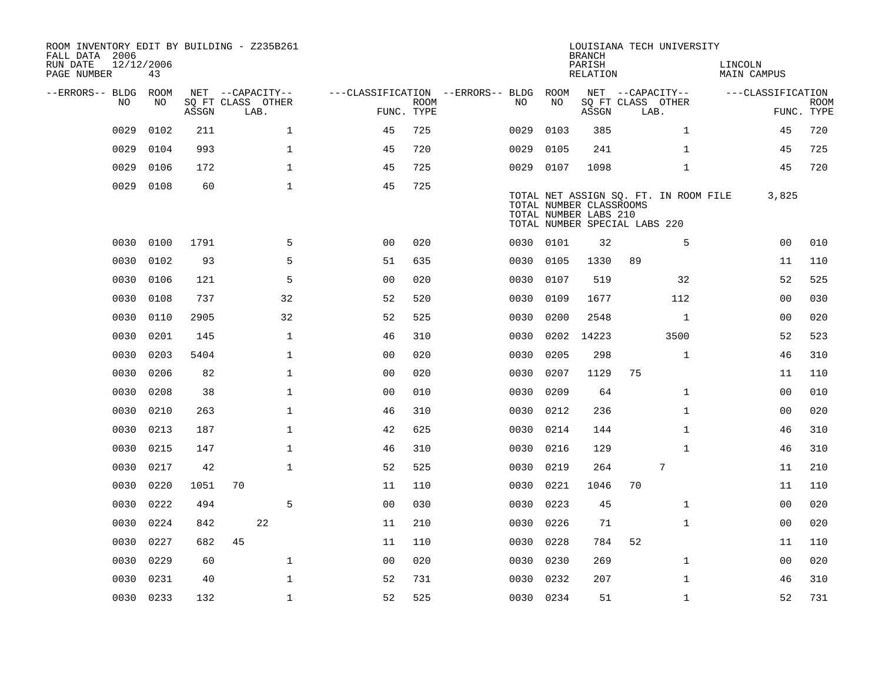| ROOM INVENTORY EDIT BY BUILDING - Z235B261<br>FALL DATA 2006<br>RUN DATE<br>PAGE NUMBER | 12/12/2006<br>43 |       |                           |                                   |                           |           |      | <b>BRANCH</b><br>PARISH<br>RELATION                                               |    | LOUISIANA TECH UNIVERSITY             | LINCOLN<br><b>MAIN CAMPUS</b> |                   |                           |
|-----------------------------------------------------------------------------------------|------------------|-------|---------------------------|-----------------------------------|---------------------------|-----------|------|-----------------------------------------------------------------------------------|----|---------------------------------------|-------------------------------|-------------------|---------------------------|
| --ERRORS-- BLDG ROOM                                                                    |                  |       | NET --CAPACITY--          | ---CLASSIFICATION --ERRORS-- BLDG |                           |           | ROOM |                                                                                   |    | NET --CAPACITY--                      |                               | ---CLASSIFICATION |                           |
| NO.                                                                                     | NO               | ASSGN | SQ FT CLASS OTHER<br>LAB. |                                   | <b>ROOM</b><br>FUNC. TYPE | NO.       | NO   | ASSGN                                                                             |    | SQ FT CLASS OTHER<br>LAB.             |                               |                   | <b>ROOM</b><br>FUNC. TYPE |
| 0029                                                                                    | 0102             | 211   | $\mathbf{1}$              | 45                                | 725                       | 0029      | 0103 | 385                                                                               |    | $\mathbf{1}$                          |                               | 45                | 720                       |
| 0029                                                                                    | 0104             | 993   | $\mathbf 1$               | 45                                | 720                       | 0029      | 0105 | 241                                                                               |    | $\mathbf{1}$                          |                               | 45                | 725                       |
| 0029                                                                                    | 0106             | 172   | $\mathbf{1}$              | 45                                | 725                       | 0029 0107 |      | 1098                                                                              |    | $\mathbf{1}$                          |                               | 45                | 720                       |
| 0029                                                                                    | 0108             | 60    | $\mathbf{1}$              | 45                                | 725                       |           |      | TOTAL NUMBER CLASSROOMS<br>TOTAL NUMBER LABS 210<br>TOTAL NUMBER SPECIAL LABS 220 |    | TOTAL NET ASSIGN SQ. FT. IN ROOM FILE |                               | 3,825             |                           |
| 0030                                                                                    | 0100             | 1791  | 5                         | 0 <sub>0</sub>                    | 020                       | 0030 0101 |      | 32                                                                                |    | 5                                     |                               | 00                | 010                       |
| 0030                                                                                    | 0102             | 93    | 5                         | 51                                | 635                       | 0030      | 0105 | 1330                                                                              | 89 |                                       |                               | 11                | 110                       |
| 0030                                                                                    | 0106             | 121   | 5                         | 0 <sub>0</sub>                    | 020                       | 0030      | 0107 | 519                                                                               |    | 32                                    |                               | 52                | 525                       |
| 0030                                                                                    | 0108             | 737   | 32                        | 52                                | 520                       | 0030      | 0109 | 1677                                                                              |    | 112                                   |                               | 00                | 030                       |
| 0030                                                                                    | 0110             | 2905  | 32                        | 52                                | 525                       | 0030      | 0200 | 2548                                                                              |    | $\mathbf{1}$                          |                               | 00                | 020                       |
| 0030                                                                                    | 0201             | 145   | $\mathbf{1}$              | 46                                | 310                       | 0030      | 0202 | 14223                                                                             |    | 3500                                  |                               | 52                | 523                       |
| 0030                                                                                    | 0203             | 5404  | $\mathbf{1}$              | 0 <sub>0</sub>                    | 020                       | 0030      | 0205 | 298                                                                               |    | $\mathbf{1}$                          |                               | 46                | 310                       |
| 0030                                                                                    | 0206             | 82    | $\mathbf 1$               | 0 <sub>0</sub>                    | 020                       | 0030      | 0207 | 1129                                                                              | 75 |                                       |                               | 11                | 110                       |
| 0030                                                                                    | 0208             | 38    | $\mathbf 1$               | 0 <sub>0</sub>                    | 010                       | 0030      | 0209 | 64                                                                                |    | $\mathbf{1}$                          |                               | 00                | 010                       |
| 0030                                                                                    | 0210             | 263   | $\mathbf{1}$              | 46                                | 310                       | 0030      | 0212 | 236                                                                               |    | $\mathbf{1}$                          |                               | 00                | 020                       |
| 0030                                                                                    | 0213             | 187   | $\mathbf 1$               | 42                                | 625                       | 0030      | 0214 | 144                                                                               |    | $\mathbf{1}$                          |                               | 46                | 310                       |
| 0030                                                                                    | 0215             | 147   | $\mathbf 1$               | 46                                | 310                       | 0030      | 0216 | 129                                                                               |    | $\mathbf{1}$                          |                               | 46                | 310                       |
| 0030                                                                                    | 0217             | 42    | $\mathbf{1}$              | 52                                | 525                       | 0030      | 0219 | 264                                                                               |    | $7\phantom{.0}$                       |                               | 11                | 210                       |
| 0030                                                                                    | 0220             | 1051  | 70                        | 11                                | 110                       | 0030      | 0221 | 1046                                                                              | 70 |                                       |                               | 11                | 110                       |
| 0030                                                                                    | 0222             | 494   | 5                         | 0 <sub>0</sub>                    | 030                       | 0030      | 0223 | 45                                                                                |    | $\mathbf{1}$                          |                               | 0 <sub>0</sub>    | 020                       |
| 0030                                                                                    | 0224             | 842   | 22                        | 11                                | 210                       | 0030      | 0226 | 71                                                                                |    | $\mathbf{1}$                          |                               | 00                | 020                       |
| 0030                                                                                    | 0227             | 682   | 45                        | 11                                | 110                       | 0030      | 0228 | 784                                                                               | 52 |                                       |                               | 11                | 110                       |
| 0030                                                                                    | 0229             | 60    | $\mathbf 1$               | 0 <sub>0</sub>                    | 020                       | 0030      | 0230 | 269                                                                               |    | $\mathbf{1}$                          |                               | 00                | 020                       |
| 0030                                                                                    | 0231             | 40    | $\mathbf{1}$              | 52                                | 731                       | 0030      | 0232 | 207                                                                               |    | $\mathbf{1}$                          |                               | 46                | 310                       |
|                                                                                         | 0030 0233        | 132   | $\mathbf{1}$              | 52                                | 525                       | 0030 0234 |      | 51                                                                                |    | $\mathbf{1}$                          |                               | 52                | 731                       |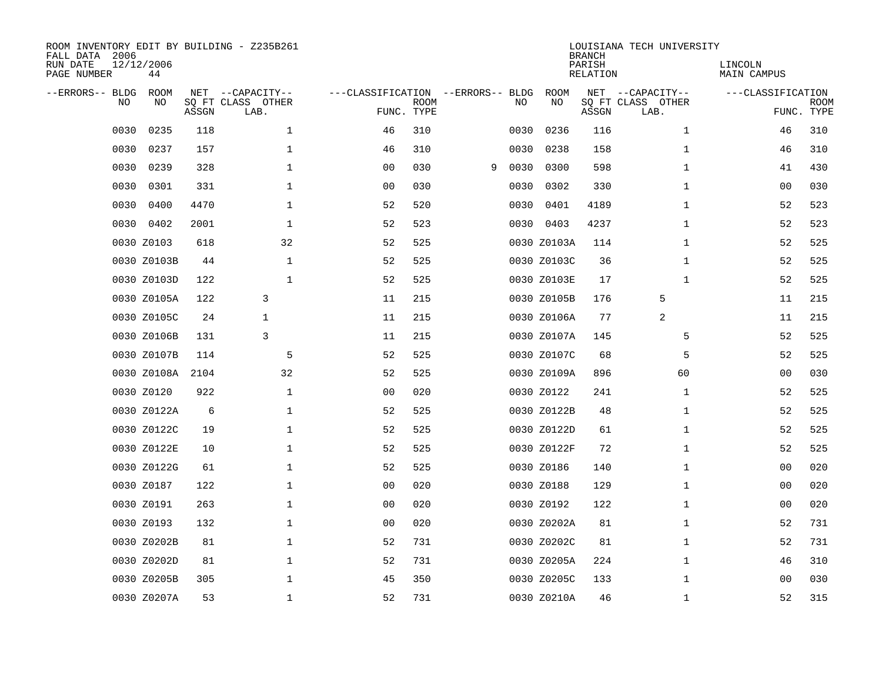| ROOM INVENTORY EDIT BY BUILDING - Z235B261<br>FALL DATA 2006<br>RUN DATE<br>PAGE NUMBER | 12/12/2006<br>44 |       |                                               |                                                 |             |   |      |             | <b>BRANCH</b><br>PARISH<br><b>RELATION</b> | LOUISIANA TECH UNIVERSITY                     | LINCOLN<br><b>MAIN CAMPUS</b> |                           |
|-----------------------------------------------------------------------------------------|------------------|-------|-----------------------------------------------|-------------------------------------------------|-------------|---|------|-------------|--------------------------------------------|-----------------------------------------------|-------------------------------|---------------------------|
| --ERRORS-- BLDG<br>NO                                                                   | ROOM<br>NO       | ASSGN | NET --CAPACITY--<br>SQ FT CLASS OTHER<br>LAB. | ---CLASSIFICATION --ERRORS-- BLDG<br>FUNC. TYPE | <b>ROOM</b> |   | NO   | ROOM<br>NO  | ASSGN                                      | NET --CAPACITY--<br>SQ FT CLASS OTHER<br>LAB. | ---CLASSIFICATION             | <b>ROOM</b><br>FUNC. TYPE |
| 0030                                                                                    | 0235             | 118   | $\mathbf 1$                                   | 46                                              | 310         |   | 0030 | 0236        | 116                                        | $\mathbf{1}$                                  | 46                            | 310                       |
| 0030                                                                                    | 0237             | 157   | $\mathbf 1$                                   | 46                                              | 310         |   | 0030 | 0238        | 158                                        | $\mathbf{1}$                                  | 46                            | 310                       |
| 0030                                                                                    | 0239             | 328   | $\mathbf 1$                                   | 0 <sub>0</sub>                                  | 030         | 9 | 0030 | 0300        | 598                                        | $\mathbf{1}$                                  | 41                            | 430                       |
| 0030                                                                                    | 0301             | 331   | $\mathbf 1$                                   | 0 <sub>0</sub>                                  | 030         |   | 0030 | 0302        | 330                                        | $\mathbf{1}$                                  | 00                            | 030                       |
| 0030                                                                                    | 0400             | 4470  | $\mathbf{1}$                                  | 52                                              | 520         |   | 0030 | 0401        | 4189                                       | $\mathbf{1}$                                  | 52                            | 523                       |
|                                                                                         | 0030 0402        | 2001  | $\mathbf{1}$                                  | 52                                              | 523         |   |      | 0030 0403   | 4237                                       | $\mathbf{1}$                                  | 52                            | 523                       |
|                                                                                         | 0030 Z0103       | 618   | 32                                            | 52                                              | 525         |   |      | 0030 Z0103A | 114                                        | $\mathbf{1}$                                  | 52                            | 525                       |
|                                                                                         | 0030 Z0103B      | 44    | $\mathbf{1}$                                  | 52                                              | 525         |   |      | 0030 Z0103C | 36                                         | $\mathbf{1}$                                  | 52                            | 525                       |
|                                                                                         | 0030 Z0103D      | 122   | $\mathbf 1$                                   | 52                                              | 525         |   |      | 0030 Z0103E | 17                                         | $\mathbf{1}$                                  | 52                            | 525                       |
|                                                                                         | 0030 Z0105A      | 122   | 3                                             | 11                                              | 215         |   |      | 0030 Z0105B | 176                                        | 5                                             | 11                            | 215                       |
|                                                                                         | 0030 Z0105C      | 24    | $\mathbf{1}$                                  | 11                                              | 215         |   |      | 0030 Z0106A | 77                                         | 2                                             | 11                            | 215                       |
|                                                                                         | 0030 Z0106B      | 131   | 3                                             | 11                                              | 215         |   |      | 0030 Z0107A | 145                                        | 5                                             | 52                            | 525                       |
|                                                                                         | 0030 Z0107B      | 114   | 5                                             | 52                                              | 525         |   |      | 0030 Z0107C | 68                                         | 5                                             | 52                            | 525                       |
|                                                                                         | 0030 Z0108A      | 2104  | 32                                            | 52                                              | 525         |   |      | 0030 Z0109A | 896                                        | 60                                            | 00                            | 030                       |
|                                                                                         | 0030 Z0120       | 922   | $\mathbf 1$                                   | 0 <sub>0</sub>                                  | 020         |   |      | 0030 Z0122  | 241                                        | $\mathbf{1}$                                  | 52                            | 525                       |
|                                                                                         | 0030 Z0122A      | 6     | $\mathbf 1$                                   | 52                                              | 525         |   |      | 0030 Z0122B | 48                                         | $\mathbf{1}$                                  | 52                            | 525                       |
|                                                                                         | 0030 Z0122C      | 19    | $\mathbf 1$                                   | 52                                              | 525         |   |      | 0030 Z0122D | 61                                         | $\mathbf{1}$                                  | 52                            | 525                       |
|                                                                                         | 0030 Z0122E      | 10    | $\mathbf{1}$                                  | 52                                              | 525         |   |      | 0030 Z0122F | 72                                         | $\mathbf{1}$                                  | 52                            | 525                       |
|                                                                                         | 0030 Z0122G      | 61    | $\mathbf{1}$                                  | 52                                              | 525         |   |      | 0030 Z0186  | 140                                        | $\mathbf{1}$                                  | 00                            | 020                       |
|                                                                                         | 0030 Z0187       | 122   | $\mathbf 1$                                   | 0 <sub>0</sub>                                  | 020         |   |      | 0030 Z0188  | 129                                        | $\mathbf{1}$                                  | 00                            | 020                       |
|                                                                                         | 0030 Z0191       | 263   | $\mathbf 1$                                   | 0 <sub>0</sub>                                  | 020         |   |      | 0030 Z0192  | 122                                        | $\mathbf{1}$                                  | 00                            | 020                       |
|                                                                                         | 0030 Z0193       | 132   | $\mathbf 1$                                   | 00                                              | 020         |   |      | 0030 Z0202A | 81                                         | $\mathbf{1}$                                  | 52                            | 731                       |
|                                                                                         | 0030 Z0202B      | 81    | $\mathbf 1$                                   | 52                                              | 731         |   |      | 0030 Z0202C | 81                                         | $\mathbf{1}$                                  | 52                            | 731                       |
|                                                                                         | 0030 Z0202D      | 81    | $\mathbf 1$                                   | 52                                              | 731         |   |      | 0030 Z0205A | 224                                        | $\mathbf{1}$                                  | 46                            | 310                       |
|                                                                                         | 0030 Z0205B      | 305   | $\mathbf 1$                                   | 45                                              | 350         |   |      | 0030 Z0205C | 133                                        | $\mathbf{1}$                                  | 00                            | 030                       |
|                                                                                         | 0030 Z0207A      | 53    | $\mathbf 1$                                   | 52                                              | 731         |   |      | 0030 Z0210A | 46                                         | $\mathbf{1}$                                  | 52                            | 315                       |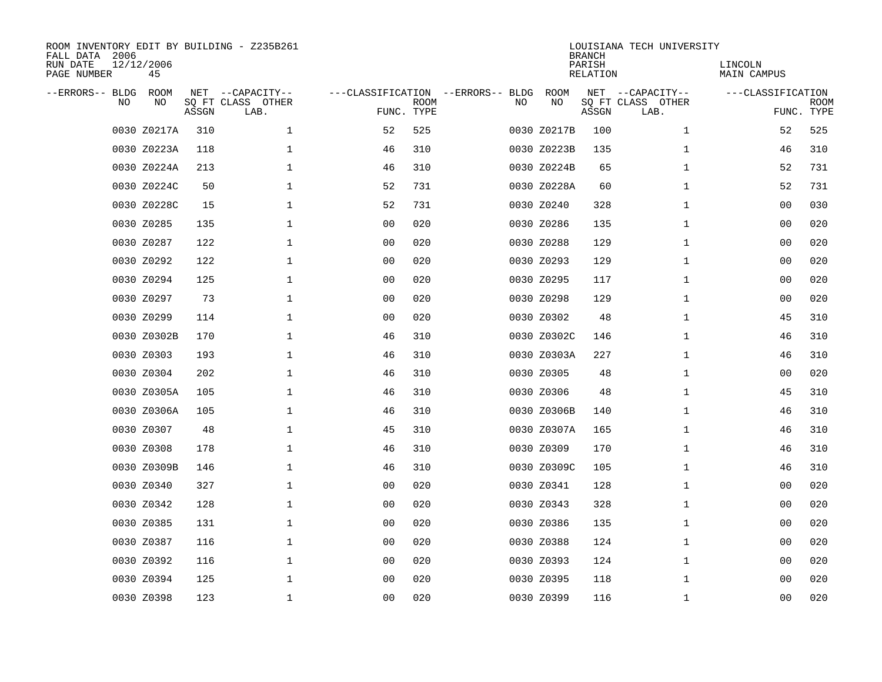| ROOM INVENTORY EDIT BY BUILDING - Z235B261<br>FALL DATA 2006<br>RUN DATE<br>PAGE NUMBER | 12/12/2006<br>45 |       |                                               |                                                 |             |    |             | <b>BRANCH</b><br>PARISH<br><b>RELATION</b> | LOUISIANA TECH UNIVERSITY                     | LINCOLN<br><b>MAIN CAMPUS</b> |                           |
|-----------------------------------------------------------------------------------------|------------------|-------|-----------------------------------------------|-------------------------------------------------|-------------|----|-------------|--------------------------------------------|-----------------------------------------------|-------------------------------|---------------------------|
| --ERRORS-- BLDG<br>NO                                                                   | ROOM<br>NO       | ASSGN | NET --CAPACITY--<br>SQ FT CLASS OTHER<br>LAB. | ---CLASSIFICATION --ERRORS-- BLDG<br>FUNC. TYPE | <b>ROOM</b> | NO | ROOM<br>NO  | ASSGN                                      | NET --CAPACITY--<br>SQ FT CLASS OTHER<br>LAB. | ---CLASSIFICATION             | <b>ROOM</b><br>FUNC. TYPE |
|                                                                                         | 0030 Z0217A      | 310   | $\mathbf 1$                                   | 52                                              | 525         |    | 0030 Z0217B | 100                                        | $\mathbf{1}$                                  | 52                            | 525                       |
|                                                                                         | 0030 Z0223A      | 118   | 1                                             | 46                                              | 310         |    | 0030 Z0223B | 135                                        | $\mathbf{1}$                                  | 46                            | 310                       |
|                                                                                         | 0030 Z0224A      | 213   | $\mathbf 1$                                   | 46                                              | 310         |    | 0030 Z0224B | 65                                         | $\mathbf{1}$                                  | 52                            | 731                       |
|                                                                                         | 0030 Z0224C      | 50    | 1                                             | 52                                              | 731         |    | 0030 Z0228A | 60                                         | $\mathbf{1}$                                  | 52                            | 731                       |
|                                                                                         | 0030 Z0228C      | 15    | $\mathbf 1$                                   | 52                                              | 731         |    | 0030 Z0240  | 328                                        | $\mathbf{1}$                                  | 00                            | 030                       |
|                                                                                         | 0030 Z0285       | 135   | 1                                             | 00                                              | 020         |    | 0030 Z0286  | 135                                        | $\mathbf{1}$                                  | 00                            | 020                       |
|                                                                                         | 0030 Z0287       | 122   | $\mathbf{1}$                                  | 0 <sub>0</sub>                                  | 020         |    | 0030 Z0288  | 129                                        | $\mathbf{1}$                                  | 0 <sub>0</sub>                | 020                       |
|                                                                                         | 0030 Z0292       | 122   | $\mathbf{1}$                                  | 0 <sub>0</sub>                                  | 020         |    | 0030 Z0293  | 129                                        | $\mathbf{1}$                                  | 0 <sub>0</sub>                | 020                       |
|                                                                                         | 0030 Z0294       | 125   | $\mathbf{1}$                                  | 0 <sub>0</sub>                                  | 020         |    | 0030 Z0295  | 117                                        | $\mathbf{1}$                                  | 0 <sub>0</sub>                | 020                       |
|                                                                                         | 0030 Z0297       | 73    | $\mathbf{1}$                                  | 0 <sub>0</sub>                                  | 020         |    | 0030 Z0298  | 129                                        | $\mathbf{1}$                                  | 0 <sub>0</sub>                | 020                       |
|                                                                                         | 0030 Z0299       | 114   | $\mathbf 1$                                   | 0 <sub>0</sub>                                  | 020         |    | 0030 Z0302  | 48                                         | $\mathbf{1}$                                  | 45                            | 310                       |
|                                                                                         | 0030 Z0302B      | 170   | 1                                             | 46                                              | 310         |    | 0030 Z0302C | 146                                        | $\mathbf{1}$                                  | 46                            | 310                       |
|                                                                                         | 0030 Z0303       | 193   | $\mathbf 1$                                   | 46                                              | 310         |    | 0030 Z0303A | 227                                        | $\mathbf{1}$                                  | 46                            | 310                       |
|                                                                                         | 0030 Z0304       | 202   | $\mathbf 1$                                   | 46                                              | 310         |    | 0030 Z0305  | 48                                         | $\mathbf{1}$                                  | 00                            | 020                       |
|                                                                                         | 0030 Z0305A      | 105   | $\mathbf 1$                                   | 46                                              | 310         |    | 0030 Z0306  | 48                                         | $\mathbf{1}$                                  | 45                            | 310                       |
|                                                                                         | 0030 Z0306A      | 105   | 1                                             | 46                                              | 310         |    | 0030 Z0306B | 140                                        | $\mathbf{1}$                                  | 46                            | 310                       |
|                                                                                         | 0030 Z0307       | 48    | 1                                             | 45                                              | 310         |    | 0030 Z0307A | 165                                        | $\mathbf{1}$                                  | 46                            | 310                       |
|                                                                                         | 0030 Z0308       | 178   | $\mathbf 1$                                   | 46                                              | 310         |    | 0030 Z0309  | 170                                        | $\mathbf{1}$                                  | 46                            | 310                       |
|                                                                                         | 0030 Z0309B      | 146   | $\mathbf 1$                                   | 46                                              | 310         |    | 0030 Z0309C | 105                                        | $\mathbf{1}$                                  | 46                            | 310                       |
|                                                                                         | 0030 Z0340       | 327   | $\mathbf 1$                                   | 0 <sub>0</sub>                                  | 020         |    | 0030 Z0341  | 128                                        | $\mathbf{1}$                                  | 00                            | 020                       |
|                                                                                         | 0030 Z0342       | 128   | $\mathbf{1}$                                  | 0 <sub>0</sub>                                  | 020         |    | 0030 Z0343  | 328                                        | $\mathbf{1}$                                  | 00                            | 020                       |
|                                                                                         | 0030 Z0385       | 131   | $\mathbf 1$                                   | 0 <sub>0</sub>                                  | 020         |    | 0030 Z0386  | 135                                        | $\mathbf{1}$                                  | 00                            | 020                       |
|                                                                                         | 0030 Z0387       | 116   | $\mathbf 1$                                   | 0 <sub>0</sub>                                  | 020         |    | 0030 Z0388  | 124                                        | $\mathbf{1}$                                  | 0 <sub>0</sub>                | 020                       |
|                                                                                         | 0030 Z0392       | 116   | 1                                             | 00                                              | 020         |    | 0030 Z0393  | 124                                        | $\mathbf{1}$                                  | 00                            | 020                       |
|                                                                                         | 0030 Z0394       | 125   | $\mathbf{1}$                                  | 0 <sub>0</sub>                                  | 020         |    | 0030 Z0395  | 118                                        | $\mathbf{1}$                                  | 00                            | 020                       |
|                                                                                         | 0030 Z0398       | 123   | 1                                             | 00                                              | 020         |    | 0030 Z0399  | 116                                        | $\mathbf{1}$                                  | 00                            | 020                       |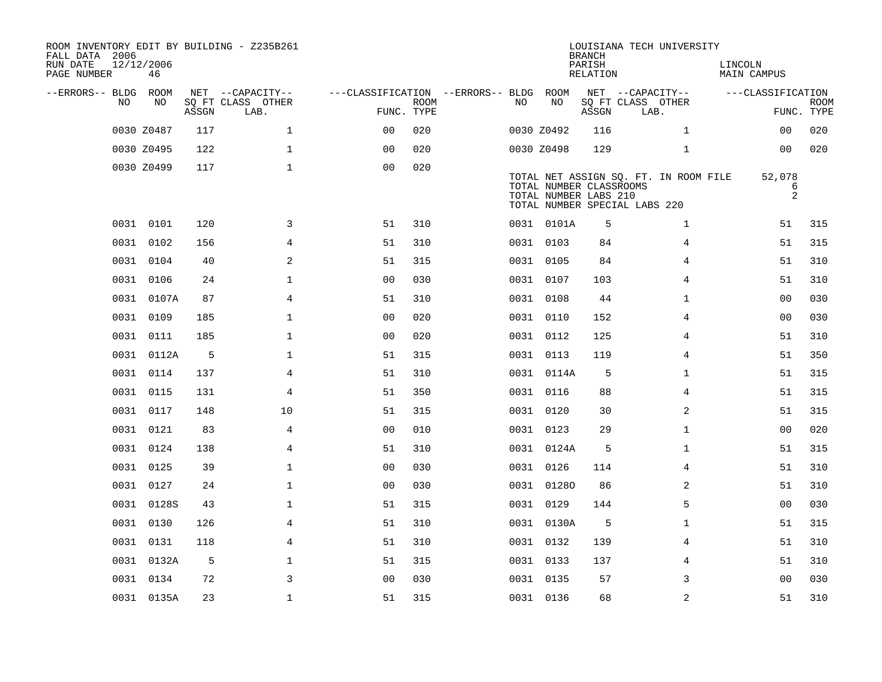| ROOM INVENTORY EDIT BY BUILDING - Z235B261<br>FALL DATA 2006<br>RUN DATE<br>PAGE NUMBER | 12/12/2006<br>46 |       |                           |                                        |      |     |            | <b>BRANCH</b><br>PARISH<br>RELATION              | LOUISIANA TECH UNIVERSITY                                              | LINCOLN | MAIN CAMPUS               |                           |
|-----------------------------------------------------------------------------------------|------------------|-------|---------------------------|----------------------------------------|------|-----|------------|--------------------------------------------------|------------------------------------------------------------------------|---------|---------------------------|---------------------------|
| --ERRORS-- BLDG ROOM                                                                    |                  |       | NET --CAPACITY--          | ---CLASSIFICATION --ERRORS-- BLDG ROOM |      |     |            |                                                  | NET --CAPACITY--                                                       |         | ---CLASSIFICATION         |                           |
| NO.                                                                                     | NO.              | ASSGN | SO FT CLASS OTHER<br>LAB. | FUNC. TYPE                             | ROOM | NO. | NO         | ASSGN                                            | SQ FT CLASS OTHER<br>LAB.                                              |         |                           | <b>ROOM</b><br>FUNC. TYPE |
|                                                                                         | 0030 Z0487       | 117   | $\mathbf 1$               | 0 <sub>0</sub>                         | 020  |     | 0030 Z0492 | 116                                              | $\mathbf{1}$                                                           |         | 00                        | 020                       |
|                                                                                         | 0030 Z0495       | 122   | $\mathbf{1}$              | 0 <sub>0</sub>                         | 020  |     | 0030 Z0498 | 129                                              | $\mathbf{1}$                                                           |         | 00                        | 020                       |
|                                                                                         | 0030 Z0499       | 117   | $\mathbf{1}$              | 0 <sub>0</sub>                         | 020  |     |            | TOTAL NUMBER CLASSROOMS<br>TOTAL NUMBER LABS 210 | TOTAL NET ASSIGN SQ. FT. IN ROOM FILE<br>TOTAL NUMBER SPECIAL LABS 220 |         | 52,078<br>6<br>$\sqrt{2}$ |                           |
|                                                                                         | 0031 0101        | 120   | 3                         | 51                                     | 310  |     | 0031 0101A | 5                                                | $\mathbf{1}$                                                           |         | 51                        | 315                       |
|                                                                                         | 0031 0102        | 156   | $\overline{4}$            | 51                                     | 310  |     | 0031 0103  | 84                                               | 4                                                                      |         | 51                        | 315                       |
|                                                                                         | 0031 0104        | 40    | 2                         | 51                                     | 315  |     | 0031 0105  | 84                                               | 4                                                                      |         | 51                        | 310                       |
|                                                                                         | 0031 0106        | 24    | $\mathbf{1}$              | 0 <sub>0</sub>                         | 030  |     | 0031 0107  | 103                                              | $\overline{4}$                                                         |         | 51                        | 310                       |
|                                                                                         | 0031 0107A       | 87    | 4                         | 51                                     | 310  |     | 0031 0108  | 44                                               | $\mathbf{1}$                                                           |         | 00                        | 030                       |
|                                                                                         | 0031 0109        | 185   | $\mathbf 1$               | 0 <sub>0</sub>                         | 020  |     | 0031 0110  | 152                                              | 4                                                                      |         | 0 <sub>0</sub>            | 030                       |
|                                                                                         | 0031 0111        | 185   | $\mathbf{1}$              | 0 <sub>0</sub>                         | 020  |     | 0031 0112  | 125                                              | 4                                                                      |         | 51                        | 310                       |
|                                                                                         | 0031 0112A       | 5     | $\mathbf{1}$              | 51                                     | 315  |     | 0031 0113  | 119                                              | 4                                                                      |         | 51                        | 350                       |
|                                                                                         | 0031 0114        | 137   | 4                         | 51                                     | 310  |     | 0031 0114A | 5                                                | $\mathbf{1}$                                                           |         | 51                        | 315                       |
| 0031                                                                                    | 0115             | 131   | 4                         | 51                                     | 350  |     | 0031 0116  | 88                                               | 4                                                                      |         | 51                        | 315                       |
|                                                                                         | 0031 0117        | 148   | 10                        | 51                                     | 315  |     | 0031 0120  | 30                                               | 2                                                                      |         | 51                        | 315                       |
| 0031                                                                                    | 0121             | 83    | 4                         | 0 <sub>0</sub>                         | 010  |     | 0031 0123  | 29                                               | $\mathbf{1}$                                                           |         | 00                        | 020                       |
|                                                                                         | 0031 0124        | 138   | 4                         | 51                                     | 310  |     | 0031 0124A | 5                                                | $\mathbf{1}$                                                           |         | 51                        | 315                       |
|                                                                                         | 0031 0125        | 39    | $\mathbf{1}$              | 0 <sub>0</sub>                         | 030  |     | 0031 0126  | 114                                              | 4                                                                      |         | 51                        | 310                       |
|                                                                                         | 0031 0127        | 24    | $\mathbf{1}$              | 0 <sub>0</sub>                         | 030  |     | 0031 01280 | 86                                               | $\overline{2}$                                                         |         | 51                        | 310                       |
|                                                                                         | 0031 0128S       | 43    | $\mathbf 1$               | 51                                     | 315  |     | 0031 0129  | 144                                              | 5                                                                      |         | 00                        | 030                       |
|                                                                                         | 0031 0130        | 126   | 4                         | 51                                     | 310  |     | 0031 0130A | 5                                                | $\mathbf{1}$                                                           |         | 51                        | 315                       |
|                                                                                         | 0031 0131        | 118   | 4                         | 51                                     | 310  |     | 0031 0132  | 139                                              | 4                                                                      |         | 51                        | 310                       |
|                                                                                         | 0031 0132A       | 5     | $\mathbf 1$               | 51                                     | 315  |     | 0031 0133  | 137                                              | 4                                                                      |         | 51                        | 310                       |
|                                                                                         | 0031 0134        | 72    | 3                         | 0 <sub>0</sub>                         | 030  |     | 0031 0135  | 57                                               | 3                                                                      |         | 0 <sub>0</sub>            | 030                       |
|                                                                                         | 0031 0135A       | 23    | $\mathbf{1}$              | 51                                     | 315  |     | 0031 0136  | 68                                               | 2                                                                      |         | 51                        | 310                       |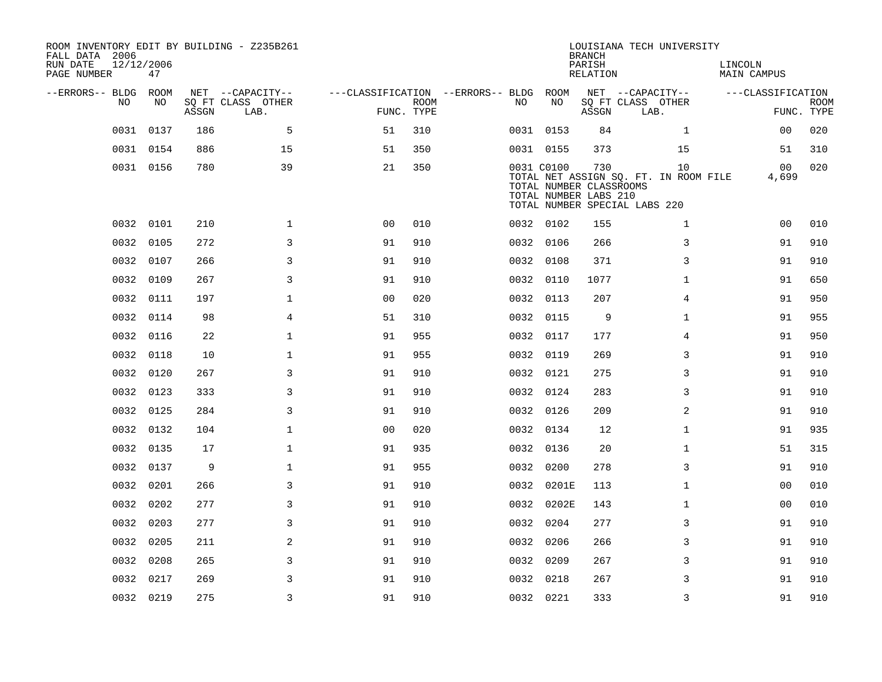| ROOM INVENTORY EDIT BY BUILDING - Z235B261<br>FALL DATA 2006<br>RUN DATE<br>PAGE NUMBER | 12/12/2006<br>47 |       |                           |                                        |             |     |            | <b>BRANCH</b><br>PARISH<br>RELATION                     | LOUISIANA TECH UNIVERSITY                                                    | LINCOLN<br>MAIN CAMPUS  |                           |
|-----------------------------------------------------------------------------------------|------------------|-------|---------------------------|----------------------------------------|-------------|-----|------------|---------------------------------------------------------|------------------------------------------------------------------------------|-------------------------|---------------------------|
| --ERRORS-- BLDG ROOM                                                                    |                  |       | NET --CAPACITY--          | ---CLASSIFICATION --ERRORS-- BLDG ROOM |             |     |            |                                                         | NET --CAPACITY--                                                             | ---CLASSIFICATION       |                           |
| NO.                                                                                     | NO.              | ASSGN | SQ FT CLASS OTHER<br>LAB. | FUNC. TYPE                             | <b>ROOM</b> | NO. | NO         | ASSGN                                                   | SQ FT CLASS OTHER<br>LAB.                                                    |                         | <b>ROOM</b><br>FUNC. TYPE |
|                                                                                         | 0031 0137        | 186   | 5                         | 51                                     | 310         |     | 0031 0153  | 84                                                      | $\mathbf{1}$                                                                 | 0 <sub>0</sub>          | 020                       |
|                                                                                         | 0031 0154        | 886   | 15                        | 51                                     | 350         |     | 0031 0155  | 373                                                     | 15                                                                           | 51                      | 310                       |
|                                                                                         | 0031 0156        | 780   | 39                        | 21                                     | 350         |     | 0031 C0100 | 730<br>TOTAL NUMBER CLASSROOMS<br>TOTAL NUMBER LABS 210 | 10<br>TOTAL NET ASSIGN SQ. FT. IN ROOM FILE<br>TOTAL NUMBER SPECIAL LABS 220 | 0 <sub>0</sub><br>4,699 | 020                       |
|                                                                                         | 0032 0101        | 210   | $\mathbf 1$               | 0 <sub>0</sub>                         | 010         |     | 0032 0102  | 155                                                     | $\mathbf{1}$                                                                 | 0 <sub>0</sub>          | 010                       |
| 0032                                                                                    | 0105             | 272   | $\overline{3}$            | 91                                     | 910         |     | 0032 0106  | 266                                                     | 3                                                                            | 91                      | 910                       |
| 0032                                                                                    | 0107             | 266   | 3                         | 91                                     | 910         |     | 0032 0108  | 371                                                     | 3                                                                            | 91                      | 910                       |
| 0032                                                                                    | 0109             | 267   | 3                         | 91                                     | 910         |     | 0032 0110  | 1077                                                    | $\mathbf{1}$                                                                 | 91                      | 650                       |
|                                                                                         | 0032 0111        | 197   | $\mathbf 1$               | 0 <sub>0</sub>                         | 020         |     | 0032 0113  | 207                                                     | 4                                                                            | 91                      | 950                       |
|                                                                                         | 0032 0114        | 98    | $\overline{4}$            | 51                                     | 310         |     | 0032 0115  | 9                                                       | $\mathbf{1}$                                                                 | 91                      | 955                       |
|                                                                                         | 0032 0116        | 22    | $\mathbf 1$               | 91                                     | 955         |     | 0032 0117  | 177                                                     | 4                                                                            | 91                      | 950                       |
| 0032                                                                                    | 0118             | 10    | $\mathbf 1$               | 91                                     | 955         |     | 0032 0119  | 269                                                     | 3                                                                            | 91                      | 910                       |
|                                                                                         | 0032 0120        | 267   | 3                         | 91                                     | 910         |     | 0032 0121  | 275                                                     | 3                                                                            | 91                      | 910                       |
|                                                                                         | 0032 0123        | 333   | 3                         | 91                                     | 910         |     | 0032 0124  | 283                                                     | 3                                                                            | 91                      | 910                       |
|                                                                                         | 0032 0125        | 284   | 3                         | 91                                     | 910         |     | 0032 0126  | 209                                                     | $\overline{a}$                                                               | 91                      | 910                       |
| 0032                                                                                    | 0132             | 104   | $\mathbf 1$               | 0 <sub>0</sub>                         | 020         |     | 0032 0134  | 12                                                      | $\mathbf{1}$                                                                 | 91                      | 935                       |
|                                                                                         | 0032 0135        | 17    | $\mathbf 1$               | 91                                     | 935         |     | 0032 0136  | 20                                                      | $\mathbf{1}$                                                                 | 51                      | 315                       |
|                                                                                         | 0032 0137        | 9     | $\mathbf 1$               | 91                                     | 955         |     | 0032 0200  | 278                                                     | 3                                                                            | 91                      | 910                       |
|                                                                                         | 0032 0201        | 266   | 3                         | 91                                     | 910         |     | 0032 0201E | 113                                                     | $\mathbf{1}$                                                                 | 0 <sub>0</sub>          | 010                       |
|                                                                                         | 0032 0202        | 277   | 3                         | 91                                     | 910         |     | 0032 0202E | 143                                                     | $\mathbf{1}$                                                                 | 0 <sub>0</sub>          | 010                       |
| 0032                                                                                    | 0203             | 277   | 3                         | 91                                     | 910         |     | 0032 0204  | 277                                                     | 3                                                                            | 91                      | 910                       |
|                                                                                         | 0032 0205        | 211   | 2                         | 91                                     | 910         |     | 0032 0206  | 266                                                     | 3                                                                            | 91                      | 910                       |
|                                                                                         | 0032 0208        | 265   | 3                         | 91                                     | 910         |     | 0032 0209  | 267                                                     | 3                                                                            | 91                      | 910                       |
| 0032                                                                                    | 0217             | 269   | 3                         | 91                                     | 910         |     | 0032 0218  | 267                                                     | 3                                                                            | 91                      | 910                       |
|                                                                                         | 0032 0219        | 275   | $\overline{3}$            | 91                                     | 910         |     | 0032 0221  | 333                                                     | 3                                                                            | 91                      | 910                       |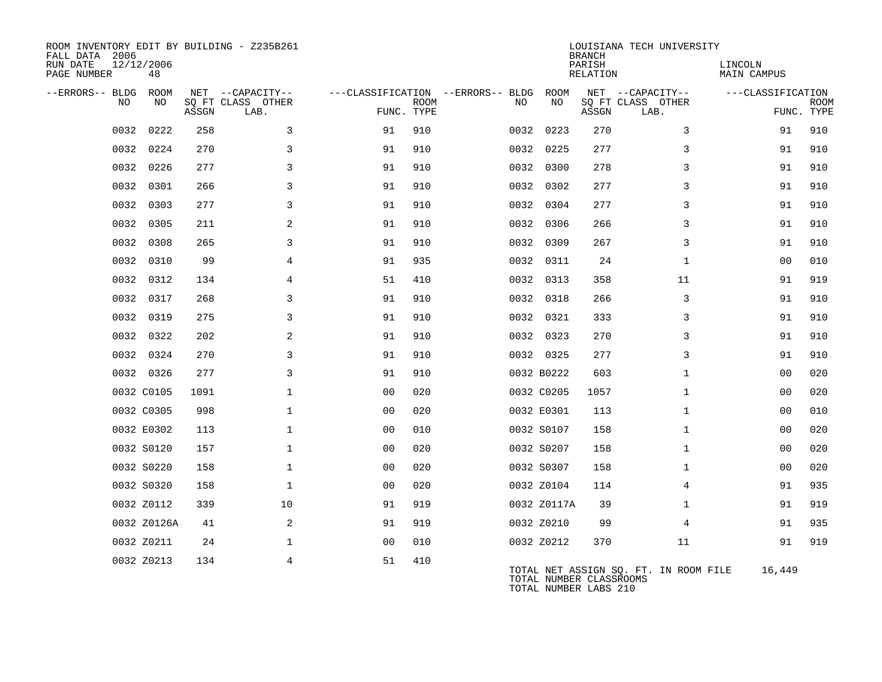| ROOM INVENTORY EDIT BY BUILDING - Z235B261<br>FALL DATA 2006<br>RUN DATE<br>PAGE NUMBER | 12/12/2006<br>48 |       |                                       |                |             |                                         |             | <b>BRANCH</b><br>PARISH<br><b>RELATION</b>       | LOUISIANA TECH UNIVERSITY             | LINCOLN<br><b>MAIN CAMPUS</b> |             |
|-----------------------------------------------------------------------------------------|------------------|-------|---------------------------------------|----------------|-------------|-----------------------------------------|-------------|--------------------------------------------------|---------------------------------------|-------------------------------|-------------|
| --ERRORS-- BLDG<br>NO                                                                   | ROOM<br>NO       |       | NET --CAPACITY--<br>SQ FT CLASS OTHER |                | <b>ROOM</b> | ---CLASSIFICATION --ERRORS-- BLDG<br>NO | ROOM<br>NO  |                                                  | NET --CAPACITY--<br>SQ FT CLASS OTHER | ---CLASSIFICATION             | <b>ROOM</b> |
|                                                                                         |                  | ASSGN | LAB.                                  | FUNC. TYPE     |             |                                         |             | ASSGN                                            | LAB.                                  |                               | FUNC. TYPE  |
| 0032                                                                                    | 0222             | 258   | 3                                     | 91             | 910         |                                         | 0032 0223   | 270                                              | 3                                     | 91                            | 910         |
| 0032                                                                                    | 0224             | 270   | 3                                     | 91             | 910         |                                         | 0032 0225   | 277                                              | 3                                     | 91                            | 910         |
|                                                                                         | 0032 0226        | 277   | 3                                     | 91             | 910         |                                         | 0032 0300   | 278                                              | 3                                     | 91                            | 910         |
| 0032                                                                                    | 0301             | 266   | 3                                     | 91             | 910         |                                         | 0032 0302   | 277                                              | 3                                     | 91                            | 910         |
|                                                                                         | 0032 0303        | 277   | 3                                     | 91             | 910         |                                         | 0032 0304   | 277                                              | 3                                     | 91                            | 910         |
|                                                                                         | 0032 0305        | 211   | 2                                     | 91             | 910         |                                         | 0032 0306   | 266                                              | 3                                     | 91                            | 910         |
|                                                                                         | 0032 0308        | 265   | 3                                     | 91             | 910         |                                         | 0032 0309   | 267                                              | 3                                     | 91                            | 910         |
| 0032                                                                                    | 0310             | 99    | $\overline{4}$                        | 91             | 935         |                                         | 0032 0311   | 24                                               | $\mathbf{1}$                          | 00                            | 010         |
| 0032                                                                                    | 0312             | 134   | $\overline{4}$                        | 51             | 410         |                                         | 0032 0313   | 358                                              | 11                                    | 91                            | 919         |
| 0032                                                                                    | 0317             | 268   | 3                                     | 91             | 910         |                                         | 0032 0318   | 266                                              | 3                                     | 91                            | 910         |
|                                                                                         | 0032 0319        | 275   | 3                                     | 91             | 910         |                                         | 0032 0321   | 333                                              | 3                                     | 91                            | 910         |
|                                                                                         | 0032 0322        | 202   | 2                                     | 91             | 910         |                                         | 0032 0323   | 270                                              | 3                                     | 91                            | 910         |
|                                                                                         | 0032 0324        | 270   | 3                                     | 91             | 910         |                                         | 0032 0325   | 277                                              | 3                                     | 91                            | 910         |
|                                                                                         | 0032 0326        | 277   | $\overline{3}$                        | 91             | 910         |                                         | 0032 B0222  | 603                                              | $\mathbf{1}$                          | 0 <sub>0</sub>                | 020         |
|                                                                                         | 0032 C0105       | 1091  | $\mathbf{1}$                          | 0 <sub>0</sub> | 020         |                                         | 0032 C0205  | 1057                                             | $\mathbf{1}$                          | 0 <sub>0</sub>                | 020         |
|                                                                                         | 0032 C0305       | 998   | $\mathbf 1$                           | 0 <sub>0</sub> | 020         |                                         | 0032 E0301  | 113                                              | $\mathbf{1}$                          | 00                            | 010         |
|                                                                                         | 0032 E0302       | 113   | $\mathbf{1}$                          | 0 <sub>0</sub> | 010         |                                         | 0032 S0107  | 158                                              | $\mathbf{1}$                          | 0 <sub>0</sub>                | 020         |
|                                                                                         | 0032 S0120       | 157   | $\mathbf 1$                           | 0 <sub>0</sub> | 020         |                                         | 0032 S0207  | 158                                              | $\mathbf{1}$                          | 00                            | 020         |
|                                                                                         | 0032 S0220       | 158   | $\mathbf{1}$                          | 0 <sub>0</sub> | 020         |                                         | 0032 S0307  | 158                                              | $\mathbf{1}$                          | 0 <sub>0</sub>                | 020         |
|                                                                                         | 0032 S0320       | 158   | $\mathbf{1}$                          | 0 <sub>0</sub> | 020         |                                         | 0032 Z0104  | 114                                              | 4                                     | 91                            | 935         |
|                                                                                         | 0032 Z0112       | 339   | 10                                    | 91             | 919         |                                         | 0032 Z0117A | 39                                               | $\mathbf{1}$                          | 91                            | 919         |
|                                                                                         | 0032 Z0126A      | 41    | 2                                     | 91             | 919         |                                         | 0032 Z0210  | 99                                               | 4                                     | 91                            | 935         |
|                                                                                         | 0032 Z0211       | 24    | $\mathbf 1$                           | 00             | 010         |                                         | 0032 Z0212  | 370                                              | 11                                    | 91                            | 919         |
|                                                                                         | 0032 Z0213       | 134   | 4                                     | 51             | 410         |                                         |             | TOTAL NUMBER CLASSROOMS<br>TOTAL NUMBER LABS 210 | TOTAL NET ASSIGN SQ. FT. IN ROOM FILE | 16,449                        |             |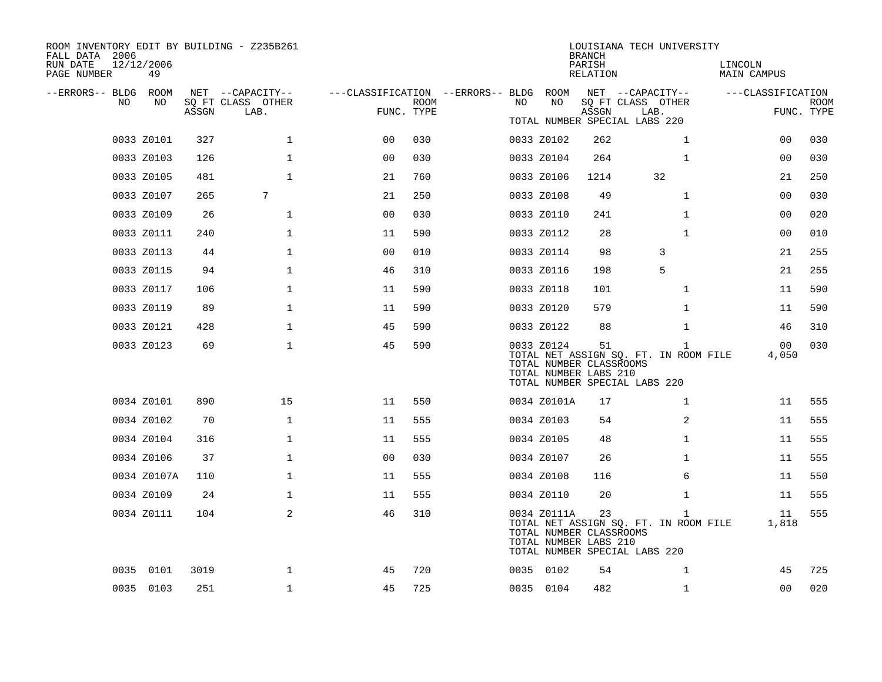| ROOM INVENTORY EDIT BY BUILDING - Z235B261<br>FALL DATA 2006 |                  |       |                           |                                        |             |     |                                                                 | <b>BRANCH</b>      | LOUISIANA TECH UNIVERSITY                                                              |                        |                           |
|--------------------------------------------------------------|------------------|-------|---------------------------|----------------------------------------|-------------|-----|-----------------------------------------------------------------|--------------------|----------------------------------------------------------------------------------------|------------------------|---------------------------|
| RUN DATE<br>PAGE NUMBER                                      | 12/12/2006<br>49 |       |                           |                                        |             |     |                                                                 | PARISH<br>RELATION |                                                                                        | LINCOLN<br>MAIN CAMPUS |                           |
| --ERRORS-- BLDG ROOM<br>NO.                                  | NO               |       | NET --CAPACITY--          | ---CLASSIFICATION --ERRORS-- BLDG ROOM | <b>ROOM</b> | NO. | NO                                                              |                    | NET --CAPACITY--                                                                       | ---CLASSIFICATION      |                           |
|                                                              |                  | ASSGN | SQ FT CLASS OTHER<br>LAB. | FUNC. TYPE                             |             |     |                                                                 | ASSGN              | SQ FT CLASS OTHER<br>LAB.<br>TOTAL NUMBER SPECIAL LABS 220                             |                        | <b>ROOM</b><br>FUNC. TYPE |
|                                                              | 0033 Z0101       | 327   | $\mathbf 1$               | 0 <sub>0</sub>                         | 030         |     | 0033 Z0102                                                      | 262                | $\mathbf{1}$                                                                           | 00                     | 030                       |
|                                                              |                  |       | $\mathbf{1}$              |                                        |             |     |                                                                 |                    |                                                                                        |                        |                           |
|                                                              | 0033 Z0103       | 126   |                           | 0 <sub>0</sub>                         | 030         |     | 0033 Z0104                                                      | 264                | $\mathbf{1}$                                                                           | 00                     | 030                       |
|                                                              | 0033 Z0105       | 481   | $\mathbf{1}$              | 21                                     | 760         |     | 0033 Z0106                                                      | 1214               | 32                                                                                     | 21                     | 250                       |
|                                                              | 0033 Z0107       | 265   | 7                         | 21                                     | 250         |     | 0033 Z0108                                                      | 49                 | $\mathbf{1}$                                                                           | 00                     | 030                       |
|                                                              | 0033 Z0109       | 26    | $\mathbf 1$               | 0 <sub>0</sub>                         | 030         |     | 0033 Z0110                                                      | 241                | $\mathbf{1}$                                                                           | 00                     | 020                       |
|                                                              | 0033 Z0111       | 240   | $\mathbf 1$               | 11                                     | 590         |     | 0033 Z0112                                                      | 28                 | $\mathbf{1}$                                                                           | 00                     | 010                       |
|                                                              | 0033 Z0113       | 44    | 1                         | 0 <sub>0</sub>                         | 010         |     | 0033 Z0114                                                      | 98                 | 3                                                                                      | 21                     | 255                       |
|                                                              | 0033 Z0115       | 94    | $\mathbf 1$               | 46                                     | 310         |     | 0033 Z0116                                                      | 198                | 5                                                                                      | 21                     | 255                       |
|                                                              | 0033 Z0117       | 106   | $\mathbf 1$               | 11                                     | 590         |     | 0033 Z0118                                                      | 101                | $\mathbf{1}$                                                                           | 11                     | 590                       |
|                                                              | 0033 Z0119       | 89    | $\mathbf 1$               | 11                                     | 590         |     | 0033 Z0120                                                      | 579                | $\mathbf{1}$                                                                           | 11                     | 590                       |
|                                                              | 0033 Z0121       | 428   | $\mathbf 1$               | 45                                     | 590         |     | 0033 Z0122                                                      | 88                 | $\mathbf{1}$                                                                           | 46                     | 310                       |
|                                                              | 0033 Z0123       | 69    | $\mathbf 1$               | 45                                     | 590         |     | 0033 Z0124<br>TOTAL NUMBER CLASSROOMS<br>TOTAL NUMBER LABS 210  | 51                 | $\mathbf{1}$<br>TOTAL NET ASSIGN SQ. FT. IN ROOM FILE<br>TOTAL NUMBER SPECIAL LABS 220 | 00<br>4,050            | 030                       |
|                                                              | 0034 Z0101       | 890   | 15                        | 11                                     | 550         |     | 0034 Z0101A                                                     | 17                 | $\mathbf{1}$                                                                           | 11                     | 555                       |
|                                                              | 0034 Z0102       | 70    | $\mathbf{1}$              | 11                                     | 555         |     | 0034 Z0103                                                      | 54                 | 2                                                                                      | 11                     | 555                       |
|                                                              | 0034 Z0104       | 316   | $\mathbf{1}$              | 11                                     | 555         |     | 0034 Z0105                                                      | 48                 | $\mathbf{1}$                                                                           | 11                     | 555                       |
|                                                              | 0034 Z0106       | 37    | $\mathbf 1$               | 0 <sub>0</sub>                         | 030         |     | 0034 Z0107                                                      | 26                 | $\mathbf{1}$                                                                           | 11                     | 555                       |
|                                                              | 0034 Z0107A      | 110   | $\mathbf 1$               | 11                                     | 555         |     | 0034 Z0108                                                      | 116                | 6                                                                                      | 11                     | 550                       |
|                                                              | 0034 Z0109       | 24    | $\mathbf 1$               | 11                                     | 555         |     | 0034 Z0110                                                      | 20                 | $\mathbf{1}$                                                                           | 11                     | 555                       |
|                                                              | 0034 Z0111       | 104   | 2                         | 46                                     | 310         |     | 0034 Z0111A<br>TOTAL NUMBER CLASSROOMS<br>TOTAL NUMBER LABS 210 | 23                 | $\mathbf{1}$<br>TOTAL NET ASSIGN SQ. FT. IN ROOM FILE<br>TOTAL NUMBER SPECIAL LABS 220 | 11<br>1,818            | 555                       |
|                                                              | 0035 0101        | 3019  | $\mathbf{1}$              | 45                                     | 720         |     | 0035 0102                                                       | 54                 | $\mathbf{1}$                                                                           | 45                     | 725                       |
|                                                              | 0035 0103        | 251   | $\mathbf{1}$              | 45                                     | 725         |     | 0035 0104                                                       | 482                | $\mathbf{1}$                                                                           | 0 <sub>0</sub>         | 020                       |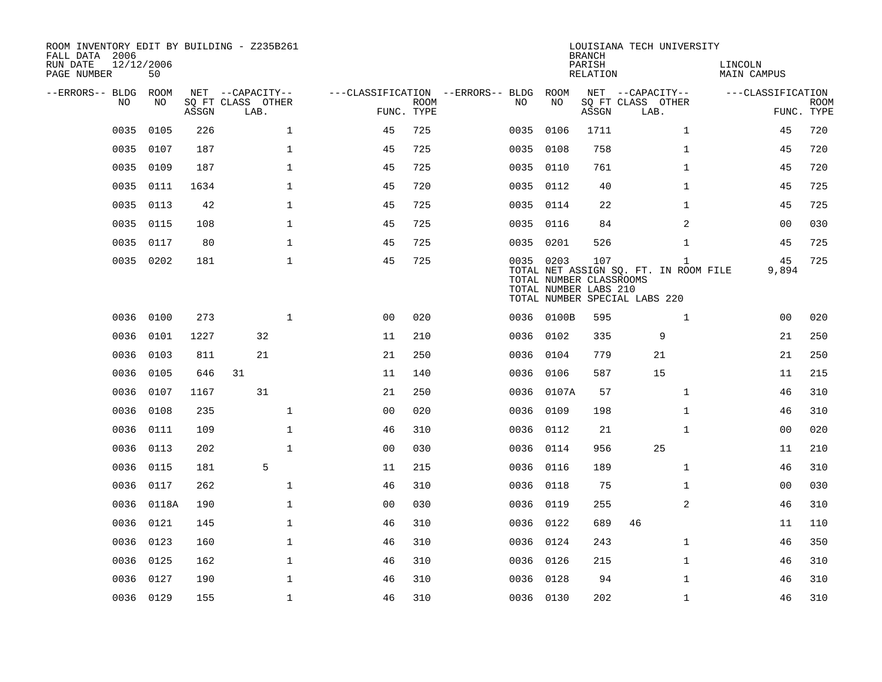| ROOM INVENTORY EDIT BY BUILDING - Z235B261<br>FALL DATA 2006 |                  |       |                           |              |                                        |             |           |            | <b>BRANCH</b>                                           | LOUISIANA TECH UNIVERSITY                                                              |                        |                           |
|--------------------------------------------------------------|------------------|-------|---------------------------|--------------|----------------------------------------|-------------|-----------|------------|---------------------------------------------------------|----------------------------------------------------------------------------------------|------------------------|---------------------------|
| RUN DATE<br>PAGE NUMBER                                      | 12/12/2006<br>50 |       |                           |              |                                        |             |           |            | PARISH<br>RELATION                                      |                                                                                        | LINCOLN<br>MAIN CAMPUS |                           |
| --ERRORS-- BLDG ROOM                                         |                  |       | NET --CAPACITY--          |              | ---CLASSIFICATION --ERRORS-- BLDG ROOM |             |           |            |                                                         | NET --CAPACITY--                                                                       | ---CLASSIFICATION      |                           |
| NO.                                                          | NO.              | ASSGN | SQ FT CLASS OTHER<br>LAB. |              | FUNC. TYPE                             | <b>ROOM</b> | NO.       | NO         | ASSGN                                                   | SQ FT CLASS OTHER<br>LAB.                                                              |                        | <b>ROOM</b><br>FUNC. TYPE |
| 0035                                                         | 0105             | 226   |                           | $\mathbf{1}$ | 45                                     | 725         | 0035      | 0106       | 1711                                                    | $\mathbf{1}$                                                                           | 45                     | 720                       |
| 0035                                                         | 0107             | 187   |                           | $\mathbf{1}$ | 45                                     | 725         | 0035 0108 |            | 758                                                     | $\mathbf{1}$                                                                           | 45                     | 720                       |
| 0035                                                         | 0109             | 187   |                           | $\mathbf{1}$ | 45                                     | 725         | 0035 0110 |            | 761                                                     | $\mathbf{1}$                                                                           | 45                     | 720                       |
| 0035                                                         | 0111             | 1634  |                           | $\mathbf 1$  | 45                                     | 720         |           | 0035 0112  | 40                                                      | $\mathbf{1}$                                                                           | 45                     | 725                       |
| 0035                                                         | 0113             | 42    |                           | $\mathbf{1}$ | 45                                     | 725         | 0035 0114 |            | 22                                                      | $\mathbf{1}$                                                                           | 45                     | 725                       |
| 0035                                                         | 0115             | 108   |                           | $\mathbf{1}$ | 45                                     | 725         | 0035 0116 |            | 84                                                      | 2                                                                                      | 00                     | 030                       |
| 0035                                                         | 0117             | 80    |                           | $\mathbf{1}$ | 45                                     | 725         | 0035 0201 |            | 526                                                     | $\mathbf{1}$                                                                           | 45                     | 725                       |
|                                                              | 0035 0202        | 181   |                           | $\mathbf 1$  | 45                                     | 725         | 0035 0203 |            | 107<br>TOTAL NUMBER CLASSROOMS<br>TOTAL NUMBER LABS 210 | $\mathbf{1}$<br>TOTAL NET ASSIGN SQ. FT. IN ROOM FILE<br>TOTAL NUMBER SPECIAL LABS 220 | 45<br>9,894            | 725                       |
| 0036                                                         | 0100             | 273   |                           | $\mathbf{1}$ | 0 <sub>0</sub>                         | 020         |           | 0036 0100B | 595                                                     | $\mathbf{1}$                                                                           | 0 <sub>0</sub>         | 020                       |
| 0036                                                         | 0101             | 1227  | 32                        |              | 11                                     | 210         |           | 0036 0102  | 335                                                     | 9                                                                                      | 21                     | 250                       |
| 0036                                                         | 0103             | 811   | 21                        |              | 21                                     | 250         | 0036      | 0104       | 779                                                     | 21                                                                                     | 21                     | 250                       |
| 0036                                                         | 0105             | 646   | 31                        |              | 11                                     | 140         |           | 0036 0106  | 587                                                     | 15                                                                                     | 11                     | 215                       |
| 0036                                                         | 0107             | 1167  | 31                        |              | 21                                     | 250         | 0036      | 0107A      | 57                                                      | $\mathbf{1}$                                                                           | 46                     | 310                       |
| 0036                                                         | 0108             | 235   |                           | $\mathbf{1}$ | 0 <sub>0</sub>                         | 020         |           | 0036 0109  | 198                                                     | $\mathbf{1}$                                                                           | 46                     | 310                       |
| 0036                                                         | 0111             | 109   |                           | $\mathbf 1$  | 46                                     | 310         | 0036      | 0112       | 21                                                      | $\mathbf{1}$                                                                           | 00                     | 020                       |
| 0036                                                         | 0113             | 202   |                           | $\mathbf 1$  | 0 <sub>0</sub>                         | 030         | 0036      | 0114       | 956                                                     | 25                                                                                     | 11                     | 210                       |
| 0036                                                         | 0115             | 181   | 5                         |              | 11                                     | 215         | 0036 0116 |            | 189                                                     | $\mathbf{1}$                                                                           | 46                     | 310                       |
| 0036                                                         | 0117             | 262   |                           | $\mathbf{1}$ | 46                                     | 310         | 0036 0118 |            | 75                                                      | $\mathbf{1}$                                                                           | 0 <sub>0</sub>         | 030                       |
|                                                              | 0036 0118A       | 190   |                           | $\mathbf{1}$ | 0 <sub>0</sub>                         | 030         | 0036 0119 |            | 255                                                     | 2                                                                                      | 46                     | 310                       |
| 0036                                                         | 0121             | 145   |                           | $\mathbf 1$  | 46                                     | 310         | 0036 0122 |            | 689                                                     | 46                                                                                     | 11                     | 110                       |
| 0036                                                         | 0123             | 160   |                           | $\mathbf 1$  | 46                                     | 310         | 0036 0124 |            | 243                                                     | $\mathbf{1}$                                                                           | 46                     | 350                       |
| 0036                                                         | 0125             | 162   |                           | $\mathbf 1$  | 46                                     | 310         | 0036 0126 |            | 215                                                     | $\mathbf{1}$                                                                           | 46                     | 310                       |
| 0036                                                         | 0127             | 190   |                           | $\mathbf{1}$ | 46                                     | 310         | 0036      | 0128       | 94                                                      | $\mathbf{1}$                                                                           | 46                     | 310                       |
|                                                              | 0036 0129        | 155   |                           | $\mathbf{1}$ | 46                                     | 310         | 0036 0130 |            | 202                                                     | $\mathbf{1}$                                                                           | 46                     | 310                       |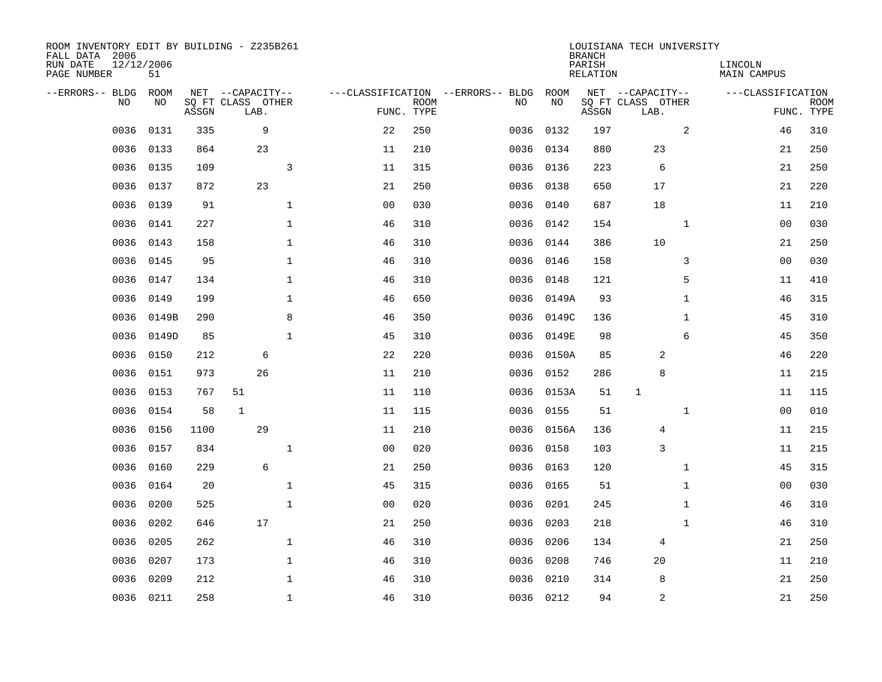| ROOM INVENTORY EDIT BY BUILDING - Z235B261<br>FALL DATA 2006<br>RUN DATE<br>PAGE NUMBER | 12/12/2006<br>51 |       |                                               |                                |                           |                                         |            | <b>BRANCH</b><br>PARISH<br><b>RELATION</b> | LOUISIANA TECH UNIVERSITY                     | LINCOLN<br><b>MAIN CAMPUS</b> |                           |
|-----------------------------------------------------------------------------------------|------------------|-------|-----------------------------------------------|--------------------------------|---------------------------|-----------------------------------------|------------|--------------------------------------------|-----------------------------------------------|-------------------------------|---------------------------|
| --ERRORS-- BLDG<br>NO                                                                   | ROOM<br>NO       | ASSGN | NET --CAPACITY--<br>SQ FT CLASS OTHER<br>LAB. |                                | <b>ROOM</b><br>FUNC. TYPE | ---CLASSIFICATION --ERRORS-- BLDG<br>NO | ROOM<br>NO | ASSGN                                      | NET --CAPACITY--<br>SQ FT CLASS OTHER<br>LAB. | ---CLASSIFICATION             | <b>ROOM</b><br>FUNC. TYPE |
| 0036                                                                                    | 0131             | 335   | 9                                             | 22                             | 250                       | 0036                                    | 0132       | 197                                        | 2                                             | 46                            | 310                       |
| 0036                                                                                    | 0133             | 864   | 23                                            | 11                             | 210                       |                                         | 0036 0134  | 880                                        | 23                                            | 21                            | 250                       |
| 0036                                                                                    | 0135             | 109   |                                               | 3<br>11                        | 315                       | 0036                                    | 0136       | 223                                        | 6                                             | 21                            | 250                       |
| 0036                                                                                    | 0137             | 872   | 23                                            | 21                             | 250                       |                                         | 0036 0138  | 650                                        | 17                                            | 21                            | 220                       |
| 0036                                                                                    | 0139             | 91    |                                               | $\mathbf{1}$<br>0 <sub>0</sub> | 030                       | 0036                                    | 0140       | 687                                        | 18                                            | 11                            | 210                       |
| 0036                                                                                    | 0141             | 227   |                                               | $\mathbf 1$<br>46              | 310                       |                                         | 0036 0142  | 154                                        | $\mathbf{1}$                                  | 0 <sub>0</sub>                | 030                       |
| 0036                                                                                    | 0143             | 158   |                                               | $\mathbf{1}$<br>46             | 310                       |                                         | 0036 0144  | 386                                        | 10                                            | 21                            | 250                       |
| 0036                                                                                    | 0145             | 95    |                                               | $\mathbf{1}$<br>46             | 310                       |                                         | 0036 0146  | 158                                        | 3                                             | 0 <sub>0</sub>                | 030                       |
| 0036                                                                                    | 0147             | 134   |                                               | $\mathbf{1}$<br>46             | 310                       | 0036                                    | 0148       | 121                                        | 5                                             | 11                            | 410                       |
| 0036                                                                                    | 0149             | 199   |                                               | $\mathbf{1}$<br>46             | 650                       | 0036                                    | 0149A      | 93                                         | $\mathbf{1}$                                  | 46                            | 315                       |
| 0036                                                                                    | 0149B            | 290   |                                               | 8<br>46                        | 350                       | 0036                                    | 0149C      | 136                                        | $\mathbf{1}$                                  | 45                            | 310                       |
| 0036                                                                                    | 0149D            | 85    |                                               | $\mathbf{1}$<br>45             | 310                       |                                         | 0036 0149E | 98                                         | 6                                             | 45                            | 350                       |
| 0036                                                                                    | 0150             | 212   | 6                                             | 22                             | 220                       | 0036                                    | 0150A      | 85                                         | 2                                             | 46                            | 220                       |
| 0036                                                                                    | 0151             | 973   | 26                                            | 11                             | 210                       | 0036                                    | 0152       | 286                                        | 8                                             | 11                            | 215                       |
| 0036                                                                                    | 0153             | 767   | 51                                            | 11                             | 110                       | 0036                                    | 0153A      | 51                                         | $\mathbf{1}$                                  | 11                            | 115                       |
| 0036                                                                                    | 0154             | 58    | 1                                             | 11                             | 115                       | 0036                                    | 0155       | 51                                         | $\mathbf{1}$                                  | 00                            | 010                       |
| 0036                                                                                    | 0156             | 1100  | 29                                            | 11                             | 210                       |                                         | 0036 0156A | 136                                        | 4                                             | 11                            | 215                       |
| 0036                                                                                    | 0157             | 834   |                                               | $\mathbf{1}$<br>0 <sub>0</sub> | 020                       |                                         | 0036 0158  | 103                                        | 3                                             | 11                            | 215                       |
| 0036                                                                                    | 0160             | 229   | 6                                             | 21                             | 250                       |                                         | 0036 0163  | 120                                        | $\mathbf{1}$                                  | 45                            | 315                       |
| 0036                                                                                    | 0164             | 20    |                                               | $\mathbf{1}$<br>45             | 315                       | 0036                                    | 0165       | 51                                         | $\mathbf{1}$                                  | 00                            | 030                       |
| 0036                                                                                    | 0200             | 525   |                                               | $\mathbf{1}$<br>00             | 020                       |                                         | 0036 0201  | 245                                        | $\mathbf{1}$                                  | 46                            | 310                       |
| 0036                                                                                    | 0202             | 646   | 17                                            | 21                             | 250                       | 0036                                    | 0203       | 218                                        | $\mathbf{1}$                                  | 46                            | 310                       |
| 0036                                                                                    | 0205             | 262   |                                               | $\mathbf{1}$<br>46             | 310                       | 0036                                    | 0206       | 134                                        | 4                                             | 21                            | 250                       |
| 0036                                                                                    | 0207             | 173   |                                               | $\mathbf 1$<br>46              | 310                       | 0036                                    | 0208       | 746                                        | 20                                            | 11                            | 210                       |
| 0036                                                                                    | 0209             | 212   |                                               | $\mathbf 1$<br>46              | 310                       | 0036                                    | 0210       | 314                                        | 8                                             | 21                            | 250                       |
|                                                                                         | 0036 0211        | 258   |                                               | $\mathbf{1}$<br>46             | 310                       |                                         | 0036 0212  | 94                                         | 2                                             | 21                            | 250                       |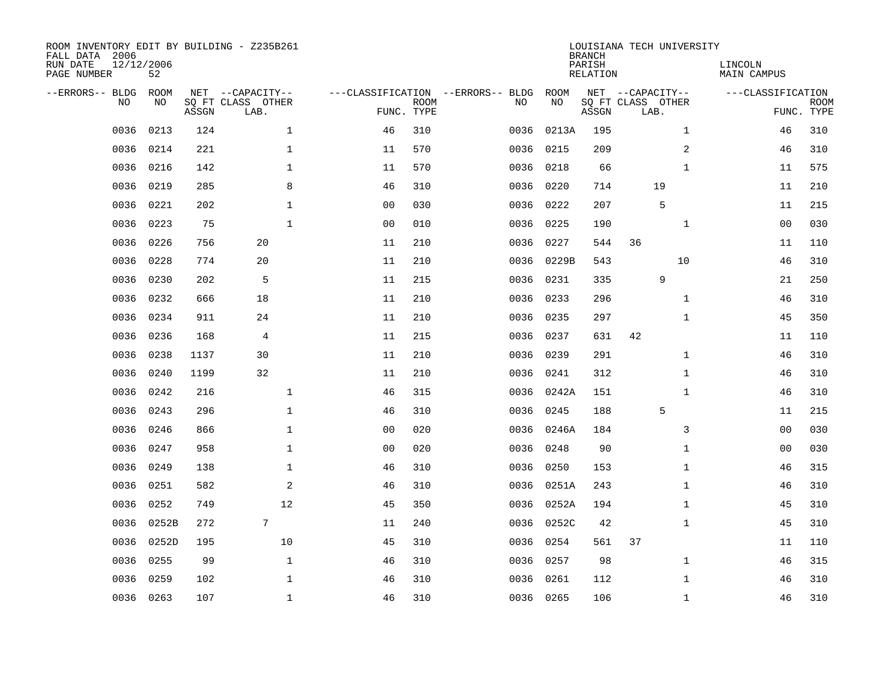| ROOM INVENTORY EDIT BY BUILDING - Z235B261<br>FALL DATA 2006<br>RUN DATE<br>PAGE NUMBER | 12/12/2006<br>52 |       |                                               |                |                           |                                         |            | <b>BRANCH</b><br>PARISH<br><b>RELATION</b> | LOUISIANA TECH UNIVERSITY                     | LINCOLN<br><b>MAIN CAMPUS</b> |                           |
|-----------------------------------------------------------------------------------------|------------------|-------|-----------------------------------------------|----------------|---------------------------|-----------------------------------------|------------|--------------------------------------------|-----------------------------------------------|-------------------------------|---------------------------|
| --ERRORS-- BLDG<br>NO                                                                   | ROOM<br>NO       | ASSGN | NET --CAPACITY--<br>SQ FT CLASS OTHER<br>LAB. |                | <b>ROOM</b><br>FUNC. TYPE | ---CLASSIFICATION --ERRORS-- BLDG<br>NO | ROOM<br>NO | ASSGN                                      | NET --CAPACITY--<br>SQ FT CLASS OTHER<br>LAB. | ---CLASSIFICATION             | <b>ROOM</b><br>FUNC. TYPE |
| 0036                                                                                    | 0213             | 124   | $\mathbf 1$                                   | 46             | 310                       | 0036                                    | 0213A      | 195                                        | $\mathbf{1}$                                  | 46                            | 310                       |
| 0036                                                                                    | 0214             | 221   | 1                                             | 11             | 570                       | 0036                                    | 0215       | 209                                        | 2                                             | 46                            | 310                       |
| 0036                                                                                    | 0216             | 142   | 1                                             | 11             | 570                       | 0036                                    | 0218       | 66                                         | $\mathbf{1}$                                  | 11                            | 575                       |
| 0036                                                                                    | 0219             | 285   | 8                                             | 46             | 310                       | 0036                                    | 0220       | 714                                        | 19                                            | 11                            | 210                       |
| 0036                                                                                    | 0221             | 202   | $\mathbf{1}$                                  | 0 <sub>0</sub> | 030                       | 0036                                    | 0222       | 207                                        | 5                                             | 11                            | 215                       |
| 0036                                                                                    | 0223             | 75    | $\mathbf{1}$                                  | 0 <sub>0</sub> | 010                       |                                         | 0036 0225  | 190                                        | $\mathbf{1}$                                  | 0 <sub>0</sub>                | 030                       |
| 0036                                                                                    | 0226             | 756   | 20                                            | 11             | 210                       | 0036                                    | 0227       | 544                                        | 36                                            | 11                            | 110                       |
| 0036                                                                                    | 0228             | 774   | 20                                            | 11             | 210                       |                                         | 0036 0229B | 543                                        | 10                                            | 46                            | 310                       |
| 0036                                                                                    | 0230             | 202   | 5                                             | 11             | 215                       | 0036                                    | 0231       | 335                                        | 9                                             | 21                            | 250                       |
| 0036                                                                                    | 0232             | 666   | 18                                            | 11             | 210                       | 0036                                    | 0233       | 296                                        | $\mathbf{1}$                                  | 46                            | 310                       |
| 0036                                                                                    | 0234             | 911   | 24                                            | 11             | 210                       | 0036                                    | 0235       | 297                                        | $\mathbf{1}$                                  | 45                            | 350                       |
| 0036                                                                                    | 0236             | 168   | $\overline{4}$                                | 11             | 215                       | 0036                                    | 0237       | 631                                        | 42                                            | 11                            | 110                       |
| 0036                                                                                    | 0238             | 1137  | 30                                            | 11             | 210                       | 0036                                    | 0239       | 291                                        | $\mathbf{1}$                                  | 46                            | 310                       |
| 0036                                                                                    | 0240             | 1199  | 32                                            | 11             | 210                       | 0036                                    | 0241       | 312                                        | $\mathbf{1}$                                  | 46                            | 310                       |
| 0036                                                                                    | 0242             | 216   | $\mathbf{1}$                                  | 46             | 315                       | 0036                                    | 0242A      | 151                                        | $\mathbf{1}$                                  | 46                            | 310                       |
| 0036                                                                                    | 0243             | 296   | $\mathbf{1}$                                  | 46             | 310                       | 0036                                    | 0245       | 188                                        | 5                                             | 11                            | 215                       |
| 0036                                                                                    | 0246             | 866   | $\mathbf 1$                                   | 0 <sub>0</sub> | 020                       | 0036                                    | 0246A      | 184                                        | 3                                             | 0 <sub>0</sub>                | 030                       |
| 0036                                                                                    | 0247             | 958   | $\mathbf{1}$                                  | 0 <sub>0</sub> | 020                       | 0036                                    | 0248       | 90                                         | $\mathbf{1}$                                  | 00                            | 030                       |
| 0036                                                                                    | 0249             | 138   | $\mathbf 1$                                   | 46             | 310                       | 0036                                    | 0250       | 153                                        | $\mathbf{1}$                                  | 46                            | 315                       |
| 0036                                                                                    | 0251             | 582   | 2                                             | 46             | 310                       | 0036                                    | 0251A      | 243                                        | $\mathbf{1}$                                  | 46                            | 310                       |
| 0036                                                                                    | 0252             | 749   | 12                                            | 45             | 350                       | 0036                                    | 0252A      | 194                                        | $\mathbf{1}$                                  | 45                            | 310                       |
| 0036                                                                                    | 0252B            | 272   | 7                                             | 11             | 240                       | 0036                                    | 0252C      | 42                                         | $\mathbf{1}$                                  | 45                            | 310                       |
| 0036                                                                                    | 0252D            | 195   | 10                                            | 45             | 310                       | 0036                                    | 0254       | 561                                        | 37                                            | 11                            | 110                       |
| 0036                                                                                    | 0255             | 99    | $\mathbf{1}$                                  | 46             | 310                       | 0036                                    | 0257       | 98                                         | $\mathbf{1}$                                  | 46                            | 315                       |
| 0036                                                                                    | 0259             | 102   | $\mathbf 1$                                   | 46             | 310                       | 0036                                    | 0261       | 112                                        | $\mathbf{1}$                                  | 46                            | 310                       |
|                                                                                         | 0036 0263        | 107   | $\mathbf{1}$                                  | 46             | 310                       |                                         | 0036 0265  | 106                                        | $\mathbf{1}$                                  | 46                            | 310                       |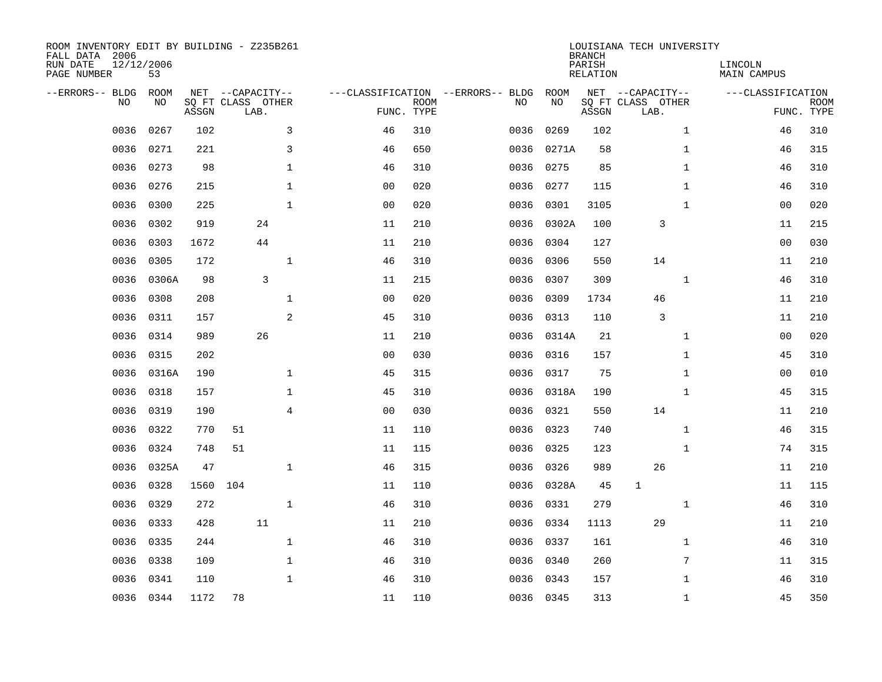| ROOM INVENTORY EDIT BY BUILDING - Z235B261<br>FALL DATA 2006<br>RUN DATE<br>12/12/2006<br>PAGE NUMBER<br>53 |            |       |     |                                               |                |                           |                                         |            | <b>BRANCH</b><br>PARISH<br><b>RELATION</b> | LOUISIANA TECH UNIVERSITY                     | LINCOLN<br><b>MAIN CAMPUS</b> |                           |
|-------------------------------------------------------------------------------------------------------------|------------|-------|-----|-----------------------------------------------|----------------|---------------------------|-----------------------------------------|------------|--------------------------------------------|-----------------------------------------------|-------------------------------|---------------------------|
| --ERRORS-- BLDG<br>NO                                                                                       | ROOM<br>NO | ASSGN |     | NET --CAPACITY--<br>SQ FT CLASS OTHER<br>LAB. |                | <b>ROOM</b><br>FUNC. TYPE | ---CLASSIFICATION --ERRORS-- BLDG<br>NO | ROOM<br>NO | ASSGN                                      | NET --CAPACITY--<br>SQ FT CLASS OTHER<br>LAB. | ---CLASSIFICATION             | <b>ROOM</b><br>FUNC. TYPE |
| 0036                                                                                                        | 0267       | 102   |     | 3                                             | 46             | 310                       | 0036                                    | 0269       | 102                                        | $\mathbf{1}$                                  | 46                            | 310                       |
| 0036                                                                                                        | 0271       | 221   |     | 3                                             | 46             | 650                       | 0036                                    | 0271A      | 58                                         | $\mathbf{1}$                                  | 46                            | 315                       |
| 0036                                                                                                        | 0273       | 98    |     | 1                                             | 46             | 310                       | 0036                                    | 0275       | 85                                         | $\mathbf{1}$                                  | 46                            | 310                       |
| 0036                                                                                                        | 0276       | 215   |     | $\mathbf 1$                                   | 0 <sub>0</sub> | 020                       | 0036                                    | 0277       | 115                                        | $\mathbf{1}$                                  | 46                            | 310                       |
| 0036                                                                                                        | 0300       | 225   |     | $\mathbf{1}$                                  | 0 <sub>0</sub> | 020                       | 0036                                    | 0301       | 3105                                       | $\mathbf{1}$                                  | 0 <sub>0</sub>                | 020                       |
| 0036                                                                                                        | 0302       | 919   |     | 24                                            | 11             | 210                       |                                         | 0036 0302A | 100                                        | 3                                             | 11                            | 215                       |
| 0036                                                                                                        | 0303       | 1672  |     | 44                                            | 11             | 210                       | 0036                                    | 0304       | 127                                        |                                               | 0 <sub>0</sub>                | 030                       |
| 0036                                                                                                        | 0305       | 172   |     | $\mathbf 1$                                   | 46             | 310                       | 0036                                    | 0306       | 550                                        | 14                                            | 11                            | 210                       |
| 0036                                                                                                        | 0306A      | 98    |     | $\mathsf{3}$                                  | 11             | 215                       | 0036                                    | 0307       | 309                                        | $\mathbf{1}$                                  | 46                            | 310                       |
| 0036                                                                                                        | 0308       | 208   |     | $\mathbf{1}$                                  | 0 <sub>0</sub> | 020                       | 0036                                    | 0309       | 1734                                       | 46                                            | 11                            | 210                       |
| 0036                                                                                                        | 0311       | 157   |     | 2                                             | 45             | 310                       | 0036                                    | 0313       | 110                                        | 3                                             | 11                            | 210                       |
| 0036                                                                                                        | 0314       | 989   |     | 26                                            | 11             | 210                       |                                         | 0036 0314A | 21                                         | $\mathbf{1}$                                  | 00                            | 020                       |
| 0036                                                                                                        | 0315       | 202   |     |                                               | 0 <sub>0</sub> | 030                       | 0036                                    | 0316       | 157                                        | $\mathbf{1}$                                  | 45                            | 310                       |
| 0036                                                                                                        | 0316A      | 190   |     | $\mathbf 1$                                   | 45             | 315                       | 0036                                    | 0317       | 75                                         | $\mathbf{1}$                                  | 00                            | 010                       |
| 0036                                                                                                        | 0318       | 157   |     | $\mathbf 1$                                   | 45             | 310                       | 0036                                    | 0318A      | 190                                        | $\mathbf{1}$                                  | 45                            | 315                       |
| 0036                                                                                                        | 0319       | 190   |     | $\overline{4}$                                | 00             | 030                       | 0036                                    | 0321       | 550                                        | 14                                            | 11                            | 210                       |
| 0036                                                                                                        | 0322       | 770   | 51  |                                               | 11             | 110                       | 0036                                    | 0323       | 740                                        | $\mathbf{1}$                                  | 46                            | 315                       |
| 0036                                                                                                        | 0324       | 748   | 51  |                                               | 11             | 115                       | 0036                                    | 0325       | 123                                        | $\mathbf{1}$                                  | 74                            | 315                       |
| 0036                                                                                                        | 0325A      | 47    |     | $\mathbf{1}$                                  | 46             | 315                       |                                         | 0036 0326  | 989                                        | 26                                            | 11                            | 210                       |
| 0036                                                                                                        | 0328       | 1560  | 104 |                                               | 11             | 110                       |                                         | 0036 0328A | 45                                         | $\mathbf 1$                                   | 11                            | 115                       |
| 0036                                                                                                        | 0329       | 272   |     | $\mathbf{1}$                                  | 46             | 310                       |                                         | 0036 0331  | 279                                        | $\mathbf{1}$                                  | 46                            | 310                       |
| 0036                                                                                                        | 0333       | 428   |     | 11                                            | 11             | 210                       |                                         | 0036 0334  | 1113                                       | 29                                            | 11                            | 210                       |
| 0036                                                                                                        | 0335       | 244   |     | $\mathbf{1}$                                  | 46             | 310                       |                                         | 0036 0337  | 161                                        | $\mathbf{1}$                                  | 46                            | 310                       |
| 0036                                                                                                        | 0338       | 109   |     | $\mathbf 1$                                   | 46             | 310                       |                                         | 0036 0340  | 260                                        | 7                                             | 11                            | 315                       |
| 0036                                                                                                        | 0341       | 110   |     | $\mathbf{1}$                                  | 46             | 310                       |                                         | 0036 0343  | 157                                        | $\mathbf{1}$                                  | 46                            | 310                       |
|                                                                                                             | 0036 0344  | 1172  | 78  |                                               | 11             | 110                       |                                         | 0036 0345  | 313                                        | $\mathbf{1}$                                  | 45                            | 350                       |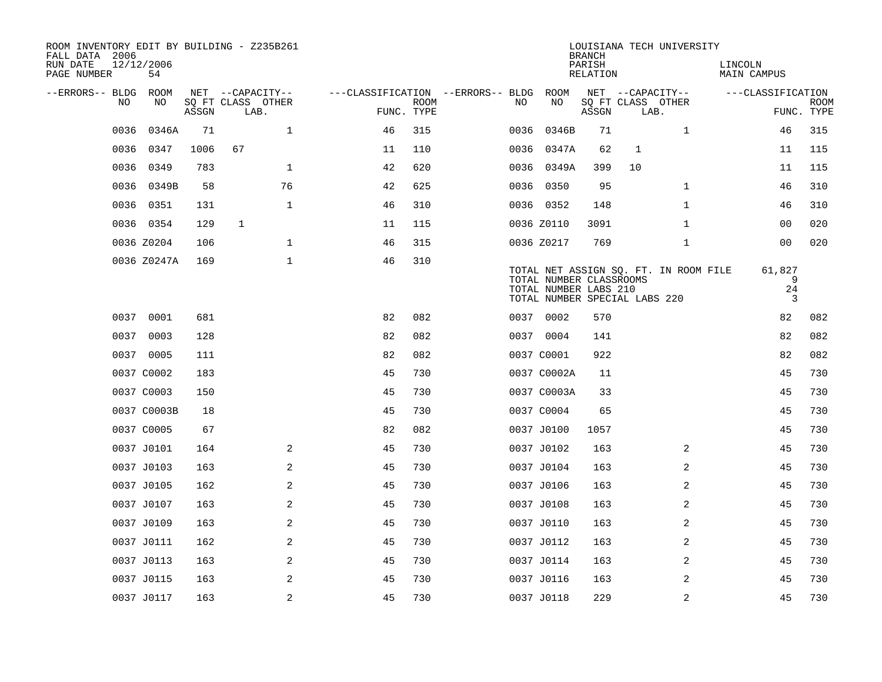| ROOM INVENTORY EDIT BY BUILDING - Z235B261<br>FALL DATA 2006<br>RUN DATE<br>PAGE NUMBER | 12/12/2006<br>54 |       |                           |                |                                   |             |      |                                                                                   | <b>BRANCH</b><br>PARISH<br>RELATION |              | LOUISIANA TECH UNIVERSITY             | LINCOLN<br><b>MAIN CAMPUS</b> |                           |
|-----------------------------------------------------------------------------------------|------------------|-------|---------------------------|----------------|-----------------------------------|-------------|------|-----------------------------------------------------------------------------------|-------------------------------------|--------------|---------------------------------------|-------------------------------|---------------------------|
| --ERRORS-- BLDG ROOM                                                                    |                  |       | NET --CAPACITY--          |                | ---CLASSIFICATION --ERRORS-- BLDG |             |      | ROOM                                                                              |                                     |              | NET --CAPACITY--                      | ---CLASSIFICATION             |                           |
| NO                                                                                      | NO               | ASSGN | SQ FT CLASS OTHER<br>LAB. |                | FUNC. TYPE                        | <b>ROOM</b> | NO   | NO                                                                                | ASSGN                               |              | SQ FT CLASS OTHER<br>LAB.             |                               | <b>ROOM</b><br>FUNC. TYPE |
| 0036                                                                                    | 0346A            | 71    |                           | $\mathbf 1$    | 46                                | 315         | 0036 | 0346B                                                                             | 71                                  |              | 1                                     | 46                            | 315                       |
| 0036                                                                                    | 0347             | 1006  | 67                        |                | 11                                | 110         | 0036 | 0347A                                                                             | 62                                  | $\mathbf{1}$ |                                       | 11                            | 115                       |
| 0036                                                                                    | 0349             | 783   |                           | $\mathbf{1}$   | 42                                | 620         | 0036 | 0349A                                                                             | 399                                 | 10           |                                       | 11                            | 115                       |
| 0036                                                                                    | 0349B            | 58    |                           | 76             | 42                                | 625         |      | 0036 0350                                                                         | 95                                  |              | $\mathbf{1}$                          | 46                            | 310                       |
| 0036                                                                                    | 0351             | 131   |                           | $\mathbf 1$    | 46                                | 310         |      | 0036 0352                                                                         | 148                                 |              | $\mathbf{1}$                          | 46                            | 310                       |
|                                                                                         | 0036 0354        | 129   | $\mathbf{1}$              |                | 11                                | 115         |      | 0036 Z0110                                                                        | 3091                                |              | $\mathbf{1}$                          | 00                            | 020                       |
|                                                                                         | 0036 Z0204       | 106   |                           | $\mathbf 1$    | 46                                | 315         |      | 0036 Z0217                                                                        | 769                                 |              | $\mathbf{1}$                          | 00                            | 020                       |
|                                                                                         | 0036 Z0247A      | 169   |                           | $\mathbf 1$    | 46                                | 310         |      | TOTAL NUMBER CLASSROOMS<br>TOTAL NUMBER LABS 210<br>TOTAL NUMBER SPECIAL LABS 220 |                                     |              | TOTAL NET ASSIGN SQ. FT. IN ROOM FILE | 61,827                        | 9<br>24<br>3              |
|                                                                                         | 0037 0001        | 681   |                           |                | 82                                | 082         |      | 0037 0002                                                                         | 570                                 |              |                                       | 82                            | 082                       |
|                                                                                         | 0037 0003        | 128   |                           |                | 82                                | 082         |      | 0037 0004                                                                         | 141                                 |              |                                       | 82                            | 082                       |
|                                                                                         | 0037 0005        | 111   |                           |                | 82                                | 082         |      | 0037 C0001                                                                        | 922                                 |              |                                       | 82                            | 082                       |
|                                                                                         | 0037 C0002       | 183   |                           |                | 45                                | 730         |      | 0037 C0002A                                                                       | 11                                  |              |                                       | 45                            | 730                       |
|                                                                                         | 0037 C0003       | 150   |                           |                | 45                                | 730         |      | 0037 C0003A                                                                       | 33                                  |              |                                       | 45                            | 730                       |
|                                                                                         | 0037 C0003B      | 18    |                           |                | 45                                | 730         |      | 0037 C0004                                                                        | 65                                  |              |                                       | 45                            | 730                       |
|                                                                                         | 0037 C0005       | 67    |                           |                | 82                                | 082         |      | 0037 J0100                                                                        | 1057                                |              |                                       | 45                            | 730                       |
|                                                                                         | 0037 J0101       | 164   |                           | 2              | 45                                | 730         |      | 0037 J0102                                                                        | 163                                 |              | 2                                     | 45                            | 730                       |
|                                                                                         | 0037 J0103       | 163   |                           | 2              | 45                                | 730         |      | 0037 J0104                                                                        | 163                                 |              | 2                                     | 45                            | 730                       |
|                                                                                         | 0037 J0105       | 162   |                           | 2              | 45                                | 730         |      | 0037 J0106                                                                        | 163                                 |              | 2                                     | 45                            | 730                       |
|                                                                                         | 0037 J0107       | 163   |                           | 2              | 45                                | 730         |      | 0037 J0108                                                                        | 163                                 |              | 2                                     | 45                            | 730                       |
|                                                                                         | 0037 J0109       | 163   |                           | 2              | 45                                | 730         |      | 0037 J0110                                                                        | 163                                 |              | 2                                     | 45                            | 730                       |
|                                                                                         | 0037 J0111       | 162   |                           | $\overline{a}$ | 45                                | 730         |      | 0037 J0112                                                                        | 163                                 |              | 2                                     | 45                            | 730                       |
|                                                                                         | 0037 J0113       | 163   |                           | $\overline{a}$ | 45                                | 730         |      | 0037 J0114                                                                        | 163                                 |              | $\overline{a}$                        | 45                            | 730                       |
|                                                                                         | 0037 J0115       | 163   |                           | 2              | 45                                | 730         |      | 0037 J0116                                                                        | 163                                 |              | 2                                     | 45                            | 730                       |
|                                                                                         | 0037 J0117       | 163   |                           | 2              | 45                                | 730         |      | 0037 J0118                                                                        | 229                                 |              | 2                                     | 45                            | 730                       |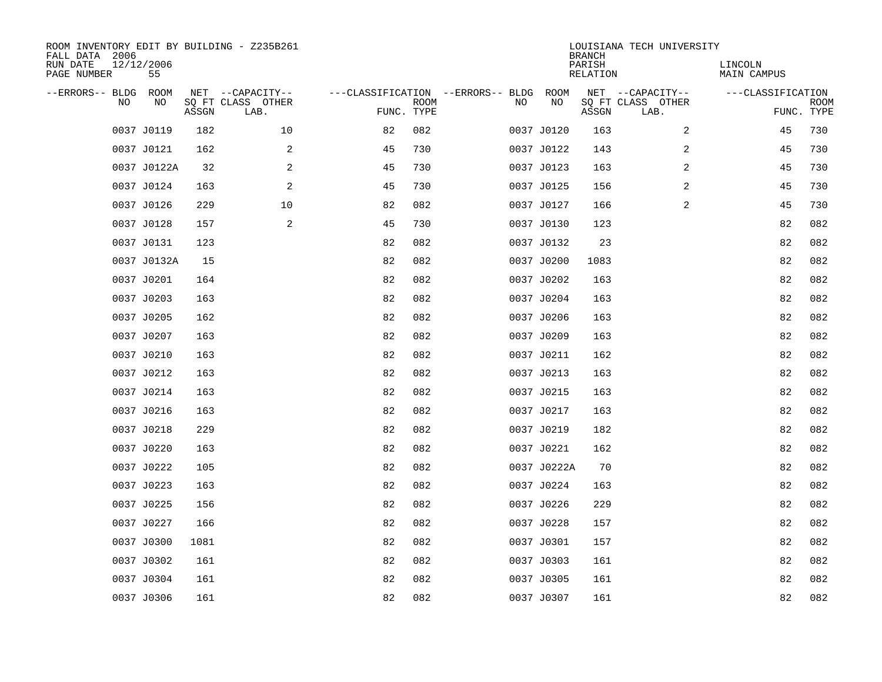| ROOM INVENTORY EDIT BY BUILDING - Z235B261<br>FALL DATA 2006<br>RUN DATE<br>PAGE NUMBER | 12/12/2006<br>55 |       |                                               |                                                 |             |    |             | <b>BRANCH</b><br>PARISH<br><b>RELATION</b> | LOUISIANA TECH UNIVERSITY                     | LINCOLN<br>MAIN CAMPUS |                           |
|-----------------------------------------------------------------------------------------|------------------|-------|-----------------------------------------------|-------------------------------------------------|-------------|----|-------------|--------------------------------------------|-----------------------------------------------|------------------------|---------------------------|
| --ERRORS-- BLDG<br>NO                                                                   | ROOM<br>NO       | ASSGN | NET --CAPACITY--<br>SQ FT CLASS OTHER<br>LAB. | ---CLASSIFICATION --ERRORS-- BLDG<br>FUNC. TYPE | <b>ROOM</b> | NO | ROOM<br>NO  | ASSGN                                      | NET --CAPACITY--<br>SQ FT CLASS OTHER<br>LAB. | ---CLASSIFICATION      | <b>ROOM</b><br>FUNC. TYPE |
|                                                                                         | 0037 J0119       | 182   | 10                                            | 82                                              | 082         |    | 0037 J0120  | 163                                        | 2                                             | 45                     | 730                       |
|                                                                                         | 0037 J0121       | 162   | 2                                             | 45                                              | 730         |    | 0037 J0122  | 143                                        | 2                                             | 45                     | 730                       |
|                                                                                         | 0037 J0122A      | 32    | 2                                             | 45                                              | 730         |    | 0037 J0123  | 163                                        | 2                                             | 45                     | 730                       |
|                                                                                         | 0037 J0124       | 163   | 2                                             | 45                                              | 730         |    | 0037 J0125  | 156                                        | 2                                             | 45                     | 730                       |
|                                                                                         | 0037 J0126       | 229   | 10                                            | 82                                              | 082         |    | 0037 J0127  | 166                                        | 2                                             | 45                     | 730                       |
|                                                                                         | 0037 J0128       | 157   | 2                                             | 45                                              | 730         |    | 0037 J0130  | 123                                        |                                               | 82                     | 082                       |
|                                                                                         | 0037 J0131       | 123   |                                               | 82                                              | 082         |    | 0037 J0132  | 23                                         |                                               | 82                     | 082                       |
|                                                                                         | 0037 J0132A      | 15    |                                               | 82                                              | 082         |    | 0037 J0200  | 1083                                       |                                               | 82                     | 082                       |
|                                                                                         | 0037 J0201       | 164   |                                               | 82                                              | 082         |    | 0037 J0202  | 163                                        |                                               | 82                     | 082                       |
|                                                                                         | 0037 J0203       | 163   |                                               | 82                                              | 082         |    | 0037 J0204  | 163                                        |                                               | 82                     | 082                       |
|                                                                                         | 0037 J0205       | 162   |                                               | 82                                              | 082         |    | 0037 J0206  | 163                                        |                                               | 82                     | 082                       |
|                                                                                         | 0037 J0207       | 163   |                                               | 82                                              | 082         |    | 0037 J0209  | 163                                        |                                               | 82                     | 082                       |
|                                                                                         | 0037 J0210       | 163   |                                               | 82                                              | 082         |    | 0037 J0211  | 162                                        |                                               | 82                     | 082                       |
|                                                                                         | 0037 J0212       | 163   |                                               | 82                                              | 082         |    | 0037 J0213  | 163                                        |                                               | 82                     | 082                       |
|                                                                                         | 0037 J0214       | 163   |                                               | 82                                              | 082         |    | 0037 J0215  | 163                                        |                                               | 82                     | 082                       |
|                                                                                         | 0037 J0216       | 163   |                                               | 82                                              | 082         |    | 0037 J0217  | 163                                        |                                               | 82                     | 082                       |
|                                                                                         | 0037 J0218       | 229   |                                               | 82                                              | 082         |    | 0037 J0219  | 182                                        |                                               | 82                     | 082                       |
|                                                                                         | 0037 J0220       | 163   |                                               | 82                                              | 082         |    | 0037 J0221  | 162                                        |                                               | 82                     | 082                       |
|                                                                                         | 0037 J0222       | 105   |                                               | 82                                              | 082         |    | 0037 J0222A | 70                                         |                                               | 82                     | 082                       |
|                                                                                         | 0037 J0223       | 163   |                                               | 82                                              | 082         |    | 0037 J0224  | 163                                        |                                               | 82                     | 082                       |
|                                                                                         | 0037 J0225       | 156   |                                               | 82                                              | 082         |    | 0037 J0226  | 229                                        |                                               | 82                     | 082                       |
|                                                                                         | 0037 J0227       | 166   |                                               | 82                                              | 082         |    | 0037 J0228  | 157                                        |                                               | 82                     | 082                       |
|                                                                                         | 0037 J0300       | 1081  |                                               | 82                                              | 082         |    | 0037 J0301  | 157                                        |                                               | 82                     | 082                       |
|                                                                                         | 0037 J0302       | 161   |                                               | 82                                              | 082         |    | 0037 J0303  | 161                                        |                                               | 82                     | 082                       |
|                                                                                         | 0037 J0304       | 161   |                                               | 82                                              | 082         |    | 0037 J0305  | 161                                        |                                               | 82                     | 082                       |
|                                                                                         | 0037 J0306       | 161   |                                               | 82                                              | 082         |    | 0037 J0307  | 161                                        |                                               | 82                     | 082                       |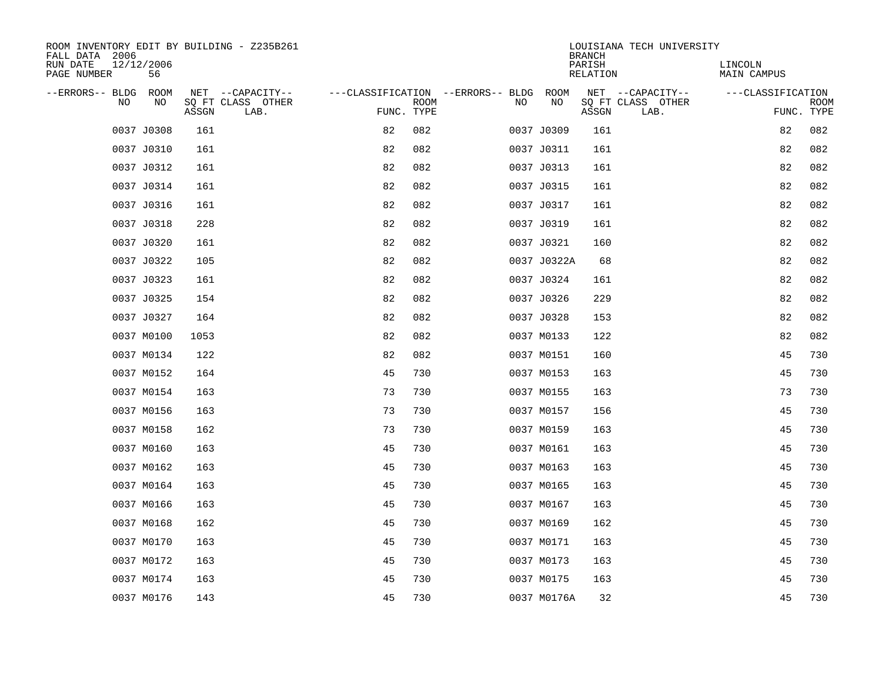| ROOM INVENTORY EDIT BY BUILDING - Z235B261<br>FALL DATA 2006 |                                    |                           |                                        | LOUISIANA TECH UNIVERSITY<br><b>BRANCH</b> |                               |
|--------------------------------------------------------------|------------------------------------|---------------------------|----------------------------------------|--------------------------------------------|-------------------------------|
| RUN DATE<br>12/12/2006<br>PAGE NUMBER<br>56                  |                                    |                           |                                        | PARISH<br><b>RELATION</b>                  | LINCOLN<br><b>MAIN CAMPUS</b> |
| --ERRORS-- BLDG ROOM                                         | NET --CAPACITY--                   |                           | ---CLASSIFICATION --ERRORS-- BLDG ROOM | NET --CAPACITY--                           | ---CLASSIFICATION             |
| NO<br>NO                                                     | SQ FT CLASS OTHER<br>ASSGN<br>LAB. | <b>ROOM</b><br>FUNC. TYPE | NO<br>NO                               | SQ FT CLASS OTHER<br>ASSGN<br>LAB.         | <b>ROOM</b><br>FUNC. TYPE     |
| 0037 J0308                                                   | 161                                | 82<br>082                 | 0037 J0309                             | 161                                        | 82<br>082                     |
| 0037 J0310                                                   | 161                                | 82<br>082                 | 0037 J0311                             | 161                                        | 082<br>82                     |
| 0037 J0312                                                   | 161                                | 82<br>082                 | 0037 J0313                             | 161                                        | 082<br>82                     |
| 0037 J0314                                                   | 161                                | 82<br>082                 | 0037 J0315                             | 161                                        | 82<br>082                     |
| 0037 J0316                                                   | 161                                | 82<br>082                 | 0037 J0317                             | 161                                        | 082<br>82                     |
| 0037 J0318                                                   | 228                                | 82<br>082                 | 0037 J0319                             | 161                                        | 82<br>082                     |
| 0037 J0320                                                   | 161                                | 82<br>082                 | 0037 J0321                             | 160                                        | 82<br>082                     |
| 0037 J0322                                                   | 105                                | 82<br>082                 | 0037 J0322A                            | 68                                         | 82<br>082                     |
| 0037 J0323                                                   | 161                                | 82<br>082                 | 0037 J0324                             | 161                                        | 82<br>082                     |
| 0037 J0325                                                   | 154                                | 82<br>082                 | 0037 J0326                             | 229                                        | 82<br>082                     |
| 0037 J0327                                                   | 164                                | 82<br>082                 | 0037 J0328                             | 153                                        | 82<br>082                     |
| 0037 M0100                                                   | 1053                               | 82<br>082                 | 0037 M0133                             | 122                                        | 82<br>082                     |
| 0037 M0134                                                   | 122                                | 82<br>082                 | 0037 M0151                             | 160                                        | 45<br>730                     |
| 0037 M0152                                                   | 164                                | 45<br>730                 | 0037 M0153                             | 163                                        | 45<br>730                     |
| 0037 M0154                                                   | 163                                | 73<br>730                 | 0037 M0155                             | 163                                        | 73<br>730                     |
| 0037 M0156                                                   | 163                                | 73<br>730                 | 0037 M0157                             | 156                                        | 45<br>730                     |
| 0037 M0158                                                   | 162                                | 73<br>730                 | 0037 M0159                             | 163                                        | 730<br>45                     |
| 0037 M0160                                                   | 163                                | 45<br>730                 | 0037 M0161                             | 163                                        | 45<br>730                     |
| 0037 M0162                                                   | 163                                | 45<br>730                 | 0037 M0163                             | 163                                        | 45<br>730                     |
| 0037 M0164                                                   | 163                                | 45<br>730                 | 0037 M0165                             | 163                                        | 45<br>730                     |
| 0037 M0166                                                   | 163                                | 45<br>730                 | 0037 M0167                             | 163                                        | 45<br>730                     |
| 0037 M0168                                                   | 162                                | 45<br>730                 | 0037 M0169                             | 162                                        | 45<br>730                     |
| 0037 M0170                                                   | 163                                | 45<br>730                 | 0037 M0171                             | 163                                        | 45<br>730                     |
| 0037 M0172                                                   | 163                                | 45<br>730                 | 0037 M0173                             | 163                                        | 45<br>730                     |
| 0037 M0174                                                   | 163                                | 45<br>730                 | 0037 M0175                             | 163                                        | 730<br>45                     |
| 0037 M0176                                                   | 143                                | 45<br>730                 | 0037 M0176A                            | 32                                         | 45<br>730                     |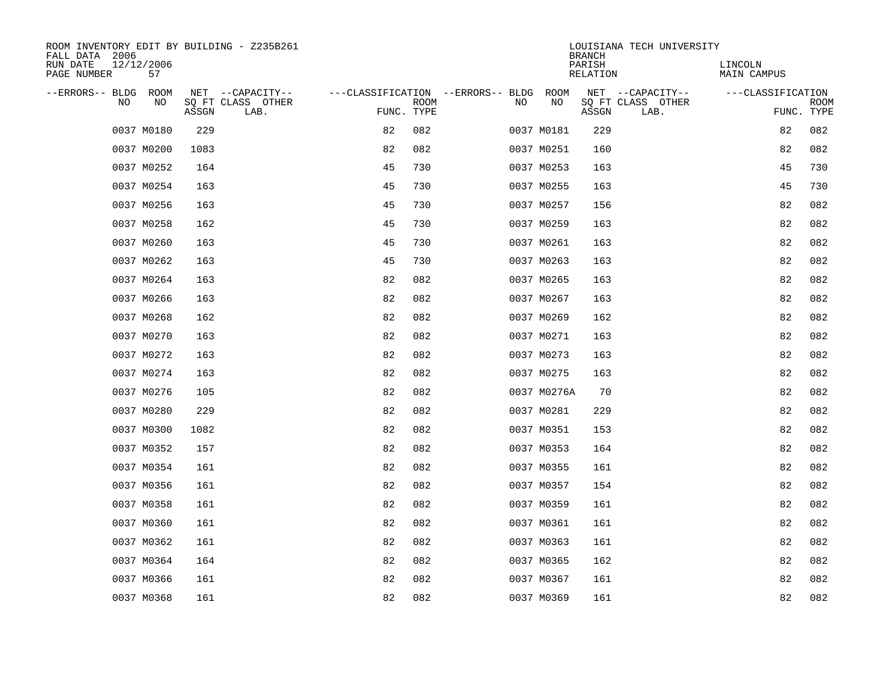| ROOM INVENTORY EDIT BY BUILDING - Z235B261<br>FALL DATA 2006 |       |                           |                                        |             |    |             | <b>BRANCH</b>      | LOUISIANA TECH UNIVERSITY |                               |                           |
|--------------------------------------------------------------|-------|---------------------------|----------------------------------------|-------------|----|-------------|--------------------|---------------------------|-------------------------------|---------------------------|
| RUN DATE<br>12/12/2006<br>PAGE NUMBER<br>57                  |       |                           |                                        |             |    |             | PARISH<br>RELATION |                           | LINCOLN<br><b>MAIN CAMPUS</b> |                           |
| --ERRORS-- BLDG ROOM                                         |       | NET --CAPACITY--          | ---CLASSIFICATION --ERRORS-- BLDG ROOM |             |    |             |                    | NET --CAPACITY--          | ---CLASSIFICATION             |                           |
| NO<br>NO                                                     | ASSGN | SQ FT CLASS OTHER<br>LAB. | FUNC. TYPE                             | <b>ROOM</b> | NO | NO          | ASSGN              | SQ FT CLASS OTHER<br>LAB. |                               | <b>ROOM</b><br>FUNC. TYPE |
| 0037 M0180                                                   | 229   |                           | 82                                     | 082         |    | 0037 M0181  | 229                |                           | 82                            | 082                       |
| 0037 M0200                                                   | 1083  |                           | 82                                     | 082         |    | 0037 M0251  | 160                |                           | 82                            | 082                       |
| 0037 M0252                                                   | 164   |                           | 45                                     | 730         |    | 0037 M0253  | 163                |                           | 45                            | 730                       |
| 0037 M0254                                                   | 163   |                           | 45                                     | 730         |    | 0037 M0255  | 163                |                           | 45                            | 730                       |
| 0037 M0256                                                   | 163   |                           | 45                                     | 730         |    | 0037 M0257  | 156                |                           | 82                            | 082                       |
| 0037 M0258                                                   | 162   |                           | 45                                     | 730         |    | 0037 M0259  | 163                |                           | 82                            | 082                       |
| 0037 M0260                                                   | 163   |                           | 45                                     | 730         |    | 0037 M0261  | 163                |                           | 82                            | 082                       |
| 0037 M0262                                                   | 163   |                           | 45                                     | 730         |    | 0037 M0263  | 163                |                           | 82                            | 082                       |
| 0037 M0264                                                   | 163   |                           | 82                                     | 082         |    | 0037 M0265  | 163                |                           | 82                            | 082                       |
| 0037 M0266                                                   | 163   |                           | 82                                     | 082         |    | 0037 M0267  | 163                |                           | 82                            | 082                       |
| 0037 M0268                                                   | 162   |                           | 82                                     | 082         |    | 0037 M0269  | 162                |                           | 82                            | 082                       |
| 0037 M0270                                                   | 163   |                           | 82                                     | 082         |    | 0037 M0271  | 163                |                           | 82                            | 082                       |
| 0037 M0272                                                   | 163   |                           | 82                                     | 082         |    | 0037 M0273  | 163                |                           | 82                            | 082                       |
| 0037 M0274                                                   | 163   |                           | 82                                     | 082         |    | 0037 M0275  | 163                |                           | 82                            | 082                       |
| 0037 M0276                                                   | 105   |                           | 82                                     | 082         |    | 0037 M0276A | 70                 |                           | 82                            | 082                       |
| 0037 M0280                                                   | 229   |                           | 82                                     | 082         |    | 0037 M0281  | 229                |                           | 82                            | 082                       |
| 0037 M0300                                                   | 1082  |                           | 82                                     | 082         |    | 0037 M0351  | 153                |                           | 82                            | 082                       |
| 0037 M0352                                                   | 157   |                           | 82                                     | 082         |    | 0037 M0353  | 164                |                           | 82                            | 082                       |
| 0037 M0354                                                   | 161   |                           | 82                                     | 082         |    | 0037 M0355  | 161                |                           | 82                            | 082                       |
| 0037 M0356                                                   | 161   |                           | 82                                     | 082         |    | 0037 M0357  | 154                |                           | 82                            | 082                       |
| 0037 M0358                                                   | 161   |                           | 82                                     | 082         |    | 0037 M0359  | 161                |                           | 82                            | 082                       |
| 0037 M0360                                                   | 161   |                           | 82                                     | 082         |    | 0037 M0361  | 161                |                           | 82                            | 082                       |
| 0037 M0362                                                   | 161   |                           | 82                                     | 082         |    | 0037 M0363  | 161                |                           | 82                            | 082                       |
| 0037 M0364                                                   | 164   |                           | 82                                     | 082         |    | 0037 M0365  | 162                |                           | 82                            | 082                       |
| 0037 M0366                                                   | 161   |                           | 82                                     | 082         |    | 0037 M0367  | 161                |                           | 82                            | 082                       |
| 0037 M0368                                                   | 161   |                           | 82                                     | 082         |    | 0037 M0369  | 161                |                           | 82                            | 082                       |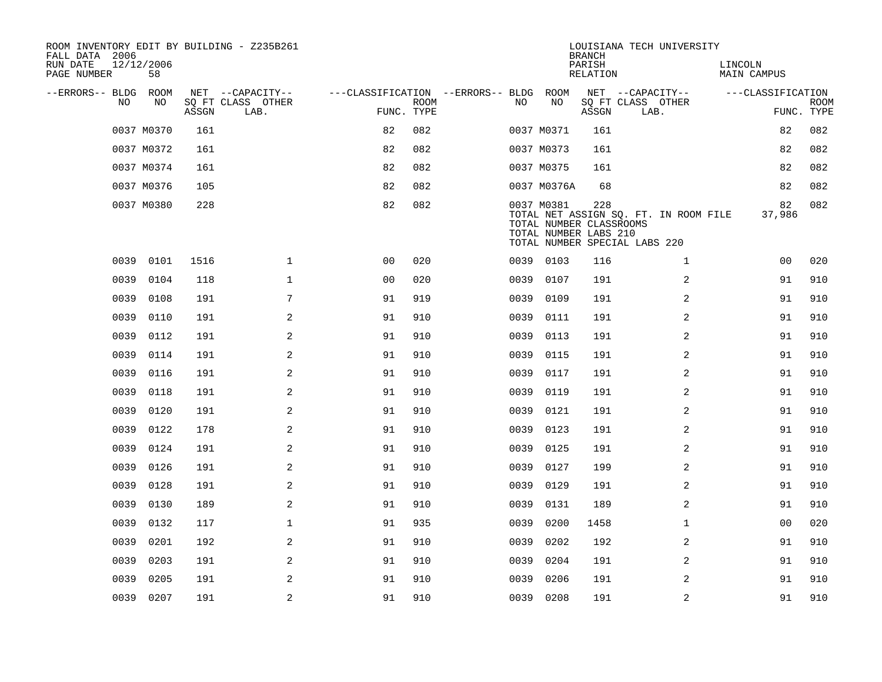| ROOM INVENTORY EDIT BY BUILDING - Z235B261<br>FALL DATA 2006 |                  |       |                           |                                        |             |      |                                                                | <b>BRANCH</b>             | LOUISIANA TECH UNIVERSITY                                              |                               |                           |
|--------------------------------------------------------------|------------------|-------|---------------------------|----------------------------------------|-------------|------|----------------------------------------------------------------|---------------------------|------------------------------------------------------------------------|-------------------------------|---------------------------|
| RUN DATE<br>PAGE NUMBER                                      | 12/12/2006<br>58 |       |                           |                                        |             |      |                                                                | PARISH<br><b>RELATION</b> |                                                                        | LINCOLN<br><b>MAIN CAMPUS</b> |                           |
| --ERRORS-- BLDG ROOM                                         |                  |       | NET --CAPACITY--          | ---CLASSIFICATION --ERRORS-- BLDG ROOM |             |      |                                                                |                           | NET --CAPACITY--                                                       | ---CLASSIFICATION             |                           |
| N <sub>O</sub>                                               | NO.              | ASSGN | SO FT CLASS OTHER<br>LAB. | FUNC. TYPE                             | <b>ROOM</b> | NO.  | NO                                                             | ASSGN                     | SQ FT CLASS OTHER<br>LAB.                                              |                               | <b>ROOM</b><br>FUNC. TYPE |
|                                                              | 0037 M0370       | 161   |                           | 82                                     | 082         |      | 0037 M0371                                                     | 161                       |                                                                        | 82                            | 082                       |
|                                                              | 0037 M0372       | 161   |                           | 82                                     | 082         |      | 0037 M0373                                                     | 161                       |                                                                        | 82                            | 082                       |
|                                                              | 0037 M0374       | 161   |                           | 82                                     | 082         |      | 0037 M0375                                                     | 161                       |                                                                        | 82                            | 082                       |
|                                                              | 0037 M0376       | 105   |                           | 82                                     | 082         |      | 0037 M0376A                                                    | 68                        |                                                                        | 82                            | 082                       |
|                                                              | 0037 M0380       | 228   |                           | 82                                     | 082         |      | 0037 M0381<br>TOTAL NUMBER CLASSROOMS<br>TOTAL NUMBER LABS 210 | 228                       | TOTAL NET ASSIGN SQ. FT. IN ROOM FILE<br>TOTAL NUMBER SPECIAL LABS 220 | 82<br>37,986                  | 082                       |
| 0039                                                         | 0101             | 1516  | $\mathbf{1}$              | 0 <sub>0</sub>                         | 020         |      | 0039 0103                                                      | 116                       | $\mathbf{1}$                                                           | 0 <sub>0</sub>                | 020                       |
| 0039                                                         | 0104             | 118   | $\mathbf{1}$              | 0 <sub>0</sub>                         | 020         | 0039 | 0107                                                           | 191                       | 2                                                                      | 91                            | 910                       |
| 0039                                                         | 0108             | 191   | 7                         | 91                                     | 919         | 0039 | 0109                                                           | 191                       | 2                                                                      | 91                            | 910                       |
| 0039                                                         | 0110             | 191   | 2                         | 91                                     | 910         | 0039 | 0111                                                           | 191                       | 2                                                                      | 91                            | 910                       |
| 0039                                                         | 0112             | 191   | 2                         | 91                                     | 910         | 0039 | 0113                                                           | 191                       | $\overline{2}$                                                         | 91                            | 910                       |
| 0039                                                         | 0114             | 191   | 2                         | 91                                     | 910         | 0039 | 0115                                                           | 191                       | 2                                                                      | 91                            | 910                       |
| 0039                                                         | 0116             | 191   | 2                         | 91                                     | 910         | 0039 | 0117                                                           | 191                       | 2                                                                      | 91                            | 910                       |
| 0039                                                         | 0118             | 191   | 2                         | 91                                     | 910         | 0039 | 0119                                                           | 191                       | 2                                                                      | 91                            | 910                       |
| 0039                                                         | 0120             | 191   | 2                         | 91                                     | 910         | 0039 | 0121                                                           | 191                       | 2                                                                      | 91                            | 910                       |
| 0039                                                         | 0122             | 178   | 2                         | 91                                     | 910         | 0039 | 0123                                                           | 191                       | $\overline{a}$                                                         | 91                            | 910                       |
| 0039                                                         | 0124             | 191   | 2                         | 91                                     | 910         | 0039 | 0125                                                           | 191                       | 2                                                                      | 91                            | 910                       |
| 0039                                                         | 0126             | 191   | 2                         | 91                                     | 910         | 0039 | 0127                                                           | 199                       | 2                                                                      | 91                            | 910                       |
| 0039                                                         | 0128             | 191   | 2                         | 91                                     | 910         | 0039 | 0129                                                           | 191                       | 2                                                                      | 91                            | 910                       |
| 0039                                                         | 0130             | 189   | 2                         | 91                                     | 910         | 0039 | 0131                                                           | 189                       | 2                                                                      | 91                            | 910                       |
| 0039                                                         | 0132             | 117   | $\mathbf 1$               | 91                                     | 935         | 0039 | 0200                                                           | 1458                      | $\mathbf{1}$                                                           | 00                            | 020                       |
| 0039                                                         | 0201             | 192   | 2                         | 91                                     | 910         | 0039 | 0202                                                           | 192                       | 2                                                                      | 91                            | 910                       |
| 0039                                                         | 0203             | 191   | 2                         | 91                                     | 910         | 0039 | 0204                                                           | 191                       | 2                                                                      | 91                            | 910                       |
| 0039                                                         | 0205             | 191   | 2                         | 91                                     | 910         | 0039 | 0206                                                           | 191                       | 2                                                                      | 91                            | 910                       |
|                                                              | 0039 0207        | 191   | 2                         | 91                                     | 910         |      | 0039 0208                                                      | 191                       | 2                                                                      | 91                            | 910                       |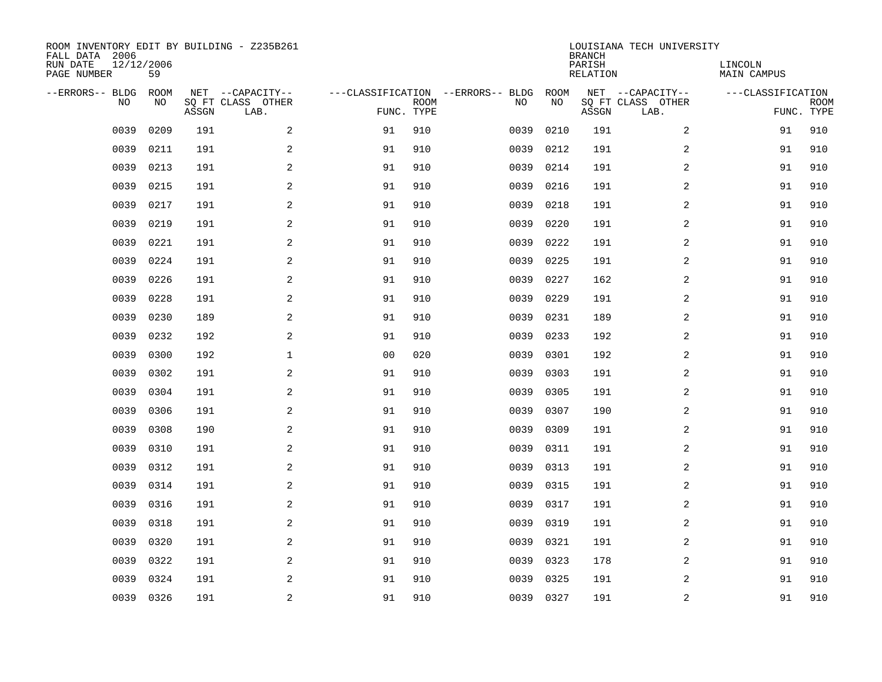| ROOM INVENTORY EDIT BY BUILDING - Z235B261<br>FALL DATA 2006<br>RUN DATE<br>PAGE NUMBER | 12/12/2006<br>59  |       |                                               |    |                           |                                         |            | <b>BRANCH</b><br>PARISH<br><b>RELATION</b> | LOUISIANA TECH UNIVERSITY                     | LINCOLN<br><b>MAIN CAMPUS</b> |                           |
|-----------------------------------------------------------------------------------------|-------------------|-------|-----------------------------------------------|----|---------------------------|-----------------------------------------|------------|--------------------------------------------|-----------------------------------------------|-------------------------------|---------------------------|
| --ERRORS-- BLDG<br>NO                                                                   | <b>ROOM</b><br>NO | ASSGN | NET --CAPACITY--<br>SQ FT CLASS OTHER<br>LAB. |    | <b>ROOM</b><br>FUNC. TYPE | ---CLASSIFICATION --ERRORS-- BLDG<br>NO | ROOM<br>NO | ASSGN                                      | NET --CAPACITY--<br>SQ FT CLASS OTHER<br>LAB. | ---CLASSIFICATION             | <b>ROOM</b><br>FUNC. TYPE |
| 0039                                                                                    | 0209              | 191   | 2                                             | 91 | 910                       | 0039                                    | 0210       | 191                                        | 2                                             | 91                            | 910                       |
| 0039                                                                                    | 0211              | 191   | 2                                             | 91 | 910                       | 0039                                    | 0212       | 191                                        | 2                                             | 91                            | 910                       |
| 0039                                                                                    | 0213              | 191   | $\overline{a}$                                | 91 | 910                       | 0039                                    | 0214       | 191                                        | 2                                             | 91                            | 910                       |
| 0039                                                                                    | 0215              | 191   | $\overline{a}$                                | 91 | 910                       | 0039                                    | 0216       | 191                                        | 2                                             | 91                            | 910                       |
| 0039                                                                                    | 0217              | 191   | 2                                             | 91 | 910                       | 0039                                    | 0218       | 191                                        | 2                                             | 91                            | 910                       |
| 0039                                                                                    | 0219              | 191   | 2                                             | 91 | 910                       | 0039                                    | 0220       | 191                                        | 2                                             | 91                            | 910                       |
| 0039                                                                                    | 0221              | 191   | 2                                             | 91 | 910                       | 0039                                    | 0222       | 191                                        | 2                                             | 91                            | 910                       |
| 0039                                                                                    | 0224              | 191   | 2                                             | 91 | 910                       | 0039                                    | 0225       | 191                                        | 2                                             | 91                            | 910                       |
| 0039                                                                                    | 0226              | 191   | 2                                             | 91 | 910                       | 0039                                    | 0227       | 162                                        | 2                                             | 91                            | 910                       |
| 0039                                                                                    | 0228              | 191   | 2                                             | 91 | 910                       | 0039                                    | 0229       | 191                                        | 2                                             | 91                            | 910                       |
| 0039                                                                                    | 0230              | 189   | 2                                             | 91 | 910                       | 0039                                    | 0231       | 189                                        | 2                                             | 91                            | 910                       |
| 0039                                                                                    | 0232              | 192   | 2                                             | 91 | 910                       | 0039                                    | 0233       | 192                                        | 2                                             | 91                            | 910                       |
| 0039                                                                                    | 0300              | 192   | $\mathbf{1}$                                  | 00 | 020                       | 0039                                    | 0301       | 192                                        | 2                                             | 91                            | 910                       |
| 0039                                                                                    | 0302              | 191   | 2                                             | 91 | 910                       | 0039                                    | 0303       | 191                                        | 2                                             | 91                            | 910                       |
| 0039                                                                                    | 0304              | 191   | $\mathbf{2}$                                  | 91 | 910                       | 0039                                    | 0305       | 191                                        | 2                                             | 91                            | 910                       |
| 0039                                                                                    | 0306              | 191   | 2                                             | 91 | 910                       | 0039                                    | 0307       | 190                                        | 2                                             | 91                            | 910                       |
| 0039                                                                                    | 0308              | 190   | 2                                             | 91 | 910                       | 0039                                    | 0309       | 191                                        | 2                                             | 91                            | 910                       |
| 0039                                                                                    | 0310              | 191   | 2                                             | 91 | 910                       | 0039                                    | 0311       | 191                                        | 2                                             | 91                            | 910                       |
| 0039                                                                                    | 0312              | 191   | 2                                             | 91 | 910                       | 0039                                    | 0313       | 191                                        | 2                                             | 91                            | 910                       |
| 0039                                                                                    | 0314              | 191   | 2                                             | 91 | 910                       | 0039                                    | 0315       | 191                                        | 2                                             | 91                            | 910                       |
| 0039                                                                                    | 0316              | 191   | 2                                             | 91 | 910                       | 0039                                    | 0317       | 191                                        | 2                                             | 91                            | 910                       |
| 0039                                                                                    | 0318              | 191   | 2                                             | 91 | 910                       | 0039                                    | 0319       | 191                                        | 2                                             | 91                            | 910                       |
| 0039                                                                                    | 0320              | 191   | 2                                             | 91 | 910                       | 0039                                    | 0321       | 191                                        | 2                                             | 91                            | 910                       |
| 0039                                                                                    | 0322              | 191   | 2                                             | 91 | 910                       | 0039                                    | 0323       | 178                                        | 2                                             | 91                            | 910                       |
| 0039                                                                                    | 0324              | 191   | 2                                             | 91 | 910                       | 0039                                    | 0325       | 191                                        | 2                                             | 91                            | 910                       |
|                                                                                         | 0039 0326         | 191   | 2                                             | 91 | 910                       |                                         | 0039 0327  | 191                                        | 2                                             | 91                            | 910                       |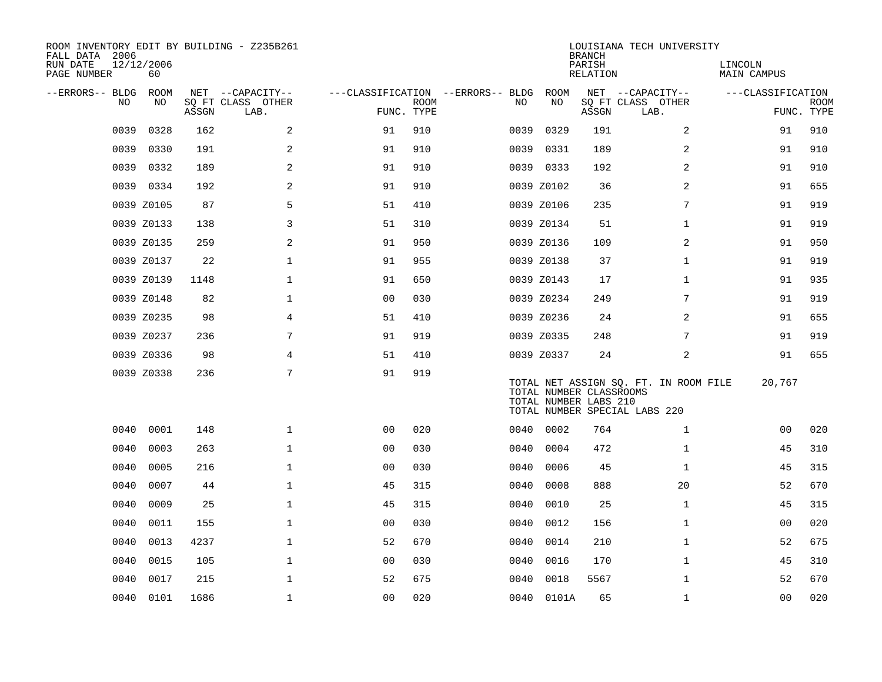| ROOM INVENTORY EDIT BY BUILDING - Z235B261<br>FALL DATA 2006<br>RUN DATE<br>PAGE NUMBER | 12/12/2006<br>60 |       |                           |                                   |             |      |                                                  | <b>BRANCH</b><br>PARISH<br>RELATION | LOUISIANA TECH UNIVERSITY                                              | LINCOLN<br>MAIN CAMPUS |                           |
|-----------------------------------------------------------------------------------------|------------------|-------|---------------------------|-----------------------------------|-------------|------|--------------------------------------------------|-------------------------------------|------------------------------------------------------------------------|------------------------|---------------------------|
| --ERRORS-- BLDG                                                                         | ROOM             |       | NET --CAPACITY--          | ---CLASSIFICATION --ERRORS-- BLDG |             |      | ROOM                                             |                                     | NET --CAPACITY--                                                       | ---CLASSIFICATION      |                           |
| N <sub>O</sub>                                                                          | NO.              | ASSGN | SO FT CLASS OTHER<br>LAB. | FUNC. TYPE                        | <b>ROOM</b> | NO.  | NO.                                              | ASSGN                               | SQ FT CLASS OTHER<br>LAB.                                              |                        | <b>ROOM</b><br>FUNC. TYPE |
| 0039                                                                                    | 0328             | 162   | 2                         | 91                                | 910         | 0039 | 0329                                             | 191                                 | 2                                                                      | 91                     | 910                       |
| 0039                                                                                    | 0330             | 191   | 2                         | 91                                | 910         | 0039 | 0331                                             | 189                                 | $\overline{2}$                                                         | 91                     | 910                       |
| 0039                                                                                    | 0332             | 189   | 2                         | 91                                | 910         |      | 0039 0333                                        | 192                                 | 2                                                                      | 91                     | 910                       |
|                                                                                         | 0039 0334        | 192   | 2                         | 91                                | 910         |      | 0039 Z0102                                       | 36                                  | 2                                                                      | 91                     | 655                       |
|                                                                                         | 0039 Z0105       | 87    | 5                         | 51                                | 410         |      | 0039 Z0106                                       | 235                                 | 7                                                                      | 91                     | 919                       |
|                                                                                         | 0039 Z0133       | 138   | $\mathsf{3}$              | 51                                | 310         |      | 0039 Z0134                                       | 51                                  | $\mathbf{1}$                                                           | 91                     | 919                       |
|                                                                                         | 0039 Z0135       | 259   | 2                         | 91                                | 950         |      | 0039 Z0136                                       | 109                                 | 2                                                                      | 91                     | 950                       |
|                                                                                         | 0039 Z0137       | 22    | $\mathbf{1}$              | 91                                | 955         |      | 0039 Z0138                                       | 37                                  | $\mathbf{1}$                                                           | 91                     | 919                       |
|                                                                                         | 0039 Z0139       | 1148  | $\mathbf{1}$              | 91                                | 650         |      | 0039 Z0143                                       | 17                                  | $\mathbf{1}$                                                           | 91                     | 935                       |
|                                                                                         | 0039 Z0148       | 82    | $\mathbf{1}$              | 0 <sub>0</sub>                    | 030         |      | 0039 Z0234                                       | 249                                 | 7                                                                      | 91                     | 919                       |
|                                                                                         | 0039 Z0235       | 98    | 4                         | 51                                | 410         |      | 0039 Z0236                                       | 24                                  | 2                                                                      | 91                     | 655                       |
|                                                                                         | 0039 Z0237       | 236   | 7                         | 91                                | 919         |      | 0039 Z0335                                       | 248                                 | 7                                                                      | 91                     | 919                       |
|                                                                                         | 0039 Z0336       | 98    | 4                         | 51                                | 410         |      | 0039 Z0337                                       | 24                                  | 2                                                                      | 91                     | 655                       |
|                                                                                         | 0039 Z0338       | 236   | 7                         | 91                                | 919         |      | TOTAL NUMBER CLASSROOMS<br>TOTAL NUMBER LABS 210 |                                     | TOTAL NET ASSIGN SQ. FT. IN ROOM FILE<br>TOTAL NUMBER SPECIAL LABS 220 | 20,767                 |                           |
| 0040                                                                                    | 0001             | 148   | $\mathbf{1}$              | 0 <sub>0</sub>                    | 020         | 0040 | 0002                                             | 764                                 | $\mathbf{1}$                                                           | 0 <sub>0</sub>         | 020                       |
| 0040                                                                                    | 0003             | 263   | $\mathbf{1}$              | 0 <sub>0</sub>                    | 030         | 0040 | 0004                                             | 472                                 | $\mathbf{1}$                                                           | 45                     | 310                       |
| 0040                                                                                    | 0005             | 216   | $\mathbf{1}$              | 0 <sub>0</sub>                    | 030         | 0040 | 0006                                             | 45                                  | $\mathbf{1}$                                                           | 45                     | 315                       |
| 0040                                                                                    | 0007             | 44    | $\mathbf 1$               | 45                                | 315         | 0040 | 0008                                             | 888                                 | 20                                                                     | 52                     | 670                       |
| 0040                                                                                    | 0009             | 25    | $\mathbf 1$               | 45                                | 315         | 0040 | 0010                                             | 25                                  | $\mathbf{1}$                                                           | 45                     | 315                       |
| 0040                                                                                    | 0011             | 155   | $\mathbf 1$               | 0 <sub>0</sub>                    | 030         | 0040 | 0012                                             | 156                                 | $\mathbf{1}$                                                           | 00                     | 020                       |
| 0040                                                                                    | 0013             | 4237  | $\mathbf 1$               | 52                                | 670         | 0040 | 0014                                             | 210                                 | $\mathbf{1}$                                                           | 52                     | 675                       |
| 0040                                                                                    | 0015             | 105   | $\mathbf 1$               | 0 <sub>0</sub>                    | 030         | 0040 | 0016                                             | 170                                 | $\mathbf{1}$                                                           | 45                     | 310                       |
| 0040                                                                                    | 0017             | 215   | $\mathbf{1}$              | 52                                | 675         | 0040 | 0018                                             | 5567                                | $\mathbf{1}$                                                           | 52                     | 670                       |
|                                                                                         | 0040 0101        | 1686  | $\mathbf{1}$              | 0 <sub>0</sub>                    | 020         |      | 0040 0101A                                       | 65                                  | $\mathbf{1}$                                                           | 0 <sub>0</sub>         | 020                       |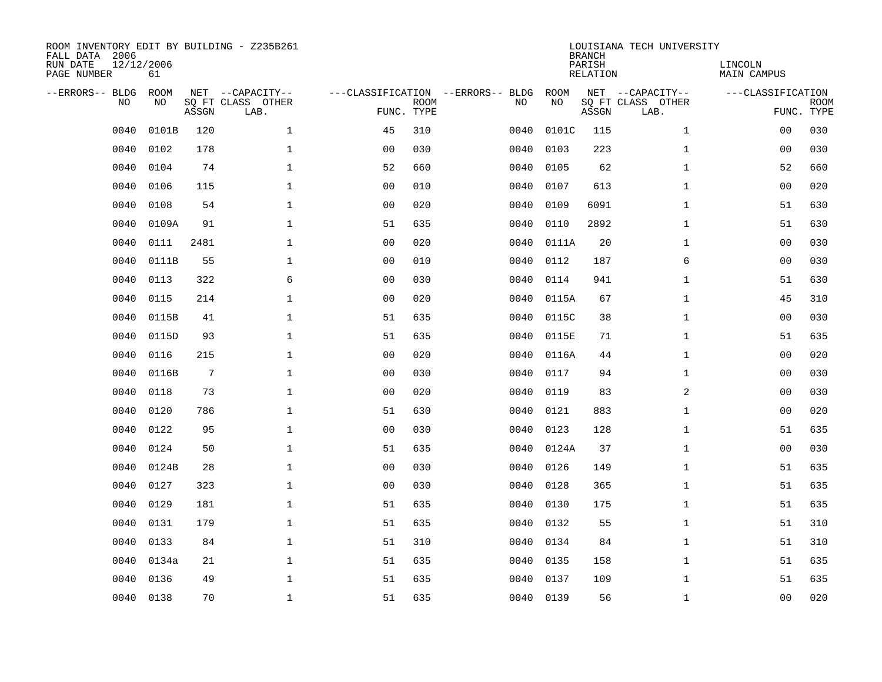| ROOM INVENTORY EDIT BY BUILDING - Z235B261<br>FALL DATA 2006<br>RUN DATE<br>PAGE NUMBER | 12/12/2006<br>61  |       |                                               |                |             |                                         |            | <b>BRANCH</b><br>PARISH<br><b>RELATION</b> | LOUISIANA TECH UNIVERSITY                     | LINCOLN<br>MAIN CAMPUS |                           |
|-----------------------------------------------------------------------------------------|-------------------|-------|-----------------------------------------------|----------------|-------------|-----------------------------------------|------------|--------------------------------------------|-----------------------------------------------|------------------------|---------------------------|
| --ERRORS-- BLDG<br>NO                                                                   | <b>ROOM</b><br>NO | ASSGN | NET --CAPACITY--<br>SQ FT CLASS OTHER<br>LAB. | FUNC. TYPE     | <b>ROOM</b> | ---CLASSIFICATION --ERRORS-- BLDG<br>NO | ROOM<br>NO | ASSGN                                      | NET --CAPACITY--<br>SQ FT CLASS OTHER<br>LAB. | ---CLASSIFICATION      | <b>ROOM</b><br>FUNC. TYPE |
| 0040                                                                                    | 0101B             | 120   | $\mathbf{1}$                                  | 45             | 310         | 0040                                    | 0101C      | 115                                        | $\mathbf{1}$                                  | 0 <sub>0</sub>         | 030                       |
| 0040                                                                                    | 0102              | 178   | $\mathbf 1$                                   | 0 <sub>0</sub> | 030         | 0040                                    | 0103       | 223                                        | $\mathbf{1}$                                  | 00                     | 030                       |
| 0040                                                                                    | 0104              | 74    | $\mathbf{1}$                                  | 52             | 660         | 0040                                    | 0105       | 62                                         | $\mathbf{1}$                                  | 52                     | 660                       |
| 0040                                                                                    | 0106              | 115   | $\mathbf{1}$                                  | 0 <sub>0</sub> | 010         | 0040                                    | 0107       | 613                                        | $\mathbf{1}$                                  | 0 <sub>0</sub>         | 020                       |
| 0040                                                                                    | 0108              | 54    | $\mathbf 1$                                   | 0 <sub>0</sub> | 020         | 0040                                    | 0109       | 6091                                       | $\mathbf{1}$                                  | 51                     | 630                       |
| 0040                                                                                    | 0109A             | 91    | $\mathbf{1}$                                  | 51             | 635         | 0040                                    | 0110       | 2892                                       | $\mathbf{1}$                                  | 51                     | 630                       |
| 0040                                                                                    | 0111              | 2481  | $\mathbf{1}$                                  | 0 <sub>0</sub> | 020         | 0040                                    | 0111A      | 20                                         | $\mathbf{1}$                                  | 0 <sub>0</sub>         | 030                       |
| 0040                                                                                    | 0111B             | 55    | $\mathbf 1$                                   | 0 <sub>0</sub> | 010         | 0040                                    | 0112       | 187                                        | 6                                             | 0 <sub>0</sub>         | 030                       |
| 0040                                                                                    | 0113              | 322   | 6                                             | 0 <sub>0</sub> | 030         | 0040                                    | 0114       | 941                                        | $\mathbf{1}$                                  | 51                     | 630                       |
| 0040                                                                                    | 0115              | 214   | $\mathbf 1$                                   | 0 <sub>0</sub> | 020         | 0040                                    | 0115A      | 67                                         | $\mathbf{1}$                                  | 45                     | 310                       |
| 0040                                                                                    | 0115B             | 41    | $\mathbf{1}$                                  | 51             | 635         | 0040                                    | 0115C      | 38                                         | $\mathbf{1}$                                  | 0 <sub>0</sub>         | 030                       |
| 0040                                                                                    | 0115D             | 93    | $\mathbf 1$                                   | 51             | 635         | 0040                                    | 0115E      | 71                                         | $\mathbf{1}$                                  | 51                     | 635                       |
| 0040                                                                                    | 0116              | 215   | $\mathbf{1}$                                  | 00             | 020         | 0040                                    | 0116A      | 44                                         | $\mathbf{1}$                                  | 0 <sub>0</sub>         | 020                       |
| 0040                                                                                    | 0116B             | 7     | $\mathbf 1$                                   | 00             | 030         | 0040                                    | 0117       | 94                                         | $\mathbf{1}$                                  | 00                     | 030                       |
| 0040                                                                                    | 0118              | 73    | 1                                             | 0 <sub>0</sub> | 020         | 0040                                    | 0119       | 83                                         | $\overline{a}$                                | 0 <sub>0</sub>         | 030                       |
| 0040                                                                                    | 0120              | 786   | $\mathbf 1$                                   | 51             | 630         | 0040                                    | 0121       | 883                                        | $\mathbf{1}$                                  | 00                     | 020                       |
| 0040                                                                                    | 0122              | 95    | $\mathbf 1$                                   | 0 <sub>0</sub> | 030         | 0040                                    | 0123       | 128                                        | $\mathbf{1}$                                  | 51                     | 635                       |
| 0040                                                                                    | 0124              | 50    | $\mathbf 1$                                   | 51             | 635         | 0040                                    | 0124A      | 37                                         | $\mathbf{1}$                                  | 00                     | 030                       |
| 0040                                                                                    | 0124B             | 28    | $\mathbf 1$                                   | 0 <sub>0</sub> | 030         | 0040                                    | 0126       | 149                                        | $\mathbf{1}$                                  | 51                     | 635                       |
| 0040                                                                                    | 0127              | 323   | $\mathbf 1$                                   | 0 <sub>0</sub> | 030         | 0040                                    | 0128       | 365                                        | $\mathbf{1}$                                  | 51                     | 635                       |
| 0040                                                                                    | 0129              | 181   | $\mathbf{1}$                                  | 51             | 635         | 0040                                    | 0130       | 175                                        | $\mathbf{1}$                                  | 51                     | 635                       |
| 0040                                                                                    | 0131              | 179   | $\mathbf{1}$                                  | 51             | 635         | 0040                                    | 0132       | 55                                         | $\mathbf{1}$                                  | 51                     | 310                       |
| 0040                                                                                    | 0133              | 84    | $\mathbf{1}$                                  | 51             | 310         | 0040                                    | 0134       | 84                                         | $\mathbf{1}$                                  | 51                     | 310                       |
| 0040                                                                                    | 0134a             | 21    | $\mathbf 1$                                   | 51             | 635         | 0040                                    | 0135       | 158                                        | $\mathbf{1}$                                  | 51                     | 635                       |
| 0040                                                                                    | 0136              | 49    | $\mathbf 1$                                   | 51             | 635         | 0040                                    | 0137       | 109                                        | $\mathbf{1}$                                  | 51                     | 635                       |
| 0040                                                                                    | 0138              | 70    | $\mathbf 1$                                   | 51             | 635         |                                         | 0040 0139  | 56                                         | $\mathbf{1}$                                  | 00                     | 020                       |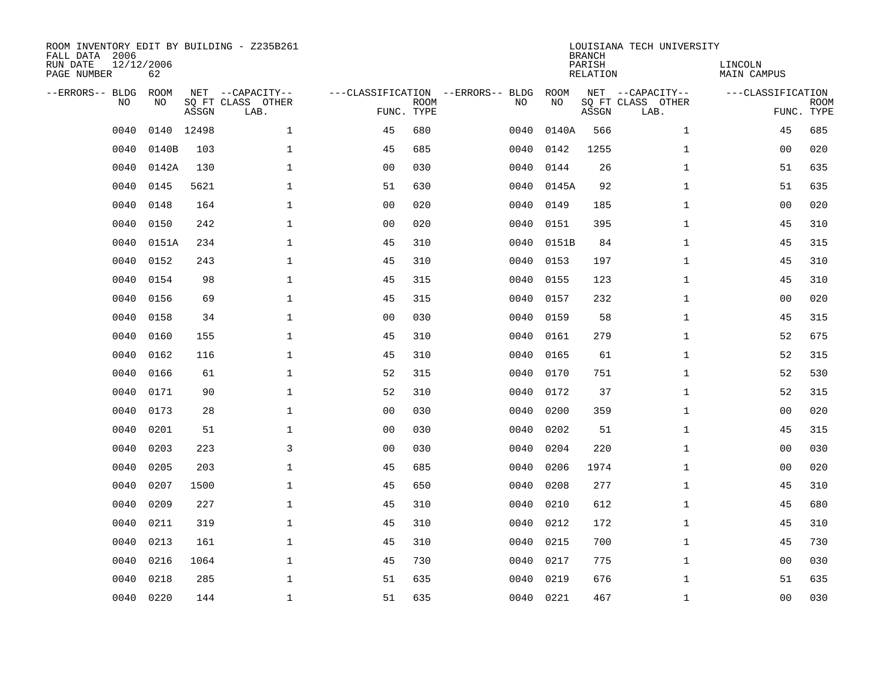| ROOM INVENTORY EDIT BY BUILDING - Z235B261<br>FALL DATA 2006<br>RUN DATE<br>PAGE NUMBER | 12/12/2006<br>62  |       |                                               |                |             |                                         |            | <b>BRANCH</b><br>PARISH<br><b>RELATION</b> | LOUISIANA TECH UNIVERSITY                     | LINCOLN<br><b>MAIN CAMPUS</b> |                           |
|-----------------------------------------------------------------------------------------|-------------------|-------|-----------------------------------------------|----------------|-------------|-----------------------------------------|------------|--------------------------------------------|-----------------------------------------------|-------------------------------|---------------------------|
| --ERRORS-- BLDG<br>NO                                                                   | <b>ROOM</b><br>NO | ASSGN | NET --CAPACITY--<br>SQ FT CLASS OTHER<br>LAB. | FUNC. TYPE     | <b>ROOM</b> | ---CLASSIFICATION --ERRORS-- BLDG<br>NO | ROOM<br>NO | ASSGN                                      | NET --CAPACITY--<br>SQ FT CLASS OTHER<br>LAB. | ---CLASSIFICATION             | <b>ROOM</b><br>FUNC. TYPE |
| 0040                                                                                    | 0140              | 12498 | $\mathbf{1}$                                  | 45             | 680         | 0040                                    | 0140A      | 566                                        | $\mathbf{1}$                                  | 45                            | 685                       |
| 0040                                                                                    | 0140B             | 103   | $\mathbf{1}$                                  | 45             | 685         | 0040                                    | 0142       | 1255                                       | $\mathbf{1}$                                  | 0 <sub>0</sub>                | 020                       |
| 0040                                                                                    | 0142A             | 130   | $\mathbf 1$                                   | 0 <sub>0</sub> | 030         | 0040                                    | 0144       | 26                                         | $\mathbf{1}$                                  | 51                            | 635                       |
| 0040                                                                                    | 0145              | 5621  | $\mathbf 1$                                   | 51             | 630         | 0040                                    | 0145A      | 92                                         | $\mathbf{1}$                                  | 51                            | 635                       |
| 0040                                                                                    | 0148              | 164   | $\mathbf{1}$                                  | 0 <sub>0</sub> | 020         | 0040                                    | 0149       | 185                                        | $\mathbf{1}$                                  | 0 <sub>0</sub>                | 020                       |
| 0040                                                                                    | 0150              | 242   | $\mathbf 1$                                   | 0 <sub>0</sub> | 020         | 0040                                    | 0151       | 395                                        | $\mathbf{1}$                                  | 45                            | 310                       |
| 0040                                                                                    | 0151A             | 234   | $\mathbf{1}$                                  | 45             | 310         | 0040                                    | 0151B      | 84                                         | $\mathbf{1}$                                  | 45                            | 315                       |
| 0040                                                                                    | 0152              | 243   | $\mathbf{1}$                                  | 45             | 310         | 0040                                    | 0153       | 197                                        | $\mathbf{1}$                                  | 45                            | 310                       |
| 0040                                                                                    | 0154              | 98    | $\mathbf{1}$                                  | 45             | 315         | 0040                                    | 0155       | 123                                        | $\mathbf{1}$                                  | 45                            | 310                       |
| 0040                                                                                    | 0156              | 69    | $\mathbf 1$                                   | 45             | 315         | 0040                                    | 0157       | 232                                        | $\mathbf{1}$                                  | 0 <sub>0</sub>                | 020                       |
| 0040                                                                                    | 0158              | 34    | $\mathbf 1$                                   | 0 <sub>0</sub> | 030         | 0040                                    | 0159       | 58                                         | $\mathbf{1}$                                  | 45                            | 315                       |
| 0040                                                                                    | 0160              | 155   | $\mathbf 1$                                   | 45             | 310         | 0040                                    | 0161       | 279                                        | $\mathbf{1}$                                  | 52                            | 675                       |
| 0040                                                                                    | 0162              | 116   | $\mathbf 1$                                   | 45             | 310         | 0040                                    | 0165       | 61                                         | $\mathbf{1}$                                  | 52                            | 315                       |
| 0040                                                                                    | 0166              | 61    | $\mathbf{1}$                                  | 52             | 315         | 0040                                    | 0170       | 751                                        | $\mathbf{1}$                                  | 52                            | 530                       |
| 0040                                                                                    | 0171              | 90    | $\mathbf 1$                                   | 52             | 310         | 0040                                    | 0172       | 37                                         | $\mathbf{1}$                                  | 52                            | 315                       |
| 0040                                                                                    | 0173              | 28    | $\mathbf{1}$                                  | 0 <sub>0</sub> | 030         | 0040                                    | 0200       | 359                                        | $\mathbf{1}$                                  | 0 <sub>0</sub>                | 020                       |
| 0040                                                                                    | 0201              | 51    | $\mathbf{1}$                                  | 0 <sub>0</sub> | 030         | 0040                                    | 0202       | 51                                         | $\mathbf{1}$                                  | 45                            | 315                       |
| 0040                                                                                    | 0203              | 223   | $\mathbf{3}$                                  | 0 <sub>0</sub> | 030         | 0040                                    | 0204       | 220                                        | $\mathbf{1}$                                  | 0 <sub>0</sub>                | 030                       |
| 0040                                                                                    | 0205              | 203   | 1                                             | 45             | 685         | 0040                                    | 0206       | 1974                                       | $\mathbf{1}$                                  | 0 <sub>0</sub>                | 020                       |
| 0040                                                                                    | 0207              | 1500  | 1                                             | 45             | 650         | 0040                                    | 0208       | 277                                        | $\mathbf{1}$                                  | 45                            | 310                       |
| 0040                                                                                    | 0209              | 227   | $\mathbf 1$                                   | 45             | 310         | 0040                                    | 0210       | 612                                        | $\mathbf{1}$                                  | 45                            | 680                       |
| 0040                                                                                    | 0211              | 319   | $\mathbf 1$                                   | 45             | 310         | 0040                                    | 0212       | 172                                        | $\mathbf{1}$                                  | 45                            | 310                       |
| 0040                                                                                    | 0213              | 161   | $\mathbf 1$                                   | 45             | 310         | 0040                                    | 0215       | 700                                        | $\mathbf{1}$                                  | 45                            | 730                       |
| 0040                                                                                    | 0216              | 1064  | $\mathbf{1}$                                  | 45             | 730         | 0040                                    | 0217       | 775                                        | $\mathbf{1}$                                  | 00                            | 030                       |
| 0040                                                                                    | 0218              | 285   | $\mathbf 1$                                   | 51             | 635         | 0040                                    | 0219       | 676                                        | $\mathbf{1}$                                  | 51                            | 635                       |
| 0040                                                                                    | 0220              | 144   | $\mathbf{1}$                                  | 51             | 635         |                                         | 0040 0221  | 467                                        | $\mathbf{1}$                                  | 0 <sub>0</sub>                | 030                       |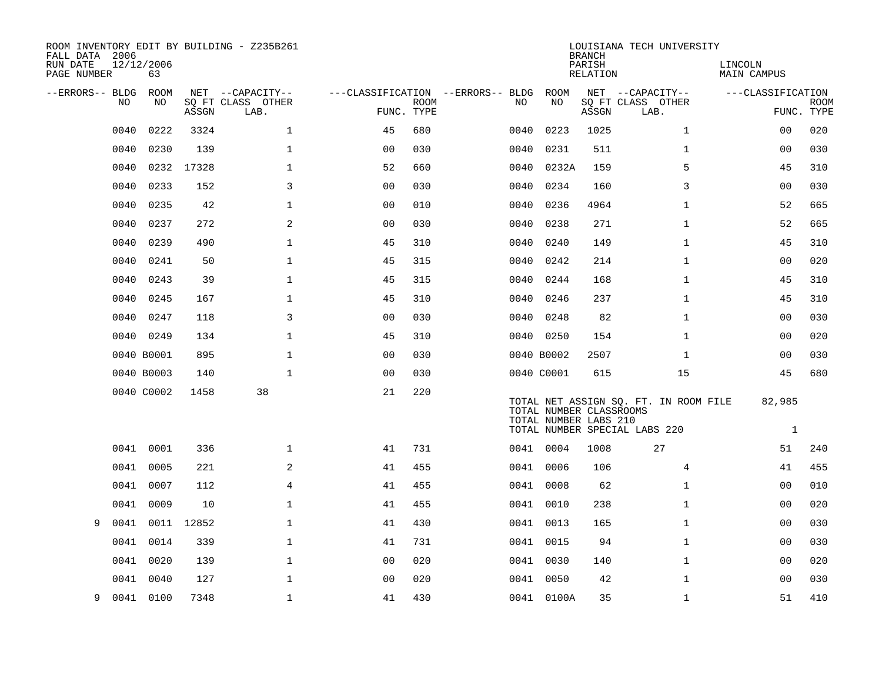| ROOM INVENTORY EDIT BY BUILDING - Z235B261<br>FALL DATA 2006 |                  |            |                           |                                        |             |      |                                                  | <b>BRANCH</b>      | LOUISIANA TECH UNIVERSITY                                              |                        |             |
|--------------------------------------------------------------|------------------|------------|---------------------------|----------------------------------------|-------------|------|--------------------------------------------------|--------------------|------------------------------------------------------------------------|------------------------|-------------|
| RUN DATE<br>PAGE NUMBER                                      | 12/12/2006<br>63 |            |                           |                                        |             |      |                                                  | PARISH<br>RELATION |                                                                        | LINCOLN<br>MAIN CAMPUS |             |
| --ERRORS-- BLDG ROOM                                         |                  |            | NET --CAPACITY--          | ---CLASSIFICATION --ERRORS-- BLDG ROOM |             |      |                                                  |                    | NET --CAPACITY--                                                       | ---CLASSIFICATION      |             |
| NO                                                           | NO               | ASSGN      | SQ FT CLASS OTHER<br>LAB. | FUNC. TYPE                             | <b>ROOM</b> | NO   | NO                                               | ASSGN              | SQ FT CLASS OTHER<br>LAB.                                              | FUNC. TYPE             | <b>ROOM</b> |
| 0040                                                         | 0222             | 3324       | $\mathbf{1}$              | 45                                     | 680         | 0040 | 0223                                             | 1025               | $\mathbf{1}$                                                           | 0 <sub>0</sub>         | 020         |
| 0040                                                         | 0230             | 139        | $\mathbf 1$               | 0 <sub>0</sub>                         | 030         | 0040 | 0231                                             | 511                | $\mathbf{1}$                                                           | 00                     | 030         |
| 0040                                                         |                  | 0232 17328 | $\mathbf 1$               | 52                                     | 660         | 0040 | 0232A                                            | 159                | 5                                                                      | 45                     | 310         |
| 0040                                                         | 0233             | 152        | 3                         | 0 <sub>0</sub>                         | 030         | 0040 | 0234                                             | 160                | 3                                                                      | 0 <sub>0</sub>         | 030         |
| 0040                                                         | 0235             | 42         | $\mathbf 1$               | 00                                     | 010         | 0040 | 0236                                             | 4964               | $\mathbf{1}$                                                           | 52                     | 665         |
| 0040                                                         | 0237             | 272        | 2                         | 0 <sub>0</sub>                         | 030         | 0040 | 0238                                             | 271                | $\mathbf{1}$                                                           | 52                     | 665         |
| 0040                                                         | 0239             | 490        | $\mathbf{1}$              | 45                                     | 310         | 0040 | 0240                                             | 149                | $\mathbf{1}$                                                           | 45                     | 310         |
| 0040                                                         | 0241             | 50         | $\mathbf{1}$              | 45                                     | 315         | 0040 | 0242                                             | 214                | $\mathbf{1}$                                                           | 0 <sub>0</sub>         | 020         |
| 0040                                                         | 0243             | 39         | $\mathbf 1$               | 45                                     | 315         | 0040 | 0244                                             | 168                | $\mathbf{1}$                                                           | 45                     | 310         |
| 0040                                                         | 0245             | 167        | $\mathbf 1$               | 45                                     | 310         | 0040 | 0246                                             | 237                | $\mathbf{1}$                                                           | 45                     | 310         |
| 0040                                                         | 0247             | 118        | 3                         | 0 <sub>0</sub>                         | 030         | 0040 | 0248                                             | 82                 | $\mathbf{1}$                                                           | 0 <sub>0</sub>         | 030         |
|                                                              | 0040 0249        | 134        | $\mathbf{1}$              | 45                                     | 310         |      | 0040 0250                                        | 154                | $\mathbf{1}$                                                           | 00                     | 020         |
|                                                              | 0040 B0001       | 895        | $\mathbf 1$               | 0 <sub>0</sub>                         | 030         |      | 0040 B0002                                       | 2507               | $\mathbf{1}$                                                           | 00                     | 030         |
|                                                              | 0040 B0003       | 140        | $\mathbf{1}$              | 0 <sub>0</sub>                         | 030         |      | 0040 C0001                                       | 615                | 15                                                                     | 45                     | 680         |
|                                                              | 0040 C0002       | 1458       | 38                        | 21                                     | 220         |      | TOTAL NUMBER CLASSROOMS<br>TOTAL NUMBER LABS 210 |                    | TOTAL NET ASSIGN SQ. FT. IN ROOM FILE<br>TOTAL NUMBER SPECIAL LABS 220 | 82,985<br>$\mathbf{1}$ |             |
|                                                              | 0041 0001        | 336        | $\mathbf 1$               | 41                                     | 731         |      | 0041 0004                                        | 1008               | 27                                                                     | 51                     | 240         |
| 0041                                                         | 0005             | 221        | 2                         | 41                                     | 455         |      | 0041 0006                                        | 106                | 4                                                                      | 41                     | 455         |
| 0041                                                         | 0007             | 112        | 4                         | 41                                     | 455         |      | 0041 0008                                        | 62                 | $\mathbf{1}$                                                           | 00                     | 010         |
| 0041                                                         | 0009             | 10         | $\mathbf 1$               | 41                                     | 455         |      | 0041 0010                                        | 238                | $\mathbf{1}$                                                           | 00                     | 020         |
| 0041<br>9                                                    |                  | 0011 12852 | $\mathbf{1}$              | 41                                     | 430         |      | 0041 0013                                        | 165                | $\mathbf{1}$                                                           | 00                     | 030         |
| 0041                                                         | 0014             | 339        | $\mathbf{1}$              | 41                                     | 731         |      | 0041 0015                                        | 94                 | $\mathbf{1}$                                                           | 0 <sub>0</sub>         | 030         |
| 0041                                                         | 0020             | 139        | $\mathbf 1$               | 0 <sub>0</sub>                         | 020         |      | 0041 0030                                        | 140                | $\mathbf{1}$                                                           | 00                     | 020         |
|                                                              | 0041 0040        | 127        | $\mathbf{1}$              | 0 <sub>0</sub>                         | 020         |      | 0041 0050                                        | 42                 | $\mathbf{1}$                                                           | 00                     | 030         |
| 9                                                            | 0041 0100        | 7348       | $\mathbf{1}$              | 41                                     | 430         |      | 0041 0100A                                       | 35                 | $\mathbf{1}$                                                           | 51                     | 410         |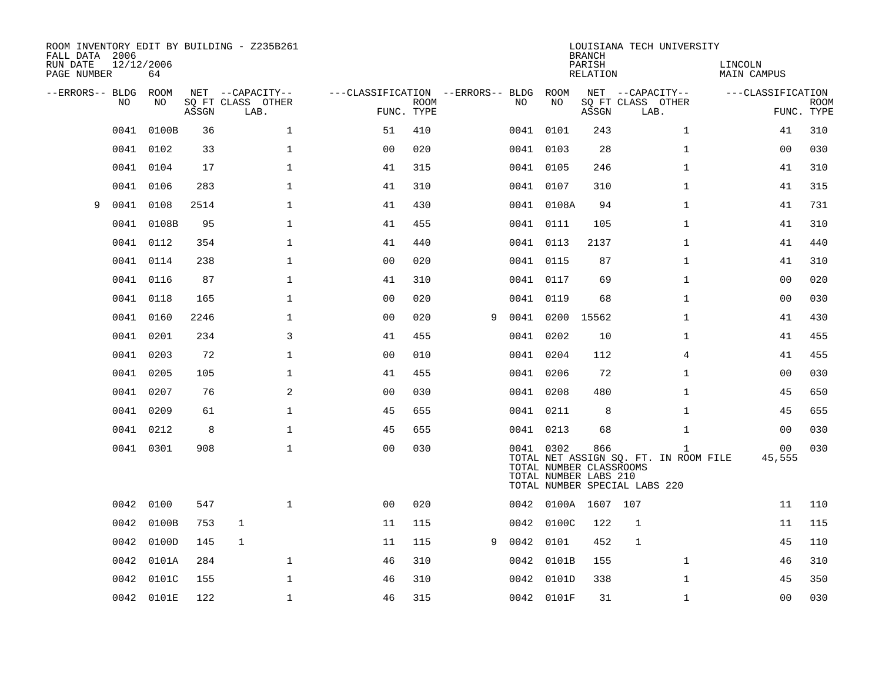| ROOM INVENTORY EDIT BY BUILDING - Z235B261<br>FALL DATA 2006<br>RUN DATE<br>PAGE NUMBER | 12/12/2006<br>64 |       |                                               |                                        |                           |   |      |            | <b>BRANCH</b><br>PARISH<br><b>RELATION</b>              | LOUISIANA TECH UNIVERSITY                                                              | LINCOLN<br><b>MAIN CAMPUS</b> |                           |
|-----------------------------------------------------------------------------------------|------------------|-------|-----------------------------------------------|----------------------------------------|---------------------------|---|------|------------|---------------------------------------------------------|----------------------------------------------------------------------------------------|-------------------------------|---------------------------|
| --ERRORS-- BLDG<br>NO                                                                   | ROOM<br>NO       | ASSGN | NET --CAPACITY--<br>SQ FT CLASS OTHER<br>LAB. | ---CLASSIFICATION --ERRORS-- BLDG ROOM | <b>ROOM</b><br>FUNC. TYPE |   | NO   | NO         | ASSGN                                                   | NET --CAPACITY--<br>SQ FT CLASS OTHER<br>LAB.                                          | ---CLASSIFICATION             | <b>ROOM</b><br>FUNC. TYPE |
| 0041                                                                                    | 0100B            | 36    | $\mathbf{1}$                                  | 51                                     | 410                       |   |      | 0041 0101  | 243                                                     | $\mathbf{1}$                                                                           | 41                            | 310                       |
| 0041                                                                                    | 0102             | 33    | 1                                             | 0 <sub>0</sub>                         | 020                       |   |      | 0041 0103  | 28                                                      | $\mathbf{1}$                                                                           | 00                            | 030                       |
| 0041                                                                                    | 0104             | 17    | $\mathbf 1$                                   | 41                                     | 315                       |   |      | 0041 0105  | 246                                                     | $\mathbf{1}$                                                                           | 41                            | 310                       |
| 0041                                                                                    | 0106             | 283   | $\mathbf 1$                                   | 41                                     | 310                       |   |      | 0041 0107  | 310                                                     | $\mathbf{1}$                                                                           | 41                            | 315                       |
| 0041<br>9                                                                               | 0108             | 2514  | $\mathbf{1}$                                  | 41                                     | 430                       |   |      | 0041 0108A | 94                                                      | $\mathbf{1}$                                                                           | 41                            | 731                       |
| 0041                                                                                    | 0108B            | 95    | $\mathbf 1$                                   | 41                                     | 455                       |   |      | 0041 0111  | 105                                                     | $\mathbf{1}$                                                                           | 41                            | 310                       |
| 0041                                                                                    | 0112             | 354   | $\mathbf{1}$                                  | 41                                     | 440                       |   |      | 0041 0113  | 2137                                                    | $\mathbf{1}$                                                                           | 41                            | 440                       |
|                                                                                         | 0041 0114        | 238   | $\mathbf{1}$                                  | 0 <sub>0</sub>                         | 020                       |   |      | 0041 0115  | 87                                                      | $\mathbf{1}$                                                                           | 41                            | 310                       |
| 0041                                                                                    | 0116             | 87    | $\mathbf{1}$                                  | 41                                     | 310                       |   |      | 0041 0117  | 69                                                      | $\mathbf{1}$                                                                           | 0 <sub>0</sub>                | 020                       |
|                                                                                         | 0041 0118        | 165   | $\mathbf 1$                                   | 0 <sub>0</sub>                         | 020                       |   |      | 0041 0119  | 68                                                      | $\mathbf{1}$                                                                           | 0 <sub>0</sub>                | 030                       |
| 0041                                                                                    | 0160             | 2246  | $\mathbf 1$                                   | 0 <sub>0</sub>                         | 020                       | 9 |      | 0041 0200  | 15562                                                   | $\mathbf{1}$                                                                           | 41                            | 430                       |
|                                                                                         | 0041 0201        | 234   | 3                                             | 41                                     | 455                       |   |      | 0041 0202  | 10                                                      | $\mathbf{1}$                                                                           | 41                            | 455                       |
| 0041                                                                                    | 0203             | 72    | $\mathbf 1$                                   | 0 <sub>0</sub>                         | 010                       |   | 0041 | 0204       | 112                                                     | $\overline{4}$                                                                         | 41                            | 455                       |
| 0041                                                                                    | 0205             | 105   | $\mathbf 1$                                   | 41                                     | 455                       |   |      | 0041 0206  | 72                                                      | $\mathbf{1}$                                                                           | 00                            | 030                       |
| 0041                                                                                    | 0207             | 76    | 2                                             | 0 <sub>0</sub>                         | 030                       |   |      | 0041 0208  | 480                                                     | $\mathbf{1}$                                                                           | 45                            | 650                       |
|                                                                                         | 0041 0209        | 61    | $\mathbf{1}$                                  | 45                                     | 655                       |   |      | 0041 0211  | 8                                                       | $\mathbf{1}$                                                                           | 45                            | 655                       |
| 0041                                                                                    | 0212             | 8     | $\mathbf 1$                                   | 45                                     | 655                       |   |      | 0041 0213  | 68                                                      | $\mathbf{1}$                                                                           | 00                            | 030                       |
|                                                                                         | 0041 0301        | 908   | $\mathbf{1}$                                  | 0 <sub>0</sub>                         | 030                       |   |      | 0041 0302  | 866<br>TOTAL NUMBER CLASSROOMS<br>TOTAL NUMBER LABS 210 | $\mathbf{1}$<br>TOTAL NET ASSIGN SQ. FT. IN ROOM FILE<br>TOTAL NUMBER SPECIAL LABS 220 | 00<br>45,555                  | 030                       |
|                                                                                         | 0042 0100        | 547   | $\mathbf{1}$                                  | 0 <sub>0</sub>                         | 020                       |   |      |            | 0042 0100A 1607 107                                     |                                                                                        | 11                            | 110                       |
| 0042                                                                                    | 0100B            | 753   | $\mathbf 1$                                   | 11                                     | 115                       |   |      | 0042 0100C | 122                                                     | 1                                                                                      | 11                            | 115                       |
|                                                                                         | 0042 0100D       | 145   | $\mathbf{1}$                                  | 11                                     | 115                       | 9 |      | 0042 0101  | 452                                                     | $\mathbf{1}$                                                                           | 45                            | 110                       |
| 0042                                                                                    | 0101A            | 284   | $\mathbf 1$                                   | 46                                     | 310                       |   |      | 0042 0101B | 155                                                     | $\mathbf{1}$                                                                           | 46                            | 310                       |
| 0042                                                                                    | 0101C            | 155   | $\mathbf{1}$                                  | 46                                     | 310                       |   |      | 0042 0101D | 338                                                     | $\mathbf{1}$                                                                           | 45                            | 350                       |
|                                                                                         | 0042 0101E       | 122   | $\mathbf 1$                                   | 46                                     | 315                       |   |      | 0042 0101F | 31                                                      | $\mathbf{1}$                                                                           | 00                            | 030                       |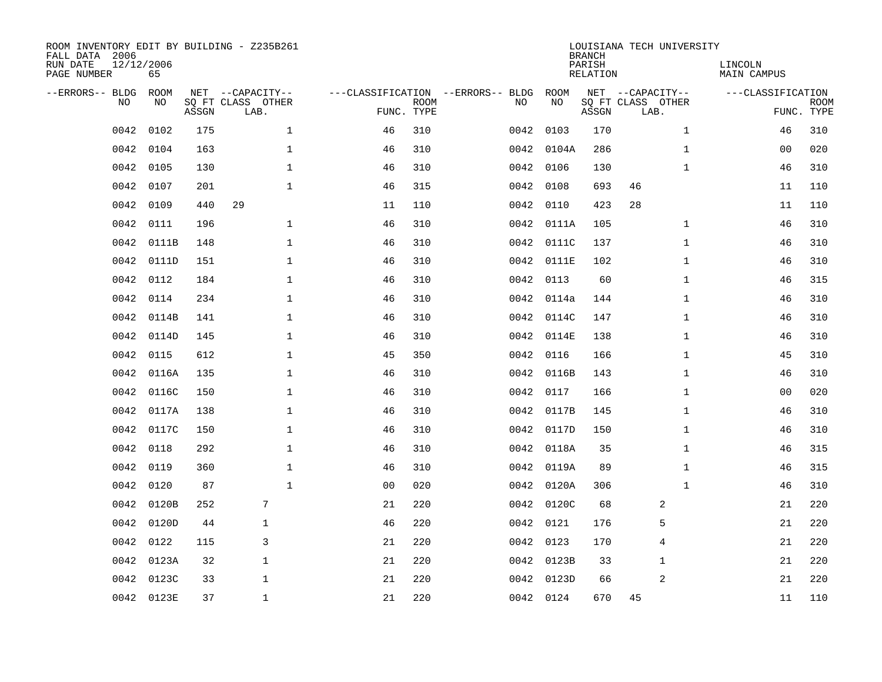| ROOM INVENTORY EDIT BY BUILDING - Z235B261<br>FALL DATA 2006<br>RUN DATE<br>PAGE NUMBER | 12/12/2006<br>65 |       |                                               |                |             |                                         |            | <b>BRANCH</b><br>PARISH<br><b>RELATION</b> | LOUISIANA TECH UNIVERSITY                     |              | LINCOLN<br><b>MAIN CAMPUS</b> |                           |
|-----------------------------------------------------------------------------------------|------------------|-------|-----------------------------------------------|----------------|-------------|-----------------------------------------|------------|--------------------------------------------|-----------------------------------------------|--------------|-------------------------------|---------------------------|
| --ERRORS-- BLDG<br>NO                                                                   | ROOM<br>NO       | ASSGN | NET --CAPACITY--<br>SQ FT CLASS OTHER<br>LAB. | FUNC. TYPE     | <b>ROOM</b> | ---CLASSIFICATION --ERRORS-- BLDG<br>NO | ROOM<br>NO | ASSGN                                      | NET --CAPACITY--<br>SQ FT CLASS OTHER<br>LAB. |              | ---CLASSIFICATION             | <b>ROOM</b><br>FUNC. TYPE |
| 0042                                                                                    | 0102             | 175   | $\mathbf 1$                                   | 46             | 310         |                                         | 0042 0103  | 170                                        |                                               | $\mathbf{1}$ | 46                            | 310                       |
| 0042                                                                                    | 0104             | 163   | 1                                             | 46             | 310         |                                         | 0042 0104A | 286                                        |                                               | $\mathbf{1}$ | 00                            | 020                       |
| 0042                                                                                    | 0105             | 130   | $\mathbf 1$                                   | 46             | 310         |                                         | 0042 0106  | 130                                        |                                               | $\mathbf{1}$ | 46                            | 310                       |
| 0042                                                                                    | 0107             | 201   | $\mathbf 1$                                   | 46             | 315         |                                         | 0042 0108  | 693                                        | 46                                            |              | 11                            | 110                       |
| 0042                                                                                    | 0109             | 440   | 29                                            | 11             | 110         |                                         | 0042 0110  | 423                                        | 28                                            |              | 11                            | 110                       |
| 0042                                                                                    | 0111             | 196   | $\mathbf 1$                                   | 46             | 310         |                                         | 0042 0111A | 105                                        |                                               | $\mathbf{1}$ | 46                            | 310                       |
| 0042                                                                                    | 0111B            | 148   | $\mathbf{1}$                                  | 46             | 310         |                                         | 0042 0111C | 137                                        |                                               | $\mathbf{1}$ | 46                            | 310                       |
| 0042                                                                                    | 0111D            | 151   | $\mathbf{1}$                                  | 46             | 310         |                                         | 0042 0111E | 102                                        |                                               | $\mathbf{1}$ | 46                            | 310                       |
| 0042                                                                                    | 0112             | 184   | $\mathbf{1}$                                  | 46             | 310         | 0042                                    | 0113       | 60                                         |                                               | $\mathbf{1}$ | 46                            | 315                       |
| 0042                                                                                    | 0114             | 234   | 1                                             | 46             | 310         | 0042                                    | 0114a      | 144                                        |                                               | $\mathbf{1}$ | 46                            | 310                       |
| 0042                                                                                    | 0114B            | 141   | $\mathbf 1$                                   | 46             | 310         | 0042                                    | 0114C      | 147                                        |                                               | $\mathbf{1}$ | 46                            | 310                       |
| 0042                                                                                    | 0114D            | 145   | $\mathbf 1$                                   | 46             | 310         |                                         | 0042 0114E | 138                                        |                                               | $\mathbf{1}$ | 46                            | 310                       |
| 0042                                                                                    | 0115             | 612   | $\mathbf{1}$                                  | 45             | 350         | 0042                                    | 0116       | 166                                        |                                               | $\mathbf{1}$ | 45                            | 310                       |
| 0042                                                                                    | 0116A            | 135   | $\mathbf 1$                                   | 46             | 310         | 0042                                    | 0116B      | 143                                        |                                               | $\mathbf{1}$ | 46                            | 310                       |
| 0042                                                                                    | 0116C            | 150   | $\mathbf{1}$                                  | 46             | 310         | 0042                                    | 0117       | 166                                        |                                               | $\mathbf{1}$ | 0 <sub>0</sub>                | 020                       |
| 0042                                                                                    | 0117A            | 138   | $\mathbf{1}$                                  | 46             | 310         |                                         | 0042 0117B | 145                                        |                                               | $\mathbf{1}$ | 46                            | 310                       |
| 0042                                                                                    | 0117C            | 150   | $\mathbf{1}$                                  | 46             | 310         | 0042                                    | 0117D      | 150                                        |                                               | $\mathbf{1}$ | 46                            | 310                       |
| 0042                                                                                    | 0118             | 292   | $\mathbf 1$                                   | 46             | 310         |                                         | 0042 0118A | 35                                         |                                               | $\mathbf{1}$ | 46                            | 315                       |
| 0042                                                                                    | 0119             | 360   | $\mathbf 1$                                   | 46             | 310         |                                         | 0042 0119A | 89                                         |                                               | $\mathbf{1}$ | 46                            | 315                       |
| 0042                                                                                    | 0120             | 87    | $\mathbf{1}$                                  | 0 <sub>0</sub> | 020         |                                         | 0042 0120A | 306                                        |                                               | $\mathbf{1}$ | 46                            | 310                       |
| 0042                                                                                    | 0120B            | 252   | 7                                             | 21             | 220         |                                         | 0042 0120C | 68                                         | 2                                             |              | 21                            | 220                       |
| 0042                                                                                    | 0120D            | 44    | $\mathbf{1}$                                  | 46             | 220         |                                         | 0042 0121  | 176                                        | 5                                             |              | 21                            | 220                       |
| 0042                                                                                    | 0122             | 115   | 3                                             | 21             | 220         |                                         | 0042 0123  | 170                                        | $\overline{4}$                                |              | 21                            | 220                       |
| 0042                                                                                    | 0123A            | 32    | $\mathbf{1}$                                  | 21             | 220         |                                         | 0042 0123B | 33                                         | 1                                             |              | 21                            | 220                       |
| 0042                                                                                    | 0123C            | 33    | 1                                             | 21             | 220         |                                         | 0042 0123D | 66                                         | 2                                             |              | 21                            | 220                       |
|                                                                                         | 0042 0123E       | 37    | $\mathbf{1}$                                  | 21             | 220         |                                         | 0042 0124  | 670                                        | 45                                            |              | 11                            | 110                       |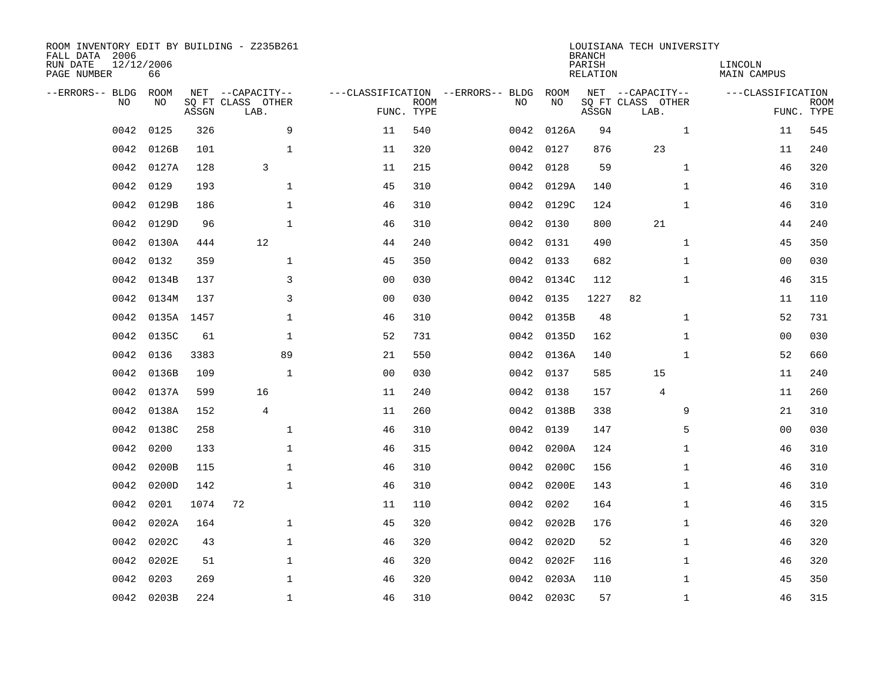| ROOM INVENTORY EDIT BY BUILDING - Z235B261<br>FALL DATA 2006<br>RUN DATE<br>PAGE NUMBER | 12/12/2006<br>66 |       |                                               |                |                           |                                         |            | <b>BRANCH</b><br>PARISH<br><b>RELATION</b> | LOUISIANA TECH UNIVERSITY                     | LINCOLN<br><b>MAIN CAMPUS</b> |                           |
|-----------------------------------------------------------------------------------------|------------------|-------|-----------------------------------------------|----------------|---------------------------|-----------------------------------------|------------|--------------------------------------------|-----------------------------------------------|-------------------------------|---------------------------|
| --ERRORS-- BLDG<br>NO                                                                   | ROOM<br>NO       | ASSGN | NET --CAPACITY--<br>SQ FT CLASS OTHER<br>LAB. |                | <b>ROOM</b><br>FUNC. TYPE | ---CLASSIFICATION --ERRORS-- BLDG<br>NO | ROOM<br>NO | ASSGN                                      | NET --CAPACITY--<br>SQ FT CLASS OTHER<br>LAB. | ---CLASSIFICATION             | <b>ROOM</b><br>FUNC. TYPE |
| 0042                                                                                    | 0125             | 326   | 9                                             | 11             | 540                       | 0042                                    | 0126A      | 94                                         | $\mathbf{1}$                                  | 11                            | 545                       |
| 0042                                                                                    | 0126B            | 101   | $\mathbf 1$                                   | 11             | 320                       |                                         | 0042 0127  | 876                                        | 23                                            | 11                            | 240                       |
| 0042                                                                                    | 0127A            | 128   | 3                                             | 11             | 215                       | 0042                                    | 0128       | 59                                         | $\mathbf{1}$                                  | 46                            | 320                       |
| 0042                                                                                    | 0129             | 193   | $\mathbf 1$                                   | 45             | 310                       |                                         | 0042 0129A | 140                                        | $\mathbf{1}$                                  | 46                            | 310                       |
| 0042                                                                                    | 0129B            | 186   | $\mathbf{1}$                                  | 46             | 310                       |                                         | 0042 0129C | 124                                        | $\mathbf{1}$                                  | 46                            | 310                       |
| 0042                                                                                    | 0129D            | 96    | $\mathbf{1}$                                  | 46             | 310                       |                                         | 0042 0130  | 800                                        | 21                                            | 44                            | 240                       |
| 0042                                                                                    | 0130A            | 444   | 12                                            | 44             | 240                       |                                         | 0042 0131  | 490                                        | $\mathbf{1}$                                  | 45                            | 350                       |
| 0042                                                                                    | 0132             | 359   | $\mathbf{1}$                                  | 45             | 350                       |                                         | 0042 0133  | 682                                        | $\mathbf{1}$                                  | 00                            | 030                       |
| 0042                                                                                    | 0134B            | 137   | 3                                             | 0 <sub>0</sub> | 030                       | 0042                                    | 0134C      | 112                                        | $\mathbf{1}$                                  | 46                            | 315                       |
| 0042                                                                                    | 0134M            | 137   | 3                                             | 0 <sub>0</sub> | 030                       |                                         | 0042 0135  | 1227                                       | 82                                            | 11                            | 110                       |
| 0042                                                                                    | 0135A 1457       |       | $\mathbf 1$                                   | 46             | 310                       | 0042                                    | 0135B      | 48                                         | $\mathbf{1}$                                  | 52                            | 731                       |
| 0042                                                                                    | 0135C            | 61    | $\mathbf{1}$                                  | 52             | 731                       |                                         | 0042 0135D | 162                                        | $\mathbf{1}$                                  | 0 <sub>0</sub>                | 030                       |
| 0042                                                                                    | 0136             | 3383  | 89                                            | 21             | 550                       | 0042                                    | 0136A      | 140                                        | $\mathbf{1}$                                  | 52                            | 660                       |
| 0042                                                                                    | 0136B            | 109   | $\mathbf{1}$                                  | 0 <sub>0</sub> | 030                       |                                         | 0042 0137  | 585                                        | 15                                            | 11                            | 240                       |
| 0042                                                                                    | 0137A            | 599   | 16                                            | 11             | 240                       | 0042                                    | 0138       | 157                                        | 4                                             | 11                            | 260                       |
| 0042                                                                                    | 0138A            | 152   | $\overline{4}$                                | 11             | 260                       |                                         | 0042 0138B | 338                                        | 9                                             | 21                            | 310                       |
| 0042                                                                                    | 0138C            | 258   | $\mathbf 1$                                   | 46             | 310                       | 0042                                    | 0139       | 147                                        | 5                                             | 00                            | 030                       |
| 0042                                                                                    | 0200             | 133   | $\mathbf{1}$                                  | 46             | 315                       | 0042                                    | 0200A      | 124                                        | $\mathbf{1}$                                  | 46                            | 310                       |
| 0042                                                                                    | 0200B            | 115   | $\mathbf{1}$                                  | 46             | 310                       | 0042                                    | 0200C      | 156                                        | $\mathbf{1}$                                  | 46                            | 310                       |
| 0042                                                                                    | 0200D            | 142   | $\mathbf 1$                                   | 46             | 310                       |                                         | 0042 0200E | 143                                        | $\mathbf{1}$                                  | 46                            | 310                       |
| 0042                                                                                    | 0201             | 1074  | 72                                            | 11             | 110                       | 0042                                    | 0202       | 164                                        | $\mathbf{1}$                                  | 46                            | 315                       |
| 0042                                                                                    | 0202A            | 164   | $\mathbf 1$                                   | 45             | 320                       | 0042                                    | 0202B      | 176                                        | $\mathbf{1}$                                  | 46                            | 320                       |
| 0042                                                                                    | 0202C            | 43    | $\mathbf 1$                                   | 46             | 320                       |                                         | 0042 0202D | 52                                         | $\mathbf{1}$                                  | 46                            | 320                       |
| 0042                                                                                    | 0202E            | 51    | $\mathbf 1$                                   | 46             | 320                       |                                         | 0042 0202F | 116                                        | $\mathbf{1}$                                  | 46                            | 320                       |
| 0042                                                                                    | 0203             | 269   | $\mathbf{1}$                                  | 46             | 320                       | 0042                                    | 0203A      | 110                                        | $\mathbf{1}$                                  | 45                            | 350                       |
|                                                                                         | 0042 0203B       | 224   | $\mathbf{1}$                                  | 46             | 310                       |                                         | 0042 0203C | 57                                         | $\mathbf{1}$                                  | 46                            | 315                       |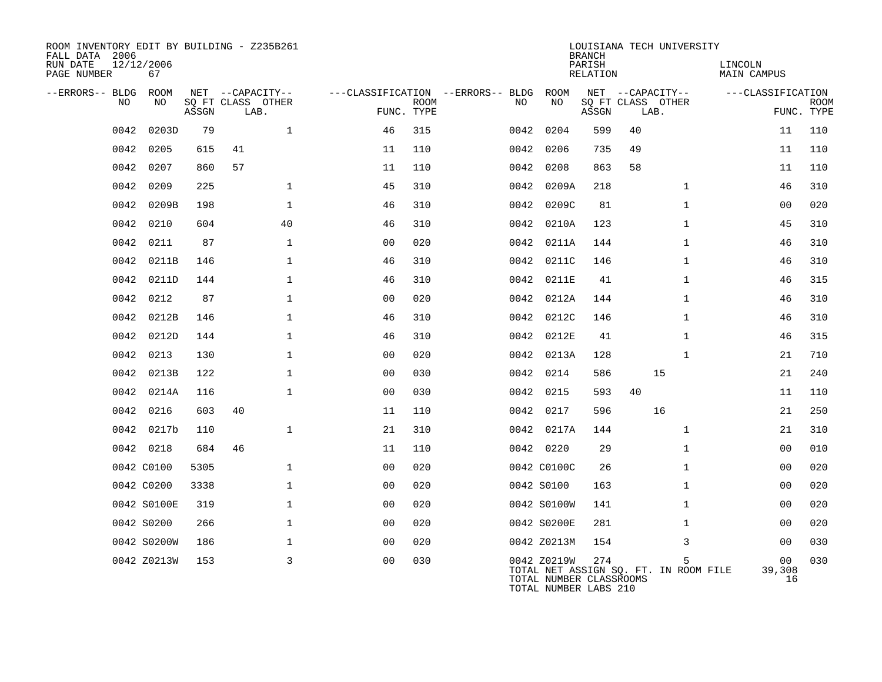| ROOM INVENTORY EDIT BY BUILDING - Z235B261<br>FALL DATA 2006<br>RUN DATE<br>PAGE NUMBER | 12/12/2006<br>67 |       |                           |              |                                        |             |      |                                                                 | <b>BRANCH</b><br>PARISH<br><b>RELATION</b> |                           | LOUISIANA TECH UNIVERSITY                  | LINCOLN<br><b>MAIN CAMPUS</b> |                                |                           |
|-----------------------------------------------------------------------------------------|------------------|-------|---------------------------|--------------|----------------------------------------|-------------|------|-----------------------------------------------------------------|--------------------------------------------|---------------------------|--------------------------------------------|-------------------------------|--------------------------------|---------------------------|
| --ERRORS-- BLDG ROOM                                                                    |                  |       | NET --CAPACITY--          |              | ---CLASSIFICATION --ERRORS-- BLDG ROOM |             |      |                                                                 |                                            |                           | NET --CAPACITY--                           | ---CLASSIFICATION             |                                |                           |
| NO.                                                                                     | NO.              | ASSGN | SQ FT CLASS OTHER<br>LAB. |              | FUNC. TYPE                             | <b>ROOM</b> | NO   | NO                                                              | ASSGN                                      | SQ FT CLASS OTHER<br>LAB. |                                            |                               |                                | <b>ROOM</b><br>FUNC. TYPE |
| 0042                                                                                    | 0203D            | 79    |                           | $\mathbf{1}$ | 46                                     | 315         | 0042 | 0204                                                            | 599                                        | 40                        |                                            |                               | 11                             | 110                       |
| 0042                                                                                    | 0205             | 615   | 41                        |              | 11                                     | 110         | 0042 | 0206                                                            | 735                                        | 49                        |                                            |                               | 11                             | 110                       |
| 0042                                                                                    | 0207             | 860   | 57                        |              | 11                                     | 110         | 0042 | 0208                                                            | 863                                        | 58                        |                                            |                               | 11                             | 110                       |
| 0042                                                                                    | 0209             | 225   |                           | $\mathbf 1$  | 45                                     | 310         | 0042 | 0209A                                                           | 218                                        |                           | $\mathbf{1}$                               |                               | 46                             | 310                       |
| 0042                                                                                    | 0209B            | 198   |                           | $\mathbf{1}$ | 46                                     | 310         | 0042 | 0209C                                                           | 81                                         |                           | $\mathbf{1}$                               |                               | 00                             | 020                       |
| 0042                                                                                    | 0210             | 604   |                           | 40           | 46                                     | 310         | 0042 | 0210A                                                           | 123                                        |                           | $\mathbf{1}$                               |                               | 45                             | 310                       |
| 0042                                                                                    | 0211             | 87    |                           | $\mathbf 1$  | 0 <sub>0</sub>                         | 020         | 0042 | 0211A                                                           | 144                                        |                           | $\mathbf{1}$                               |                               | 46                             | 310                       |
| 0042                                                                                    | 0211B            | 146   |                           | $\mathbf{1}$ | 46                                     | 310         | 0042 | 0211C                                                           | 146                                        |                           | $\mathbf{1}$                               |                               | 46                             | 310                       |
| 0042                                                                                    | 0211D            | 144   |                           | $\mathbf 1$  | 46                                     | 310         |      | 0042 0211E                                                      | 41                                         |                           | $\mathbf{1}$                               |                               | 46                             | 315                       |
| 0042                                                                                    | 0212             | 87    |                           | $\mathbf{1}$ | 0 <sub>0</sub>                         | 020         |      | 0042 0212A                                                      | 144                                        |                           | $\mathbf{1}$                               |                               | 46                             | 310                       |
| 0042                                                                                    | 0212B            | 146   |                           | $\mathbf{1}$ | 46                                     | 310         |      | 0042 0212C                                                      | 146                                        |                           | $\mathbf{1}$                               |                               | 46                             | 310                       |
| 0042                                                                                    | 0212D            | 144   |                           | $\mathbf{1}$ | 46                                     | 310         | 0042 | 0212E                                                           | 41                                         |                           | $\mathbf{1}$                               |                               | 46                             | 315                       |
| 0042                                                                                    | 0213             | 130   |                           | $\mathbf{1}$ | 0 <sub>0</sub>                         | 020         |      | 0042 0213A                                                      | 128                                        |                           | $\mathbf{1}$                               |                               | 21                             | 710                       |
| 0042                                                                                    | 0213B            | 122   |                           | $\mathbf 1$  | 0 <sub>0</sub>                         | 030         | 0042 | 0214                                                            | 586                                        |                           | 15                                         |                               | 21                             | 240                       |
| 0042                                                                                    | 0214A            | 116   |                           | $\mathbf 1$  | 0 <sub>0</sub>                         | 030         | 0042 | 0215                                                            | 593                                        | 40                        |                                            |                               | 11                             | 110                       |
| 0042                                                                                    | 0216             | 603   | 40                        |              | 11                                     | 110         | 0042 | 0217                                                            | 596                                        |                           | 16                                         |                               | 21                             | 250                       |
|                                                                                         | 0042 0217b       | 110   |                           | $\mathbf{1}$ | 21                                     | 310         |      | 0042 0217A                                                      | 144                                        |                           | $\mathbf{1}$                               |                               | 21                             | 310                       |
|                                                                                         | 0042 0218        | 684   | 46                        |              | 11                                     | 110         |      | 0042 0220                                                       | 29                                         |                           | $\mathbf{1}$                               |                               | 00                             | 010                       |
|                                                                                         | 0042 C0100       | 5305  |                           | $\mathbf{1}$ | 0 <sub>0</sub>                         | 020         |      | 0042 C0100C                                                     | 26                                         |                           | $\mathbf{1}$                               |                               | 0 <sub>0</sub>                 | 020                       |
|                                                                                         | 0042 C0200       | 3338  |                           | $\mathbf{1}$ | 0 <sub>0</sub>                         | 020         |      | 0042 S0100                                                      | 163                                        |                           | $\mathbf{1}$                               |                               | 0 <sub>0</sub>                 | 020                       |
|                                                                                         | 0042 S0100E      | 319   |                           | $\mathbf{1}$ | 0 <sub>0</sub>                         | 020         |      | 0042 S0100W                                                     | 141                                        |                           | $\mathbf{1}$                               |                               | 0 <sub>0</sub>                 | 020                       |
|                                                                                         | 0042 S0200       | 266   |                           | $\mathbf{1}$ | 0 <sub>0</sub>                         | 020         |      | 0042 S0200E                                                     | 281                                        |                           | $\mathbf{1}$                               |                               | 0 <sub>0</sub>                 | 020                       |
|                                                                                         | 0042 S0200W      | 186   |                           | 1            | 0 <sub>0</sub>                         | 020         |      | 0042 Z0213M                                                     | 154                                        |                           | 3                                          |                               | 0 <sub>0</sub>                 | 030                       |
|                                                                                         | 0042 Z0213W      | 153   |                           | 3            | 0 <sub>0</sub>                         | 030         |      | 0042 Z0219W<br>TOTAL NUMBER CLASSROOMS<br>TOTAL NUMBER LABS 210 | 274                                        |                           | 5<br>TOTAL NET ASSIGN SQ. FT. IN ROOM FILE |                               | 0 <sub>0</sub><br>39,308<br>16 | 030                       |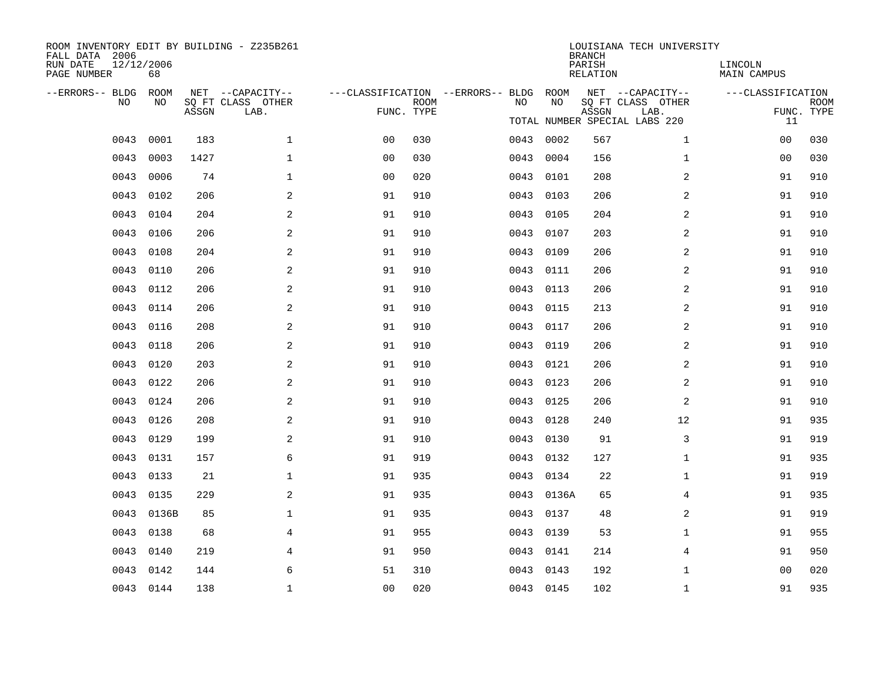| ROOM INVENTORY EDIT BY BUILDING - Z235B261<br>FALL DATA 2006<br>RUN DATE<br>PAGE NUMBER | 12/12/2006<br>68 |       |                           |                                        |             |           |            | <b>BRANCH</b><br>PARISH<br>RELATION | LOUISIANA TECH UNIVERSITY     | LINCOLN<br>MAIN CAMPUS |                           |
|-----------------------------------------------------------------------------------------|------------------|-------|---------------------------|----------------------------------------|-------------|-----------|------------|-------------------------------------|-------------------------------|------------------------|---------------------------|
| --ERRORS-- BLDG ROOM                                                                    |                  |       | NET --CAPACITY--          | ---CLASSIFICATION --ERRORS-- BLDG ROOM |             |           |            |                                     | NET --CAPACITY--              | ---CLASSIFICATION      |                           |
| NO                                                                                      | NO               | ASSGN | SQ FT CLASS OTHER<br>LAB. | FUNC. TYPE                             | <b>ROOM</b> | NO.       | NO         | ASSGN                               | SQ FT CLASS OTHER<br>LAB.     |                        | <b>ROOM</b><br>FUNC. TYPE |
|                                                                                         |                  |       |                           |                                        |             |           |            |                                     | TOTAL NUMBER SPECIAL LABS 220 | 11                     |                           |
| 0043                                                                                    | 0001             | 183   | $\mathbf{1}$              | 0 <sub>0</sub>                         | 030         | 0043 0002 |            | 567                                 | $\mathbf{1}$                  | 00                     | 030                       |
| 0043                                                                                    | 0003             | 1427  | $\mathbf 1$               | 00                                     | 030         | 0043      | 0004       | 156                                 | $\mathbf{1}$                  | 0 <sub>0</sub>         | 030                       |
| 0043                                                                                    | 0006             | 74    | $\mathbf 1$               | 0 <sub>0</sub>                         | 020         | 0043 0101 |            | 208                                 | 2                             | 91                     | 910                       |
| 0043                                                                                    | 0102             | 206   | 2                         | 91                                     | 910         | 0043 0103 |            | 206                                 | $\overline{2}$                | 91                     | 910                       |
| 0043                                                                                    | 0104             | 204   | 2                         | 91                                     | 910         | 0043 0105 |            | 204                                 | 2                             | 91                     | 910                       |
| 0043                                                                                    | 0106             | 206   | 2                         | 91                                     | 910         | 0043      | 0107       | 203                                 | 2                             | 91                     | 910                       |
| 0043                                                                                    | 0108             | 204   | 2                         | 91                                     | 910         | 0043 0109 |            | 206                                 | 2                             | 91                     | 910                       |
| 0043                                                                                    | 0110             | 206   | $\overline{a}$            | 91                                     | 910         | 0043      | 0111       | 206                                 | $\overline{a}$                | 91                     | 910                       |
| 0043                                                                                    | 0112             | 206   | 2                         | 91                                     | 910         | 0043      | 0113       | 206                                 | 2                             | 91                     | 910                       |
| 0043                                                                                    | 0114             | 206   | 2                         | 91                                     | 910         | 0043      | 0115       | 213                                 | 2                             | 91                     | 910                       |
| 0043                                                                                    | 0116             | 208   | 2                         | 91                                     | 910         | 0043      | 0117       | 206                                 | $\overline{a}$                | 91                     | 910                       |
| 0043                                                                                    | 0118             | 206   | 2                         | 91                                     | 910         | 0043      | 0119       | 206                                 | 2                             | 91                     | 910                       |
| 0043                                                                                    | 0120             | 203   | 2                         | 91                                     | 910         | 0043      | 0121       | 206                                 | 2                             | 91                     | 910                       |
| 0043                                                                                    | 0122             | 206   | 2                         | 91                                     | 910         | 0043      | 0123       | 206                                 | $\overline{2}$                | 91                     | 910                       |
| 0043                                                                                    | 0124             | 206   | 2                         | 91                                     | 910         | 0043      | 0125       | 206                                 | 2                             | 91                     | 910                       |
| 0043                                                                                    | 0126             | 208   | $\overline{a}$            | 91                                     | 910         | 0043 0128 |            | 240                                 | 12                            | 91                     | 935                       |
| 0043                                                                                    | 0129             | 199   | 2                         | 91                                     | 910         | 0043      | 0130       | 91                                  | 3                             | 91                     | 919                       |
| 0043                                                                                    | 0131             | 157   | 6                         | 91                                     | 919         | 0043 0132 |            | 127                                 | $\mathbf{1}$                  | 91                     | 935                       |
| 0043                                                                                    | 0133             | 21    | $\mathbf 1$               | 91                                     | 935         | 0043      | 0134       | 22                                  | $\mathbf{1}$                  | 91                     | 919                       |
| 0043                                                                                    | 0135             | 229   | 2                         | 91                                     | 935         |           | 0043 0136A | 65                                  | 4                             | 91                     | 935                       |
| 0043                                                                                    | 0136B            | 85    | $\mathbf 1$               | 91                                     | 935         | 0043      | 0137       | 48                                  | $\overline{a}$                | 91                     | 919                       |
| 0043                                                                                    | 0138             | 68    | 4                         | 91                                     | 955         | 0043      | 0139       | 53                                  | $\mathbf{1}$                  | 91                     | 955                       |
| 0043                                                                                    | 0140             | 219   | 4                         | 91                                     | 950         | 0043      | 0141       | 214                                 | $\overline{4}$                | 91                     | 950                       |
| 0043                                                                                    | 0142             | 144   | 6                         | 51                                     | 310         | 0043      | 0143       | 192                                 | $\mathbf{1}$                  | 0 <sub>0</sub>         | 020                       |
|                                                                                         | 0043 0144        | 138   | $\mathbf{1}$              | 0 <sub>0</sub>                         | 020         | 0043 0145 |            | 102                                 | $\mathbf{1}$                  | 91                     | 935                       |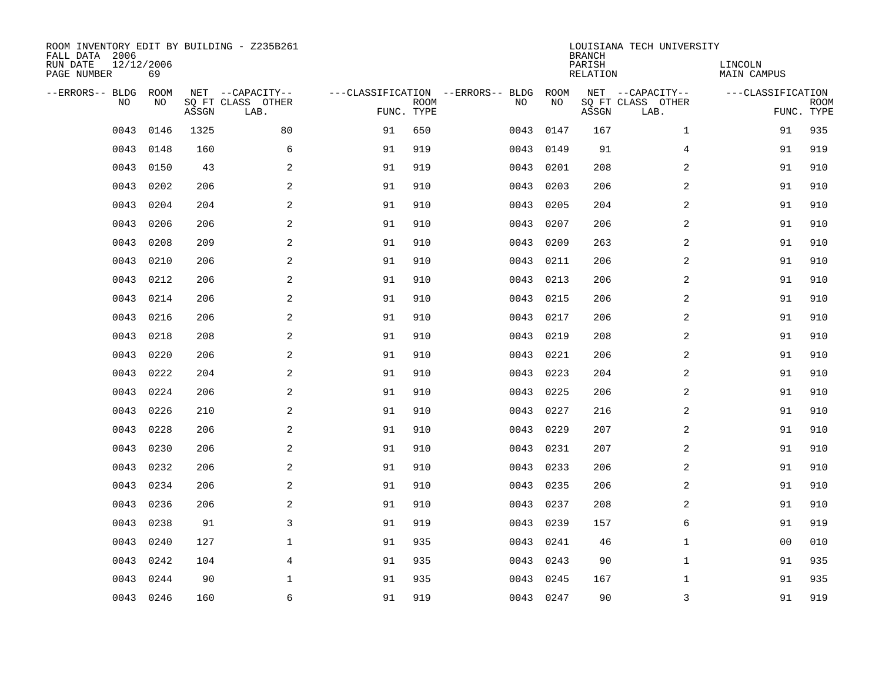| ROOM INVENTORY EDIT BY BUILDING - Z235B261<br>FALL DATA 2006<br>RUN DATE<br>PAGE NUMBER | 12/12/2006<br>69 |       |                                               |            |             |                                         |            | <b>BRANCH</b><br>PARISH<br><b>RELATION</b> | LOUISIANA TECH UNIVERSITY                     | LINCOLN<br><b>MAIN CAMPUS</b> |                           |
|-----------------------------------------------------------------------------------------|------------------|-------|-----------------------------------------------|------------|-------------|-----------------------------------------|------------|--------------------------------------------|-----------------------------------------------|-------------------------------|---------------------------|
| --ERRORS-- BLDG<br>NO                                                                   | ROOM<br>NO       | ASSGN | NET --CAPACITY--<br>SQ FT CLASS OTHER<br>LAB. | FUNC. TYPE | <b>ROOM</b> | ---CLASSIFICATION --ERRORS-- BLDG<br>NO | ROOM<br>NO | ASSGN                                      | NET --CAPACITY--<br>SQ FT CLASS OTHER<br>LAB. | ---CLASSIFICATION             | <b>ROOM</b><br>FUNC. TYPE |
| 0043                                                                                    | 0146             | 1325  | 80                                            | 91         | 650         | 0043                                    | 0147       | 167                                        | $\mathbf{1}$                                  | 91                            | 935                       |
| 0043                                                                                    | 0148             | 160   | 6                                             | 91         | 919         | 0043                                    | 0149       | 91                                         | 4                                             | 91                            | 919                       |
| 0043                                                                                    | 0150             | 43    | 2                                             | 91         | 919         | 0043                                    | 0201       | 208                                        | 2                                             | 91                            | 910                       |
| 0043                                                                                    | 0202             | 206   | 2                                             | 91         | 910         | 0043                                    | 0203       | 206                                        | 2                                             | 91                            | 910                       |
| 0043                                                                                    | 0204             | 204   | 2                                             | 91         | 910         | 0043                                    | 0205       | 204                                        | $\overline{a}$                                | 91                            | 910                       |
| 0043                                                                                    | 0206             | 206   | $\mathbf{2}$                                  | 91         | 910         | 0043                                    | 0207       | 206                                        | 2                                             | 91                            | 910                       |
| 0043                                                                                    | 0208             | 209   | 2                                             | 91         | 910         | 0043                                    | 0209       | 263                                        | $\overline{a}$                                | 91                            | 910                       |
| 0043                                                                                    | 0210             | 206   | $\mathbf{2}$                                  | 91         | 910         | 0043                                    | 0211       | 206                                        | 2                                             | 91                            | 910                       |
| 0043                                                                                    | 0212             | 206   | 2                                             | 91         | 910         | 0043                                    | 0213       | 206                                        | 2                                             | 91                            | 910                       |
| 0043                                                                                    | 0214             | 206   | 2                                             | 91         | 910         | 0043                                    | 0215       | 206                                        | 2                                             | 91                            | 910                       |
| 0043                                                                                    | 0216             | 206   | 2                                             | 91         | 910         | 0043                                    | 0217       | 206                                        | 2                                             | 91                            | 910                       |
| 0043                                                                                    | 0218             | 208   | 2                                             | 91         | 910         | 0043                                    | 0219       | 208                                        | 2                                             | 91                            | 910                       |
| 0043                                                                                    | 0220             | 206   | 2                                             | 91         | 910         | 0043                                    | 0221       | 206                                        | 2                                             | 91                            | 910                       |
| 0043                                                                                    | 0222             | 204   | 2                                             | 91         | 910         | 0043                                    | 0223       | 204                                        | 2                                             | 91                            | 910                       |
| 0043                                                                                    | 0224             | 206   | 2                                             | 91         | 910         | 0043                                    | 0225       | 206                                        | $\overline{a}$                                | 91                            | 910                       |
| 0043                                                                                    | 0226             | 210   | 2                                             | 91         | 910         | 0043                                    | 0227       | 216                                        | 2                                             | 91                            | 910                       |
| 0043                                                                                    | 0228             | 206   | $\mathbf{2}$                                  | 91         | 910         | 0043                                    | 0229       | 207                                        | 2                                             | 91                            | 910                       |
| 0043                                                                                    | 0230             | 206   | 2                                             | 91         | 910         | 0043                                    | 0231       | 207                                        | 2                                             | 91                            | 910                       |
| 0043                                                                                    | 0232             | 206   | 2                                             | 91         | 910         |                                         | 0043 0233  | 206                                        | 2                                             | 91                            | 910                       |
| 0043                                                                                    | 0234             | 206   | 2                                             | 91         | 910         | 0043                                    | 0235       | 206                                        | 2                                             | 91                            | 910                       |
| 0043                                                                                    | 0236             | 206   | 2                                             | 91         | 910         |                                         | 0043 0237  | 208                                        | 2                                             | 91                            | 910                       |
| 0043                                                                                    | 0238             | 91    | 3                                             | 91         | 919         | 0043                                    | 0239       | 157                                        | 6                                             | 91                            | 919                       |
| 0043                                                                                    | 0240             | 127   | $\mathbf{1}$                                  | 91         | 935         |                                         | 0043 0241  | 46                                         | $\mathbf{1}$                                  | 0 <sub>0</sub>                | 010                       |
| 0043                                                                                    | 0242             | 104   | $\overline{4}$                                | 91         | 935         | 0043                                    | 0243       | 90                                         | $\mathbf{1}$                                  | 91                            | 935                       |
| 0043                                                                                    | 0244             | 90    | $\mathbf{1}$                                  | 91         | 935         | 0043                                    | 0245       | 167                                        | $\mathbf{1}$                                  | 91                            | 935                       |
|                                                                                         | 0043 0246        | 160   | 6                                             | 91         | 919         |                                         | 0043 0247  | 90                                         | 3                                             | 91                            | 919                       |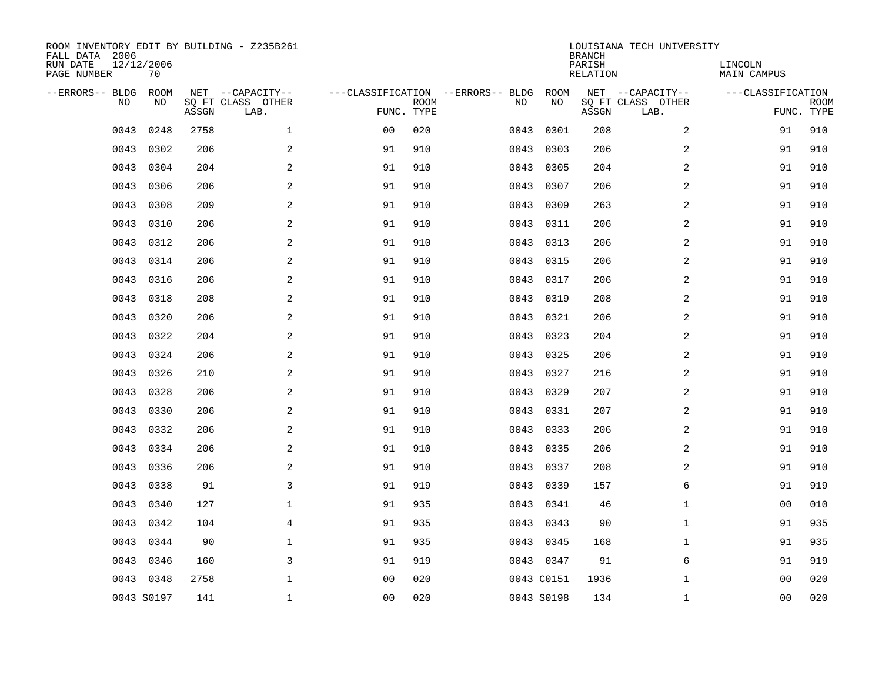| ROOM INVENTORY EDIT BY BUILDING - Z235B261<br>FALL DATA 2006<br>RUN DATE<br>PAGE NUMBER | 12/12/2006<br>70 |       |                                               |                |             |                                         |            | <b>BRANCH</b><br>PARISH<br><b>RELATION</b> | LOUISIANA TECH UNIVERSITY                     | LINCOLN<br><b>MAIN CAMPUS</b> |                           |
|-----------------------------------------------------------------------------------------|------------------|-------|-----------------------------------------------|----------------|-------------|-----------------------------------------|------------|--------------------------------------------|-----------------------------------------------|-------------------------------|---------------------------|
| --ERRORS-- BLDG<br>NO                                                                   | ROOM<br>NO       | ASSGN | NET --CAPACITY--<br>SQ FT CLASS OTHER<br>LAB. | FUNC. TYPE     | <b>ROOM</b> | ---CLASSIFICATION --ERRORS-- BLDG<br>NO | ROOM<br>NO | ASSGN                                      | NET --CAPACITY--<br>SQ FT CLASS OTHER<br>LAB. | ---CLASSIFICATION             | <b>ROOM</b><br>FUNC. TYPE |
| 0043                                                                                    | 0248             | 2758  | $\mathbf 1$                                   | 0 <sub>0</sub> | 020         | 0043                                    | 0301       | 208                                        | 2                                             | 91                            | 910                       |
| 0043                                                                                    | 0302             | 206   | 2                                             | 91             | 910         | 0043                                    | 0303       | 206                                        | 2                                             | 91                            | 910                       |
| 0043                                                                                    | 0304             | 204   | 2                                             | 91             | 910         | 0043                                    | 0305       | 204                                        | 2                                             | 91                            | 910                       |
| 0043                                                                                    | 0306             | 206   | 2                                             | 91             | 910         | 0043                                    | 0307       | 206                                        | 2                                             | 91                            | 910                       |
| 0043                                                                                    | 0308             | 209   | 2                                             | 91             | 910         | 0043                                    | 0309       | 263                                        | $\overline{a}$                                | 91                            | 910                       |
| 0043                                                                                    | 0310             | 206   | $\mathbf{2}$                                  | 91             | 910         | 0043                                    | 0311       | 206                                        | 2                                             | 91                            | 910                       |
| 0043                                                                                    | 0312             | 206   | 2                                             | 91             | 910         | 0043                                    | 0313       | 206                                        | $\overline{a}$                                | 91                            | 910                       |
| 0043                                                                                    | 0314             | 206   | $\mathbf{2}$                                  | 91             | 910         | 0043                                    | 0315       | 206                                        | 2                                             | 91                            | 910                       |
| 0043                                                                                    | 0316             | 206   | 2                                             | 91             | 910         | 0043                                    | 0317       | 206                                        | 2                                             | 91                            | 910                       |
| 0043                                                                                    | 0318             | 208   | 2                                             | 91             | 910         | 0043                                    | 0319       | 208                                        | 2                                             | 91                            | 910                       |
| 0043                                                                                    | 0320             | 206   | 2                                             | 91             | 910         | 0043                                    | 0321       | 206                                        | 2                                             | 91                            | 910                       |
| 0043                                                                                    | 0322             | 204   | 2                                             | 91             | 910         | 0043                                    | 0323       | 204                                        | 2                                             | 91                            | 910                       |
| 0043                                                                                    | 0324             | 206   | 2                                             | 91             | 910         | 0043                                    | 0325       | 206                                        | 2                                             | 91                            | 910                       |
| 0043                                                                                    | 0326             | 210   | 2                                             | 91             | 910         | 0043                                    | 0327       | 216                                        | 2                                             | 91                            | 910                       |
| 0043                                                                                    | 0328             | 206   | 2                                             | 91             | 910         | 0043                                    | 0329       | 207                                        | $\overline{a}$                                | 91                            | 910                       |
| 0043                                                                                    | 0330             | 206   | 2                                             | 91             | 910         | 0043                                    | 0331       | 207                                        | 2                                             | 91                            | 910                       |
| 0043                                                                                    | 0332             | 206   | $\mathbf{2}$                                  | 91             | 910         | 0043                                    | 0333       | 206                                        | 2                                             | 91                            | 910                       |
| 0043                                                                                    | 0334             | 206   | 2                                             | 91             | 910         | 0043                                    | 0335       | 206                                        | 2                                             | 91                            | 910                       |
| 0043                                                                                    | 0336             | 206   | 2                                             | 91             | 910         |                                         | 0043 0337  | 208                                        | 2                                             | 91                            | 910                       |
| 0043                                                                                    | 0338             | 91    | 3                                             | 91             | 919         | 0043                                    | 0339       | 157                                        | 6                                             | 91                            | 919                       |
| 0043                                                                                    | 0340             | 127   | $\mathbf{1}$                                  | 91             | 935         |                                         | 0043 0341  | 46                                         | $\mathbf{1}$                                  | 0 <sub>0</sub>                | 010                       |
| 0043                                                                                    | 0342             | 104   | $\overline{4}$                                | 91             | 935         | 0043                                    | 0343       | 90                                         | $\mathbf{1}$                                  | 91                            | 935                       |
| 0043                                                                                    | 0344             | 90    | $\mathbf{1}$                                  | 91             | 935         |                                         | 0043 0345  | 168                                        | $\mathbf{1}$                                  | 91                            | 935                       |
| 0043                                                                                    | 0346             | 160   | 3                                             | 91             | 919         |                                         | 0043 0347  | 91                                         | 6                                             | 91                            | 919                       |
| 0043                                                                                    | 0348             | 2758  | $\mathbf{1}$                                  | 0 <sub>0</sub> | 020         |                                         | 0043 C0151 | 1936                                       | $\mathbf{1}$                                  | 0 <sub>0</sub>                | 020                       |
|                                                                                         | 0043 S0197       | 141   | $\mathbf 1$                                   | 00             | 020         |                                         | 0043 S0198 | 134                                        | $\mathbf{1}$                                  | 00                            | 020                       |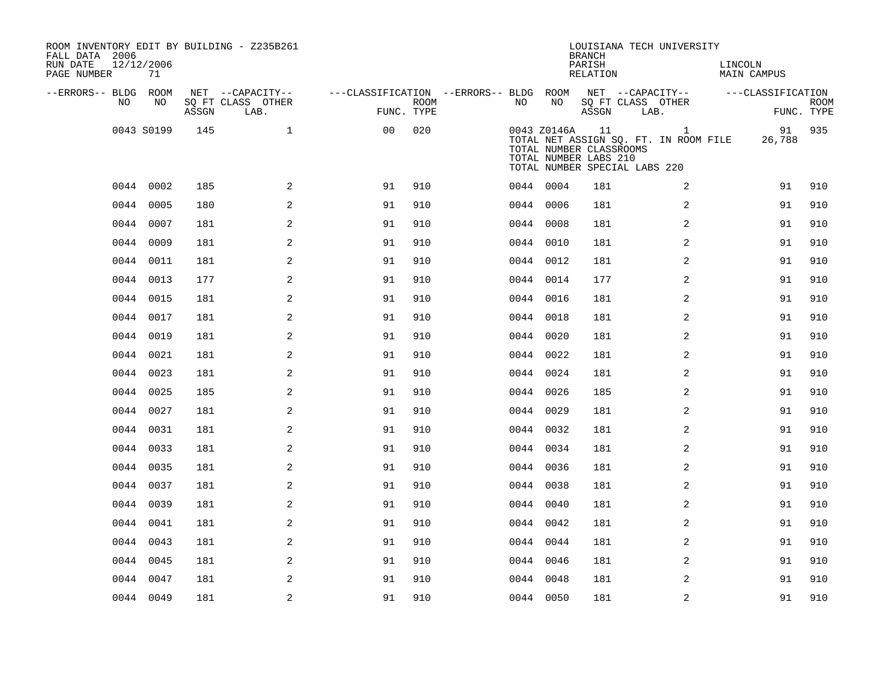| FALL DATA 2006<br>RUN DATE<br>PAGE NUMBER |      | 12/12/2006<br>71 |       | ROOM INVENTORY EDIT BY BUILDING - Z235B261    |                                                      |             |    |             | <b>BRANCH</b><br>PARISH<br>RELATION                    | LOUISIANA TECH UNIVERSITY                                                              | LINCOLN<br>MAIN CAMPUS |                           |
|-------------------------------------------|------|------------------|-------|-----------------------------------------------|------------------------------------------------------|-------------|----|-------------|--------------------------------------------------------|----------------------------------------------------------------------------------------|------------------------|---------------------------|
| --ERRORS-- BLDG ROOM                      | NO.  | NO.              | ASSGN | NET --CAPACITY--<br>SQ FT CLASS OTHER<br>LAB. | ---CLASSIFICATION --ERRORS-- BLDG ROOM<br>FUNC. TYPE | <b>ROOM</b> | NO | NO          | ASSGN                                                  | NET --CAPACITY--<br>SQ FT CLASS OTHER<br>LAB.                                          | ---CLASSIFICATION      | <b>ROOM</b><br>FUNC. TYPE |
|                                           |      | 0043 S0199       | 145   | $\mathbf{1}$                                  | 0 <sub>0</sub>                                       | 020         |    | 0043 Z0146A | 11<br>TOTAL NUMBER CLASSROOMS<br>TOTAL NUMBER LABS 210 | $\mathbf{1}$<br>TOTAL NET ASSIGN SQ. FT. IN ROOM FILE<br>TOTAL NUMBER SPECIAL LABS 220 | 91<br>26,788           | 935                       |
|                                           |      | 0044 0002        | 185   | 2                                             | 91                                                   | 910         |    | 0044 0004   | 181                                                    | 2                                                                                      | 91                     | 910                       |
|                                           |      | 0044 0005        | 180   | $\mathbf{2}$                                  | 91                                                   | 910         |    | 0044 0006   | 181                                                    | 2                                                                                      | 91                     | 910                       |
|                                           |      | 0044 0007        | 181   | 2                                             | 91                                                   | 910         |    | 0044 0008   | 181                                                    | 2                                                                                      | 91                     | 910                       |
|                                           |      | 0044 0009        | 181   | 2                                             | 91                                                   | 910         |    | 0044 0010   | 181                                                    | 2                                                                                      | 91                     | 910                       |
|                                           |      | 0044 0011        | 181   | 2                                             | 91                                                   | 910         |    | 0044 0012   | 181                                                    | 2                                                                                      | 91                     | 910                       |
|                                           |      | 0044 0013        | 177   | 2                                             | 91                                                   | 910         |    | 0044 0014   | 177                                                    | 2                                                                                      | 91                     | 910                       |
|                                           |      | 0044 0015        | 181   | 2                                             | 91                                                   | 910         |    | 0044 0016   | 181                                                    | 2                                                                                      | 91                     | 910                       |
|                                           |      | 0044 0017        | 181   | 2                                             | 91                                                   | 910         |    | 0044 0018   | 181                                                    | 2                                                                                      | 91                     | 910                       |
|                                           |      | 0044 0019        | 181   | 2                                             | 91                                                   | 910         |    | 0044 0020   | 181                                                    | 2                                                                                      | 91                     | 910                       |
|                                           | 0044 | 0021             | 181   | 2                                             | 91                                                   | 910         |    | 0044 0022   | 181                                                    | 2                                                                                      | 91                     | 910                       |
|                                           |      | 0044 0023        | 181   | 2                                             | 91                                                   | 910         |    | 0044 0024   | 181                                                    | 2                                                                                      | 91                     | 910                       |
|                                           |      | 0044 0025        | 185   | $\overline{a}$                                | 91                                                   | 910         |    | 0044 0026   | 185                                                    | 2                                                                                      | 91                     | 910                       |
|                                           |      | 0044 0027        | 181   | $\overline{a}$                                | 91                                                   | 910         |    | 0044 0029   | 181                                                    | $\overline{a}$                                                                         | 91                     | 910                       |
|                                           |      | 0044 0031        | 181   | 2                                             | 91                                                   | 910         |    | 0044 0032   | 181                                                    | 2                                                                                      | 91                     | 910                       |
|                                           |      | 0044 0033        | 181   | 2                                             | 91                                                   | 910         |    | 0044 0034   | 181                                                    | 2                                                                                      | 91                     | 910                       |
|                                           |      | 0044 0035        | 181   | 2                                             | 91                                                   | 910         |    | 0044 0036   | 181                                                    | 2                                                                                      | 91                     | 910                       |
|                                           |      | 0044 0037        | 181   | 2                                             | 91                                                   | 910         |    | 0044 0038   | 181                                                    | 2                                                                                      | 91                     | 910                       |
|                                           |      | 0044 0039        | 181   | 2                                             | 91                                                   | 910         |    | 0044 0040   | 181                                                    | 2                                                                                      | 91                     | 910                       |
|                                           |      | 0044 0041        | 181   | 2                                             | 91                                                   | 910         |    | 0044 0042   | 181                                                    | 2                                                                                      | 91                     | 910                       |
|                                           |      | 0044 0043        | 181   | 2                                             | 91                                                   | 910         |    | 0044 0044   | 181                                                    | 2                                                                                      | 91                     | 910                       |
|                                           |      | 0044 0045        | 181   | 2                                             | 91                                                   | 910         |    | 0044 0046   | 181                                                    | $\overline{a}$                                                                         | 91                     | 910                       |
|                                           | 0044 | 0047             | 181   | 2                                             | 91                                                   | 910         |    | 0044 0048   | 181                                                    | 2                                                                                      | 91                     | 910                       |
|                                           |      | 0044 0049        | 181   | $\overline{c}$                                | 91                                                   | 910         |    | 0044 0050   | 181                                                    | $\overline{a}$                                                                         | 91                     | 910                       |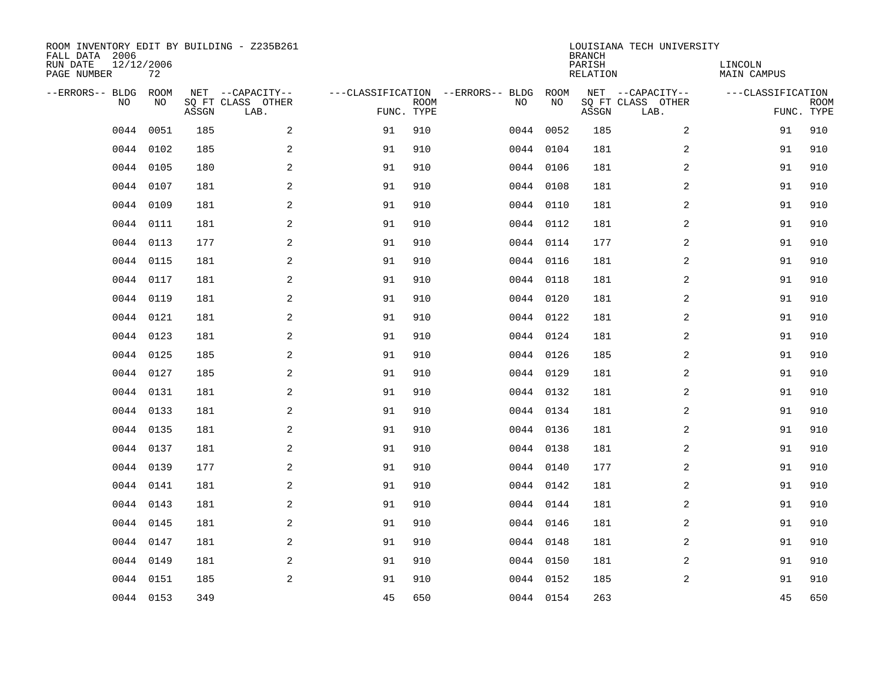| ROOM INVENTORY EDIT BY BUILDING - Z235B261<br>FALL DATA 2006<br>RUN DATE<br>PAGE NUMBER | 12/12/2006<br>72 |       |                                               |            |             |                                         |            | <b>BRANCH</b><br>PARISH<br>RELATION | LOUISIANA TECH UNIVERSITY                     | LINCOLN<br><b>MAIN CAMPUS</b> |                           |
|-----------------------------------------------------------------------------------------|------------------|-------|-----------------------------------------------|------------|-------------|-----------------------------------------|------------|-------------------------------------|-----------------------------------------------|-------------------------------|---------------------------|
| --ERRORS-- BLDG<br>NO                                                                   | ROOM<br>NO       | ASSGN | NET --CAPACITY--<br>SQ FT CLASS OTHER<br>LAB. | FUNC. TYPE | <b>ROOM</b> | ---CLASSIFICATION --ERRORS-- BLDG<br>NO | ROOM<br>NO | ASSGN                               | NET --CAPACITY--<br>SQ FT CLASS OTHER<br>LAB. | ---CLASSIFICATION             | <b>ROOM</b><br>FUNC. TYPE |
| 0044                                                                                    | 0051             | 185   | 2                                             | 91         | 910         | 0044                                    | 0052       | 185                                 | 2                                             | 91                            | 910                       |
| 0044                                                                                    | 0102             | 185   | 2                                             | 91         | 910         |                                         | 0044 0104  | 181                                 | 2                                             | 91                            | 910                       |
| 0044                                                                                    | 0105             | 180   | 2                                             | 91         | 910         |                                         | 0044 0106  | 181                                 | $\overline{a}$                                | 91                            | 910                       |
| 0044                                                                                    | 0107             | 181   | 2                                             | 91         | 910         |                                         | 0044 0108  | 181                                 | $\overline{a}$                                | 91                            | 910                       |
| 0044                                                                                    | 0109             | 181   | 2                                             | 91         | 910         |                                         | 0044 0110  | 181                                 | $\overline{a}$                                | 91                            | 910                       |
| 0044                                                                                    | 0111             | 181   | $\overline{a}$                                | 91         | 910         |                                         | 0044 0112  | 181                                 | 2                                             | 91                            | 910                       |
| 0044                                                                                    | 0113             | 177   | $\overline{a}$                                | 91         | 910         |                                         | 0044 0114  | 177                                 | 2                                             | 91                            | 910                       |
|                                                                                         | 0044 0115        | 181   | 2                                             | 91         | 910         |                                         | 0044 0116  | 181                                 | 2                                             | 91                            | 910                       |
| 0044                                                                                    | 0117             | 181   | 2                                             | 91         | 910         |                                         | 0044 0118  | 181                                 | 2                                             | 91                            | 910                       |
|                                                                                         | 0044 0119        | 181   | 2                                             | 91         | 910         |                                         | 0044 0120  | 181                                 | 2                                             | 91                            | 910                       |
| 0044                                                                                    | 0121             | 181   | 2                                             | 91         | 910         |                                         | 0044 0122  | 181                                 | 2                                             | 91                            | 910                       |
|                                                                                         | 0044 0123        | 181   | 2                                             | 91         | 910         |                                         | 0044 0124  | 181                                 | 2                                             | 91                            | 910                       |
| 0044                                                                                    | 0125             | 185   | 2                                             | 91         | 910         |                                         | 0044 0126  | 185                                 | 2                                             | 91                            | 910                       |
|                                                                                         | 0044 0127        | 185   | 2                                             | 91         | 910         |                                         | 0044 0129  | 181                                 | 2                                             | 91                            | 910                       |
| 0044                                                                                    | 0131             | 181   | 2                                             | 91         | 910         |                                         | 0044 0132  | 181                                 | 2                                             | 91                            | 910                       |
|                                                                                         | 0044 0133        | 181   | 2                                             | 91         | 910         |                                         | 0044 0134  | 181                                 | 2                                             | 91                            | 910                       |
| 0044                                                                                    | 0135             | 181   | 2                                             | 91         | 910         |                                         | 0044 0136  | 181                                 | 2                                             | 91                            | 910                       |
| 0044                                                                                    | 0137             | 181   | 2                                             | 91         | 910         |                                         | 0044 0138  | 181                                 | 2                                             | 91                            | 910                       |
| 0044                                                                                    | 0139             | 177   | 2                                             | 91         | 910         |                                         | 0044 0140  | 177                                 | 2                                             | 91                            | 910                       |
| 0044                                                                                    | 0141             | 181   | 2                                             | 91         | 910         |                                         | 0044 0142  | 181                                 | 2                                             | 91                            | 910                       |
| 0044                                                                                    | 0143             | 181   | 2                                             | 91         | 910         |                                         | 0044 0144  | 181                                 | $\overline{a}$                                | 91                            | 910                       |
| 0044                                                                                    | 0145             | 181   | $\overline{a}$                                | 91         | 910         |                                         | 0044 0146  | 181                                 | 2                                             | 91                            | 910                       |
| 0044                                                                                    | 0147             | 181   | 2                                             | 91         | 910         |                                         | 0044 0148  | 181                                 | 2                                             | 91                            | 910                       |
| 0044                                                                                    | 0149             | 181   | 2                                             | 91         | 910         |                                         | 0044 0150  | 181                                 | 2                                             | 91                            | 910                       |
|                                                                                         | 0044 0151        | 185   | 2                                             | 91         | 910         |                                         | 0044 0152  | 185                                 | 2                                             | 91                            | 910                       |
|                                                                                         | 0044 0153        | 349   |                                               | 45         | 650         |                                         | 0044 0154  | 263                                 |                                               | 45                            | 650                       |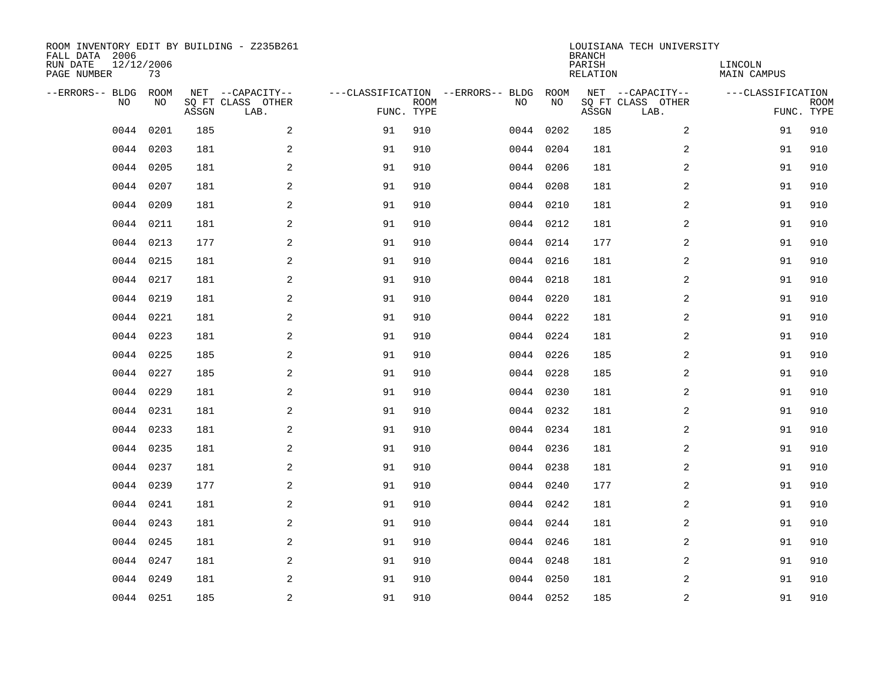| ROOM INVENTORY EDIT BY BUILDING - Z235B261<br>FALL DATA 2006<br>RUN DATE<br>PAGE NUMBER | 12/12/2006<br>73 |       |                                               |            |             |                                         |            | <b>BRANCH</b><br>PARISH<br>RELATION | LOUISIANA TECH UNIVERSITY                     | LINCOLN<br><b>MAIN CAMPUS</b> |                           |
|-----------------------------------------------------------------------------------------|------------------|-------|-----------------------------------------------|------------|-------------|-----------------------------------------|------------|-------------------------------------|-----------------------------------------------|-------------------------------|---------------------------|
| --ERRORS-- BLDG<br>NO                                                                   | ROOM<br>NO       | ASSGN | NET --CAPACITY--<br>SQ FT CLASS OTHER<br>LAB. | FUNC. TYPE | <b>ROOM</b> | ---CLASSIFICATION --ERRORS-- BLDG<br>NO | ROOM<br>NO | ASSGN                               | NET --CAPACITY--<br>SQ FT CLASS OTHER<br>LAB. | ---CLASSIFICATION             | <b>ROOM</b><br>FUNC. TYPE |
| 0044                                                                                    | 0201             | 185   | 2                                             | 91         | 910         | 0044                                    | 0202       | 185                                 | 2                                             | 91                            | 910                       |
| 0044                                                                                    | 0203             | 181   | $\overline{a}$                                | 91         | 910         | 0044                                    | 0204       | 181                                 | 2                                             | 91                            | 910                       |
| 0044                                                                                    | 0205             | 181   | $\overline{a}$                                | 91         | 910         |                                         | 0044 0206  | 181                                 | 2                                             | 91                            | 910                       |
| 0044                                                                                    | 0207             | 181   | $\overline{a}$                                | 91         | 910         |                                         | 0044 0208  | 181                                 | 2                                             | 91                            | 910                       |
| 0044                                                                                    | 0209             | 181   | 2                                             | 91         | 910         |                                         | 0044 0210  | 181                                 | 2                                             | 91                            | 910                       |
|                                                                                         | 0044 0211        | 181   | 2                                             | 91         | 910         |                                         | 0044 0212  | 181                                 | 2                                             | 91                            | 910                       |
| 0044                                                                                    | 0213             | 177   | 2                                             | 91         | 910         |                                         | 0044 0214  | 177                                 | 2                                             | 91                            | 910                       |
|                                                                                         | 0044 0215        | 181   | 2                                             | 91         | 910         |                                         | 0044 0216  | 181                                 | 2                                             | 91                            | 910                       |
| 0044                                                                                    | 0217             | 181   | 2                                             | 91         | 910         |                                         | 0044 0218  | 181                                 | 2                                             | 91                            | 910                       |
|                                                                                         | 0044 0219        | 181   | 2                                             | 91         | 910         |                                         | 0044 0220  | 181                                 | 2                                             | 91                            | 910                       |
| 0044                                                                                    | 0221             | 181   | 2                                             | 91         | 910         |                                         | 0044 0222  | 181                                 | 2                                             | 91                            | 910                       |
|                                                                                         | 0044 0223        | 181   | 2                                             | 91         | 910         |                                         | 0044 0224  | 181                                 | 2                                             | 91                            | 910                       |
| 0044                                                                                    | 0225             | 185   | 2                                             | 91         | 910         |                                         | 0044 0226  | 185                                 | 2                                             | 91                            | 910                       |
| 0044                                                                                    | 0227             | 185   | $\overline{a}$                                | 91         | 910         |                                         | 0044 0228  | 185                                 | 2                                             | 91                            | 910                       |
| 0044                                                                                    | 0229             | 181   | $\overline{a}$                                | 91         | 910         |                                         | 0044 0230  | 181                                 | 2                                             | 91                            | 910                       |
| 0044                                                                                    | 0231             | 181   | 2                                             | 91         | 910         |                                         | 0044 0232  | 181                                 | 2                                             | 91                            | 910                       |
| 0044                                                                                    | 0233             | 181   | 2                                             | 91         | 910         |                                         | 0044 0234  | 181                                 | 2                                             | 91                            | 910                       |
| 0044                                                                                    | 0235             | 181   | 2                                             | 91         | 910         |                                         | 0044 0236  | 181                                 | 2                                             | 91                            | 910                       |
| 0044                                                                                    | 0237             | 181   | 2                                             | 91         | 910         |                                         | 0044 0238  | 181                                 | 2                                             | 91                            | 910                       |
| 0044                                                                                    | 0239             | 177   | 2                                             | 91         | 910         |                                         | 0044 0240  | 177                                 | 2                                             | 91                            | 910                       |
| 0044                                                                                    | 0241             | 181   | 2                                             | 91         | 910         |                                         | 0044 0242  | 181                                 | 2                                             | 91                            | 910                       |
| 0044                                                                                    | 0243             | 181   | 2                                             | 91         | 910         |                                         | 0044 0244  | 181                                 | 2                                             | 91                            | 910                       |
| 0044                                                                                    | 0245             | 181   | 2                                             | 91         | 910         |                                         | 0044 0246  | 181                                 | 2                                             | 91                            | 910                       |
| 0044                                                                                    | 0247             | 181   | 2                                             | 91         | 910         |                                         | 0044 0248  | 181                                 | 2                                             | 91                            | 910                       |
| 0044                                                                                    | 0249             | 181   | 2                                             | 91         | 910         |                                         | 0044 0250  | 181                                 | 2                                             | 91                            | 910                       |
|                                                                                         | 0044 0251        | 185   | 2                                             | 91         | 910         |                                         | 0044 0252  | 185                                 | 2                                             | 91                            | 910                       |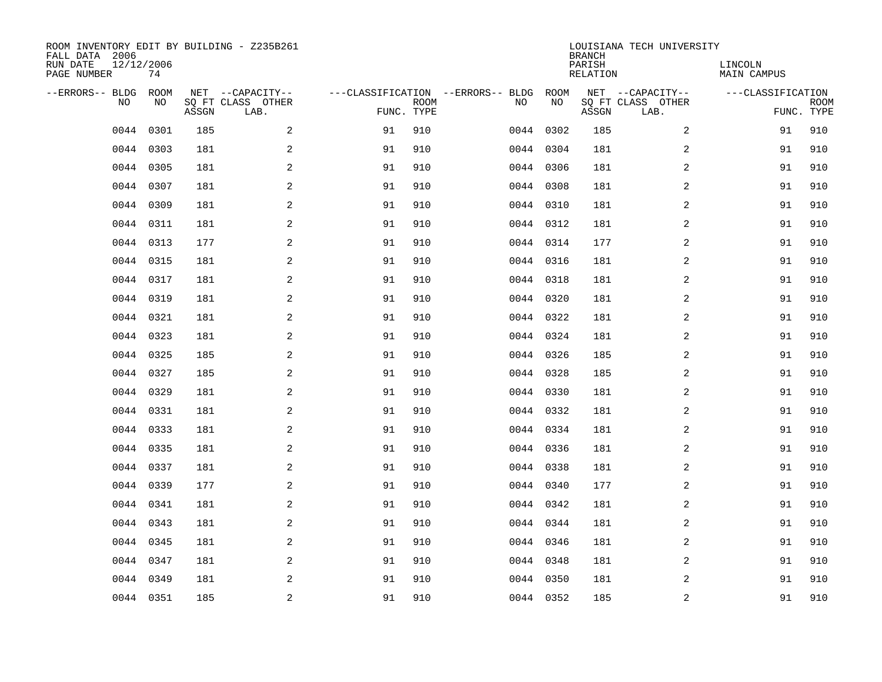| ROOM INVENTORY EDIT BY BUILDING - Z235B261<br>FALL DATA 2006<br>RUN DATE<br>PAGE NUMBER | 12/12/2006<br>74 |       |                                               |            |             |                                         |            | <b>BRANCH</b><br>PARISH<br>RELATION | LOUISIANA TECH UNIVERSITY                     | LINCOLN<br><b>MAIN CAMPUS</b> |                           |
|-----------------------------------------------------------------------------------------|------------------|-------|-----------------------------------------------|------------|-------------|-----------------------------------------|------------|-------------------------------------|-----------------------------------------------|-------------------------------|---------------------------|
| --ERRORS-- BLDG<br>NO                                                                   | ROOM<br>NO       | ASSGN | NET --CAPACITY--<br>SQ FT CLASS OTHER<br>LAB. | FUNC. TYPE | <b>ROOM</b> | ---CLASSIFICATION --ERRORS-- BLDG<br>NO | ROOM<br>NO | ASSGN                               | NET --CAPACITY--<br>SQ FT CLASS OTHER<br>LAB. | ---CLASSIFICATION             | <b>ROOM</b><br>FUNC. TYPE |
| 0044                                                                                    | 0301             | 185   | 2                                             | 91         | 910         |                                         | 0044 0302  | 185                                 | 2                                             | 91                            | 910                       |
| 0044                                                                                    | 0303             | 181   | $\overline{a}$                                | 91         | 910         |                                         | 0044 0304  | 181                                 | 2                                             | 91                            | 910                       |
| 0044                                                                                    | 0305             | 181   | $\overline{a}$                                | 91         | 910         |                                         | 0044 0306  | 181                                 | 2                                             | 91                            | 910                       |
| 0044                                                                                    | 0307             | 181   | $\overline{a}$                                | 91         | 910         |                                         | 0044 0308  | 181                                 | 2                                             | 91                            | 910                       |
| 0044                                                                                    | 0309             | 181   | 2                                             | 91         | 910         |                                         | 0044 0310  | 181                                 | 2                                             | 91                            | 910                       |
|                                                                                         | 0044 0311        | 181   | 2                                             | 91         | 910         |                                         | 0044 0312  | 181                                 | 2                                             | 91                            | 910                       |
| 0044                                                                                    | 0313             | 177   | 2                                             | 91         | 910         |                                         | 0044 0314  | 177                                 | 2                                             | 91                            | 910                       |
|                                                                                         | 0044 0315        | 181   | 2                                             | 91         | 910         |                                         | 0044 0316  | 181                                 | 2                                             | 91                            | 910                       |
| 0044                                                                                    | 0317             | 181   | 2                                             | 91         | 910         |                                         | 0044 0318  | 181                                 | 2                                             | 91                            | 910                       |
|                                                                                         | 0044 0319        | 181   | 2                                             | 91         | 910         |                                         | 0044 0320  | 181                                 | 2                                             | 91                            | 910                       |
| 0044                                                                                    | 0321             | 181   | 2                                             | 91         | 910         |                                         | 0044 0322  | 181                                 | 2                                             | 91                            | 910                       |
|                                                                                         | 0044 0323        | 181   | 2                                             | 91         | 910         |                                         | 0044 0324  | 181                                 | 2                                             | 91                            | 910                       |
| 0044                                                                                    | 0325             | 185   | 2                                             | 91         | 910         |                                         | 0044 0326  | 185                                 | 2                                             | 91                            | 910                       |
| 0044                                                                                    | 0327             | 185   | $\mathbf{2}$                                  | 91         | 910         |                                         | 0044 0328  | 185                                 | 2                                             | 91                            | 910                       |
| 0044                                                                                    | 0329             | 181   | $\mathbf{2}$                                  | 91         | 910         |                                         | 0044 0330  | 181                                 | 2                                             | 91                            | 910                       |
| 0044                                                                                    | 0331             | 181   | 2                                             | 91         | 910         |                                         | 0044 0332  | 181                                 | 2                                             | 91                            | 910                       |
| 0044                                                                                    | 0333             | 181   | 2                                             | 91         | 910         |                                         | 0044 0334  | 181                                 | 2                                             | 91                            | 910                       |
| 0044                                                                                    | 0335             | 181   | 2                                             | 91         | 910         |                                         | 0044 0336  | 181                                 | 2                                             | 91                            | 910                       |
| 0044                                                                                    | 0337             | 181   | 2                                             | 91         | 910         |                                         | 0044 0338  | 181                                 | 2                                             | 91                            | 910                       |
| 0044                                                                                    | 0339             | 177   | 2                                             | 91         | 910         |                                         | 0044 0340  | 177                                 | 2                                             | 91                            | 910                       |
| 0044                                                                                    | 0341             | 181   | 2                                             | 91         | 910         |                                         | 0044 0342  | 181                                 | 2                                             | 91                            | 910                       |
| 0044                                                                                    | 0343             | 181   | 2                                             | 91         | 910         |                                         | 0044 0344  | 181                                 | 2                                             | 91                            | 910                       |
| 0044                                                                                    | 0345             | 181   | 2                                             | 91         | 910         |                                         | 0044 0346  | 181                                 | 2                                             | 91                            | 910                       |
| 0044                                                                                    | 0347             | 181   | 2                                             | 91         | 910         |                                         | 0044 0348  | 181                                 | 2                                             | 91                            | 910                       |
| 0044                                                                                    | 0349             | 181   | 2                                             | 91         | 910         |                                         | 0044 0350  | 181                                 | 2                                             | 91                            | 910                       |
|                                                                                         | 0044 0351        | 185   | 2                                             | 91         | 910         |                                         | 0044 0352  | 185                                 | 2                                             | 91                            | 910                       |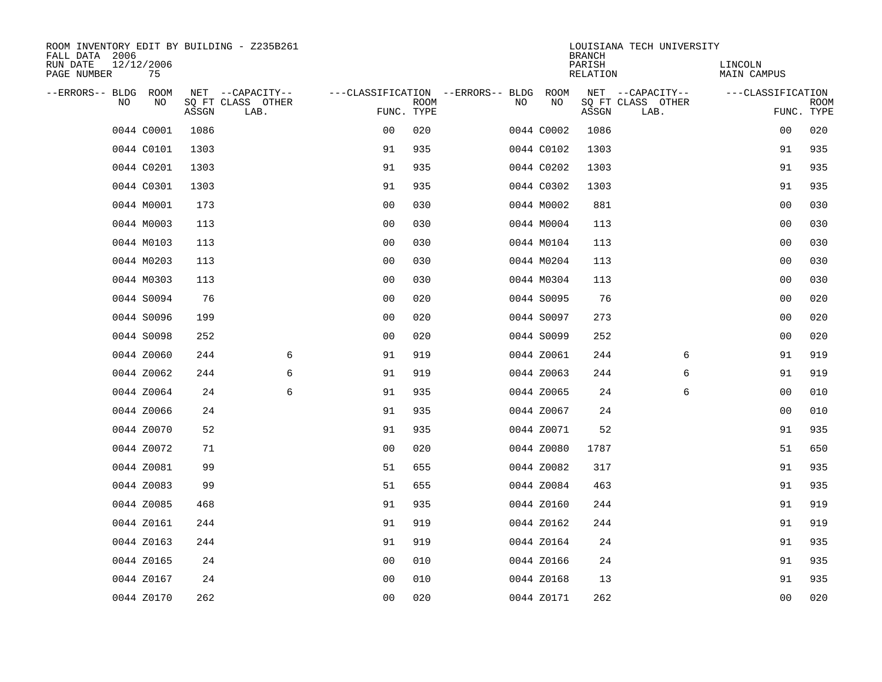| ROOM INVENTORY EDIT BY BUILDING - Z235B261<br>FALL DATA 2006 |                  |       |                           |                |             |                                        |    |            | <b>BRANCH</b>             | LOUISIANA TECH UNIVERSITY |                               |                           |
|--------------------------------------------------------------|------------------|-------|---------------------------|----------------|-------------|----------------------------------------|----|------------|---------------------------|---------------------------|-------------------------------|---------------------------|
| RUN DATE<br>PAGE NUMBER                                      | 12/12/2006<br>75 |       |                           |                |             |                                        |    |            | PARISH<br><b>RELATION</b> |                           | LINCOLN<br><b>MAIN CAMPUS</b> |                           |
| --ERRORS-- BLDG ROOM                                         |                  |       | NET --CAPACITY--          |                |             | ---CLASSIFICATION --ERRORS-- BLDG ROOM |    |            |                           | NET --CAPACITY--          | ---CLASSIFICATION             |                           |
| NO.                                                          | NO               | ASSGN | SQ FT CLASS OTHER<br>LAB. | FUNC. TYPE     | <b>ROOM</b> |                                        | NO | NO         | ASSGN                     | SQ FT CLASS OTHER<br>LAB. |                               | <b>ROOM</b><br>FUNC. TYPE |
|                                                              | 0044 C0001       | 1086  |                           | 0 <sub>0</sub> | 020         |                                        |    | 0044 C0002 | 1086                      |                           | 00                            | 020                       |
|                                                              | 0044 C0101       | 1303  |                           | 91             | 935         |                                        |    | 0044 C0102 | 1303                      |                           | 91                            | 935                       |
|                                                              | 0044 C0201       | 1303  |                           | 91             | 935         |                                        |    | 0044 C0202 | 1303                      |                           | 91                            | 935                       |
|                                                              | 0044 C0301       | 1303  |                           | 91             | 935         |                                        |    | 0044 C0302 | 1303                      |                           | 91                            | 935                       |
|                                                              | 0044 M0001       | 173   |                           | 0 <sub>0</sub> | 030         |                                        |    | 0044 M0002 | 881                       |                           | 0 <sub>0</sub>                | 030                       |
|                                                              | 0044 M0003       | 113   |                           | 0 <sub>0</sub> | 030         |                                        |    | 0044 M0004 | 113                       |                           | 0 <sub>0</sub>                | 030                       |
|                                                              | 0044 M0103       | 113   |                           | 0 <sub>0</sub> | 030         |                                        |    | 0044 M0104 | 113                       |                           | 00                            | 030                       |
|                                                              | 0044 M0203       | 113   |                           | 0 <sub>0</sub> | 030         |                                        |    | 0044 M0204 | 113                       |                           | 0 <sub>0</sub>                | 030                       |
|                                                              | 0044 M0303       | 113   |                           | 0 <sub>0</sub> | 030         |                                        |    | 0044 M0304 | 113                       |                           | 0 <sub>0</sub>                | 030                       |
|                                                              | 0044 S0094       | 76    |                           | 0 <sub>0</sub> | 020         |                                        |    | 0044 S0095 | 76                        |                           | 00                            | 020                       |
|                                                              | 0044 S0096       | 199   |                           | 0 <sub>0</sub> | 020         |                                        |    | 0044 S0097 | 273                       |                           | 0 <sub>0</sub>                | 020                       |
|                                                              | 0044 S0098       | 252   |                           | 0 <sub>0</sub> | 020         |                                        |    | 0044 S0099 | 252                       |                           | 0 <sub>0</sub>                | 020                       |
|                                                              | 0044 Z0060       | 244   | 6                         | 91             | 919         |                                        |    | 0044 Z0061 | 244                       | 6                         | 91                            | 919                       |
|                                                              | 0044 Z0062       | 244   | 6                         | 91             | 919         |                                        |    | 0044 Z0063 | 244                       | 6                         | 91                            | 919                       |
|                                                              | 0044 Z0064       | 24    | 6                         | 91             | 935         |                                        |    | 0044 Z0065 | 24                        | 6                         | 0 <sub>0</sub>                | 010                       |
|                                                              | 0044 Z0066       | 24    |                           | 91             | 935         |                                        |    | 0044 Z0067 | 24                        |                           | 00                            | 010                       |
|                                                              | 0044 Z0070       | 52    |                           | 91             | 935         |                                        |    | 0044 Z0071 | 52                        |                           | 91                            | 935                       |
|                                                              | 0044 Z0072       | 71    |                           | 0 <sub>0</sub> | 020         |                                        |    | 0044 Z0080 | 1787                      |                           | 51                            | 650                       |
|                                                              | 0044 Z0081       | 99    |                           | 51             | 655         |                                        |    | 0044 Z0082 | 317                       |                           | 91                            | 935                       |
|                                                              | 0044 Z0083       | 99    |                           | 51             | 655         |                                        |    | 0044 Z0084 | 463                       |                           | 91                            | 935                       |
|                                                              | 0044 Z0085       | 468   |                           | 91             | 935         |                                        |    | 0044 Z0160 | 244                       |                           | 91                            | 919                       |
|                                                              | 0044 Z0161       | 244   |                           | 91             | 919         |                                        |    | 0044 Z0162 | 244                       |                           | 91                            | 919                       |
|                                                              | 0044 Z0163       | 244   |                           | 91             | 919         |                                        |    | 0044 Z0164 | 24                        |                           | 91                            | 935                       |
|                                                              | 0044 Z0165       | 24    |                           | 0 <sub>0</sub> | 010         |                                        |    | 0044 Z0166 | 24                        |                           | 91                            | 935                       |
|                                                              | 0044 Z0167       | 24    |                           | 0 <sub>0</sub> | 010         |                                        |    | 0044 Z0168 | 13                        |                           | 91                            | 935                       |
|                                                              | 0044 Z0170       | 262   |                           | 0 <sub>0</sub> | 020         |                                        |    | 0044 Z0171 | 262                       |                           | 0 <sub>0</sub>                | 020                       |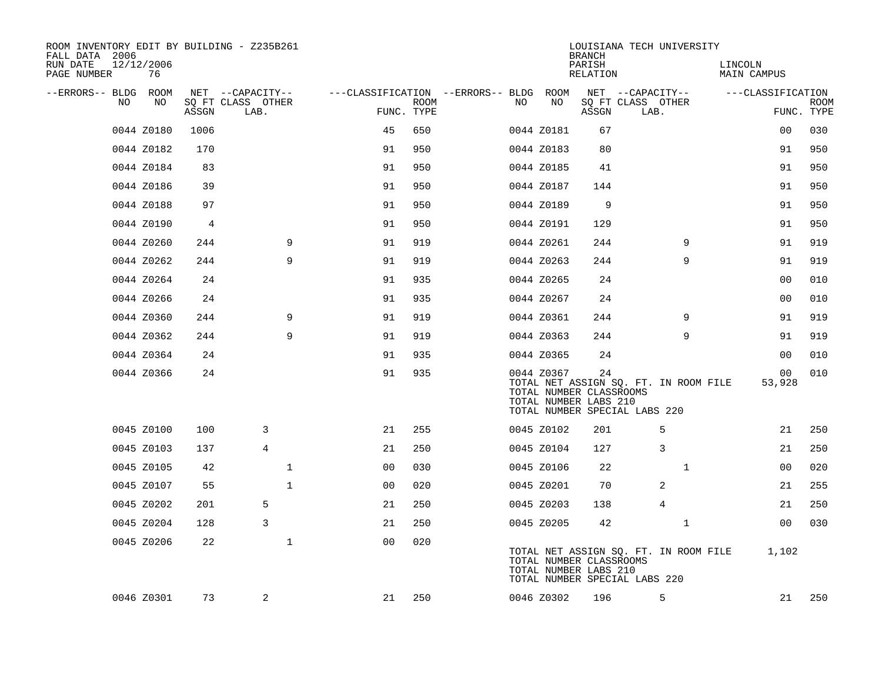| ROOM INVENTORY EDIT BY BUILDING - Z235B261<br>FALL DATA 2006 |                  |       |                           |                                        |             |    |                                                                                                                                          | LOUISIANA TECH UNIVERSITY<br><b>BRANCH</b> |                           |                |                        |                           |
|--------------------------------------------------------------|------------------|-------|---------------------------|----------------------------------------|-------------|----|------------------------------------------------------------------------------------------------------------------------------------------|--------------------------------------------|---------------------------|----------------|------------------------|---------------------------|
| RUN DATE<br>PAGE NUMBER                                      | 12/12/2006<br>76 |       |                           |                                        |             |    |                                                                                                                                          | PARISH<br>RELATION                         |                           |                | LINCOLN<br>MAIN CAMPUS |                           |
| --ERRORS-- BLDG ROOM                                         |                  |       | NET --CAPACITY--          | ---CLASSIFICATION --ERRORS-- BLDG ROOM |             |    |                                                                                                                                          |                                            | NET --CAPACITY--          |                | ---CLASSIFICATION      |                           |
| NO                                                           | NO               | ASSGN | SQ FT CLASS OTHER<br>LAB. | FUNC. TYPE                             | <b>ROOM</b> | NO | NO                                                                                                                                       | ASSGN                                      | SQ FT CLASS OTHER<br>LAB. |                |                        | <b>ROOM</b><br>FUNC. TYPE |
|                                                              | 0044 Z0180       | 1006  |                           | 45                                     | 650         |    | 0044 Z0181                                                                                                                               | 67                                         |                           |                | 0 <sub>0</sub>         | 030                       |
|                                                              | 0044 Z0182       | 170   |                           | 91                                     | 950         |    | 0044 Z0183                                                                                                                               | 80                                         |                           |                | 91                     | 950                       |
|                                                              | 0044 Z0184       | 83    |                           | 91                                     | 950         |    | 0044 Z0185                                                                                                                               | 41                                         |                           |                | 91                     | 950                       |
|                                                              | 0044 Z0186       | 39    |                           | 91                                     | 950         |    | 0044 Z0187                                                                                                                               | 144                                        |                           |                | 91                     | 950                       |
|                                                              | 0044 Z0188       | 97    |                           | 91                                     | 950         |    | 0044 Z0189                                                                                                                               | 9                                          |                           |                | 91                     | 950                       |
|                                                              | 0044 Z0190       | 4     |                           | 91                                     | 950         |    | 0044 Z0191                                                                                                                               | 129                                        |                           |                | 91                     | 950                       |
|                                                              | 0044 Z0260       | 244   | 9                         | 91                                     | 919         |    | 0044 Z0261                                                                                                                               | 244                                        |                           | 9              | 91                     | 919                       |
|                                                              | 0044 Z0262       | 244   | 9                         | 91                                     | 919         |    | 0044 Z0263                                                                                                                               | 244                                        |                           | 9              | 91                     | 919                       |
|                                                              | 0044 Z0264       | 24    |                           | 91                                     | 935         |    | 0044 Z0265                                                                                                                               | 24                                         |                           |                | 0 <sub>0</sub>         | 010                       |
|                                                              | 0044 Z0266       | 24    |                           | 91                                     | 935         |    | 0044 Z0267                                                                                                                               | 24                                         |                           |                | 00                     | 010                       |
|                                                              | 0044 Z0360       | 244   | 9                         | 91                                     | 919         |    | 0044 Z0361                                                                                                                               | 244                                        |                           | 9              | 91                     | 919                       |
|                                                              | 0044 Z0362       | 244   | 9                         | 91                                     | 919         |    | 0044 Z0363                                                                                                                               | 244                                        |                           | 9              | 91                     | 919                       |
|                                                              | 0044 Z0364       | 24    |                           | 91                                     | 935         |    | 0044 Z0365                                                                                                                               | 24                                         |                           |                | 0 <sub>0</sub>         | 010                       |
|                                                              | 0044 Z0366       | 24    |                           | 91                                     | 935         |    | 0044 Z0367<br>TOTAL NET ASSIGN SQ. FT. IN ROOM FILE<br>TOTAL NUMBER CLASSROOMS<br>TOTAL NUMBER LABS 210<br>TOTAL NUMBER SPECIAL LABS 220 | 24                                         |                           |                | 00<br>53,928           | 010                       |
|                                                              | 0045 Z0100       | 100   | 3                         | 21                                     | 255         |    | 0045 Z0102                                                                                                                               | 201                                        |                           | 5              | 21                     | 250                       |
|                                                              | 0045 Z0103       | 137   | $\overline{4}$            | 21                                     | 250         |    | 0045 Z0104                                                                                                                               | 127                                        |                           | 3              | 21                     | 250                       |
|                                                              | 0045 Z0105       | 42    | 1                         | 00                                     | 030         |    | 0045 Z0106                                                                                                                               | 22                                         |                           | $\mathbf{1}$   | 00                     | 020                       |
|                                                              | 0045 Z0107       | 55    | $\mathbf{1}$              | 00                                     | 020         |    | 0045 Z0201                                                                                                                               | 70                                         |                           | 2              | 21                     | 255                       |
|                                                              | 0045 Z0202       | 201   | 5                         | 21                                     | 250         |    | 0045 Z0203                                                                                                                               | 138                                        |                           | $\overline{4}$ | 21                     | 250                       |
|                                                              | 0045 Z0204       | 128   | 3                         | 21                                     | 250         |    | 0045 Z0205                                                                                                                               | 42                                         |                           | $\mathbf{1}$   | 0 <sub>0</sub>         | 030                       |
|                                                              | 0045 Z0206       | 22    | $\mathbf 1$               | 0 <sub>0</sub>                         | 020         |    | TOTAL NET ASSIGN SQ. FT. IN ROOM FILE<br>TOTAL NUMBER CLASSROOMS<br>TOTAL NUMBER LABS 210<br>TOTAL NUMBER SPECIAL LABS 220               |                                            |                           |                | 1,102                  |                           |
|                                                              | 0046 Z0301       | 73    | 2                         | 21                                     | 250         |    | 0046 Z0302                                                                                                                               | 196                                        |                           | 5              | 21                     | 250                       |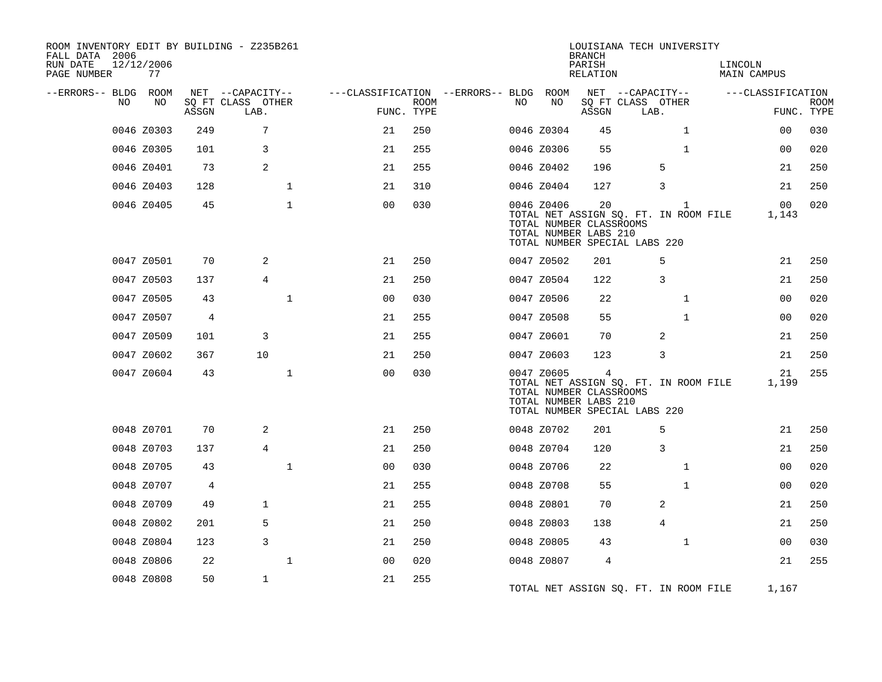| ROOM INVENTORY EDIT BY BUILDING - Z235B261<br>FALL DATA 2006<br>RUN DATE<br>PAGE NUMBER | 12/12/2006<br>77 |       |                           |              |                                        |             |     |            | LOUISIANA TECH UNIVERSITY<br><b>BRANCH</b><br>PARISH<br>RELATION                                                                 |                           |   |              | LINCOLN<br><b>MAIN CAMPUS</b> |                           |
|-----------------------------------------------------------------------------------------|------------------|-------|---------------------------|--------------|----------------------------------------|-------------|-----|------------|----------------------------------------------------------------------------------------------------------------------------------|---------------------------|---|--------------|-------------------------------|---------------------------|
| --ERRORS-- BLDG ROOM                                                                    |                  |       | NET --CAPACITY--          |              | ---CLASSIFICATION --ERRORS-- BLDG ROOM |             |     |            |                                                                                                                                  | NET --CAPACITY--          |   |              | ---CLASSIFICATION             |                           |
| NO.                                                                                     | NO.              | ASSGN | SQ FT CLASS OTHER<br>LAB. |              | FUNC. TYPE                             | <b>ROOM</b> | NO. | NO         | ASSGN                                                                                                                            | SQ FT CLASS OTHER<br>LAB. |   |              |                               | <b>ROOM</b><br>FUNC. TYPE |
|                                                                                         | 0046 Z0303       | 249   | 7                         |              | 21                                     | 250         |     | 0046 Z0304 | 45                                                                                                                               |                           |   | $\mathbf{1}$ | 00                            | 030                       |
|                                                                                         | 0046 Z0305       | 101   | 3                         |              | 21                                     | 255         |     | 0046 Z0306 | 55                                                                                                                               |                           |   | $\mathbf{1}$ | 00                            | 020                       |
|                                                                                         | 0046 Z0401       | 73    | 2                         |              | 21                                     | 255         |     | 0046 Z0402 | 196                                                                                                                              |                           | 5 |              | 21                            | 250                       |
|                                                                                         | 0046 Z0403       | 128   |                           | $\mathbf{1}$ | 21                                     | 310         |     | 0046 Z0404 | 127                                                                                                                              |                           | 3 |              | 21                            | 250                       |
|                                                                                         | 0046 Z0405       | 45    |                           | $\mathbf{1}$ | 0 <sub>0</sub>                         | 030         |     | 0046 Z0406 | 20<br>TOTAL NET ASSIGN SQ. FT. IN ROOM FILE<br>TOTAL NUMBER CLASSROOMS<br>TOTAL NUMBER LABS 210<br>TOTAL NUMBER SPECIAL LABS 220 |                           |   | $\mathbf{1}$ | 00<br>1,143                   | 020                       |
|                                                                                         | 0047 Z0501       | 70    | 2                         |              | 21                                     | 250         |     | 0047 Z0502 | 201                                                                                                                              |                           | 5 |              | 21                            | 250                       |
|                                                                                         | 0047 Z0503       | 137   | $\overline{4}$            |              | 21                                     | 250         |     | 0047 Z0504 | 122                                                                                                                              |                           | 3 |              | 21                            | 250                       |
|                                                                                         | 0047 Z0505       | 43    |                           | $\mathbf{1}$ | 0 <sub>0</sub>                         | 030         |     | 0047 Z0506 | 22                                                                                                                               |                           |   | $\mathbf{1}$ | 0 <sub>0</sub>                | 020                       |
|                                                                                         | 0047 Z0507       | 4     |                           |              | 21                                     | 255         |     | 0047 Z0508 | 55                                                                                                                               |                           |   | $\mathbf{1}$ | 00                            | 020                       |
|                                                                                         | 0047 Z0509       | 101   | 3                         |              | 21                                     | 255         |     | 0047 Z0601 | 70                                                                                                                               |                           | 2 |              | 21                            | 250                       |
|                                                                                         | 0047 Z0602       | 367   | 10                        |              | 21                                     | 250         |     | 0047 Z0603 | 123                                                                                                                              |                           | 3 |              | 21                            | 250                       |
|                                                                                         | 0047 Z0604       | 43    |                           | $\mathbf 1$  | 0 <sub>0</sub>                         | 030         |     | 0047 Z0605 | 4<br>TOTAL NET ASSIGN SQ. FT. IN ROOM FILE<br>TOTAL NUMBER CLASSROOMS<br>TOTAL NUMBER LABS 210<br>TOTAL NUMBER SPECIAL LABS 220  |                           |   |              | 21<br>1,199                   | 255                       |
|                                                                                         | 0048 Z0701       | 70    | 2                         |              | 21                                     | 250         |     | 0048 Z0702 | 201                                                                                                                              |                           | 5 |              | 21                            | 250                       |
|                                                                                         | 0048 Z0703       | 137   | 4                         |              | 21                                     | 250         |     | 0048 Z0704 | 120                                                                                                                              |                           | 3 |              | 21                            | 250                       |
|                                                                                         | 0048 Z0705       | 43    |                           | $\mathbf{1}$ | 0 <sub>0</sub>                         | 030         |     | 0048 Z0706 | 22                                                                                                                               |                           |   | $\mathbf{1}$ | 00                            | 020                       |
|                                                                                         | 0048 Z0707       | 4     |                           |              | 21                                     | 255         |     | 0048 Z0708 | 55                                                                                                                               |                           |   | $\mathbf{1}$ | 00                            | 020                       |
|                                                                                         | 0048 Z0709       | 49    | $\mathbf{1}$              |              | 21                                     | 255         |     | 0048 Z0801 | 70                                                                                                                               |                           | 2 |              | 21                            | 250                       |
|                                                                                         | 0048 Z0802       | 201   | 5                         |              | 21                                     | 250         |     | 0048 Z0803 | 138                                                                                                                              |                           | 4 |              | 21                            | 250                       |
|                                                                                         | 0048 Z0804       | 123   | 3                         |              | 21                                     | 250         |     | 0048 Z0805 | 43                                                                                                                               |                           |   | $\mathbf{1}$ | 00                            | 030                       |
|                                                                                         | 0048 Z0806       | 22    |                           | $\mathbf 1$  | 0 <sub>0</sub>                         | 020         |     | 0048 Z0807 | 4                                                                                                                                |                           |   |              | 21                            | 255                       |
|                                                                                         | 0048 Z0808       | 50    | $\mathbf{1}$              |              | 21                                     | 255         |     |            | TOTAL NET ASSIGN SQ. FT. IN ROOM FILE                                                                                            |                           |   |              | 1,167                         |                           |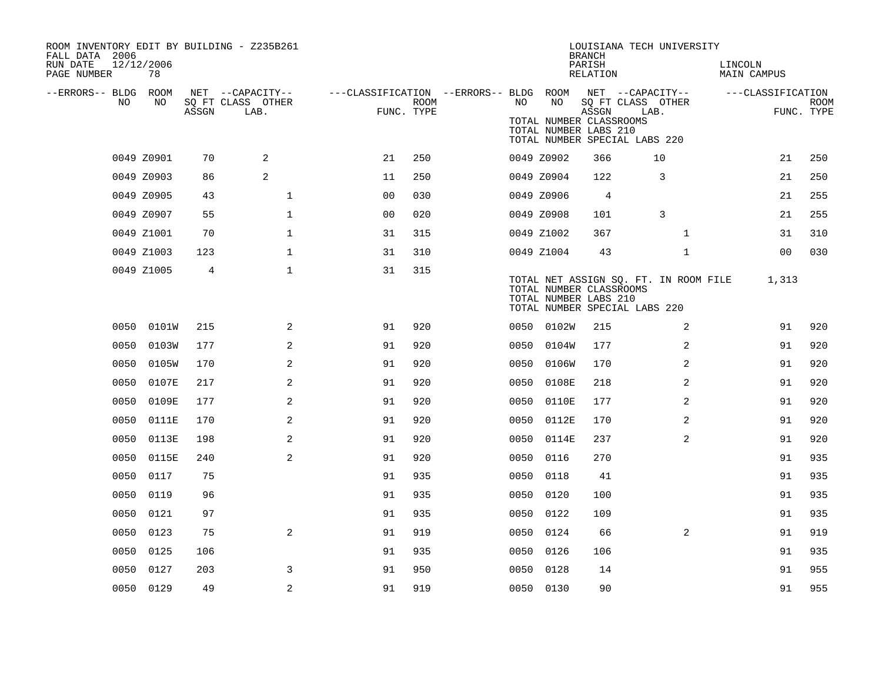| ROOM INVENTORY EDIT BY BUILDING - Z235B261<br>FALL DATA 2006<br>RUN DATE<br>PAGE NUMBER | 12/12/2006<br>78 |       |                           |                                                         |             |      |            | <b>BRANCH</b><br>PARISH<br>RELATION              | LOUISIANA TECH UNIVERSITY                                              | LINCOLN<br>MAIN CAMPUS |                           |
|-----------------------------------------------------------------------------------------|------------------|-------|---------------------------|---------------------------------------------------------|-------------|------|------------|--------------------------------------------------|------------------------------------------------------------------------|------------------------|---------------------------|
| --ERRORS-- BLDG ROOM                                                                    |                  |       | NET --CAPACITY--          | ---CLASSIFICATION --ERRORS-- BLDG ROOM NET --CAPACITY-- |             |      |            |                                                  |                                                                        | ---CLASSIFICATION      |                           |
| NO                                                                                      | NO               | ASSGN | SQ FT CLASS OTHER<br>LAB. | FUNC. TYPE                                              | <b>ROOM</b> | NO   | NO         | ASSGN                                            | SQ FT CLASS OTHER<br>LAB.                                              |                        | <b>ROOM</b><br>FUNC. TYPE |
|                                                                                         |                  |       |                           |                                                         |             |      |            | TOTAL NUMBER CLASSROOMS<br>TOTAL NUMBER LABS 210 | TOTAL NUMBER SPECIAL LABS 220                                          |                        |                           |
|                                                                                         | 0049 Z0901       | 70    | 2                         | 21                                                      | 250         |      | 0049 Z0902 | 366                                              | 10                                                                     | 21                     | 250                       |
|                                                                                         | 0049 Z0903       | 86    | 2                         | 11                                                      | 250         |      | 0049 Z0904 | 122                                              | 3                                                                      | 21                     | 250                       |
|                                                                                         | 0049 Z0905       | 43    | $\mathbf 1$               | 0 <sub>0</sub>                                          | 030         |      | 0049 Z0906 | $\overline{4}$                                   |                                                                        | 21                     | 255                       |
|                                                                                         | 0049 Z0907       | 55    | $\mathbf{1}$              | 0 <sub>0</sub>                                          | 020         |      | 0049 Z0908 | 101                                              | 3                                                                      | 21                     | 255                       |
|                                                                                         | 0049 Z1001       | 70    | $\mathbf 1$               | 31                                                      | 315         |      | 0049 Z1002 | 367                                              | $\mathbf{1}$                                                           | 31                     | 310                       |
|                                                                                         | 0049 Z1003       | 123   | $\mathbf{1}$              | 31                                                      | 310         |      | 0049 Z1004 | 43                                               | $\mathbf{1}$                                                           | 0 <sub>0</sub>         | 030                       |
|                                                                                         | 0049 Z1005       | 4     | $\mathbf 1$               | 31                                                      | 315         |      |            | TOTAL NUMBER CLASSROOMS<br>TOTAL NUMBER LABS 210 | TOTAL NET ASSIGN SQ. FT. IN ROOM FILE<br>TOTAL NUMBER SPECIAL LABS 220 | 1,313                  |                           |
|                                                                                         | 0050 0101W       | 215   | 2                         | 91                                                      | 920         |      | 0050 0102W | 215                                              | 2                                                                      | 91                     | 920                       |
| 0050                                                                                    | 0103W            | 177   | 2                         | 91                                                      | 920         |      | 0050 0104W | 177                                              | 2                                                                      | 91                     | 920                       |
| 0050                                                                                    | 0105W            | 170   | 2                         | 91                                                      | 920         | 0050 | 0106W      | 170                                              | 2                                                                      | 91                     | 920                       |
| 0050                                                                                    | 0107E            | 217   | 2                         | 91                                                      | 920         |      | 0050 0108E | 218                                              | 2                                                                      | 91                     | 920                       |
| 0050                                                                                    | 0109E            | 177   | $\overline{2}$            | 91                                                      | 920         | 0050 | 0110E      | 177                                              | $\overline{2}$                                                         | 91                     | 920                       |
|                                                                                         | 0050 0111E       | 170   | 2                         | 91                                                      | 920         |      | 0050 0112E | 170                                              | 2                                                                      | 91                     | 920                       |
| 0050                                                                                    | 0113E            | 198   | $\overline{2}$            | 91                                                      | 920         | 0050 | 0114E      | 237                                              | 2                                                                      | 91                     | 920                       |
|                                                                                         | 0050 0115E       | 240   | 2                         | 91                                                      | 920         |      | 0050 0116  | 270                                              |                                                                        | 91                     | 935                       |
| 0050                                                                                    | 0117             | 75    |                           | 91                                                      | 935         | 0050 | 0118       | 41                                               |                                                                        | 91                     | 935                       |
| 0050                                                                                    | 0119             | 96    |                           | 91                                                      | 935         |      | 0050 0120  | 100                                              |                                                                        | 91                     | 935                       |
| 0050                                                                                    | 0121             | 97    |                           | 91                                                      | 935         | 0050 | 0122       | 109                                              |                                                                        | 91                     | 935                       |
| 0050                                                                                    | 0123             | 75    | 2                         | 91                                                      | 919         |      | 0050 0124  | 66                                               | 2                                                                      | 91                     | 919                       |
| 0050                                                                                    | 0125             | 106   |                           | 91                                                      | 935         | 0050 | 0126       | 106                                              |                                                                        | 91                     | 935                       |
| 0050                                                                                    | 0127             | 203   | 3                         | 91                                                      | 950         |      | 0050 0128  | 14                                               |                                                                        | 91                     | 955                       |
|                                                                                         | 0050 0129        | 49    | 2                         | 91                                                      | 919         |      | 0050 0130  | 90                                               |                                                                        | 91                     | 955                       |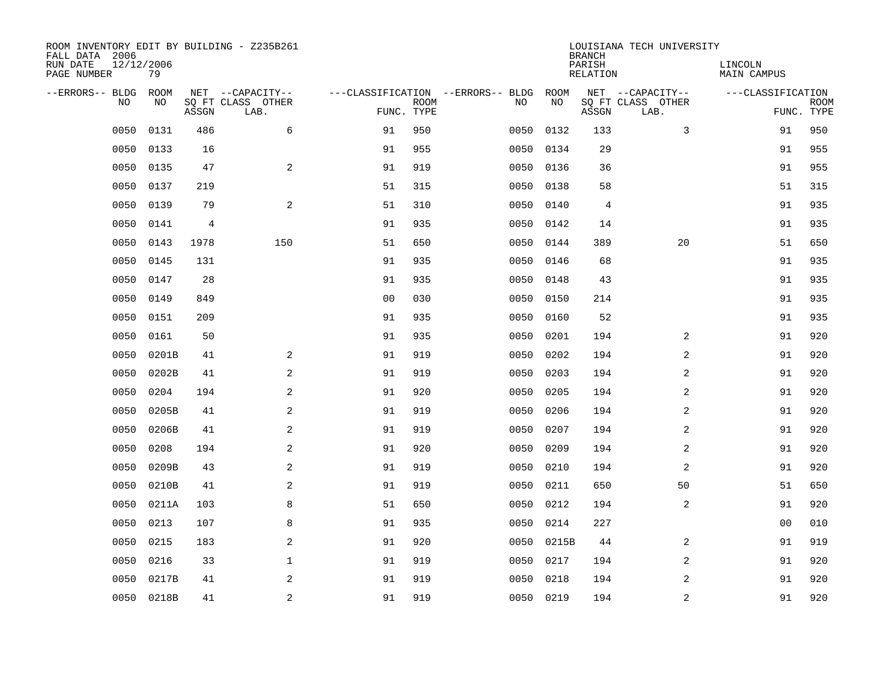| ROOM INVENTORY EDIT BY BUILDING - Z235B261<br>FALL DATA 2006<br>RUN DATE<br>PAGE NUMBER | 12/12/2006<br>79 |       |                                               |                |             |                                         |            | <b>BRANCH</b><br>PARISH<br><b>RELATION</b> | LOUISIANA TECH UNIVERSITY                     | LINCOLN<br><b>MAIN CAMPUS</b> |                           |
|-----------------------------------------------------------------------------------------|------------------|-------|-----------------------------------------------|----------------|-------------|-----------------------------------------|------------|--------------------------------------------|-----------------------------------------------|-------------------------------|---------------------------|
| --ERRORS-- BLDG<br>NO                                                                   | ROOM<br>NO       | ASSGN | NET --CAPACITY--<br>SQ FT CLASS OTHER<br>LAB. | FUNC. TYPE     | <b>ROOM</b> | ---CLASSIFICATION --ERRORS-- BLDG<br>NO | ROOM<br>NO | ASSGN                                      | NET --CAPACITY--<br>SQ FT CLASS OTHER<br>LAB. | ---CLASSIFICATION             | <b>ROOM</b><br>FUNC. TYPE |
| 0050                                                                                    | 0131             | 486   | 6                                             | 91             | 950         | 0050                                    | 0132       | 133                                        | 3                                             | 91                            | 950                       |
| 0050                                                                                    | 0133             | 16    |                                               | 91             | 955         | 0050                                    | 0134       | 29                                         |                                               | 91                            | 955                       |
| 0050                                                                                    | 0135             | 47    | 2                                             | 91             | 919         | 0050                                    | 0136       | 36                                         |                                               | 91                            | 955                       |
| 0050                                                                                    | 0137             | 219   |                                               | 51             | 315         | 0050                                    | 0138       | 58                                         |                                               | 51                            | 315                       |
| 0050                                                                                    | 0139             | 79    | 2                                             | 51             | 310         | 0050                                    | 0140       | 4                                          |                                               | 91                            | 935                       |
| 0050                                                                                    | 0141             | 4     |                                               | 91             | 935         | 0050                                    | 0142       | 14                                         |                                               | 91                            | 935                       |
| 0050                                                                                    | 0143             | 1978  | 150                                           | 51             | 650         | 0050                                    | 0144       | 389                                        | 20                                            | 51                            | 650                       |
| 0050                                                                                    | 0145             | 131   |                                               | 91             | 935         |                                         | 0050 0146  | 68                                         |                                               | 91                            | 935                       |
| 0050                                                                                    | 0147             | 28    |                                               | 91             | 935         | 0050                                    | 0148       | 43                                         |                                               | 91                            | 935                       |
| 0050                                                                                    | 0149             | 849   |                                               | 0 <sub>0</sub> | 030         | 0050                                    | 0150       | 214                                        |                                               | 91                            | 935                       |
| 0050                                                                                    | 0151             | 209   |                                               | 91             | 935         | 0050                                    | 0160       | 52                                         |                                               | 91                            | 935                       |
| 0050                                                                                    | 0161             | 50    |                                               | 91             | 935         | 0050                                    | 0201       | 194                                        | 2                                             | 91                            | 920                       |
| 0050                                                                                    | 0201B            | 41    | 2                                             | 91             | 919         | 0050                                    | 0202       | 194                                        | 2                                             | 91                            | 920                       |
| 0050                                                                                    | 0202B            | 41    | $\mathbf{2}$                                  | 91             | 919         | 0050                                    | 0203       | 194                                        | 2                                             | 91                            | 920                       |
| 0050                                                                                    | 0204             | 194   | 2                                             | 91             | 920         | 0050                                    | 0205       | 194                                        | 2                                             | 91                            | 920                       |
| 0050                                                                                    | 0205B            | 41    | 2                                             | 91             | 919         | 0050                                    | 0206       | 194                                        | $\overline{a}$                                | 91                            | 920                       |
| 0050                                                                                    | 0206B            | 41    | 2                                             | 91             | 919         | 0050                                    | 0207       | 194                                        | 2                                             | 91                            | 920                       |
| 0050                                                                                    | 0208             | 194   | 2                                             | 91             | 920         | 0050                                    | 0209       | 194                                        | $\overline{a}$                                | 91                            | 920                       |
| 0050                                                                                    | 0209B            | 43    | 2                                             | 91             | 919         | 0050                                    | 0210       | 194                                        | 2                                             | 91                            | 920                       |
| 0050                                                                                    | 0210B            | 41    | $\overline{a}$                                | 91             | 919         | 0050                                    | 0211       | 650                                        | 50                                            | 51                            | 650                       |
| 0050                                                                                    | 0211A            | 103   | 8                                             | 51             | 650         | 0050                                    | 0212       | 194                                        | 2                                             | 91                            | 920                       |
| 0050                                                                                    | 0213             | 107   | 8                                             | 91             | 935         | 0050                                    | 0214       | 227                                        |                                               | 00                            | 010                       |
| 0050                                                                                    | 0215             | 183   | 2                                             | 91             | 920         | 0050                                    | 0215B      | 44                                         | 2                                             | 91                            | 919                       |
| 0050                                                                                    | 0216             | 33    | $\mathbf 1$                                   | 91             | 919         | 0050                                    | 0217       | 194                                        | $\overline{a}$                                | 91                            | 920                       |
| 0050                                                                                    | 0217B            | 41    | 2                                             | 91             | 919         | 0050                                    | 0218       | 194                                        | 2                                             | 91                            | 920                       |
|                                                                                         | 0050 0218B       | 41    | $\overline{c}$                                | 91             | 919         |                                         | 0050 0219  | 194                                        | $\mathbf 2$                                   | 91                            | 920                       |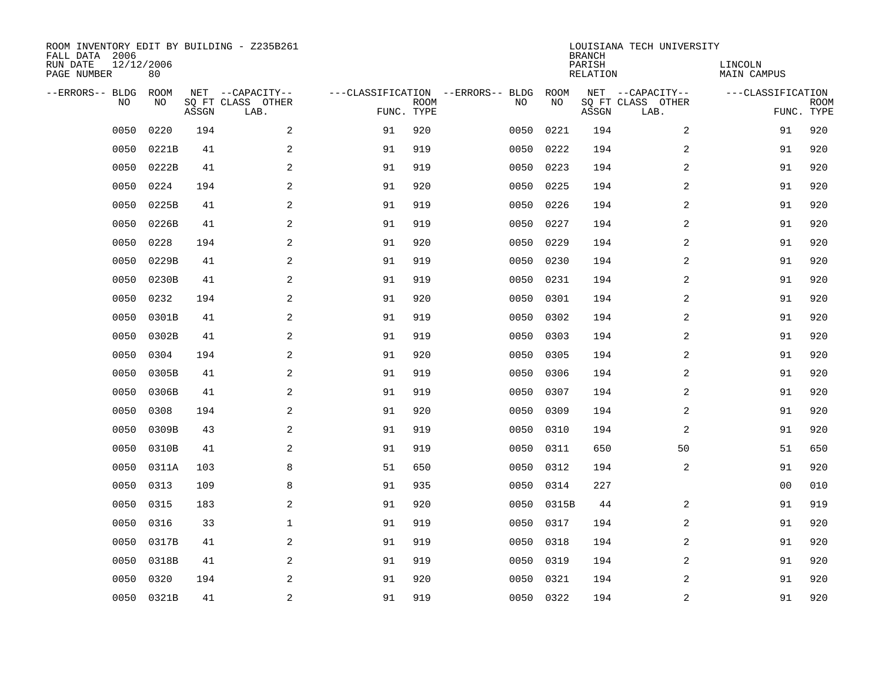| ROOM INVENTORY EDIT BY BUILDING - Z235B261<br>FALL DATA 2006<br>RUN DATE<br>PAGE NUMBER | 12/12/2006<br>80 |       |                                               |            |             |                                         |            | <b>BRANCH</b><br>PARISH<br><b>RELATION</b> | LOUISIANA TECH UNIVERSITY                     | LINCOLN<br><b>MAIN CAMPUS</b> |                           |
|-----------------------------------------------------------------------------------------|------------------|-------|-----------------------------------------------|------------|-------------|-----------------------------------------|------------|--------------------------------------------|-----------------------------------------------|-------------------------------|---------------------------|
| --ERRORS-- BLDG<br>NO                                                                   | ROOM<br>NO       | ASSGN | NET --CAPACITY--<br>SQ FT CLASS OTHER<br>LAB. | FUNC. TYPE | <b>ROOM</b> | ---CLASSIFICATION --ERRORS-- BLDG<br>NO | ROOM<br>NO | ASSGN                                      | NET --CAPACITY--<br>SQ FT CLASS OTHER<br>LAB. | ---CLASSIFICATION             | <b>ROOM</b><br>FUNC. TYPE |
| 0050                                                                                    | 0220             | 194   | 2                                             | 91         | 920         | 0050                                    | 0221       | 194                                        | 2                                             | 91                            | 920                       |
| 0050                                                                                    | 0221B            | 41    | 2                                             | 91         | 919         | 0050                                    | 0222       | 194                                        | 2                                             | 91                            | 920                       |
| 0050                                                                                    | 0222B            | 41    | 2                                             | 91         | 919         | 0050                                    | 0223       | 194                                        | 2                                             | 91                            | 920                       |
| 0050                                                                                    | 0224             | 194   | $\mathbf{2}$                                  | 91         | 920         | 0050                                    | 0225       | 194                                        | 2                                             | 91                            | 920                       |
| 0050                                                                                    | 0225B            | 41    | 2                                             | 91         | 919         | 0050                                    | 0226       | 194                                        | $\overline{a}$                                | 91                            | 920                       |
| 0050                                                                                    | 0226B            | 41    | 2                                             | 91         | 919         | 0050                                    | 0227       | 194                                        | $\overline{a}$                                | 91                            | 920                       |
| 0050                                                                                    | 0228             | 194   | $\mathbf{2}$                                  | 91         | 920         | 0050                                    | 0229       | 194                                        | $\overline{a}$                                | 91                            | 920                       |
| 0050                                                                                    | 0229B            | 41    | 2                                             | 91         | 919         | 0050                                    | 0230       | 194                                        | 2                                             | 91                            | 920                       |
| 0050                                                                                    | 0230B            | 41    | 2                                             | 91         | 919         | 0050                                    | 0231       | 194                                        | 2                                             | 91                            | 920                       |
| 0050                                                                                    | 0232             | 194   | 2                                             | 91         | 920         | 0050                                    | 0301       | 194                                        | 2                                             | 91                            | 920                       |
| 0050                                                                                    | 0301B            | 41    | 2                                             | 91         | 919         | 0050                                    | 0302       | 194                                        | 2                                             | 91                            | 920                       |
| 0050                                                                                    | 0302B            | 41    | 2                                             | 91         | 919         | 0050                                    | 0303       | 194                                        | 2                                             | 91                            | 920                       |
| 0050                                                                                    | 0304             | 194   | 2                                             | 91         | 920         | 0050                                    | 0305       | 194                                        | 2                                             | 91                            | 920                       |
| 0050                                                                                    | 0305B            | 41    | $\overline{a}$                                | 91         | 919         | 0050                                    | 0306       | 194                                        | 2                                             | 91                            | 920                       |
| 0050                                                                                    | 0306B            | 41    | 2                                             | 91         | 919         | 0050                                    | 0307       | 194                                        | 2                                             | 91                            | 920                       |
| 0050                                                                                    | 0308             | 194   | 2                                             | 91         | 920         | 0050                                    | 0309       | 194                                        | 2                                             | 91                            | 920                       |
| 0050                                                                                    | 0309B            | 43    | 2                                             | 91         | 919         | 0050                                    | 0310       | 194                                        | 2                                             | 91                            | 920                       |
| 0050                                                                                    | 0310B            | 41    | 2                                             | 91         | 919         | 0050                                    | 0311       | 650                                        | 50                                            | 51                            | 650                       |
| 0050                                                                                    | 0311A            | 103   | 8                                             | 51         | 650         | 0050                                    | 0312       | 194                                        | 2                                             | 91                            | 920                       |
| 0050                                                                                    | 0313             | 109   | 8                                             | 91         | 935         | 0050                                    | 0314       | 227                                        |                                               | 00                            | 010                       |
| 0050                                                                                    | 0315             | 183   | 2                                             | 91         | 920         | 0050                                    | 0315B      | 44                                         | 2                                             | 91                            | 919                       |
| 0050                                                                                    | 0316             | 33    | $\mathbf 1$                                   | 91         | 919         | 0050                                    | 0317       | 194                                        | 2                                             | 91                            | 920                       |
| 0050                                                                                    | 0317B            | 41    | 2                                             | 91         | 919         | 0050                                    | 0318       | 194                                        | 2                                             | 91                            | 920                       |
| 0050                                                                                    | 0318B            | 41    | 2                                             | 91         | 919         | 0050                                    | 0319       | 194                                        | $\overline{a}$                                | 91                            | 920                       |
| 0050                                                                                    | 0320             | 194   | 2                                             | 91         | 920         | 0050                                    | 0321       | 194                                        | 2                                             | 91                            | 920                       |
|                                                                                         | 0050 0321B       | 41    | $\overline{c}$                                | 91         | 919         |                                         | 0050 0322  | 194                                        | $\overline{\mathbf{c}}$                       | 91                            | 920                       |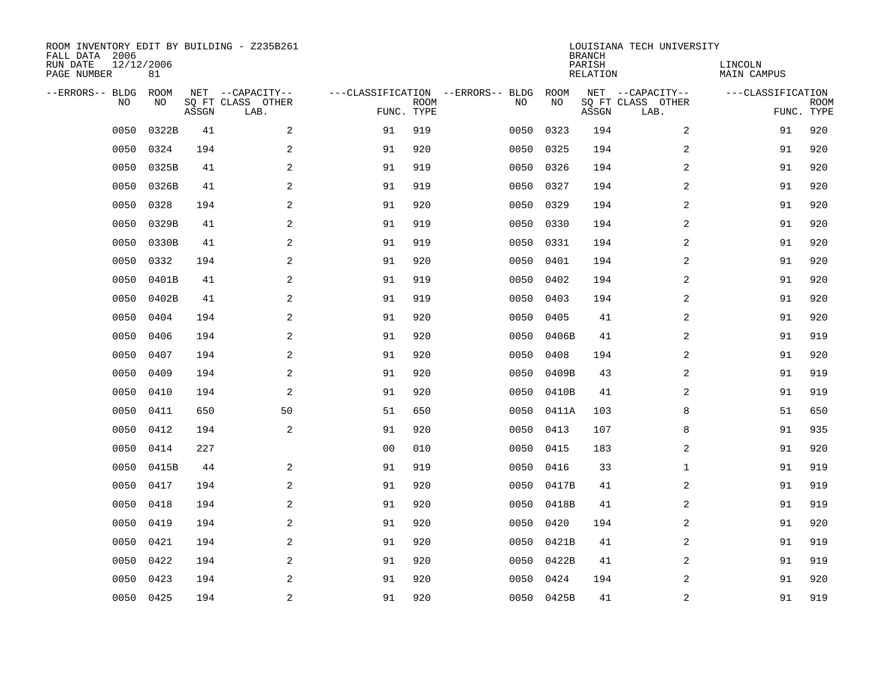| ROOM INVENTORY EDIT BY BUILDING - Z235B261<br>FALL DATA 2006<br>RUN DATE<br>PAGE NUMBER | 12/12/2006<br>81   |       |                                               |                |             |                                          |            | <b>BRANCH</b><br>PARISH<br>RELATION | LOUISIANA TECH UNIVERSITY                     | LINCOLN<br>MAIN CAMPUS |                           |
|-----------------------------------------------------------------------------------------|--------------------|-------|-----------------------------------------------|----------------|-------------|------------------------------------------|------------|-------------------------------------|-----------------------------------------------|------------------------|---------------------------|
| --ERRORS-- BLDG<br>N <sub>O</sub>                                                       | <b>ROOM</b><br>NO. | ASSGN | NET --CAPACITY--<br>SO FT CLASS OTHER<br>LAB. | FUNC. TYPE     | <b>ROOM</b> | ---CLASSIFICATION --ERRORS-- BLDG<br>NO. | ROOM<br>NO | ASSGN                               | NET --CAPACITY--<br>SQ FT CLASS OTHER<br>LAB. | ---CLASSIFICATION      | <b>ROOM</b><br>FUNC. TYPE |
| 0050                                                                                    | 0322B              | 41    | 2                                             | 91             | 919         | 0050                                     | 0323       | 194                                 | 2                                             | 91                     | 920                       |
| 0050                                                                                    | 0324               | 194   | 2                                             | 91             | 920         | 0050                                     | 0325       | 194                                 | 2                                             | 91                     | 920                       |
| 0050                                                                                    | 0325B              | 41    | 2                                             | 91             | 919         | 0050                                     | 0326       | 194                                 | 2                                             | 91                     | 920                       |
| 0050                                                                                    | 0326B              | 41    | 2                                             | 91             | 919         | 0050                                     | 0327       | 194                                 | 2                                             | 91                     | 920                       |
| 0050                                                                                    | 0328               | 194   | 2                                             | 91             | 920         | 0050                                     | 0329       | 194                                 | 2                                             | 91                     | 920                       |
| 0050                                                                                    | 0329B              | 41    | $\overline{a}$                                | 91             | 919         | 0050                                     | 0330       | 194                                 | 2                                             | 91                     | 920                       |
| 0050                                                                                    | 0330B              | 41    | $\overline{a}$                                | 91             | 919         | 0050                                     | 0331       | 194                                 | $\overline{a}$                                | 91                     | 920                       |
| 0050                                                                                    | 0332               | 194   | 2                                             | 91             | 920         | 0050                                     | 0401       | 194                                 | $\overline{a}$                                | 91                     | 920                       |
| 0050                                                                                    | 0401B              | 41    | 2                                             | 91             | 919         | 0050                                     | 0402       | 194                                 | $\overline{a}$                                | 91                     | 920                       |
| 0050                                                                                    | 0402B              | 41    | 2                                             | 91             | 919         | 0050                                     | 0403       | 194                                 | 2                                             | 91                     | 920                       |
| 0050                                                                                    | 0404               | 194   | 2                                             | 91             | 920         | 0050                                     | 0405       | 41                                  | 2                                             | 91                     | 920                       |
| 0050                                                                                    | 0406               | 194   | 2                                             | 91             | 920         | 0050                                     | 0406B      | 41                                  | 2                                             | 91                     | 919                       |
| 0050                                                                                    | 0407               | 194   | 2                                             | 91             | 920         | 0050                                     | 0408       | 194                                 | 2                                             | 91                     | 920                       |
| 0050                                                                                    | 0409               | 194   | 2                                             | 91             | 920         | 0050                                     | 0409B      | 43                                  | $\overline{a}$                                | 91                     | 919                       |
| 0050                                                                                    | 0410               | 194   | $\mathbf{2}$                                  | 91             | 920         | 0050                                     | 0410B      | 41                                  | 2                                             | 91                     | 919                       |
| 0050                                                                                    | 0411               | 650   | 50                                            | 51             | 650         | 0050                                     | 0411A      | 103                                 | 8                                             | 51                     | 650                       |
| 0050                                                                                    | 0412               | 194   | 2                                             | 91             | 920         | 0050                                     | 0413       | 107                                 | 8                                             | 91                     | 935                       |
| 0050                                                                                    | 0414               | 227   |                                               | 0 <sub>0</sub> | 010         | 0050                                     | 0415       | 183                                 | 2                                             | 91                     | 920                       |
| 0050                                                                                    | 0415B              | 44    | 2                                             | 91             | 919         | 0050                                     | 0416       | 33                                  | $\mathbf{1}$                                  | 91                     | 919                       |
| 0050                                                                                    | 0417               | 194   | 2                                             | 91             | 920         | 0050                                     | 0417B      | 41                                  | 2                                             | 91                     | 919                       |
| 0050                                                                                    | 0418               | 194   | 2                                             | 91             | 920         | 0050                                     | 0418B      | 41                                  | 2                                             | 91                     | 919                       |
| 0050                                                                                    | 0419               | 194   | 2                                             | 91             | 920         | 0050                                     | 0420       | 194                                 | 2                                             | 91                     | 920                       |
| 0050                                                                                    | 0421               | 194   | 2                                             | 91             | 920         | 0050                                     | 0421B      | 41                                  | 2                                             | 91                     | 919                       |
| 0050                                                                                    | 0422               | 194   | 2                                             | 91             | 920         | 0050                                     | 0422B      | 41                                  | $\overline{a}$                                | 91                     | 919                       |
| 0050                                                                                    | 0423               | 194   | 2                                             | 91             | 920         | 0050                                     | 0424       | 194                                 | 2                                             | 91                     | 920                       |
|                                                                                         | 0050 0425          | 194   | $\overline{c}$                                | 91             | 920         |                                          | 0050 0425B | 41                                  | $\mathbf 2$                                   | 91                     | 919                       |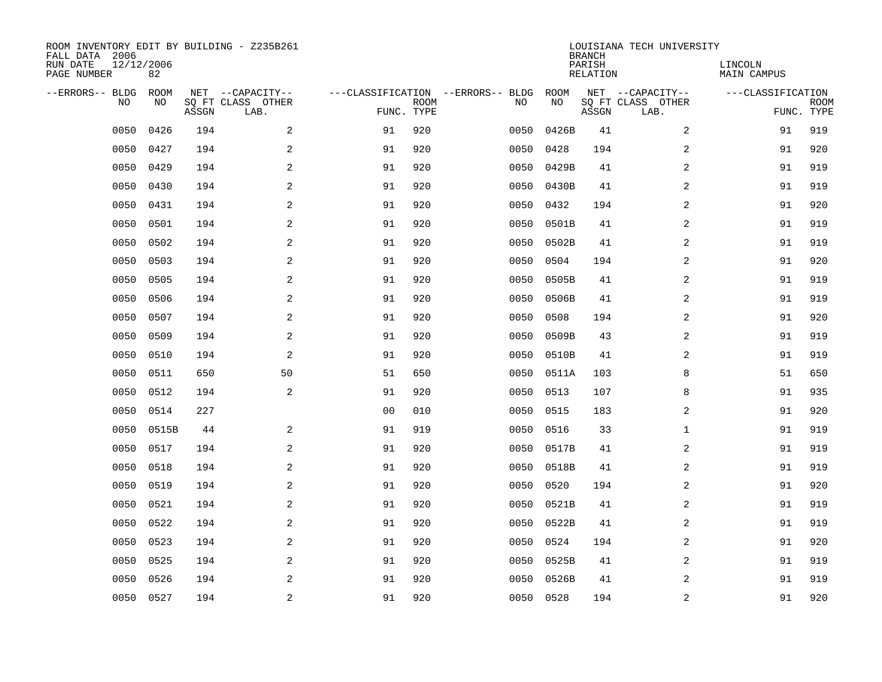| ROOM INVENTORY EDIT BY BUILDING - Z235B261<br>FALL DATA 2006<br>RUN DATE<br>PAGE NUMBER | 12/12/2006<br>82 |       |                                               |                |             |                                         |            | <b>BRANCH</b><br>PARISH<br><b>RELATION</b> | LOUISIANA TECH UNIVERSITY                     | LINCOLN<br><b>MAIN CAMPUS</b> |                           |
|-----------------------------------------------------------------------------------------|------------------|-------|-----------------------------------------------|----------------|-------------|-----------------------------------------|------------|--------------------------------------------|-----------------------------------------------|-------------------------------|---------------------------|
| --ERRORS-- BLDG<br>NO                                                                   | ROOM<br>NO       | ASSGN | NET --CAPACITY--<br>SQ FT CLASS OTHER<br>LAB. | FUNC. TYPE     | <b>ROOM</b> | ---CLASSIFICATION --ERRORS-- BLDG<br>NO | ROOM<br>NO | ASSGN                                      | NET --CAPACITY--<br>SQ FT CLASS OTHER<br>LAB. | ---CLASSIFICATION             | <b>ROOM</b><br>FUNC. TYPE |
| 0050                                                                                    | 0426             | 194   | 2                                             | 91             | 920         | 0050                                    | 0426B      | 41                                         | 2                                             | 91                            | 919                       |
| 0050                                                                                    | 0427             | 194   | 2                                             | 91             | 920         | 0050                                    | 0428       | 194                                        | 2                                             | 91                            | 920                       |
| 0050                                                                                    | 0429             | 194   | 2                                             | 91             | 920         | 0050                                    | 0429B      | 41                                         | 2                                             | 91                            | 919                       |
| 0050                                                                                    | 0430             | 194   | $\mathbf{2}$                                  | 91             | 920         | 0050                                    | 0430B      | 41                                         | $\overline{a}$                                | 91                            | 919                       |
| 0050                                                                                    | 0431             | 194   | 2                                             | 91             | 920         | 0050                                    | 0432       | 194                                        | $\overline{a}$                                | 91                            | 920                       |
| 0050                                                                                    | 0501             | 194   | 2                                             | 91             | 920         | 0050                                    | 0501B      | 41                                         | $\overline{a}$                                | 91                            | 919                       |
| 0050                                                                                    | 0502             | 194   | $\mathbf{2}$                                  | 91             | 920         | 0050                                    | 0502B      | 41                                         | $\overline{a}$                                | 91                            | 919                       |
| 0050                                                                                    | 0503             | 194   | 2                                             | 91             | 920         | 0050                                    | 0504       | 194                                        | 2                                             | 91                            | 920                       |
| 0050                                                                                    | 0505             | 194   | 2                                             | 91             | 920         | 0050                                    | 0505B      | 41                                         | 2                                             | 91                            | 919                       |
| 0050                                                                                    | 0506             | 194   | 2                                             | 91             | 920         | 0050                                    | 0506B      | 41                                         | 2                                             | 91                            | 919                       |
| 0050                                                                                    | 0507             | 194   | 2                                             | 91             | 920         | 0050                                    | 0508       | 194                                        | 2                                             | 91                            | 920                       |
| 0050                                                                                    | 0509             | 194   | 2                                             | 91             | 920         | 0050                                    | 0509B      | 43                                         | 2                                             | 91                            | 919                       |
| 0050                                                                                    | 0510             | 194   | 2                                             | 91             | 920         | 0050                                    | 0510B      | 41                                         | 2                                             | 91                            | 919                       |
| 0050                                                                                    | 0511             | 650   | 50                                            | 51             | 650         | 0050                                    | 0511A      | 103                                        | 8                                             | 51                            | 650                       |
| 0050                                                                                    | 0512             | 194   | 2                                             | 91             | 920         | 0050                                    | 0513       | 107                                        | 8                                             | 91                            | 935                       |
| 0050                                                                                    | 0514             | 227   |                                               | 0 <sub>0</sub> | 010         | 0050                                    | 0515       | 183                                        | 2                                             | 91                            | 920                       |
| 0050                                                                                    | 0515B            | 44    | 2                                             | 91             | 919         | 0050                                    | 0516       | 33                                         | $\mathbf{1}$                                  | 91                            | 919                       |
| 0050                                                                                    | 0517             | 194   | 2                                             | 91             | 920         | 0050                                    | 0517B      | 41                                         | $\overline{a}$                                | 91                            | 919                       |
| 0050                                                                                    | 0518             | 194   | 2                                             | 91             | 920         | 0050                                    | 0518B      | 41                                         | 2                                             | 91                            | 919                       |
| 0050                                                                                    | 0519             | 194   | $\overline{a}$                                | 91             | 920         | 0050                                    | 0520       | 194                                        | 2                                             | 91                            | 920                       |
| 0050                                                                                    | 0521             | 194   | 2                                             | 91             | 920         | 0050                                    | 0521B      | 41                                         | 2                                             | 91                            | 919                       |
| 0050                                                                                    | 0522             | 194   | 2                                             | 91             | 920         | 0050                                    | 0522B      | 41                                         | 2                                             | 91                            | 919                       |
| 0050                                                                                    | 0523             | 194   | 2                                             | 91             | 920         | 0050                                    | 0524       | 194                                        | 2                                             | 91                            | 920                       |
| 0050                                                                                    | 0525             | 194   | 2                                             | 91             | 920         | 0050                                    | 0525B      | 41                                         | $\overline{a}$                                | 91                            | 919                       |
| 0050                                                                                    | 0526             | 194   | 2                                             | 91             | 920         | 0050                                    | 0526B      | 41                                         | 2                                             | 91                            | 919                       |
|                                                                                         | 0050 0527        | 194   | $\overline{c}$                                | 91             | 920         |                                         | 0050 0528  | 194                                        | $\overline{\mathbf{c}}$                       | 91                            | 920                       |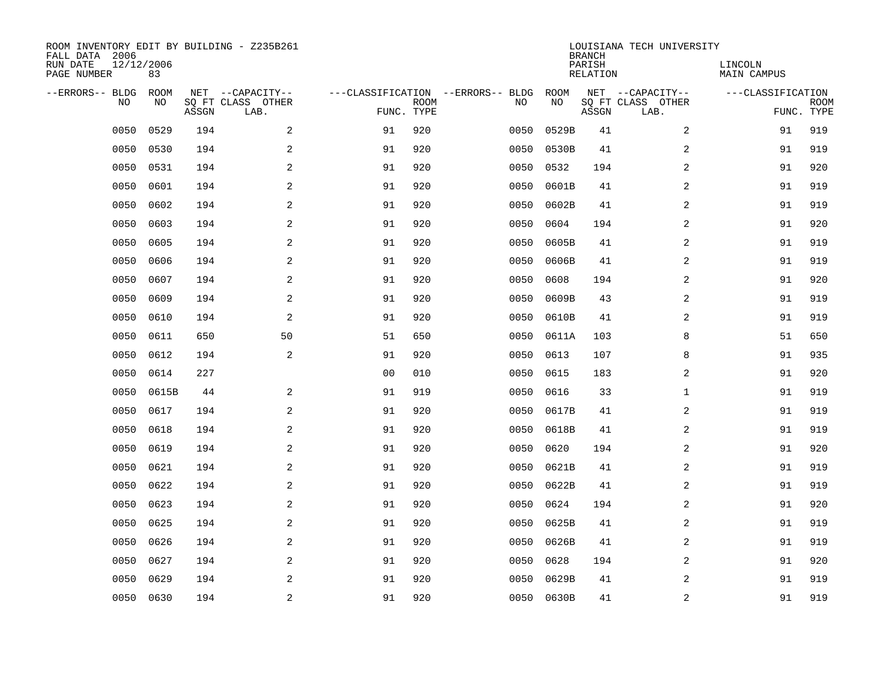| ROOM INVENTORY EDIT BY BUILDING - Z235B261<br>FALL DATA 2006<br>RUN DATE<br>PAGE NUMBER | 12/12/2006<br>83 |       |                                               |                |             |                                         |            | <b>BRANCH</b><br>PARISH<br><b>RELATION</b> | LOUISIANA TECH UNIVERSITY                     | LINCOLN<br><b>MAIN CAMPUS</b> |                           |
|-----------------------------------------------------------------------------------------|------------------|-------|-----------------------------------------------|----------------|-------------|-----------------------------------------|------------|--------------------------------------------|-----------------------------------------------|-------------------------------|---------------------------|
| --ERRORS-- BLDG<br>NO.                                                                  | ROOM<br>NO       | ASSGN | NET --CAPACITY--<br>SQ FT CLASS OTHER<br>LAB. | FUNC. TYPE     | <b>ROOM</b> | ---CLASSIFICATION --ERRORS-- BLDG<br>NO | ROOM<br>NO | ASSGN                                      | NET --CAPACITY--<br>SQ FT CLASS OTHER<br>LAB. | ---CLASSIFICATION             | <b>ROOM</b><br>FUNC. TYPE |
| 0050                                                                                    | 0529             | 194   | 2                                             | 91             | 920         | 0050                                    | 0529B      | 41                                         | 2                                             | 91                            | 919                       |
| 0050                                                                                    | 0530             | 194   | 2                                             | 91             | 920         | 0050                                    | 0530B      | 41                                         | 2                                             | 91                            | 919                       |
| 0050                                                                                    | 0531             | 194   | 2                                             | 91             | 920         | 0050                                    | 0532       | 194                                        | 2                                             | 91                            | 920                       |
| 0050                                                                                    | 0601             | 194   | 2                                             | 91             | 920         | 0050                                    | 0601B      | 41                                         | 2                                             | 91                            | 919                       |
| 0050                                                                                    | 0602             | 194   | 2                                             | 91             | 920         | 0050                                    | 0602B      | 41                                         | $\overline{a}$                                | 91                            | 919                       |
| 0050                                                                                    | 0603             | 194   | $\overline{a}$                                | 91             | 920         | 0050                                    | 0604       | 194                                        | 2                                             | 91                            | 920                       |
| 0050                                                                                    | 0605             | 194   | 2                                             | 91             | 920         | 0050                                    | 0605B      | 41                                         | $\overline{a}$                                | 91                            | 919                       |
| 0050                                                                                    | 0606             | 194   | $\overline{a}$                                | 91             | 920         | 0050                                    | 0606B      | 41                                         | 2                                             | 91                            | 919                       |
| 0050                                                                                    | 0607             | 194   | 2                                             | 91             | 920         | 0050                                    | 0608       | 194                                        | 2                                             | 91                            | 920                       |
| 0050                                                                                    | 0609             | 194   | 2                                             | 91             | 920         | 0050                                    | 0609B      | 43                                         | 2                                             | 91                            | 919                       |
| 0050                                                                                    | 0610             | 194   | 2                                             | 91             | 920         | 0050                                    | 0610B      | 41                                         | 2                                             | 91                            | 919                       |
| 0050                                                                                    | 0611             | 650   | 50                                            | 51             | 650         | 0050                                    | 0611A      | 103                                        | 8                                             | 51                            | 650                       |
| 0050                                                                                    | 0612             | 194   | 2                                             | 91             | 920         | 0050                                    | 0613       | 107                                        | 8                                             | 91                            | 935                       |
| 0050                                                                                    | 0614             | 227   |                                               | 0 <sub>0</sub> | 010         | 0050                                    | 0615       | 183                                        | 2                                             | 91                            | 920                       |
| 0050                                                                                    | 0615B            | 44    | 2                                             | 91             | 919         | 0050                                    | 0616       | 33                                         | $\mathbf{1}$                                  | 91                            | 919                       |
| 0050                                                                                    | 0617             | 194   | 2                                             | 91             | 920         | 0050                                    | 0617B      | 41                                         | 2                                             | 91                            | 919                       |
| 0050                                                                                    | 0618             | 194   | $\mathbf{2}$                                  | 91             | 920         | 0050                                    | 0618B      | 41                                         | 2                                             | 91                            | 919                       |
| 0050                                                                                    | 0619             | 194   | 2                                             | 91             | 920         | 0050                                    | 0620       | 194                                        | 2                                             | 91                            | 920                       |
| 0050                                                                                    | 0621             | 194   | 2                                             | 91             | 920         | 0050                                    | 0621B      | 41                                         | 2                                             | 91                            | 919                       |
| 0050                                                                                    | 0622             | 194   | 2                                             | 91             | 920         | 0050                                    | 0622B      | 41                                         | 2                                             | 91                            | 919                       |
| 0050                                                                                    | 0623             | 194   | 2                                             | 91             | 920         | 0050                                    | 0624       | 194                                        | 2                                             | 91                            | 920                       |
| 0050                                                                                    | 0625             | 194   | 2                                             | 91             | 920         | 0050                                    | 0625B      | 41                                         | 2                                             | 91                            | 919                       |
| 0050                                                                                    | 0626             | 194   | 2                                             | 91             | 920         | 0050                                    | 0626B      | 41                                         | 2                                             | 91                            | 919                       |
| 0050                                                                                    | 0627             | 194   | 2                                             | 91             | 920         | 0050                                    | 0628       | 194                                        | 2                                             | 91                            | 920                       |
| 0050                                                                                    | 0629             | 194   | 2                                             | 91             | 920         | 0050                                    | 0629B      | 41                                         | 2                                             | 91                            | 919                       |
| 0050                                                                                    | 0630             | 194   | 2                                             | 91             | 920         |                                         | 0050 0630B | 41                                         | 2                                             | 91                            | 919                       |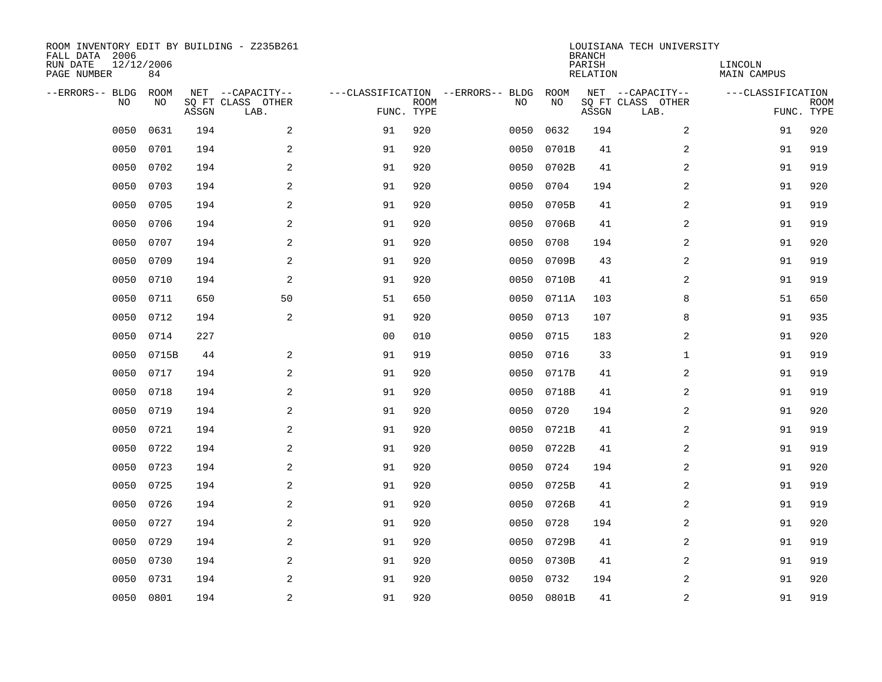| ROOM INVENTORY EDIT BY BUILDING - Z235B261<br>FALL DATA 2006<br>RUN DATE<br>PAGE NUMBER | 12/12/2006<br>84 |       |                                               |                |             |                                         |            | <b>BRANCH</b><br>PARISH<br><b>RELATION</b> | LOUISIANA TECH UNIVERSITY                     | LINCOLN<br><b>MAIN CAMPUS</b> |                           |
|-----------------------------------------------------------------------------------------|------------------|-------|-----------------------------------------------|----------------|-------------|-----------------------------------------|------------|--------------------------------------------|-----------------------------------------------|-------------------------------|---------------------------|
| --ERRORS-- BLDG<br>NO                                                                   | ROOM<br>NO       | ASSGN | NET --CAPACITY--<br>SQ FT CLASS OTHER<br>LAB. | FUNC. TYPE     | <b>ROOM</b> | ---CLASSIFICATION --ERRORS-- BLDG<br>NO | ROOM<br>NO | ASSGN                                      | NET --CAPACITY--<br>SQ FT CLASS OTHER<br>LAB. | ---CLASSIFICATION             | <b>ROOM</b><br>FUNC. TYPE |
| 0050                                                                                    | 0631             | 194   | 2                                             | 91             | 920         | 0050                                    | 0632       | 194                                        | 2                                             | 91                            | 920                       |
| 0050                                                                                    | 0701             | 194   | 2                                             | 91             | 920         | 0050                                    | 0701B      | 41                                         | 2                                             | 91                            | 919                       |
| 0050                                                                                    | 0702             | 194   | 2                                             | 91             | 920         | 0050                                    | 0702B      | 41                                         | 2                                             | 91                            | 919                       |
| 0050                                                                                    | 0703             | 194   | $\mathbf{2}$                                  | 91             | 920         | 0050                                    | 0704       | 194                                        | 2                                             | 91                            | 920                       |
| 0050                                                                                    | 0705             | 194   | 2                                             | 91             | 920         | 0050                                    | 0705B      | 41                                         | $\overline{a}$                                | 91                            | 919                       |
| 0050                                                                                    | 0706             | 194   | 2                                             | 91             | 920         | 0050                                    | 0706B      | 41                                         | $\overline{a}$                                | 91                            | 919                       |
| 0050                                                                                    | 0707             | 194   | $\mathbf{2}$                                  | 91             | 920         | 0050                                    | 0708       | 194                                        | $\overline{a}$                                | 91                            | 920                       |
| 0050                                                                                    | 0709             | 194   | 2                                             | 91             | 920         | 0050                                    | 0709B      | 43                                         | 2                                             | 91                            | 919                       |
| 0050                                                                                    | 0710             | 194   | 2                                             | 91             | 920         | 0050                                    | 0710B      | 41                                         | 2                                             | 91                            | 919                       |
| 0050                                                                                    | 0711             | 650   | 50                                            | 51             | 650         | 0050                                    | 0711A      | 103                                        | 8                                             | 51                            | 650                       |
| 0050                                                                                    | 0712             | 194   | 2                                             | 91             | 920         | 0050                                    | 0713       | 107                                        | 8                                             | 91                            | 935                       |
| 0050                                                                                    | 0714             | 227   |                                               | 0 <sub>0</sub> | 010         | 0050                                    | 0715       | 183                                        | 2                                             | 91                            | 920                       |
| 0050                                                                                    | 0715B            | 44    | 2                                             | 91             | 919         | 0050                                    | 0716       | 33                                         | $\mathbf{1}$                                  | 91                            | 919                       |
| 0050                                                                                    | 0717             | 194   | $\mathbf{2}$                                  | 91             | 920         | 0050                                    | 0717B      | 41                                         | 2                                             | 91                            | 919                       |
| 0050                                                                                    | 0718             | 194   | 2                                             | 91             | 920         | 0050                                    | 0718B      | 41                                         | 2                                             | 91                            | 919                       |
| 0050                                                                                    | 0719             | 194   | 2                                             | 91             | 920         | 0050                                    | 0720       | 194                                        | 2                                             | 91                            | 920                       |
| 0050                                                                                    | 0721             | 194   | 2                                             | 91             | 920         | 0050                                    | 0721B      | 41                                         | 2                                             | 91                            | 919                       |
| 0050                                                                                    | 0722             | 194   | 2                                             | 91             | 920         | 0050                                    | 0722B      | 41                                         | $\overline{a}$                                | 91                            | 919                       |
| 0050                                                                                    | 0723             | 194   | 2                                             | 91             | 920         | 0050                                    | 0724       | 194                                        | 2                                             | 91                            | 920                       |
| 0050                                                                                    | 0725             | 194   | $\overline{a}$                                | 91             | 920         | 0050                                    | 0725B      | 41                                         | 2                                             | 91                            | 919                       |
| 0050                                                                                    | 0726             | 194   | 2                                             | 91             | 920         | 0050                                    | 0726B      | 41                                         | 2                                             | 91                            | 919                       |
| 0050                                                                                    | 0727             | 194   | 2                                             | 91             | 920         | 0050                                    | 0728       | 194                                        | 2                                             | 91                            | 920                       |
| 0050                                                                                    | 0729             | 194   | 2                                             | 91             | 920         | 0050                                    | 0729B      | 41                                         | 2                                             | 91                            | 919                       |
| 0050                                                                                    | 0730             | 194   | 2                                             | 91             | 920         | 0050                                    | 0730B      | 41                                         | $\overline{a}$                                | 91                            | 919                       |
| 0050                                                                                    | 0731             | 194   | 2                                             | 91             | 920         | 0050                                    | 0732       | 194                                        | 2                                             | 91                            | 920                       |
|                                                                                         | 0050 0801        | 194   | $\overline{c}$                                | 91             | 920         |                                         | 0050 0801B | 41                                         | $\mathbf 2$                                   | 91                            | 919                       |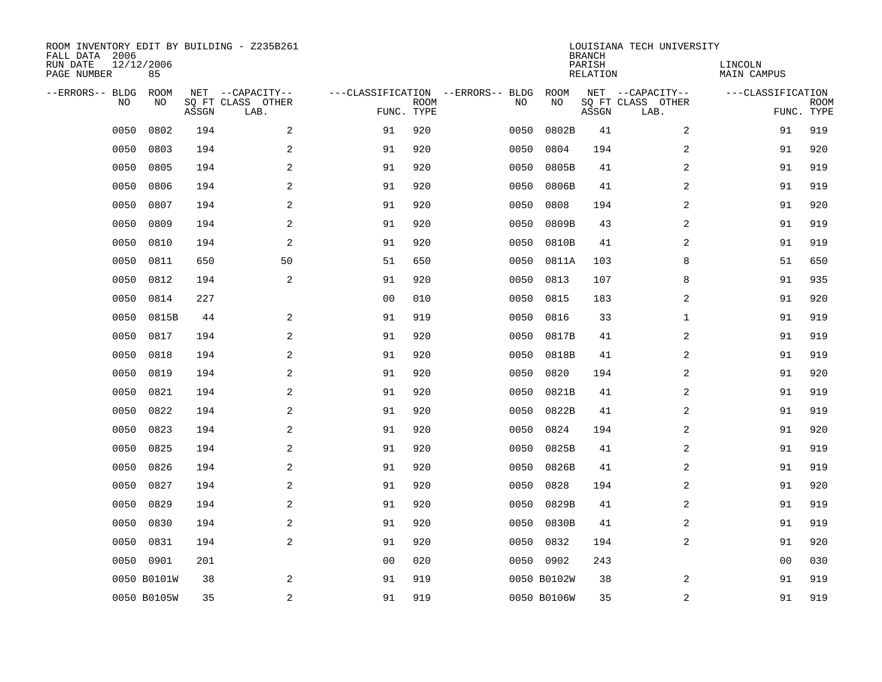| ROOM INVENTORY EDIT BY BUILDING - Z235B261<br>FALL DATA 2006<br>RUN DATE<br>PAGE NUMBER | 12/12/2006<br>85 |       |                                               |                |             |                                         |             | <b>BRANCH</b><br>PARISH<br><b>RELATION</b> | LOUISIANA TECH UNIVERSITY                     | LINCOLN<br><b>MAIN CAMPUS</b> |                           |
|-----------------------------------------------------------------------------------------|------------------|-------|-----------------------------------------------|----------------|-------------|-----------------------------------------|-------------|--------------------------------------------|-----------------------------------------------|-------------------------------|---------------------------|
| --ERRORS-- BLDG<br>NO.                                                                  | ROOM<br>NO       | ASSGN | NET --CAPACITY--<br>SQ FT CLASS OTHER<br>LAB. | FUNC. TYPE     | <b>ROOM</b> | ---CLASSIFICATION --ERRORS-- BLDG<br>NO | ROOM<br>NO  | ASSGN                                      | NET --CAPACITY--<br>SQ FT CLASS OTHER<br>LAB. | ---CLASSIFICATION             | <b>ROOM</b><br>FUNC. TYPE |
| 0050                                                                                    | 0802             | 194   | 2                                             | 91             | 920         | 0050                                    | 0802B       | 41                                         | 2                                             | 91                            | 919                       |
| 0050                                                                                    | 0803             | 194   | 2                                             | 91             | 920         | 0050                                    | 0804        | 194                                        | 2                                             | 91                            | 920                       |
| 0050                                                                                    | 0805             | 194   | 2                                             | 91             | 920         | 0050                                    | 0805B       | 41                                         | 2                                             | 91                            | 919                       |
| 0050                                                                                    | 0806             | 194   | $\mathbf{2}$                                  | 91             | 920         | 0050                                    | 0806B       | 41                                         | 2                                             | 91                            | 919                       |
| 0050                                                                                    | 0807             | 194   | 2                                             | 91             | 920         | 0050                                    | 0808        | 194                                        | $\overline{a}$                                | 91                            | 920                       |
| 0050                                                                                    | 0809             | 194   | 2                                             | 91             | 920         | 0050                                    | 0809B       | 43                                         | $\overline{a}$                                | 91                            | 919                       |
| 0050                                                                                    | 0810             | 194   | 2                                             | 91             | 920         | 0050                                    | 0810B       | 41                                         | $\overline{a}$                                | 91                            | 919                       |
| 0050                                                                                    | 0811             | 650   | 50                                            | 51             | 650         | 0050                                    | 0811A       | 103                                        | 8                                             | 51                            | 650                       |
| 0050                                                                                    | 0812             | 194   | 2                                             | 91             | 920         | 0050                                    | 0813        | 107                                        | 8                                             | 91                            | 935                       |
| 0050                                                                                    | 0814             | 227   |                                               | 0 <sub>0</sub> | 010         | 0050                                    | 0815        | 183                                        | 2                                             | 91                            | 920                       |
| 0050                                                                                    | 0815B            | 44    | 2                                             | 91             | 919         | 0050                                    | 0816        | 33                                         | $\mathbf{1}$                                  | 91                            | 919                       |
| 0050                                                                                    | 0817             | 194   | 2                                             | 91             | 920         | 0050                                    | 0817B       | 41                                         | 2                                             | 91                            | 919                       |
| 0050                                                                                    | 0818             | 194   | 2                                             | 91             | 920         | 0050                                    | 0818B       | 41                                         | 2                                             | 91                            | 919                       |
| 0050                                                                                    | 0819             | 194   | $\mathbf{2}$                                  | 91             | 920         | 0050                                    | 0820        | 194                                        | 2                                             | 91                            | 920                       |
| 0050                                                                                    | 0821             | 194   | 2                                             | 91             | 920         | 0050                                    | 0821B       | 41                                         | 2                                             | 91                            | 919                       |
| 0050                                                                                    | 0822             | 194   | 2                                             | 91             | 920         | 0050                                    | 0822B       | 41                                         | 2                                             | 91                            | 919                       |
| 0050                                                                                    | 0823             | 194   | 2                                             | 91             | 920         | 0050                                    | 0824        | 194                                        | 2                                             | 91                            | 920                       |
| 0050                                                                                    | 0825             | 194   | 2                                             | 91             | 920         | 0050                                    | 0825B       | 41                                         | $\overline{a}$                                | 91                            | 919                       |
| 0050                                                                                    | 0826             | 194   | 2                                             | 91             | 920         | 0050                                    | 0826B       | 41                                         | 2                                             | 91                            | 919                       |
| 0050                                                                                    | 0827             | 194   | $\overline{a}$                                | 91             | 920         | 0050                                    | 0828        | 194                                        | 2                                             | 91                            | 920                       |
| 0050                                                                                    | 0829             | 194   | 2                                             | 91             | 920         | 0050                                    | 0829B       | 41                                         | 2                                             | 91                            | 919                       |
| 0050                                                                                    | 0830             | 194   | 2                                             | 91             | 920         | 0050                                    | 0830B       | 41                                         | 2                                             | 91                            | 919                       |
| 0050                                                                                    | 0831             | 194   | 2                                             | 91             | 920         | 0050                                    | 0832        | 194                                        | 2                                             | 91                            | 920                       |
| 0050                                                                                    | 0901             | 201   |                                               | 00             | 020         | 0050                                    | 0902        | 243                                        |                                               | 00                            | 030                       |
|                                                                                         | 0050 B0101W      | 38    | 2                                             | 91             | 919         |                                         | 0050 B0102W | 38                                         | 2                                             | 91                            | 919                       |
|                                                                                         | 0050 B0105W      | 35    | $\sqrt{2}$                                    | 91             | 919         |                                         | 0050 B0106W | 35                                         | $\boldsymbol{2}$                              | 91                            | 919                       |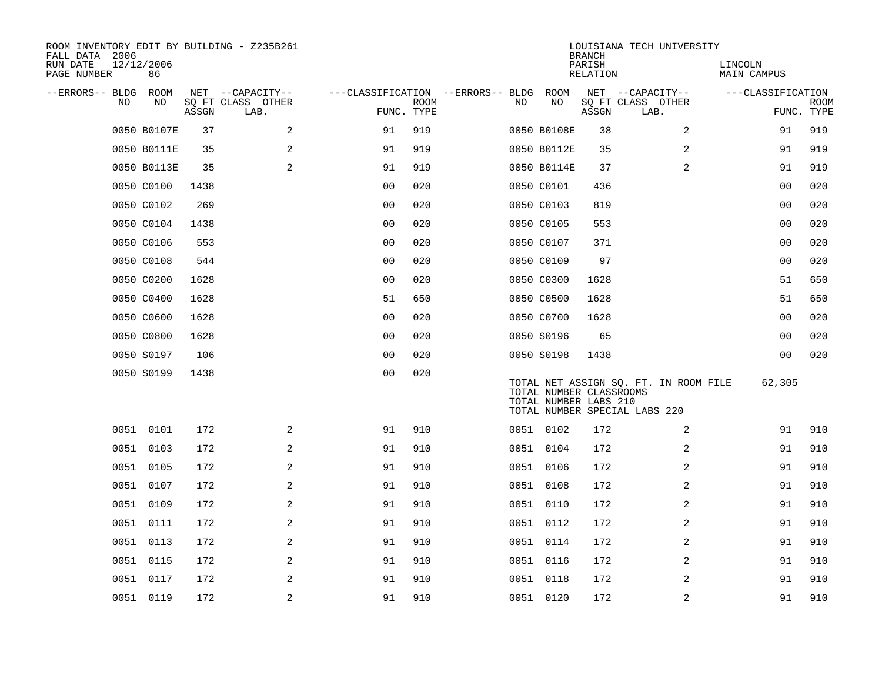| ROOM INVENTORY EDIT BY BUILDING - Z235B261<br>FALL DATA 2006 |                  |       |                           |                                        |             |    |                                                  | <b>BRANCH</b>      | LOUISIANA TECH UNIVERSITY                                              |                        |                           |
|--------------------------------------------------------------|------------------|-------|---------------------------|----------------------------------------|-------------|----|--------------------------------------------------|--------------------|------------------------------------------------------------------------|------------------------|---------------------------|
| RUN DATE<br>PAGE NUMBER                                      | 12/12/2006<br>86 |       |                           |                                        |             |    |                                                  | PARISH<br>RELATION |                                                                        | LINCOLN<br>MAIN CAMPUS |                           |
| --ERRORS-- BLDG ROOM                                         |                  |       | NET --CAPACITY--          | ---CLASSIFICATION --ERRORS-- BLDG ROOM |             |    |                                                  |                    | NET --CAPACITY--                                                       | ---CLASSIFICATION      |                           |
| NO.                                                          | NO               | ASSGN | SQ FT CLASS OTHER<br>LAB. | FUNC. TYPE                             | <b>ROOM</b> | NO | NO                                               | ASSGN              | SQ FT CLASS OTHER<br>LAB.                                              |                        | <b>ROOM</b><br>FUNC. TYPE |
|                                                              | 0050 B0107E      | 37    | 2                         | 91                                     | 919         |    | 0050 B0108E                                      | 38                 | $\overline{2}$                                                         | 91                     | 919                       |
|                                                              | 0050 B0111E      | 35    | 2                         | 91                                     | 919         |    | 0050 B0112E                                      | 35                 | 2                                                                      | 91                     | 919                       |
|                                                              | 0050 B0113E      | 35    | 2                         | 91                                     | 919         |    | 0050 B0114E                                      | 37                 | 2                                                                      | 91                     | 919                       |
|                                                              | 0050 C0100       | 1438  |                           | 0 <sub>0</sub>                         | 020         |    | 0050 C0101                                       | 436                |                                                                        | 00                     | 020                       |
|                                                              | 0050 C0102       | 269   |                           | 0 <sub>0</sub>                         | 020         |    | 0050 C0103                                       | 819                |                                                                        | 0 <sub>0</sub>         | 020                       |
|                                                              | 0050 C0104       | 1438  |                           | 0 <sub>0</sub>                         | 020         |    | 0050 C0105                                       | 553                |                                                                        | 0 <sub>0</sub>         | 020                       |
|                                                              | 0050 C0106       | 553   |                           | 0 <sub>0</sub>                         | 020         |    | 0050 C0107                                       | 371                |                                                                        | 00                     | 020                       |
|                                                              | 0050 C0108       | 544   |                           | 0 <sub>0</sub>                         | 020         |    | 0050 C0109                                       | 97                 |                                                                        | 0 <sub>0</sub>         | 020                       |
|                                                              | 0050 C0200       | 1628  |                           | 0 <sub>0</sub>                         | 020         |    | 0050 C0300                                       | 1628               |                                                                        | 51                     | 650                       |
|                                                              | 0050 C0400       | 1628  |                           | 51                                     | 650         |    | 0050 C0500                                       | 1628               |                                                                        | 51                     | 650                       |
|                                                              | 0050 C0600       | 1628  |                           | 0 <sub>0</sub>                         | 020         |    | 0050 C0700                                       | 1628               |                                                                        | 0 <sub>0</sub>         | 020                       |
|                                                              | 0050 C0800       | 1628  |                           | 0 <sub>0</sub>                         | 020         |    | 0050 S0196                                       | 65                 |                                                                        | 0 <sub>0</sub>         | 020                       |
|                                                              | 0050 S0197       | 106   |                           | 0 <sub>0</sub>                         | 020         |    | 0050 S0198                                       | 1438               |                                                                        | 0 <sub>0</sub>         | 020                       |
|                                                              | 0050 S0199       | 1438  |                           | 0 <sub>0</sub>                         | 020         |    | TOTAL NUMBER CLASSROOMS<br>TOTAL NUMBER LABS 210 |                    | TOTAL NET ASSIGN SQ. FT. IN ROOM FILE<br>TOTAL NUMBER SPECIAL LABS 220 | 62,305                 |                           |
|                                                              | 0051 0101        | 172   | 2                         | 91                                     | 910         |    | 0051 0102                                        | 172                | 2                                                                      | 91                     | 910                       |
|                                                              | 0051 0103        | 172   | 2                         | 91                                     | 910         |    | 0051 0104                                        | 172                | 2                                                                      | 91                     | 910                       |
|                                                              | 0051 0105        | 172   | $\mathbf{2}$              | 91                                     | 910         |    | 0051 0106                                        | 172                | 2                                                                      | 91                     | 910                       |
|                                                              | 0051 0107        | 172   | 2                         | 91                                     | 910         |    | 0051 0108                                        | 172                | 2                                                                      | 91                     | 910                       |
|                                                              | 0051 0109        | 172   | 2                         | 91                                     | 910         |    | 0051 0110                                        | 172                | $\overline{a}$                                                         | 91                     | 910                       |
|                                                              | 0051 0111        | 172   | 2                         | 91                                     | 910         |    | 0051 0112                                        | 172                | 2                                                                      | 91                     | 910                       |
|                                                              | 0051 0113        | 172   | 2                         | 91                                     | 910         |    | 0051 0114                                        | 172                | 2                                                                      | 91                     | 910                       |
|                                                              | 0051 0115        | 172   | 2                         | 91                                     | 910         |    | 0051 0116                                        | 172                | 2                                                                      | 91                     | 910                       |
|                                                              | 0051 0117        | 172   | 2                         | 91                                     | 910         |    | 0051 0118                                        | 172                | 2                                                                      | 91                     | 910                       |
|                                                              | 0051 0119        | 172   | 2                         | 91                                     | 910         |    | 0051 0120                                        | 172                | 2                                                                      | 91                     | 910                       |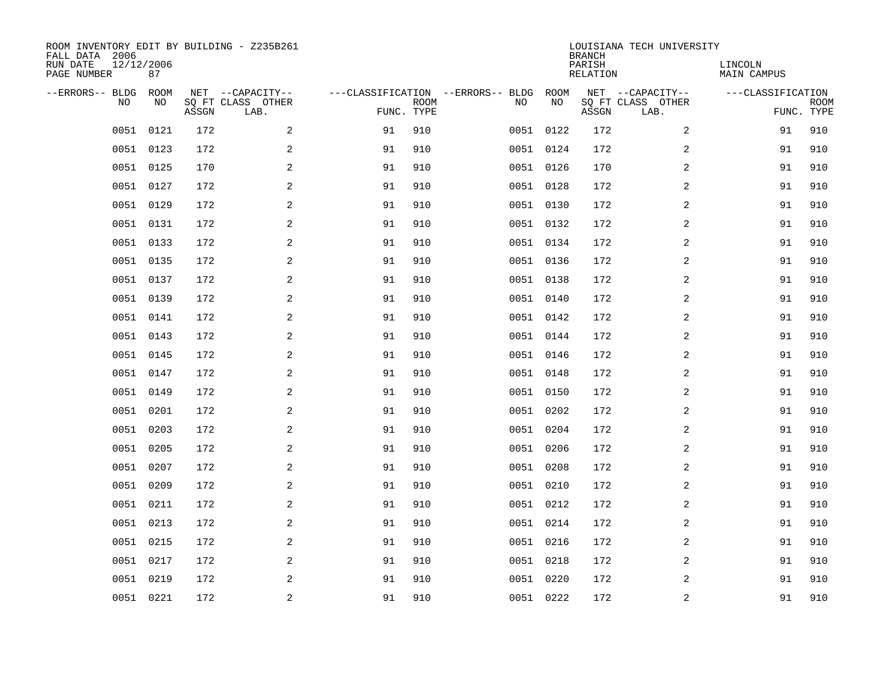| ROOM INVENTORY EDIT BY BUILDING - Z235B261<br>FALL DATA 2006<br>RUN DATE<br>PAGE NUMBER | 12/12/2006<br>87 |       |                                               |    |                           |                                         |            | <b>BRANCH</b><br>PARISH<br><b>RELATION</b> | LOUISIANA TECH UNIVERSITY                     | LINCOLN<br><b>MAIN CAMPUS</b> |                           |
|-----------------------------------------------------------------------------------------|------------------|-------|-----------------------------------------------|----|---------------------------|-----------------------------------------|------------|--------------------------------------------|-----------------------------------------------|-------------------------------|---------------------------|
| --ERRORS-- BLDG<br>NO.                                                                  | ROOM<br>NO       | ASSGN | NET --CAPACITY--<br>SQ FT CLASS OTHER<br>LAB. |    | <b>ROOM</b><br>FUNC. TYPE | ---CLASSIFICATION --ERRORS-- BLDG<br>NO | ROOM<br>NO | ASSGN                                      | NET --CAPACITY--<br>SQ FT CLASS OTHER<br>LAB. | ---CLASSIFICATION             | <b>ROOM</b><br>FUNC. TYPE |
| 0051                                                                                    | 0121             | 172   | 2                                             | 91 | 910                       |                                         | 0051 0122  | 172                                        | 2                                             | 91                            | 910                       |
| 0051                                                                                    | 0123             | 172   | 2                                             | 91 | 910                       |                                         | 0051 0124  | 172                                        | 2                                             | 91                            | 910                       |
| 0051                                                                                    | 0125             | 170   | $\mathbf{2}$                                  | 91 | 910                       |                                         | 0051 0126  | 170                                        | 2                                             | 91                            | 910                       |
|                                                                                         | 0051 0127        | 172   | $\mathbf{2}$                                  | 91 | 910                       |                                         | 0051 0128  | 172                                        | 2                                             | 91                            | 910                       |
| 0051                                                                                    | 0129             | 172   | 2                                             | 91 | 910                       |                                         | 0051 0130  | 172                                        | 2                                             | 91                            | 910                       |
|                                                                                         | 0051 0131        | 172   | 2                                             | 91 | 910                       |                                         | 0051 0132  | 172                                        | 2                                             | 91                            | 910                       |
|                                                                                         | 0051 0133        | 172   | 2                                             | 91 | 910                       |                                         | 0051 0134  | 172                                        | 2                                             | 91                            | 910                       |
|                                                                                         | 0051 0135        | 172   | 2                                             | 91 | 910                       |                                         | 0051 0136  | 172                                        | 2                                             | 91                            | 910                       |
| 0051                                                                                    | 0137             | 172   | 2                                             | 91 | 910                       |                                         | 0051 0138  | 172                                        | 2                                             | 91                            | 910                       |
|                                                                                         | 0051 0139        | 172   | 2                                             | 91 | 910                       |                                         | 0051 0140  | 172                                        | 2                                             | 91                            | 910                       |
|                                                                                         | 0051 0141        | 172   | 2                                             | 91 | 910                       |                                         | 0051 0142  | 172                                        | 2                                             | 91                            | 910                       |
|                                                                                         | 0051 0143        | 172   | 2                                             | 91 | 910                       |                                         | 0051 0144  | 172                                        | 2                                             | 91                            | 910                       |
| 0051                                                                                    | 0145             | 172   | 2                                             | 91 | 910                       |                                         | 0051 0146  | 172                                        | 2                                             | 91                            | 910                       |
|                                                                                         | 0051 0147        | 172   | 2                                             | 91 | 910                       |                                         | 0051 0148  | 172                                        | 2                                             | 91                            | 910                       |
| 0051                                                                                    | 0149             | 172   | $\mathbf{2}$                                  | 91 | 910                       |                                         | 0051 0150  | 172                                        | 2                                             | 91                            | 910                       |
| 0051                                                                                    | 0201             | 172   | 2                                             | 91 | 910                       |                                         | 0051 0202  | 172                                        | 2                                             | 91                            | 910                       |
| 0051                                                                                    | 0203             | 172   | 2                                             | 91 | 910                       |                                         | 0051 0204  | 172                                        | 2                                             | 91                            | 910                       |
| 0051                                                                                    | 0205             | 172   | 2                                             | 91 | 910                       |                                         | 0051 0206  | 172                                        | 2                                             | 91                            | 910                       |
|                                                                                         | 0051 0207        | 172   | 2                                             | 91 | 910                       |                                         | 0051 0208  | 172                                        | 2                                             | 91                            | 910                       |
| 0051                                                                                    | 0209             | 172   | 2                                             | 91 | 910                       |                                         | 0051 0210  | 172                                        | 2                                             | 91                            | 910                       |
|                                                                                         | 0051 0211        | 172   | 2                                             | 91 | 910                       |                                         | 0051 0212  | 172                                        | 2                                             | 91                            | 910                       |
| 0051                                                                                    | 0213             | 172   | 2                                             | 91 | 910                       |                                         | 0051 0214  | 172                                        | 2                                             | 91                            | 910                       |
|                                                                                         | 0051 0215        | 172   | 2                                             | 91 | 910                       |                                         | 0051 0216  | 172                                        | 2                                             | 91                            | 910                       |
| 0051                                                                                    | 0217             | 172   | 2                                             | 91 | 910                       |                                         | 0051 0218  | 172                                        | 2                                             | 91                            | 910                       |
|                                                                                         | 0051 0219        | 172   | 2                                             | 91 | 910                       |                                         | 0051 0220  | 172                                        | 2                                             | 91                            | 910                       |
|                                                                                         | 0051 0221        | 172   | 2                                             | 91 | 910                       |                                         | 0051 0222  | 172                                        | 2                                             | 91                            | 910                       |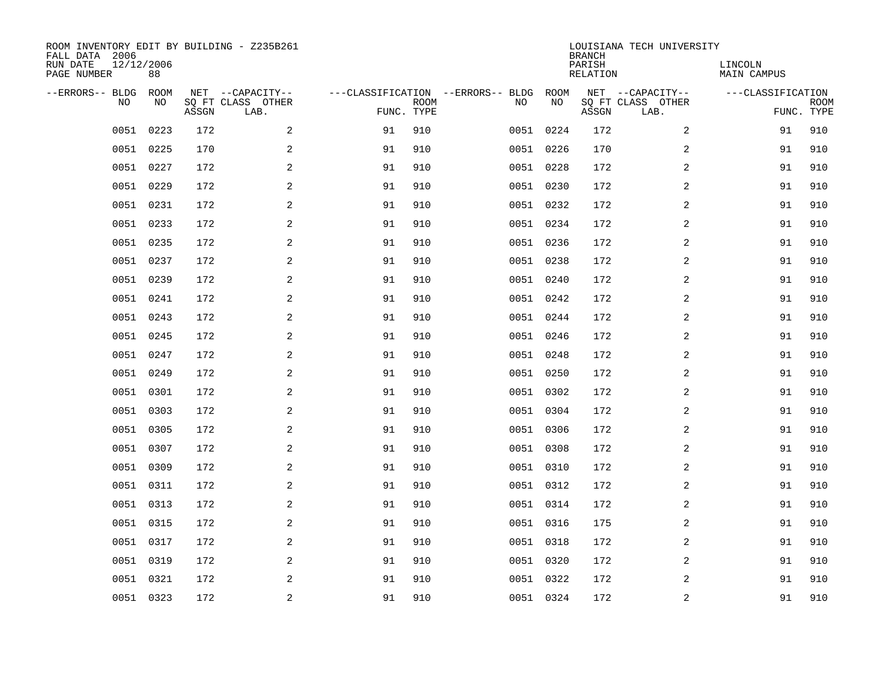| ROOM INVENTORY EDIT BY BUILDING - Z235B261<br>FALL DATA 2006<br>RUN DATE<br>PAGE NUMBER | 12/12/2006<br>88 |       |                                               |    |                           |                                         |            | <b>BRANCH</b><br>PARISH<br><b>RELATION</b> | LOUISIANA TECH UNIVERSITY                     | LINCOLN<br><b>MAIN CAMPUS</b> |                           |
|-----------------------------------------------------------------------------------------|------------------|-------|-----------------------------------------------|----|---------------------------|-----------------------------------------|------------|--------------------------------------------|-----------------------------------------------|-------------------------------|---------------------------|
| --ERRORS-- BLDG<br>NO.                                                                  | ROOM<br>NO       | ASSGN | NET --CAPACITY--<br>SQ FT CLASS OTHER<br>LAB. |    | <b>ROOM</b><br>FUNC. TYPE | ---CLASSIFICATION --ERRORS-- BLDG<br>NO | ROOM<br>NO | ASSGN                                      | NET --CAPACITY--<br>SQ FT CLASS OTHER<br>LAB. | ---CLASSIFICATION             | <b>ROOM</b><br>FUNC. TYPE |
| 0051                                                                                    | 0223             | 172   | 2                                             | 91 | 910                       |                                         | 0051 0224  | 172                                        | 2                                             | 91                            | 910                       |
| 0051                                                                                    | 0225             | 170   | $\overline{a}$                                | 91 | 910                       |                                         | 0051 0226  | 170                                        | $\boldsymbol{2}$                              | 91                            | 910                       |
| 0051                                                                                    | 0227             | 172   | 2                                             | 91 | 910                       |                                         | 0051 0228  | 172                                        | 2                                             | 91                            | 910                       |
|                                                                                         | 0051 0229        | 172   | 2                                             | 91 | 910                       |                                         | 0051 0230  | 172                                        | 2                                             | 91                            | 910                       |
| 0051                                                                                    | 0231             | 172   | 2                                             | 91 | 910                       |                                         | 0051 0232  | 172                                        | 2                                             | 91                            | 910                       |
|                                                                                         | 0051 0233        | 172   | 2                                             | 91 | 910                       |                                         | 0051 0234  | 172                                        | 2                                             | 91                            | 910                       |
| 0051                                                                                    | 0235             | 172   | 2                                             | 91 | 910                       |                                         | 0051 0236  | 172                                        | 2                                             | 91                            | 910                       |
|                                                                                         | 0051 0237        | 172   | 2                                             | 91 | 910                       |                                         | 0051 0238  | 172                                        | 2                                             | 91                            | 910                       |
| 0051                                                                                    | 0239             | 172   | 2                                             | 91 | 910                       |                                         | 0051 0240  | 172                                        | 2                                             | 91                            | 910                       |
|                                                                                         | 0051 0241        | 172   | 2                                             | 91 | 910                       |                                         | 0051 0242  | 172                                        | 2                                             | 91                            | 910                       |
| 0051                                                                                    | 0243             | 172   | 2                                             | 91 | 910                       |                                         | 0051 0244  | 172                                        | 2                                             | 91                            | 910                       |
|                                                                                         | 0051 0245        | 172   | 2                                             | 91 | 910                       |                                         | 0051 0246  | 172                                        | 2                                             | 91                            | 910                       |
| 0051                                                                                    | 0247             | 172   | 2                                             | 91 | 910                       |                                         | 0051 0248  | 172                                        | 2                                             | 91                            | 910                       |
| 0051                                                                                    | 0249             | 172   | 2                                             | 91 | 910                       |                                         | 0051 0250  | 172                                        | 2                                             | 91                            | 910                       |
| 0051                                                                                    | 0301             | 172   | 2                                             | 91 | 910                       |                                         | 0051 0302  | 172                                        | 2                                             | 91                            | 910                       |
| 0051                                                                                    | 0303             | 172   | 2                                             | 91 | 910                       |                                         | 0051 0304  | 172                                        | 2                                             | 91                            | 910                       |
| 0051                                                                                    | 0305             | 172   | 2                                             | 91 | 910                       |                                         | 0051 0306  | 172                                        | 2                                             | 91                            | 910                       |
| 0051                                                                                    | 0307             | 172   | $\overline{a}$                                | 91 | 910                       |                                         | 0051 0308  | 172                                        | 2                                             | 91                            | 910                       |
| 0051                                                                                    | 0309             | 172   | 2                                             | 91 | 910                       |                                         | 0051 0310  | 172                                        | 2                                             | 91                            | 910                       |
| 0051                                                                                    | 0311             | 172   | 2                                             | 91 | 910                       |                                         | 0051 0312  | 172                                        | 2                                             | 91                            | 910                       |
| 0051                                                                                    | 0313             | 172   | 2                                             | 91 | 910                       |                                         | 0051 0314  | 172                                        | 2                                             | 91                            | 910                       |
| 0051                                                                                    | 0315             | 172   | 2                                             | 91 | 910                       |                                         | 0051 0316  | 175                                        | 2                                             | 91                            | 910                       |
|                                                                                         | 0051 0317        | 172   | 2                                             | 91 | 910                       |                                         | 0051 0318  | 172                                        | 2                                             | 91                            | 910                       |
| 0051                                                                                    | 0319             | 172   | 2                                             | 91 | 910                       |                                         | 0051 0320  | 172                                        | 2                                             | 91                            | 910                       |
| 0051                                                                                    | 0321             | 172   | 2                                             | 91 | 910                       |                                         | 0051 0322  | 172                                        | 2                                             | 91                            | 910                       |
|                                                                                         | 0051 0323        | 172   | $\overline{c}$                                | 91 | 910                       |                                         | 0051 0324  | 172                                        | $\boldsymbol{2}$                              | 91                            | 910                       |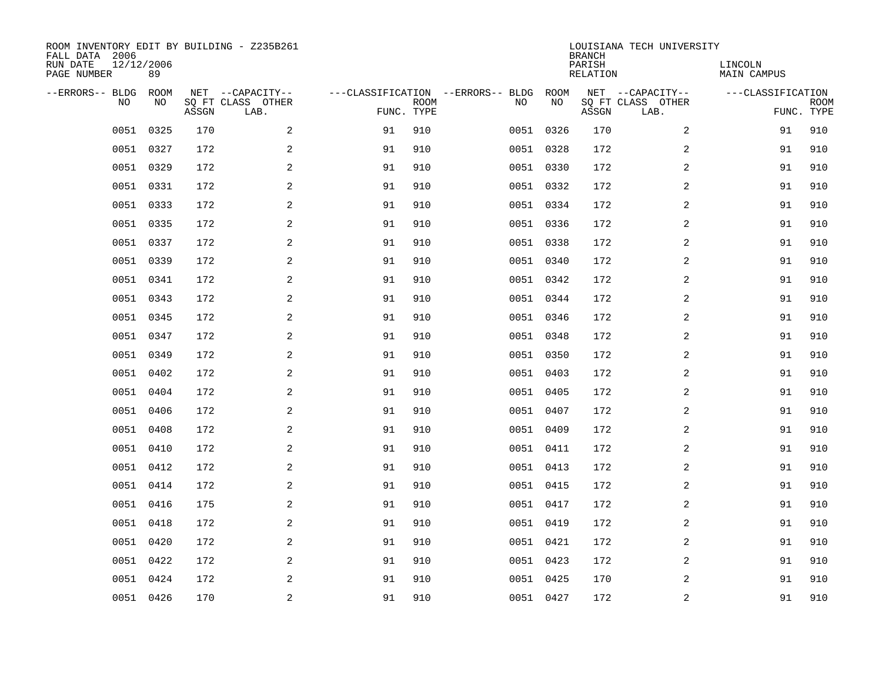| ROOM INVENTORY EDIT BY BUILDING - Z235B261<br>FALL DATA 2006<br>RUN DATE<br>PAGE NUMBER | 12/12/2006<br>89 |       |                                               |    |                           |                                         |            | <b>BRANCH</b><br>PARISH<br><b>RELATION</b> | LOUISIANA TECH UNIVERSITY                     | LINCOLN<br><b>MAIN CAMPUS</b> |                           |
|-----------------------------------------------------------------------------------------|------------------|-------|-----------------------------------------------|----|---------------------------|-----------------------------------------|------------|--------------------------------------------|-----------------------------------------------|-------------------------------|---------------------------|
| --ERRORS-- BLDG<br>NO.                                                                  | ROOM<br>NO       | ASSGN | NET --CAPACITY--<br>SQ FT CLASS OTHER<br>LAB. |    | <b>ROOM</b><br>FUNC. TYPE | ---CLASSIFICATION --ERRORS-- BLDG<br>NO | ROOM<br>NO | ASSGN                                      | NET --CAPACITY--<br>SQ FT CLASS OTHER<br>LAB. | ---CLASSIFICATION             | <b>ROOM</b><br>FUNC. TYPE |
| 0051                                                                                    | 0325             | 170   | 2                                             | 91 | 910                       |                                         | 0051 0326  | 170                                        | 2                                             | 91                            | 910                       |
| 0051                                                                                    | 0327             | 172   | 2                                             | 91 | 910                       |                                         | 0051 0328  | 172                                        | 2                                             | 91                            | 910                       |
| 0051                                                                                    | 0329             | 172   | $\overline{a}$                                | 91 | 910                       |                                         | 0051 0330  | 172                                        | 2                                             | 91                            | 910                       |
|                                                                                         | 0051 0331        | 172   | $\overline{a}$                                | 91 | 910                       |                                         | 0051 0332  | 172                                        | 2                                             | 91                            | 910                       |
|                                                                                         | 0051 0333        | 172   | 2                                             | 91 | 910                       |                                         | 0051 0334  | 172                                        | 2                                             | 91                            | 910                       |
|                                                                                         | 0051 0335        | 172   | 2                                             | 91 | 910                       |                                         | 0051 0336  | 172                                        | 2                                             | 91                            | 910                       |
|                                                                                         | 0051 0337        | 172   | 2                                             | 91 | 910                       |                                         | 0051 0338  | 172                                        | 2                                             | 91                            | 910                       |
|                                                                                         | 0051 0339        | 172   | 2                                             | 91 | 910                       |                                         | 0051 0340  | 172                                        | 2                                             | 91                            | 910                       |
| 0051                                                                                    | 0341             | 172   | 2                                             | 91 | 910                       |                                         | 0051 0342  | 172                                        | 2                                             | 91                            | 910                       |
|                                                                                         | 0051 0343        | 172   | 2                                             | 91 | 910                       |                                         | 0051 0344  | 172                                        | 2                                             | 91                            | 910                       |
| 0051                                                                                    | 0345             | 172   | 2                                             | 91 | 910                       |                                         | 0051 0346  | 172                                        | 2                                             | 91                            | 910                       |
|                                                                                         | 0051 0347        | 172   | 2                                             | 91 | 910                       |                                         | 0051 0348  | 172                                        | 2                                             | 91                            | 910                       |
| 0051                                                                                    | 0349             | 172   | 2                                             | 91 | 910                       |                                         | 0051 0350  | 172                                        | 2                                             | 91                            | 910                       |
|                                                                                         | 0051 0402        | 172   | 2                                             | 91 | 910                       |                                         | 0051 0403  | 172                                        | 2                                             | 91                            | 910                       |
| 0051                                                                                    | 0404             | 172   | $\overline{a}$                                | 91 | 910                       |                                         | 0051 0405  | 172                                        | 2                                             | 91                            | 910                       |
| 0051                                                                                    | 0406             | 172   | 2                                             | 91 | 910                       |                                         | 0051 0407  | 172                                        | 2                                             | 91                            | 910                       |
| 0051                                                                                    | 0408             | 172   | 2                                             | 91 | 910                       |                                         | 0051 0409  | 172                                        | 2                                             | 91                            | 910                       |
| 0051                                                                                    | 0410             | 172   | 2                                             | 91 | 910                       |                                         | 0051 0411  | 172                                        | 2                                             | 91                            | 910                       |
|                                                                                         | 0051 0412        | 172   | 2                                             | 91 | 910                       |                                         | 0051 0413  | 172                                        | 2                                             | 91                            | 910                       |
|                                                                                         | 0051 0414        | 172   | 2                                             | 91 | 910                       |                                         | 0051 0415  | 172                                        | 2                                             | 91                            | 910                       |
|                                                                                         | 0051 0416        | 175   | 2                                             | 91 | 910                       |                                         | 0051 0417  | 172                                        | 2                                             | 91                            | 910                       |
| 0051                                                                                    | 0418             | 172   | 2                                             | 91 | 910                       |                                         | 0051 0419  | 172                                        | 2                                             | 91                            | 910                       |
|                                                                                         | 0051 0420        | 172   | 2                                             | 91 | 910                       |                                         | 0051 0421  | 172                                        | 2                                             | 91                            | 910                       |
|                                                                                         | 0051 0422        | 172   | 2                                             | 91 | 910                       |                                         | 0051 0423  | 172                                        | 2                                             | 91                            | 910                       |
|                                                                                         | 0051 0424        | 172   | 2                                             | 91 | 910                       |                                         | 0051 0425  | 170                                        | 2                                             | 91                            | 910                       |
|                                                                                         | 0051 0426        | 170   | 2                                             | 91 | 910                       |                                         | 0051 0427  | 172                                        | 2                                             | 91                            | 910                       |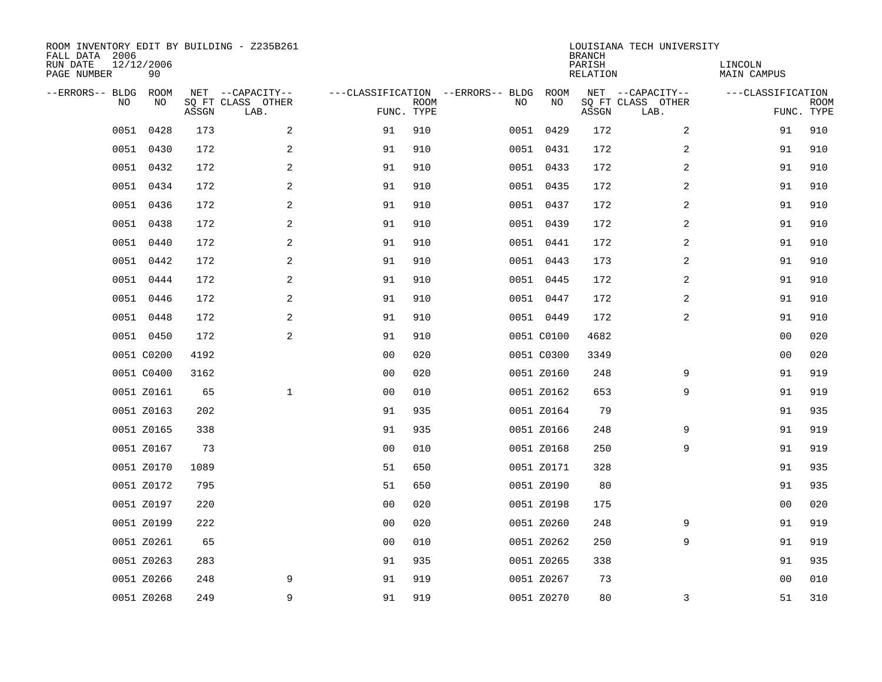| ROOM INVENTORY EDIT BY BUILDING - Z235B261<br>FALL DATA 2006<br>RUN DATE<br>PAGE NUMBER | 12/12/2006<br>90 |       |                                               |                |             |                                         |            | <b>BRANCH</b><br>PARISH<br><b>RELATION</b> | LOUISIANA TECH UNIVERSITY                     | LINCOLN<br><b>MAIN CAMPUS</b>   |             |
|-----------------------------------------------------------------------------------------|------------------|-------|-----------------------------------------------|----------------|-------------|-----------------------------------------|------------|--------------------------------------------|-----------------------------------------------|---------------------------------|-------------|
| --ERRORS-- BLDG<br>NO.                                                                  | ROOM<br>NO       | ASSGN | NET --CAPACITY--<br>SQ FT CLASS OTHER<br>LAB. | FUNC. TYPE     | <b>ROOM</b> | ---CLASSIFICATION --ERRORS-- BLDG<br>NO | ROOM<br>NO | ASSGN                                      | NET --CAPACITY--<br>SQ FT CLASS OTHER<br>LAB. | ---CLASSIFICATION<br>FUNC. TYPE | <b>ROOM</b> |
| 0051                                                                                    | 0428             | 173   | 2                                             | 91             | 910         |                                         | 0051 0429  | 172                                        | 2                                             | 91                              | 910         |
|                                                                                         | 0051 0430        | 172   | 2                                             | 91             | 910         |                                         | 0051 0431  | 172                                        | 2                                             | 91                              | 910         |
|                                                                                         | 0051 0432        | 172   | 2                                             | 91             | 910         |                                         | 0051 0433  | 172                                        | 2                                             | 91                              | 910         |
|                                                                                         | 0051 0434        | 172   | 2                                             | 91             | 910         |                                         | 0051 0435  | 172                                        | 2                                             | 91                              | 910         |
| 0051                                                                                    | 0436             | 172   | 2                                             | 91             | 910         |                                         | 0051 0437  | 172                                        | $\overline{a}$                                | 91                              | 910         |
|                                                                                         | 0051 0438        | 172   | 2                                             | 91             | 910         |                                         | 0051 0439  | 172                                        | $\overline{a}$                                | 91                              | 910         |
| 0051                                                                                    | 0440             | 172   | $\overline{a}$                                | 91             | 910         |                                         | 0051 0441  | 172                                        | $\overline{a}$                                | 91                              | 910         |
|                                                                                         | 0051 0442        | 172   | 2                                             | 91             | 910         |                                         | 0051 0443  | 173                                        | 2                                             | 91                              | 910         |
| 0051                                                                                    | 0444             | 172   | 2                                             | 91             | 910         |                                         | 0051 0445  | 172                                        | 2                                             | 91                              | 910         |
|                                                                                         | 0051 0446        | 172   | 2                                             | 91             | 910         |                                         | 0051 0447  | 172                                        | 2                                             | 91                              | 910         |
|                                                                                         | 0051 0448        | 172   | 2                                             | 91             | 910         |                                         | 0051 0449  | 172                                        | 2                                             | 91                              | 910         |
|                                                                                         | 0051 0450        | 172   | 2                                             | 91             | 910         |                                         | 0051 C0100 | 4682                                       |                                               | 0 <sub>0</sub>                  | 020         |
|                                                                                         | 0051 C0200       | 4192  |                                               | 0 <sub>0</sub> | 020         |                                         | 0051 C0300 | 3349                                       |                                               | 00                              | 020         |
|                                                                                         | 0051 C0400       | 3162  |                                               | 0 <sub>0</sub> | 020         |                                         | 0051 Z0160 | 248                                        | 9                                             | 91                              | 919         |
|                                                                                         | 0051 Z0161       | 65    | $\mathbf{1}$                                  | 00             | 010         |                                         | 0051 Z0162 | 653                                        | 9                                             | 91                              | 919         |
|                                                                                         | 0051 Z0163       | 202   |                                               | 91             | 935         |                                         | 0051 Z0164 | 79                                         |                                               | 91                              | 935         |
|                                                                                         | 0051 Z0165       | 338   |                                               | 91             | 935         |                                         | 0051 Z0166 | 248                                        | 9                                             | 91                              | 919         |
|                                                                                         | 0051 Z0167       | 73    |                                               | 0 <sub>0</sub> | 010         |                                         | 0051 Z0168 | 250                                        | 9                                             | 91                              | 919         |
|                                                                                         | 0051 Z0170       | 1089  |                                               | 51             | 650         |                                         | 0051 Z0171 | 328                                        |                                               | 91                              | 935         |
|                                                                                         | 0051 Z0172       | 795   |                                               | 51             | 650         |                                         | 0051 Z0190 | 80                                         |                                               | 91                              | 935         |
|                                                                                         | 0051 Z0197       | 220   |                                               | 0 <sub>0</sub> | 020         |                                         | 0051 Z0198 | 175                                        |                                               | 00                              | 020         |
|                                                                                         | 0051 Z0199       | 222   |                                               | 0 <sub>0</sub> | 020         |                                         | 0051 Z0260 | 248                                        | 9                                             | 91                              | 919         |
|                                                                                         | 0051 Z0261       | 65    |                                               | 0 <sub>0</sub> | 010         |                                         | 0051 Z0262 | 250                                        | 9                                             | 91                              | 919         |
|                                                                                         | 0051 Z0263       | 283   |                                               | 91             | 935         |                                         | 0051 Z0265 | 338                                        |                                               | 91                              | 935         |
|                                                                                         | 0051 Z0266       | 248   | 9                                             | 91             | 919         |                                         | 0051 Z0267 | 73                                         |                                               | 00                              | 010         |
|                                                                                         | 0051 Z0268       | 249   | 9                                             | 91             | 919         |                                         | 0051 Z0270 | 80                                         | 3                                             | 51                              | 310         |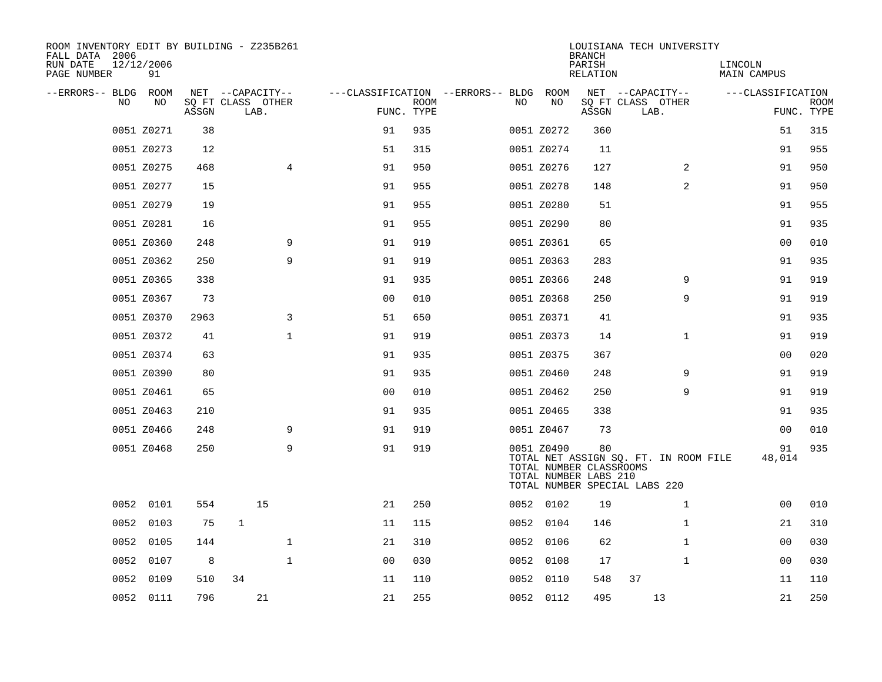| ROOM INVENTORY EDIT BY BUILDING - Z235B261<br>FALL DATA 2006 |                  |       |                           |                                        |             |      |            | <b>BRANCH</b>                                          | LOUISIANA TECH UNIVERSITY                                              |                        |                           |
|--------------------------------------------------------------|------------------|-------|---------------------------|----------------------------------------|-------------|------|------------|--------------------------------------------------------|------------------------------------------------------------------------|------------------------|---------------------------|
| RUN DATE<br>PAGE NUMBER                                      | 12/12/2006<br>91 |       |                           |                                        |             |      |            | PARISH<br>RELATION                                     |                                                                        | LINCOLN<br>MAIN CAMPUS |                           |
| --ERRORS-- BLDG ROOM                                         |                  |       | NET --CAPACITY--          | ---CLASSIFICATION --ERRORS-- BLDG ROOM |             |      |            |                                                        | NET --CAPACITY--                                                       | ---CLASSIFICATION      |                           |
| NO                                                           | NO               | ASSGN | SQ FT CLASS OTHER<br>LAB. | FUNC. TYPE                             | <b>ROOM</b> | NO   | NO         | ASSGN                                                  | SQ FT CLASS OTHER<br>LAB.                                              |                        | <b>ROOM</b><br>FUNC. TYPE |
|                                                              | 0051 Z0271       | 38    |                           | 91                                     | 935         |      | 0051 Z0272 | 360                                                    |                                                                        | 51                     | 315                       |
|                                                              | 0051 Z0273       | 12    |                           | 51                                     | 315         |      | 0051 Z0274 | 11                                                     |                                                                        | 91                     | 955                       |
|                                                              | 0051 Z0275       | 468   | $\overline{4}$            | 91                                     | 950         |      | 0051 Z0276 | 127                                                    | $\overline{2}$                                                         | 91                     | 950                       |
|                                                              | 0051 Z0277       | 15    |                           | 91                                     | 955         |      | 0051 Z0278 | 148                                                    | 2                                                                      | 91                     | 950                       |
|                                                              | 0051 Z0279       | 19    |                           | 91                                     | 955         |      | 0051 Z0280 | 51                                                     |                                                                        | 91                     | 955                       |
|                                                              | 0051 Z0281       | 16    |                           | 91                                     | 955         |      | 0051 Z0290 | 80                                                     |                                                                        | 91                     | 935                       |
|                                                              | 0051 Z0360       | 248   | 9                         | 91                                     | 919         |      | 0051 Z0361 | 65                                                     |                                                                        | 0 <sub>0</sub>         | 010                       |
|                                                              | 0051 Z0362       | 250   | 9                         | 91                                     | 919         |      | 0051 Z0363 | 283                                                    |                                                                        | 91                     | 935                       |
|                                                              | 0051 Z0365       | 338   |                           | 91                                     | 935         |      | 0051 Z0366 | 248                                                    | 9                                                                      | 91                     | 919                       |
|                                                              | 0051 Z0367       | 73    |                           | 0 <sub>0</sub>                         | 010         |      | 0051 Z0368 | 250                                                    | 9                                                                      | 91                     | 919                       |
|                                                              | 0051 Z0370       | 2963  | 3                         | 51                                     | 650         |      | 0051 Z0371 | 41                                                     |                                                                        | 91                     | 935                       |
|                                                              | 0051 Z0372       | 41    | $\mathbf 1$               | 91                                     | 919         |      | 0051 Z0373 | 14                                                     | $\mathbf{1}$                                                           | 91                     | 919                       |
|                                                              | 0051 Z0374       | 63    |                           | 91                                     | 935         |      | 0051 Z0375 | 367                                                    |                                                                        | 0 <sub>0</sub>         | 020                       |
|                                                              | 0051 Z0390       | 80    |                           | 91                                     | 935         |      | 0051 Z0460 | 248                                                    | 9                                                                      | 91                     | 919                       |
|                                                              | 0051 Z0461       | 65    |                           | 0 <sub>0</sub>                         | 010         |      | 0051 Z0462 | 250                                                    | 9                                                                      | 91                     | 919                       |
|                                                              | 0051 Z0463       | 210   |                           | 91                                     | 935         |      | 0051 Z0465 | 338                                                    |                                                                        | 91                     | 935                       |
|                                                              | 0051 Z0466       | 248   | 9                         | 91                                     | 919         |      | 0051 Z0467 | 73                                                     |                                                                        | 0 <sub>0</sub>         | 010                       |
|                                                              | 0051 Z0468       | 250   | 9                         | 91                                     | 919         |      | 0051 Z0490 | 80<br>TOTAL NUMBER CLASSROOMS<br>TOTAL NUMBER LABS 210 | TOTAL NET ASSIGN SQ. FT. IN ROOM FILE<br>TOTAL NUMBER SPECIAL LABS 220 | 91<br>48,014           | 935                       |
|                                                              | 0052 0101        | 554   | 15                        | 21                                     | 250         |      | 0052 0102  | 19                                                     | $\mathbf{1}$                                                           | 00                     | 010                       |
| 0052                                                         | 0103             | 75    | 1                         | 11                                     | 115         |      | 0052 0104  | 146                                                    | $\mathbf{1}$                                                           | 21                     | 310                       |
|                                                              | 0052 0105        | 144   | $\mathbf{1}$              | 21                                     | 310         |      | 0052 0106  | 62                                                     | $\mathbf{1}$                                                           | 00                     | 030                       |
| 0052                                                         | 0107             | 8     | $\mathbf{1}$              | 0 <sub>0</sub>                         | 030         | 0052 | 0108       | 17                                                     | $\mathbf{1}$                                                           | 0 <sub>0</sub>         | 030                       |
|                                                              | 0052 0109        | 510   | 34                        | 11                                     | 110         |      | 0052 0110  | 548                                                    | 37                                                                     | 11                     | 110                       |
|                                                              | 0052 0111        | 796   | 21                        | 21                                     | 255         |      | 0052 0112  | 495                                                    | 13                                                                     | 21                     | 250                       |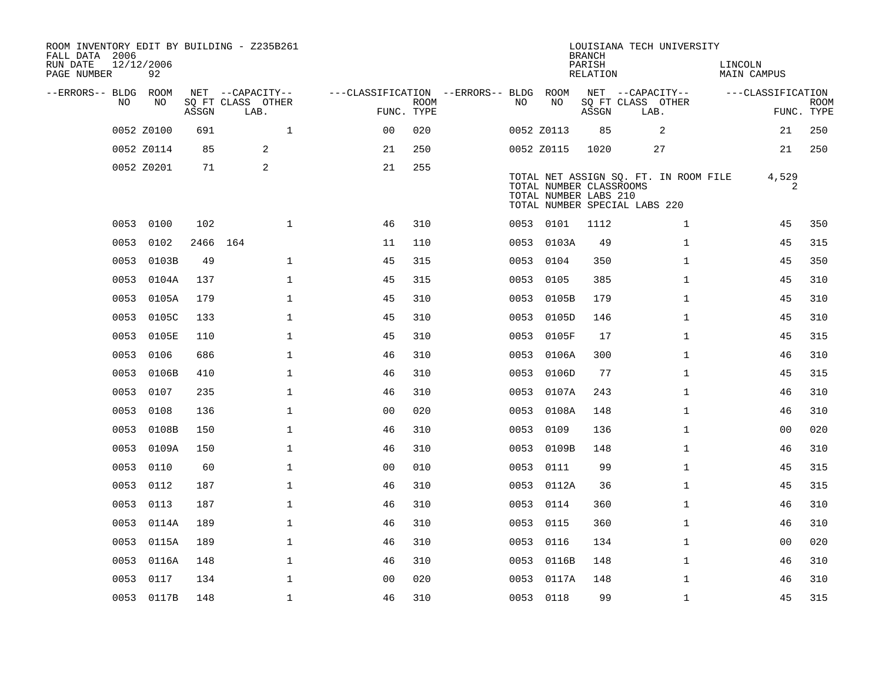| ROOM INVENTORY EDIT BY BUILDING - Z235B261<br>FALL DATA 2006<br>RUN DATE<br>PAGE NUMBER | 12/12/2006<br>92 |       |                           |                                        |             |      |            | <b>BRANCH</b><br>PARISH<br>RELATION                                               |      | LOUISIANA TECH UNIVERSITY             | LINCOLN | MAIN CAMPUS       |                           |
|-----------------------------------------------------------------------------------------|------------------|-------|---------------------------|----------------------------------------|-------------|------|------------|-----------------------------------------------------------------------------------|------|---------------------------------------|---------|-------------------|---------------------------|
| --ERRORS-- BLDG ROOM                                                                    |                  |       | NET --CAPACITY--          | ---CLASSIFICATION --ERRORS-- BLDG ROOM |             |      |            |                                                                                   |      | NET --CAPACITY--                      |         | ---CLASSIFICATION |                           |
| NO.                                                                                     | NO               | ASSGN | SQ FT CLASS OTHER<br>LAB. | FUNC. TYPE                             | <b>ROOM</b> | NO.  | NO         | ASSGN                                                                             | LAB. | SQ FT CLASS OTHER                     |         |                   | <b>ROOM</b><br>FUNC. TYPE |
|                                                                                         | 0052 Z0100       | 691   | $\mathbf{1}$              | 0 <sup>0</sup>                         | 020         |      | 0052 Z0113 | 85                                                                                |      | 2                                     |         | 21                | 250                       |
|                                                                                         | 0052 Z0114       | 85    | 2                         | 21                                     | 250         |      | 0052 Z0115 | 1020                                                                              |      | 27                                    |         | 21                | 250                       |
|                                                                                         | 0052 Z0201       | 71    | 2                         | 21                                     | 255         |      |            | TOTAL NUMBER CLASSROOMS<br>TOTAL NUMBER LABS 210<br>TOTAL NUMBER SPECIAL LABS 220 |      | TOTAL NET ASSIGN SQ. FT. IN ROOM FILE |         | 4,529<br>2        |                           |
|                                                                                         | 0053 0100        | 102   | $\mathbf{1}$              | 46                                     | 310         |      | 0053 0101  | 1112                                                                              |      | $\mathbf{1}$                          |         | 45                | 350                       |
| 0053                                                                                    | 0102             |       | 2466 164                  | 11                                     | 110         |      | 0053 0103A | 49                                                                                |      | $\mathbf{1}$                          |         | 45                | 315                       |
| 0053                                                                                    | 0103B            | 49    | $\mathbf 1$               | 45                                     | 315         |      | 0053 0104  | 350                                                                               |      | $\mathbf{1}$                          |         | 45                | 350                       |
| 0053                                                                                    | 0104A            | 137   | $\mathbf{1}$              | 45                                     | 315         | 0053 | 0105       | 385                                                                               |      | $\mathbf{1}$                          |         | 45                | 310                       |
| 0053                                                                                    | 0105A            | 179   | $\mathbf 1$               | 45                                     | 310         |      | 0053 0105B | 179                                                                               |      | $\mathbf{1}$                          |         | 45                | 310                       |
| 0053                                                                                    | 0105C            | 133   | $\mathbf{1}$              | 45                                     | 310         | 0053 | 0105D      | 146                                                                               |      | $\mathbf{1}$                          |         | 45                | 310                       |
|                                                                                         | 0053 0105E       | 110   | $\mathbf 1$               | 45                                     | 310         |      | 0053 0105F | 17                                                                                |      | $\mathbf{1}$                          |         | 45                | 315                       |
| 0053                                                                                    | 0106             | 686   | $\mathbf 1$               | 46                                     | 310         | 0053 | 0106A      | 300                                                                               |      | $\mathbf{1}$                          |         | 46                | 310                       |
|                                                                                         | 0053 0106B       | 410   | $\mathbf 1$               | 46                                     | 310         |      | 0053 0106D | 77                                                                                |      | $\mathbf{1}$                          |         | 45                | 315                       |
| 0053                                                                                    | 0107             | 235   | $\mathbf{1}$              | 46                                     | 310         | 0053 | 0107A      | 243                                                                               |      | $\mathbf{1}$                          |         | 46                | 310                       |
|                                                                                         | 0053 0108        | 136   | $\mathbf{1}$              | 0 <sub>0</sub>                         | 020         | 0053 | 0108A      | 148                                                                               |      | $\mathbf{1}$                          |         | 46                | 310                       |
| 0053                                                                                    | 0108B            | 150   | $\mathbf 1$               | 46                                     | 310         | 0053 | 0109       | 136                                                                               |      | $\mathbf{1}$                          |         | 00                | 020                       |
| 0053                                                                                    | 0109A            | 150   | $\mathbf{1}$              | 46                                     | 310         |      | 0053 0109B | 148                                                                               |      | $\mathbf{1}$                          |         | 46                | 310                       |
| 0053                                                                                    | 0110             | 60    | $\mathbf{1}$              | 0 <sub>0</sub>                         | 010         | 0053 | 0111       | 99                                                                                |      | $\mathbf{1}$                          |         | 45                | 315                       |
|                                                                                         | 0053 0112        | 187   | $\mathbf{1}$              | 46                                     | 310         |      | 0053 0112A | 36                                                                                |      | $\mathbf{1}$                          |         | 45                | 315                       |
|                                                                                         | 0053 0113        | 187   | $\mathbf 1$               | 46                                     | 310         |      | 0053 0114  | 360                                                                               |      | $\mathbf{1}$                          |         | 46                | 310                       |
|                                                                                         | 0053 0114A       | 189   | $\mathbf{1}$              | 46                                     | 310         | 0053 | 0115       | 360                                                                               |      | $\mathbf{1}$                          |         | 46                | 310                       |
|                                                                                         | 0053 0115A       | 189   | $\mathbf{1}$              | 46                                     | 310         |      | 0053 0116  | 134                                                                               |      | $\mathbf{1}$                          |         | 00                | 020                       |
| 0053                                                                                    | 0116A            | 148   | 1                         | 46                                     | 310         |      | 0053 0116B | 148                                                                               |      | $\mathbf{1}$                          |         | 46                | 310                       |
| 0053                                                                                    | 0117             | 134   | $\mathbf{1}$              | 0 <sub>0</sub>                         | 020         |      | 0053 0117A | 148                                                                               |      | $\mathbf{1}$                          |         | 46                | 310                       |
|                                                                                         | 0053 0117B       | 148   | 1                         | 46                                     | 310         |      | 0053 0118  | 99                                                                                |      | $\mathbf{1}$                          |         | 45                | 315                       |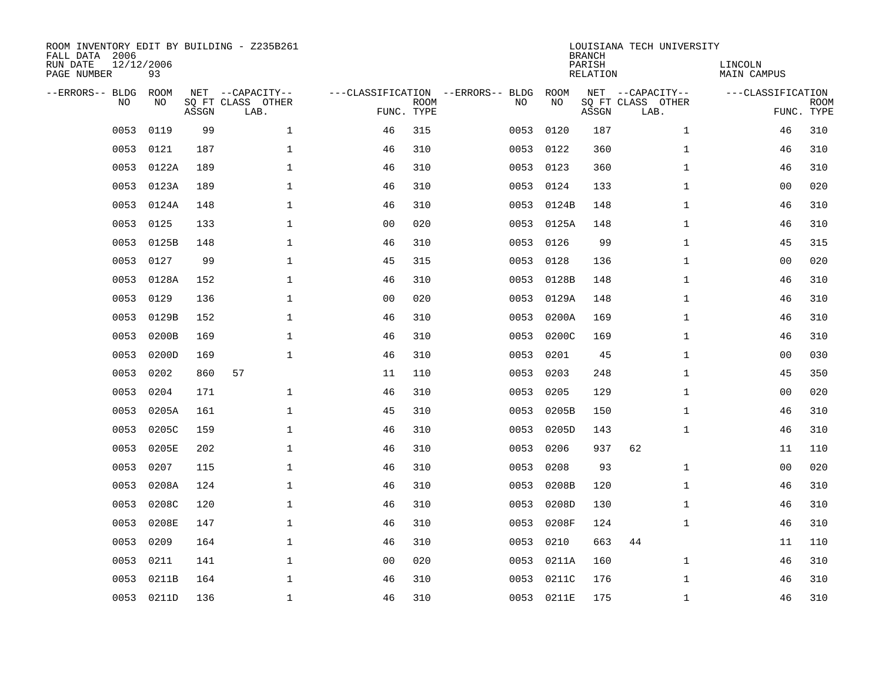| ROOM INVENTORY EDIT BY BUILDING - Z235B261<br>FALL DATA 2006<br>RUN DATE<br>PAGE NUMBER | 12/12/2006<br>93 |       |                                               |                |             |                                         |            | <b>BRANCH</b><br>PARISH<br><b>RELATION</b> | LOUISIANA TECH UNIVERSITY                     | LINCOLN<br>MAIN CAMPUS |                           |
|-----------------------------------------------------------------------------------------|------------------|-------|-----------------------------------------------|----------------|-------------|-----------------------------------------|------------|--------------------------------------------|-----------------------------------------------|------------------------|---------------------------|
| --ERRORS-- BLDG<br>NO                                                                   | ROOM<br>NO.      | ASSGN | NET --CAPACITY--<br>SQ FT CLASS OTHER<br>LAB. | FUNC. TYPE     | <b>ROOM</b> | ---CLASSIFICATION --ERRORS-- BLDG<br>NO | ROOM<br>NO | ASSGN                                      | NET --CAPACITY--<br>SQ FT CLASS OTHER<br>LAB. | ---CLASSIFICATION      | <b>ROOM</b><br>FUNC. TYPE |
| 0053                                                                                    | 0119             | 99    | $\mathbf{1}$                                  | 46             | 315         | 0053                                    | 0120       | 187                                        | $\mathbf{1}$                                  | 46                     | 310                       |
| 0053                                                                                    | 0121             | 187   | $\mathbf 1$                                   | 46             | 310         | 0053                                    | 0122       | 360                                        | $\mathbf{1}$                                  | 46                     | 310                       |
| 0053                                                                                    | 0122A            | 189   | $\mathbf{1}$                                  | 46             | 310         | 0053                                    | 0123       | 360                                        | $\mathbf{1}$                                  | 46                     | 310                       |
| 0053                                                                                    | 0123A            | 189   | $\mathbf{1}$                                  | 46             | 310         | 0053                                    | 0124       | 133                                        | $\mathbf{1}$                                  | 0 <sub>0</sub>         | 020                       |
| 0053                                                                                    | 0124A            | 148   | $\mathbf{1}$                                  | 46             | 310         | 0053                                    | 0124B      | 148                                        | $\mathbf{1}$                                  | 46                     | 310                       |
| 0053                                                                                    | 0125             | 133   | $\mathbf{1}$                                  | 0 <sub>0</sub> | 020         |                                         | 0053 0125A | 148                                        | $\mathbf{1}$                                  | 46                     | 310                       |
| 0053                                                                                    | 0125B            | 148   | $\mathbf{1}$                                  | 46             | 310         | 0053                                    | 0126       | 99                                         | $\mathbf{1}$                                  | 45                     | 315                       |
| 0053                                                                                    | 0127             | 99    | $\mathbf 1$                                   | 45             | 315         | 0053                                    | 0128       | 136                                        | $\mathbf{1}$                                  | 00                     | 020                       |
| 0053                                                                                    | 0128A            | 152   | $\mathbf 1$                                   | 46             | 310         | 0053                                    | 0128B      | 148                                        | $\mathbf{1}$                                  | 46                     | 310                       |
| 0053                                                                                    | 0129             | 136   | $\mathbf 1$                                   | 0 <sub>0</sub> | 020         | 0053                                    | 0129A      | 148                                        | $\mathbf{1}$                                  | 46                     | 310                       |
| 0053                                                                                    | 0129B            | 152   | $\mathbf 1$                                   | 46             | 310         | 0053                                    | 0200A      | 169                                        | $\mathbf{1}$                                  | 46                     | 310                       |
| 0053                                                                                    | 0200B            | 169   | $\mathbf 1$                                   | 46             | 310         | 0053                                    | 0200C      | 169                                        | $\mathbf{1}$                                  | 46                     | 310                       |
| 0053                                                                                    | 0200D            | 169   | $\mathbf{1}$                                  | 46             | 310         | 0053                                    | 0201       | 45                                         | $\mathbf{1}$                                  | 00                     | 030                       |
| 0053                                                                                    | 0202             | 860   | 57                                            | 11             | 110         | 0053                                    | 0203       | 248                                        | $\mathbf{1}$                                  | 45                     | 350                       |
| 0053                                                                                    | 0204             | 171   | $\mathbf 1$                                   | 46             | 310         | 0053                                    | 0205       | 129                                        | $\mathbf{1}$                                  | 00                     | 020                       |
| 0053                                                                                    | 0205A            | 161   | $\mathbf{1}$                                  | 45             | 310         | 0053                                    | 0205B      | 150                                        | $\mathbf{1}$                                  | 46                     | 310                       |
| 0053                                                                                    | 0205C            | 159   | $\mathbf 1$                                   | 46             | 310         | 0053                                    | 0205D      | 143                                        | $\mathbf{1}$                                  | 46                     | 310                       |
| 0053                                                                                    | 0205E            | 202   | $\mathbf{1}$                                  | 46             | 310         | 0053                                    | 0206       | 937                                        | 62                                            | 11                     | 110                       |
| 0053                                                                                    | 0207             | 115   | $\mathbf 1$                                   | 46             | 310         | 0053                                    | 0208       | 93                                         | $\mathbf{1}$                                  | 00                     | 020                       |
| 0053                                                                                    | 0208A            | 124   | $\mathbf{1}$                                  | 46             | 310         | 0053                                    | 0208B      | 120                                        | $\mathbf{1}$                                  | 46                     | 310                       |
| 0053                                                                                    | 0208C            | 120   | $\mathbf{1}$                                  | 46             | 310         | 0053                                    | 0208D      | 130                                        | $\mathbf{1}$                                  | 46                     | 310                       |
| 0053                                                                                    | 0208E            | 147   | $\mathbf{1}$                                  | 46             | 310         | 0053                                    | 0208F      | 124                                        | $\mathbf{1}$                                  | 46                     | 310                       |
| 0053                                                                                    | 0209             | 164   | $\mathbf 1$                                   | 46             | 310         | 0053                                    | 0210       | 663                                        | 44                                            | 11                     | 110                       |
| 0053                                                                                    | 0211             | 141   | $\mathbf 1$                                   | 0 <sub>0</sub> | 020         | 0053                                    | 0211A      | 160                                        | $\mathbf{1}$                                  | 46                     | 310                       |
| 0053                                                                                    | 0211B            | 164   | 1                                             | 46             | 310         | 0053                                    | 0211C      | 176                                        | $\mathbf{1}$                                  | 46                     | 310                       |
|                                                                                         | 0053 0211D       | 136   | $\mathbf{1}$                                  | 46             | 310         |                                         | 0053 0211E | 175                                        | $\mathbf{1}$                                  | 46                     | 310                       |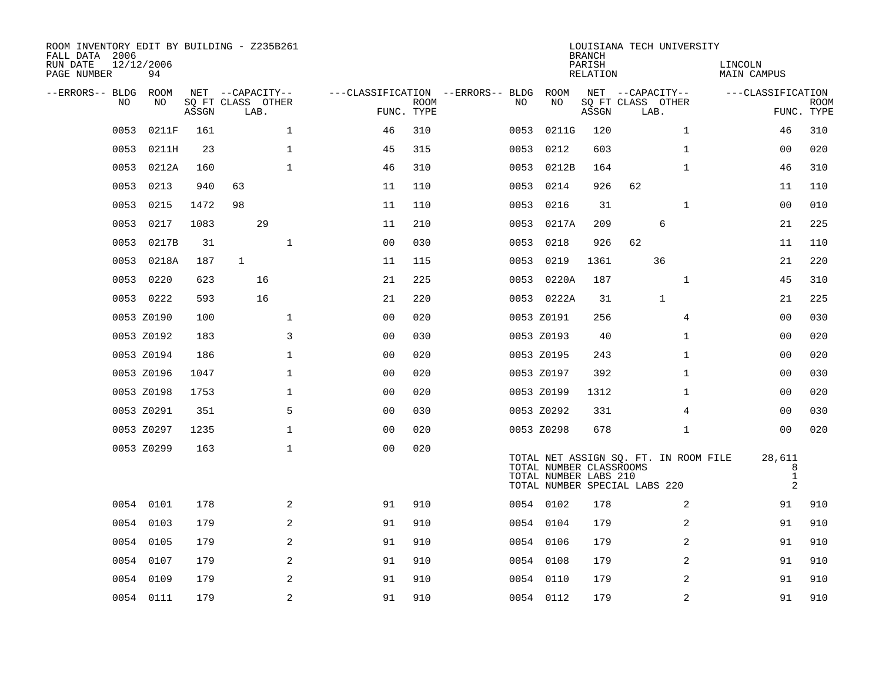| ROOM INVENTORY EDIT BY BUILDING - Z235B261<br>FALL DATA 2006<br>RUN DATE<br>PAGE NUMBER | 12/12/2006<br>94 |       |                   |                |                                   |             |      |                                                  | <b>BRANCH</b><br>PARISH<br>RELATION | LOUISIANA TECH UNIVERSITY                                              |                | LINCOLN<br>MAIN CAMPUS                        |             |
|-----------------------------------------------------------------------------------------|------------------|-------|-------------------|----------------|-----------------------------------|-------------|------|--------------------------------------------------|-------------------------------------|------------------------------------------------------------------------|----------------|-----------------------------------------------|-------------|
| --ERRORS-- BLDG ROOM                                                                    |                  |       | NET --CAPACITY--  |                | ---CLASSIFICATION --ERRORS-- BLDG |             |      | ROOM                                             |                                     | NET --CAPACITY--                                                       |                | ---CLASSIFICATION                             |             |
| NO                                                                                      | NO               |       | SQ FT CLASS OTHER |                |                                   | <b>ROOM</b> | NO   | NO                                               |                                     | SQ FT CLASS OTHER                                                      |                |                                               | <b>ROOM</b> |
|                                                                                         |                  | ASSGN | LAB.              |                | FUNC. TYPE                        |             |      |                                                  | ASSGN                               | LAB.                                                                   |                |                                               | FUNC. TYPE  |
| 0053                                                                                    | 0211F            | 161   |                   | $\mathbf{1}$   | 46                                | 310         | 0053 | 0211G                                            | 120                                 |                                                                        | $\mathbf{1}$   | 46                                            | 310         |
| 0053                                                                                    | 0211H            | 23    |                   | 1              | 45                                | 315         | 0053 | 0212                                             | 603                                 |                                                                        | $\mathbf{1}$   | 00                                            | 020         |
| 0053                                                                                    | 0212A            | 160   |                   | $\mathbf{1}$   | 46                                | 310         | 0053 | 0212B                                            | 164                                 |                                                                        | $\mathbf{1}$   | 46                                            | 310         |
| 0053                                                                                    | 0213             | 940   | 63                |                | 11                                | 110         | 0053 | 0214                                             | 926                                 | 62                                                                     |                | 11                                            | 110         |
| 0053                                                                                    | 0215             | 1472  | 98                |                | 11                                | 110         | 0053 | 0216                                             | 31                                  |                                                                        | $\mathbf{1}$   | 00                                            | 010         |
| 0053                                                                                    | 0217             | 1083  | 29                |                | 11                                | 210         |      | 0053 0217A                                       | 209                                 | 6                                                                      |                | 21                                            | 225         |
| 0053                                                                                    | 0217B            | 31    |                   | $\mathbf{1}$   | 0 <sub>0</sub>                    | 030         | 0053 | 0218                                             | 926                                 | 62                                                                     |                | 11                                            | 110         |
| 0053                                                                                    | 0218A            | 187   | $\mathbf{1}$      |                | 11                                | 115         | 0053 | 0219                                             | 1361                                | 36                                                                     |                | 21                                            | 220         |
| 0053                                                                                    | 0220             | 623   | 16                |                | 21                                | 225         | 0053 | 0220A                                            | 187                                 |                                                                        | $\mathbf{1}$   | 45                                            | 310         |
|                                                                                         | 0053 0222        | 593   | 16                |                | 21                                | 220         |      | 0053 0222A                                       | 31                                  | $\mathbf 1$                                                            |                | 21                                            | 225         |
|                                                                                         | 0053 Z0190       | 100   |                   | $\mathbf{1}$   | 0 <sub>0</sub>                    | 020         |      | 0053 Z0191                                       | 256                                 |                                                                        | $\overline{4}$ | 00                                            | 030         |
|                                                                                         | 0053 Z0192       | 183   |                   | 3              | 0 <sub>0</sub>                    | 030         |      | 0053 Z0193                                       | 40                                  |                                                                        | $\mathbf{1}$   | 0 <sub>0</sub>                                | 020         |
|                                                                                         | 0053 Z0194       | 186   |                   | $\mathbf 1$    | 0 <sub>0</sub>                    | 020         |      | 0053 Z0195                                       | 243                                 |                                                                        | $\mathbf{1}$   | 00                                            | 020         |
|                                                                                         | 0053 Z0196       | 1047  |                   | $\mathbf 1$    | 0 <sub>0</sub>                    | 020         |      | 0053 Z0197                                       | 392                                 |                                                                        | $\mathbf{1}$   | 00                                            | 030         |
|                                                                                         | 0053 Z0198       | 1753  |                   | $\mathbf{1}$   | 0 <sub>0</sub>                    | 020         |      | 0053 Z0199                                       | 1312                                |                                                                        | $\mathbf{1}$   | 00                                            | 020         |
|                                                                                         | 0053 Z0291       | 351   |                   | 5              | 0 <sub>0</sub>                    | 030         |      | 0053 Z0292                                       | 331                                 |                                                                        | 4              | 00                                            | 030         |
|                                                                                         | 0053 Z0297       | 1235  |                   | $\mathbf{1}$   | 0 <sub>0</sub>                    | 020         |      | 0053 Z0298                                       | 678                                 |                                                                        | $\mathbf{1}$   | 0 <sub>0</sub>                                | 020         |
|                                                                                         | 0053 Z0299       | 163   |                   | $\mathbf{1}$   | 00                                | 020         |      | TOTAL NUMBER CLASSROOMS<br>TOTAL NUMBER LABS 210 |                                     | TOTAL NET ASSIGN SQ. FT. IN ROOM FILE<br>TOTAL NUMBER SPECIAL LABS 220 |                | 28,611<br>8<br>$\mathbf{1}$<br>$\overline{a}$ |             |
|                                                                                         | 0054 0101        | 178   |                   | 2              | 91                                | 910         |      | 0054 0102                                        | 178                                 |                                                                        | 2              | 91                                            | 910         |
|                                                                                         | 0054 0103        | 179   |                   | 2              | 91                                | 910         |      | 0054 0104                                        | 179                                 |                                                                        | 2              | 91                                            | 910         |
|                                                                                         | 0054 0105        | 179   |                   | 2              | 91                                | 910         |      | 0054 0106                                        | 179                                 |                                                                        | 2              | 91                                            | 910         |
| 0054                                                                                    | 0107             | 179   |                   | 2              | 91                                | 910         |      | 0054 0108                                        | 179                                 |                                                                        | 2              | 91                                            | 910         |
|                                                                                         | 0054 0109        | 179   |                   | 2              | 91                                | 910         |      | 0054 0110                                        | 179                                 |                                                                        | 2              | 91                                            | 910         |
|                                                                                         | 0054 0111        | 179   |                   | $\overline{a}$ | 91                                | 910         |      | 0054 0112                                        | 179                                 |                                                                        | 2              | 91                                            | 910         |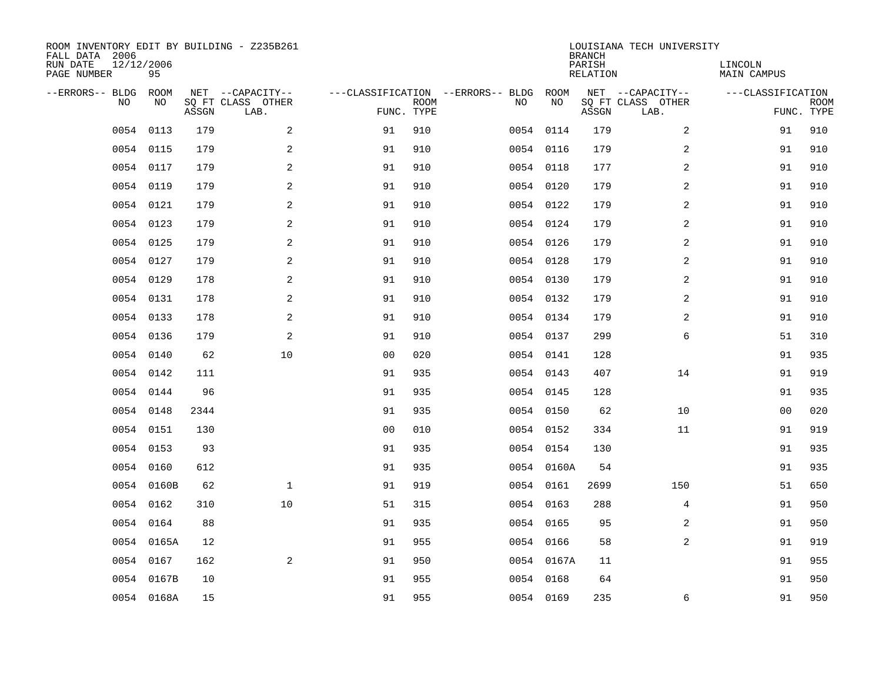| ROOM INVENTORY EDIT BY BUILDING - Z235B261<br>FALL DATA 2006<br>RUN DATE<br>PAGE NUMBER | 12/12/2006<br>95 |       |                                               |                |             |                                         |            | <b>BRANCH</b><br>PARISH<br><b>RELATION</b> | LOUISIANA TECH UNIVERSITY                     | LINCOLN<br><b>MAIN CAMPUS</b> |                           |
|-----------------------------------------------------------------------------------------|------------------|-------|-----------------------------------------------|----------------|-------------|-----------------------------------------|------------|--------------------------------------------|-----------------------------------------------|-------------------------------|---------------------------|
| --ERRORS-- BLDG<br>NO                                                                   | ROOM<br>NO       | ASSGN | NET --CAPACITY--<br>SQ FT CLASS OTHER<br>LAB. | FUNC. TYPE     | <b>ROOM</b> | ---CLASSIFICATION --ERRORS-- BLDG<br>NO | ROOM<br>NO | ASSGN                                      | NET --CAPACITY--<br>SQ FT CLASS OTHER<br>LAB. | ---CLASSIFICATION             | <b>ROOM</b><br>FUNC. TYPE |
| 0054                                                                                    | 0113             | 179   | 2                                             | 91             | 910         |                                         | 0054 0114  | 179                                        | 2                                             | 91                            | 910                       |
|                                                                                         | 0054 0115        | 179   | 2                                             | 91             | 910         |                                         | 0054 0116  | 179                                        | 2                                             | 91                            | 910                       |
|                                                                                         | 0054 0117        | 179   | 2                                             | 91             | 910         |                                         | 0054 0118  | 177                                        | 2                                             | 91                            | 910                       |
|                                                                                         | 0054 0119        | 179   | 2                                             | 91             | 910         |                                         | 0054 0120  | 179                                        | 2                                             | 91                            | 910                       |
| 0054                                                                                    | 0121             | 179   | 2                                             | 91             | 910         |                                         | 0054 0122  | 179                                        | $\overline{a}$                                | 91                            | 910                       |
|                                                                                         | 0054 0123        | 179   | $\mathbf{2}$                                  | 91             | 910         |                                         | 0054 0124  | 179                                        | 2                                             | 91                            | 910                       |
|                                                                                         | 0054 0125        | 179   | 2                                             | 91             | 910         |                                         | 0054 0126  | 179                                        | $\overline{a}$                                | 91                            | 910                       |
|                                                                                         | 0054 0127        | 179   | $\mathbf{2}$                                  | 91             | 910         |                                         | 0054 0128  | 179                                        | 2                                             | 91                            | 910                       |
|                                                                                         | 0054 0129        | 178   | 2                                             | 91             | 910         |                                         | 0054 0130  | 179                                        | 2                                             | 91                            | 910                       |
|                                                                                         | 0054 0131        | 178   | 2                                             | 91             | 910         |                                         | 0054 0132  | 179                                        | 2                                             | 91                            | 910                       |
|                                                                                         | 0054 0133        | 178   | 2                                             | 91             | 910         |                                         | 0054 0134  | 179                                        | 2                                             | 91                            | 910                       |
|                                                                                         | 0054 0136        | 179   | 2                                             | 91             | 910         |                                         | 0054 0137  | 299                                        | 6                                             | 51                            | 310                       |
|                                                                                         | 0054 0140        | 62    | 10                                            | 0 <sub>0</sub> | 020         |                                         | 0054 0141  | 128                                        |                                               | 91                            | 935                       |
|                                                                                         | 0054 0142        | 111   |                                               | 91             | 935         |                                         | 0054 0143  | 407                                        | 14                                            | 91                            | 919                       |
| 0054                                                                                    | 0144             | 96    |                                               | 91             | 935         |                                         | 0054 0145  | 128                                        |                                               | 91                            | 935                       |
|                                                                                         | 0054 0148        | 2344  |                                               | 91             | 935         |                                         | 0054 0150  | 62                                         | 10                                            | 00                            | 020                       |
| 0054                                                                                    | 0151             | 130   |                                               | 0 <sub>0</sub> | 010         |                                         | 0054 0152  | 334                                        | 11                                            | 91                            | 919                       |
|                                                                                         | 0054 0153        | 93    |                                               | 91             | 935         |                                         | 0054 0154  | 130                                        |                                               | 91                            | 935                       |
|                                                                                         | 0054 0160        | 612   |                                               | 91             | 935         |                                         | 0054 0160A | 54                                         |                                               | 91                            | 935                       |
|                                                                                         | 0054 0160B       | 62    | $\mathbf 1$                                   | 91             | 919         |                                         | 0054 0161  | 2699                                       | 150                                           | 51                            | 650                       |
|                                                                                         | 0054 0162        | 310   | 10                                            | 51             | 315         |                                         | 0054 0163  | 288                                        | 4                                             | 91                            | 950                       |
| 0054                                                                                    | 0164             | 88    |                                               | 91             | 935         |                                         | 0054 0165  | 95                                         | 2                                             | 91                            | 950                       |
|                                                                                         | 0054 0165A       | 12    |                                               | 91             | 955         |                                         | 0054 0166  | 58                                         | 2                                             | 91                            | 919                       |
|                                                                                         | 0054 0167        | 162   | 2                                             | 91             | 950         |                                         | 0054 0167A | 11                                         |                                               | 91                            | 955                       |
|                                                                                         | 0054 0167B       | 10    |                                               | 91             | 955         |                                         | 0054 0168  | 64                                         |                                               | 91                            | 950                       |
|                                                                                         | 0054 0168A       | 15    |                                               | 91             | 955         |                                         | 0054 0169  | 235                                        | 6                                             | 91                            | 950                       |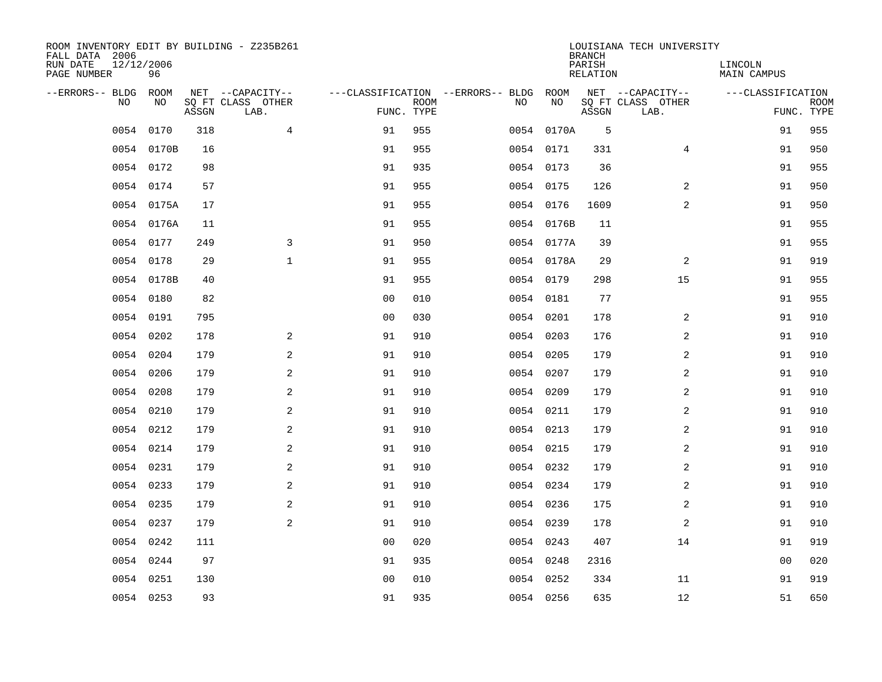| ROOM INVENTORY EDIT BY BUILDING - Z235B261<br>FALL DATA 2006<br>RUN DATE<br>PAGE NUMBER | 12/12/2006<br>96 |       |                                               |                |                           |                                         |            | <b>BRANCH</b><br>PARISH<br><b>RELATION</b> | LOUISIANA TECH UNIVERSITY                     | LINCOLN<br><b>MAIN CAMPUS</b> |                           |
|-----------------------------------------------------------------------------------------|------------------|-------|-----------------------------------------------|----------------|---------------------------|-----------------------------------------|------------|--------------------------------------------|-----------------------------------------------|-------------------------------|---------------------------|
| --ERRORS-- BLDG<br>NO                                                                   | ROOM<br>NO       | ASSGN | NET --CAPACITY--<br>SQ FT CLASS OTHER<br>LAB. |                | <b>ROOM</b><br>FUNC. TYPE | ---CLASSIFICATION --ERRORS-- BLDG<br>NO | ROOM<br>NO | ASSGN                                      | NET --CAPACITY--<br>SQ FT CLASS OTHER<br>LAB. | ---CLASSIFICATION             | <b>ROOM</b><br>FUNC. TYPE |
| 0054                                                                                    | 0170             | 318   | 4                                             | 91             | 955                       |                                         | 0054 0170A | 5                                          |                                               | 91                            | 955                       |
|                                                                                         | 0054 0170B       | 16    |                                               | 91             | 955                       |                                         | 0054 0171  | 331                                        | 4                                             | 91                            | 950                       |
|                                                                                         | 0054 0172        | 98    |                                               | 91             | 935                       |                                         | 0054 0173  | 36                                         |                                               | 91                            | 955                       |
|                                                                                         | 0054 0174        | 57    |                                               | 91             | 955                       |                                         | 0054 0175  | 126                                        | 2                                             | 91                            | 950                       |
|                                                                                         | 0054 0175A       | 17    |                                               | 91             | 955                       |                                         | 0054 0176  | 1609                                       | 2                                             | 91                            | 950                       |
|                                                                                         | 0054 0176A       | 11    |                                               | 91             | 955                       |                                         | 0054 0176B | 11                                         |                                               | 91                            | 955                       |
|                                                                                         | 0054 0177        | 249   | 3                                             | 91             | 950                       |                                         | 0054 0177A | 39                                         |                                               | 91                            | 955                       |
|                                                                                         | 0054 0178        | 29    | $\mathbf{1}$                                  | 91             | 955                       |                                         | 0054 0178A | 29                                         | 2                                             | 91                            | 919                       |
|                                                                                         | 0054 0178B       | 40    |                                               | 91             | 955                       |                                         | 0054 0179  | 298                                        | 15                                            | 91                            | 955                       |
|                                                                                         | 0054 0180        | 82    |                                               | 0 <sub>0</sub> | 010                       |                                         | 0054 0181  | 77                                         |                                               | 91                            | 955                       |
|                                                                                         | 0054 0191        | 795   |                                               | 0 <sub>0</sub> | 030                       |                                         | 0054 0201  | 178                                        | 2                                             | 91                            | 910                       |
|                                                                                         | 0054 0202        | 178   | 2                                             | 91             | 910                       |                                         | 0054 0203  | 176                                        | 2                                             | 91                            | 910                       |
| 0054                                                                                    | 0204             | 179   | 2                                             | 91             | 910                       |                                         | 0054 0205  | 179                                        | 2                                             | 91                            | 910                       |
| 0054                                                                                    | 0206             | 179   | $\mathbf{2}$                                  | 91             | 910                       |                                         | 0054 0207  | 179                                        | 2                                             | 91                            | 910                       |
| 0054                                                                                    | 0208             | 179   | 2                                             | 91             | 910                       |                                         | 0054 0209  | 179                                        | 2                                             | 91                            | 910                       |
| 0054                                                                                    | 0210             | 179   | 2                                             | 91             | 910                       |                                         | 0054 0211  | 179                                        | 2                                             | 91                            | 910                       |
| 0054                                                                                    | 0212             | 179   | 2                                             | 91             | 910                       |                                         | 0054 0213  | 179                                        | 2                                             | 91                            | 910                       |
| 0054                                                                                    | 0214             | 179   | 2                                             | 91             | 910                       |                                         | 0054 0215  | 179                                        | $\overline{a}$                                | 91                            | 910                       |
|                                                                                         | 0054 0231        | 179   | 2                                             | 91             | 910                       |                                         | 0054 0232  | 179                                        | 2                                             | 91                            | 910                       |
|                                                                                         | 0054 0233        | 179   | $\overline{a}$                                | 91             | 910                       |                                         | 0054 0234  | 179                                        | 2                                             | 91                            | 910                       |
|                                                                                         | 0054 0235        | 179   | 2                                             | 91             | 910                       |                                         | 0054 0236  | 175                                        | 2                                             | 91                            | 910                       |
|                                                                                         | 0054 0237        | 179   | 2                                             | 91             | 910                       |                                         | 0054 0239  | 178                                        | 2                                             | 91                            | 910                       |
|                                                                                         | 0054 0242        | 111   |                                               | 0 <sub>0</sub> | 020                       |                                         | 0054 0243  | 407                                        | 14                                            | 91                            | 919                       |
|                                                                                         | 0054 0244        | 97    |                                               | 91             | 935                       |                                         | 0054 0248  | 2316                                       |                                               | 0 <sub>0</sub>                | 020                       |
| 0054                                                                                    | 0251             | 130   |                                               | 0 <sub>0</sub> | 010                       |                                         | 0054 0252  | 334                                        | 11                                            | 91                            | 919                       |
|                                                                                         | 0054 0253        | 93    |                                               | 91             | 935                       |                                         | 0054 0256  | 635                                        | 12                                            | 51                            | 650                       |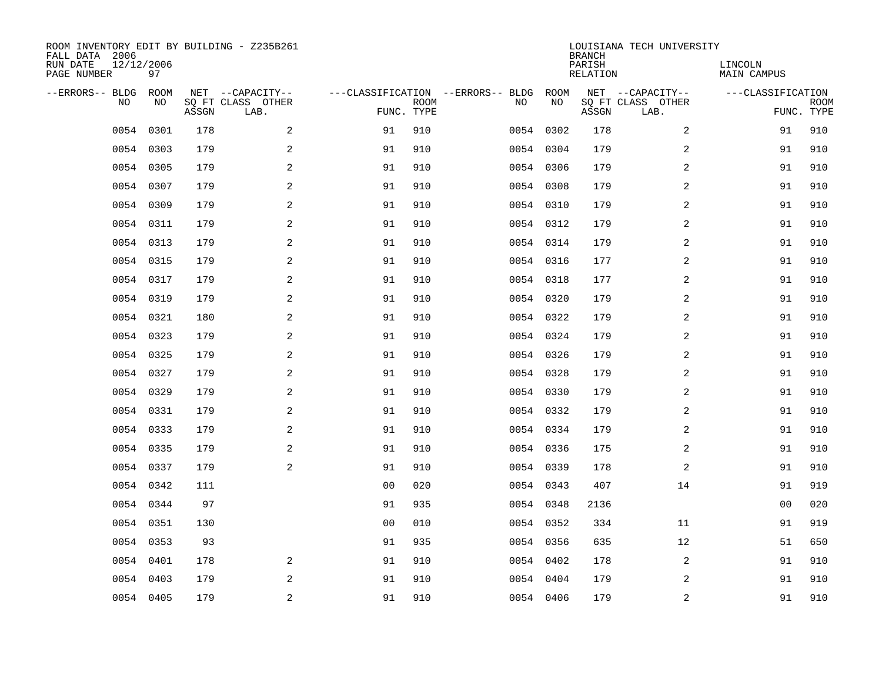| ROOM INVENTORY EDIT BY BUILDING - Z235B261<br>FALL DATA 2006<br>RUN DATE<br>PAGE NUMBER | 12/12/2006<br>97 |       |                                               |                |             |                                         |            | <b>BRANCH</b><br>PARISH<br><b>RELATION</b> | LOUISIANA TECH UNIVERSITY                     | LINCOLN<br><b>MAIN CAMPUS</b> |                           |
|-----------------------------------------------------------------------------------------|------------------|-------|-----------------------------------------------|----------------|-------------|-----------------------------------------|------------|--------------------------------------------|-----------------------------------------------|-------------------------------|---------------------------|
| --ERRORS-- BLDG<br>NO                                                                   | ROOM<br>NO       | ASSGN | NET --CAPACITY--<br>SQ FT CLASS OTHER<br>LAB. | FUNC. TYPE     | <b>ROOM</b> | ---CLASSIFICATION --ERRORS-- BLDG<br>NO | ROOM<br>NO | ASSGN                                      | NET --CAPACITY--<br>SQ FT CLASS OTHER<br>LAB. | ---CLASSIFICATION             | <b>ROOM</b><br>FUNC. TYPE |
| 0054                                                                                    | 0301             | 178   | 2                                             | 91             | 910         |                                         | 0054 0302  | 178                                        | $\overline{a}$                                | 91                            | 910                       |
| 0054                                                                                    | 0303             | 179   | 2                                             | 91             | 910         |                                         | 0054 0304  | 179                                        | 2                                             | 91                            | 910                       |
|                                                                                         | 0054 0305        | 179   | 2                                             | 91             | 910         |                                         | 0054 0306  | 179                                        | 2                                             | 91                            | 910                       |
| 0054                                                                                    | 0307             | 179   | 2                                             | 91             | 910         |                                         | 0054 0308  | 179                                        | 2                                             | 91                            | 910                       |
| 0054                                                                                    | 0309             | 179   | 2                                             | 91             | 910         |                                         | 0054 0310  | 179                                        | $\overline{a}$                                | 91                            | 910                       |
|                                                                                         | 0054 0311        | 179   | 2                                             | 91             | 910         |                                         | 0054 0312  | 179                                        | 2                                             | 91                            | 910                       |
|                                                                                         | 0054 0313        | 179   | 2                                             | 91             | 910         |                                         | 0054 0314  | 179                                        | $\overline{a}$                                | 91                            | 910                       |
|                                                                                         | 0054 0315        | 179   | $\mathbf{2}$                                  | 91             | 910         |                                         | 0054 0316  | 177                                        | 2                                             | 91                            | 910                       |
|                                                                                         | 0054 0317        | 179   | 2                                             | 91             | 910         |                                         | 0054 0318  | 177                                        | 2                                             | 91                            | 910                       |
|                                                                                         | 0054 0319        | 179   | 2                                             | 91             | 910         |                                         | 0054 0320  | 179                                        | 2                                             | 91                            | 910                       |
|                                                                                         | 0054 0321        | 180   | 2                                             | 91             | 910         |                                         | 0054 0322  | 179                                        | 2                                             | 91                            | 910                       |
|                                                                                         | 0054 0323        | 179   | 2                                             | 91             | 910         |                                         | 0054 0324  | 179                                        | 2                                             | 91                            | 910                       |
|                                                                                         | 0054 0325        | 179   | 2                                             | 91             | 910         |                                         | 0054 0326  | 179                                        | 2                                             | 91                            | 910                       |
|                                                                                         | 0054 0327        | 179   | 2                                             | 91             | 910         |                                         | 0054 0328  | 179                                        | 2                                             | 91                            | 910                       |
| 0054                                                                                    | 0329             | 179   | 2                                             | 91             | 910         |                                         | 0054 0330  | 179                                        | 2                                             | 91                            | 910                       |
|                                                                                         | 0054 0331        | 179   | 2                                             | 91             | 910         |                                         | 0054 0332  | 179                                        | 2                                             | 91                            | 910                       |
| 0054                                                                                    | 0333             | 179   | $\mathbf{2}$                                  | 91             | 910         |                                         | 0054 0334  | 179                                        | 2                                             | 91                            | 910                       |
| 0054                                                                                    | 0335             | 179   | 2                                             | 91             | 910         |                                         | 0054 0336  | 175                                        | 2                                             | 91                            | 910                       |
|                                                                                         | 0054 0337        | 179   | 2                                             | 91             | 910         |                                         | 0054 0339  | 178                                        | 2                                             | 91                            | 910                       |
|                                                                                         | 0054 0342        | 111   |                                               | 0 <sub>0</sub> | 020         |                                         | 0054 0343  | 407                                        | 14                                            | 91                            | 919                       |
|                                                                                         | 0054 0344        | 97    |                                               | 91             | 935         |                                         | 0054 0348  | 2136                                       |                                               | 0 <sub>0</sub>                | 020                       |
| 0054                                                                                    | 0351             | 130   |                                               | 0 <sub>0</sub> | 010         |                                         | 0054 0352  | 334                                        | 11                                            | 91                            | 919                       |
|                                                                                         | 0054 0353        | 93    |                                               | 91             | 935         |                                         | 0054 0356  | 635                                        | 12                                            | 51                            | 650                       |
|                                                                                         | 0054 0401        | 178   | 2                                             | 91             | 910         |                                         | 0054 0402  | 178                                        | 2                                             | 91                            | 910                       |
|                                                                                         | 0054 0403        | 179   | 2                                             | 91             | 910         |                                         | 0054 0404  | 179                                        | 2                                             | 91                            | 910                       |
|                                                                                         | 0054 0405        | 179   | 2                                             | 91             | 910         |                                         | 0054 0406  | 179                                        | 2                                             | 91                            | 910                       |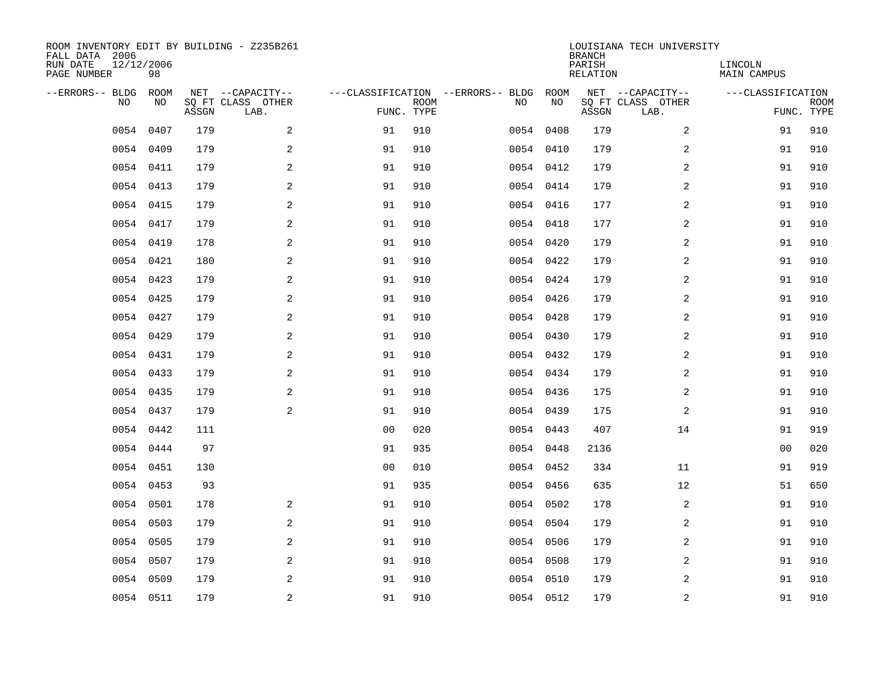| ROOM INVENTORY EDIT BY BUILDING - Z235B261<br>FALL DATA 2006<br>RUN DATE<br>PAGE NUMBER | 12/12/2006<br>98 |       |                                               |                |             |                                         |            | <b>BRANCH</b><br>PARISH<br><b>RELATION</b> | LOUISIANA TECH UNIVERSITY                     | LINCOLN<br><b>MAIN CAMPUS</b> |                           |
|-----------------------------------------------------------------------------------------|------------------|-------|-----------------------------------------------|----------------|-------------|-----------------------------------------|------------|--------------------------------------------|-----------------------------------------------|-------------------------------|---------------------------|
| --ERRORS-- BLDG<br>NO                                                                   | ROOM<br>NO       | ASSGN | NET --CAPACITY--<br>SQ FT CLASS OTHER<br>LAB. | FUNC. TYPE     | <b>ROOM</b> | ---CLASSIFICATION --ERRORS-- BLDG<br>NO | ROOM<br>NO | ASSGN                                      | NET --CAPACITY--<br>SQ FT CLASS OTHER<br>LAB. | ---CLASSIFICATION             | <b>ROOM</b><br>FUNC. TYPE |
| 0054                                                                                    | 0407             | 179   | 2                                             | 91             | 910         |                                         | 0054 0408  | 179                                        | $\overline{a}$                                | 91                            | 910                       |
| 0054                                                                                    | 0409             | 179   | 2                                             | 91             | 910         |                                         | 0054 0410  | 179                                        | 2                                             | 91                            | 910                       |
|                                                                                         | 0054 0411        | 179   | 2                                             | 91             | 910         |                                         | 0054 0412  | 179                                        | 2                                             | 91                            | 910                       |
|                                                                                         | 0054 0413        | 179   | $\mathbf{2}$                                  | 91             | 910         |                                         | 0054 0414  | 179                                        | 2                                             | 91                            | 910                       |
| 0054                                                                                    | 0415             | 179   | 2                                             | 91             | 910         |                                         | 0054 0416  | 177                                        | $\overline{a}$                                | 91                            | 910                       |
|                                                                                         | 0054 0417        | 179   | 2                                             | 91             | 910         |                                         | 0054 0418  | 177                                        | $\overline{a}$                                | 91                            | 910                       |
|                                                                                         | 0054 0419        | 178   | $\mathbf{2}$                                  | 91             | 910         |                                         | 0054 0420  | 179                                        | 2                                             | 91                            | 910                       |
|                                                                                         | 0054 0421        | 180   | 2                                             | 91             | 910         |                                         | 0054 0422  | 179                                        | 2                                             | 91                            | 910                       |
|                                                                                         | 0054 0423        | 179   | 2                                             | 91             | 910         |                                         | 0054 0424  | 179                                        | 2                                             | 91                            | 910                       |
|                                                                                         | 0054 0425        | 179   | 2                                             | 91             | 910         |                                         | 0054 0426  | 179                                        | 2                                             | 91                            | 910                       |
|                                                                                         | 0054 0427        | 179   | 2                                             | 91             | 910         |                                         | 0054 0428  | 179                                        | 2                                             | 91                            | 910                       |
|                                                                                         | 0054 0429        | 179   | 2                                             | 91             | 910         |                                         | 0054 0430  | 179                                        | 2                                             | 91                            | 910                       |
|                                                                                         | 0054 0431        | 179   | 2                                             | 91             | 910         |                                         | 0054 0432  | 179                                        | 2                                             | 91                            | 910                       |
|                                                                                         | 0054 0433        | 179   | $\mathbf{2}$                                  | 91             | 910         |                                         | 0054 0434  | 179                                        | 2                                             | 91                            | 910                       |
| 0054                                                                                    | 0435             | 179   | 2                                             | 91             | 910         |                                         | 0054 0436  | 175                                        | 2                                             | 91                            | 910                       |
|                                                                                         | 0054 0437        | 179   | 2                                             | 91             | 910         |                                         | 0054 0439  | 175                                        | 2                                             | 91                            | 910                       |
| 0054                                                                                    | 0442             | 111   |                                               | 0 <sub>0</sub> | 020         |                                         | 0054 0443  | 407                                        | 14                                            | 91                            | 919                       |
| 0054                                                                                    | 0444             | 97    |                                               | 91             | 935         |                                         | 0054 0448  | 2136                                       |                                               | 0 <sub>0</sub>                | 020                       |
|                                                                                         | 0054 0451        | 130   |                                               | 0 <sub>0</sub> | 010         |                                         | 0054 0452  | 334                                        | 11                                            | 91                            | 919                       |
|                                                                                         | 0054 0453        | 93    |                                               | 91             | 935         |                                         | 0054 0456  | 635                                        | 12                                            | 51                            | 650                       |
|                                                                                         | 0054 0501        | 178   | 2                                             | 91             | 910         |                                         | 0054 0502  | 178                                        | 2                                             | 91                            | 910                       |
| 0054                                                                                    | 0503             | 179   | 2                                             | 91             | 910         |                                         | 0054 0504  | 179                                        | 2                                             | 91                            | 910                       |
|                                                                                         | 0054 0505        | 179   | 2                                             | 91             | 910         |                                         | 0054 0506  | 179                                        | 2                                             | 91                            | 910                       |
| 0054                                                                                    | 0507             | 179   | 2                                             | 91             | 910         |                                         | 0054 0508  | 179                                        | 2                                             | 91                            | 910                       |
| 0054                                                                                    | 0509             | 179   | 2                                             | 91             | 910         |                                         | 0054 0510  | 179                                        | 2                                             | 91                            | 910                       |
|                                                                                         | 0054 0511        | 179   | $\overline{c}$                                | 91             | 910         |                                         | 0054 0512  | 179                                        | $\mathbf 2$                                   | 91                            | 910                       |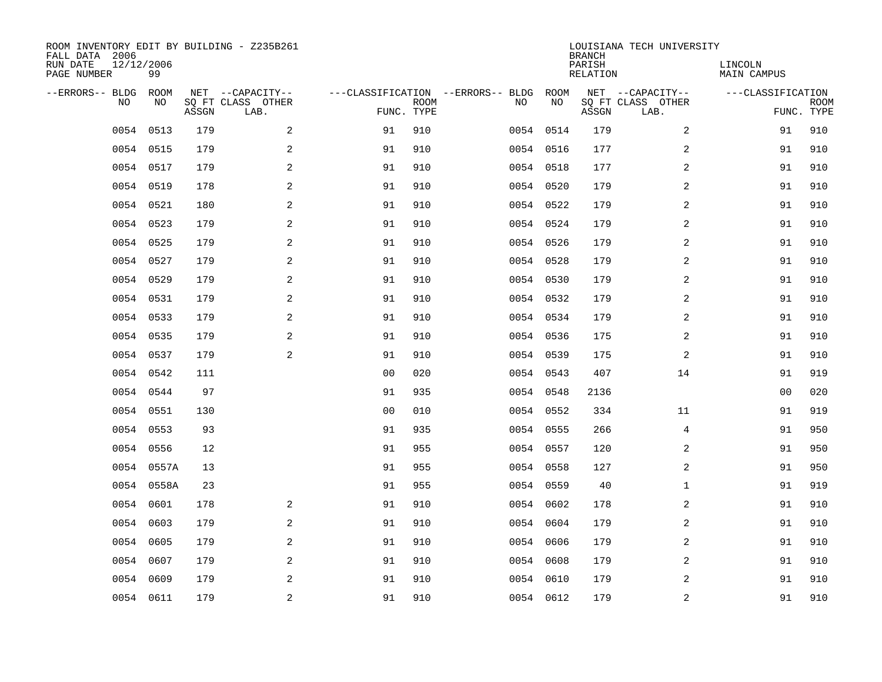| ROOM INVENTORY EDIT BY BUILDING - Z235B261<br>FALL DATA 2006<br>RUN DATE<br>PAGE NUMBER | 12/12/2006<br>99 |       |                                               |                |             |                                         |            | <b>BRANCH</b><br>PARISH<br><b>RELATION</b> | LOUISIANA TECH UNIVERSITY                     | LINCOLN<br><b>MAIN CAMPUS</b> |                           |
|-----------------------------------------------------------------------------------------|------------------|-------|-----------------------------------------------|----------------|-------------|-----------------------------------------|------------|--------------------------------------------|-----------------------------------------------|-------------------------------|---------------------------|
| --ERRORS-- BLDG<br>NO                                                                   | ROOM<br>NO       | ASSGN | NET --CAPACITY--<br>SQ FT CLASS OTHER<br>LAB. | FUNC. TYPE     | <b>ROOM</b> | ---CLASSIFICATION --ERRORS-- BLDG<br>NO | ROOM<br>NO | ASSGN                                      | NET --CAPACITY--<br>SQ FT CLASS OTHER<br>LAB. | ---CLASSIFICATION             | <b>ROOM</b><br>FUNC. TYPE |
| 0054                                                                                    | 0513             | 179   | 2                                             | 91             | 910         |                                         | 0054 0514  | 179                                        | 2                                             | 91                            | 910                       |
|                                                                                         | 0054 0515        | 179   | 2                                             | 91             | 910         |                                         | 0054 0516  | 177                                        | 2                                             | 91                            | 910                       |
|                                                                                         | 0054 0517        | 179   | 2                                             | 91             | 910         |                                         | 0054 0518  | 177                                        | 2                                             | 91                            | 910                       |
|                                                                                         | 0054 0519        | 178   | $\mathbf{2}$                                  | 91             | 910         |                                         | 0054 0520  | 179                                        | 2                                             | 91                            | 910                       |
| 0054                                                                                    | 0521             | 180   | 2                                             | 91             | 910         |                                         | 0054 0522  | 179                                        | $\overline{a}$                                | 91                            | 910                       |
|                                                                                         | 0054 0523        | 179   | 2                                             | 91             | 910         |                                         | 0054 0524  | 179                                        | $\overline{a}$                                | 91                            | 910                       |
|                                                                                         | 0054 0525        | 179   | $\mathbf{2}$                                  | 91             | 910         |                                         | 0054 0526  | 179                                        | $\overline{a}$                                | 91                            | 910                       |
|                                                                                         | 0054 0527        | 179   | 2                                             | 91             | 910         |                                         | 0054 0528  | 179                                        | 2                                             | 91                            | 910                       |
|                                                                                         | 0054 0529        | 179   | 2                                             | 91             | 910         |                                         | 0054 0530  | 179                                        | 2                                             | 91                            | 910                       |
|                                                                                         | 0054 0531        | 179   | 2                                             | 91             | 910         |                                         | 0054 0532  | 179                                        | 2                                             | 91                            | 910                       |
|                                                                                         | 0054 0533        | 179   | 2                                             | 91             | 910         |                                         | 0054 0534  | 179                                        | 2                                             | 91                            | 910                       |
|                                                                                         | 0054 0535        | 179   | 2                                             | 91             | 910         |                                         | 0054 0536  | 175                                        | 2                                             | 91                            | 910                       |
| 0054                                                                                    | 0537             | 179   | 2                                             | 91             | 910         |                                         | 0054 0539  | 175                                        | 2                                             | 91                            | 910                       |
|                                                                                         | 0054 0542        | 111   |                                               | 0 <sub>0</sub> | 020         |                                         | 0054 0543  | 407                                        | 14                                            | 91                            | 919                       |
| 0054                                                                                    | 0544             | 97    |                                               | 91             | 935         |                                         | 0054 0548  | 2136                                       |                                               | 00                            | 020                       |
| 0054                                                                                    | 0551             | 130   |                                               | 0 <sub>0</sub> | 010         |                                         | 0054 0552  | 334                                        | 11                                            | 91                            | 919                       |
| 0054                                                                                    | 0553             | 93    |                                               | 91             | 935         |                                         | 0054 0555  | 266                                        | 4                                             | 91                            | 950                       |
| 0054                                                                                    | 0556             | 12    |                                               | 91             | 955         |                                         | 0054 0557  | 120                                        | $\overline{a}$                                | 91                            | 950                       |
|                                                                                         | 0054 0557A       | 13    |                                               | 91             | 955         |                                         | 0054 0558  | 127                                        | 2                                             | 91                            | 950                       |
|                                                                                         | 0054 0558A       | 23    |                                               | 91             | 955         |                                         | 0054 0559  | 40                                         | $\mathbf{1}$                                  | 91                            | 919                       |
|                                                                                         | 0054 0601        | 178   | 2                                             | 91             | 910         |                                         | 0054 0602  | 178                                        | 2                                             | 91                            | 910                       |
| 0054                                                                                    | 0603             | 179   | 2                                             | 91             | 910         |                                         | 0054 0604  | 179                                        | 2                                             | 91                            | 910                       |
| 0054                                                                                    | 0605             | 179   | 2                                             | 91             | 910         |                                         | 0054 0606  | 179                                        | 2                                             | 91                            | 910                       |
| 0054                                                                                    | 0607             | 179   | 2                                             | 91             | 910         |                                         | 0054 0608  | 179                                        | 2                                             | 91                            | 910                       |
| 0054                                                                                    | 0609             | 179   | 2                                             | 91             | 910         |                                         | 0054 0610  | 179                                        | 2                                             | 91                            | 910                       |
|                                                                                         | 0054 0611        | 179   | $\overline{c}$                                | 91             | 910         |                                         | 0054 0612  | 179                                        | $\mathbf 2$                                   | 91                            | 910                       |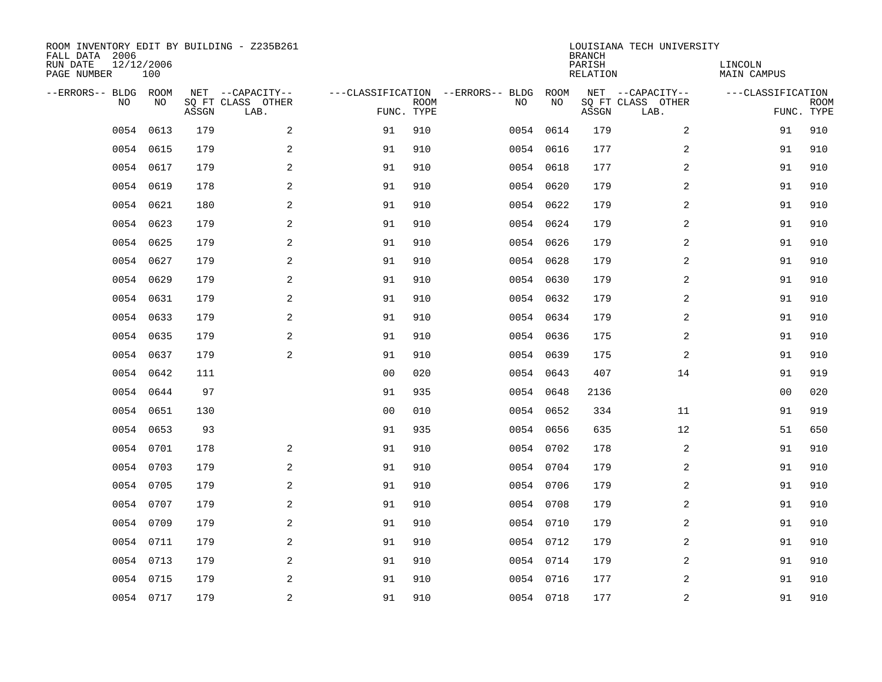| ROOM INVENTORY EDIT BY BUILDING - Z235B261<br>FALL DATA 2006<br>RUN DATE<br>PAGE NUMBER | 12/12/2006<br>100 |       |                                               |                |             |                                         |            | <b>BRANCH</b><br>PARISH<br><b>RELATION</b> | LOUISIANA TECH UNIVERSITY                     | LINCOLN<br><b>MAIN CAMPUS</b> |                           |
|-----------------------------------------------------------------------------------------|-------------------|-------|-----------------------------------------------|----------------|-------------|-----------------------------------------|------------|--------------------------------------------|-----------------------------------------------|-------------------------------|---------------------------|
| --ERRORS-- BLDG ROOM<br>NO                                                              | NO                | ASSGN | NET --CAPACITY--<br>SQ FT CLASS OTHER<br>LAB. | FUNC. TYPE     | <b>ROOM</b> | ---CLASSIFICATION --ERRORS-- BLDG<br>NO | ROOM<br>NO | ASSGN                                      | NET --CAPACITY--<br>SQ FT CLASS OTHER<br>LAB. | ---CLASSIFICATION             | <b>ROOM</b><br>FUNC. TYPE |
| 0054                                                                                    | 0613              | 179   | 2                                             | 91             | 910         |                                         | 0054 0614  | 179                                        | 2                                             | 91                            | 910                       |
| 0054                                                                                    | 0615              | 179   | 2                                             | 91             | 910         |                                         | 0054 0616  | 177                                        | 2                                             | 91                            | 910                       |
| 0054                                                                                    | 0617              | 179   | 2                                             | 91             | 910         |                                         | 0054 0618  | 177                                        | 2                                             | 91                            | 910                       |
| 0054                                                                                    | 0619              | 178   | $\overline{a}$                                | 91             | 910         |                                         | 0054 0620  | 179                                        | 2                                             | 91                            | 910                       |
| 0054                                                                                    | 0621              | 180   | 2                                             | 91             | 910         |                                         | 0054 0622  | 179                                        | $\overline{a}$                                | 91                            | 910                       |
|                                                                                         | 0054 0623         | 179   | 2                                             | 91             | 910         |                                         | 0054 0624  | 179                                        | $\overline{a}$                                | 91                            | 910                       |
|                                                                                         | 0054 0625         | 179   | $\overline{a}$                                | 91             | 910         |                                         | 0054 0626  | 179                                        | 2                                             | 91                            | 910                       |
|                                                                                         | 0054 0627         | 179   | 2                                             | 91             | 910         |                                         | 0054 0628  | 179                                        | 2                                             | 91                            | 910                       |
| 0054                                                                                    | 0629              | 179   | 2                                             | 91             | 910         |                                         | 0054 0630  | 179                                        | 2                                             | 91                            | 910                       |
|                                                                                         | 0054 0631         | 179   | 2                                             | 91             | 910         |                                         | 0054 0632  | 179                                        | 2                                             | 91                            | 910                       |
|                                                                                         | 0054 0633         | 179   | 2                                             | 91             | 910         |                                         | 0054 0634  | 179                                        | 2                                             | 91                            | 910                       |
|                                                                                         | 0054 0635         | 179   | 2                                             | 91             | 910         |                                         | 0054 0636  | 175                                        | 2                                             | 91                            | 910                       |
| 0054                                                                                    | 0637              | 179   | 2                                             | 91             | 910         |                                         | 0054 0639  | 175                                        | 2                                             | 91                            | 910                       |
| 0054                                                                                    | 0642              | 111   |                                               | 0 <sub>0</sub> | 020         |                                         | 0054 0643  | 407                                        | 14                                            | 91                            | 919                       |
| 0054                                                                                    | 0644              | 97    |                                               | 91             | 935         |                                         | 0054 0648  | 2136                                       |                                               | 00                            | 020                       |
| 0054                                                                                    | 0651              | 130   |                                               | 0 <sub>0</sub> | 010         |                                         | 0054 0652  | 334                                        | 11                                            | 91                            | 919                       |
| 0054                                                                                    | 0653              | 93    |                                               | 91             | 935         |                                         | 0054 0656  | 635                                        | 12                                            | 51                            | 650                       |
| 0054                                                                                    | 0701              | 178   | 2                                             | 91             | 910         |                                         | 0054 0702  | 178                                        | 2                                             | 91                            | 910                       |
| 0054                                                                                    | 0703              | 179   | 2                                             | 91             | 910         |                                         | 0054 0704  | 179                                        | 2                                             | 91                            | 910                       |
| 0054                                                                                    | 0705              | 179   | $\overline{a}$                                | 91             | 910         |                                         | 0054 0706  | 179                                        | 2                                             | 91                            | 910                       |
|                                                                                         | 0054 0707         | 179   | 2                                             | 91             | 910         |                                         | 0054 0708  | 179                                        | 2                                             | 91                            | 910                       |
|                                                                                         | 0054 0709         | 179   | 2                                             | 91             | 910         |                                         | 0054 0710  | 179                                        | 2                                             | 91                            | 910                       |
|                                                                                         | 0054 0711         | 179   | 2                                             | 91             | 910         |                                         | 0054 0712  | 179                                        | 2                                             | 91                            | 910                       |
|                                                                                         | 0054 0713         | 179   | 2                                             | 91             | 910         |                                         | 0054 0714  | 179                                        | 2                                             | 91                            | 910                       |
|                                                                                         | 0054 0715         | 179   | 2                                             | 91             | 910         |                                         | 0054 0716  | 177                                        | 2                                             | 91                            | 910                       |
|                                                                                         | 0054 0717         | 179   | $\overline{c}$                                | 91             | 910         |                                         | 0054 0718  | 177                                        | $\mathbf 2$                                   | 91                            | 910                       |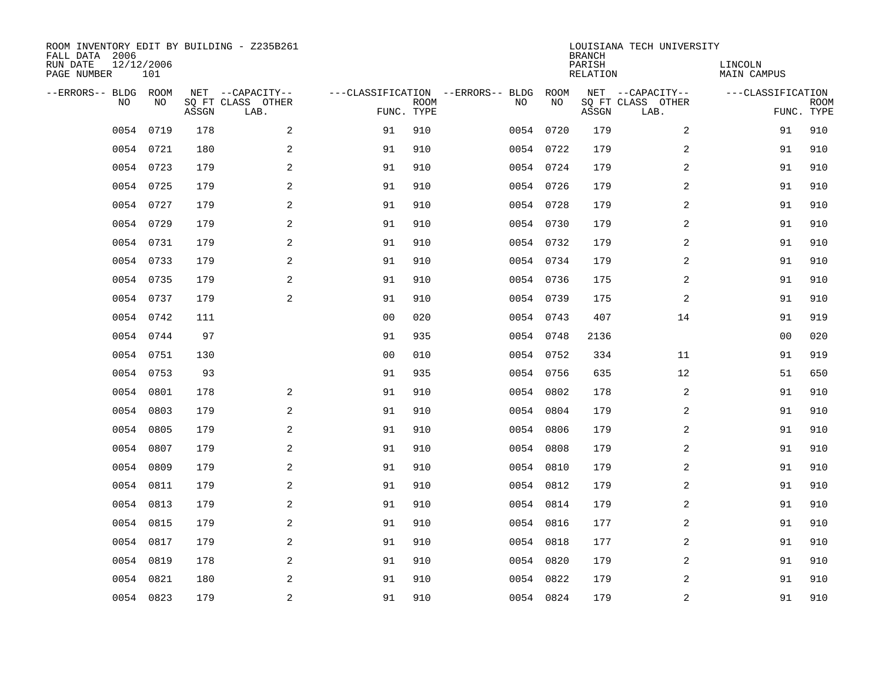| ROOM INVENTORY EDIT BY BUILDING - Z235B261<br>FALL DATA 2006<br>RUN DATE<br>PAGE NUMBER | 12/12/2006<br>101 |       |                                               |                |             |                                         |            | <b>BRANCH</b><br>PARISH<br><b>RELATION</b> | LOUISIANA TECH UNIVERSITY                     | LINCOLN<br><b>MAIN CAMPUS</b> |                           |
|-----------------------------------------------------------------------------------------|-------------------|-------|-----------------------------------------------|----------------|-------------|-----------------------------------------|------------|--------------------------------------------|-----------------------------------------------|-------------------------------|---------------------------|
| --ERRORS-- BLDG ROOM<br>NO                                                              | NO                | ASSGN | NET --CAPACITY--<br>SQ FT CLASS OTHER<br>LAB. | FUNC. TYPE     | <b>ROOM</b> | ---CLASSIFICATION --ERRORS-- BLDG<br>NO | ROOM<br>NO | ASSGN                                      | NET --CAPACITY--<br>SQ FT CLASS OTHER<br>LAB. | ---CLASSIFICATION             | <b>ROOM</b><br>FUNC. TYPE |
| 0054                                                                                    | 0719              | 178   | 2                                             | 91             | 910         |                                         | 0054 0720  | 179                                        | 2                                             | 91                            | 910                       |
|                                                                                         | 0054 0721         | 180   | 2                                             | 91             | 910         |                                         | 0054 0722  | 179                                        | 2                                             | 91                            | 910                       |
|                                                                                         | 0054 0723         | 179   | 2                                             | 91             | 910         |                                         | 0054 0724  | 179                                        | 2                                             | 91                            | 910                       |
|                                                                                         | 0054 0725         | 179   | $\mathbf{2}$                                  | 91             | 910         |                                         | 0054 0726  | 179                                        | 2                                             | 91                            | 910                       |
| 0054                                                                                    | 0727              | 179   | 2                                             | 91             | 910         |                                         | 0054 0728  | 179                                        | $\overline{a}$                                | 91                            | 910                       |
|                                                                                         | 0054 0729         | 179   | 2                                             | 91             | 910         |                                         | 0054 0730  | 179                                        | $\overline{a}$                                | 91                            | 910                       |
|                                                                                         | 0054 0731         | 179   | $\mathbf{2}$                                  | 91             | 910         |                                         | 0054 0732  | 179                                        | $\overline{a}$                                | 91                            | 910                       |
|                                                                                         | 0054 0733         | 179   | 2                                             | 91             | 910         |                                         | 0054 0734  | 179                                        | 2                                             | 91                            | 910                       |
|                                                                                         | 0054 0735         | 179   | 2                                             | 91             | 910         |                                         | 0054 0736  | 175                                        | 2                                             | 91                            | 910                       |
|                                                                                         | 0054 0737         | 179   | 2                                             | 91             | 910         |                                         | 0054 0739  | 175                                        | 2                                             | 91                            | 910                       |
|                                                                                         | 0054 0742         | 111   |                                               | 0 <sub>0</sub> | 020         |                                         | 0054 0743  | 407                                        | 14                                            | 91                            | 919                       |
|                                                                                         | 0054 0744         | 97    |                                               | 91             | 935         |                                         | 0054 0748  | 2136                                       |                                               | 0 <sub>0</sub>                | 020                       |
| 0054                                                                                    | 0751              | 130   |                                               | 0 <sub>0</sub> | 010         |                                         | 0054 0752  | 334                                        | 11                                            | 91                            | 919                       |
|                                                                                         | 0054 0753         | 93    |                                               | 91             | 935         |                                         | 0054 0756  | 635                                        | 12                                            | 51                            | 650                       |
| 0054                                                                                    | 0801              | 178   | 2                                             | 91             | 910         | 0054                                    | 0802       | 178                                        | 2                                             | 91                            | 910                       |
| 0054                                                                                    | 0803              | 179   | 2                                             | 91             | 910         |                                         | 0054 0804  | 179                                        | 2                                             | 91                            | 910                       |
| 0054                                                                                    | 0805              | 179   | 2                                             | 91             | 910         | 0054                                    | 0806       | 179                                        | 2                                             | 91                            | 910                       |
| 0054                                                                                    | 0807              | 179   | 2                                             | 91             | 910         |                                         | 0054 0808  | 179                                        | $\overline{a}$                                | 91                            | 910                       |
| 0054                                                                                    | 0809              | 179   | 2                                             | 91             | 910         |                                         | 0054 0810  | 179                                        | 2                                             | 91                            | 910                       |
| 0054                                                                                    | 0811              | 179   | $\overline{a}$                                | 91             | 910         |                                         | 0054 0812  | 179                                        | 2                                             | 91                            | 910                       |
| 0054                                                                                    | 0813              | 179   | 2                                             | 91             | 910         |                                         | 0054 0814  | 179                                        | 2                                             | 91                            | 910                       |
| 0054                                                                                    | 0815              | 179   | 2                                             | 91             | 910         |                                         | 0054 0816  | 177                                        | 2                                             | 91                            | 910                       |
|                                                                                         | 0054 0817         | 179   | 2                                             | 91             | 910         |                                         | 0054 0818  | 177                                        | 2                                             | 91                            | 910                       |
| 0054                                                                                    | 0819              | 178   | 2                                             | 91             | 910         |                                         | 0054 0820  | 179                                        | 2                                             | 91                            | 910                       |
| 0054                                                                                    | 0821              | 180   | 2                                             | 91             | 910         |                                         | 0054 0822  | 179                                        | 2                                             | 91                            | 910                       |
|                                                                                         | 0054 0823         | 179   | $\overline{c}$                                | 91             | 910         |                                         | 0054 0824  | 179                                        | $\overline{\mathbf{c}}$                       | 91                            | 910                       |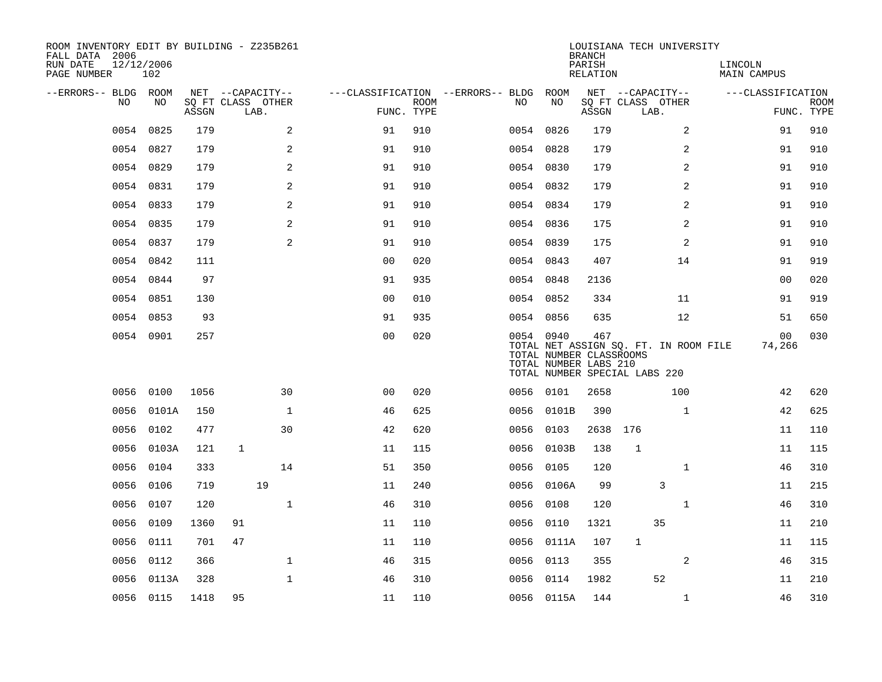| ROOM INVENTORY EDIT BY BUILDING - Z235B261<br>FALL DATA 2006<br>RUN DATE<br>PAGE NUMBER | 12/12/2006<br>102 |       |                   |      |              |                                        |                           |      |                                                               | <b>BRANCH</b><br>PARISH<br>RELATION | LOUISIANA TECH UNIVERSITY                                              |                | LINCOLN<br>MAIN CAMPUS |                |             |
|-----------------------------------------------------------------------------------------|-------------------|-------|-------------------|------|--------------|----------------------------------------|---------------------------|------|---------------------------------------------------------------|-------------------------------------|------------------------------------------------------------------------|----------------|------------------------|----------------|-------------|
| --ERRORS-- BLDG ROOM                                                                    |                   |       | NET --CAPACITY--  |      |              | ---CLASSIFICATION --ERRORS-- BLDG ROOM |                           |      |                                                               |                                     | NET --CAPACITY--                                                       |                | ---CLASSIFICATION      |                |             |
| NO.                                                                                     | NO                | ASSGN | SQ FT CLASS OTHER | LAB. |              |                                        | <b>ROOM</b><br>FUNC. TYPE | NO.  | NO                                                            | ASSGN                               | SQ FT CLASS OTHER<br>LAB.                                              |                |                        | FUNC. TYPE     | <b>ROOM</b> |
| 0054                                                                                    | 0825              | 179   |                   |      | 2            | 91                                     | 910                       |      | 0054 0826                                                     | 179                                 |                                                                        | 2              |                        | 91             | 910         |
|                                                                                         | 0054 0827         | 179   |                   |      | 2            | 91                                     | 910                       |      | 0054 0828                                                     | 179                                 |                                                                        | 2              |                        | 91             | 910         |
|                                                                                         | 0054 0829         | 179   |                   |      | 2            | 91                                     | 910                       |      | 0054 0830                                                     | 179                                 |                                                                        | 2              |                        | 91             | 910         |
|                                                                                         | 0054 0831         | 179   |                   |      | 2            | 91                                     | 910                       |      | 0054 0832                                                     | 179                                 |                                                                        | 2              |                        | 91             | 910         |
|                                                                                         | 0054 0833         | 179   |                   |      | 2            | 91                                     | 910                       |      | 0054 0834                                                     | 179                                 |                                                                        | 2              |                        | 91             | 910         |
|                                                                                         | 0054 0835         | 179   |                   |      | 2            | 91                                     | 910                       |      | 0054 0836                                                     | 175                                 |                                                                        | 2              |                        | 91             | 910         |
|                                                                                         | 0054 0837         | 179   |                   |      | 2            | 91                                     | 910                       |      | 0054 0839                                                     | 175                                 |                                                                        | $\overline{a}$ |                        | 91             | 910         |
|                                                                                         | 0054 0842         | 111   |                   |      |              | 0 <sub>0</sub>                         | 020                       |      | 0054 0843                                                     | 407                                 |                                                                        | 14             |                        | 91             | 919         |
| 0054                                                                                    | 0844              | 97    |                   |      |              | 91                                     | 935                       |      | 0054 0848                                                     | 2136                                |                                                                        |                |                        | 0 <sub>0</sub> | 020         |
|                                                                                         | 0054 0851         | 130   |                   |      |              | 0 <sub>0</sub>                         | 010                       |      | 0054 0852                                                     | 334                                 |                                                                        | 11             |                        | 91             | 919         |
|                                                                                         | 0054 0853         | 93    |                   |      |              | 91                                     | 935                       |      | 0054 0856                                                     | 635                                 |                                                                        | 12             |                        | 51             | 650         |
|                                                                                         | 0054 0901         | 257   |                   |      |              | 0 <sub>0</sub>                         | 020                       |      | 0054 0940<br>TOTAL NUMBER CLASSROOMS<br>TOTAL NUMBER LABS 210 | 467                                 | TOTAL NET ASSIGN SQ. FT. IN ROOM FILE<br>TOTAL NUMBER SPECIAL LABS 220 |                |                        | 00<br>74,266   | 030         |
|                                                                                         | 0056 0100         | 1056  |                   |      | 30           | 0 <sup>0</sup>                         | 020                       |      | 0056 0101                                                     | 2658                                |                                                                        | 100            |                        | 42             | 620         |
|                                                                                         | 0056 0101A        | 150   |                   |      | $\mathbf{1}$ | 46                                     | 625                       |      | 0056 0101B                                                    | 390                                 |                                                                        | $\mathbf{1}$   |                        | 42             | 625         |
| 0056                                                                                    | 0102              | 477   |                   |      | 30           | 42                                     | 620                       | 0056 | 0103                                                          | 2638                                | 176                                                                    |                |                        | 11             | 110         |
| 0056                                                                                    | 0103A             | 121   | $\mathbf{1}$      |      |              | 11                                     | 115                       |      | 0056 0103B                                                    | 138                                 | $\mathbf 1$                                                            |                |                        | 11             | 115         |
| 0056                                                                                    | 0104              | 333   |                   |      | 14           | 51                                     | 350                       | 0056 | 0105                                                          | 120                                 |                                                                        | $\mathbf{1}$   |                        | 46             | 310         |
| 0056                                                                                    | 0106              | 719   |                   | 19   |              | 11                                     | 240                       |      | 0056 0106A                                                    | 99                                  |                                                                        | 3              |                        | 11             | 215         |
| 0056                                                                                    | 0107              | 120   |                   |      | $\mathbf{1}$ | 46                                     | 310                       | 0056 | 0108                                                          | 120                                 |                                                                        | $\mathbf{1}$   |                        | 46             | 310         |
| 0056                                                                                    | 0109              | 1360  | 91                |      |              | 11                                     | 110                       | 0056 | 0110                                                          | 1321                                | 35                                                                     |                |                        | 11             | 210         |
|                                                                                         | 0056 0111         | 701   | 47                |      |              | 11                                     | 110                       |      | 0056 0111A                                                    | 107                                 | 1                                                                      |                |                        | 11             | 115         |
| 0056                                                                                    | 0112              | 366   |                   |      | $\mathbf 1$  | 46                                     | 315                       |      | 0056 0113                                                     | 355                                 |                                                                        | 2              |                        | 46             | 315         |
|                                                                                         | 0056 0113A        | 328   |                   |      | $\mathbf{1}$ | 46                                     | 310                       |      | 0056 0114                                                     | 1982                                | 52                                                                     |                |                        | 11             | 210         |
|                                                                                         | 0056 0115         | 1418  | 95                |      |              | 11                                     | 110                       |      | 0056 0115A                                                    | 144                                 |                                                                        | $\mathbf{1}$   |                        | 46             | 310         |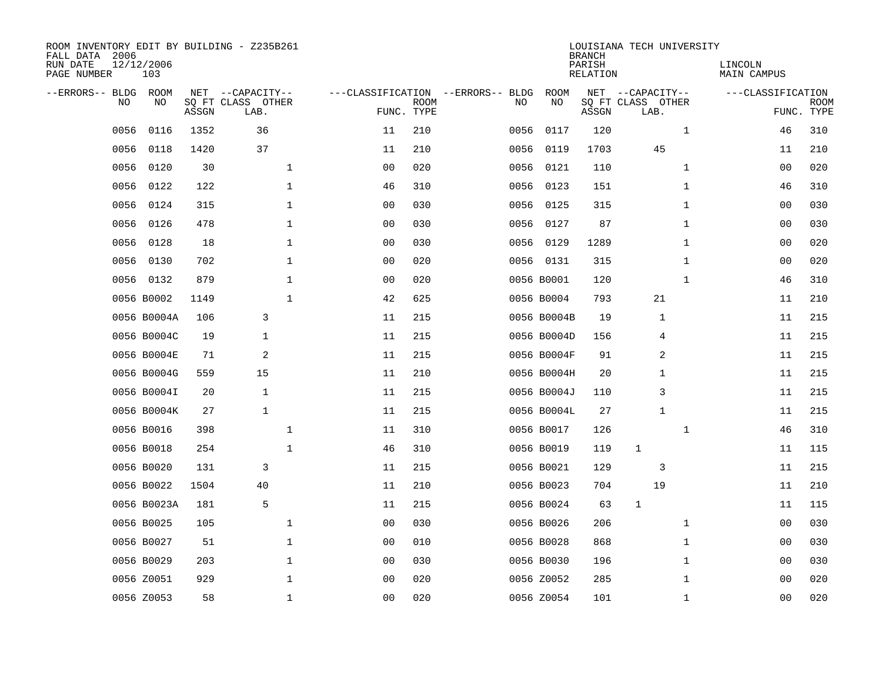| ROOM INVENTORY EDIT BY BUILDING - Z235B261<br>FALL DATA 2006<br>RUN DATE<br>PAGE NUMBER | 12/12/2006<br>103 |       |                           |                |                           |                                   |             | <b>BRANCH</b><br>PARISH<br><b>RELATION</b> | LOUISIANA TECH UNIVERSITY | LINCOLN<br>MAIN CAMPUS |                           |
|-----------------------------------------------------------------------------------------|-------------------|-------|---------------------------|----------------|---------------------------|-----------------------------------|-------------|--------------------------------------------|---------------------------|------------------------|---------------------------|
| --ERRORS-- BLDG ROOM                                                                    |                   |       | NET --CAPACITY--          |                |                           | ---CLASSIFICATION --ERRORS-- BLDG | <b>ROOM</b> |                                            | NET --CAPACITY--          | ---CLASSIFICATION      |                           |
| NO                                                                                      | NO                | ASSGN | SQ FT CLASS OTHER<br>LAB. |                | <b>ROOM</b><br>FUNC. TYPE | NO                                | NO          | ASSGN                                      | SQ FT CLASS OTHER<br>LAB. |                        | <b>ROOM</b><br>FUNC. TYPE |
| 0056                                                                                    | 0116              | 1352  | 36                        | 11             | 210                       | 0056                              | 0117        | 120                                        | $\mathbf{1}$              | 46                     | 310                       |
| 0056                                                                                    | 0118              | 1420  | 37                        | 11             | 210                       | 0056                              | 0119        | 1703                                       | 45                        | 11                     | 210                       |
| 0056                                                                                    | 0120              | 30    | $\mathbf 1$               | 00             | 020                       | 0056                              | 0121        | 110                                        | $\mathbf{1}$              | 00                     | 020                       |
| 0056                                                                                    | 0122              | 122   | $\mathbf{1}$              | 46             | 310                       |                                   | 0056 0123   | 151                                        | $\mathbf{1}$              | 46                     | 310                       |
| 0056                                                                                    | 0124              | 315   | $\mathbf 1$               | 0 <sub>0</sub> | 030                       | 0056                              | 0125        | 315                                        | $\mathbf{1}$              | 00                     | 030                       |
| 0056                                                                                    | 0126              | 478   | $\mathbf{1}$              | 0 <sub>0</sub> | 030                       |                                   | 0056 0127   | 87                                         | $\mathbf{1}$              | 0 <sub>0</sub>         | 030                       |
| 0056                                                                                    | 0128              | 18    | $\mathbf 1$               | 0 <sub>0</sub> | 030                       |                                   | 0056 0129   | 1289                                       | $\mathbf{1}$              | 00                     | 020                       |
|                                                                                         | 0056 0130         | 702   | $\mathbf 1$               | 0 <sub>0</sub> | 020                       |                                   | 0056 0131   | 315                                        | $\mathbf{1}$              | 00                     | 020                       |
|                                                                                         | 0056 0132         | 879   | $\mathbf 1$               | 00             | 020                       |                                   | 0056 B0001  | 120                                        | $\mathbf{1}$              | 46                     | 310                       |
|                                                                                         | 0056 B0002        | 1149  | $\mathbf 1$               | 42             | 625                       |                                   | 0056 B0004  | 793                                        | 21                        | 11                     | 210                       |
|                                                                                         | 0056 B0004A       | 106   | 3                         | 11             | 215                       |                                   | 0056 B0004B | 19                                         | 1                         | 11                     | 215                       |
|                                                                                         | 0056 B0004C       | 19    | $\mathbf{1}$              | 11             | 215                       |                                   | 0056 B0004D | 156                                        | 4                         | 11                     | 215                       |
|                                                                                         | 0056 B0004E       | 71    | $\overline{2}$            | 11             | 215                       |                                   | 0056 B0004F | 91                                         | 2                         | 11                     | 215                       |
|                                                                                         | 0056 B0004G       | 559   | 15                        | 11             | 210                       |                                   | 0056 B0004H | 20                                         | 1                         | 11                     | 215                       |
|                                                                                         | 0056 B0004I       | 20    | $\mathbf{1}$              | 11             | 215                       |                                   | 0056 B0004J | 110                                        | 3                         | 11                     | 215                       |
|                                                                                         | 0056 B0004K       | 27    | $\mathbf{1}$              | 11             | 215                       |                                   | 0056 B0004L | 27                                         | 1                         | 11                     | 215                       |
|                                                                                         | 0056 B0016        | 398   | $\mathbf 1$               | 11             | 310                       |                                   | 0056 B0017  | 126                                        | $\mathbf{1}$              | 46                     | 310                       |
|                                                                                         | 0056 B0018        | 254   | $\mathbf 1$               | 46             | 310                       |                                   | 0056 B0019  | 119                                        | $\mathbf{1}$              | 11                     | 115                       |
|                                                                                         | 0056 B0020        | 131   | 3                         | 11             | 215                       |                                   | 0056 B0021  | 129                                        | 3                         | 11                     | 215                       |
|                                                                                         | 0056 B0022        | 1504  | 40                        | 11             | 210                       |                                   | 0056 B0023  | 704                                        | 19                        | 11                     | 210                       |
|                                                                                         | 0056 B0023A       | 181   | 5                         | 11             | 215                       |                                   | 0056 B0024  | 63                                         | $\mathbf 1$               | 11                     | 115                       |
|                                                                                         | 0056 B0025        | 105   | $\mathbf 1$               | 0 <sub>0</sub> | 030                       |                                   | 0056 B0026  | 206                                        | $\mathbf{1}$              | 00                     | 030                       |
|                                                                                         | 0056 B0027        | 51    | $\mathbf{1}$              | 0 <sub>0</sub> | 010                       |                                   | 0056 B0028  | 868                                        | $\mathbf{1}$              | 0 <sub>0</sub>         | 030                       |
|                                                                                         | 0056 B0029        | 203   | $\mathbf 1$               | 00             | 030                       |                                   | 0056 B0030  | 196                                        | $\mathbf{1}$              | 00                     | 030                       |
|                                                                                         | 0056 Z0051        | 929   | $\mathbf 1$               | 0 <sub>0</sub> | 020                       |                                   | 0056 Z0052  | 285                                        | $\mathbf{1}$              | 00                     | 020                       |
|                                                                                         | 0056 Z0053        | 58    | $\mathbf 1$               | 00             | 020                       |                                   | 0056 Z0054  | 101                                        | $\mathbf{1}$              | 00                     | 020                       |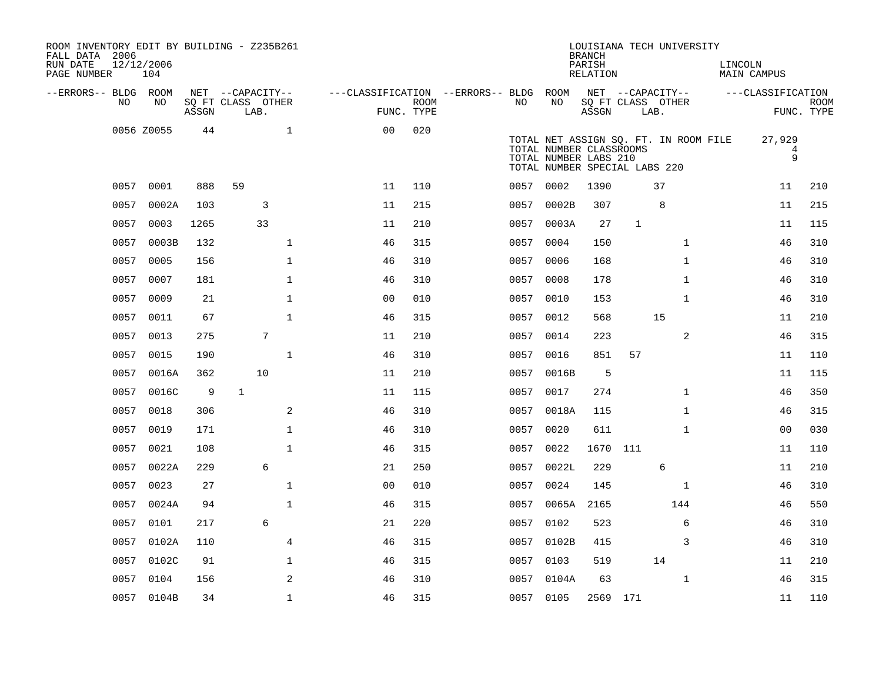| ROOM INVENTORY EDIT BY BUILDING - Z235B261<br>FALL DATA 2006<br>RUN DATE<br>PAGE NUMBER | 12/12/2006<br>104 |       |                           |                                        |                    |           |                                                                                   | <b>BRANCH</b><br>PARISH<br>RELATION |             | LOUISIANA TECH UNIVERSITY             | LINCOLN | MAIN CAMPUS       |                           |
|-----------------------------------------------------------------------------------------|-------------------|-------|---------------------------|----------------------------------------|--------------------|-----------|-----------------------------------------------------------------------------------|-------------------------------------|-------------|---------------------------------------|---------|-------------------|---------------------------|
| --ERRORS-- BLDG ROOM                                                                    |                   |       | NET --CAPACITY--          | ---CLASSIFICATION --ERRORS-- BLDG ROOM |                    |           |                                                                                   |                                     |             | NET --CAPACITY--                      |         | ---CLASSIFICATION |                           |
| NO.                                                                                     | NO.               | ASSGN | SO FT CLASS OTHER<br>LAB. |                                        | ROOM<br>FUNC. TYPE | NO.       | NO                                                                                | ASSGN                               | LAB.        | SO FT CLASS OTHER                     |         |                   | <b>ROOM</b><br>FUNC. TYPE |
|                                                                                         | 0056 Z0055        | 44    | $\mathbf{1}$              | 0 <sub>0</sub>                         | 020                |           | TOTAL NUMBER CLASSROOMS<br>TOTAL NUMBER LABS 210<br>TOTAL NUMBER SPECIAL LABS 220 |                                     |             | TOTAL NET ASSIGN SQ. FT. IN ROOM FILE |         | 27,929<br>4<br>9  |                           |
| 0057                                                                                    | 0001              | 888   | 59                        | 11                                     | 110                | 0057 0002 |                                                                                   | 1390                                |             | 37                                    |         | 11                | 210                       |
| 0057                                                                                    | 0002A             | 103   | 3                         | 11                                     | 215                | 0057      | 0002B                                                                             | 307                                 |             | 8                                     |         | 11                | 215                       |
| 0057                                                                                    | 0003              | 1265  | 33                        | 11                                     | 210                | 0057      | 0003A                                                                             | 27                                  | $\mathbf 1$ |                                       |         | 11                | 115                       |
| 0057                                                                                    | 0003B             | 132   | $\mathbf{1}$              | 46                                     | 315                | 0057      | 0004                                                                              | 150                                 |             | $\mathbf{1}$                          |         | 46                | 310                       |
| 0057                                                                                    | 0005              | 156   | $\mathbf{1}$              | 46                                     | 310                | 0057      | 0006                                                                              | 168                                 |             | $\mathbf{1}$                          |         | 46                | 310                       |
| 0057                                                                                    | 0007              | 181   | $\mathbf{1}$              | 46                                     | 310                | 0057      | 0008                                                                              | 178                                 |             | $\mathbf{1}$                          |         | 46                | 310                       |
|                                                                                         | 0057 0009         | 21    | $\mathbf 1$               | 0 <sub>0</sub>                         | 010                |           | 0057 0010                                                                         | 153                                 |             | $\mathbf{1}$                          |         | 46                | 310                       |
| 0057                                                                                    | 0011              | 67    | $\mathbf 1$               | 46                                     | 315                | 0057      | 0012                                                                              | 568                                 |             | 15                                    |         | 11                | 210                       |
|                                                                                         | 0057 0013         | 275   | 7                         | 11                                     | 210                |           | 0057 0014                                                                         | 223                                 |             | 2                                     |         | 46                | 315                       |
| 0057                                                                                    | 0015              | 190   | $\mathbf{1}$              | 46                                     | 310                | 0057      | 0016                                                                              | 851                                 | 57          |                                       |         | 11                | 110                       |
| 0057                                                                                    | 0016A             | 362   | 10                        | 11                                     | 210                |           | 0057 0016B                                                                        | 5                                   |             |                                       |         | 11                | 115                       |
| 0057                                                                                    | 0016C             | 9     | 1                         | 11                                     | 115                | 0057      | 0017                                                                              | 274                                 |             | $\mathbf{1}$                          |         | 46                | 350                       |
| 0057                                                                                    | 0018              | 306   | 2                         | 46                                     | 310                | 0057      | 0018A                                                                             | 115                                 |             | $\mathbf{1}$                          |         | 46                | 315                       |
| 0057                                                                                    | 0019              | 171   | $\mathbf{1}$              | 46                                     | 310                | 0057      | 0020                                                                              | 611                                 |             | $\mathbf{1}$                          |         | 00                | 030                       |
| 0057                                                                                    | 0021              | 108   | $\mathbf{1}$              | 46                                     | 315                | 0057      | 0022                                                                              | 1670                                | 111         |                                       |         | 11                | 110                       |
|                                                                                         | 0057 0022A        | 229   | 6                         | 21                                     | 250                | 0057      | 0022L                                                                             | 229                                 |             | 6                                     |         | 11                | 210                       |
| 0057                                                                                    | 0023              | 27    | $\mathbf{1}$              | 0 <sub>0</sub>                         | 010                | 0057      | 0024                                                                              | 145                                 |             | $\mathbf{1}$                          |         | 46                | 310                       |
|                                                                                         | 0057 0024A        | 94    | $\mathbf{1}$              | 46                                     | 315                |           | 0057 0065A                                                                        | 2165                                |             | 144                                   |         | 46                | 550                       |
| 0057                                                                                    | 0101              | 217   | 6                         | 21                                     | 220                | 0057      | 0102                                                                              | 523                                 |             | 6                                     |         | 46                | 310                       |
| 0057                                                                                    | 0102A             | 110   | $\overline{4}$            | 46                                     | 315                |           | 0057 0102B                                                                        | 415                                 |             | 3                                     |         | 46                | 310                       |
| 0057                                                                                    | 0102C             | 91    | $\mathbf 1$               | 46                                     | 315                | 0057      | 0103                                                                              | 519                                 |             | 14                                    |         | 11                | 210                       |
| 0057                                                                                    | 0104              | 156   | 2                         | 46                                     | 310                |           | 0057 0104A                                                                        | 63                                  |             | $\mathbf{1}$                          |         | 46                | 315                       |
|                                                                                         | 0057 0104B        | 34    | $\mathbf{1}$              | 46                                     | 315                | 0057 0105 |                                                                                   | 2569 171                            |             |                                       |         | 11                | 110                       |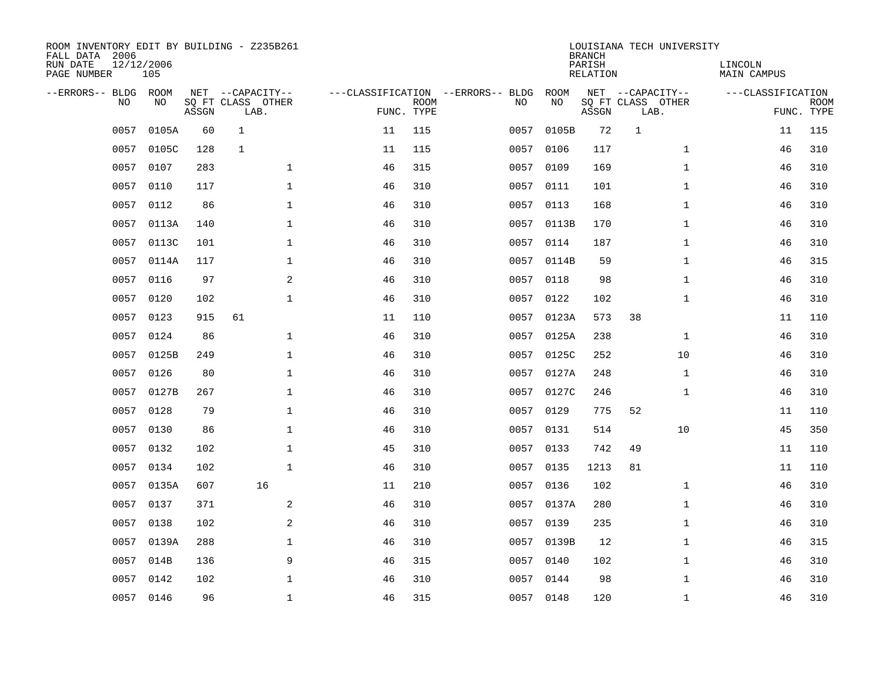| ROOM INVENTORY EDIT BY BUILDING - Z235B261<br>FALL DATA 2006<br>RUN DATE<br>PAGE NUMBER | 12/12/2006<br>105 |       |                                               |    |                           |                                         |            | <b>BRANCH</b><br>PARISH<br><b>RELATION</b> | LOUISIANA TECH UNIVERSITY                     | LINCOLN<br><b>MAIN CAMPUS</b> |                           |
|-----------------------------------------------------------------------------------------|-------------------|-------|-----------------------------------------------|----|---------------------------|-----------------------------------------|------------|--------------------------------------------|-----------------------------------------------|-------------------------------|---------------------------|
| --ERRORS-- BLDG ROOM<br>NO                                                              | NO                | ASSGN | NET --CAPACITY--<br>SQ FT CLASS OTHER<br>LAB. |    | <b>ROOM</b><br>FUNC. TYPE | ---CLASSIFICATION --ERRORS-- BLDG<br>NO | ROOM<br>NO | ASSGN                                      | NET --CAPACITY--<br>SQ FT CLASS OTHER<br>LAB. | ---CLASSIFICATION             | <b>ROOM</b><br>FUNC. TYPE |
| 0057                                                                                    | 0105A             | 60    | $\mathbf{1}$                                  | 11 | 115                       | 0057                                    | 0105B      | 72                                         | $\mathbf{1}$                                  | 11                            | 115                       |
| 0057                                                                                    | 0105C             | 128   | $\mathbf{1}$                                  | 11 | 115                       | 0057                                    | 0106       | 117                                        | $\mathbf{1}$                                  | 46                            | 310                       |
| 0057                                                                                    | 0107              | 283   | $\mathbf 1$                                   | 46 | 315                       | 0057                                    | 0109       | 169                                        | $\mathbf{1}$                                  | 46                            | 310                       |
| 0057                                                                                    | 0110              | 117   | $\mathbf 1$                                   | 46 | 310                       |                                         | 0057 0111  | 101                                        | $\mathbf{1}$                                  | 46                            | 310                       |
| 0057                                                                                    | 0112              | 86    | $\mathbf{1}$                                  | 46 | 310                       | 0057                                    | 0113       | 168                                        | $\mathbf{1}$                                  | 46                            | 310                       |
| 0057                                                                                    | 0113A             | 140   | $\mathbf{1}$                                  | 46 | 310                       |                                         | 0057 0113B | 170                                        | $\mathbf{1}$                                  | 46                            | 310                       |
| 0057                                                                                    | 0113C             | 101   | $\mathbf{1}$                                  | 46 | 310                       | 0057                                    | 0114       | 187                                        | $\mathbf{1}$                                  | 46                            | 310                       |
| 0057                                                                                    | 0114A             | 117   | $\mathbf 1$                                   | 46 | 310                       |                                         | 0057 0114B | 59                                         | $\mathbf{1}$                                  | 46                            | 315                       |
| 0057                                                                                    | 0116              | 97    | 2                                             | 46 | 310                       | 0057                                    | 0118       | 98                                         | $\mathbf{1}$                                  | 46                            | 310                       |
|                                                                                         | 0057 0120         | 102   | $\mathbf{1}$                                  | 46 | 310                       |                                         | 0057 0122  | 102                                        | $\mathbf{1}$                                  | 46                            | 310                       |
| 0057                                                                                    | 0123              | 915   | 61                                            | 11 | 110                       | 0057                                    | 0123A      | 573                                        | 38                                            | 11                            | 110                       |
|                                                                                         | 0057 0124         | 86    | $\mathbf{1}$                                  | 46 | 310                       |                                         | 0057 0125A | 238                                        | $\mathbf{1}$                                  | 46                            | 310                       |
| 0057                                                                                    | 0125B             | 249   | $\mathbf 1$                                   | 46 | 310                       | 0057                                    | 0125C      | 252                                        | 10                                            | 46                            | 310                       |
| 0057                                                                                    | 0126              | 80    | $\mathbf 1$                                   | 46 | 310                       | 0057                                    | 0127A      | 248                                        | $\mathbf{1}$                                  | 46                            | 310                       |
| 0057                                                                                    | 0127B             | 267   | $\mathbf 1$                                   | 46 | 310                       | 0057                                    | 0127C      | 246                                        | $\mathbf{1}$                                  | 46                            | 310                       |
| 0057                                                                                    | 0128              | 79    | $\mathbf{1}$                                  | 46 | 310                       | 0057                                    | 0129       | 775                                        | 52                                            | 11                            | 110                       |
| 0057                                                                                    | 0130              | 86    | $\mathbf{1}$                                  | 46 | 310                       | 0057                                    | 0131       | 514                                        | 10                                            | 45                            | 350                       |
| 0057                                                                                    | 0132              | 102   | $\mathbf{1}$                                  | 45 | 310                       | 0057                                    | 0133       | 742                                        | 49                                            | 11                            | 110                       |
| 0057                                                                                    | 0134              | 102   | $\mathbf{1}$                                  | 46 | 310                       |                                         | 0057 0135  | 1213                                       | 81                                            | 11                            | 110                       |
| 0057                                                                                    | 0135A             | 607   | 16                                            | 11 | 210                       | 0057                                    | 0136       | 102                                        | $\mathbf{1}$                                  | 46                            | 310                       |
| 0057                                                                                    | 0137              | 371   | 2                                             | 46 | 310                       |                                         | 0057 0137A | 280                                        | $\mathbf{1}$                                  | 46                            | 310                       |
| 0057                                                                                    | 0138              | 102   | 2                                             | 46 | 310                       | 0057                                    | 0139       | 235                                        | $\mathbf{1}$                                  | 46                            | 310                       |
| 0057                                                                                    | 0139A             | 288   | $\mathbf 1$                                   | 46 | 310                       |                                         | 0057 0139B | 12                                         | $\mathbf{1}$                                  | 46                            | 315                       |
| 0057                                                                                    | 014B              | 136   | 9                                             | 46 | 315                       | 0057                                    | 0140       | 102                                        | $\mathbf{1}$                                  | 46                            | 310                       |
| 0057                                                                                    | 0142              | 102   | $\mathbf 1$                                   | 46 | 310                       |                                         | 0057 0144  | 98                                         | $\mathbf{1}$                                  | 46                            | 310                       |
|                                                                                         | 0057 0146         | 96    | $\mathbf{1}$                                  | 46 | 315                       |                                         | 0057 0148  | 120                                        | $\mathbf{1}$                                  | 46                            | 310                       |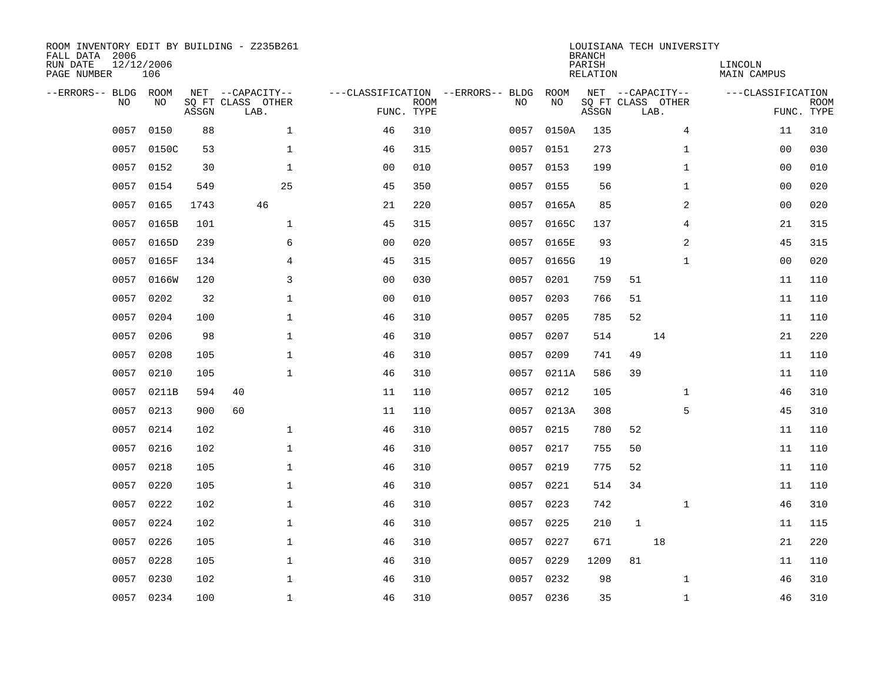| ROOM INVENTORY EDIT BY BUILDING - Z235B261<br>FALL DATA 2006<br>RUN DATE<br>PAGE NUMBER | 12/12/2006<br>106 |       |                                               |                |                           |                                         |            | <b>BRANCH</b><br>PARISH<br><b>RELATION</b> |              | LOUISIANA TECH UNIVERSITY                     | LINCOLN<br><b>MAIN CAMPUS</b> |                           |
|-----------------------------------------------------------------------------------------|-------------------|-------|-----------------------------------------------|----------------|---------------------------|-----------------------------------------|------------|--------------------------------------------|--------------|-----------------------------------------------|-------------------------------|---------------------------|
| --ERRORS-- BLDG ROOM<br>NO                                                              | NO                | ASSGN | NET --CAPACITY--<br>SQ FT CLASS OTHER<br>LAB. |                | <b>ROOM</b><br>FUNC. TYPE | ---CLASSIFICATION --ERRORS-- BLDG<br>NO | ROOM<br>NO | ASSGN                                      |              | NET --CAPACITY--<br>SQ FT CLASS OTHER<br>LAB. | ---CLASSIFICATION             | <b>ROOM</b><br>FUNC. TYPE |
| 0057                                                                                    | 0150              | 88    | $\mathbf 1$                                   | 46             | 310                       | 0057                                    | 0150A      | 135                                        |              | 4                                             | 11                            | 310                       |
| 0057                                                                                    | 0150C             | 53    | 1                                             | 46             | 315                       |                                         | 0057 0151  | 273                                        |              | $\mathbf{1}$                                  | 00                            | 030                       |
| 0057                                                                                    | 0152              | 30    | $\mathbf 1$                                   | 0 <sub>0</sub> | 010                       | 0057                                    | 0153       | 199                                        |              | $\mathbf{1}$                                  | 00                            | 010                       |
| 0057                                                                                    | 0154              | 549   | 25                                            | 45             | 350                       |                                         | 0057 0155  | 56                                         |              | $\mathbf{1}$                                  | 00                            | 020                       |
| 0057                                                                                    | 0165              | 1743  | 46                                            | 21             | 220                       | 0057                                    | 0165A      | 85                                         |              | $\overline{a}$                                | 0 <sub>0</sub>                | 020                       |
| 0057                                                                                    | 0165B             | 101   | $\mathbf 1$                                   | 45             | 315                       |                                         | 0057 0165C | 137                                        |              | 4                                             | 21                            | 315                       |
| 0057                                                                                    | 0165D             | 239   | 6                                             | 0 <sub>0</sub> | 020                       | 0057                                    | 0165E      | 93                                         |              | 2                                             | 45                            | 315                       |
| 0057                                                                                    | 0165F             | 134   | $\overline{4}$                                | 45             | 315                       |                                         | 0057 0165G | 19                                         |              | $\mathbf{1}$                                  | 0 <sub>0</sub>                | 020                       |
| 0057                                                                                    | 0166W             | 120   | $\overline{3}$                                | 0 <sub>0</sub> | 030                       | 0057                                    | 0201       | 759                                        | 51           |                                               | 11                            | 110                       |
|                                                                                         | 0057 0202         | 32    | $\mathbf 1$                                   | 0 <sub>0</sub> | 010                       |                                         | 0057 0203  | 766                                        | 51           |                                               | 11                            | 110                       |
| 0057                                                                                    | 0204              | 100   | $\mathbf 1$                                   | 46             | 310                       | 0057                                    | 0205       | 785                                        | 52           |                                               | 11                            | 110                       |
|                                                                                         | 0057 0206         | 98    | $\mathbf 1$                                   | 46             | 310                       |                                         | 0057 0207  | 514                                        |              | 14                                            | 21                            | 220                       |
| 0057                                                                                    | 0208              | 105   | $\mathbf{1}$                                  | 46             | 310                       | 0057                                    | 0209       | 741                                        | 49           |                                               | 11                            | 110                       |
| 0057                                                                                    | 0210              | 105   | $\mathbf 1$                                   | 46             | 310                       |                                         | 0057 0211A | 586                                        | 39           |                                               | 11                            | 110                       |
| 0057                                                                                    | 0211B             | 594   | 40                                            | 11             | 110                       | 0057                                    | 0212       | 105                                        |              | $\mathbf{1}$                                  | 46                            | 310                       |
| 0057                                                                                    | 0213              | 900   | 60                                            | 11             | 110                       |                                         | 0057 0213A | 308                                        |              | 5                                             | 45                            | 310                       |
| 0057                                                                                    | 0214              | 102   | $\mathbf{1}$                                  | 46             | 310                       | 0057                                    | 0215       | 780                                        | 52           |                                               | 11                            | 110                       |
| 0057                                                                                    | 0216              | 102   | $\mathbf 1$                                   | 46             | 310                       | 0057                                    | 0217       | 755                                        | 50           |                                               | 11                            | 110                       |
| 0057                                                                                    | 0218              | 105   | $\mathbf 1$                                   | 46             | 310                       | 0057                                    | 0219       | 775                                        | 52           |                                               | 11                            | 110                       |
| 0057                                                                                    | 0220              | 105   | $\mathbf 1$                                   | 46             | 310                       | 0057                                    | 0221       | 514                                        | 34           |                                               | 11                            | 110                       |
| 0057                                                                                    | 0222              | 102   | $\mathbf{1}$                                  | 46             | 310                       | 0057                                    | 0223       | 742                                        |              | $\mathbf{1}$                                  | 46                            | 310                       |
| 0057                                                                                    | 0224              | 102   | $\mathbf{1}$                                  | 46             | 310                       | 0057                                    | 0225       | 210                                        | $\mathbf{1}$ |                                               | 11                            | 115                       |
| 0057                                                                                    | 0226              | 105   | $\mathbf{1}$                                  | 46             | 310                       | 0057                                    | 0227       | 671                                        |              | 18                                            | 21                            | 220                       |
| 0057                                                                                    | 0228              | 105   | $\mathbf 1$                                   | 46             | 310                       | 0057                                    | 0229       | 1209                                       | 81           |                                               | 11                            | 110                       |
| 0057                                                                                    | 0230              | 102   | $\mathbf{1}$                                  | 46             | 310                       | 0057                                    | 0232       | 98                                         |              | $\mathbf{1}$                                  | 46                            | 310                       |
|                                                                                         | 0057 0234         | 100   | $\mathbf 1$                                   | 46             | 310                       |                                         | 0057 0236  | 35                                         |              | $\mathbf{1}$                                  | 46                            | 310                       |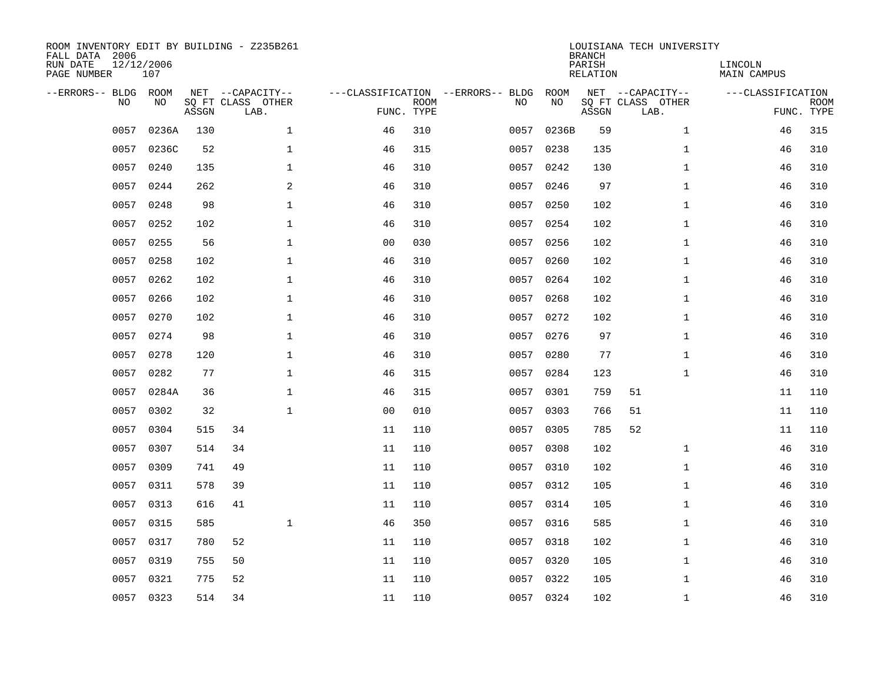| ROOM INVENTORY EDIT BY BUILDING - Z235B261<br>FALL DATA 2006<br>RUN DATE<br>PAGE NUMBER | 12/12/2006<br>107 |       |                                       |                |             |                                         |            | <b>BRANCH</b><br>PARISH<br><b>RELATION</b> | LOUISIANA TECH UNIVERSITY             | LINCOLN<br><b>MAIN CAMPUS</b> |             |
|-----------------------------------------------------------------------------------------|-------------------|-------|---------------------------------------|----------------|-------------|-----------------------------------------|------------|--------------------------------------------|---------------------------------------|-------------------------------|-------------|
| --ERRORS-- BLDG ROOM<br>NO                                                              | NO                |       | NET --CAPACITY--<br>SQ FT CLASS OTHER |                | <b>ROOM</b> | ---CLASSIFICATION --ERRORS-- BLDG<br>NO | ROOM<br>NO |                                            | NET --CAPACITY--<br>SQ FT CLASS OTHER | ---CLASSIFICATION             | <b>ROOM</b> |
|                                                                                         |                   | ASSGN | LAB.                                  |                | FUNC. TYPE  |                                         |            | ASSGN                                      | LAB.                                  |                               | FUNC. TYPE  |
| 0057                                                                                    | 0236A             | 130   | $\mathbf{1}$                          | 46             | 310         | 0057                                    | 0236B      | 59                                         | $\mathbf{1}$                          | 46                            | 315         |
| 0057                                                                                    | 0236C             | 52    | $\mathbf 1$                           | 46             | 315         | 0057                                    | 0238       | 135                                        | $\mathbf{1}$                          | 46                            | 310         |
| 0057                                                                                    | 0240              | 135   | $\mathbf 1$                           | 46             | 310         | 0057                                    | 0242       | 130                                        | $\mathbf{1}$                          | 46                            | 310         |
| 0057                                                                                    | 0244              | 262   | $\mathbf{2}$                          | 46             | 310         | 0057                                    | 0246       | 97                                         | $\mathbf{1}$                          | 46                            | 310         |
| 0057                                                                                    | 0248              | 98    | $\mathbf{1}$                          | 46             | 310         | 0057                                    | 0250       | 102                                        | $\mathbf{1}$                          | 46                            | 310         |
| 0057                                                                                    | 0252              | 102   | $\mathbf 1$                           | 46             | 310         |                                         | 0057 0254  | 102                                        | $\mathbf{1}$                          | 46                            | 310         |
| 0057                                                                                    | 0255              | 56    | $\mathbf{1}$                          | 0 <sub>0</sub> | 030         | 0057                                    | 0256       | 102                                        | $\mathbf{1}$                          | 46                            | 310         |
|                                                                                         | 0057 0258         | 102   | $\mathbf 1$                           | 46             | 310         |                                         | 0057 0260  | 102                                        | $\mathbf{1}$                          | 46                            | 310         |
| 0057                                                                                    | 0262              | 102   | $\mathbf{1}$                          | 46             | 310         | 0057                                    | 0264       | 102                                        | $\mathbf{1}$                          | 46                            | 310         |
|                                                                                         | 0057 0266         | 102   | $\mathbf 1$                           | 46             | 310         |                                         | 0057 0268  | 102                                        | $\mathbf{1}$                          | 46                            | 310         |
| 0057                                                                                    | 0270              | 102   | $\mathbf{1}$                          | 46             | 310         | 0057                                    | 0272       | 102                                        | $\mathbf{1}$                          | 46                            | 310         |
|                                                                                         | 0057 0274         | 98    | $\mathbf{1}$                          | 46             | 310         |                                         | 0057 0276  | 97                                         | $\mathbf{1}$                          | 46                            | 310         |
| 0057                                                                                    | 0278              | 120   | $\mathbf{1}$                          | 46             | 310         | 0057                                    | 0280       | 77                                         | $\mathbf{1}$                          | 46                            | 310         |
| 0057                                                                                    | 0282              | 77    | $\mathbf{1}$                          | 46             | 315         | 0057                                    | 0284       | 123                                        | $\mathbf{1}$                          | 46                            | 310         |
| 0057                                                                                    | 0284A             | 36    | 1                                     | 46             | 315         | 0057                                    | 0301       | 759                                        | 51                                    | 11                            | 110         |
| 0057                                                                                    | 0302              | 32    | $\mathbf 1$                           | 0 <sub>0</sub> | 010         |                                         | 0057 0303  | 766                                        | 51                                    | 11                            | 110         |
| 0057                                                                                    | 0304              | 515   | 34                                    | 11             | 110         | 0057                                    | 0305       | 785                                        | 52                                    | 11                            | 110         |
| 0057                                                                                    | 0307              | 514   | 34                                    | 11             | 110         | 0057                                    | 0308       | 102                                        | $\mathbf{1}$                          | 46                            | 310         |
| 0057                                                                                    | 0309              | 741   | 49                                    | 11             | 110         |                                         | 0057 0310  | 102                                        | $\mathbf{1}$                          | 46                            | 310         |
| 0057                                                                                    | 0311              | 578   | 39                                    | 11             | 110         | 0057                                    | 0312       | 105                                        | $\mathbf{1}$                          | 46                            | 310         |
| 0057                                                                                    | 0313              | 616   | 41                                    | 11             | 110         |                                         | 0057 0314  | 105                                        | $\mathbf{1}$                          | 46                            | 310         |
| 0057                                                                                    | 0315              | 585   | $\mathbf{1}$                          | 46             | 350         | 0057                                    | 0316       | 585                                        | $\mathbf{1}$                          | 46                            | 310         |
| 0057                                                                                    | 0317              | 780   | 52                                    | 11             | 110         |                                         | 0057 0318  | 102                                        | $\mathbf{1}$                          | 46                            | 310         |
| 0057                                                                                    | 0319              | 755   | 50                                    | 11             | 110         |                                         | 0057 0320  | 105                                        | $\mathbf{1}$                          | 46                            | 310         |
| 0057                                                                                    | 0321              | 775   | 52                                    | 11             | 110         |                                         | 0057 0322  | 105                                        | $\mathbf{1}$                          | 46                            | 310         |
|                                                                                         | 0057 0323         | 514   | 34                                    | 11             | 110         |                                         | 0057 0324  | 102                                        | $\mathbf{1}$                          | 46                            | 310         |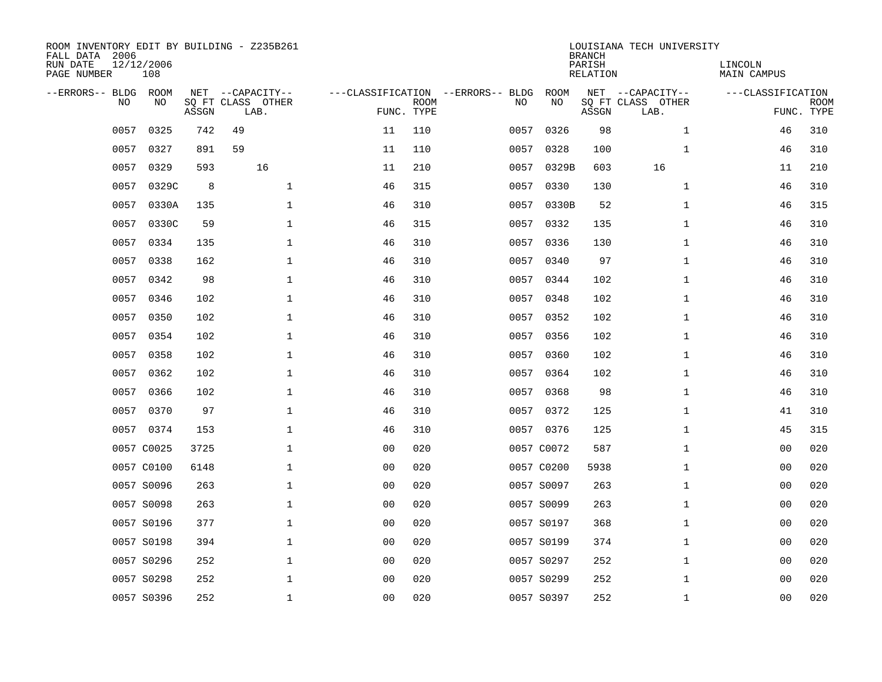| ROOM INVENTORY EDIT BY BUILDING - Z235B261<br>FALL DATA 2006<br>RUN DATE<br>PAGE NUMBER | 12/12/2006<br>108 |       |                                               |                |                           |                                         |            | <b>BRANCH</b><br>PARISH<br><b>RELATION</b> | LOUISIANA TECH UNIVERSITY                     | LINCOLN<br><b>MAIN CAMPUS</b> |                           |
|-----------------------------------------------------------------------------------------|-------------------|-------|-----------------------------------------------|----------------|---------------------------|-----------------------------------------|------------|--------------------------------------------|-----------------------------------------------|-------------------------------|---------------------------|
| --ERRORS-- BLDG ROOM<br>NO                                                              | NO                | ASSGN | NET --CAPACITY--<br>SQ FT CLASS OTHER<br>LAB. |                | <b>ROOM</b><br>FUNC. TYPE | ---CLASSIFICATION --ERRORS-- BLDG<br>NO | ROOM<br>NO | ASSGN                                      | NET --CAPACITY--<br>SQ FT CLASS OTHER<br>LAB. | ---CLASSIFICATION             | <b>ROOM</b><br>FUNC. TYPE |
| 0057                                                                                    | 0325              | 742   | 49                                            | 11             | 110                       | 0057                                    | 0326       | 98                                         | $\mathbf{1}$                                  | 46                            | 310                       |
| 0057                                                                                    | 0327              | 891   | 59                                            | 11             | 110                       | 0057                                    | 0328       | 100                                        | $\mathbf{1}$                                  | 46                            | 310                       |
| 0057                                                                                    | 0329              | 593   | 16                                            | 11             | 210                       | 0057                                    | 0329B      | 603                                        | 16                                            | 11                            | 210                       |
| 0057                                                                                    | 0329C             | 8     | $\mathbf 1$                                   | 46             | 315                       | 0057                                    | 0330       | 130                                        | $\mathbf{1}$                                  | 46                            | 310                       |
| 0057                                                                                    | 0330A             | 135   | $\mathbf{1}$                                  | 46             | 310                       | 0057                                    | 0330B      | 52                                         | $\mathbf{1}$                                  | 46                            | 315                       |
| 0057                                                                                    | 0330C             | 59    | $\mathbf{1}$                                  | 46             | 315                       |                                         | 0057 0332  | 135                                        | $\mathbf{1}$                                  | 46                            | 310                       |
| 0057                                                                                    | 0334              | 135   | $\mathbf 1$                                   | 46             | 310                       | 0057                                    | 0336       | 130                                        | $\mathbf{1}$                                  | 46                            | 310                       |
| 0057                                                                                    | 0338              | 162   | $\mathbf 1$                                   | 46             | 310                       |                                         | 0057 0340  | 97                                         | $\mathbf{1}$                                  | 46                            | 310                       |
| 0057                                                                                    | 0342              | 98    | $\mathbf 1$                                   | 46             | 310                       | 0057                                    | 0344       | 102                                        | $\mathbf{1}$                                  | 46                            | 310                       |
|                                                                                         | 0057 0346         | 102   | $\mathbf 1$                                   | 46             | 310                       |                                         | 0057 0348  | 102                                        | $\mathbf{1}$                                  | 46                            | 310                       |
| 0057                                                                                    | 0350              | 102   | $\mathbf 1$                                   | 46             | 310                       | 0057                                    | 0352       | 102                                        | $\mathbf{1}$                                  | 46                            | 310                       |
|                                                                                         | 0057 0354         | 102   | $\mathbf{1}$                                  | 46             | 310                       |                                         | 0057 0356  | 102                                        | $\mathbf{1}$                                  | 46                            | 310                       |
| 0057                                                                                    | 0358              | 102   | $\mathbf 1$                                   | 46             | 310                       | 0057                                    | 0360       | 102                                        | $\mathbf{1}$                                  | 46                            | 310                       |
| 0057                                                                                    | 0362              | 102   | $\mathbf 1$                                   | 46             | 310                       | 0057                                    | 0364       | 102                                        | $\mathbf{1}$                                  | 46                            | 310                       |
| 0057                                                                                    | 0366              | 102   | $\mathbf 1$                                   | 46             | 310                       | 0057                                    | 0368       | 98                                         | $\mathbf{1}$                                  | 46                            | 310                       |
| 0057                                                                                    | 0370              | 97    | $\mathbf{1}$                                  | 46             | 310                       |                                         | 0057 0372  | 125                                        | $\mathbf{1}$                                  | 41                            | 310                       |
|                                                                                         | 0057 0374         | 153   | $\mathbf 1$                                   | 46             | 310                       |                                         | 0057 0376  | 125                                        | $\mathbf{1}$                                  | 45                            | 315                       |
|                                                                                         | 0057 C0025        | 3725  | $\mathbf{1}$                                  | 0 <sub>0</sub> | 020                       |                                         | 0057 C0072 | 587                                        | $\mathbf{1}$                                  | 00                            | 020                       |
|                                                                                         | 0057 C0100        | 6148  | $\mathbf{1}$                                  | 0 <sub>0</sub> | 020                       |                                         | 0057 C0200 | 5938                                       | $\mathbf{1}$                                  | 0 <sub>0</sub>                | 020                       |
|                                                                                         | 0057 S0096        | 263   | $\mathbf 1$                                   | 0 <sub>0</sub> | 020                       |                                         | 0057 S0097 | 263                                        | $\mathbf{1}$                                  | 00                            | 020                       |
|                                                                                         | 0057 S0098        | 263   | 1                                             | 0 <sub>0</sub> | 020                       |                                         | 0057 S0099 | 263                                        | $\mathbf{1}$                                  | 00                            | 020                       |
|                                                                                         | 0057 S0196        | 377   | $\mathbf 1$                                   | 0 <sub>0</sub> | 020                       |                                         | 0057 S0197 | 368                                        | $\mathbf{1}$                                  | 00                            | 020                       |
|                                                                                         | 0057 S0198        | 394   | $\mathbf 1$                                   | 0 <sub>0</sub> | 020                       |                                         | 0057 S0199 | 374                                        | $\mathbf{1}$                                  | 00                            | 020                       |
|                                                                                         | 0057 S0296        | 252   | $\mathbf 1$                                   | 0 <sub>0</sub> | 020                       |                                         | 0057 S0297 | 252                                        | $\mathbf{1}$                                  | 00                            | 020                       |
|                                                                                         | 0057 S0298        | 252   | $\mathbf 1$                                   | 0 <sub>0</sub> | 020                       |                                         | 0057 S0299 | 252                                        | $\mathbf{1}$                                  | 00                            | 020                       |
|                                                                                         | 0057 S0396        | 252   | $\mathbf{1}$                                  | 0 <sub>0</sub> | 020                       |                                         | 0057 S0397 | 252                                        | $\mathbf{1}$                                  | 0 <sub>0</sub>                | 020                       |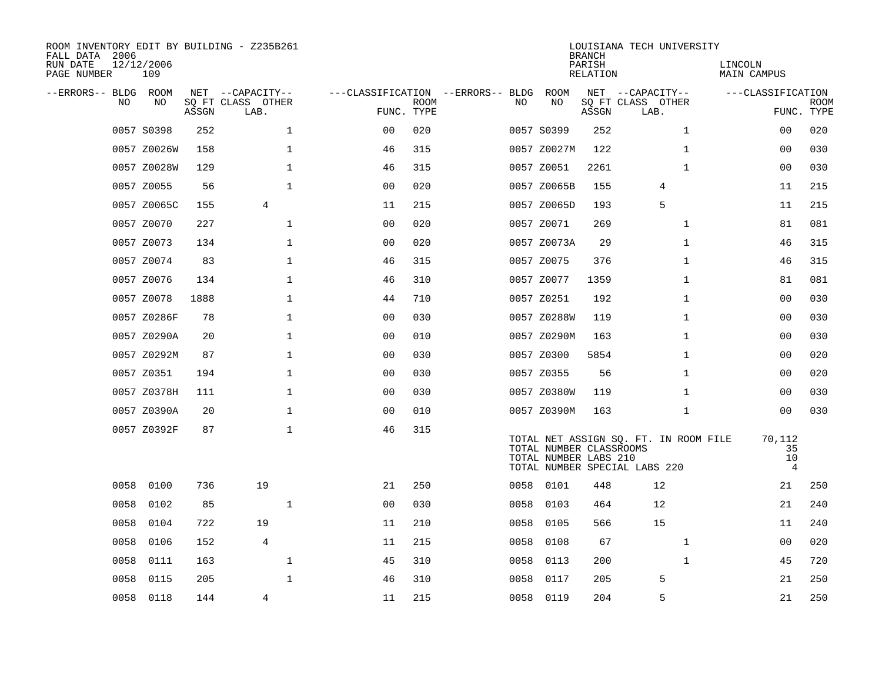| ROOM INVENTORY EDIT BY BUILDING - Z235B261<br>FALL DATA 2006<br>RUN DATE | 12/12/2006  |       |                           |                                        |             |      |                                                  | <b>BRANCH</b><br>PARISH | LOUISIANA TECH UNIVERSITY                                              | LINCOLN                              |                           |
|--------------------------------------------------------------------------|-------------|-------|---------------------------|----------------------------------------|-------------|------|--------------------------------------------------|-------------------------|------------------------------------------------------------------------|--------------------------------------|---------------------------|
| PAGE NUMBER                                                              | 109         |       |                           |                                        |             |      |                                                  | RELATION                |                                                                        | MAIN CAMPUS                          |                           |
| --ERRORS-- BLDG ROOM                                                     |             |       | NET --CAPACITY--          | ---CLASSIFICATION --ERRORS-- BLDG ROOM |             |      |                                                  |                         | NET --CAPACITY--                                                       | ---CLASSIFICATION                    |                           |
| NO.                                                                      | NO.         | ASSGN | SQ FT CLASS OTHER<br>LAB. | FUNC. TYPE                             | <b>ROOM</b> | NO.  | NO                                               | ASSGN                   | SQ FT CLASS OTHER<br>LAB.                                              |                                      | <b>ROOM</b><br>FUNC. TYPE |
|                                                                          | 0057 S0398  | 252   | $\mathbf{1}$              | 0 <sub>0</sub>                         | 020         |      | 0057 S0399                                       | 252                     | $\mathbf{1}$                                                           | 0 <sub>0</sub>                       | 020                       |
|                                                                          | 0057 Z0026W | 158   | $\mathbf{1}$              | 46                                     | 315         |      | 0057 Z0027M                                      | 122                     | $\mathbf{1}$                                                           | 00                                   | 030                       |
|                                                                          | 0057 Z0028W | 129   | $\mathbf{1}$              | 46                                     | 315         |      | 0057 Z0051                                       | 2261                    | $\mathbf{1}$                                                           | 0 <sub>0</sub>                       | 030                       |
|                                                                          | 0057 Z0055  | 56    | $\mathbf 1$               | 0 <sub>0</sub>                         | 020         |      | 0057 Z0065B                                      | 155                     | 4                                                                      | 11                                   | 215                       |
|                                                                          | 0057 Z0065C | 155   | 4                         | 11                                     | 215         |      | 0057 Z0065D                                      | 193                     | 5                                                                      | 11                                   | 215                       |
|                                                                          | 0057 Z0070  | 227   | $\mathbf 1$               | 0 <sub>0</sub>                         | 020         |      | 0057 Z0071                                       | 269                     | $\mathbf{1}$                                                           | 81                                   | 081                       |
|                                                                          | 0057 Z0073  | 134   | $\mathbf{1}$              | 00                                     | 020         |      | 0057 Z0073A                                      | 29                      | $\mathbf{1}$                                                           | 46                                   | 315                       |
|                                                                          | 0057 Z0074  | 83    | 1                         | 46                                     | 315         |      | 0057 Z0075                                       | 376                     | $\mathbf{1}$                                                           | 46                                   | 315                       |
|                                                                          | 0057 Z0076  | 134   | $\mathbf{1}$              | 46                                     | 310         |      | 0057 Z0077                                       | 1359                    | $\mathbf{1}$                                                           | 81                                   | 081                       |
|                                                                          | 0057 Z0078  | 1888  | $\mathbf{1}$              | 44                                     | 710         |      | 0057 Z0251                                       | 192                     | $\mathbf{1}$                                                           | 00                                   | 030                       |
|                                                                          | 0057 Z0286F | 78    | $\mathbf{1}$              | 0 <sub>0</sub>                         | 030         |      | 0057 Z0288W                                      | 119                     | $\mathbf{1}$                                                           | 0 <sub>0</sub>                       | 030                       |
|                                                                          | 0057 Z0290A | 20    | $\mathbf 1$               | 0 <sub>0</sub>                         | 010         |      | 0057 Z0290M                                      | 163                     | $\mathbf{1}$                                                           | 00                                   | 030                       |
|                                                                          | 0057 Z0292M | 87    | $\mathbf 1$               | 0 <sub>0</sub>                         | 030         |      | 0057 Z0300                                       | 5854                    | $\mathbf{1}$                                                           | 00                                   | 020                       |
|                                                                          | 0057 Z0351  | 194   | $\mathbf 1$               | 0 <sub>0</sub>                         | 030         |      | 0057 Z0355                                       | 56                      | $\mathbf{1}$                                                           | 00                                   | 020                       |
|                                                                          | 0057 Z0378H | 111   | $\mathbf 1$               | 0 <sub>0</sub>                         | 030         |      | 0057 Z0380W                                      | 119                     | $\mathbf{1}$                                                           | 0 <sub>0</sub>                       | 030                       |
|                                                                          | 0057 Z0390A | 20    | $\mathbf 1$               | 0 <sub>0</sub>                         | 010         |      | 0057 Z0390M                                      | 163                     | $\mathbf{1}$                                                           | 0 <sub>0</sub>                       | 030                       |
|                                                                          | 0057 Z0392F | 87    | $\mathbf 1$               | 46                                     | 315         |      | TOTAL NUMBER CLASSROOMS<br>TOTAL NUMBER LABS 210 |                         | TOTAL NET ASSIGN SQ. FT. IN ROOM FILE<br>TOTAL NUMBER SPECIAL LABS 220 | 70,112<br>35<br>10<br>$\overline{4}$ |                           |
| 0058                                                                     | 0100        | 736   | 19                        | 21                                     | 250         |      | 0058 0101                                        | 448                     | 12                                                                     | 21                                   | 250                       |
| 0058                                                                     | 0102        | 85    | $\mathbf{1}$              | 0 <sub>0</sub>                         | 030         | 0058 | 0103                                             | 464                     | 12                                                                     | 21                                   | 240                       |
| 0058                                                                     | 0104        | 722   | 19                        | 11                                     | 210         | 0058 | 0105                                             | 566                     | 15                                                                     | 11                                   | 240                       |
| 0058                                                                     | 0106        | 152   | $\overline{4}$            | 11                                     | 215         | 0058 | 0108                                             | 67                      | $\mathbf{1}$                                                           | 0 <sub>0</sub>                       | 020                       |
| 0058                                                                     | 0111        | 163   | $\mathbf 1$               | 45                                     | 310         | 0058 | 0113                                             | 200                     | $\mathbf{1}$                                                           | 45                                   | 720                       |
| 0058                                                                     | 0115        | 205   | $\mathbf{1}$              | 46                                     | 310         | 0058 | 0117                                             | 205                     | 5                                                                      | 21                                   | 250                       |
|                                                                          | 0058 0118   | 144   | 4                         | 11                                     | 215         |      | 0058 0119                                        | 204                     | 5                                                                      | 21                                   | 250                       |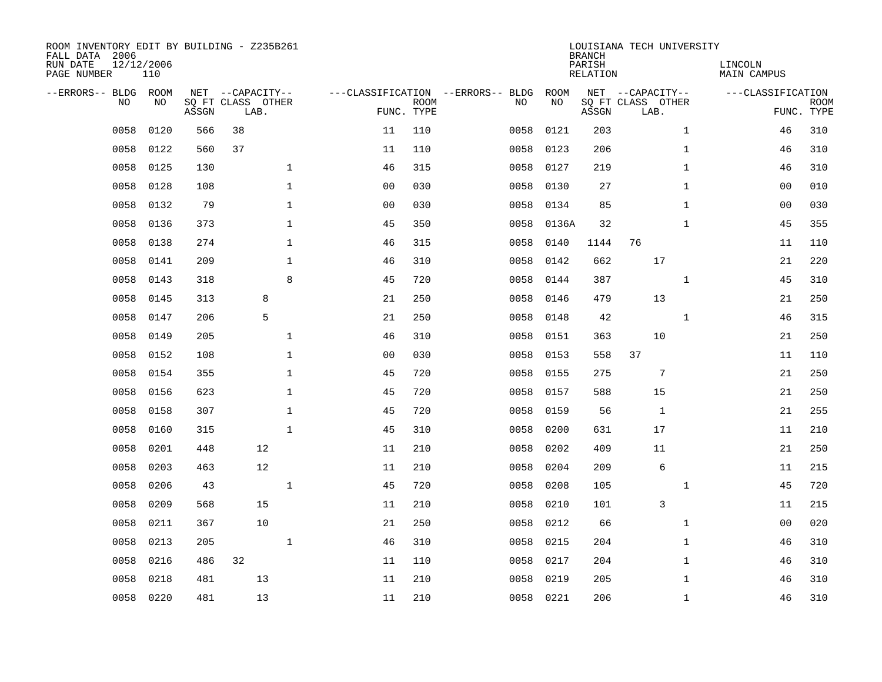| ROOM INVENTORY EDIT BY BUILDING - Z235B261<br>FALL DATA 2006<br>RUN DATE<br>PAGE NUMBER | 12/12/2006<br>110 |       |                                               |                |                           |                                         |            | <b>BRANCH</b><br>PARISH<br><b>RELATION</b> | LOUISIANA TECH UNIVERSITY                     |              | LINCOLN<br><b>MAIN CAMPUS</b> |                           |
|-----------------------------------------------------------------------------------------|-------------------|-------|-----------------------------------------------|----------------|---------------------------|-----------------------------------------|------------|--------------------------------------------|-----------------------------------------------|--------------|-------------------------------|---------------------------|
| --ERRORS-- BLDG ROOM<br>NO                                                              | NO                | ASSGN | NET --CAPACITY--<br>SQ FT CLASS OTHER<br>LAB. |                | <b>ROOM</b><br>FUNC. TYPE | ---CLASSIFICATION --ERRORS-- BLDG<br>NO | ROOM<br>NO | ASSGN                                      | NET --CAPACITY--<br>SQ FT CLASS OTHER<br>LAB. |              | ---CLASSIFICATION             | <b>ROOM</b><br>FUNC. TYPE |
| 0058                                                                                    | 0120              | 566   | 38                                            | 11             | 110                       | 0058                                    | 0121       | 203                                        |                                               | $\mathbf{1}$ | 46                            | 310                       |
| 0058                                                                                    | 0122              | 560   | 37                                            | 11             | 110                       | 0058                                    | 0123       | 206                                        |                                               | $\mathbf{1}$ | 46                            | 310                       |
| 0058                                                                                    | 0125              | 130   | $\mathbf 1$                                   | 46             | 315                       | 0058                                    | 0127       | 219                                        |                                               | $\mathbf{1}$ | 46                            | 310                       |
| 0058                                                                                    | 0128              | 108   | $\mathbf 1$                                   | 00             | 030                       | 0058                                    | 0130       | 27                                         |                                               | $\mathbf{1}$ | 00                            | 010                       |
| 0058                                                                                    | 0132              | 79    | $\mathbf 1$                                   | 00             | 030                       | 0058                                    | 0134       | 85                                         |                                               | $\mathbf{1}$ | 00                            | 030                       |
| 0058                                                                                    | 0136              | 373   | $\mathbf 1$                                   | 45             | 350                       | 0058                                    | 0136A      | 32                                         |                                               | $\mathbf{1}$ | 45                            | 355                       |
| 0058                                                                                    | 0138              | 274   | $\mathbf 1$                                   | 46             | 315                       | 0058                                    | 0140       | 1144                                       | 76                                            |              | 11                            | 110                       |
| 0058                                                                                    | 0141              | 209   | $\mathbf 1$                                   | 46             | 310                       | 0058                                    | 0142       | 662                                        | 17                                            |              | 21                            | 220                       |
| 0058                                                                                    | 0143              | 318   | 8                                             | 45             | 720                       | 0058                                    | 0144       | 387                                        |                                               | $\mathbf{1}$ | 45                            | 310                       |
| 0058                                                                                    | 0145              | 313   | 8                                             | 21             | 250                       | 0058                                    | 0146       | 479                                        | 13                                            |              | 21                            | 250                       |
| 0058                                                                                    | 0147              | 206   | 5                                             | 21             | 250                       | 0058                                    | 0148       | 42                                         |                                               | $\mathbf{1}$ | 46                            | 315                       |
| 0058                                                                                    | 0149              | 205   | $\mathbf{1}$                                  | 46             | 310                       | 0058                                    | 0151       | 363                                        | 10                                            |              | 21                            | 250                       |
| 0058                                                                                    | 0152              | 108   | $\mathbf{1}$                                  | 0 <sub>0</sub> | 030                       | 0058                                    | 0153       | 558                                        | 37                                            |              | 11                            | 110                       |
| 0058                                                                                    | 0154              | 355   | $\mathbf 1$                                   | 45             | 720                       | 0058                                    | 0155       | 275                                        | 7                                             |              | 21                            | 250                       |
| 0058                                                                                    | 0156              | 623   | $\mathbf 1$                                   | 45             | 720                       | 0058                                    | 0157       | 588                                        | 15                                            |              | 21                            | 250                       |
| 0058                                                                                    | 0158              | 307   | $\mathbf 1$                                   | 45             | 720                       | 0058                                    | 0159       | 56                                         | 1                                             |              | 21                            | 255                       |
| 0058                                                                                    | 0160              | 315   | $\mathbf{1}$                                  | 45             | 310                       | 0058                                    | 0200       | 631                                        | 17                                            |              | 11                            | 210                       |
| 0058                                                                                    | 0201              | 448   | 12                                            | 11             | 210                       | 0058                                    | 0202       | 409                                        | 11                                            |              | 21                            | 250                       |
| 0058                                                                                    | 0203              | 463   | 12                                            | 11             | 210                       | 0058                                    | 0204       | 209                                        | 6                                             |              | 11                            | 215                       |
| 0058                                                                                    | 0206              | 43    | $\mathbf{1}$                                  | 45             | 720                       | 0058                                    | 0208       | 105                                        |                                               | $\mathbf{1}$ | 45                            | 720                       |
| 0058                                                                                    | 0209              | 568   | 15                                            | 11             | 210                       | 0058                                    | 0210       | 101                                        | 3                                             |              | 11                            | 215                       |
| 0058                                                                                    | 0211              | 367   | 10                                            | 21             | 250                       | 0058                                    | 0212       | 66                                         |                                               | $\mathbf{1}$ | 0 <sub>0</sub>                | 020                       |
| 0058                                                                                    | 0213              | 205   | $\mathbf{1}$                                  | 46             | 310                       | 0058                                    | 0215       | 204                                        |                                               | $\mathbf{1}$ | 46                            | 310                       |
| 0058                                                                                    | 0216              | 486   | 32                                            | 11             | 110                       | 0058                                    | 0217       | 204                                        |                                               | $\mathbf{1}$ | 46                            | 310                       |
| 0058                                                                                    | 0218              | 481   | 13                                            | 11             | 210                       | 0058                                    | 0219       | 205                                        |                                               | $\mathbf{1}$ | 46                            | 310                       |
|                                                                                         | 0058 0220         | 481   | 13                                            | 11             | 210                       |                                         | 0058 0221  | 206                                        |                                               | $\mathbf{1}$ | 46                            | 310                       |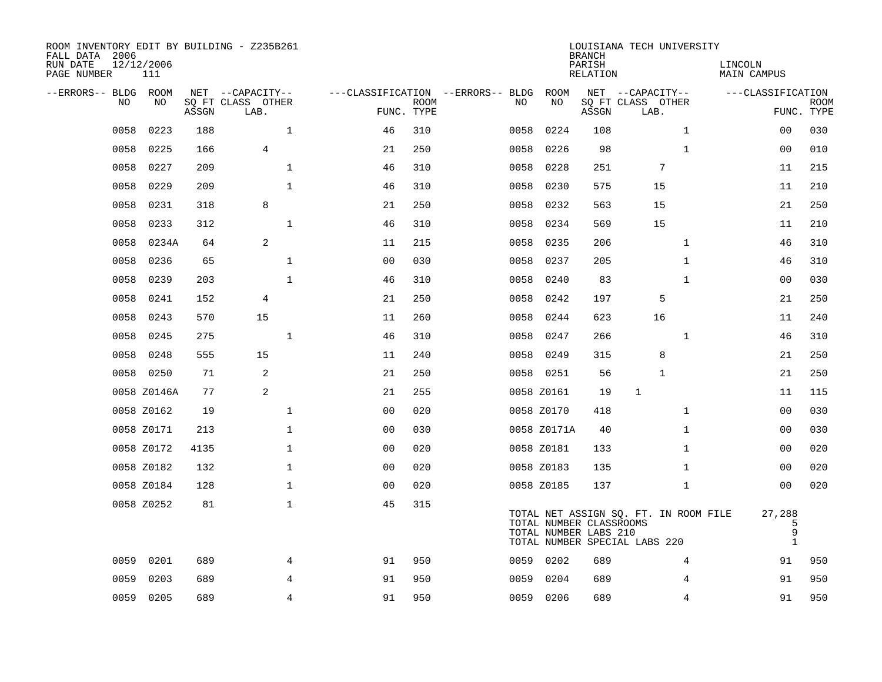| ROOM INVENTORY EDIT BY BUILDING - Z235B261<br>FALL DATA 2006<br>RUN DATE<br>PAGE NUMBER | 12/12/2006<br>111 |       |                                               |                |             |                                         |             | <b>BRANCH</b><br>PARISH<br><b>RELATION</b>       | LOUISIANA TECH UNIVERSITY                                              | LINCOLN<br><b>MAIN CAMPUS</b>    |                           |
|-----------------------------------------------------------------------------------------|-------------------|-------|-----------------------------------------------|----------------|-------------|-----------------------------------------|-------------|--------------------------------------------------|------------------------------------------------------------------------|----------------------------------|---------------------------|
| --ERRORS-- BLDG ROOM<br>NO                                                              | NO                | ASSGN | NET --CAPACITY--<br>SQ FT CLASS OTHER<br>LAB. | FUNC. TYPE     | <b>ROOM</b> | ---CLASSIFICATION --ERRORS-- BLDG<br>NO | ROOM<br>NO  | ASSGN                                            | NET --CAPACITY--<br>SQ FT CLASS OTHER<br>LAB.                          | ---CLASSIFICATION                | <b>ROOM</b><br>FUNC. TYPE |
| 0058                                                                                    | 0223              | 188   | $\mathbf{1}$                                  | 46             | 310         | 0058                                    | 0224        | 108                                              | $\mathbf{1}$                                                           | 0 <sub>0</sub>                   | 030                       |
| 0058                                                                                    | 0225              | 166   | $\overline{4}$                                | 21             | 250         | 0058                                    | 0226        | 98                                               | $\mathbf{1}$                                                           | 00                               | 010                       |
| 0058                                                                                    | 0227              | 209   | $\mathbf{1}$                                  | 46             | 310         | 0058                                    | 0228        | 251                                              | 7                                                                      | 11                               | 215                       |
| 0058                                                                                    | 0229              | 209   | $\mathbf{1}$                                  | 46             | 310         | 0058                                    | 0230        | 575                                              | 15                                                                     | 11                               | 210                       |
| 0058                                                                                    | 0231              | 318   | 8                                             | 21             | 250         | 0058                                    | 0232        | 563                                              | 15                                                                     | 21                               | 250                       |
| 0058                                                                                    | 0233              | 312   | $1\,$                                         | 46             | 310         | 0058                                    | 0234        | 569                                              | 15                                                                     | 11                               | 210                       |
| 0058                                                                                    | 0234A             | 64    | $\overline{a}$                                | 11             | 215         | 0058                                    | 0235        | 206                                              | $\mathbf{1}$                                                           | 46                               | 310                       |
| 0058                                                                                    | 0236              | 65    | $\mathbf 1$                                   | 0 <sub>0</sub> | 030         | 0058                                    | 0237        | 205                                              | $\mathbf{1}$                                                           | 46                               | 310                       |
| 0058                                                                                    | 0239              | 203   | $\mathbf{1}$                                  | 46             | 310         | 0058                                    | 0240        | 83                                               | $\mathbf{1}$                                                           | 00                               | 030                       |
| 0058                                                                                    | 0241              | 152   | $\overline{4}$                                | 21             | 250         | 0058                                    | 0242        | 197                                              | 5                                                                      | 21                               | 250                       |
| 0058                                                                                    | 0243              | 570   | 15                                            | 11             | 260         | 0058                                    | 0244        | 623                                              | 16                                                                     | 11                               | 240                       |
| 0058                                                                                    | 0245              | 275   | $\mathbf{1}$                                  | 46             | 310         | 0058                                    | 0247        | 266                                              | $\mathbf{1}$                                                           | 46                               | 310                       |
| 0058                                                                                    | 0248              | 555   | 15                                            | 11             | 240         | 0058                                    | 0249        | 315                                              | 8                                                                      | 21                               | 250                       |
|                                                                                         | 0058 0250         | 71    | 2                                             | 21             | 250         |                                         | 0058 0251   | 56                                               | $\mathbf{1}$                                                           | 21                               | 250                       |
|                                                                                         | 0058 Z0146A       | 77    | 2                                             | 21             | 255         |                                         | 0058 Z0161  | 19                                               | $\mathbf{1}$                                                           | 11                               | 115                       |
|                                                                                         | 0058 Z0162        | 19    | $\mathbf{1}$                                  | 0 <sub>0</sub> | 020         |                                         | 0058 Z0170  | 418                                              | $\mathbf{1}$                                                           | 00                               | 030                       |
|                                                                                         | 0058 Z0171        | 213   | $\mathbf{1}$                                  | 0 <sub>0</sub> | 030         |                                         | 0058 Z0171A | 40                                               | $\mathbf{1}$                                                           | 0 <sub>0</sub>                   | 030                       |
|                                                                                         | 0058 Z0172        | 4135  | $\mathbf{1}$                                  | 0 <sub>0</sub> | 020         |                                         | 0058 Z0181  | 133                                              | $\mathbf{1}$                                                           | 00                               | 020                       |
|                                                                                         | 0058 Z0182        | 132   | 1                                             | 00             | 020         |                                         | 0058 Z0183  | 135                                              | $\mathbf{1}$                                                           | 00                               | 020                       |
|                                                                                         | 0058 Z0184        | 128   | $\mathbf{1}$                                  | 00             | 020         |                                         | 0058 Z0185  | 137                                              | $\mathbf{1}$                                                           | 00                               | 020                       |
|                                                                                         | 0058 Z0252        | 81    | $\mathbf 1$                                   | 45             | 315         |                                         |             | TOTAL NUMBER CLASSROOMS<br>TOTAL NUMBER LABS 210 | TOTAL NET ASSIGN SQ. FT. IN ROOM FILE<br>TOTAL NUMBER SPECIAL LABS 220 | 27,288<br>5<br>9<br>$\mathbf{1}$ |                           |
| 0059                                                                                    | 0201              | 689   | 4                                             | 91             | 950         |                                         | 0059 0202   | 689                                              | 4                                                                      | 91                               | 950                       |
| 0059                                                                                    | 0203              | 689   | 4                                             | 91             | 950         | 0059                                    | 0204        | 689                                              | 4                                                                      | 91                               | 950                       |
|                                                                                         | 0059 0205         | 689   | $\overline{4}$                                | 91             | 950         |                                         | 0059 0206   | 689                                              | 4                                                                      | 91                               | 950                       |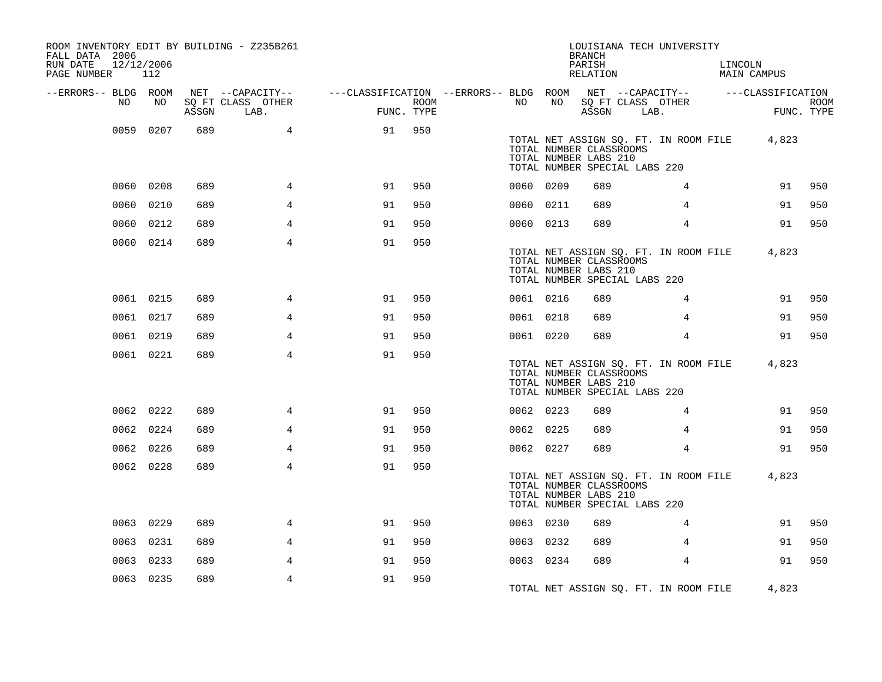| ROOM INVENTORY EDIT BY BUILDING - Z235B261<br>FALL DATA 2006<br>RUN DATE<br>PAGE NUMBER | 12/12/2006<br>112 |       |                                               |                                                                                           |      |           |    | <b>BRANCH</b><br>PARISH<br>RELATION              | LOUISIANA TECH UNIVERSITY                                                    | LINCOLN<br>MAIN CAMPUS |                    |
|-----------------------------------------------------------------------------------------|-------------------|-------|-----------------------------------------------|-------------------------------------------------------------------------------------------|------|-----------|----|--------------------------------------------------|------------------------------------------------------------------------------|------------------------|--------------------|
| --ERRORS-- BLDG ROOM<br>NO                                                              | NO                | ASSGN | NET --CAPACITY--<br>SQ FT CLASS OTHER<br>LAB. | ---CLASSIFICATION --ERRORS-- BLDG ROOM NET --CAPACITY-- -----CLASSIFICATION<br>FUNC. TYPE | ROOM | NO        | NO | ASSGN                                            | SQ FT CLASS OTHER<br>LAB.                                                    |                        | ROOM<br>FUNC. TYPE |
|                                                                                         | 0059 0207         | 689   | $4\overline{ }$                               | 91                                                                                        | 950  |           |    | TOTAL NUMBER CLASSROOMS<br>TOTAL NUMBER LABS 210 | TOTAL NET ASSIGN SQ. FT. IN ROOM FILE 4,823<br>TOTAL NUMBER SPECIAL LABS 220 |                        |                    |
|                                                                                         | 0060 0208         | 689   | 4                                             | 91                                                                                        | 950  | 0060 0209 |    | 689                                              | 4                                                                            | 91                     | 950                |
|                                                                                         | 0060 0210         | 689   | $\overline{4}$                                | 91                                                                                        | 950  | 0060 0211 |    | 689                                              | 4                                                                            | 91                     | 950                |
|                                                                                         | 0060 0212         | 689   | 4                                             | 91                                                                                        | 950  | 0060 0213 |    | 689                                              | $\overline{4}$                                                               | 91                     | 950                |
|                                                                                         | 0060 0214         | 689   | $\overline{4}$                                | 91                                                                                        | 950  |           |    | TOTAL NUMBER CLASSROOMS<br>TOTAL NUMBER LABS 210 | TOTAL NET ASSIGN SQ. FT. IN ROOM FILE<br>TOTAL NUMBER SPECIAL LABS 220       | 4,823                  |                    |
|                                                                                         | 0061 0215         | 689   | 4                                             | 91                                                                                        | 950  | 0061 0216 |    | 689                                              | $\overline{4}$                                                               | 91                     | 950                |
|                                                                                         | 0061 0217         | 689   | 4                                             | 91                                                                                        | 950  | 0061 0218 |    | 689                                              | 4                                                                            | 91                     | 950                |
|                                                                                         | 0061 0219         | 689   | $\overline{4}$                                | 91                                                                                        | 950  | 0061 0220 |    | 689                                              | $\overline{4}$                                                               | 91                     | 950                |
|                                                                                         | 0061 0221         | 689   | 4                                             | 91                                                                                        | 950  |           |    | TOTAL NUMBER CLASSROOMS<br>TOTAL NUMBER LABS 210 | TOTAL NET ASSIGN SQ. FT. IN ROOM FILE 4,823<br>TOTAL NUMBER SPECIAL LABS 220 |                        |                    |
|                                                                                         | 0062 0222         | 689   | 4                                             | 91                                                                                        | 950  | 0062 0223 |    | 689                                              | 4                                                                            | 91                     | 950                |
|                                                                                         | 0062 0224         | 689   | 4                                             | 91                                                                                        | 950  | 0062 0225 |    | 689                                              | 4                                                                            | 91                     | 950                |
|                                                                                         | 0062 0226         | 689   | 4                                             | 91                                                                                        | 950  | 0062 0227 |    | 689                                              | 4                                                                            | 91                     | 950                |
|                                                                                         | 0062 0228         | 689   | $\overline{4}$                                | 91                                                                                        | 950  |           |    | TOTAL NUMBER CLASSROOMS<br>TOTAL NUMBER LABS 210 | TOTAL NET ASSIGN SQ. FT. IN ROOM FILE<br>TOTAL NUMBER SPECIAL LABS 220       | 4,823                  |                    |
|                                                                                         | 0063 0229         | 689   | 4                                             | 91                                                                                        | 950  | 0063 0230 |    | 689                                              | 4                                                                            | 91                     | 950                |
|                                                                                         | 0063 0231         | 689   | 4                                             | 91                                                                                        | 950  | 0063 0232 |    | 689                                              | 4                                                                            | 91                     | 950                |
|                                                                                         | 0063 0233         | 689   | 4                                             | 91                                                                                        | 950  | 0063 0234 |    | 689                                              | $\overline{4}$                                                               | 91                     | 950                |
|                                                                                         | 0063 0235         | 689   | 4                                             | 91                                                                                        | 950  |           |    |                                                  | TOTAL NET ASSIGN SO. FT. IN ROOM FILE                                        | 4,823                  |                    |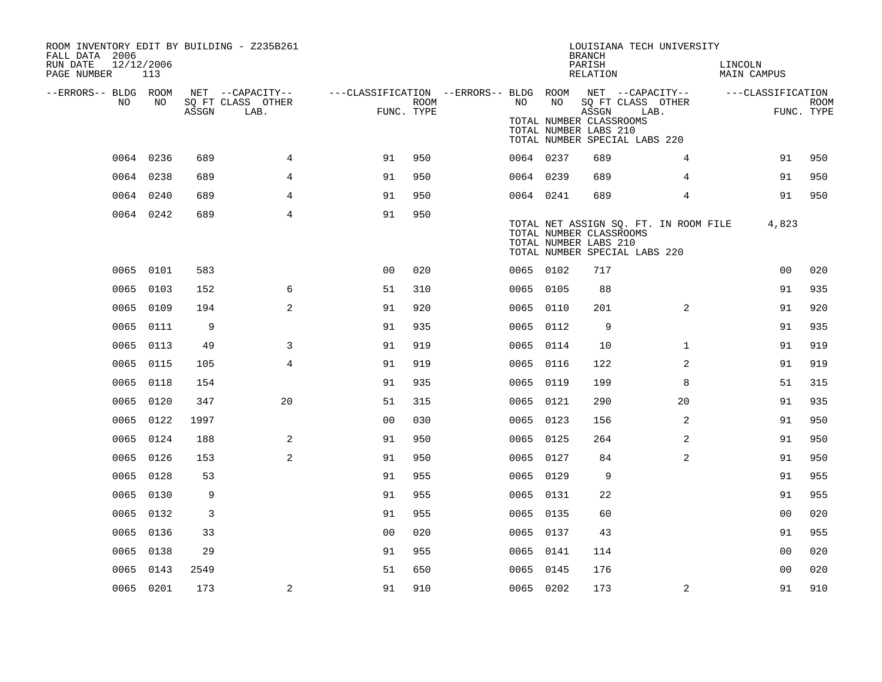| ROOM INVENTORY EDIT BY BUILDING - Z235B261<br>FALL DATA 2006<br>RUN DATE<br>12/12/2006<br>PAGE NUMBER | 113       |       |                                               |                                                                       |      |           |    | <b>BRANCH</b><br>PARISH<br>RELATION                       | LOUISIANA TECH UNIVERSITY                                              | LINCOLN<br><b>MAIN CAMPUS</b> |                    |
|-------------------------------------------------------------------------------------------------------|-----------|-------|-----------------------------------------------|-----------------------------------------------------------------------|------|-----------|----|-----------------------------------------------------------|------------------------------------------------------------------------|-------------------------------|--------------------|
| --ERRORS-- BLDG ROOM<br>NO                                                                            | NO.       | ASSGN | NET --CAPACITY--<br>SQ FT CLASS OTHER<br>LAB. | ---CLASSIFICATION --ERRORS-- BLDG ROOM NET --CAPACITY--<br>FUNC. TYPE | ROOM | NO .      | NO | ASSGN<br>TOTAL NUMBER CLASSROOMS<br>TOTAL NUMBER LABS 210 | SQ FT CLASS OTHER<br>LAB.<br>TOTAL NUMBER SPECIAL LABS 220             | ---CLASSIFICATION             | ROOM<br>FUNC. TYPE |
|                                                                                                       | 0064 0236 | 689   | $\overline{4}$                                | 91                                                                    | 950  | 0064 0237 |    | 689                                                       | 4                                                                      | 91                            | 950                |
|                                                                                                       | 0064 0238 | 689   | 4                                             | 91                                                                    | 950  | 0064 0239 |    | 689                                                       | 4                                                                      | 91                            | 950                |
|                                                                                                       | 0064 0240 | 689   | 4                                             | 91                                                                    | 950  | 0064 0241 |    | 689                                                       | $\overline{4}$                                                         | 91                            | 950                |
|                                                                                                       | 0064 0242 | 689   | $\overline{4}$                                | 91                                                                    | 950  |           |    | TOTAL NUMBER CLASSROOMS<br>TOTAL NUMBER LABS 210          | TOTAL NET ASSIGN SQ. FT. IN ROOM FILE<br>TOTAL NUMBER SPECIAL LABS 220 | 4,823                         |                    |
|                                                                                                       | 0065 0101 | 583   |                                               | 0 <sub>0</sub>                                                        | 020  | 0065 0102 |    | 717                                                       |                                                                        | 00                            | 020                |
|                                                                                                       | 0065 0103 | 152   | 6                                             | 51                                                                    | 310  | 0065 0105 |    | 88                                                        |                                                                        | 91                            | 935                |
|                                                                                                       | 0065 0109 | 194   | 2                                             | 91                                                                    | 920  | 0065 0110 |    | 201                                                       | 2                                                                      | 91                            | 920                |
|                                                                                                       | 0065 0111 | 9     |                                               | 91                                                                    | 935  | 0065 0112 |    | 9                                                         |                                                                        | 91                            | 935                |
|                                                                                                       | 0065 0113 | 49    | 3                                             | 91                                                                    | 919  | 0065 0114 |    | 10                                                        | $\mathbf{1}$                                                           | 91                            | 919                |
|                                                                                                       | 0065 0115 | 105   | $\overline{4}$                                | 91                                                                    | 919  | 0065 0116 |    | 122                                                       | 2                                                                      | 91                            | 919                |
|                                                                                                       | 0065 0118 | 154   |                                               | 91                                                                    | 935  | 0065 0119 |    | 199                                                       | 8                                                                      | 51                            | 315                |
|                                                                                                       | 0065 0120 | 347   | 20                                            | 51                                                                    | 315  | 0065 0121 |    | 290                                                       | 20                                                                     | 91                            | 935                |
|                                                                                                       | 0065 0122 | 1997  |                                               | 0 <sub>0</sub>                                                        | 030  | 0065 0123 |    | 156                                                       | 2                                                                      | 91                            | 950                |
| 0065                                                                                                  | 0124      | 188   | 2                                             | 91                                                                    | 950  | 0065 0125 |    | 264                                                       | 2                                                                      | 91                            | 950                |
|                                                                                                       | 0065 0126 | 153   | 2                                             | 91                                                                    | 950  | 0065 0127 |    | 84                                                        | 2                                                                      | 91                            | 950                |
|                                                                                                       | 0065 0128 | 53    |                                               | 91                                                                    | 955  | 0065 0129 |    | 9                                                         |                                                                        | 91                            | 955                |
| 0065                                                                                                  | 0130      | 9     |                                               | 91                                                                    | 955  | 0065 0131 |    | 22                                                        |                                                                        | 91                            | 955                |
| 0065                                                                                                  | 0132      | 3     |                                               | 91                                                                    | 955  | 0065 0135 |    | 60                                                        |                                                                        | 0 <sub>0</sub>                | 020                |
|                                                                                                       | 0065 0136 | 33    |                                               | 0 <sub>0</sub>                                                        | 020  | 0065 0137 |    | 43                                                        |                                                                        | 91                            | 955                |
| 0065                                                                                                  | 0138      | 29    |                                               | 91                                                                    | 955  | 0065 0141 |    | 114                                                       |                                                                        | 0 <sub>0</sub>                | 020                |
|                                                                                                       | 0065 0143 | 2549  |                                               | 51                                                                    | 650  | 0065 0145 |    | 176                                                       |                                                                        | 0 <sub>0</sub>                | 020                |
|                                                                                                       | 0065 0201 | 173   | 2                                             | 91                                                                    | 910  | 0065 0202 |    | 173                                                       | 2                                                                      | 91                            | 910                |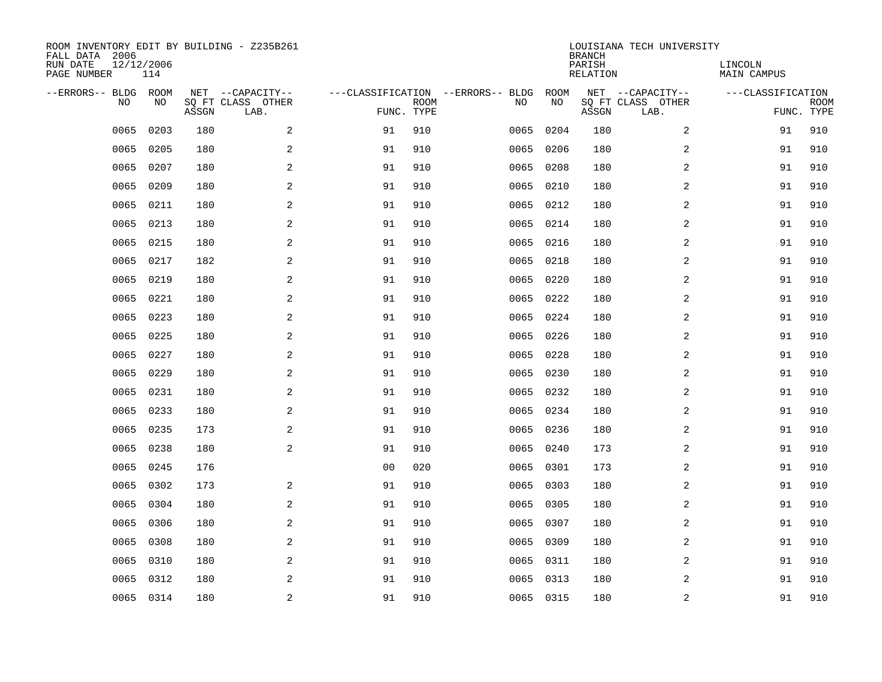| ROOM INVENTORY EDIT BY BUILDING - Z235B261<br>FALL DATA 2006<br>RUN DATE<br>12/12/2006<br>PAGE NUMBER |           |       |                                               |                |                           |                                         | <b>BRANCH</b><br>PARISH<br><b>RELATION</b> | LOUISIANA TECH UNIVERSITY | LINCOLN<br><b>MAIN CAMPUS</b>                 |                   |                           |
|-------------------------------------------------------------------------------------------------------|-----------|-------|-----------------------------------------------|----------------|---------------------------|-----------------------------------------|--------------------------------------------|---------------------------|-----------------------------------------------|-------------------|---------------------------|
| --ERRORS-- BLDG ROOM<br>NO                                                                            | NO        | ASSGN | NET --CAPACITY--<br>SQ FT CLASS OTHER<br>LAB. |                | <b>ROOM</b><br>FUNC. TYPE | ---CLASSIFICATION --ERRORS-- BLDG<br>NO | ROOM<br>NO                                 | ASSGN                     | NET --CAPACITY--<br>SQ FT CLASS OTHER<br>LAB. | ---CLASSIFICATION | <b>ROOM</b><br>FUNC. TYPE |
| 0065                                                                                                  | 0203      | 180   | 2                                             | 91             | 910                       | 0065                                    | 0204                                       | 180                       | 2                                             | 91                | 910                       |
| 0065                                                                                                  | 0205      | 180   | $\sqrt{2}$                                    | 91             | 910                       | 0065                                    | 0206                                       | 180                       | $\boldsymbol{2}$                              | 91                | 910                       |
| 0065                                                                                                  | 0207      | 180   | 2                                             | 91             | 910                       | 0065                                    | 0208                                       | 180                       | 2                                             | 91                | 910                       |
| 0065                                                                                                  | 0209      | 180   | 2                                             | 91             | 910                       | 0065                                    | 0210                                       | 180                       | 2                                             | 91                | 910                       |
| 0065                                                                                                  | 0211      | 180   | 2                                             | 91             | 910                       | 0065                                    | 0212                                       | 180                       | 2                                             | 91                | 910                       |
| 0065                                                                                                  | 0213      | 180   | 2                                             | 91             | 910                       |                                         | 0065 0214                                  | 180                       | 2                                             | 91                | 910                       |
| 0065                                                                                                  | 0215      | 180   | 2                                             | 91             | 910                       | 0065                                    | 0216                                       | 180                       | 2                                             | 91                | 910                       |
| 0065                                                                                                  | 0217      | 182   | 2                                             | 91             | 910                       | 0065                                    | 0218                                       | 180                       | 2                                             | 91                | 910                       |
| 0065                                                                                                  | 0219      | 180   | 2                                             | 91             | 910                       | 0065                                    | 0220                                       | 180                       | 2                                             | 91                | 910                       |
| 0065                                                                                                  | 0221      | 180   | 2                                             | 91             | 910                       | 0065                                    | 0222                                       | 180                       | 2                                             | 91                | 910                       |
| 0065                                                                                                  | 0223      | 180   | 2                                             | 91             | 910                       | 0065                                    | 0224                                       | 180                       | 2                                             | 91                | 910                       |
| 0065                                                                                                  | 0225      | 180   | 2                                             | 91             | 910                       | 0065                                    | 0226                                       | 180                       | 2                                             | 91                | 910                       |
| 0065                                                                                                  | 0227      | 180   | 2                                             | 91             | 910                       | 0065                                    | 0228                                       | 180                       | 2                                             | 91                | 910                       |
| 0065                                                                                                  | 0229      | 180   | 2                                             | 91             | 910                       | 0065                                    | 0230                                       | 180                       | 2                                             | 91                | 910                       |
| 0065                                                                                                  | 0231      | 180   | 2                                             | 91             | 910                       | 0065                                    | 0232                                       | 180                       | 2                                             | 91                | 910                       |
| 0065                                                                                                  | 0233      | 180   | 2                                             | 91             | 910                       | 0065                                    | 0234                                       | 180                       | $\overline{a}$                                | 91                | 910                       |
| 0065                                                                                                  | 0235      | 173   | 2                                             | 91             | 910                       | 0065                                    | 0236                                       | 180                       | 2                                             | 91                | 910                       |
| 0065                                                                                                  | 0238      | 180   | $\mathbf{2}$                                  | 91             | 910                       | 0065                                    | 0240                                       | 173                       | 2                                             | 91                | 910                       |
| 0065                                                                                                  | 0245      | 176   |                                               | 0 <sub>0</sub> | 020                       | 0065                                    | 0301                                       | 173                       | 2                                             | 91                | 910                       |
| 0065                                                                                                  | 0302      | 173   | 2                                             | 91             | 910                       | 0065                                    | 0303                                       | 180                       | 2                                             | 91                | 910                       |
| 0065                                                                                                  | 0304      | 180   | 2                                             | 91             | 910                       |                                         | 0065 0305                                  | 180                       | 2                                             | 91                | 910                       |
| 0065                                                                                                  | 0306      | 180   | 2                                             | 91             | 910                       | 0065                                    | 0307                                       | 180                       | 2                                             | 91                | 910                       |
| 0065                                                                                                  | 0308      | 180   | 2                                             | 91             | 910                       | 0065                                    | 0309                                       | 180                       | 2                                             | 91                | 910                       |
| 0065                                                                                                  | 0310      | 180   | 2                                             | 91             | 910                       | 0065                                    | 0311                                       | 180                       | $\overline{a}$                                | 91                | 910                       |
| 0065                                                                                                  | 0312      | 180   | 2                                             | 91             | 910                       | 0065                                    | 0313                                       | 180                       | 2                                             | 91                | 910                       |
|                                                                                                       | 0065 0314 | 180   | $\overline{c}$                                | 91             | 910                       |                                         | 0065 0315                                  | 180                       | $\boldsymbol{2}$                              | 91                | 910                       |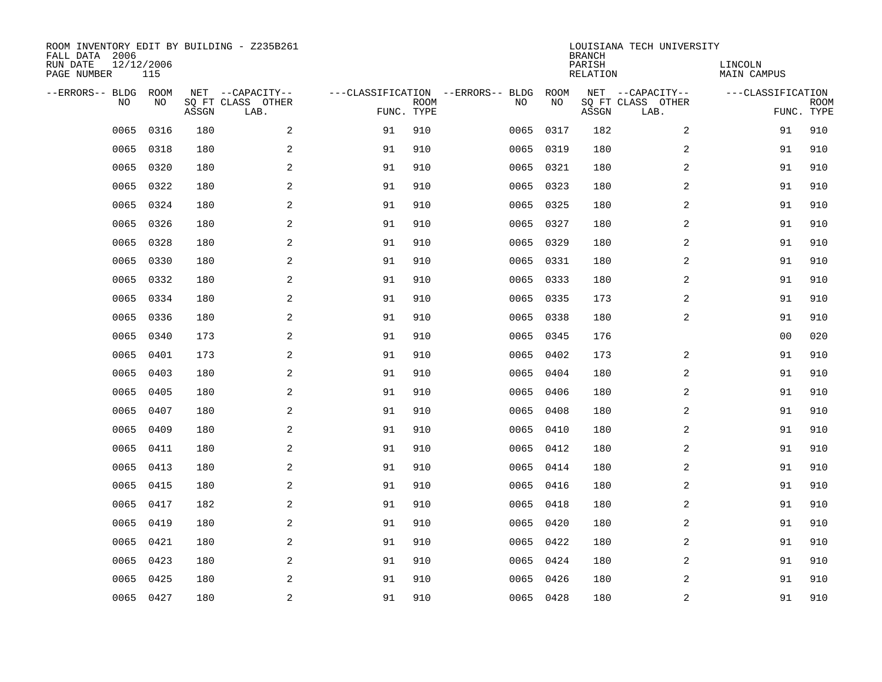| ROOM INVENTORY EDIT BY BUILDING - Z235B261<br>FALL DATA 2006<br>RUN DATE<br>12/12/2006<br>PAGE NUMBER |           |       |                                               |    |                           |                                         | <b>BRANCH</b><br>PARISH<br><b>RELATION</b> | LOUISIANA TECH UNIVERSITY | LINCOLN<br><b>MAIN CAMPUS</b>                 |                   |                           |
|-------------------------------------------------------------------------------------------------------|-----------|-------|-----------------------------------------------|----|---------------------------|-----------------------------------------|--------------------------------------------|---------------------------|-----------------------------------------------|-------------------|---------------------------|
| --ERRORS-- BLDG ROOM<br>NO                                                                            | NO        | ASSGN | NET --CAPACITY--<br>SQ FT CLASS OTHER<br>LAB. |    | <b>ROOM</b><br>FUNC. TYPE | ---CLASSIFICATION --ERRORS-- BLDG<br>NO | ROOM<br>NO                                 | ASSGN                     | NET --CAPACITY--<br>SQ FT CLASS OTHER<br>LAB. | ---CLASSIFICATION | <b>ROOM</b><br>FUNC. TYPE |
| 0065                                                                                                  | 0316      | 180   | 2                                             | 91 | 910                       | 0065                                    | 0317                                       | 182                       | 2                                             | 91                | 910                       |
| 0065                                                                                                  | 0318      | 180   | 2                                             | 91 | 910                       | 0065                                    | 0319                                       | 180                       | 2                                             | 91                | 910                       |
| 0065                                                                                                  | 0320      | 180   | $\mathbf{2}$                                  | 91 | 910                       | 0065                                    | 0321                                       | 180                       | 2                                             | 91                | 910                       |
| 0065                                                                                                  | 0322      | 180   | $\mathbf{2}$                                  | 91 | 910                       |                                         | 0065 0323                                  | 180                       | 2                                             | 91                | 910                       |
| 0065                                                                                                  | 0324      | 180   | 2                                             | 91 | 910                       | 0065                                    | 0325                                       | 180                       | 2                                             | 91                | 910                       |
| 0065                                                                                                  | 0326      | 180   | 2                                             | 91 | 910                       |                                         | 0065 0327                                  | 180                       | 2                                             | 91                | 910                       |
| 0065                                                                                                  | 0328      | 180   | 2                                             | 91 | 910                       | 0065                                    | 0329                                       | 180                       | 2                                             | 91                | 910                       |
| 0065                                                                                                  | 0330      | 180   | 2                                             | 91 | 910                       |                                         | 0065 0331                                  | 180                       | 2                                             | 91                | 910                       |
| 0065                                                                                                  | 0332      | 180   | 2                                             | 91 | 910                       | 0065                                    | 0333                                       | 180                       | 2                                             | 91                | 910                       |
| 0065                                                                                                  | 0334      | 180   | 2                                             | 91 | 910                       |                                         | 0065 0335                                  | 173                       | 2                                             | 91                | 910                       |
| 0065                                                                                                  | 0336      | 180   | 2                                             | 91 | 910                       | 0065                                    | 0338                                       | 180                       | 2                                             | 91                | 910                       |
| 0065                                                                                                  | 0340      | 173   | 2                                             | 91 | 910                       |                                         | 0065 0345                                  | 176                       |                                               | 0 <sub>0</sub>    | 020                       |
| 0065                                                                                                  | 0401      | 173   | 2                                             | 91 | 910                       | 0065                                    | 0402                                       | 173                       | 2                                             | 91                | 910                       |
| 0065                                                                                                  | 0403      | 180   | $\mathbf{2}$                                  | 91 | 910                       | 0065                                    | 0404                                       | 180                       | 2                                             | 91                | 910                       |
| 0065                                                                                                  | 0405      | 180   | $\mathbf{2}$                                  | 91 | 910                       | 0065                                    | 0406                                       | 180                       | 2                                             | 91                | 910                       |
| 0065                                                                                                  | 0407      | 180   | 2                                             | 91 | 910                       | 0065                                    | 0408                                       | 180                       | 2                                             | 91                | 910                       |
| 0065                                                                                                  | 0409      | 180   | 2                                             | 91 | 910                       | 0065                                    | 0410                                       | 180                       | 2                                             | 91                | 910                       |
| 0065                                                                                                  | 0411      | 180   | 2                                             | 91 | 910                       | 0065                                    | 0412                                       | 180                       | 2                                             | 91                | 910                       |
| 0065                                                                                                  | 0413      | 180   | 2                                             | 91 | 910                       |                                         | 0065 0414                                  | 180                       | 2                                             | 91                | 910                       |
| 0065                                                                                                  | 0415      | 180   | 2                                             | 91 | 910                       |                                         | 0065 0416                                  | 180                       | 2                                             | 91                | 910                       |
| 0065                                                                                                  | 0417      | 182   | 2                                             | 91 | 910                       |                                         | 0065 0418                                  | 180                       | 2                                             | 91                | 910                       |
| 0065                                                                                                  | 0419      | 180   | 2                                             | 91 | 910                       | 0065                                    | 0420                                       | 180                       | 2                                             | 91                | 910                       |
| 0065                                                                                                  | 0421      | 180   | 2                                             | 91 | 910                       |                                         | 0065 0422                                  | 180                       | 2                                             | 91                | 910                       |
| 0065                                                                                                  | 0423      | 180   | 2                                             | 91 | 910                       |                                         | 0065 0424                                  | 180                       | 2                                             | 91                | 910                       |
| 0065                                                                                                  | 0425      | 180   | 2                                             | 91 | 910                       | 0065                                    | 0426                                       | 180                       | 2                                             | 91                | 910                       |
|                                                                                                       | 0065 0427 | 180   | 2                                             | 91 | 910                       |                                         | 0065 0428                                  | 180                       | 2                                             | 91                | 910                       |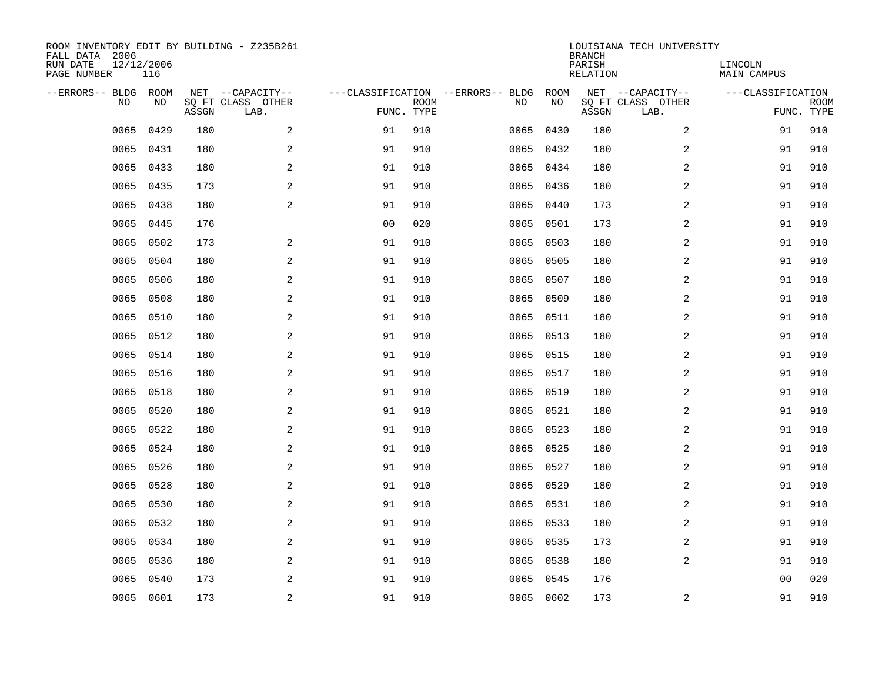| ROOM INVENTORY EDIT BY BUILDING - Z235B261<br>FALL DATA 2006<br>RUN DATE<br>PAGE NUMBER | 12/12/2006<br>116 |       |                                               |                |                           |                                         |            | <b>BRANCH</b><br>PARISH<br><b>RELATION</b> | LOUISIANA TECH UNIVERSITY                     | LINCOLN<br><b>MAIN CAMPUS</b> |                           |
|-----------------------------------------------------------------------------------------|-------------------|-------|-----------------------------------------------|----------------|---------------------------|-----------------------------------------|------------|--------------------------------------------|-----------------------------------------------|-------------------------------|---------------------------|
| --ERRORS-- BLDG ROOM<br>NO                                                              | NO                | ASSGN | NET --CAPACITY--<br>SQ FT CLASS OTHER<br>LAB. |                | <b>ROOM</b><br>FUNC. TYPE | ---CLASSIFICATION --ERRORS-- BLDG<br>NO | ROOM<br>NO | ASSGN                                      | NET --CAPACITY--<br>SQ FT CLASS OTHER<br>LAB. | ---CLASSIFICATION             | <b>ROOM</b><br>FUNC. TYPE |
| 0065                                                                                    | 0429              | 180   | 2                                             | 91             | 910                       | 0065                                    | 0430       | 180                                        | 2                                             | 91                            | 910                       |
| 0065                                                                                    | 0431              | 180   | $\sqrt{2}$                                    | 91             | 910                       | 0065                                    | 0432       | 180                                        | $\boldsymbol{2}$                              | 91                            | 910                       |
| 0065                                                                                    | 0433              | 180   | 2                                             | 91             | 910                       | 0065                                    | 0434       | 180                                        | 2                                             | 91                            | 910                       |
| 0065                                                                                    | 0435              | 173   | 2                                             | 91             | 910                       |                                         | 0065 0436  | 180                                        | 2                                             | 91                            | 910                       |
| 0065                                                                                    | 0438              | 180   | 2                                             | 91             | 910                       | 0065                                    | 0440       | 173                                        | 2                                             | 91                            | 910                       |
| 0065                                                                                    | 0445              | 176   |                                               | 0 <sub>0</sub> | 020                       |                                         | 0065 0501  | 173                                        | 2                                             | 91                            | 910                       |
| 0065                                                                                    | 0502              | 173   | 2                                             | 91             | 910                       | 0065                                    | 0503       | 180                                        | 2                                             | 91                            | 910                       |
| 0065                                                                                    | 0504              | 180   | 2                                             | 91             | 910                       |                                         | 0065 0505  | 180                                        | 2                                             | 91                            | 910                       |
| 0065                                                                                    | 0506              | 180   | 2                                             | 91             | 910                       | 0065                                    | 0507       | 180                                        | 2                                             | 91                            | 910                       |
| 0065                                                                                    | 0508              | 180   | 2                                             | 91             | 910                       | 0065                                    | 0509       | 180                                        | 2                                             | 91                            | 910                       |
| 0065                                                                                    | 0510              | 180   | 2                                             | 91             | 910                       | 0065                                    | 0511       | 180                                        | 2                                             | 91                            | 910                       |
| 0065                                                                                    | 0512              | 180   | 2                                             | 91             | 910                       | 0065                                    | 0513       | 180                                        | 2                                             | 91                            | 910                       |
| 0065                                                                                    | 0514              | 180   | 2                                             | 91             | 910                       | 0065                                    | 0515       | 180                                        | 2                                             | 91                            | 910                       |
| 0065                                                                                    | 0516              | 180   | 2                                             | 91             | 910                       | 0065                                    | 0517       | 180                                        | 2                                             | 91                            | 910                       |
| 0065                                                                                    | 0518              | 180   | 2                                             | 91             | 910                       | 0065                                    | 0519       | 180                                        | 2                                             | 91                            | 910                       |
| 0065                                                                                    | 0520              | 180   | 2                                             | 91             | 910                       | 0065                                    | 0521       | 180                                        | $\overline{a}$                                | 91                            | 910                       |
| 0065                                                                                    | 0522              | 180   | 2                                             | 91             | 910                       | 0065                                    | 0523       | 180                                        | 2                                             | 91                            | 910                       |
| 0065                                                                                    | 0524              | 180   | $\mathbf{2}$                                  | 91             | 910                       | 0065                                    | 0525       | 180                                        | 2                                             | 91                            | 910                       |
| 0065                                                                                    | 0526              | 180   | 2                                             | 91             | 910                       |                                         | 0065 0527  | 180                                        | 2                                             | 91                            | 910                       |
| 0065                                                                                    | 0528              | 180   | 2                                             | 91             | 910                       | 0065                                    | 0529       | 180                                        | 2                                             | 91                            | 910                       |
| 0065                                                                                    | 0530              | 180   | 2                                             | 91             | 910                       |                                         | 0065 0531  | 180                                        | 2                                             | 91                            | 910                       |
| 0065                                                                                    | 0532              | 180   | 2                                             | 91             | 910                       | 0065                                    | 0533       | 180                                        | 2                                             | 91                            | 910                       |
| 0065                                                                                    | 0534              | 180   | 2                                             | 91             | 910                       |                                         | 0065 0535  | 173                                        | 2                                             | 91                            | 910                       |
| 0065                                                                                    | 0536              | 180   | 2                                             | 91             | 910                       | 0065                                    | 0538       | 180                                        | $\overline{a}$                                | 91                            | 910                       |
| 0065                                                                                    | 0540              | 173   | 2                                             | 91             | 910                       | 0065                                    | 0545       | 176                                        |                                               | 0 <sub>0</sub>                | 020                       |
|                                                                                         | 0065 0601         | 173   | $\sqrt{2}$                                    | 91             | 910                       |                                         | 0065 0602  | 173                                        | 2                                             | 91                            | 910                       |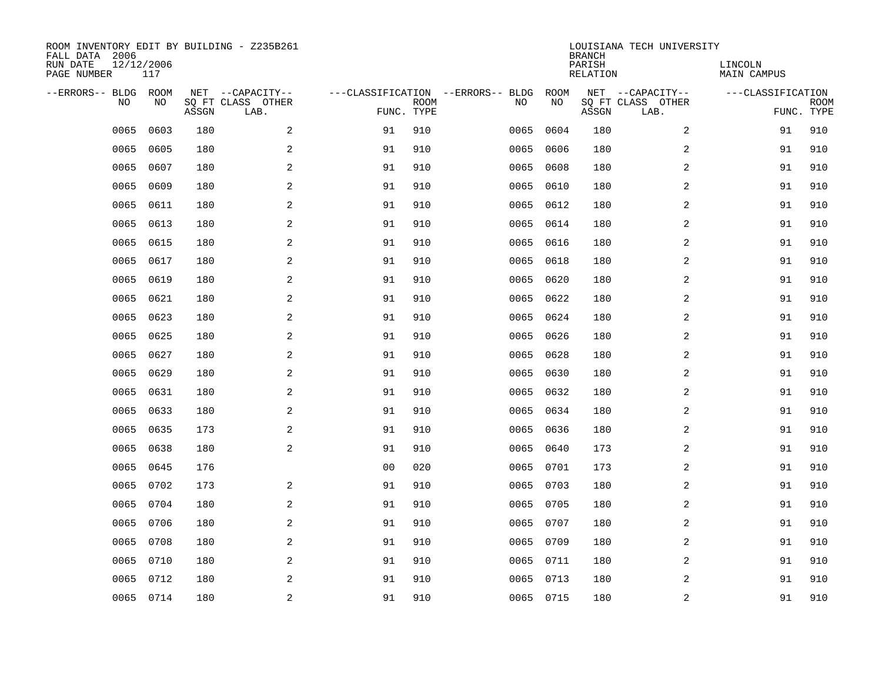| ROOM INVENTORY EDIT BY BUILDING - Z235B261<br>FALL DATA 2006<br>RUN DATE<br>PAGE NUMBER | 12/12/2006<br>117 |       |                                               |                |                           |                                         |            | <b>BRANCH</b><br>PARISH<br><b>RELATION</b> | LOUISIANA TECH UNIVERSITY                     | LINCOLN<br><b>MAIN CAMPUS</b> |                           |
|-----------------------------------------------------------------------------------------|-------------------|-------|-----------------------------------------------|----------------|---------------------------|-----------------------------------------|------------|--------------------------------------------|-----------------------------------------------|-------------------------------|---------------------------|
| --ERRORS-- BLDG<br>NO                                                                   | ROOM<br>NO        | ASSGN | NET --CAPACITY--<br>SQ FT CLASS OTHER<br>LAB. |                | <b>ROOM</b><br>FUNC. TYPE | ---CLASSIFICATION --ERRORS-- BLDG<br>NO | ROOM<br>NO | ASSGN                                      | NET --CAPACITY--<br>SQ FT CLASS OTHER<br>LAB. | ---CLASSIFICATION             | <b>ROOM</b><br>FUNC. TYPE |
| 0065                                                                                    | 0603              | 180   | 2                                             | 91             | 910                       | 0065                                    | 0604       | 180                                        | 2                                             | 91                            | 910                       |
| 0065                                                                                    | 0605              | 180   | $\sqrt{2}$                                    | 91             | 910                       | 0065                                    | 0606       | 180                                        | $\boldsymbol{2}$                              | 91                            | 910                       |
| 0065                                                                                    | 0607              | 180   | 2                                             | 91             | 910                       | 0065                                    | 0608       | 180                                        | 2                                             | 91                            | 910                       |
| 0065                                                                                    | 0609              | 180   | 2                                             | 91             | 910                       | 0065                                    | 0610       | 180                                        | 2                                             | 91                            | 910                       |
| 0065                                                                                    | 0611              | 180   | 2                                             | 91             | 910                       | 0065                                    | 0612       | 180                                        | 2                                             | 91                            | 910                       |
| 0065                                                                                    | 0613              | 180   | 2                                             | 91             | 910                       | 0065                                    | 0614       | 180                                        | 2                                             | 91                            | 910                       |
| 0065                                                                                    | 0615              | 180   | 2                                             | 91             | 910                       | 0065                                    | 0616       | 180                                        | 2                                             | 91                            | 910                       |
| 0065                                                                                    | 0617              | 180   | 2                                             | 91             | 910                       | 0065                                    | 0618       | 180                                        | 2                                             | 91                            | 910                       |
| 0065                                                                                    | 0619              | 180   | 2                                             | 91             | 910                       | 0065                                    | 0620       | 180                                        | 2                                             | 91                            | 910                       |
| 0065                                                                                    | 0621              | 180   | 2                                             | 91             | 910                       | 0065                                    | 0622       | 180                                        | 2                                             | 91                            | 910                       |
| 0065                                                                                    | 0623              | 180   | 2                                             | 91             | 910                       | 0065                                    | 0624       | 180                                        | 2                                             | 91                            | 910                       |
| 0065                                                                                    | 0625              | 180   | 2                                             | 91             | 910                       | 0065                                    | 0626       | 180                                        | 2                                             | 91                            | 910                       |
| 0065                                                                                    | 0627              | 180   | 2                                             | 91             | 910                       | 0065                                    | 0628       | 180                                        | 2                                             | 91                            | 910                       |
| 0065                                                                                    | 0629              | 180   | 2                                             | 91             | 910                       | 0065                                    | 0630       | 180                                        | 2                                             | 91                            | 910                       |
| 0065                                                                                    | 0631              | 180   | 2                                             | 91             | 910                       | 0065                                    | 0632       | 180                                        | 2                                             | 91                            | 910                       |
| 0065                                                                                    | 0633              | 180   | 2                                             | 91             | 910                       | 0065                                    | 0634       | 180                                        | $\overline{a}$                                | 91                            | 910                       |
| 0065                                                                                    | 0635              | 173   | 2                                             | 91             | 910                       | 0065                                    | 0636       | 180                                        | 2                                             | 91                            | 910                       |
| 0065                                                                                    | 0638              | 180   | $\mathbf{2}$                                  | 91             | 910                       | 0065                                    | 0640       | 173                                        | 2                                             | 91                            | 910                       |
| 0065                                                                                    | 0645              | 176   |                                               | 0 <sub>0</sub> | 020                       |                                         | 0065 0701  | 173                                        | 2                                             | 91                            | 910                       |
| 0065                                                                                    | 0702              | 173   | 2                                             | 91             | 910                       | 0065                                    | 0703       | 180                                        | 2                                             | 91                            | 910                       |
| 0065                                                                                    | 0704              | 180   | 2                                             | 91             | 910                       |                                         | 0065 0705  | 180                                        | 2                                             | 91                            | 910                       |
| 0065                                                                                    | 0706              | 180   | 2                                             | 91             | 910                       | 0065                                    | 0707       | 180                                        | 2                                             | 91                            | 910                       |
| 0065                                                                                    | 0708              | 180   | 2                                             | 91             | 910                       | 0065                                    | 0709       | 180                                        | 2                                             | 91                            | 910                       |
| 0065                                                                                    | 0710              | 180   | 2                                             | 91             | 910                       |                                         | 0065 0711  | 180                                        | $\overline{a}$                                | 91                            | 910                       |
| 0065                                                                                    | 0712              | 180   | 2                                             | 91             | 910                       | 0065                                    | 0713       | 180                                        | 2                                             | 91                            | 910                       |
|                                                                                         | 0065 0714         | 180   | $\overline{c}$                                | 91             | 910                       |                                         | 0065 0715  | 180                                        | $\boldsymbol{2}$                              | 91                            | 910                       |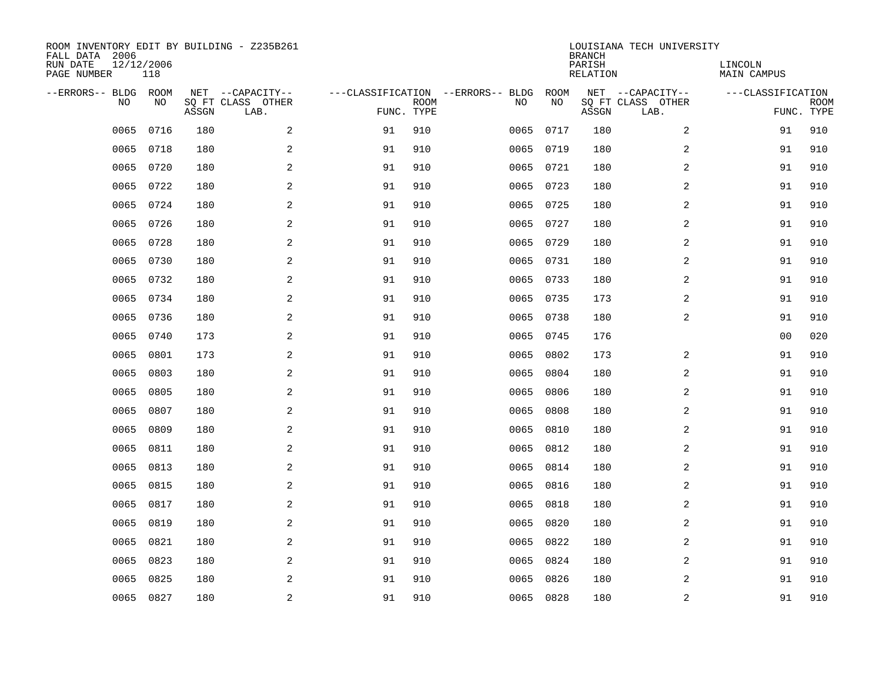| ROOM INVENTORY EDIT BY BUILDING - Z235B261<br>FALL DATA 2006<br>RUN DATE<br>PAGE NUMBER | 12/12/2006<br>118 |       |                                               |            |             |                                         |            | <b>BRANCH</b><br>PARISH<br><b>RELATION</b> | LOUISIANA TECH UNIVERSITY                     | LINCOLN<br><b>MAIN CAMPUS</b> |                           |
|-----------------------------------------------------------------------------------------|-------------------|-------|-----------------------------------------------|------------|-------------|-----------------------------------------|------------|--------------------------------------------|-----------------------------------------------|-------------------------------|---------------------------|
| --ERRORS-- BLDG ROOM<br>NO                                                              | NO                | ASSGN | NET --CAPACITY--<br>SQ FT CLASS OTHER<br>LAB. | FUNC. TYPE | <b>ROOM</b> | ---CLASSIFICATION --ERRORS-- BLDG<br>NO | ROOM<br>NO | ASSGN                                      | NET --CAPACITY--<br>SQ FT CLASS OTHER<br>LAB. | ---CLASSIFICATION             | <b>ROOM</b><br>FUNC. TYPE |
| 0065                                                                                    | 0716              | 180   | 2                                             | 91         | 910         | 0065                                    | 0717       | 180                                        | 2                                             | 91                            | 910                       |
| 0065                                                                                    | 0718              | 180   | 2                                             | 91         | 910         |                                         | 0065 0719  | 180                                        | 2                                             | 91                            | 910                       |
| 0065                                                                                    | 0720              | 180   | 2                                             | 91         | 910         |                                         | 0065 0721  | 180                                        | 2                                             | 91                            | 910                       |
| 0065                                                                                    | 0722              | 180   | 2                                             | 91         | 910         |                                         | 0065 0723  | 180                                        | 2                                             | 91                            | 910                       |
| 0065                                                                                    | 0724              | 180   | 2                                             | 91         | 910         |                                         | 0065 0725  | 180                                        | $\overline{a}$                                | 91                            | 910                       |
| 0065                                                                                    | 0726              | 180   | $\mathbf{2}$                                  | 91         | 910         |                                         | 0065 0727  | 180                                        | 2                                             | 91                            | 910                       |
| 0065                                                                                    | 0728              | 180   | 2                                             | 91         | 910         |                                         | 0065 0729  | 180                                        | $\overline{a}$                                | 91                            | 910                       |
| 0065                                                                                    | 0730              | 180   | $\mathbf{2}$                                  | 91         | 910         |                                         | 0065 0731  | 180                                        | 2                                             | 91                            | 910                       |
| 0065                                                                                    | 0732              | 180   | 2                                             | 91         | 910         | 0065                                    | 0733       | 180                                        | 2                                             | 91                            | 910                       |
| 0065                                                                                    | 0734              | 180   | 2                                             | 91         | 910         |                                         | 0065 0735  | 173                                        | 2                                             | 91                            | 910                       |
| 0065                                                                                    | 0736              | 180   | 2                                             | 91         | 910         |                                         | 0065 0738  | 180                                        | 2                                             | 91                            | 910                       |
| 0065                                                                                    | 0740              | 173   | 2                                             | 91         | 910         |                                         | 0065 0745  | 176                                        |                                               | 0 <sub>0</sub>                | 020                       |
| 0065                                                                                    | 0801              | 173   | 2                                             | 91         | 910         | 0065                                    | 0802       | 173                                        | 2                                             | 91                            | 910                       |
| 0065                                                                                    | 0803              | 180   | 2                                             | 91         | 910         | 0065                                    | 0804       | 180                                        | 2                                             | 91                            | 910                       |
| 0065                                                                                    | 0805              | 180   | 2                                             | 91         | 910         | 0065                                    | 0806       | 180                                        | 2                                             | 91                            | 910                       |
| 0065                                                                                    | 0807              | 180   | 2                                             | 91         | 910         | 0065                                    | 0808       | 180                                        | 2                                             | 91                            | 910                       |
| 0065                                                                                    | 0809              | 180   | $\mathbf{2}$                                  | 91         | 910         | 0065                                    | 0810       | 180                                        | 2                                             | 91                            | 910                       |
| 0065                                                                                    | 0811              | 180   | 2                                             | 91         | 910         | 0065                                    | 0812       | 180                                        | 2                                             | 91                            | 910                       |
| 0065                                                                                    | 0813              | 180   | 2                                             | 91         | 910         | 0065                                    | 0814       | 180                                        | 2                                             | 91                            | 910                       |
| 0065                                                                                    | 0815              | 180   | 2                                             | 91         | 910         | 0065                                    | 0816       | 180                                        | 2                                             | 91                            | 910                       |
| 0065                                                                                    | 0817              | 180   | 2                                             | 91         | 910         | 0065                                    | 0818       | 180                                        | 2                                             | 91                            | 910                       |
| 0065                                                                                    | 0819              | 180   | 2                                             | 91         | 910         | 0065                                    | 0820       | 180                                        | 2                                             | 91                            | 910                       |
| 0065                                                                                    | 0821              | 180   | 2                                             | 91         | 910         | 0065                                    | 0822       | 180                                        | 2                                             | 91                            | 910                       |
| 0065                                                                                    | 0823              | 180   | 2                                             | 91         | 910         | 0065                                    | 0824       | 180                                        | 2                                             | 91                            | 910                       |
| 0065                                                                                    | 0825              | 180   | 2                                             | 91         | 910         | 0065                                    | 0826       | 180                                        | 2                                             | 91                            | 910                       |
|                                                                                         | 0065 0827         | 180   | 2                                             | 91         | 910         |                                         | 0065 0828  | 180                                        | 2                                             | 91                            | 910                       |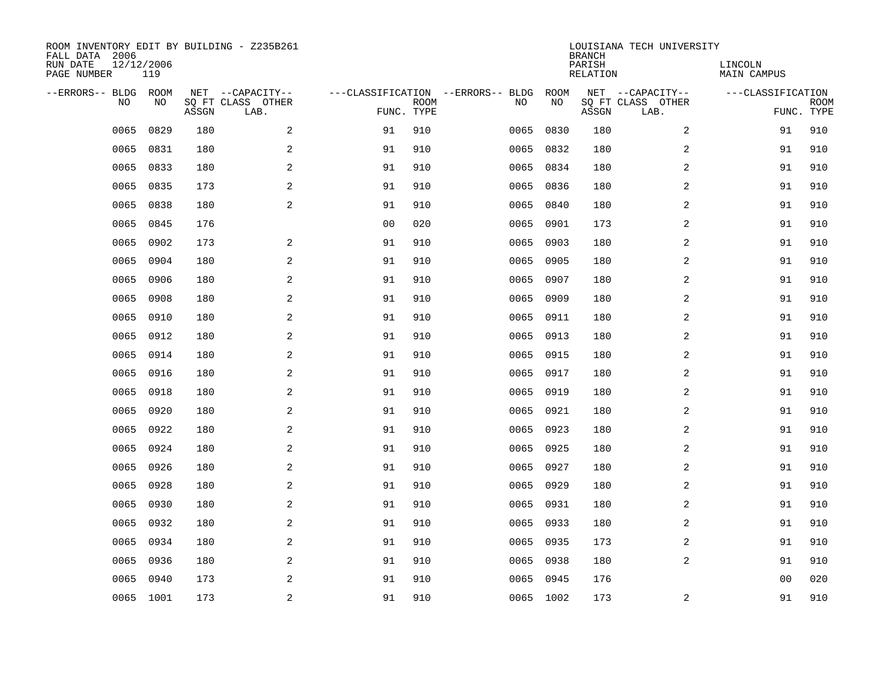| ROOM INVENTORY EDIT BY BUILDING - Z235B261<br>FALL DATA 2006<br>RUN DATE<br>PAGE NUMBER | 12/12/2006<br>119 |       |                                               |                |                           |                                         |            | <b>BRANCH</b><br>PARISH<br><b>RELATION</b> | LOUISIANA TECH UNIVERSITY                     | LINCOLN<br><b>MAIN CAMPUS</b> |                           |
|-----------------------------------------------------------------------------------------|-------------------|-------|-----------------------------------------------|----------------|---------------------------|-----------------------------------------|------------|--------------------------------------------|-----------------------------------------------|-------------------------------|---------------------------|
| --ERRORS-- BLDG ROOM<br>NO                                                              | NO                | ASSGN | NET --CAPACITY--<br>SQ FT CLASS OTHER<br>LAB. |                | <b>ROOM</b><br>FUNC. TYPE | ---CLASSIFICATION --ERRORS-- BLDG<br>NO | ROOM<br>NO | ASSGN                                      | NET --CAPACITY--<br>SQ FT CLASS OTHER<br>LAB. | ---CLASSIFICATION             | <b>ROOM</b><br>FUNC. TYPE |
| 0065                                                                                    | 0829              | 180   | 2                                             | 91             | 910                       | 0065                                    | 0830       | 180                                        | 2                                             | 91                            | 910                       |
| 0065                                                                                    | 0831              | 180   | 2                                             | 91             | 910                       | 0065                                    | 0832       | 180                                        | 2                                             | 91                            | 910                       |
| 0065                                                                                    | 0833              | 180   | $\mathbf{2}$                                  | 91             | 910                       | 0065                                    | 0834       | 180                                        | 2                                             | 91                            | 910                       |
| 0065                                                                                    | 0835              | 173   | $\mathbf{2}$                                  | 91             | 910                       |                                         | 0065 0836  | 180                                        | 2                                             | 91                            | 910                       |
| 0065                                                                                    | 0838              | 180   | 2                                             | 91             | 910                       | 0065                                    | 0840       | 180                                        | 2                                             | 91                            | 910                       |
| 0065                                                                                    | 0845              | 176   |                                               | 0 <sub>0</sub> | 020                       | 0065                                    | 0901       | 173                                        | 2                                             | 91                            | 910                       |
| 0065                                                                                    | 0902              | 173   | 2                                             | 91             | 910                       | 0065                                    | 0903       | 180                                        | 2                                             | 91                            | 910                       |
| 0065                                                                                    | 0904              | 180   | 2                                             | 91             | 910                       | 0065                                    | 0905       | 180                                        | 2                                             | 91                            | 910                       |
| 0065                                                                                    | 0906              | 180   | 2                                             | 91             | 910                       | 0065                                    | 0907       | 180                                        | 2                                             | 91                            | 910                       |
| 0065                                                                                    | 0908              | 180   | 2                                             | 91             | 910                       | 0065                                    | 0909       | 180                                        | 2                                             | 91                            | 910                       |
| 0065                                                                                    | 0910              | 180   | 2                                             | 91             | 910                       | 0065                                    | 0911       | 180                                        | 2                                             | 91                            | 910                       |
| 0065                                                                                    | 0912              | 180   | 2                                             | 91             | 910                       | 0065                                    | 0913       | 180                                        | 2                                             | 91                            | 910                       |
| 0065                                                                                    | 0914              | 180   | 2                                             | 91             | 910                       | 0065                                    | 0915       | 180                                        | 2                                             | 91                            | 910                       |
| 0065                                                                                    | 0916              | 180   | $\mathbf{2}$                                  | 91             | 910                       | 0065                                    | 0917       | 180                                        | 2                                             | 91                            | 910                       |
| 0065                                                                                    | 0918              | 180   | $\mathbf{2}$                                  | 91             | 910                       | 0065                                    | 0919       | 180                                        | 2                                             | 91                            | 910                       |
| 0065                                                                                    | 0920              | 180   | 2                                             | 91             | 910                       | 0065                                    | 0921       | 180                                        | 2                                             | 91                            | 910                       |
| 0065                                                                                    | 0922              | 180   | 2                                             | 91             | 910                       | 0065                                    | 0923       | 180                                        | 2                                             | 91                            | 910                       |
| 0065                                                                                    | 0924              | 180   | 2                                             | 91             | 910                       | 0065                                    | 0925       | 180                                        | 2                                             | 91                            | 910                       |
| 0065                                                                                    | 0926              | 180   | 2                                             | 91             | 910                       |                                         | 0065 0927  | 180                                        | 2                                             | 91                            | 910                       |
| 0065                                                                                    | 0928              | 180   | 2                                             | 91             | 910                       | 0065                                    | 0929       | 180                                        | 2                                             | 91                            | 910                       |
| 0065                                                                                    | 0930              | 180   | 2                                             | 91             | 910                       |                                         | 0065 0931  | 180                                        | 2                                             | 91                            | 910                       |
| 0065                                                                                    | 0932              | 180   | 2                                             | 91             | 910                       | 0065                                    | 0933       | 180                                        | 2                                             | 91                            | 910                       |
| 0065                                                                                    | 0934              | 180   | 2                                             | 91             | 910                       |                                         | 0065 0935  | 173                                        | 2                                             | 91                            | 910                       |
| 0065                                                                                    | 0936              | 180   | 2                                             | 91             | 910                       | 0065                                    | 0938       | 180                                        | 2                                             | 91                            | 910                       |
| 0065                                                                                    | 0940              | 173   | 2                                             | 91             | 910                       | 0065                                    | 0945       | 176                                        |                                               | 0 <sub>0</sub>                | 020                       |
|                                                                                         | 0065 1001         | 173   | 2                                             | 91             | 910                       |                                         | 0065 1002  | 173                                        | 2                                             | 91                            | 910                       |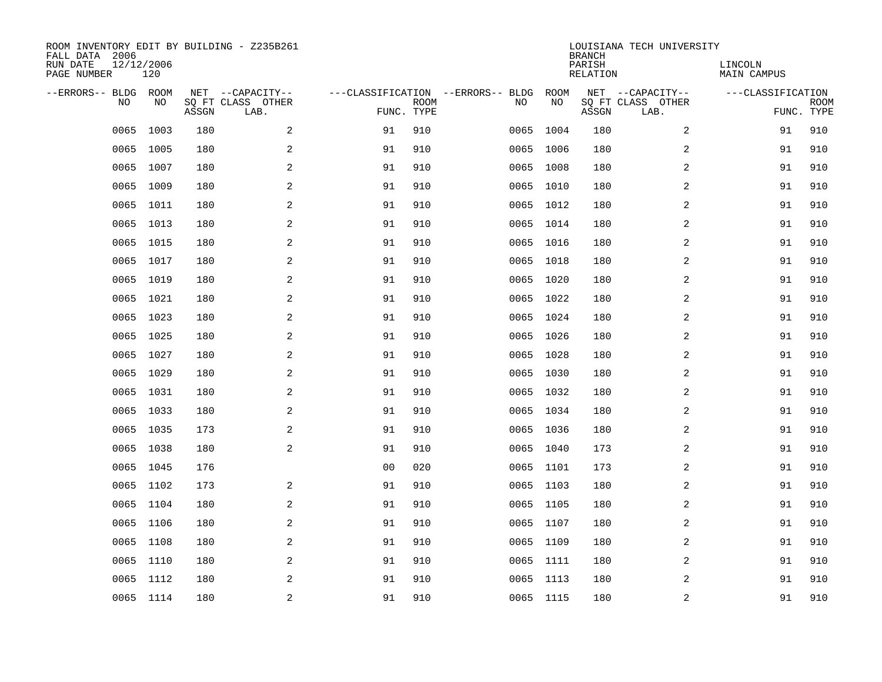| ROOM INVENTORY EDIT BY BUILDING - Z235B261<br>FALL DATA 2006<br>12/12/2006<br>RUN DATE<br>PAGE NUMBER |           |       |                                               |                |                           |                                         | <b>BRANCH</b><br>PARISH<br><b>RELATION</b> | LOUISIANA TECH UNIVERSITY | LINCOLN<br><b>MAIN CAMPUS</b>                 |                   |                           |
|-------------------------------------------------------------------------------------------------------|-----------|-------|-----------------------------------------------|----------------|---------------------------|-----------------------------------------|--------------------------------------------|---------------------------|-----------------------------------------------|-------------------|---------------------------|
| --ERRORS-- BLDG ROOM<br>NO                                                                            | NO        | ASSGN | NET --CAPACITY--<br>SQ FT CLASS OTHER<br>LAB. |                | <b>ROOM</b><br>FUNC. TYPE | ---CLASSIFICATION --ERRORS-- BLDG<br>NO | ROOM<br>NO                                 | ASSGN                     | NET --CAPACITY--<br>SQ FT CLASS OTHER<br>LAB. | ---CLASSIFICATION | <b>ROOM</b><br>FUNC. TYPE |
| 0065                                                                                                  | 1003      | 180   | 2                                             | 91             | 910                       | 0065                                    | 1004                                       | 180                       | 2                                             | 91                | 910                       |
| 0065                                                                                                  | 1005      | 180   | 2                                             | 91             | 910                       |                                         | 0065 1006                                  | 180                       | 2                                             | 91                | 910                       |
| 0065                                                                                                  | 1007      | 180   | $\overline{a}$                                | 91             | 910                       |                                         | 0065 1008                                  | 180                       | 2                                             | 91                | 910                       |
| 0065                                                                                                  | 1009      | 180   | $\overline{a}$                                | 91             | 910                       |                                         | 0065 1010                                  | 180                       | 2                                             | 91                | 910                       |
| 0065                                                                                                  | 1011      | 180   | 2                                             | 91             | 910                       |                                         | 0065 1012                                  | 180                       | 2                                             | 91                | 910                       |
| 0065                                                                                                  | 1013      | 180   | 2                                             | 91             | 910                       |                                         | 0065 1014                                  | 180                       | 2                                             | 91                | 910                       |
| 0065                                                                                                  | 1015      | 180   | 2                                             | 91             | 910                       |                                         | 0065 1016                                  | 180                       | 2                                             | 91                | 910                       |
| 0065                                                                                                  | 1017      | 180   | 2                                             | 91             | 910                       |                                         | 0065 1018                                  | 180                       | 2                                             | 91                | 910                       |
| 0065                                                                                                  | 1019      | 180   | 2                                             | 91             | 910                       |                                         | 0065 1020                                  | 180                       | 2                                             | 91                | 910                       |
|                                                                                                       | 0065 1021 | 180   | 2                                             | 91             | 910                       |                                         | 0065 1022                                  | 180                       | 2                                             | 91                | 910                       |
| 0065                                                                                                  | 1023      | 180   | 2                                             | 91             | 910                       |                                         | 0065 1024                                  | 180                       | 2                                             | 91                | 910                       |
|                                                                                                       | 0065 1025 | 180   | 2                                             | 91             | 910                       |                                         | 0065 1026                                  | 180                       | 2                                             | 91                | 910                       |
| 0065                                                                                                  | 1027      | 180   | 2                                             | 91             | 910                       |                                         | 0065 1028                                  | 180                       | 2                                             | 91                | 910                       |
| 0065                                                                                                  | 1029      | 180   | $\overline{a}$                                | 91             | 910                       |                                         | 0065 1030                                  | 180                       | 2                                             | 91                | 910                       |
| 0065                                                                                                  | 1031      | 180   | $\overline{a}$                                | 91             | 910                       |                                         | 0065 1032                                  | 180                       | 2                                             | 91                | 910                       |
|                                                                                                       | 0065 1033 | 180   | 2                                             | 91             | 910                       |                                         | 0065 1034                                  | 180                       | 2                                             | 91                | 910                       |
| 0065                                                                                                  | 1035      | 173   | 2                                             | 91             | 910                       |                                         | 0065 1036                                  | 180                       | 2                                             | 91                | 910                       |
|                                                                                                       | 0065 1038 | 180   | 2                                             | 91             | 910                       |                                         | 0065 1040                                  | 173                       | 2                                             | 91                | 910                       |
|                                                                                                       | 0065 1045 | 176   |                                               | 0 <sub>0</sub> | 020                       |                                         | 0065 1101                                  | 173                       | 2                                             | 91                | 910                       |
| 0065                                                                                                  | 1102      | 173   | 2                                             | 91             | 910                       |                                         | 0065 1103                                  | 180                       | 2                                             | 91                | 910                       |
|                                                                                                       | 0065 1104 | 180   | 2                                             | 91             | 910                       |                                         | 0065 1105                                  | 180                       | 2                                             | 91                | 910                       |
| 0065                                                                                                  | 1106      | 180   | 2                                             | 91             | 910                       |                                         | 0065 1107                                  | 180                       | 2                                             | 91                | 910                       |
|                                                                                                       | 0065 1108 | 180   | 2                                             | 91             | 910                       |                                         | 0065 1109                                  | 180                       | 2                                             | 91                | 910                       |
| 0065                                                                                                  | 1110      | 180   | 2                                             | 91             | 910                       |                                         | 0065 1111                                  | 180                       | 2                                             | 91                | 910                       |
|                                                                                                       | 0065 1112 | 180   | 2                                             | 91             | 910                       |                                         | 0065 1113                                  | 180                       | 2                                             | 91                | 910                       |
|                                                                                                       | 0065 1114 | 180   | 2                                             | 91             | 910                       |                                         | 0065 1115                                  | 180                       | 2                                             | 91                | 910                       |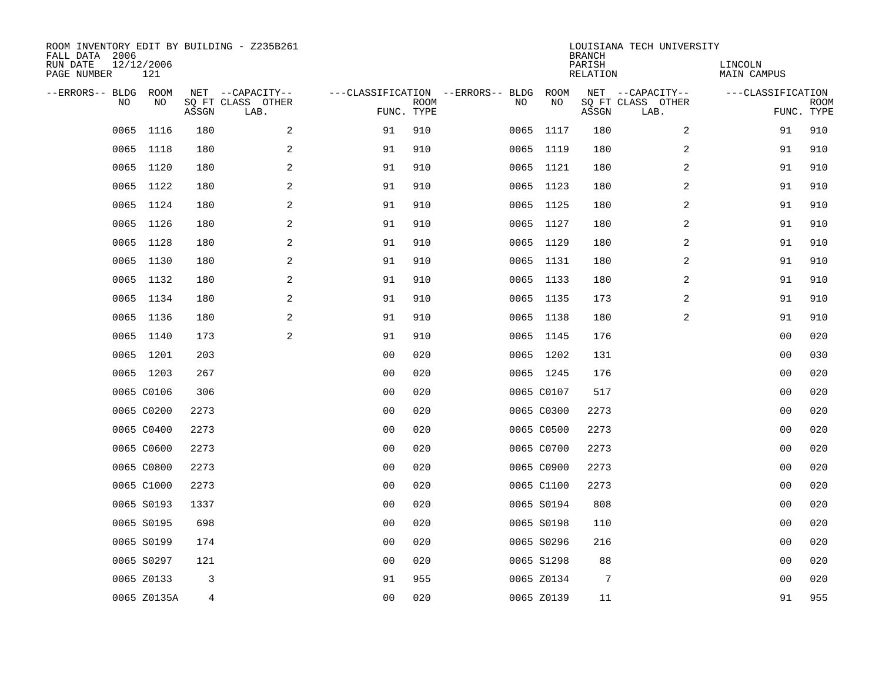| ROOM INVENTORY EDIT BY BUILDING - Z235B261<br>FALL DATA 2006<br>RUN DATE<br>PAGE NUMBER | 12/12/2006<br>121 |       |                                               |                |             |                                              |            | <b>BRANCH</b><br>PARISH<br><b>RELATION</b> | LOUISIANA TECH UNIVERSITY                     | LINCOLN<br><b>MAIN CAMPUS</b> |                           |
|-----------------------------------------------------------------------------------------|-------------------|-------|-----------------------------------------------|----------------|-------------|----------------------------------------------|------------|--------------------------------------------|-----------------------------------------------|-------------------------------|---------------------------|
| --ERRORS-- BLDG ROOM<br>NO                                                              | NO                | ASSGN | NET --CAPACITY--<br>SQ FT CLASS OTHER<br>LAB. | FUNC. TYPE     | <b>ROOM</b> | ---CLASSIFICATION --ERRORS-- BLDG ROOM<br>NO | NO         | ASSGN                                      | NET --CAPACITY--<br>SQ FT CLASS OTHER<br>LAB. | ---CLASSIFICATION             | <b>ROOM</b><br>FUNC. TYPE |
| 0065                                                                                    | 1116              | 180   | 2                                             | 91             | 910         |                                              | 0065 1117  | 180                                        | 2                                             | 91                            | 910                       |
|                                                                                         | 0065 1118         | 180   | 2                                             | 91             | 910         |                                              | 0065 1119  | 180                                        | 2                                             | 91                            | 910                       |
| 0065                                                                                    | 1120              | 180   | 2                                             | 91             | 910         |                                              | 0065 1121  | 180                                        | 2                                             | 91                            | 910                       |
|                                                                                         | 0065 1122         | 180   | 2                                             | 91             | 910         |                                              | 0065 1123  | 180                                        | 2                                             | 91                            | 910                       |
| 0065                                                                                    | 1124              | 180   | 2                                             | 91             | 910         |                                              | 0065 1125  | 180                                        | $\overline{a}$                                | 91                            | 910                       |
|                                                                                         | 0065 1126         | 180   | 2                                             | 91             | 910         |                                              | 0065 1127  | 180                                        | $\overline{a}$                                | 91                            | 910                       |
| 0065                                                                                    | 1128              | 180   | $\overline{a}$                                | 91             | 910         |                                              | 0065 1129  | 180                                        | $\overline{a}$                                | 91                            | 910                       |
|                                                                                         | 0065 1130         | 180   | 2                                             | 91             | 910         |                                              | 0065 1131  | 180                                        | 2                                             | 91                            | 910                       |
| 0065                                                                                    | 1132              | 180   | 2                                             | 91             | 910         |                                              | 0065 1133  | 180                                        | 2                                             | 91                            | 910                       |
|                                                                                         | 0065 1134         | 180   | 2                                             | 91             | 910         |                                              | 0065 1135  | 173                                        | 2                                             | 91                            | 910                       |
|                                                                                         | 0065 1136         | 180   | 2                                             | 91             | 910         |                                              | 0065 1138  | 180                                        | 2                                             | 91                            | 910                       |
|                                                                                         | 0065 1140         | 173   | 2                                             | 91             | 910         |                                              | 0065 1145  | 176                                        |                                               | 0 <sub>0</sub>                | 020                       |
|                                                                                         | 0065 1201         | 203   |                                               | 0 <sub>0</sub> | 020         |                                              | 0065 1202  | 131                                        |                                               | 0 <sub>0</sub>                | 030                       |
|                                                                                         | 0065 1203         | 267   |                                               | 0 <sub>0</sub> | 020         |                                              | 0065 1245  | 176                                        |                                               | 00                            | 020                       |
|                                                                                         | 0065 C0106        | 306   |                                               | 0 <sub>0</sub> | 020         |                                              | 0065 C0107 | 517                                        |                                               | 0 <sub>0</sub>                | 020                       |
|                                                                                         | 0065 C0200        | 2273  |                                               | 0 <sub>0</sub> | 020         |                                              | 0065 C0300 | 2273                                       |                                               | 00                            | 020                       |
|                                                                                         | 0065 C0400        | 2273  |                                               | 0 <sub>0</sub> | 020         |                                              | 0065 C0500 | 2273                                       |                                               | 00                            | 020                       |
|                                                                                         | 0065 C0600        | 2273  |                                               | 0 <sub>0</sub> | 020         |                                              | 0065 C0700 | 2273                                       |                                               | 0 <sub>0</sub>                | 020                       |
|                                                                                         | 0065 C0800        | 2273  |                                               | 0 <sub>0</sub> | 020         |                                              | 0065 C0900 | 2273                                       |                                               | 0 <sub>0</sub>                | 020                       |
|                                                                                         | 0065 C1000        | 2273  |                                               | 0 <sub>0</sub> | 020         |                                              | 0065 C1100 | 2273                                       |                                               | 0 <sub>0</sub>                | 020                       |
|                                                                                         | 0065 S0193        | 1337  |                                               | 0 <sub>0</sub> | 020         |                                              | 0065 S0194 | 808                                        |                                               | 00                            | 020                       |
|                                                                                         | 0065 S0195        | 698   |                                               | 0 <sub>0</sub> | 020         |                                              | 0065 S0198 | 110                                        |                                               | 00                            | 020                       |
|                                                                                         | 0065 S0199        | 174   |                                               | 0 <sub>0</sub> | 020         |                                              | 0065 S0296 | 216                                        |                                               | 00                            | 020                       |
|                                                                                         | 0065 S0297        | 121   |                                               | 0 <sub>0</sub> | 020         |                                              | 0065 S1298 | 88                                         |                                               | 00                            | 020                       |
|                                                                                         | 0065 Z0133        | 3     |                                               | 91             | 955         |                                              | 0065 Z0134 | 7                                          |                                               | 00                            | 020                       |
|                                                                                         | 0065 Z0135A       | 4     |                                               | 0 <sub>0</sub> | 020         |                                              | 0065 Z0139 | 11                                         |                                               | 91                            | 955                       |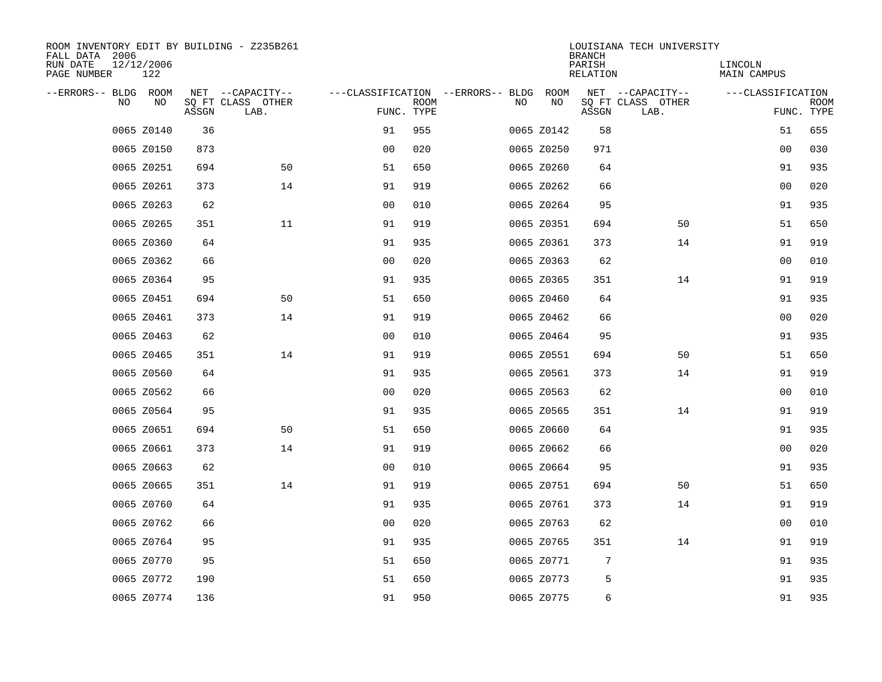| ROOM INVENTORY EDIT BY BUILDING - Z235B261<br>FALL DATA 2006 |                   |       |                           |                                   |             |     |            | <b>BRANCH</b>      | LOUISIANA TECH UNIVERSITY |                        |                           |
|--------------------------------------------------------------|-------------------|-------|---------------------------|-----------------------------------|-------------|-----|------------|--------------------|---------------------------|------------------------|---------------------------|
| RUN DATE<br>PAGE NUMBER                                      | 12/12/2006<br>122 |       |                           |                                   |             |     |            | PARISH<br>RELATION |                           | LINCOLN<br>MAIN CAMPUS |                           |
| --ERRORS-- BLDG ROOM                                         |                   |       | NET --CAPACITY--          | ---CLASSIFICATION --ERRORS-- BLDG |             |     | ROOM       |                    | NET --CAPACITY--          | ---CLASSIFICATION      |                           |
| <b>NO</b>                                                    | NO.               | ASSGN | SO FT CLASS OTHER<br>LAB. | FUNC. TYPE                        | <b>ROOM</b> | NO. | NO         | ASSGN              | SQ FT CLASS OTHER<br>LAB. |                        | <b>ROOM</b><br>FUNC. TYPE |
|                                                              | 0065 Z0140        | 36    |                           | 91                                | 955         |     | 0065 Z0142 | 58                 |                           | 51                     | 655                       |
|                                                              | 0065 Z0150        | 873   |                           | 0 <sub>0</sub>                    | 020         |     | 0065 Z0250 | 971                |                           | 0 <sub>0</sub>         | 030                       |
|                                                              | 0065 Z0251        | 694   | 50                        | 51                                | 650         |     | 0065 Z0260 | 64                 |                           | 91                     | 935                       |
|                                                              | 0065 Z0261        | 373   | 14                        | 91                                | 919         |     | 0065 Z0262 | 66                 |                           | 00                     | 020                       |
|                                                              | 0065 Z0263        | 62    |                           | 00                                | 010         |     | 0065 Z0264 | 95                 |                           | 91                     | 935                       |
|                                                              | 0065 Z0265        | 351   | 11                        | 91                                | 919         |     | 0065 Z0351 | 694                | 50                        | 51                     | 650                       |
|                                                              | 0065 Z0360        | 64    |                           | 91                                | 935         |     | 0065 Z0361 | 373                | 14                        | 91                     | 919                       |
|                                                              | 0065 Z0362        | 66    |                           | 0 <sub>0</sub>                    | 020         |     | 0065 Z0363 | 62                 |                           | 00                     | 010                       |
|                                                              | 0065 Z0364        | 95    |                           | 91                                | 935         |     | 0065 Z0365 | 351                | 14                        | 91                     | 919                       |
|                                                              | 0065 Z0451        | 694   | 50                        | 51                                | 650         |     | 0065 Z0460 | 64                 |                           | 91                     | 935                       |
|                                                              | 0065 Z0461        | 373   | 14                        | 91                                | 919         |     | 0065 Z0462 | 66                 |                           | 0 <sub>0</sub>         | 020                       |
|                                                              | 0065 Z0463        | 62    |                           | 0 <sub>0</sub>                    | 010         |     | 0065 Z0464 | 95                 |                           | 91                     | 935                       |
|                                                              | 0065 Z0465        | 351   | 14                        | 91                                | 919         |     | 0065 Z0551 | 694                | 50                        | 51                     | 650                       |
|                                                              | 0065 Z0560        | 64    |                           | 91                                | 935         |     | 0065 Z0561 | 373                | 14                        | 91                     | 919                       |
|                                                              | 0065 Z0562        | 66    |                           | 0 <sub>0</sub>                    | 020         |     | 0065 Z0563 | 62                 |                           | 0 <sub>0</sub>         | 010                       |
|                                                              | 0065 Z0564        | 95    |                           | 91                                | 935         |     | 0065 Z0565 | 351                | 14                        | 91                     | 919                       |
|                                                              | 0065 Z0651        | 694   | 50                        | 51                                | 650         |     | 0065 Z0660 | 64                 |                           | 91                     | 935                       |
|                                                              | 0065 Z0661        | 373   | 14                        | 91                                | 919         |     | 0065 Z0662 | 66                 |                           | 00                     | 020                       |
|                                                              | 0065 Z0663        | 62    |                           | 0 <sub>0</sub>                    | 010         |     | 0065 Z0664 | 95                 |                           | 91                     | 935                       |
|                                                              | 0065 Z0665        | 351   | 14                        | 91                                | 919         |     | 0065 Z0751 | 694                | 50                        | 51                     | 650                       |
|                                                              | 0065 Z0760        | 64    |                           | 91                                | 935         |     | 0065 Z0761 | 373                | 14                        | 91                     | 919                       |
|                                                              | 0065 Z0762        | 66    |                           | 0 <sub>0</sub>                    | 020         |     | 0065 Z0763 | 62                 |                           | 00                     | 010                       |
|                                                              | 0065 Z0764        | 95    |                           | 91                                | 935         |     | 0065 Z0765 | 351                | 14                        | 91                     | 919                       |
|                                                              | 0065 Z0770        | 95    |                           | 51                                | 650         |     | 0065 Z0771 | 7                  |                           | 91                     | 935                       |
|                                                              | 0065 Z0772        | 190   |                           | 51                                | 650         |     | 0065 Z0773 | 5                  |                           | 91                     | 935                       |
|                                                              | 0065 Z0774        | 136   |                           | 91                                | 950         |     | 0065 Z0775 | 6                  |                           | 91                     | 935                       |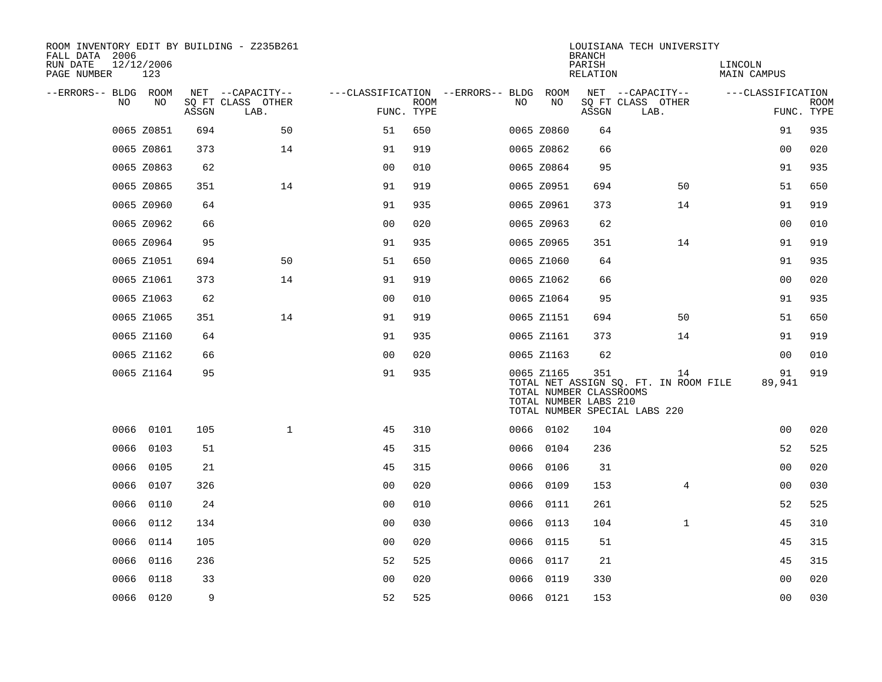| ROOM INVENTORY EDIT BY BUILDING - Z235B261<br>FALL DATA 2006 |                   |       |                           |                                        |             |      |            | <b>BRANCH</b>                                           | LOUISIANA TECH UNIVERSITY                                                    |                        |                           |
|--------------------------------------------------------------|-------------------|-------|---------------------------|----------------------------------------|-------------|------|------------|---------------------------------------------------------|------------------------------------------------------------------------------|------------------------|---------------------------|
| RUN DATE<br>PAGE NUMBER                                      | 12/12/2006<br>123 |       |                           |                                        |             |      |            | PARISH<br>RELATION                                      |                                                                              | LINCOLN<br>MAIN CAMPUS |                           |
| --ERRORS-- BLDG ROOM                                         |                   |       | NET --CAPACITY--          | ---CLASSIFICATION --ERRORS-- BLDG ROOM |             |      |            |                                                         | NET --CAPACITY--                                                             | ---CLASSIFICATION      |                           |
| NO                                                           | NO                | ASSGN | SQ FT CLASS OTHER<br>LAB. | FUNC. TYPE                             | <b>ROOM</b> | NO.  | NO         | ASSGN                                                   | SQ FT CLASS OTHER<br>LAB.                                                    |                        | <b>ROOM</b><br>FUNC. TYPE |
|                                                              | 0065 Z0851        | 694   | 50                        | 51                                     | 650         |      | 0065 Z0860 | 64                                                      |                                                                              | 91                     | 935                       |
|                                                              | 0065 Z0861        | 373   | 14                        | 91                                     | 919         |      | 0065 Z0862 | 66                                                      |                                                                              | 00                     | 020                       |
|                                                              | 0065 Z0863        | 62    |                           | 0 <sub>0</sub>                         | 010         |      | 0065 Z0864 | 95                                                      |                                                                              | 91                     | 935                       |
|                                                              | 0065 Z0865        | 351   | 14                        | 91                                     | 919         |      | 0065 Z0951 | 694                                                     | 50                                                                           | 51                     | 650                       |
|                                                              | 0065 Z0960        | 64    |                           | 91                                     | 935         |      | 0065 Z0961 | 373                                                     | 14                                                                           | 91                     | 919                       |
|                                                              | 0065 Z0962        | 66    |                           | 0 <sub>0</sub>                         | 020         |      | 0065 Z0963 | 62                                                      |                                                                              | 00                     | 010                       |
|                                                              | 0065 Z0964        | 95    |                           | 91                                     | 935         |      | 0065 Z0965 | 351                                                     | 14                                                                           | 91                     | 919                       |
|                                                              | 0065 Z1051        | 694   | 50                        | 51                                     | 650         |      | 0065 Z1060 | 64                                                      |                                                                              | 91                     | 935                       |
|                                                              | 0065 Z1061        | 373   | 14                        | 91                                     | 919         |      | 0065 Z1062 | 66                                                      |                                                                              | 00                     | 020                       |
|                                                              | 0065 Z1063        | 62    |                           | 0 <sub>0</sub>                         | 010         |      | 0065 Z1064 | 95                                                      |                                                                              | 91                     | 935                       |
|                                                              | 0065 Z1065        | 351   | 14                        | 91                                     | 919         |      | 0065 Z1151 | 694                                                     | 50                                                                           | 51                     | 650                       |
|                                                              | 0065 Z1160        | 64    |                           | 91                                     | 935         |      | 0065 Z1161 | 373                                                     | 14                                                                           | 91                     | 919                       |
|                                                              | 0065 Z1162        | 66    |                           | 0 <sub>0</sub>                         | 020         |      | 0065 Z1163 | 62                                                      |                                                                              | 0 <sub>0</sub>         | 010                       |
|                                                              | 0065 Z1164        | 95    |                           | 91                                     | 935         |      | 0065 Z1165 | 351<br>TOTAL NUMBER CLASSROOMS<br>TOTAL NUMBER LABS 210 | 14<br>TOTAL NET ASSIGN SQ. FT. IN ROOM FILE<br>TOTAL NUMBER SPECIAL LABS 220 | 91<br>89,941           | 919                       |
|                                                              | 0066 0101         | 105   | $\mathbf{1}$              | 45                                     | 310         |      | 0066 0102  | 104                                                     |                                                                              | 00                     | 020                       |
| 0066                                                         | 0103              | 51    |                           | 45                                     | 315         |      | 0066 0104  | 236                                                     |                                                                              | 52                     | 525                       |
|                                                              | 0066 0105         | 21    |                           | 45                                     | 315         |      | 0066 0106  | 31                                                      |                                                                              | 0 <sub>0</sub>         | 020                       |
| 0066                                                         | 0107              | 326   |                           | 0 <sub>0</sub>                         | 020         |      | 0066 0109  | 153                                                     | $\overline{4}$                                                               | 0 <sub>0</sub>         | 030                       |
| 0066                                                         | 0110              | 24    |                           | 0 <sub>0</sub>                         | 010         |      | 0066 0111  | 261                                                     |                                                                              | 52                     | 525                       |
| 0066                                                         | 0112              | 134   |                           | 0 <sub>0</sub>                         | 030         | 0066 | 0113       | 104                                                     | $\mathbf{1}$                                                                 | 45                     | 310                       |
| 0066                                                         | 0114              | 105   |                           | 0 <sub>0</sub>                         | 020         |      | 0066 0115  | 51                                                      |                                                                              | 45                     | 315                       |
| 0066                                                         | 0116              | 236   |                           | 52                                     | 525         |      | 0066 0117  | 21                                                      |                                                                              | 45                     | 315                       |
| 0066                                                         | 0118              | 33    |                           | 0 <sub>0</sub>                         | 020         |      | 0066 0119  | 330                                                     |                                                                              | 00                     | 020                       |
|                                                              | 0066 0120         | 9     |                           | 52                                     | 525         |      | 0066 0121  | 153                                                     |                                                                              | 0 <sub>0</sub>         | 030                       |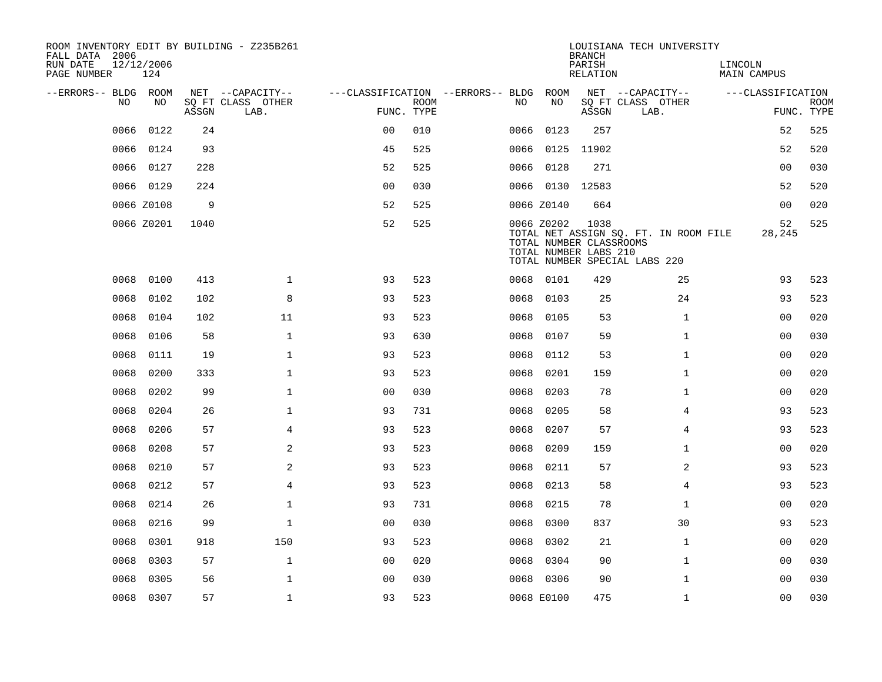| ROOM INVENTORY EDIT BY BUILDING - Z235B261<br>FALL DATA 2006 |                   |       |                           |                                        |             |      |                 | <b>BRANCH</b>                                            | LOUISIANA TECH UNIVERSITY                                              |                        |                           |
|--------------------------------------------------------------|-------------------|-------|---------------------------|----------------------------------------|-------------|------|-----------------|----------------------------------------------------------|------------------------------------------------------------------------|------------------------|---------------------------|
| RUN DATE<br>PAGE NUMBER                                      | 12/12/2006<br>124 |       |                           |                                        |             |      |                 | PARISH<br>RELATION                                       |                                                                        | LINCOLN<br>MAIN CAMPUS |                           |
| --ERRORS-- BLDG ROOM                                         |                   |       | NET --CAPACITY--          | ---CLASSIFICATION --ERRORS-- BLDG ROOM |             |      |                 |                                                          | NET --CAPACITY--                                                       | ---CLASSIFICATION      |                           |
| NO.                                                          | NO.               | ASSGN | SQ FT CLASS OTHER<br>LAB. | FUNC. TYPE                             | <b>ROOM</b> | NO.  | NO              | ASSGN                                                    | SQ FT CLASS OTHER<br>LAB.                                              |                        | <b>ROOM</b><br>FUNC. TYPE |
| 0066                                                         | 0122              | 24    |                           | 0 <sub>0</sub>                         | 010         | 0066 | 0123            | 257                                                      |                                                                        | 52                     | 525                       |
| 0066                                                         | 0124              | 93    |                           | 45                                     | 525         |      | 0066 0125 11902 |                                                          |                                                                        | 52                     | 520                       |
| 0066                                                         | 0127              | 228   |                           | 52                                     | 525         |      | 0066 0128       | 271                                                      |                                                                        | 0 <sub>0</sub>         | 030                       |
|                                                              | 0066 0129         | 224   |                           | 0 <sub>0</sub>                         | 030         |      | 0066 0130 12583 |                                                          |                                                                        | 52                     | 520                       |
|                                                              | 0066 Z0108        | 9     |                           | 52                                     | 525         |      | 0066 Z0140      | 664                                                      |                                                                        | 00                     | 020                       |
|                                                              | 0066 Z0201        | 1040  |                           | 52                                     | 525         |      | 0066 Z0202      | 1038<br>TOTAL NUMBER CLASSROOMS<br>TOTAL NUMBER LABS 210 | TOTAL NET ASSIGN SQ. FT. IN ROOM FILE<br>TOTAL NUMBER SPECIAL LABS 220 | 52<br>28,245           | 525                       |
| 0068                                                         | 0100              | 413   | $\mathbf{1}$              | 93                                     | 523         |      | 0068 0101       | 429                                                      | 25                                                                     | 93                     | 523                       |
| 0068                                                         | 0102              | 102   | 8                         | 93                                     | 523         | 0068 | 0103            | 25                                                       | 24                                                                     | 93                     | 523                       |
| 0068                                                         | 0104              | 102   | 11                        | 93                                     | 523         | 0068 | 0105            | 53                                                       | $\mathbf{1}$                                                           | 0 <sub>0</sub>         | 020                       |
| 0068                                                         | 0106              | 58    | $\mathbf 1$               | 93                                     | 630         | 0068 | 0107            | 59                                                       | $\mathbf{1}$                                                           | 00                     | 030                       |
| 0068                                                         | 0111              | 19    | $\mathbf{1}$              | 93                                     | 523         | 0068 | 0112            | 53                                                       | $\mathbf{1}$                                                           | 00                     | 020                       |
| 0068                                                         | 0200              | 333   | $\mathbf 1$               | 93                                     | 523         | 0068 | 0201            | 159                                                      | $\mathbf{1}$                                                           | 00                     | 020                       |
| 0068                                                         | 0202              | 99    | $\mathbf{1}$              | 0 <sub>0</sub>                         | 030         | 0068 | 0203            | 78                                                       | $\mathbf{1}$                                                           | 00                     | 020                       |
| 0068                                                         | 0204              | 26    | $\mathbf{1}$              | 93                                     | 731         | 0068 | 0205            | 58                                                       | 4                                                                      | 93                     | 523                       |
| 0068                                                         | 0206              | 57    | 4                         | 93                                     | 523         | 0068 | 0207            | 57                                                       | 4                                                                      | 93                     | 523                       |
| 0068                                                         | 0208              | 57    | 2                         | 93                                     | 523         | 0068 | 0209            | 159                                                      | $\mathbf{1}$                                                           | 00                     | 020                       |
| 0068                                                         | 0210              | 57    | 2                         | 93                                     | 523         | 0068 | 0211            | 57                                                       | 2                                                                      | 93                     | 523                       |
| 0068                                                         | 0212              | 57    | $\overline{4}$            | 93                                     | 523         | 0068 | 0213            | 58                                                       | $\overline{4}$                                                         | 93                     | 523                       |
| 0068                                                         | 0214              | 26    | $\mathbf{1}$              | 93                                     | 731         | 0068 | 0215            | 78                                                       | $\mathbf{1}$                                                           | 0 <sub>0</sub>         | 020                       |
| 0068                                                         | 0216              | 99    | $\mathbf 1$               | 0 <sub>0</sub>                         | 030         | 0068 | 0300            | 837                                                      | 30                                                                     | 93                     | 523                       |
| 0068                                                         | 0301              | 918   | 150                       | 93                                     | 523         | 0068 | 0302            | 21                                                       | $\mathbf{1}$                                                           | 00                     | 020                       |
| 0068                                                         | 0303              | 57    | $\mathbf 1$               | 00                                     | 020         | 0068 | 0304            | 90                                                       | $\mathbf{1}$                                                           | 00                     | 030                       |
| 0068                                                         | 0305              | 56    | $\mathbf 1$               | 0 <sub>0</sub>                         | 030         |      | 0068 0306       | 90                                                       | $\mathbf{1}$                                                           | 00                     | 030                       |
|                                                              | 0068 0307         | 57    | $\mathbf{1}$              | 93                                     | 523         |      | 0068 E0100      | 475                                                      | $\mathbf{1}$                                                           | 0 <sub>0</sub>         | 030                       |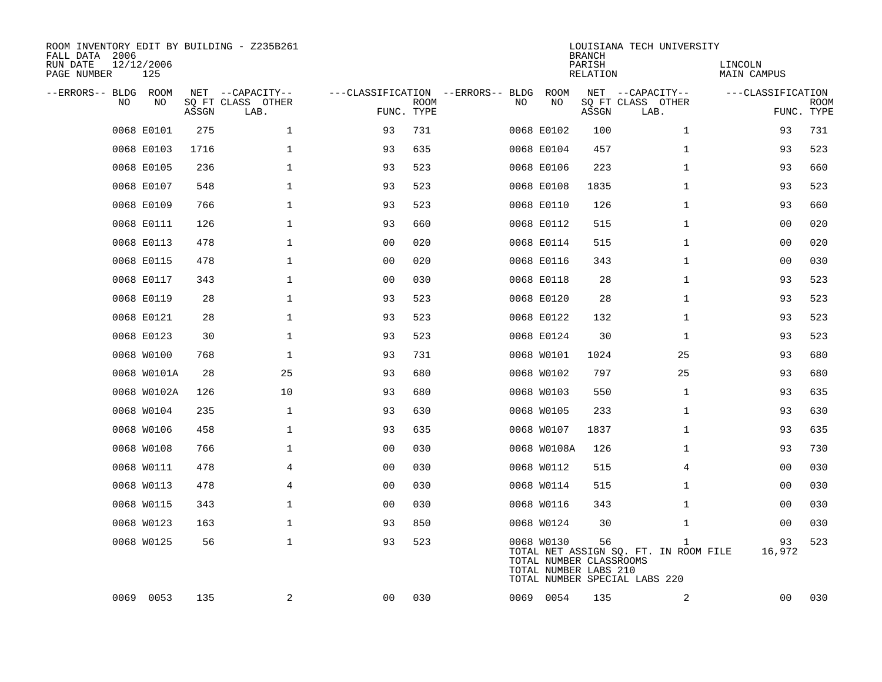| ROOM INVENTORY EDIT BY BUILDING - Z235B261<br>FALL DATA 2006<br>RUN DATE<br>PAGE NUMBER | 12/12/2006<br>125 |       |                                               |                                                 |             |    |                                                                | <b>BRANCH</b><br>PARISH<br><b>RELATION</b> | LOUISIANA TECH UNIVERSITY                                                              | LINCOLN<br><b>MAIN CAMPUS</b> |                           |
|-----------------------------------------------------------------------------------------|-------------------|-------|-----------------------------------------------|-------------------------------------------------|-------------|----|----------------------------------------------------------------|--------------------------------------------|----------------------------------------------------------------------------------------|-------------------------------|---------------------------|
| --ERRORS-- BLDG ROOM<br>NO.                                                             | NO                | ASSGN | NET --CAPACITY--<br>SQ FT CLASS OTHER<br>LAB. | ---CLASSIFICATION --ERRORS-- BLDG<br>FUNC. TYPE | <b>ROOM</b> | NO | ROOM<br>NO                                                     | ASSGN                                      | NET --CAPACITY--<br>SQ FT CLASS OTHER<br>LAB.                                          | ---CLASSIFICATION             | <b>ROOM</b><br>FUNC. TYPE |
|                                                                                         | 0068 E0101        | 275   | $\mathbf 1$                                   | 93                                              | 731         |    | 0068 E0102                                                     | 100                                        | $\mathbf{1}$                                                                           | 93                            | 731                       |
|                                                                                         | 0068 E0103        | 1716  | $\mathbf 1$                                   | 93                                              | 635         |    | 0068 E0104                                                     | 457                                        | $\mathbf{1}$                                                                           | 93                            | 523                       |
|                                                                                         | 0068 E0105        | 236   | $\mathbf 1$                                   | 93                                              | 523         |    | 0068 E0106                                                     | 223                                        | $\mathbf{1}$                                                                           | 93                            | 660                       |
|                                                                                         | 0068 E0107        | 548   | $\mathbf 1$                                   | 93                                              | 523         |    | 0068 E0108                                                     | 1835                                       | $\mathbf{1}$                                                                           | 93                            | 523                       |
|                                                                                         | 0068 E0109        | 766   | $\mathbf{1}$                                  | 93                                              | 523         |    | 0068 E0110                                                     | 126                                        | $\mathbf{1}$                                                                           | 93                            | 660                       |
|                                                                                         | 0068 E0111        | 126   | $\mathbf 1$                                   | 93                                              | 660         |    | 0068 E0112                                                     | 515                                        | $\mathbf{1}$                                                                           | 0 <sub>0</sub>                | 020                       |
|                                                                                         | 0068 E0113        | 478   | $\mathbf 1$                                   | 0 <sub>0</sub>                                  | 020         |    | 0068 E0114                                                     | 515                                        | $\mathbf{1}$                                                                           | 00                            | 020                       |
|                                                                                         | 0068 E0115        | 478   | $\mathbf 1$                                   | 0 <sub>0</sub>                                  | 020         |    | 0068 E0116                                                     | 343                                        | $\mathbf{1}$                                                                           | 00                            | 030                       |
|                                                                                         | 0068 E0117        | 343   | $\mathbf 1$                                   | 00                                              | 030         |    | 0068 E0118                                                     | 28                                         | $\mathbf{1}$                                                                           | 93                            | 523                       |
|                                                                                         | 0068 E0119        | 28    | $\mathbf 1$                                   | 93                                              | 523         |    | 0068 E0120                                                     | 28                                         | $\mathbf{1}$                                                                           | 93                            | 523                       |
|                                                                                         | 0068 E0121        | 28    | $\mathbf 1$                                   | 93                                              | 523         |    | 0068 E0122                                                     | 132                                        | $\mathbf{1}$                                                                           | 93                            | 523                       |
|                                                                                         | 0068 E0123        | 30    | $\mathbf{1}$                                  | 93                                              | 523         |    | 0068 E0124                                                     | 30                                         | $\mathbf{1}$                                                                           | 93                            | 523                       |
|                                                                                         | 0068 W0100        | 768   | $\mathbf 1$                                   | 93                                              | 731         |    | 0068 W0101                                                     | 1024                                       | 25                                                                                     | 93                            | 680                       |
|                                                                                         | 0068 W0101A       | 28    | 25                                            | 93                                              | 680         |    | 0068 W0102                                                     | 797                                        | 25                                                                                     | 93                            | 680                       |
|                                                                                         | 0068 W0102A       | 126   | 10                                            | 93                                              | 680         |    | 0068 W0103                                                     | 550                                        | $\mathbf{1}$                                                                           | 93                            | 635                       |
|                                                                                         | 0068 W0104        | 235   | $\mathbf 1$                                   | 93                                              | 630         |    | 0068 W0105                                                     | 233                                        | $\mathbf{1}$                                                                           | 93                            | 630                       |
|                                                                                         | 0068 W0106        | 458   | $\mathbf 1$                                   | 93                                              | 635         |    | 0068 W0107                                                     | 1837                                       | $\mathbf{1}$                                                                           | 93                            | 635                       |
|                                                                                         | 0068 W0108        | 766   | $\mathbf 1$                                   | 0 <sub>0</sub>                                  | 030         |    | 0068 W0108A                                                    | 126                                        | $\mathbf{1}$                                                                           | 93                            | 730                       |
|                                                                                         | 0068 W0111        | 478   | $\overline{4}$                                | 0 <sub>0</sub>                                  | 030         |    | 0068 W0112                                                     | 515                                        | 4                                                                                      | 00                            | 030                       |
|                                                                                         | 0068 W0113        | 478   | 4                                             | 0 <sub>0</sub>                                  | 030         |    | 0068 W0114                                                     | 515                                        | $\mathbf{1}$                                                                           | 0 <sub>0</sub>                | 030                       |
|                                                                                         | 0068 W0115        | 343   | 1                                             | 0 <sub>0</sub>                                  | 030         |    | 0068 W0116                                                     | 343                                        | $\mathbf{1}$                                                                           | 00                            | 030                       |
|                                                                                         | 0068 W0123        | 163   | $\mathbf 1$                                   | 93                                              | 850         |    | 0068 W0124                                                     | 30                                         | $\mathbf{1}$                                                                           | 00                            | 030                       |
|                                                                                         | 0068 W0125        | 56    | $\mathbf 1$                                   | 93                                              | 523         |    | 0068 W0130<br>TOTAL NUMBER CLASSROOMS<br>TOTAL NUMBER LABS 210 | 56                                         | $\mathbf{1}$<br>TOTAL NET ASSIGN SQ. FT. IN ROOM FILE<br>TOTAL NUMBER SPECIAL LABS 220 | 93<br>16,972                  | 523                       |
|                                                                                         | 0069 0053         | 135   | $\overline{a}$                                | 00                                              | 030         |    | 0069 0054                                                      | 135                                        | 2                                                                                      | 00                            | 030                       |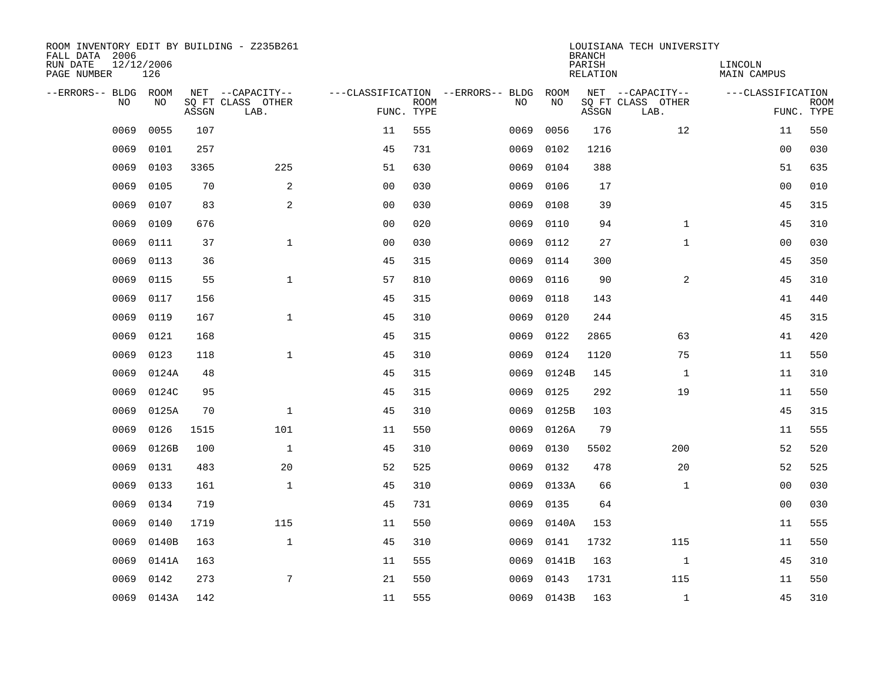| ROOM INVENTORY EDIT BY BUILDING - Z235B261<br>FALL DATA 2006<br>RUN DATE<br>PAGE NUMBER | 12/12/2006<br>126 |       |                                       |                |             |                                          |                   | <b>BRANCH</b><br>PARISH<br><b>RELATION</b> | LOUISIANA TECH UNIVERSITY             | LINCOLN<br><b>MAIN CAMPUS</b> |             |
|-----------------------------------------------------------------------------------------|-------------------|-------|---------------------------------------|----------------|-------------|------------------------------------------|-------------------|--------------------------------------------|---------------------------------------|-------------------------------|-------------|
|                                                                                         |                   |       |                                       |                |             |                                          |                   |                                            |                                       |                               |             |
| --ERRORS-- BLDG<br>N <sub>O</sub>                                                       | ROOM<br>NO.       |       | NET --CAPACITY--<br>SO FT CLASS OTHER |                | <b>ROOM</b> | ---CLASSIFICATION --ERRORS-- BLDG<br>NO. | <b>ROOM</b><br>NO |                                            | NET --CAPACITY--<br>SQ FT CLASS OTHER | ---CLASSIFICATION             | <b>ROOM</b> |
|                                                                                         |                   | ASSGN | LAB.                                  | FUNC. TYPE     |             |                                          |                   | ASSGN                                      | LAB.                                  |                               | FUNC. TYPE  |
| 0069                                                                                    | 0055              | 107   |                                       | 11             | 555         | 0069                                     | 0056              | 176                                        | 12                                    | 11                            | 550         |
| 0069                                                                                    | 0101              | 257   |                                       | 45             | 731         | 0069                                     | 0102              | 1216                                       |                                       | 00                            | 030         |
| 0069                                                                                    | 0103              | 3365  | 225                                   | 51             | 630         | 0069                                     | 0104              | 388                                        |                                       | 51                            | 635         |
| 0069                                                                                    | 0105              | 70    | 2                                     | 0 <sub>0</sub> | 030         | 0069                                     | 0106              | 17                                         |                                       | 0 <sub>0</sub>                | 010         |
| 0069                                                                                    | 0107              | 83    | 2                                     | 0 <sub>0</sub> | 030         | 0069                                     | 0108              | 39                                         |                                       | 45                            | 315         |
| 0069                                                                                    | 0109              | 676   |                                       | 0 <sub>0</sub> | 020         | 0069                                     | 0110              | 94                                         | $\mathbf{1}$                          | 45                            | 310         |
| 0069                                                                                    | 0111              | 37    | $\mathbf{1}$                          | 0 <sub>0</sub> | 030         | 0069                                     | 0112              | 27                                         | $\mathbf{1}$                          | 00                            | 030         |
| 0069                                                                                    | 0113              | 36    |                                       | 45             | 315         | 0069                                     | 0114              | 300                                        |                                       | 45                            | 350         |
| 0069                                                                                    | 0115              | 55    | $\mathbf{1}$                          | 57             | 810         | 0069                                     | 0116              | 90                                         | 2                                     | 45                            | 310         |
| 0069                                                                                    | 0117              | 156   |                                       | 45             | 315         | 0069                                     | 0118              | 143                                        |                                       | 41                            | 440         |
| 0069                                                                                    | 0119              | 167   | $\mathbf{1}$                          | 45             | 310         | 0069                                     | 0120              | 244                                        |                                       | 45                            | 315         |
| 0069                                                                                    | 0121              | 168   |                                       | 45             | 315         | 0069                                     | 0122              | 2865                                       | 63                                    | 41                            | 420         |
| 0069                                                                                    | 0123              | 118   | $\mathbf{1}$                          | 45             | 310         | 0069                                     | 0124              | 1120                                       | 75                                    | 11                            | 550         |
| 0069                                                                                    | 0124A             | 48    |                                       | 45             | 315         | 0069                                     | 0124B             | 145                                        | $\mathbf{1}$                          | 11                            | 310         |
| 0069                                                                                    | 0124C             | 95    |                                       | 45             | 315         | 0069                                     | 0125              | 292                                        | 19                                    | 11                            | 550         |
| 0069                                                                                    | 0125A             | 70    | $\mathbf 1$                           | 45             | 310         | 0069                                     | 0125B             | 103                                        |                                       | 45                            | 315         |
| 0069                                                                                    | 0126              | 1515  | 101                                   | 11             | 550         | 0069                                     | 0126A             | 79                                         |                                       | 11                            | 555         |
| 0069                                                                                    | 0126B             | 100   | $\mathbf{1}$                          | 45             | 310         | 0069                                     | 0130              | 5502                                       | 200                                   | 52                            | 520         |
| 0069                                                                                    | 0131              | 483   | 20                                    | 52             | 525         | 0069                                     | 0132              | 478                                        | 20                                    | 52                            | 525         |
| 0069                                                                                    | 0133              | 161   | $\mathbf 1$                           | 45             | 310         | 0069                                     | 0133A             | 66                                         | $\mathbf{1}$                          | 00                            | 030         |
| 0069                                                                                    | 0134              | 719   |                                       | 45             | 731         | 0069                                     | 0135              | 64                                         |                                       | 0 <sub>0</sub>                | 030         |
| 0069                                                                                    | 0140              | 1719  | 115                                   | 11             | 550         | 0069                                     | 0140A             | 153                                        |                                       | 11                            | 555         |
| 0069                                                                                    | 0140B             | 163   | $\mathbf{1}$                          | 45             | 310         | 0069                                     | 0141              | 1732                                       | 115                                   | 11                            | 550         |
| 0069                                                                                    | 0141A             | 163   |                                       | 11             | 555         | 0069                                     | 0141B             | 163                                        | $\mathbf{1}$                          | 45                            | 310         |
| 0069                                                                                    | 0142              | 273   | 7                                     | 21             | 550         | 0069                                     | 0143              | 1731                                       | 115                                   | 11                            | 550         |
|                                                                                         | 0069 0143A        | 142   |                                       | 11             | 555         |                                          | 0069 0143B        | 163                                        | $\mathbf{1}$                          | 45                            | 310         |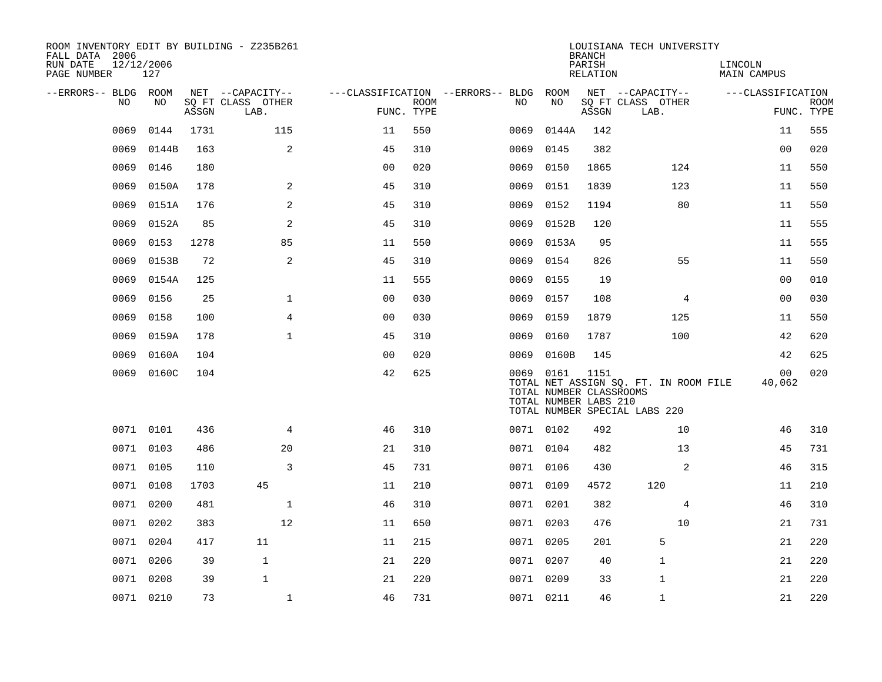| ROOM INVENTORY EDIT BY BUILDING - Z235B261<br>FALL DATA 2006 |                   |       |                           |                |             |                                        |                                                               | <b>BRANCH</b>      | LOUISIANA TECH UNIVERSITY                                              |                          |                           |
|--------------------------------------------------------------|-------------------|-------|---------------------------|----------------|-------------|----------------------------------------|---------------------------------------------------------------|--------------------|------------------------------------------------------------------------|--------------------------|---------------------------|
| RUN DATE<br>PAGE NUMBER                                      | 12/12/2006<br>127 |       |                           |                |             |                                        |                                                               | PARISH<br>RELATION |                                                                        | LINCOLN<br>MAIN CAMPUS   |                           |
| --ERRORS-- BLDG ROOM                                         |                   |       | NET --CAPACITY--          |                |             | ---CLASSIFICATION --ERRORS-- BLDG ROOM |                                                               |                    | NET --CAPACITY--                                                       | ---CLASSIFICATION        |                           |
| NO                                                           | NO                | ASSGN | SQ FT CLASS OTHER<br>LAB. | FUNC. TYPE     | <b>ROOM</b> | NO                                     | NO                                                            | ASSGN              | SQ FT CLASS OTHER<br>LAB.                                              |                          | <b>ROOM</b><br>FUNC. TYPE |
| 0069                                                         | 0144              | 1731  | 115                       | 11             | 550         | 0069                                   | 0144A                                                         | 142                |                                                                        | 11                       | 555                       |
| 0069                                                         | 0144B             | 163   | 2                         | 45             | 310         | 0069                                   | 0145                                                          | 382                |                                                                        | 00                       | 020                       |
| 0069                                                         | 0146              | 180   |                           | 0 <sub>0</sub> | 020         | 0069                                   | 0150                                                          | 1865               | 124                                                                    | 11                       | 550                       |
| 0069                                                         | 0150A             | 178   | $\overline{a}$            | 45             | 310         | 0069                                   | 0151                                                          | 1839               | 123                                                                    | 11                       | 550                       |
| 0069                                                         | 0151A             | 176   | 2                         | 45             | 310         | 0069                                   | 0152                                                          | 1194               | 80                                                                     | 11                       | 550                       |
| 0069                                                         | 0152A             | 85    | 2                         | 45             | 310         |                                        | 0069 0152B                                                    | 120                |                                                                        | 11                       | 555                       |
| 0069                                                         | 0153              | 1278  | 85                        | 11             | 550         | 0069                                   | 0153A                                                         | 95                 |                                                                        | 11                       | 555                       |
| 0069                                                         | 0153B             | 72    | 2                         | 45             | 310         | 0069                                   | 0154                                                          | 826                | 55                                                                     | 11                       | 550                       |
| 0069                                                         | 0154A             | 125   |                           | 11             | 555         | 0069                                   | 0155                                                          | 19                 |                                                                        | 00                       | 010                       |
| 0069                                                         | 0156              | 25    | $\mathbf{1}$              | 0 <sub>0</sub> | 030         | 0069                                   | 0157                                                          | 108                | 4                                                                      | 0 <sub>0</sub>           | 030                       |
| 0069                                                         | 0158              | 100   | 4                         | 0 <sub>0</sub> | 030         | 0069                                   | 0159                                                          | 1879               | 125                                                                    | 11                       | 550                       |
| 0069                                                         | 0159A             | 178   | $\mathbf 1$               | 45             | 310         | 0069                                   | 0160                                                          | 1787               | 100                                                                    | 42                       | 620                       |
| 0069                                                         | 0160A             | 104   |                           | 0 <sub>0</sub> | 020         | 0069                                   | 0160B                                                         | 145                |                                                                        | 42                       | 625                       |
| 0069                                                         | 0160C             | 104   |                           | 42             | 625         |                                        | 0069 0161<br>TOTAL NUMBER CLASSROOMS<br>TOTAL NUMBER LABS 210 | 1151               | TOTAL NET ASSIGN SQ. FT. IN ROOM FILE<br>TOTAL NUMBER SPECIAL LABS 220 | 0 <sub>0</sub><br>40,062 | 020                       |
|                                                              | 0071 0101         | 436   | $\overline{4}$            | 46             | 310         |                                        | 0071 0102                                                     | 492                | 10                                                                     | 46                       | 310                       |
|                                                              | 0071 0103         | 486   | 20                        | 21             | 310         |                                        | 0071 0104                                                     | 482                | 13                                                                     | 45                       | 731                       |
|                                                              | 0071 0105         | 110   | 3                         | 45             | 731         |                                        | 0071 0106                                                     | 430                | 2                                                                      | 46                       | 315                       |
|                                                              | 0071 0108         | 1703  | 45                        | 11             | 210         |                                        | 0071 0109                                                     | 4572               | 120                                                                    | 11                       | 210                       |
|                                                              | 0071 0200         | 481   | $\mathbf 1$               | 46             | 310         |                                        | 0071 0201                                                     | 382                | 4                                                                      | 46                       | 310                       |
|                                                              | 0071 0202         | 383   | 12                        | 11             | 650         |                                        | 0071 0203                                                     | 476                | 10                                                                     | 21                       | 731                       |
|                                                              | 0071 0204         | 417   | 11                        | 11             | 215         |                                        | 0071 0205                                                     | 201                | 5                                                                      | 21                       | 220                       |
|                                                              | 0071 0206         | 39    | $\mathbf{1}$              | 21             | 220         |                                        | 0071 0207                                                     | 40                 | $\mathbf{1}$                                                           | 21                       | 220                       |
|                                                              | 0071 0208         | 39    | $\mathbf{1}$              | 21             | 220         |                                        | 0071 0209                                                     | 33                 | 1                                                                      | 21                       | 220                       |
|                                                              | 0071 0210         | 73    | $\mathbf{1}$              | 46             | 731         |                                        | 0071 0211                                                     | 46                 | $\mathbf{1}$                                                           | 21                       | 220                       |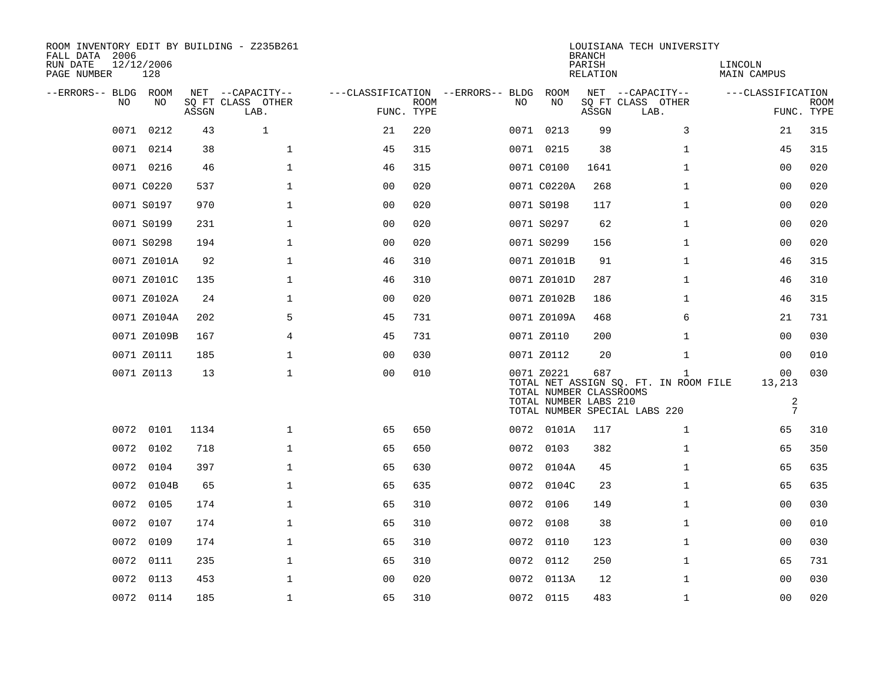| ROOM INVENTORY EDIT BY BUILDING - Z235B261<br>FALL DATA 2006<br>RUN DATE<br>PAGE NUMBER | 12/12/2006<br>128 |       |                           |                |             |                                   |                                                                | <b>BRANCH</b><br>PARISH<br>RELATION | LOUISIANA TECH UNIVERSITY                                                              | LINCOLN<br>MAIN CAMPUS          |                           |
|-----------------------------------------------------------------------------------------|-------------------|-------|---------------------------|----------------|-------------|-----------------------------------|----------------------------------------------------------------|-------------------------------------|----------------------------------------------------------------------------------------|---------------------------------|---------------------------|
| --ERRORS-- BLDG ROOM                                                                    |                   |       | NET --CAPACITY--          |                |             | ---CLASSIFICATION --ERRORS-- BLDG | ROOM                                                           |                                     | NET --CAPACITY--                                                                       | ---CLASSIFICATION               |                           |
| N <sub>O</sub>                                                                          | NO.               | ASSGN | SO FT CLASS OTHER<br>LAB. | FUNC. TYPE     | <b>ROOM</b> | NO.                               | NO.                                                            | ASSGN                               | SQ FT CLASS OTHER<br>LAB.                                                              |                                 | <b>ROOM</b><br>FUNC. TYPE |
| 0071                                                                                    | 0212              | 43    | $\mathbf{1}$              | 21             | 220         |                                   | 0071 0213                                                      | 99                                  | 3                                                                                      | 21                              | 315                       |
|                                                                                         | 0071 0214         | 38    | $\mathbf{1}$              | 45             | 315         |                                   | 0071 0215                                                      | 38                                  | $\mathbf{1}$                                                                           | 45                              | 315                       |
|                                                                                         | 0071 0216         | 46    | $\mathbf 1$               | 46             | 315         |                                   | 0071 C0100                                                     | 1641                                | $\mathbf{1}$                                                                           | 00                              | 020                       |
|                                                                                         | 0071 C0220        | 537   | 1                         | 0 <sub>0</sub> | 020         |                                   | 0071 C0220A                                                    | 268                                 | $\mathbf{1}$                                                                           | 00                              | 020                       |
|                                                                                         | 0071 S0197        | 970   | $\mathbf 1$               | 00             | 020         |                                   | 0071 S0198                                                     | 117                                 | $\mathbf{1}$                                                                           | 00                              | 020                       |
|                                                                                         | 0071 S0199        | 231   | $\mathbf{1}$              | 0 <sub>0</sub> | 020         |                                   | 0071 S0297                                                     | 62                                  | $\mathbf{1}$                                                                           | 0 <sub>0</sub>                  | 020                       |
|                                                                                         | 0071 S0298        | 194   | $\mathbf{1}$              | 0 <sub>0</sub> | 020         |                                   | 0071 S0299                                                     | 156                                 | $\mathbf{1}$                                                                           | 0 <sub>0</sub>                  | 020                       |
|                                                                                         | 0071 Z0101A       | 92    | $\mathbf{1}$              | 46             | 310         |                                   | 0071 Z0101B                                                    | 91                                  | $\mathbf{1}$                                                                           | 46                              | 315                       |
|                                                                                         | 0071 Z0101C       | 135   | $\mathbf 1$               | 46             | 310         |                                   | 0071 Z0101D                                                    | 287                                 | $\mathbf{1}$                                                                           | 46                              | 310                       |
|                                                                                         | 0071 Z0102A       | 24    | $\mathbf{1}$              | 0 <sub>0</sub> | 020         |                                   | 0071 Z0102B                                                    | 186                                 | $\mathbf{1}$                                                                           | 46                              | 315                       |
|                                                                                         | 0071 Z0104A       | 202   | 5                         | 45             | 731         |                                   | 0071 Z0109A                                                    | 468                                 | 6                                                                                      | 21                              | 731                       |
|                                                                                         | 0071 Z0109B       | 167   | $\overline{4}$            | 45             | 731         |                                   | 0071 Z0110                                                     | 200                                 | $\mathbf{1}$                                                                           | 0 <sub>0</sub>                  | 030                       |
|                                                                                         | 0071 Z0111        | 185   | $\mathbf 1$               | 0 <sub>0</sub> | 030         |                                   | 0071 Z0112                                                     | 20                                  | $\mathbf{1}$                                                                           | 00                              | 010                       |
|                                                                                         | 0071 Z0113        | 13    | $\mathbf 1$               | 0 <sub>0</sub> | 010         |                                   | 0071 Z0221<br>TOTAL NUMBER CLASSROOMS<br>TOTAL NUMBER LABS 210 | 687                                 | $\mathbf{1}$<br>TOTAL NET ASSIGN SQ. FT. IN ROOM FILE<br>TOTAL NUMBER SPECIAL LABS 220 | 00<br>13,213<br>$\sqrt{2}$<br>7 | 030                       |
|                                                                                         | 0072 0101         | 1134  | $\mathbf{1}$              | 65             | 650         |                                   | 0072 0101A                                                     | 117                                 | $\mathbf{1}$                                                                           | 65                              | 310                       |
|                                                                                         | 0072 0102         | 718   | $\mathbf 1$               | 65             | 650         |                                   | 0072 0103                                                      | 382                                 | $\mathbf{1}$                                                                           | 65                              | 350                       |
|                                                                                         | 0072 0104         | 397   | $\mathbf 1$               | 65             | 630         |                                   | 0072 0104A                                                     | 45                                  | $\mathbf{1}$                                                                           | 65                              | 635                       |
|                                                                                         | 0072 0104B        | 65    | $\mathbf{1}$              | 65             | 635         |                                   | 0072 0104C                                                     | 23                                  | $\mathbf{1}$                                                                           | 65                              | 635                       |
|                                                                                         | 0072 0105         | 174   | $\mathbf{1}$              | 65             | 310         |                                   | 0072 0106                                                      | 149                                 | $\mathbf{1}$                                                                           | 00                              | 030                       |
| 0072                                                                                    | 0107              | 174   | $\mathbf 1$               | 65             | 310         |                                   | 0072 0108                                                      | 38                                  | $\mathbf{1}$                                                                           | 00                              | 010                       |
| 0072                                                                                    | 0109              | 174   | 1                         | 65             | 310         |                                   | 0072 0110                                                      | 123                                 | $\mathbf{1}$                                                                           | 00                              | 030                       |
| 0072                                                                                    | 0111              | 235   | $\mathbf 1$               | 65             | 310         |                                   | 0072 0112                                                      | 250                                 | $\mathbf{1}$                                                                           | 65                              | 731                       |
|                                                                                         | 0072 0113         | 453   | $\mathbf{1}$              | 0 <sub>0</sub> | 020         |                                   | 0072 0113A                                                     | 12                                  | $\mathbf{1}$                                                                           | 0 <sub>0</sub>                  | 030                       |
|                                                                                         | 0072 0114         | 185   | $\mathbf{1}$              | 65             | 310         |                                   | 0072 0115                                                      | 483                                 | $\mathbf{1}$                                                                           | 0 <sub>0</sub>                  | 020                       |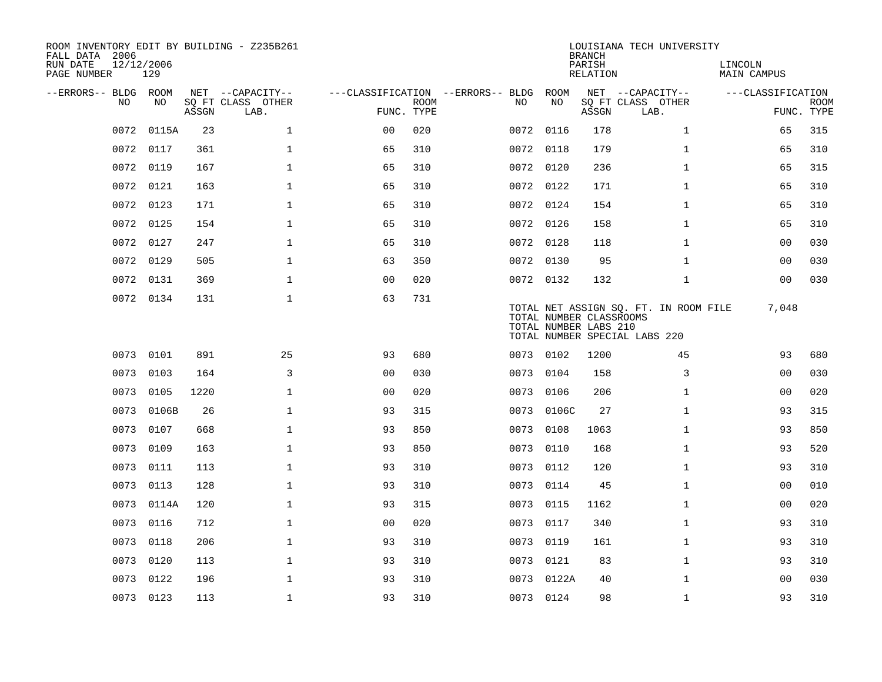| ROOM INVENTORY EDIT BY BUILDING - Z235B261<br>FALL DATA 2006 |                   |       |                           |                                        |             |      |            | <b>BRANCH</b>                                    | LOUISIANA TECH UNIVERSITY                                              |                        |                           |
|--------------------------------------------------------------|-------------------|-------|---------------------------|----------------------------------------|-------------|------|------------|--------------------------------------------------|------------------------------------------------------------------------|------------------------|---------------------------|
| RUN DATE<br>PAGE NUMBER                                      | 12/12/2006<br>129 |       |                           |                                        |             |      |            | PARISH<br>RELATION                               |                                                                        | LINCOLN<br>MAIN CAMPUS |                           |
| --ERRORS-- BLDG ROOM                                         |                   |       | NET --CAPACITY--          | ---CLASSIFICATION --ERRORS-- BLDG ROOM |             |      |            |                                                  | NET --CAPACITY--                                                       | ---CLASSIFICATION      |                           |
| NO.                                                          | NO.               | ASSGN | SQ FT CLASS OTHER<br>LAB. | FUNC. TYPE                             | <b>ROOM</b> | NO.  | NO         | ASSGN                                            | SQ FT CLASS OTHER<br>LAB.                                              |                        | <b>ROOM</b><br>FUNC. TYPE |
| 0072                                                         | 0115A             | 23    | $\mathbf{1}$              | 0 <sub>0</sub>                         | 020         |      | 0072 0116  | 178                                              | $\mathbf{1}$                                                           | 65                     | 315                       |
|                                                              | 0072 0117         | 361   | $\mathbf{1}$              | 65                                     | 310         |      | 0072 0118  | 179                                              | $\mathbf{1}$                                                           | 65                     | 310                       |
|                                                              | 0072 0119         | 167   | $\mathbf 1$               | 65                                     | 310         |      | 0072 0120  | 236                                              | $\mathbf{1}$                                                           | 65                     | 315                       |
|                                                              | 0072 0121         | 163   | $\mathbf 1$               | 65                                     | 310         |      | 0072 0122  | 171                                              | $\mathbf{1}$                                                           | 65                     | 310                       |
| 0072                                                         | 0123              | 171   | $\mathbf{1}$              | 65                                     | 310         |      | 0072 0124  | 154                                              | $\mathbf{1}$                                                           | 65                     | 310                       |
|                                                              | 0072 0125         | 154   | $\mathbf 1$               | 65                                     | 310         |      | 0072 0126  | 158                                              | $\mathbf{1}$                                                           | 65                     | 310                       |
| 0072                                                         | 0127              | 247   | $\mathbf{1}$              | 65                                     | 310         |      | 0072 0128  | 118                                              | $\mathbf{1}$                                                           | 0 <sub>0</sub>         | 030                       |
| 0072                                                         | 0129              | 505   | $\mathbf 1$               | 63                                     | 350         |      | 0072 0130  | 95                                               | $\mathbf{1}$                                                           | 00                     | 030                       |
| 0072                                                         | 0131              | 369   | $\mathbf{1}$              | 0 <sub>0</sub>                         | 020         |      | 0072 0132  | 132                                              | $\mathbf{1}$                                                           | 0 <sub>0</sub>         | 030                       |
|                                                              | 0072 0134         | 131   | $\mathbf{1}$              | 63                                     | 731         |      |            | TOTAL NUMBER CLASSROOMS<br>TOTAL NUMBER LABS 210 | TOTAL NET ASSIGN SQ. FT. IN ROOM FILE<br>TOTAL NUMBER SPECIAL LABS 220 | 7,048                  |                           |
|                                                              | 0073 0101         | 891   | 25                        | 93                                     | 680         |      | 0073 0102  | 1200                                             | 45                                                                     | 93                     | 680                       |
| 0073                                                         | 0103              | 164   | 3                         | 0 <sub>0</sub>                         | 030         |      | 0073 0104  | 158                                              | 3                                                                      | 00                     | 030                       |
| 0073                                                         | 0105              | 1220  | $\mathbf{1}$              | 0 <sub>0</sub>                         | 020         | 0073 | 0106       | 206                                              | $\mathbf{1}$                                                           | 0 <sub>0</sub>         | 020                       |
| 0073                                                         | 0106B             | 26    | $\mathbf{1}$              | 93                                     | 315         |      | 0073 0106C | 27                                               | $\mathbf{1}$                                                           | 93                     | 315                       |
| 0073                                                         | 0107              | 668   | $\mathbf 1$               | 93                                     | 850         | 0073 | 0108       | 1063                                             | $\mathbf{1}$                                                           | 93                     | 850                       |
| 0073                                                         | 0109              | 163   | $\mathbf 1$               | 93                                     | 850         | 0073 | 0110       | 168                                              | $\mathbf{1}$                                                           | 93                     | 520                       |
|                                                              | 0073 0111         | 113   | $\mathbf{1}$              | 93                                     | 310         |      | 0073 0112  | 120                                              | $\mathbf{1}$                                                           | 93                     | 310                       |
|                                                              | 0073 0113         | 128   | $\mathbf{1}$              | 93                                     | 310         |      | 0073 0114  | 45                                               | $\mathbf{1}$                                                           | 0 <sub>0</sub>         | 010                       |
|                                                              | 0073 0114A        | 120   | $\mathbf{1}$              | 93                                     | 315         |      | 0073 0115  | 1162                                             | $\mathbf{1}$                                                           | 0 <sub>0</sub>         | 020                       |
| 0073                                                         | 0116              | 712   | $\mathbf 1$               | 0 <sub>0</sub>                         | 020         | 0073 | 0117       | 340                                              | $\mathbf{1}$                                                           | 93                     | 310                       |
| 0073                                                         | 0118              | 206   | $\mathbf 1$               | 93                                     | 310         |      | 0073 0119  | 161                                              | $\mathbf{1}$                                                           | 93                     | 310                       |
| 0073                                                         | 0120              | 113   | $\mathbf 1$               | 93                                     | 310         |      | 0073 0121  | 83                                               | $\mathbf{1}$                                                           | 93                     | 310                       |
| 0073                                                         | 0122              | 196   | $\mathbf{1}$              | 93                                     | 310         |      | 0073 0122A | 40                                               | $\mathbf{1}$                                                           | 00                     | 030                       |
|                                                              | 0073 0123         | 113   | $\mathbf{1}$              | 93                                     | 310         |      | 0073 0124  | 98                                               | $\mathbf{1}$                                                           | 93                     | 310                       |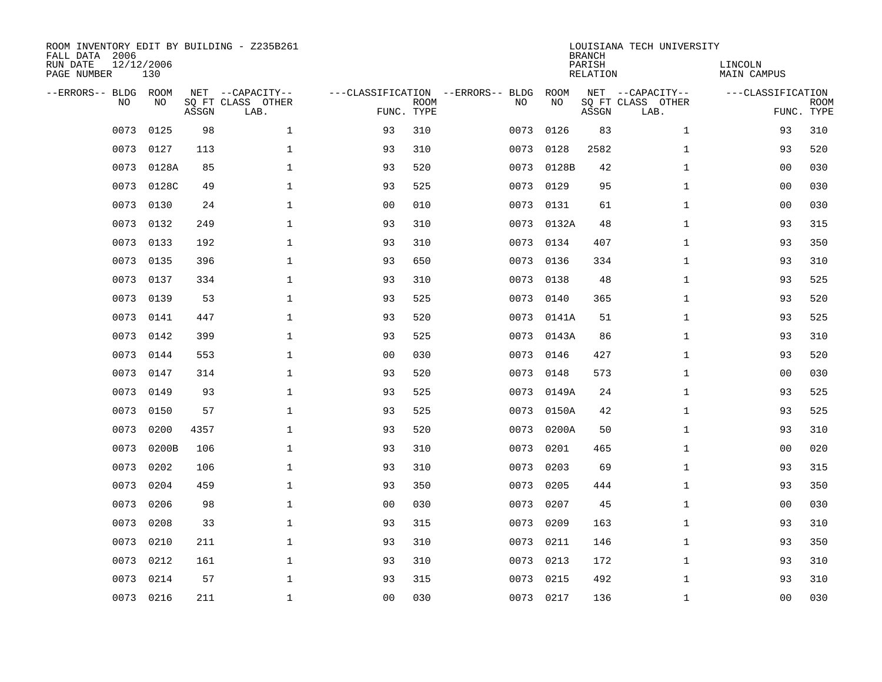| ROOM INVENTORY EDIT BY BUILDING - Z235B261<br>FALL DATA 2006<br>RUN DATE<br>PAGE NUMBER | 12/12/2006<br>130 |       |                                               |                |             |                                         |            | <b>BRANCH</b><br>PARISH<br><b>RELATION</b> | LOUISIANA TECH UNIVERSITY                     | LINCOLN<br><b>MAIN CAMPUS</b> |                           |
|-----------------------------------------------------------------------------------------|-------------------|-------|-----------------------------------------------|----------------|-------------|-----------------------------------------|------------|--------------------------------------------|-----------------------------------------------|-------------------------------|---------------------------|
| --ERRORS-- BLDG ROOM<br>NO                                                              | NO                | ASSGN | NET --CAPACITY--<br>SQ FT CLASS OTHER<br>LAB. | FUNC. TYPE     | <b>ROOM</b> | ---CLASSIFICATION --ERRORS-- BLDG<br>NO | ROOM<br>NO | ASSGN                                      | NET --CAPACITY--<br>SQ FT CLASS OTHER<br>LAB. | ---CLASSIFICATION             | <b>ROOM</b><br>FUNC. TYPE |
| 0073                                                                                    | 0125              | 98    | $\mathbf 1$                                   | 93             | 310         | 0073                                    | 0126       | 83                                         | $\mathbf{1}$                                  | 93                            | 310                       |
| 0073                                                                                    | 0127              | 113   | 1                                             | 93             | 310         | 0073                                    | 0128       | 2582                                       | $\mathbf{1}$                                  | 93                            | 520                       |
| 0073                                                                                    | 0128A             | 85    | $\mathbf 1$                                   | 93             | 520         | 0073                                    | 0128B      | 42                                         | $\mathbf{1}$                                  | 00                            | 030                       |
| 0073                                                                                    | 0128C             | 49    | $\mathbf 1$                                   | 93             | 525         | 0073                                    | 0129       | 95                                         | $\mathbf{1}$                                  | 00                            | 030                       |
| 0073                                                                                    | 0130              | 24    | $\mathbf{1}$                                  | 00             | 010         | 0073                                    | 0131       | 61                                         | $\mathbf{1}$                                  | 0 <sub>0</sub>                | 030                       |
| 0073                                                                                    | 0132              | 249   | $\mathbf 1$                                   | 93             | 310         |                                         | 0073 0132A | 48                                         | $\mathbf{1}$                                  | 93                            | 315                       |
| 0073                                                                                    | 0133              | 192   | $\mathbf{1}$                                  | 93             | 310         | 0073                                    | 0134       | 407                                        | $\mathbf{1}$                                  | 93                            | 350                       |
| 0073                                                                                    | 0135              | 396   | $\mathbf{1}$                                  | 93             | 650         |                                         | 0073 0136  | 334                                        | $\mathbf{1}$                                  | 93                            | 310                       |
| 0073                                                                                    | 0137              | 334   | $\mathbf{1}$                                  | 93             | 310         | 0073                                    | 0138       | 48                                         | $\mathbf{1}$                                  | 93                            | 525                       |
| 0073                                                                                    | 0139              | 53    | $\mathbf 1$                                   | 93             | 525         | 0073                                    | 0140       | 365                                        | $\mathbf{1}$                                  | 93                            | 520                       |
| 0073                                                                                    | 0141              | 447   | $\mathbf 1$                                   | 93             | 520         | 0073                                    | 0141A      | 51                                         | $\mathbf{1}$                                  | 93                            | 525                       |
| 0073                                                                                    | 0142              | 399   | $\mathbf 1$                                   | 93             | 525         |                                         | 0073 0143A | 86                                         | $\mathbf{1}$                                  | 93                            | 310                       |
| 0073                                                                                    | 0144              | 553   | $\mathbf{1}$                                  | 0 <sub>0</sub> | 030         | 0073                                    | 0146       | 427                                        | $\mathbf{1}$                                  | 93                            | 520                       |
| 0073                                                                                    | 0147              | 314   | $\mathbf 1$                                   | 93             | 520         | 0073                                    | 0148       | 573                                        | $\mathbf{1}$                                  | 00                            | 030                       |
| 0073                                                                                    | 0149              | 93    | $\mathbf{1}$                                  | 93             | 525         | 0073                                    | 0149A      | 24                                         | $\mathbf{1}$                                  | 93                            | 525                       |
| 0073                                                                                    | 0150              | 57    | $\mathbf{1}$                                  | 93             | 525         | 0073                                    | 0150A      | 42                                         | $\mathbf{1}$                                  | 93                            | 525                       |
| 0073                                                                                    | 0200              | 4357  | $\mathbf{1}$                                  | 93             | 520         | 0073                                    | 0200A      | 50                                         | $\mathbf{1}$                                  | 93                            | 310                       |
| 0073                                                                                    | 0200B             | 106   | $\mathbf 1$                                   | 93             | 310         | 0073                                    | 0201       | 465                                        | $\mathbf{1}$                                  | 00                            | 020                       |
| 0073                                                                                    | 0202              | 106   | $\mathbf 1$                                   | 93             | 310         | 0073                                    | 0203       | 69                                         | $\mathbf{1}$                                  | 93                            | 315                       |
| 0073                                                                                    | 0204              | 459   | $\mathbf 1$                                   | 93             | 350         | 0073                                    | 0205       | 444                                        | $\mathbf{1}$                                  | 93                            | 350                       |
| 0073                                                                                    | 0206              | 98    | $\mathbf{1}$                                  | 0 <sub>0</sub> | 030         | 0073                                    | 0207       | 45                                         | $\mathbf{1}$                                  | 0 <sub>0</sub>                | 030                       |
| 0073                                                                                    | 0208              | 33    | $\mathbf{1}$                                  | 93             | 315         | 0073                                    | 0209       | 163                                        | $\mathbf{1}$                                  | 93                            | 310                       |
| 0073                                                                                    | 0210              | 211   | $\mathbf{1}$                                  | 93             | 310         |                                         | 0073 0211  | 146                                        | $\mathbf{1}$                                  | 93                            | 350                       |
| 0073                                                                                    | 0212              | 161   | $\mathbf 1$                                   | 93             | 310         | 0073                                    | 0213       | 172                                        | $\mathbf{1}$                                  | 93                            | 310                       |
| 0073                                                                                    | 0214              | 57    | $\mathbf{1}$                                  | 93             | 315         |                                         | 0073 0215  | 492                                        | $\mathbf{1}$                                  | 93                            | 310                       |
|                                                                                         | 0073 0216         | 211   | $\mathbf 1$                                   | 00             | 030         |                                         | 0073 0217  | 136                                        | $\mathbf{1}$                                  | 00                            | 030                       |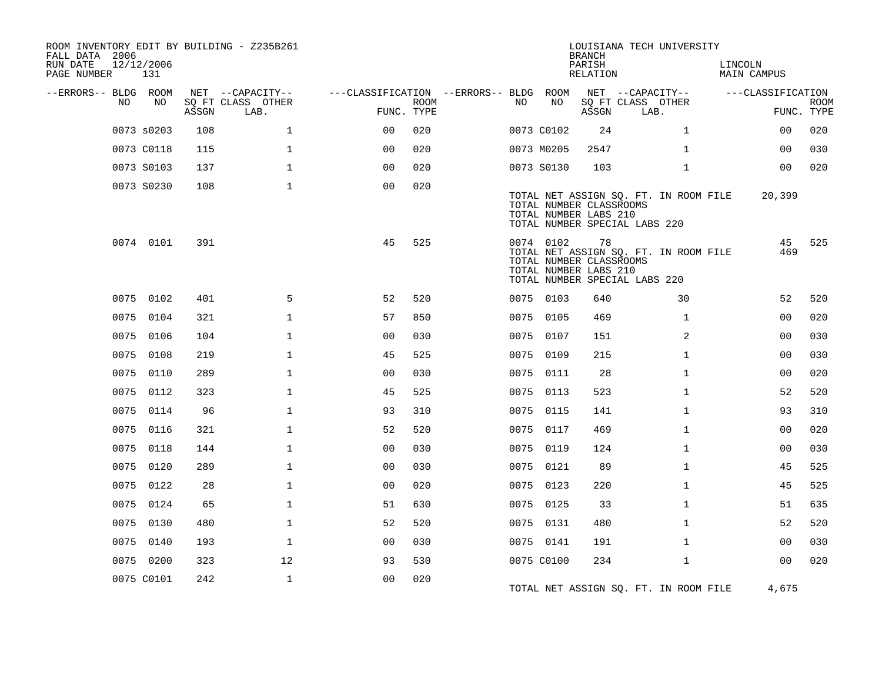| ROOM INVENTORY EDIT BY BUILDING - Z235B261<br>FALL DATA 2006<br>RUN DATE<br>PAGE NUMBER | 12/12/2006<br>131 |       |                           |                                        |             |    |            | <b>BRANCH</b><br>PARISH<br>RELATION                    | LOUISIANA TECH UNIVERSITY                                              |                | LINCOLN | <b>MAIN CAMPUS</b> |                           |
|-----------------------------------------------------------------------------------------|-------------------|-------|---------------------------|----------------------------------------|-------------|----|------------|--------------------------------------------------------|------------------------------------------------------------------------|----------------|---------|--------------------|---------------------------|
| --ERRORS-- BLDG ROOM                                                                    |                   |       | NET --CAPACITY--          | ---CLASSIFICATION --ERRORS-- BLDG ROOM |             |    |            |                                                        | NET --CAPACITY--                                                       |                |         | ---CLASSIFICATION  |                           |
| NO                                                                                      | NO                | ASSGN | SQ FT CLASS OTHER<br>LAB. | FUNC. TYPE                             | <b>ROOM</b> | NO | NO         | ASSGN                                                  | SQ FT CLASS OTHER<br>LAB.                                              |                |         |                    | <b>ROOM</b><br>FUNC. TYPE |
|                                                                                         | 0073 s0203        | 108   | $\mathbf{1}$              | 0 <sup>0</sup>                         | 020         |    | 0073 C0102 | 24                                                     |                                                                        | $\mathbf{1}$   |         | 0 <sub>0</sub>     | 020                       |
|                                                                                         | 0073 C0118        | 115   | $\mathbf{1}$              | 0 <sub>0</sub>                         | 020         |    | 0073 M0205 | 2547                                                   |                                                                        | $\mathbf{1}$   |         | 00                 | 030                       |
|                                                                                         | 0073 S0103        | 137   | $\mathbf 1$               | 0 <sub>0</sub>                         | 020         |    | 0073 S0130 | 103                                                    |                                                                        | $\mathbf{1}$   |         | 0 <sub>0</sub>     | 020                       |
|                                                                                         | 0073 S0230        | 108   | $\mathbf{1}$              | 0 <sub>0</sub>                         | 020         |    |            | TOTAL NUMBER CLASSROOMS<br>TOTAL NUMBER LABS 210       | TOTAL NET ASSIGN SQ. FT. IN ROOM FILE<br>TOTAL NUMBER SPECIAL LABS 220 |                |         | 20,399             |                           |
|                                                                                         | 0074 0101         | 391   |                           | 45                                     | 525         |    | 0074 0102  | 78<br>TOTAL NUMBER CLASSROOMS<br>TOTAL NUMBER LABS 210 | TOTAL NET ASSIGN SQ. FT. IN ROOM FILE<br>TOTAL NUMBER SPECIAL LABS 220 |                |         | 45<br>469          | 525                       |
|                                                                                         | 0075 0102         | 401   | 5                         | 52                                     | 520         |    | 0075 0103  | 640                                                    |                                                                        | 30             |         | 52                 | 520                       |
|                                                                                         | 0075 0104         | 321   | $\mathbf{1}$              | 57                                     | 850         |    | 0075 0105  | 469                                                    |                                                                        | $\mathbf{1}$   |         | 00                 | 020                       |
|                                                                                         | 0075 0106         | 104   | $\mathbf{1}$              | 00                                     | 030         |    | 0075 0107  | 151                                                    |                                                                        | $\overline{2}$ |         | 00                 | 030                       |
|                                                                                         | 0075 0108         | 219   | $\mathbf{1}$              | 45                                     | 525         |    | 0075 0109  | 215                                                    |                                                                        | $\mathbf{1}$   |         | 0 <sub>0</sub>     | 030                       |
|                                                                                         | 0075 0110         | 289   | $\mathbf 1$               | 0 <sub>0</sub>                         | 030         |    | 0075 0111  | 28                                                     |                                                                        | $\mathbf{1}$   |         | 0 <sub>0</sub>     | 020                       |
|                                                                                         | 0075 0112         | 323   | 1                         | 45                                     | 525         |    | 0075 0113  | 523                                                    |                                                                        | $\mathbf{1}$   |         | 52                 | 520                       |
|                                                                                         | 0075 0114         | 96    | $\mathbf 1$               | 93                                     | 310         |    | 0075 0115  | 141                                                    |                                                                        | $\mathbf{1}$   |         | 93                 | 310                       |
|                                                                                         | 0075 0116         | 321   | $\mathbf{1}$              | 52                                     | 520         |    | 0075 0117  | 469                                                    |                                                                        | $\mathbf{1}$   |         | 0 <sub>0</sub>     | 020                       |
|                                                                                         | 0075 0118         | 144   | $\mathbf 1$               | 00                                     | 030         |    | 0075 0119  | 124                                                    |                                                                        | $\mathbf{1}$   |         | 0 <sub>0</sub>     | 030                       |
|                                                                                         | 0075 0120         | 289   | $\mathbf{1}$              | 00                                     | 030         |    | 0075 0121  | 89                                                     |                                                                        | $\mathbf{1}$   |         | 45                 | 525                       |
|                                                                                         | 0075 0122         | 28    | $\mathbf 1$               | 0 <sub>0</sub>                         | 020         |    | 0075 0123  | 220                                                    |                                                                        | $\mathbf{1}$   |         | 45                 | 525                       |
|                                                                                         | 0075 0124         | 65    | $\mathbf{1}$              | 51                                     | 630         |    | 0075 0125  | 33                                                     |                                                                        | $\mathbf{1}$   |         | 51                 | 635                       |
|                                                                                         | 0075 0130         | 480   | $\mathbf 1$               | 52                                     | 520         |    | 0075 0131  | 480                                                    |                                                                        | $\mathbf{1}$   |         | 52                 | 520                       |
| 0075                                                                                    | 0140              | 193   | $\mathbf{1}$              | 0 <sub>0</sub>                         | 030         |    | 0075 0141  | 191                                                    |                                                                        | $\mathbf{1}$   |         | 0 <sub>0</sub>     | 030                       |
|                                                                                         | 0075 0200         | 323   | 12                        | 93                                     | 530         |    | 0075 C0100 | 234                                                    |                                                                        | $\mathbf{1}$   |         | 00                 | 020                       |
|                                                                                         | 0075 C0101        | 242   | $\mathbf{1}$              | 0 <sub>0</sub>                         | 020         |    |            |                                                        | TOTAL NET ASSIGN SQ. FT. IN ROOM FILE                                  |                |         | 4,675              |                           |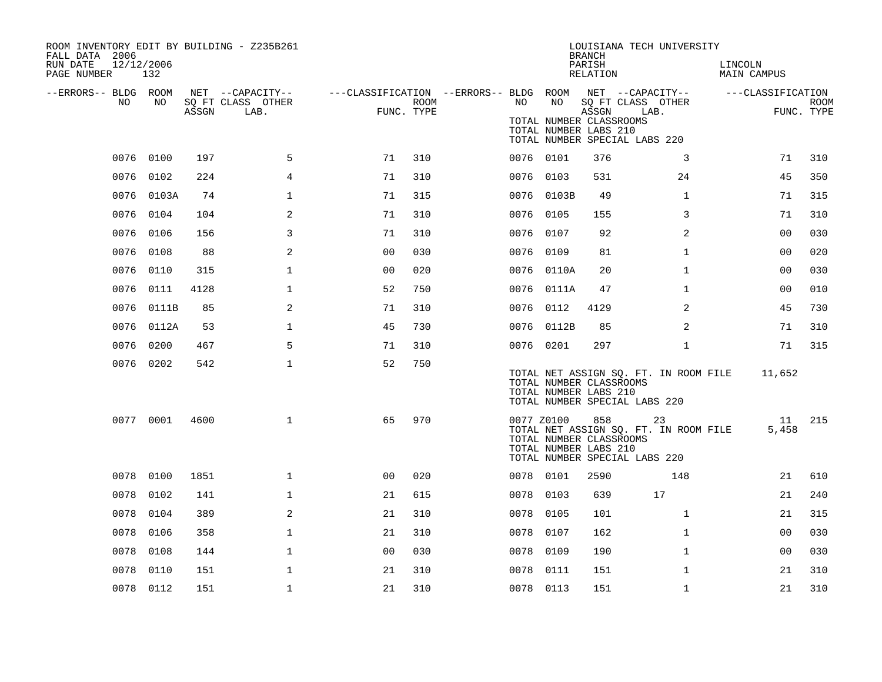| ROOM INVENTORY EDIT BY BUILDING - Z235B261<br>FALL DATA 2006<br>RUN DATE<br>PAGE NUMBER | 12/12/2006<br>132 |       |                           |                |      |                                                         |            | <b>BRANCH</b><br>PARISH<br>RELATION                       | LOUISIANA TECH UNIVERSITY                                                    | LINCOLN<br>MAIN CAMPUS |                           |
|-----------------------------------------------------------------------------------------|-------------------|-------|---------------------------|----------------|------|---------------------------------------------------------|------------|-----------------------------------------------------------|------------------------------------------------------------------------------|------------------------|---------------------------|
| --ERRORS-- BLDG ROOM<br>NO                                                              | NO.               |       | NET --CAPACITY--          |                |      | ---CLASSIFICATION --ERRORS-- BLDG ROOM NET --CAPACITY-- | NO         |                                                           |                                                                              | ---CLASSIFICATION      |                           |
|                                                                                         |                   | ASSGN | SQ FT CLASS OTHER<br>LAB. | FUNC. TYPE     | ROOM | NO                                                      |            | ASSGN<br>TOTAL NUMBER CLASSROOMS<br>TOTAL NUMBER LABS 210 | SQ FT CLASS OTHER<br>LAB.<br>TOTAL NUMBER SPECIAL LABS 220                   |                        | <b>ROOM</b><br>FUNC. TYPE |
|                                                                                         | 0076 0100         | 197   | 5                         | 71             | 310  |                                                         | 0076 0101  | 376                                                       | 3                                                                            | 71                     | 310                       |
| 0076                                                                                    | 0102              | 224   | 4                         | 71             | 310  |                                                         | 0076 0103  | 531                                                       | 24                                                                           | 45                     | 350                       |
|                                                                                         | 0076 0103A        | 74    | $\mathbf 1$               | 71             | 315  |                                                         | 0076 0103B | 49                                                        | $\mathbf{1}$                                                                 | 71                     | 315                       |
|                                                                                         | 0076 0104         | 104   | 2                         | 71             | 310  |                                                         | 0076 0105  | 155                                                       | 3                                                                            | 71                     | 310                       |
| 0076                                                                                    | 0106              | 156   | 3                         | 71             | 310  |                                                         | 0076 0107  | 92                                                        | $\overline{a}$                                                               | 0 <sub>0</sub>         | 030                       |
|                                                                                         | 0076 0108         | 88    | 2                         | 0 <sub>0</sub> | 030  |                                                         | 0076 0109  | 81                                                        | $\mathbf{1}$                                                                 | 00                     | 020                       |
|                                                                                         | 0076 0110         | 315   | $\mathbf 1$               | 0 <sub>0</sub> | 020  |                                                         | 0076 0110A | 20                                                        | $\mathbf{1}$                                                                 | 0 <sub>0</sub>         | 030                       |
|                                                                                         | 0076 0111         | 4128  | $\mathbf{1}$              | 52             | 750  |                                                         | 0076 0111A | 47                                                        | $\mathbf{1}$                                                                 | 0 <sub>0</sub>         | 010                       |
| 0076                                                                                    | 0111B             | 85    | 2                         | 71             | 310  |                                                         | 0076 0112  | 4129                                                      | 2                                                                            | 45                     | 730                       |
|                                                                                         | 0076 0112A        | 53    | $\mathbf 1$               | 45             | 730  |                                                         | 0076 0112B | 85                                                        | 2                                                                            | 71                     | 310                       |
|                                                                                         | 0076 0200         | 467   | 5                         | 71             | 310  |                                                         | 0076 0201  | 297                                                       | $\mathbf{1}$                                                                 | 71                     | 315                       |
|                                                                                         | 0076 0202         | 542   | $\mathbf 1$               | 52             | 750  |                                                         |            | TOTAL NUMBER CLASSROOMS<br>TOTAL NUMBER LABS 210          | TOTAL NET ASSIGN SQ. FT. IN ROOM FILE<br>TOTAL NUMBER SPECIAL LABS 220       | 11,652                 |                           |
|                                                                                         | 0077 0001         | 4600  | $\mathbf{1}$              | 65             | 970  |                                                         | 0077 Z0100 | 858<br>TOTAL NUMBER CLASSROOMS<br>TOTAL NUMBER LABS 210   | 23<br>TOTAL NET ASSIGN SQ. FT. IN ROOM FILE<br>TOTAL NUMBER SPECIAL LABS 220 | 11<br>5,458            | 215                       |
|                                                                                         | 0078 0100         | 1851  | $\mathbf{1}$              | 0 <sup>0</sup> | 020  |                                                         | 0078 0101  | 2590                                                      | 148                                                                          | 21                     | 610                       |
|                                                                                         | 0078 0102         | 141   | $\mathbf 1$               | 21             | 615  |                                                         | 0078 0103  | 639                                                       | 17                                                                           | 21                     | 240                       |
|                                                                                         | 0078 0104         | 389   | 2                         | 21             | 310  |                                                         | 0078 0105  | 101                                                       | $\mathbf{1}$                                                                 | 21                     | 315                       |
| 0078                                                                                    | 0106              | 358   | $\mathbf{1}$              | 21             | 310  | 0078                                                    | 0107       | 162                                                       | $\mathbf{1}$                                                                 | 00                     | 030                       |
| 0078                                                                                    | 0108              | 144   | $\mathbf 1$               | 0 <sub>0</sub> | 030  |                                                         | 0078 0109  | 190                                                       | $\mathbf{1}$                                                                 | 0 <sub>0</sub>         | 030                       |
| 0078                                                                                    | 0110              | 151   | $\mathbf{1}$              | 21             | 310  | 0078                                                    | 0111       | 151                                                       | $\mathbf{1}$                                                                 | 21                     | 310                       |
|                                                                                         | 0078 0112         | 151   | $\mathbf 1$               | 21             | 310  |                                                         | 0078 0113  | 151                                                       | $\mathbf{1}$                                                                 | 21                     | 310                       |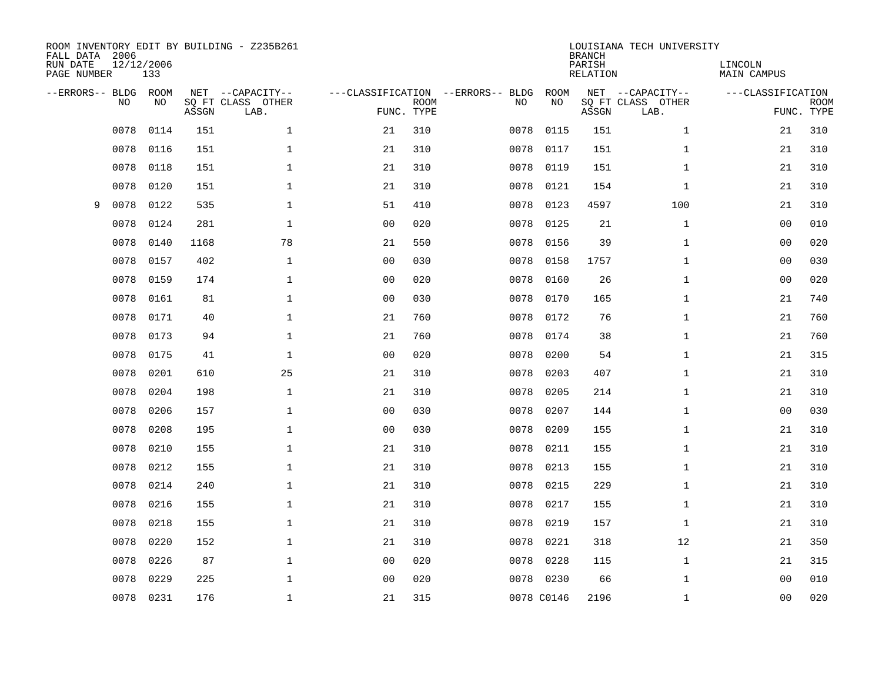| FALL DATA 2006<br>RUN DATE<br>PAGE NUMBER |           | 12/12/2006<br>133 |       | ROOM INVENTORY EDIT BY BUILDING - Z235B261    |                                                 |             |      |            | <b>BRANCH</b><br>PARISH<br>RELATION | LOUISIANA TECH UNIVERSITY                     | LINCOLN<br><b>MAIN CAMPUS</b> |                           |
|-------------------------------------------|-----------|-------------------|-------|-----------------------------------------------|-------------------------------------------------|-------------|------|------------|-------------------------------------|-----------------------------------------------|-------------------------------|---------------------------|
| --ERRORS-- BLDG                           | <b>NO</b> | ROOM<br>NO        | ASSGN | NET --CAPACITY--<br>SO FT CLASS OTHER<br>LAB. | ---CLASSIFICATION --ERRORS-- BLDG<br>FUNC. TYPE | <b>ROOM</b> | NO   | ROOM<br>NO | ASSGN                               | NET --CAPACITY--<br>SQ FT CLASS OTHER<br>LAB. | ---CLASSIFICATION             | <b>ROOM</b><br>FUNC. TYPE |
|                                           | 0078      | 0114              | 151   | $\mathbf{1}$                                  | 21                                              | 310         | 0078 | 0115       | 151                                 | $\mathbf{1}$                                  | 21                            | 310                       |
|                                           | 0078      | 0116              | 151   | $\mathbf 1$                                   | 21                                              | 310         | 0078 | 0117       | 151                                 | $\mathbf{1}$                                  | 21                            | 310                       |
|                                           | 0078      | 0118              | 151   | $\mathbf 1$                                   | 21                                              | 310         | 0078 | 0119       | 151                                 | $\mathbf{1}$                                  | 21                            | 310                       |
|                                           | 0078      | 0120              | 151   | $\mathbf 1$                                   | 21                                              | 310         | 0078 | 0121       | 154                                 | $\mathbf{1}$                                  | 21                            | 310                       |
| 9                                         | 0078      | 0122              | 535   | $\mathbf{1}$                                  | 51                                              | 410         | 0078 | 0123       | 4597                                | 100                                           | 21                            | 310                       |
|                                           | 0078      | 0124              | 281   | $\mathbf{1}$                                  | 0 <sub>0</sub>                                  | 020         | 0078 | 0125       | 21                                  | $\mathbf{1}$                                  | 0 <sub>0</sub>                | 010                       |
|                                           | 0078      | 0140              | 1168  | 78                                            | 21                                              | 550         | 0078 | 0156       | 39                                  | $\mathbf{1}$                                  | 0 <sub>0</sub>                | 020                       |
|                                           | 0078      | 0157              | 402   | $\mathbf{1}$                                  | 0 <sub>0</sub>                                  | 030         | 0078 | 0158       | 1757                                | $\mathbf{1}$                                  | 0 <sub>0</sub>                | 030                       |
|                                           | 0078      | 0159              | 174   | $\mathbf{1}$                                  | 0 <sub>0</sub>                                  | 020         | 0078 | 0160       | 26                                  | $\mathbf{1}$                                  | 0 <sub>0</sub>                | 020                       |
|                                           | 0078      | 0161              | 81    | $\mathbf 1$                                   | 0 <sub>0</sub>                                  | 030         | 0078 | 0170       | 165                                 | $\mathbf{1}$                                  | 21                            | 740                       |
|                                           | 0078      | 0171              | 40    | $\mathbf 1$                                   | 21                                              | 760         | 0078 | 0172       | 76                                  | $\mathbf{1}$                                  | 21                            | 760                       |
|                                           | 0078      | 0173              | 94    | $\mathbf 1$                                   | 21                                              | 760         | 0078 | 0174       | 38                                  | $\mathbf{1}$                                  | 21                            | 760                       |
|                                           | 0078      | 0175              | 41    | $\mathbf 1$                                   | 0 <sub>0</sub>                                  | 020         | 0078 | 0200       | 54                                  | $\mathbf{1}$                                  | 21                            | 315                       |
|                                           | 0078      | 0201              | 610   | 25                                            | 21                                              | 310         | 0078 | 0203       | 407                                 | $\mathbf{1}$                                  | 21                            | 310                       |
|                                           | 0078      | 0204              | 198   | $\mathbf 1$                                   | 21                                              | 310         | 0078 | 0205       | 214                                 | $\mathbf{1}$                                  | 21                            | 310                       |
|                                           | 0078      | 0206              | 157   | $\mathbf 1$                                   | 0 <sub>0</sub>                                  | 030         | 0078 | 0207       | 144                                 | $\mathbf{1}$                                  | 00                            | 030                       |
|                                           | 0078      | 0208              | 195   | $\mathbf{1}$                                  | 0 <sub>0</sub>                                  | 030         | 0078 | 0209       | 155                                 | $\mathbf{1}$                                  | 21                            | 310                       |
|                                           | 0078      | 0210              | 155   | $\mathbf{1}$                                  | 21                                              | 310         | 0078 | 0211       | 155                                 | $\mathbf{1}$                                  | 21                            | 310                       |
|                                           | 0078      | 0212              | 155   | $\mathbf{1}$                                  | 21                                              | 310         | 0078 | 0213       | 155                                 | $\mathbf{1}$                                  | 21                            | 310                       |
|                                           | 0078      | 0214              | 240   | $\mathbf{1}$                                  | 21                                              | 310         | 0078 | 0215       | 229                                 | $\mathbf{1}$                                  | 21                            | 310                       |
|                                           | 0078      | 0216              | 155   | $\mathbf{1}$                                  | 21                                              | 310         | 0078 | 0217       | 155                                 | $\mathbf{1}$                                  | 21                            | 310                       |
|                                           | 0078      | 0218              | 155   | $\mathbf{1}$                                  | 21                                              | 310         | 0078 | 0219       | 157                                 | $\mathbf{1}$                                  | 21                            | 310                       |
|                                           | 0078      | 0220              | 152   | $\mathbf{1}$                                  | 21                                              | 310         | 0078 | 0221       | 318                                 | 12                                            | 21                            | 350                       |
|                                           | 0078      | 0226              | 87    | $\mathbf{1}$                                  | 00                                              | 020         | 0078 | 0228       | 115                                 | $\mathbf{1}$                                  | 21                            | 315                       |
|                                           | 0078      | 0229              | 225   | 1                                             | 0 <sub>0</sub>                                  | 020         | 0078 | 0230       | 66                                  | $\mathbf{1}$                                  | 0 <sub>0</sub>                | 010                       |
|                                           | 0078      | 0231              | 176   | $\mathbf 1$                                   | 21                                              | 315         |      | 0078 C0146 | 2196                                | $\mathbf{1}$                                  | 00                            | 020                       |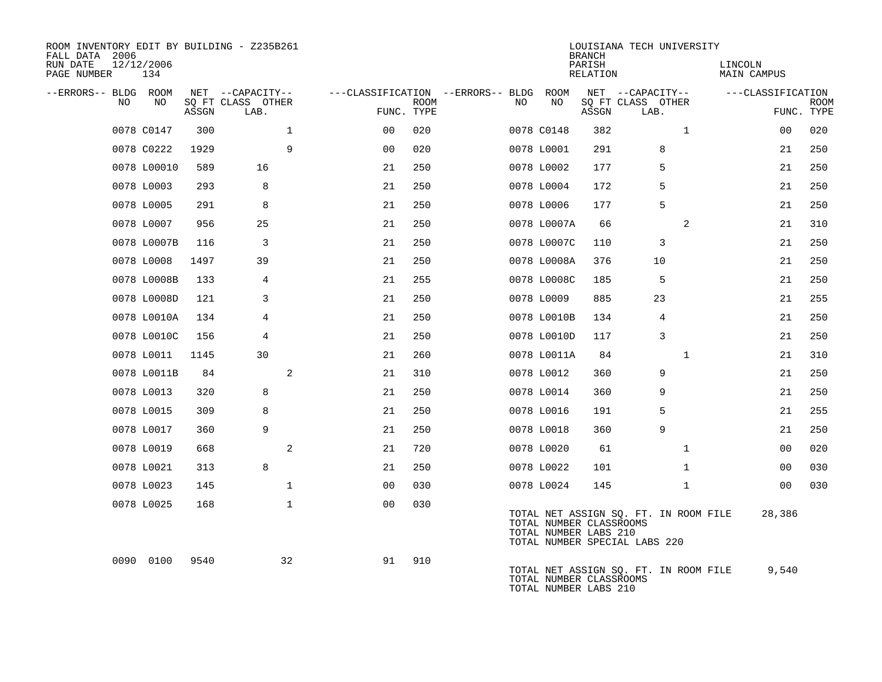| ROOM INVENTORY EDIT BY BUILDING - Z235B261<br>FALL DATA 2006<br>RUN DATE<br>PAGE NUMBER | 12/12/2006<br>134 |       |                           |                                        |             |     |                                                  | <b>BRANCH</b><br>PARISH<br><b>RELATION</b> | LOUISIANA TECH UNIVERSITY                                              | LINCOLN<br><b>MAIN CAMPUS</b> |                           |
|-----------------------------------------------------------------------------------------|-------------------|-------|---------------------------|----------------------------------------|-------------|-----|--------------------------------------------------|--------------------------------------------|------------------------------------------------------------------------|-------------------------------|---------------------------|
| --ERRORS-- BLDG ROOM                                                                    |                   |       | NET --CAPACITY--          | ---CLASSIFICATION --ERRORS-- BLDG ROOM |             |     |                                                  |                                            | NET --CAPACITY--                                                       | ---CLASSIFICATION             |                           |
| NO.                                                                                     | NO.               | ASSGN | SO FT CLASS OTHER<br>LAB. | FUNC. TYPE                             | <b>ROOM</b> | NO. | NO                                               | ASSGN                                      | SQ FT CLASS OTHER<br>LAB.                                              |                               | <b>ROOM</b><br>FUNC. TYPE |
|                                                                                         | 0078 C0147        | 300   | $\mathbf{1}$              | 0 <sub>0</sub>                         | 020         |     | 0078 C0148                                       | 382                                        | $\mathbf{1}$                                                           | 0 <sub>0</sub>                | 020                       |
|                                                                                         | 0078 C0222        | 1929  | 9                         | 0 <sub>0</sub>                         | 020         |     | 0078 L0001                                       | 291                                        | 8                                                                      | 21                            | 250                       |
|                                                                                         | 0078 L00010       | 589   | 16                        | 21                                     | 250         |     | 0078 L0002                                       | 177                                        | 5                                                                      | 21                            | 250                       |
|                                                                                         | 0078 L0003        | 293   | 8                         | 21                                     | 250         |     | 0078 L0004                                       | 172                                        | 5                                                                      | 21                            | 250                       |
|                                                                                         | 0078 L0005        | 291   | 8                         | 21                                     | 250         |     | 0078 L0006                                       | 177                                        | 5                                                                      | 21                            | 250                       |
|                                                                                         | 0078 L0007        | 956   | 25                        | 21                                     | 250         |     | 0078 L0007A                                      | 66                                         | 2                                                                      | 21                            | 310                       |
|                                                                                         | 0078 L0007B       | 116   | 3                         | 21                                     | 250         |     | 0078 L0007C                                      | 110                                        | 3                                                                      | 21                            | 250                       |
|                                                                                         | 0078 L0008        | 1497  | 39                        | 21                                     | 250         |     | 0078 L0008A                                      | 376                                        | 10                                                                     | 21                            | 250                       |
|                                                                                         | 0078 L0008B       | 133   | 4                         | 21                                     | 255         |     | 0078 L0008C                                      | 185                                        | 5                                                                      | 21                            | 250                       |
|                                                                                         | 0078 L0008D       | 121   | 3                         | 21                                     | 250         |     | 0078 L0009                                       | 885                                        | 23                                                                     | 21                            | 255                       |
|                                                                                         | 0078 L0010A       | 134   | 4                         | 21                                     | 250         |     | 0078 L0010B                                      | 134                                        | 4                                                                      | 21                            | 250                       |
|                                                                                         | 0078 L0010C       | 156   | 4                         | 21                                     | 250         |     | 0078 L0010D                                      | 117                                        | 3                                                                      | 21                            | 250                       |
|                                                                                         | 0078 L0011        | 1145  | 30                        | 21                                     | 260         |     | 0078 L0011A                                      | 84                                         | $\mathbf{1}$                                                           | 21                            | 310                       |
|                                                                                         | 0078 L0011B       | 84    | 2                         | 21                                     | 310         |     | 0078 L0012                                       | 360                                        | 9                                                                      | 21                            | 250                       |
|                                                                                         | 0078 L0013        | 320   | 8                         | 21                                     | 250         |     | 0078 L0014                                       | 360                                        | 9                                                                      | 21                            | 250                       |
|                                                                                         | 0078 L0015        | 309   | 8                         | 21                                     | 250         |     | 0078 L0016                                       | 191                                        | 5                                                                      | 21                            | 255                       |
|                                                                                         | 0078 L0017        | 360   | 9                         | 21                                     | 250         |     | 0078 L0018                                       | 360                                        | 9                                                                      | 21                            | 250                       |
|                                                                                         | 0078 L0019        | 668   | 2                         | 21                                     | 720         |     | 0078 L0020                                       | 61                                         | $\mathbf{1}$                                                           | 00                            | 020                       |
|                                                                                         | 0078 L0021        | 313   | 8                         | 21                                     | 250         |     | 0078 L0022                                       | 101                                        | $\mathbf{1}$                                                           | 00                            | 030                       |
|                                                                                         | 0078 L0023        | 145   | $\mathbf{1}$              | 0 <sub>0</sub>                         | 030         |     | 0078 L0024                                       | 145                                        | $\mathbf{1}$                                                           | 0 <sub>0</sub>                | 030                       |
|                                                                                         | 0078 L0025        | 168   | $\mathbf{1}$              | 00                                     | 030         |     | TOTAL NUMBER CLASSROOMS<br>TOTAL NUMBER LABS 210 |                                            | TOTAL NET ASSIGN SQ. FT. IN ROOM FILE<br>TOTAL NUMBER SPECIAL LABS 220 | 28,386                        |                           |
|                                                                                         | 0090 0100         | 9540  | 32                        | 91                                     | 910         |     | TOTAL NUMBER CLASSROOMS<br>TOTAL NUMBER LABS 210 |                                            | TOTAL NET ASSIGN SQ. FT. IN ROOM FILE                                  | 9,540                         |                           |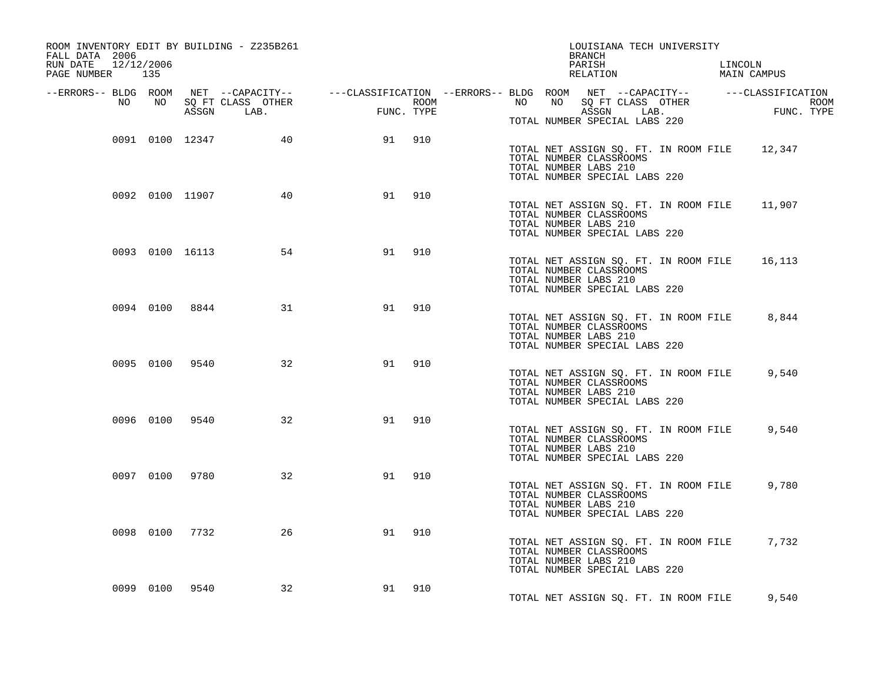| ROOM INVENTORY EDIT BY BUILDING - Z235B261<br>FALL DATA 2006<br>RUN DATE<br>12/12/2006<br>PAGE NUMBER 135 |                |                      |          |        | LOUISIANA TECH UNIVERSITY<br>BRANCH<br>PARISH<br>LINCOLN<br>MAIN CAMPUS<br>RELATION                                                                                                                                                                          |
|-----------------------------------------------------------------------------------------------------------|----------------|----------------------|----------|--------|--------------------------------------------------------------------------------------------------------------------------------------------------------------------------------------------------------------------------------------------------------------|
|                                                                                                           |                |                      |          |        | ERRORS-- BLDG ROOM NET --CAPACITY--- --CLASSIFICATION --ERRORS-- BLDG ROOM NET --CAPACITY--------------------<br>NO NO SQ FT CLASS OTHER ROOM ROOM NO SQ FT CLASS OTHER ROOM ROOM ROOM NO SQ FT CLASS OTHER ROOM ASSGN LAB.<br>TOTAL NUMBER SPECIAL LABS 220 |
|                                                                                                           |                | 0091 0100 12347 40   |          | 91 910 | TOTAL NET ASSIGN SQ. FT. IN ROOM FILE 12,347<br>TOTAL NUMBER CLASSROOMS<br>TOTAL NUMBER LABS 210<br>TOTAL NUMBER SPECIAL LABS 220                                                                                                                            |
|                                                                                                           |                | 0092 0100 11907 40   |          | 91 910 | TOTAL NET ASSIGN SQ. FT. IN ROOM FILE 11,907<br>TOTAL NUMBER CLASSROOMS<br>TOTAL NUMBER LABS 210<br>TOTAL NUMBER SPECIAL LABS 220                                                                                                                            |
|                                                                                                           |                | 0093 0100 16113 54   | 91       | 910    | TOTAL NET ASSIGN SQ. FT. IN ROOM FILE<br>16,113<br>TOTAL NUMBER CLASSROOMS<br>TOTAL NUMBER LABS 210<br>TOTAL NUMBER SPECIAL LABS 220                                                                                                                         |
|                                                                                                           |                | 0094 0100 8844<br>31 | 91       | 910    | TOTAL NET ASSIGN SQ. FT. IN ROOM FILE<br>8,844<br>TOTAL NUMBER CLASSROOMS<br>TOTAL NUMBER LABS 210<br>TOTAL NUMBER SPECIAL LABS 220                                                                                                                          |
|                                                                                                           | 0095 0100 9540 |                      | 32<br>91 | 910    | 9,540<br>TOTAL NET ASSIGN SQ. FT. IN ROOM FILE<br>TOTAL NUMBER CLASSROOMS<br>TOTAL NUMBER LABS 210<br>TOTAL NUMBER SPECIAL LABS 220                                                                                                                          |
|                                                                                                           | 0096 0100 9540 | 32                   | 91       | 910    | 9,540<br>TOTAL NET ASSIGN SQ. FT. IN ROOM FILE<br>TOTAL NUMBER CLASSROOMS<br>TOTAL NUMBER LABS 210<br>TOTAL NUMBER SPECIAL LABS 220                                                                                                                          |
|                                                                                                           | 0097 0100 9780 | 32                   | 91       | 910    | 9,780<br>TOTAL NET ASSIGN SQ. FT. IN ROOM FILE<br>TOTAL NUMBER CLASSROOMS<br>TOTAL NUMBER LABS 210<br>TOTAL NUMBER SPECIAL LABS 220                                                                                                                          |
|                                                                                                           | 0098 0100 7732 | 26                   | 91       | 910    | TOTAL NET ASSIGN SQ. FT. IN ROOM FILE 7,732<br>TOTAL NUMBER CLASSROOMS<br>TOTAL NUMBER LABS 210<br>TOTAL NUMBER SPECIAL LABS 220                                                                                                                             |
|                                                                                                           | 0099 0100 9540 | 32                   |          | 91 910 | TOTAL NET ASSIGN SO. FT. IN ROOM FILE<br>9,540                                                                                                                                                                                                               |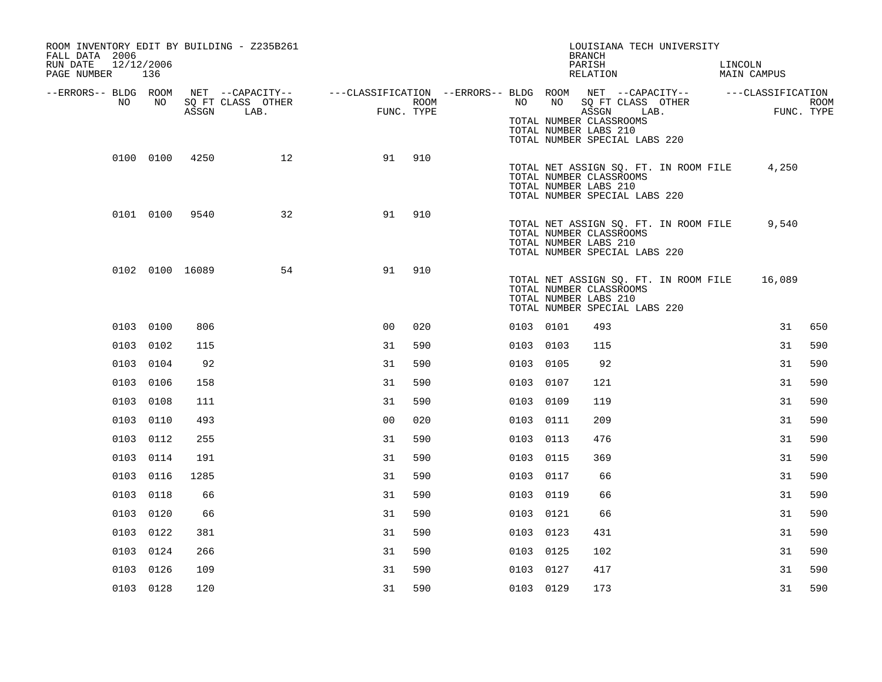| ROOM INVENTORY EDIT BY BUILDING - Z235B261<br>FALL DATA 2006<br>RUN DATE<br>12/12/2006<br>PAGE NUMBER 136 |           |                 |                           |                                                                                                |                    |           | LOUISIANA TECH UNIVERSITY<br><b>BRANCH</b><br>PARISH<br>RELATION                                                           |  | LINCOLN<br>MAIN CAMPUS |                    |
|-----------------------------------------------------------------------------------------------------------|-----------|-----------------|---------------------------|------------------------------------------------------------------------------------------------|--------------------|-----------|----------------------------------------------------------------------------------------------------------------------------|--|------------------------|--------------------|
| --ERRORS-- BLDG ROOM<br>NO                                                                                | NO.       | ASSGN           | SQ FT CLASS OTHER<br>LAB. | NET --CAPACITY-- - ---CLASSIFICATION --ERRORS-- BLDG ROOM NET --CAPACITY-- - ---CLASSIFICATION | ROOM<br>FUNC. TYPE | NO        | NO SQ FT CLASS OTHER<br>ASSGN LAB.<br>TOTAL NUMBER CLASSROOMS<br>TOTAL NUMBER LABS 210<br>TOTAL NUMBER SPECIAL LABS 220    |  |                        | ROOM<br>FUNC. TYPE |
|                                                                                                           | 0100 0100 | 4250            | 12                        | 91                                                                                             | 910                |           | TOTAL NET ASSIGN SQ. FT. IN ROOM FILE<br>TOTAL NUMBER CLASSROOMS<br>TOTAL NUMBER LABS 210<br>TOTAL NUMBER SPECIAL LABS 220 |  | 4,250                  |                    |
|                                                                                                           | 0101 0100 | 9540            | 32                        | 91                                                                                             | 910                |           | TOTAL NET ASSIGN SQ. FT. IN ROOM FILE<br>TOTAL NUMBER CLASSROOMS<br>TOTAL NUMBER LABS 210<br>TOTAL NUMBER SPECIAL LABS 220 |  | 9,540                  |                    |
|                                                                                                           |           | 0102 0100 16089 | 54                        | 91                                                                                             | 910                |           | TOTAL NET ASSIGN SQ. FT. IN ROOM FILE<br>TOTAL NUMBER CLASSROOMS<br>TOTAL NUMBER LABS 210<br>TOTAL NUMBER SPECIAL LABS 220 |  | 16,089                 |                    |
|                                                                                                           | 0103 0100 | 806             |                           | 0 <sup>0</sup>                                                                                 | 020                | 0103 0101 | 493                                                                                                                        |  | 31                     | 650                |
|                                                                                                           | 0103 0102 | 115             |                           | 31                                                                                             | 590                | 0103 0103 | 115                                                                                                                        |  | 31                     | 590                |
|                                                                                                           | 0103 0104 | 92              |                           | 31                                                                                             | 590                | 0103 0105 | 92                                                                                                                         |  | 31                     | 590                |
|                                                                                                           | 0103 0106 | 158             |                           | 31                                                                                             | 590                | 0103 0107 | 121                                                                                                                        |  | 31                     | 590                |
|                                                                                                           | 0103 0108 | 111             |                           | 31                                                                                             | 590                | 0103 0109 | 119                                                                                                                        |  | 31                     | 590                |
|                                                                                                           | 0103 0110 | 493             |                           | 0 <sub>0</sub>                                                                                 | 020                | 0103 0111 | 209                                                                                                                        |  | 31                     | 590                |
|                                                                                                           | 0103 0112 | 255             |                           | 31                                                                                             | 590                | 0103 0113 | 476                                                                                                                        |  | 31                     | 590                |
|                                                                                                           | 0103 0114 | 191             |                           | 31                                                                                             | 590                | 0103 0115 | 369                                                                                                                        |  | 31                     | 590                |
|                                                                                                           | 0103 0116 | 1285            |                           | 31                                                                                             | 590                | 0103 0117 | 66                                                                                                                         |  | 31                     | 590                |
|                                                                                                           | 0103 0118 | 66              |                           | 31                                                                                             | 590                | 0103 0119 | 66                                                                                                                         |  | 31                     | 590                |
|                                                                                                           | 0103 0120 | 66              |                           | 31                                                                                             | 590                | 0103 0121 | 66                                                                                                                         |  | 31                     | 590                |
|                                                                                                           | 0103 0122 | 381             |                           | 31                                                                                             | 590                | 0103 0123 | 431                                                                                                                        |  | 31                     | 590                |
|                                                                                                           | 0103 0124 | 266             |                           | 31                                                                                             | 590                | 0103 0125 | 102                                                                                                                        |  | 31                     | 590                |
|                                                                                                           | 0103 0126 | 109             |                           | 31                                                                                             | 590                | 0103 0127 | 417                                                                                                                        |  | 31                     | 590                |
|                                                                                                           | 0103 0128 | 120             |                           | 31                                                                                             | 590                | 0103 0129 | 173                                                                                                                        |  | 31                     | 590                |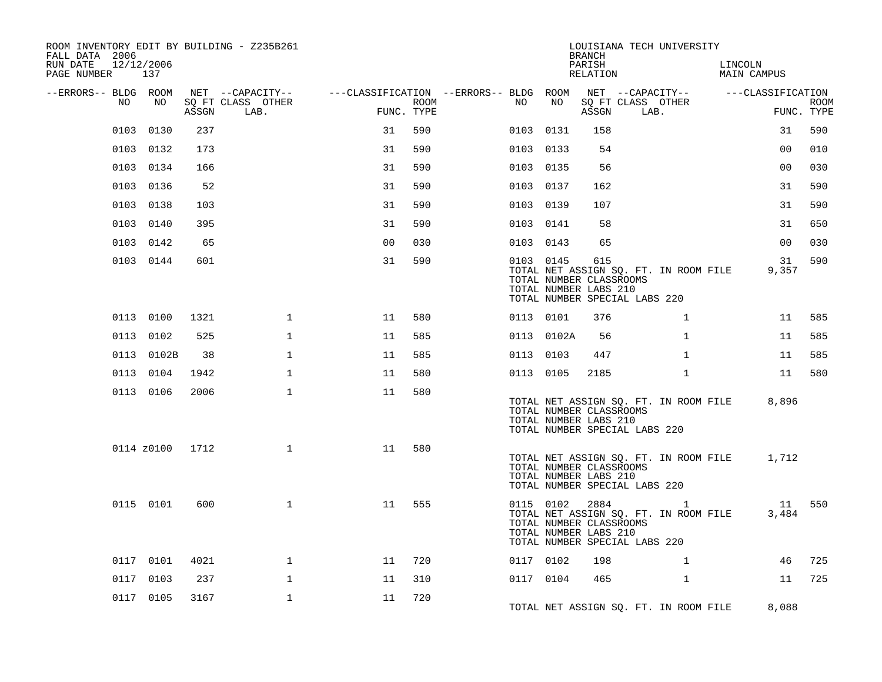| ROOM INVENTORY EDIT BY BUILDING - Z235B261<br>FALL DATA 2006 |            |       |                           |                                        |             |           |            | <b>BRANCH</b>                                                      | LOUISIANA TECH UNIVERSITY                                                                |                        |                           |
|--------------------------------------------------------------|------------|-------|---------------------------|----------------------------------------|-------------|-----------|------------|--------------------------------------------------------------------|------------------------------------------------------------------------------------------|------------------------|---------------------------|
| RUN DATE<br>12/12/2006<br>PAGE NUMBER                        | 137        |       |                           |                                        |             |           |            | PARISH<br>RELATION                                                 |                                                                                          | LINCOLN<br>MAIN CAMPUS |                           |
| --ERRORS-- BLDG ROOM                                         |            |       | NET --CAPACITY--          | ---CLASSIFICATION --ERRORS-- BLDG ROOM |             |           |            |                                                                    | NET --CAPACITY-- ---CLASSIFICATION                                                       |                        |                           |
| NO                                                           | NO         | ASSGN | SQ FT CLASS OTHER<br>LAB. | FUNC. TYPE                             | <b>ROOM</b> | NO        | NO         | ASSGN                                                              | SQ FT CLASS OTHER<br>LAB.                                                                |                        | <b>ROOM</b><br>FUNC. TYPE |
| 0103                                                         | 0130       | 237   |                           | 31                                     | 590         | 0103      | 0131       | 158                                                                |                                                                                          | 31                     | 590                       |
|                                                              | 0103 0132  | 173   |                           | 31                                     | 590         | 0103 0133 |            | 54                                                                 |                                                                                          | 0 <sub>0</sub>         | 010                       |
|                                                              | 0103 0134  | 166   |                           | 31                                     | 590         | 0103 0135 |            | 56                                                                 |                                                                                          | 0 <sub>0</sub>         | 030                       |
|                                                              | 0103 0136  | 52    |                           | 31                                     | 590         | 0103 0137 |            | 162                                                                |                                                                                          | 31                     | 590                       |
|                                                              | 0103 0138  | 103   |                           | 31                                     | 590         | 0103      | 0139       | 107                                                                |                                                                                          | 31                     | 590                       |
|                                                              | 0103 0140  | 395   |                           | 31                                     | 590         | 0103 0141 |            | 58                                                                 |                                                                                          | 31                     | 650                       |
|                                                              | 0103 0142  | 65    |                           | 0 <sub>0</sub>                         | 030         | 0103 0143 |            | 65                                                                 |                                                                                          | 0 <sub>0</sub>         | 030                       |
|                                                              | 0103 0144  | 601   |                           | 31                                     | 590         | 0103 0145 |            | 615<br>TOTAL NUMBER CLASSROOMS<br>TOTAL NUMBER LABS 210            | TOTAL NET ASSIGN SQ. FT. IN ROOM FILE<br>TOTAL NUMBER SPECIAL LABS 220                   | 31<br>9,357            | 590                       |
|                                                              | 0113 0100  | 1321  | $\mathbf{1}$              | 11                                     | 580         | 0113 0101 |            | 376                                                                | $\mathbf{1}$                                                                             | 11                     | 585                       |
|                                                              | 0113 0102  | 525   | $\mathbf{1}$              | 11                                     | 585         |           | 0113 0102A | 56                                                                 | $\mathbf{1}$                                                                             | 11                     | 585                       |
|                                                              | 0113 0102B | 38    | $\mathbf{1}$              | 11                                     | 585         | 0113 0103 |            | 447                                                                | $\mathbf{1}$                                                                             | 11                     | 585                       |
|                                                              | 0113 0104  | 1942  | $\mathbf{1}$              | 11                                     | 580         | 0113 0105 |            | 2185                                                               | $\mathbf{1}$                                                                             | 11                     | 580                       |
|                                                              | 0113 0106  | 2006  | $\mathbf 1$               | 11                                     | 580         |           |            | TOTAL NUMBER CLASSROOMS<br>TOTAL NUMBER LABS 210                   | TOTAL NET ASSIGN SQ. FT. IN ROOM FILE<br>TOTAL NUMBER SPECIAL LABS 220                   | 8,896                  |                           |
|                                                              | 0114 z0100 | 1712  | $\mathbf 1$               | 11                                     | 580         |           |            | TOTAL NUMBER CLASSROOMS<br>TOTAL NUMBER LABS 210                   | TOTAL NET ASSIGN SQ. FT. IN ROOM FILE<br>TOTAL NUMBER SPECIAL LABS 220                   | 1,712                  |                           |
|                                                              | 0115 0101  | 600   | $\mathbf{1}$              | 11                                     | 555         |           |            | 0115 0102 2884<br>TOTAL NUMBER CLASSROOMS<br>TOTAL NUMBER LABS 210 | $\overline{1}$<br>TOTAL NET ASSIGN SQ. FT. IN ROOM FILE<br>TOTAL NUMBER SPECIAL LABS 220 | 11<br>3,484            | 550                       |
|                                                              | 0117 0101  | 4021  | $\mathbf{1}$              | 11                                     | 720         | 0117 0102 |            | 198                                                                | $\mathbf{1}$                                                                             | 46                     | 725                       |
|                                                              | 0117 0103  | 237   | 1                         | 11                                     | 310         | 0117 0104 |            | 465                                                                | $\mathbf{1}$                                                                             | 11                     | 725                       |
|                                                              | 0117 0105  | 3167  | $\mathbf{1}$              | 11                                     | 720         |           |            |                                                                    | TOTAL NET ASSIGN SQ. FT. IN ROOM FILE                                                    | 8,088                  |                           |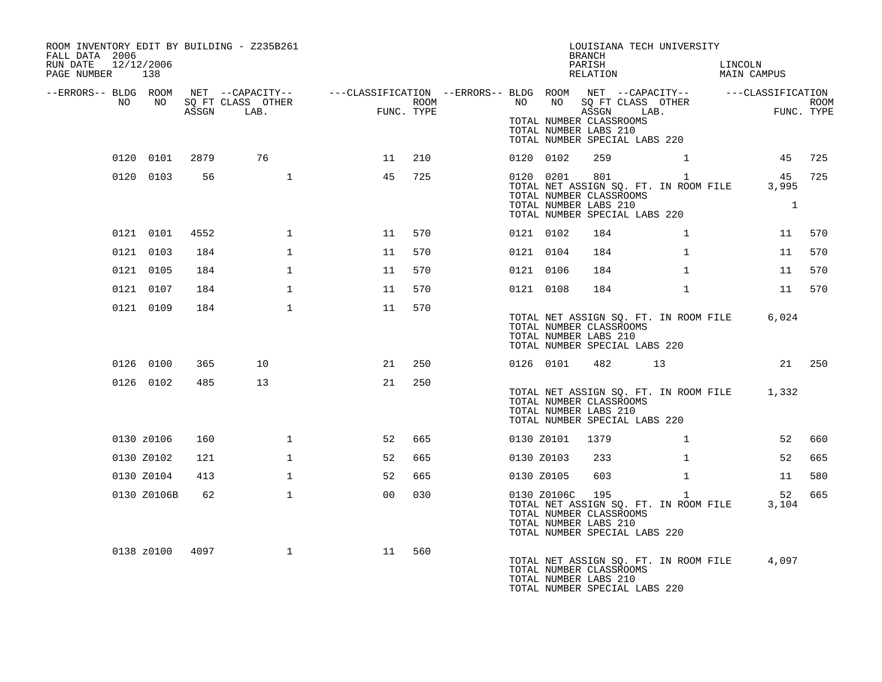| ROOM INVENTORY EDIT BY BUILDING - Z235B261<br>FALL DATA 2006<br>RUN DATE<br>PAGE NUMBER 138 | 12/12/2006  |       |                           |                                                                                                                            |                    |           |                 | BRANCH<br>PARISH<br>RELATION                     | LOUISIANA TECH UNIVERSITY                                                     |                | LINCOLN<br>MAIN CAMPUS                      |                     |
|---------------------------------------------------------------------------------------------|-------------|-------|---------------------------|----------------------------------------------------------------------------------------------------------------------------|--------------------|-----------|-----------------|--------------------------------------------------|-------------------------------------------------------------------------------|----------------|---------------------------------------------|---------------------|
| NO                                                                                          | NO 11       | ASSGN | SQ FT CLASS OTHER<br>LAB. | --ERRORS-- BLDG ROOM NET --CAPACITY-- ----CLASSIFICATION --ERRORS-- BLDG ROOM NET --CAPACITY-- -----CLASSIFICATION<br>FUNC | ROOM<br>FUNC. TYPE |           |                 | TOTAL NUMBER CLASSROOMS                          | NO NO SQ FT CLASS OTHER<br>ASSGN LAB.                                         |                |                                             | ROOM<br>FUNC. TYPE  |
|                                                                                             |             |       |                           |                                                                                                                            |                    |           |                 | TOTAL NUMBER LABS 210                            | TOTAL NUMBER SPECIAL LABS 220                                                 |                |                                             |                     |
|                                                                                             | 0120 0101   | 2879  | 76                        | 11                                                                                                                         | 210                |           | 0120 0102       | 259                                              |                                                                               | $\mathbf{1}$   | 45                                          | 725                 |
|                                                                                             | 0120 0103   | 56    | $\mathbf{1}$              | 45                                                                                                                         | 725                |           | 0120 0201       | TOTAL NUMBER CLASSROOMS<br>TOTAL NUMBER LABS 210 | 801<br>TOTAL NET ASSIGN SQ. FT. IN ROOM FILE<br>TOTAL NUMBER SPECIAL LABS 220 | $\overline{1}$ | 45<br>3,995                                 | 725<br>$\mathbf{1}$ |
|                                                                                             | 0121 0101   | 4552  | $\mathbf{1}$              | 11                                                                                                                         | 570                |           | 0121 0102       | 184                                              |                                                                               | $\mathbf{1}$   |                                             | 11 570              |
|                                                                                             | 0121 0103   | 184   | $\mathbf{1}$              | 11                                                                                                                         | 570                | 0121 0104 |                 | 184                                              |                                                                               | $\mathbf{1}$   | 11                                          | 570                 |
|                                                                                             | 0121 0105   | 184   | $\mathbf{1}$              | 11                                                                                                                         | 570                | 0121 0106 |                 | 184                                              |                                                                               | $\mathbf{1}$   | 11                                          | 570                 |
|                                                                                             | 0121 0107   | 184   | $\mathbf{1}$              | 11                                                                                                                         | 570                |           | 0121 0108       | 184                                              |                                                                               | $\mathbf{1}$   | 11                                          | 570                 |
|                                                                                             | 0121 0109   | 184   | $\mathbf{1}$              | 11                                                                                                                         | 570                |           |                 |                                                  |                                                                               |                |                                             |                     |
|                                                                                             |             |       |                           |                                                                                                                            |                    |           |                 | TOTAL NUMBER CLASSROOMS<br>TOTAL NUMBER LABS 210 | TOTAL NET ASSIGN SQ. FT. IN ROOM FILE<br>TOTAL NUMBER SPECIAL LABS 220        |                | 6,024                                       |                     |
|                                                                                             | 0126 0100   | 365   | 10                        | 21                                                                                                                         | 250                |           | 0126 0101       | 482                                              | 13                                                                            |                |                                             | 21 250              |
|                                                                                             | 0126 0102   | 485   | 13 <sup>°</sup>           | 21                                                                                                                         | 250                |           |                 | TOTAL NUMBER CLASSROOMS<br>TOTAL NUMBER LABS 210 | TOTAL NUMBER SPECIAL LABS 220                                                 |                | TOTAL NET ASSIGN SQ. FT. IN ROOM FILE 1,332 |                     |
|                                                                                             | 0130 z0106  | 160   | $\mathbf{1}$              | 52                                                                                                                         | 665                |           | 0130 Z0101      | 1379                                             |                                                                               | $\mathbf{1}$   | 52                                          | 660                 |
|                                                                                             | 0130 Z0102  | 121   | $\mathbf{1}$              | 52                                                                                                                         | 665                |           | 0130 Z0103      | 233                                              |                                                                               | $\mathbf{1}$   | 52                                          | 665                 |
|                                                                                             | 0130 Z0104  | 413   | $\mathbf{1}$              | 52                                                                                                                         | 665                |           | 0130 Z0105      | 603                                              |                                                                               | $\mathbf{1}$   | 11                                          | 580                 |
|                                                                                             | 0130 Z0106B | 62    | $\mathbf{1}$              | 0 <sub>0</sub>                                                                                                             | 030                |           | 0130 Z0106C 195 | TOTAL NUMBER CLASSROOMS<br>TOTAL NUMBER LABS 210 | TOTAL NET ASSIGN SQ. FT. IN ROOM FILE<br>TOTAL NUMBER SPECIAL LABS 220        | $\mathbf{1}$   | 52<br>3,104                                 | 665                 |
|                                                                                             | 0138 z0100  | 4097  | $\mathbf{1}$              | 11                                                                                                                         | 560                |           |                 | TOTAL NUMBER CLASSROOMS<br>TOTAL NUMBER LABS 210 | TOTAL NET ASSIGN SQ. FT. IN ROOM FILE<br>TOTAL NUMBER SPECIAL LABS 220        |                | 4,097                                       |                     |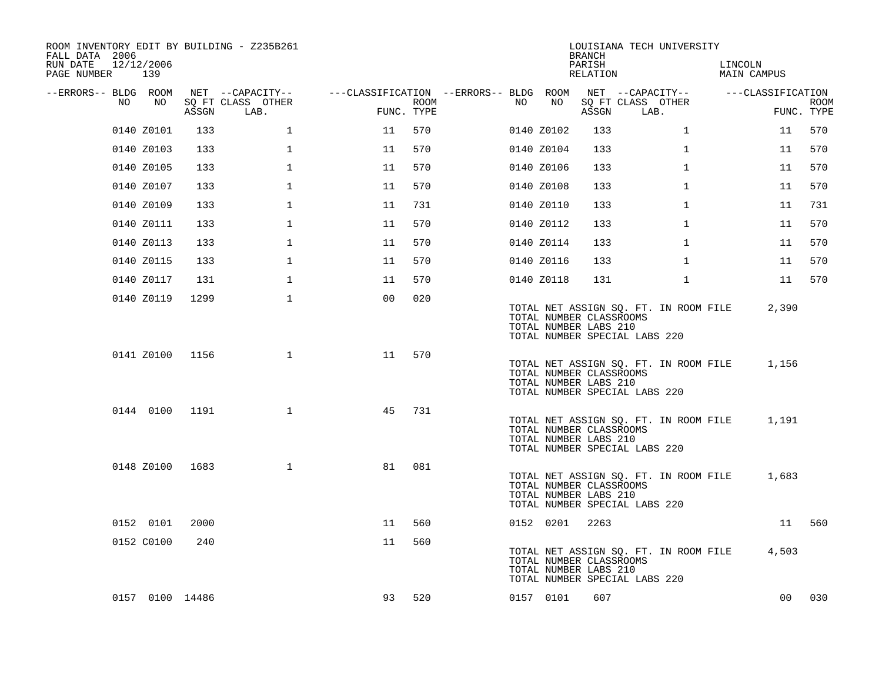| ROOM INVENTORY EDIT BY BUILDING - Z235B261<br>FALL DATA 2006<br>RUN DATE<br>PAGE NUMBER | 12/12/2006<br>139 |       |                           |                                        |      |     |            | <b>BRANCH</b><br>PARISH<br>RELATION              | LOUISIANA TECH UNIVERSITY                                              | LINCOLN<br>MAIN CAMPUS |                           |
|-----------------------------------------------------------------------------------------|-------------------|-------|---------------------------|----------------------------------------|------|-----|------------|--------------------------------------------------|------------------------------------------------------------------------|------------------------|---------------------------|
| --ERRORS-- BLDG ROOM                                                                    |                   |       | NET --CAPACITY--          | ---CLASSIFICATION --ERRORS-- BLDG ROOM |      |     |            |                                                  | NET --CAPACITY--                                                       | ---CLASSIFICATION      |                           |
| NO.                                                                                     | NO                | ASSGN | SQ FT CLASS OTHER<br>LAB. | FUNC. TYPE                             | ROOM | NO. | NO         | ASSGN                                            | SQ FT CLASS OTHER<br>LAB.                                              |                        | <b>ROOM</b><br>FUNC. TYPE |
|                                                                                         | 0140 Z0101        | 133   | $\mathbf{1}$              | 11                                     | 570  |     | 0140 Z0102 | 133                                              | $\mathbf{1}$                                                           | 11                     | 570                       |
|                                                                                         | 0140 Z0103        | 133   | $\mathbf 1$               | 11                                     | 570  |     | 0140 Z0104 | 133                                              | $\mathbf{1}$                                                           | 11                     | 570                       |
|                                                                                         | 0140 Z0105        | 133   | $\mathbf 1$               | 11                                     | 570  |     | 0140 Z0106 | 133                                              | $\mathbf{1}$                                                           | 11                     | 570                       |
|                                                                                         | 0140 Z0107        | 133   | $\mathbf 1$               | 11                                     | 570  |     | 0140 Z0108 | 133                                              | $\mathbf{1}$                                                           | 11                     | 570                       |
|                                                                                         | 0140 Z0109        | 133   | $\mathbf{1}$              | 11                                     | 731  |     | 0140 Z0110 | 133                                              | $\mathbf{1}$                                                           | 11                     | 731                       |
|                                                                                         | 0140 Z0111        | 133   | $\mathbf{1}$              | 11                                     | 570  |     | 0140 Z0112 | 133                                              | $\mathbf{1}$                                                           | 11                     | 570                       |
|                                                                                         | 0140 Z0113        | 133   | $\mathbf 1$               | 11                                     | 570  |     | 0140 Z0114 | 133                                              | $\mathbf{1}$                                                           | 11                     | 570                       |
|                                                                                         | 0140 Z0115        | 133   | $\mathbf 1$               | 11                                     | 570  |     | 0140 Z0116 | 133                                              | $\mathbf{1}$                                                           | 11                     | 570                       |
|                                                                                         | 0140 Z0117        | 131   | $\mathbf{1}$              | 11                                     | 570  |     | 0140 Z0118 | 131                                              | $\mathbf{1}$                                                           | 11                     | 570                       |
|                                                                                         | 0140 Z0119        | 1299  | $\mathbf 1$               | 0 <sub>0</sub>                         | 020  |     |            | TOTAL NUMBER CLASSROOMS<br>TOTAL NUMBER LABS 210 | TOTAL NET ASSIGN SQ. FT. IN ROOM FILE<br>TOTAL NUMBER SPECIAL LABS 220 | 2,390                  |                           |
|                                                                                         | 0141 Z0100        | 1156  | $\mathbf{1}$              | 11                                     | 570  |     |            | TOTAL NUMBER CLASSROOMS<br>TOTAL NUMBER LABS 210 | TOTAL NET ASSIGN SQ. FT. IN ROOM FILE<br>TOTAL NUMBER SPECIAL LABS 220 | 1,156                  |                           |
|                                                                                         | 0144 0100         | 1191  | $\mathbf{1}$              | 45                                     | 731  |     |            | TOTAL NUMBER CLASSROOMS<br>TOTAL NUMBER LABS 210 | TOTAL NET ASSIGN SQ. FT. IN ROOM FILE<br>TOTAL NUMBER SPECIAL LABS 220 | 1,191                  |                           |
|                                                                                         | 0148 Z0100        | 1683  | $\mathbf{1}$              | 81                                     | 081  |     |            | TOTAL NUMBER CLASSROOMS<br>TOTAL NUMBER LABS 210 | TOTAL NET ASSIGN SQ. FT. IN ROOM FILE<br>TOTAL NUMBER SPECIAL LABS 220 | 1,683                  |                           |
|                                                                                         | 0152 0101         | 2000  |                           | 11                                     | 560  |     | 0152 0201  | 2263                                             |                                                                        | 11                     | 560                       |
|                                                                                         | 0152 C0100        | 240   |                           | 11                                     | 560  |     |            | TOTAL NUMBER CLASSROOMS<br>TOTAL NUMBER LABS 210 | TOTAL NET ASSIGN SQ. FT. IN ROOM FILE<br>TOTAL NUMBER SPECIAL LABS 220 | 4,503                  |                           |
|                                                                                         | 0157 0100 14486   |       |                           | 93                                     | 520  |     | 0157 0101  | 607                                              |                                                                        | 00                     | 030                       |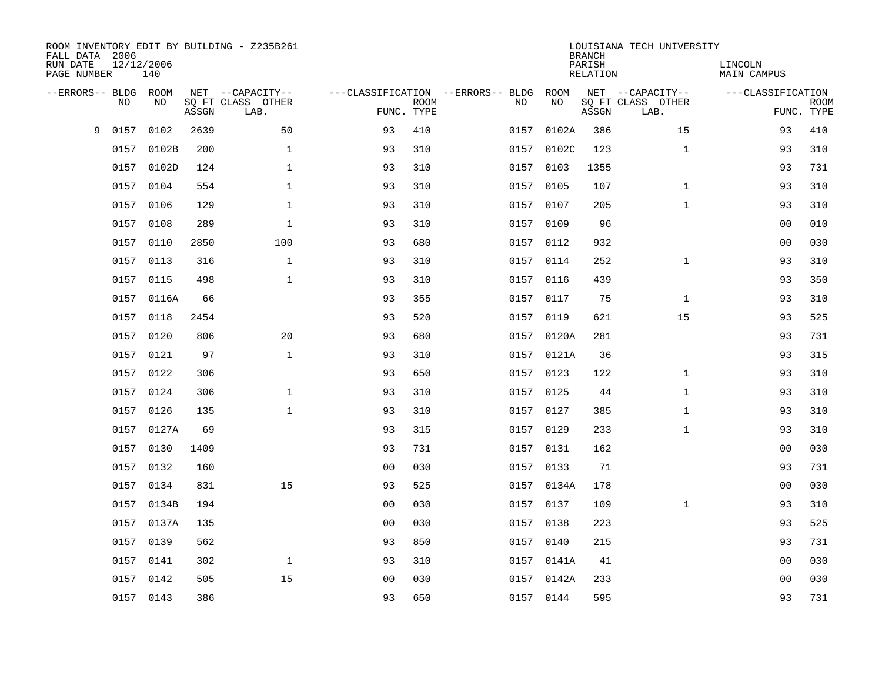| ROOM INVENTORY EDIT BY BUILDING - Z235B261<br>FALL DATA 2006<br>RUN DATE<br>PAGE NUMBER | 12/12/2006<br>140 |       |                                               |                |             |                                         |            | <b>BRANCH</b><br>PARISH<br><b>RELATION</b> | LOUISIANA TECH UNIVERSITY                     | LINCOLN<br><b>MAIN CAMPUS</b> |                           |
|-----------------------------------------------------------------------------------------|-------------------|-------|-----------------------------------------------|----------------|-------------|-----------------------------------------|------------|--------------------------------------------|-----------------------------------------------|-------------------------------|---------------------------|
| --ERRORS-- BLDG ROOM<br><b>NO</b>                                                       | NO.               | ASSGN | NET --CAPACITY--<br>SQ FT CLASS OTHER<br>LAB. | FUNC. TYPE     | <b>ROOM</b> | ---CLASSIFICATION --ERRORS-- BLDG<br>NO | ROOM<br>NO | ASSGN                                      | NET --CAPACITY--<br>SQ FT CLASS OTHER<br>LAB. | ---CLASSIFICATION             | <b>ROOM</b><br>FUNC. TYPE |
| 9<br>0157                                                                               | 0102              | 2639  | 50                                            | 93             | 410         | 0157                                    | 0102A      | 386                                        | 15                                            | 93                            | 410                       |
| 0157                                                                                    | 0102B             | 200   | $\mathbf{1}$                                  | 93             | 310         |                                         | 0157 0102C | 123                                        | $\mathbf{1}$                                  | 93                            | 310                       |
| 0157                                                                                    | 0102D             | 124   | $\mathbf{1}$                                  | 93             | 310         | 0157                                    | 0103       | 1355                                       |                                               | 93                            | 731                       |
|                                                                                         | 0157 0104         | 554   | $\mathbf{1}$                                  | 93             | 310         |                                         | 0157 0105  | 107                                        | $\mathbf{1}$                                  | 93                            | 310                       |
| 0157                                                                                    | 0106              | 129   | $\mathbf{1}$                                  | 93             | 310         | 0157                                    | 0107       | 205                                        | $\mathbf{1}$                                  | 93                            | 310                       |
|                                                                                         | 0157 0108         | 289   | $\mathbf{1}$                                  | 93             | 310         |                                         | 0157 0109  | 96                                         |                                               | 0 <sub>0</sub>                | 010                       |
| 0157                                                                                    | 0110              | 2850  | 100                                           | 93             | 680         | 0157                                    | 0112       | 932                                        |                                               | 0 <sub>0</sub>                | 030                       |
|                                                                                         | 0157 0113         | 316   | $\mathbf 1$                                   | 93             | 310         |                                         | 0157 0114  | 252                                        | $\mathbf{1}$                                  | 93                            | 310                       |
|                                                                                         | 0157 0115         | 498   | $\mathbf{1}$                                  | 93             | 310         | 0157                                    | 0116       | 439                                        |                                               | 93                            | 350                       |
|                                                                                         | 0157 0116A        | 66    |                                               | 93             | 355         |                                         | 0157 0117  | 75                                         | $\mathbf{1}$                                  | 93                            | 310                       |
|                                                                                         | 0157 0118         | 2454  |                                               | 93             | 520         | 0157                                    | 0119       | 621                                        | 15                                            | 93                            | 525                       |
|                                                                                         | 0157 0120         | 806   | 20                                            | 93             | 680         |                                         | 0157 0120A | 281                                        |                                               | 93                            | 731                       |
|                                                                                         | 0157 0121         | 97    | $\mathbf{1}$                                  | 93             | 310         |                                         | 0157 0121A | 36                                         |                                               | 93                            | 315                       |
|                                                                                         | 0157 0122         | 306   |                                               | 93             | 650         |                                         | 0157 0123  | 122                                        | $\mathbf{1}$                                  | 93                            | 310                       |
|                                                                                         | 0157 0124         | 306   | $\mathbf 1$                                   | 93             | 310         |                                         | 0157 0125  | 44                                         | $\mathbf{1}$                                  | 93                            | 310                       |
|                                                                                         | 0157 0126         | 135   | $\mathbf{1}$                                  | 93             | 310         |                                         | 0157 0127  | 385                                        | $\mathbf{1}$                                  | 93                            | 310                       |
|                                                                                         | 0157 0127A        | 69    |                                               | 93             | 315         |                                         | 0157 0129  | 233                                        | $\mathbf{1}$                                  | 93                            | 310                       |
|                                                                                         | 0157 0130         | 1409  |                                               | 93             | 731         |                                         | 0157 0131  | 162                                        |                                               | 00                            | 030                       |
| 0157                                                                                    | 0132              | 160   |                                               | 0 <sub>0</sub> | 030         | 0157                                    | 0133       | 71                                         |                                               | 93                            | 731                       |
| 0157                                                                                    | 0134              | 831   | 15                                            | 93             | 525         |                                         | 0157 0134A | 178                                        |                                               | 0 <sub>0</sub>                | 030                       |
| 0157                                                                                    | 0134B             | 194   |                                               | 0 <sub>0</sub> | 030         |                                         | 0157 0137  | 109                                        | $\mathbf{1}$                                  | 93                            | 310                       |
| 0157                                                                                    | 0137A             | 135   |                                               | 0 <sub>0</sub> | 030         |                                         | 0157 0138  | 223                                        |                                               | 93                            | 525                       |
| 0157                                                                                    | 0139              | 562   |                                               | 93             | 850         |                                         | 0157 0140  | 215                                        |                                               | 93                            | 731                       |
| 0157                                                                                    | 0141              | 302   | $\mathbf 1$                                   | 93             | 310         |                                         | 0157 0141A | 41                                         |                                               | 0 <sub>0</sub>                | 030                       |
|                                                                                         | 0157 0142         | 505   | 15                                            | 0 <sub>0</sub> | 030         |                                         | 0157 0142A | 233                                        |                                               | 00                            | 030                       |
|                                                                                         | 0157 0143         | 386   |                                               | 93             | 650         |                                         | 0157 0144  | 595                                        |                                               | 93                            | 731                       |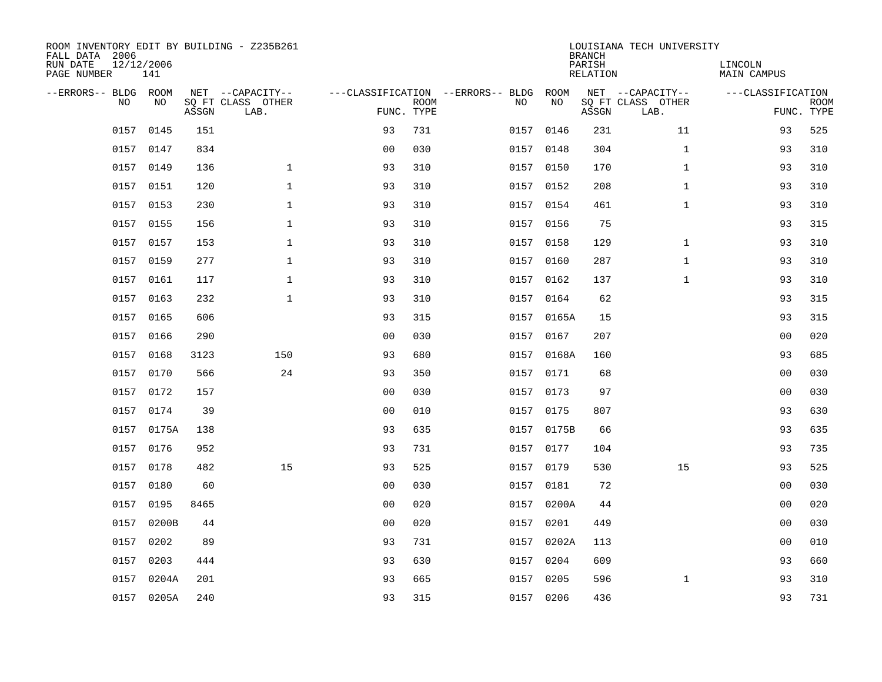| ROOM INVENTORY EDIT BY BUILDING - Z235B261<br>FALL DATA 2006<br>RUN DATE<br>PAGE NUMBER | 12/12/2006<br>141 |       |                                               |                |             |                                              |            | <b>BRANCH</b><br>PARISH<br><b>RELATION</b> | LOUISIANA TECH UNIVERSITY                     | LINCOLN<br><b>MAIN CAMPUS</b> |                           |
|-----------------------------------------------------------------------------------------|-------------------|-------|-----------------------------------------------|----------------|-------------|----------------------------------------------|------------|--------------------------------------------|-----------------------------------------------|-------------------------------|---------------------------|
| --ERRORS-- BLDG ROOM<br>NO                                                              | NO                | ASSGN | NET --CAPACITY--<br>SQ FT CLASS OTHER<br>LAB. | FUNC. TYPE     | <b>ROOM</b> | ---CLASSIFICATION --ERRORS-- BLDG ROOM<br>NO | NO         | ASSGN                                      | NET --CAPACITY--<br>SQ FT CLASS OTHER<br>LAB. | ---CLASSIFICATION             | <b>ROOM</b><br>FUNC. TYPE |
| 0157                                                                                    | 0145              | 151   |                                               | 93             | 731         |                                              | 0157 0146  | 231                                        | 11                                            | 93                            | 525                       |
|                                                                                         | 0157 0147         | 834   |                                               | 0 <sub>0</sub> | 030         |                                              | 0157 0148  | 304                                        | $\mathbf{1}$                                  | 93                            | 310                       |
| 0157                                                                                    | 0149              | 136   | $\mathbf 1$                                   | 93             | 310         |                                              | 0157 0150  | 170                                        | $\mathbf{1}$                                  | 93                            | 310                       |
|                                                                                         | 0157 0151         | 120   | $\mathbf 1$                                   | 93             | 310         |                                              | 0157 0152  | 208                                        | $\mathbf{1}$                                  | 93                            | 310                       |
| 0157                                                                                    | 0153              | 230   | $\mathbf{1}$                                  | 93             | 310         |                                              | 0157 0154  | 461                                        | $\mathbf{1}$                                  | 93                            | 310                       |
|                                                                                         | 0157 0155         | 156   | $\mathbf{1}$                                  | 93             | 310         |                                              | 0157 0156  | 75                                         |                                               | 93                            | 315                       |
|                                                                                         | 0157 0157         | 153   | $\mathbf{1}$                                  | 93             | 310         |                                              | 0157 0158  | 129                                        | $\mathbf{1}$                                  | 93                            | 310                       |
|                                                                                         | 0157 0159         | 277   | $\mathbf{1}$                                  | 93             | 310         |                                              | 0157 0160  | 287                                        | $\mathbf{1}$                                  | 93                            | 310                       |
|                                                                                         | 0157 0161         | 117   | $\mathbf{1}$                                  | 93             | 310         | 0157                                         | 0162       | 137                                        | $\mathbf{1}$                                  | 93                            | 310                       |
|                                                                                         | 0157 0163         | 232   | $\mathbf{1}$                                  | 93             | 310         |                                              | 0157 0164  | 62                                         |                                               | 93                            | 315                       |
|                                                                                         | 0157 0165         | 606   |                                               | 93             | 315         |                                              | 0157 0165A | 15                                         |                                               | 93                            | 315                       |
|                                                                                         | 0157 0166         | 290   |                                               | 0 <sub>0</sub> | 030         |                                              | 0157 0167  | 207                                        |                                               | 0 <sub>0</sub>                | 020                       |
|                                                                                         | 0157 0168         | 3123  | 150                                           | 93             | 680         |                                              | 0157 0168A | 160                                        |                                               | 93                            | 685                       |
|                                                                                         | 0157 0170         | 566   | 24                                            | 93             | 350         |                                              | 0157 0171  | 68                                         |                                               | 00                            | 030                       |
|                                                                                         | 0157 0172         | 157   |                                               | 0 <sub>0</sub> | 030         |                                              | 0157 0173  | 97                                         |                                               | 0 <sub>0</sub>                | 030                       |
|                                                                                         | 0157 0174         | 39    |                                               | 0 <sub>0</sub> | 010         |                                              | 0157 0175  | 807                                        |                                               | 93                            | 630                       |
|                                                                                         | 0157 0175A        | 138   |                                               | 93             | 635         |                                              | 0157 0175B | 66                                         |                                               | 93                            | 635                       |
| 0157                                                                                    | 0176              | 952   |                                               | 93             | 731         |                                              | 0157 0177  | 104                                        |                                               | 93                            | 735                       |
|                                                                                         | 0157 0178         | 482   | 15                                            | 93             | 525         |                                              | 0157 0179  | 530                                        | 15                                            | 93                            | 525                       |
| 0157                                                                                    | 0180              | 60    |                                               | 0 <sub>0</sub> | 030         |                                              | 0157 0181  | 72                                         |                                               | 0 <sub>0</sub>                | 030                       |
| 0157                                                                                    | 0195              | 8465  |                                               | 0 <sub>0</sub> | 020         |                                              | 0157 0200A | 44                                         |                                               | 00                            | 020                       |
| 0157                                                                                    | 0200B             | 44    |                                               | 0 <sub>0</sub> | 020         | 0157                                         | 0201       | 449                                        |                                               | 00                            | 030                       |
| 0157                                                                                    | 0202              | 89    |                                               | 93             | 731         |                                              | 0157 0202A | 113                                        |                                               | 0 <sub>0</sub>                | 010                       |
| 0157                                                                                    | 0203              | 444   |                                               | 93             | 630         | 0157                                         | 0204       | 609                                        |                                               | 93                            | 660                       |
|                                                                                         | 0157 0204A        | 201   |                                               | 93             | 665         |                                              | 0157 0205  | 596                                        | $\mathbf{1}$                                  | 93                            | 310                       |
|                                                                                         | 0157 0205A        | 240   |                                               | 93             | 315         |                                              | 0157 0206  | 436                                        |                                               | 93                            | 731                       |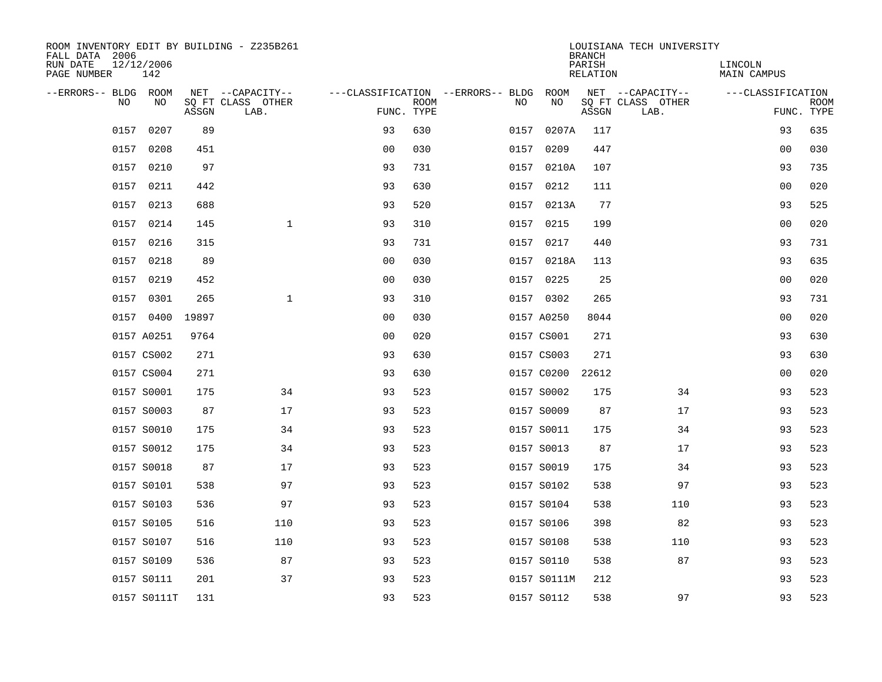| ROOM INVENTORY EDIT BY BUILDING - Z235B261<br>FALL DATA 2006 |                   |       |                           |                |             |                                   |             | <b>BRANCH</b>      | LOUISIANA TECH UNIVERSITY |                        |                           |
|--------------------------------------------------------------|-------------------|-------|---------------------------|----------------|-------------|-----------------------------------|-------------|--------------------|---------------------------|------------------------|---------------------------|
| RUN DATE<br>PAGE NUMBER                                      | 12/12/2006<br>142 |       |                           |                |             |                                   |             | PARISH<br>RELATION |                           | LINCOLN<br>MAIN CAMPUS |                           |
| --ERRORS-- BLDG ROOM                                         |                   |       | NET --CAPACITY--          |                |             | ---CLASSIFICATION --ERRORS-- BLDG | ROOM        |                    | NET --CAPACITY--          | ---CLASSIFICATION      |                           |
| NO.                                                          | N <sub>O</sub>    | ASSGN | SQ FT CLASS OTHER<br>LAB. | FUNC. TYPE     | <b>ROOM</b> | NO.                               | NO          | ASSGN              | SQ FT CLASS OTHER<br>LAB. |                        | <b>ROOM</b><br>FUNC. TYPE |
| 0157                                                         | 0207              | 89    |                           | 93             | 630         | 0157                              | 0207A       | 117                |                           | 93                     | 635                       |
| 0157                                                         | 0208              | 451   |                           | 0 <sub>0</sub> | 030         | 0157                              | 0209        | 447                |                           | 0 <sub>0</sub>         | 030                       |
| 0157                                                         | 0210              | 97    |                           | 93             | 731         |                                   | 0157 0210A  | 107                |                           | 93                     | 735                       |
| 0157                                                         | 0211              | 442   |                           | 93             | 630         |                                   | 0157 0212   | 111                |                           | 00                     | 020                       |
| 0157                                                         | 0213              | 688   |                           | 93             | 520         |                                   | 0157 0213A  | 77                 |                           | 93                     | 525                       |
| 0157                                                         | 0214              | 145   | $\mathbf{1}$              | 93             | 310         |                                   | 0157 0215   | 199                |                           | 0 <sub>0</sub>         | 020                       |
| 0157                                                         | 0216              | 315   |                           | 93             | 731         | 0157                              | 0217        | 440                |                           | 93                     | 731                       |
|                                                              | 0157 0218         | 89    |                           | 0 <sub>0</sub> | 030         |                                   | 0157 0218A  | 113                |                           | 93                     | 635                       |
| 0157                                                         | 0219              | 452   |                           | 0 <sub>0</sub> | 030         | 0157                              | 0225        | 25                 |                           | 0 <sub>0</sub>         | 020                       |
|                                                              | 0157 0301         | 265   | $\mathbf{1}$              | 93             | 310         |                                   | 0157 0302   | 265                |                           | 93                     | 731                       |
|                                                              | 0157 0400         | 19897 |                           | 0 <sub>0</sub> | 030         |                                   | 0157 A0250  | 8044               |                           | 0 <sub>0</sub>         | 020                       |
|                                                              | 0157 A0251        | 9764  |                           | 0 <sub>0</sub> | 020         |                                   | 0157 CS001  | 271                |                           | 93                     | 630                       |
|                                                              | 0157 CS002        | 271   |                           | 93             | 630         |                                   | 0157 CS003  | 271                |                           | 93                     | 630                       |
|                                                              | 0157 CS004        | 271   |                           | 93             | 630         |                                   | 0157 C0200  | 22612              |                           | 00                     | 020                       |
|                                                              | 0157 S0001        | 175   | 34                        | 93             | 523         |                                   | 0157 S0002  | 175                | 34                        | 93                     | 523                       |
|                                                              | 0157 S0003        | 87    | 17                        | 93             | 523         |                                   | 0157 S0009  | 87                 | 17                        | 93                     | 523                       |
|                                                              | 0157 S0010        | 175   | 34                        | 93             | 523         |                                   | 0157 S0011  | 175                | 34                        | 93                     | 523                       |
|                                                              | 0157 S0012        | 175   | 34                        | 93             | 523         |                                   | 0157 S0013  | 87                 | 17                        | 93                     | 523                       |
|                                                              | 0157 S0018        | 87    | 17                        | 93             | 523         |                                   | 0157 S0019  | 175                | 34                        | 93                     | 523                       |
|                                                              | 0157 S0101        | 538   | 97                        | 93             | 523         |                                   | 0157 S0102  | 538                | 97                        | 93                     | 523                       |
|                                                              | 0157 S0103        | 536   | 97                        | 93             | 523         |                                   | 0157 S0104  | 538                | 110                       | 93                     | 523                       |
|                                                              | 0157 S0105        | 516   | 110                       | 93             | 523         |                                   | 0157 S0106  | 398                | 82                        | 93                     | 523                       |
|                                                              | 0157 S0107        | 516   | 110                       | 93             | 523         |                                   | 0157 S0108  | 538                | 110                       | 93                     | 523                       |
|                                                              | 0157 S0109        | 536   | 87                        | 93             | 523         |                                   | 0157 S0110  | 538                | 87                        | 93                     | 523                       |
|                                                              | 0157 S0111        | 201   | 37                        | 93             | 523         |                                   | 0157 S0111M | 212                |                           | 93                     | 523                       |
|                                                              | 0157 S0111T       | 131   |                           | 93             | 523         |                                   | 0157 S0112  | 538                | 97                        | 93                     | 523                       |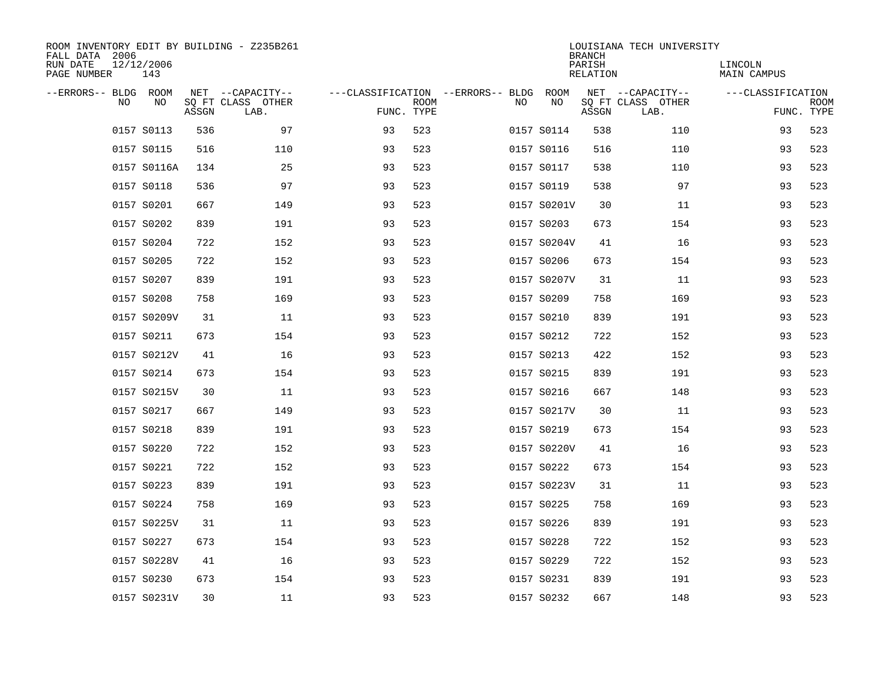| ROOM INVENTORY EDIT BY BUILDING - Z235B261<br>FALL DATA 2006<br>RUN DATE<br>PAGE NUMBER | 12/12/2006<br>143 |       |                                               |                                                 |             |    |             | <b>BRANCH</b><br>PARISH<br><b>RELATION</b> | LOUISIANA TECH UNIVERSITY                     | LINCOLN<br><b>MAIN CAMPUS</b> |                           |
|-----------------------------------------------------------------------------------------|-------------------|-------|-----------------------------------------------|-------------------------------------------------|-------------|----|-------------|--------------------------------------------|-----------------------------------------------|-------------------------------|---------------------------|
| --ERRORS-- BLDG ROOM<br>NO                                                              | NO                | ASSGN | NET --CAPACITY--<br>SQ FT CLASS OTHER<br>LAB. | ---CLASSIFICATION --ERRORS-- BLDG<br>FUNC. TYPE | <b>ROOM</b> | NO | ROOM<br>NO  | ASSGN                                      | NET --CAPACITY--<br>SQ FT CLASS OTHER<br>LAB. | ---CLASSIFICATION             | <b>ROOM</b><br>FUNC. TYPE |
|                                                                                         | 0157 S0113        | 536   | 97                                            | 93                                              | 523         |    | 0157 S0114  | 538                                        | 110                                           | 93                            | 523                       |
|                                                                                         | 0157 S0115        | 516   | 110                                           | 93                                              | 523         |    | 0157 S0116  | 516                                        | 110                                           | 93                            | 523                       |
|                                                                                         | 0157 S0116A       | 134   | 25                                            | 93                                              | 523         |    | 0157 S0117  | 538                                        | 110                                           | 93                            | 523                       |
|                                                                                         | 0157 S0118        | 536   | 97                                            | 93                                              | 523         |    | 0157 S0119  | 538                                        | 97                                            | 93                            | 523                       |
|                                                                                         | 0157 S0201        | 667   | 149                                           | 93                                              | 523         |    | 0157 S0201V | 30                                         | 11                                            | 93                            | 523                       |
|                                                                                         | 0157 S0202        | 839   | 191                                           | 93                                              | 523         |    | 0157 S0203  | 673                                        | 154                                           | 93                            | 523                       |
|                                                                                         | 0157 S0204        | 722   | 152                                           | 93                                              | 523         |    | 0157 S0204V | 41                                         | 16                                            | 93                            | 523                       |
|                                                                                         | 0157 S0205        | 722   | 152                                           | 93                                              | 523         |    | 0157 S0206  | 673                                        | 154                                           | 93                            | 523                       |
|                                                                                         | 0157 S0207        | 839   | 191                                           | 93                                              | 523         |    | 0157 S0207V | 31                                         | 11                                            | 93                            | 523                       |
|                                                                                         | 0157 S0208        | 758   | 169                                           | 93                                              | 523         |    | 0157 S0209  | 758                                        | 169                                           | 93                            | 523                       |
|                                                                                         | 0157 S0209V       | 31    | 11                                            | 93                                              | 523         |    | 0157 S0210  | 839                                        | 191                                           | 93                            | 523                       |
|                                                                                         | 0157 S0211        | 673   | 154                                           | 93                                              | 523         |    | 0157 S0212  | 722                                        | 152                                           | 93                            | 523                       |
|                                                                                         | 0157 S0212V       | 41    | 16                                            | 93                                              | 523         |    | 0157 S0213  | 422                                        | 152                                           | 93                            | 523                       |
|                                                                                         | 0157 S0214        | 673   | 154                                           | 93                                              | 523         |    | 0157 S0215  | 839                                        | 191                                           | 93                            | 523                       |
|                                                                                         | 0157 S0215V       | 30    | 11                                            | 93                                              | 523         |    | 0157 S0216  | 667                                        | 148                                           | 93                            | 523                       |
|                                                                                         | 0157 S0217        | 667   | 149                                           | 93                                              | 523         |    | 0157 S0217V | 30                                         | 11                                            | 93                            | 523                       |
|                                                                                         | 0157 S0218        | 839   | 191                                           | 93                                              | 523         |    | 0157 S0219  | 673                                        | 154                                           | 93                            | 523                       |
|                                                                                         | 0157 S0220        | 722   | 152                                           | 93                                              | 523         |    | 0157 S0220V | 41                                         | 16                                            | 93                            | 523                       |
|                                                                                         | 0157 S0221        | 722   | 152                                           | 93                                              | 523         |    | 0157 S0222  | 673                                        | 154                                           | 93                            | 523                       |
|                                                                                         | 0157 S0223        | 839   | 191                                           | 93                                              | 523         |    | 0157 S0223V | 31                                         | 11                                            | 93                            | 523                       |
|                                                                                         | 0157 S0224        | 758   | 169                                           | 93                                              | 523         |    | 0157 S0225  | 758                                        | 169                                           | 93                            | 523                       |
|                                                                                         | 0157 S0225V       | 31    | 11                                            | 93                                              | 523         |    | 0157 S0226  | 839                                        | 191                                           | 93                            | 523                       |
|                                                                                         | 0157 S0227        | 673   | 154                                           | 93                                              | 523         |    | 0157 S0228  | 722                                        | 152                                           | 93                            | 523                       |
|                                                                                         | 0157 S0228V       | 41    | 16                                            | 93                                              | 523         |    | 0157 S0229  | 722                                        | 152                                           | 93                            | 523                       |
|                                                                                         | 0157 S0230        | 673   | 154                                           | 93                                              | 523         |    | 0157 S0231  | 839                                        | 191                                           | 93                            | 523                       |
|                                                                                         | 0157 S0231V       | 30    | 11                                            | 93                                              | 523         |    | 0157 S0232  | 667                                        | 148                                           | 93                            | 523                       |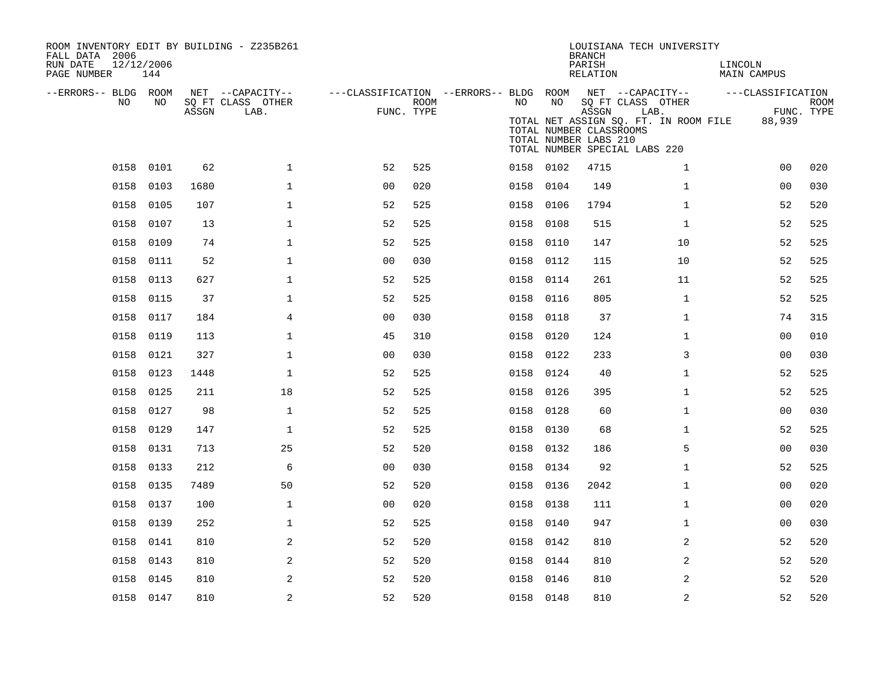| ROOM INVENTORY EDIT BY BUILDING - Z235B261<br>FALL DATA 2006<br>RUN DATE<br>PAGE NUMBER | 12/12/2006<br>144 |       |                                               |                |             |           |      | <b>BRANCH</b><br>PARISH<br>RELATION                       | LOUISIANA TECH UNIVERSITY                                                                                                                                      | LINCOLN<br>MAIN CAMPUS      |                           |
|-----------------------------------------------------------------------------------------|-------------------|-------|-----------------------------------------------|----------------|-------------|-----------|------|-----------------------------------------------------------|----------------------------------------------------------------------------------------------------------------------------------------------------------------|-----------------------------|---------------------------|
| --ERRORS-- BLDG ROOM<br>NO                                                              | NO                | ASSGN | NET --CAPACITY--<br>SQ FT CLASS OTHER<br>LAB. | FUNC. TYPE     | <b>ROOM</b> | NO        | NO   | ASSGN<br>TOTAL NUMBER CLASSROOMS<br>TOTAL NUMBER LABS 210 | ---CLASSIFICATION --ERRORS-- BLDG ROOM NET --CAPACITY--<br>SQ FT CLASS OTHER<br>LAB.<br>TOTAL NET ASSIGN SQ. FT. IN ROOM FILE<br>TOTAL NUMBER SPECIAL LABS 220 | ---CLASSIFICATION<br>88,939 | <b>ROOM</b><br>FUNC. TYPE |
| 0158                                                                                    | 0101              | 62    | $\mathbf{1}$                                  | 52             | 525         | 0158 0102 |      | 4715                                                      | $\mathbf{1}$                                                                                                                                                   | 0 <sub>0</sub>              | 020                       |
| 0158                                                                                    | 0103              | 1680  | $\mathbf{1}$                                  | 0 <sub>0</sub> | 020         | 0158 0104 |      | 149                                                       | $\mathbf{1}$                                                                                                                                                   | 00                          | 030                       |
| 0158                                                                                    | 0105              | 107   | $\mathbf{1}$                                  | 52             | 525         | 0158      | 0106 | 1794                                                      | $\mathbf{1}$                                                                                                                                                   | 52                          | 520                       |
| 0158                                                                                    | 0107              | 13    | $\mathbf 1$                                   | 52             | 525         | 0158 0108 |      | 515                                                       | $\mathbf{1}$                                                                                                                                                   | 52                          | 525                       |
| 0158                                                                                    | 0109              | 74    | $\mathbf{1}$                                  | 52             | 525         | 0158      | 0110 | 147                                                       | 10                                                                                                                                                             | 52                          | 525                       |
|                                                                                         | 0158 0111         | 52    | $\mathbf{1}$                                  | 0 <sub>0</sub> | 030         | 0158 0112 |      | 115                                                       | 10                                                                                                                                                             | 52                          | 525                       |
| 0158                                                                                    | 0113              | 627   | $\mathbf 1$                                   | 52             | 525         | 0158      | 0114 | 261                                                       | 11                                                                                                                                                             | 52                          | 525                       |
| 0158                                                                                    | 0115              | 37    | $\mathbf 1$                                   | 52             | 525         | 0158      | 0116 | 805                                                       | $\mathbf{1}$                                                                                                                                                   | 52                          | 525                       |
| 0158                                                                                    | 0117              | 184   | 4                                             | 0 <sub>0</sub> | 030         | 0158      | 0118 | 37                                                        | $\mathbf{1}$                                                                                                                                                   | 74                          | 315                       |
| 0158                                                                                    | 0119              | 113   | $\mathbf 1$                                   | 45             | 310         | 0158      | 0120 | 124                                                       | $\mathbf{1}$                                                                                                                                                   | 00                          | 010                       |
| 0158                                                                                    | 0121              | 327   | $\mathbf 1$                                   | 0 <sub>0</sub> | 030         | 0158      | 0122 | 233                                                       | 3                                                                                                                                                              | 00                          | 030                       |
| 0158                                                                                    | 0123              | 1448  | $\mathbf 1$                                   | 52             | 525         | 0158      | 0124 | 40                                                        | $\mathbf{1}$                                                                                                                                                   | 52                          | 525                       |
|                                                                                         | 0158 0125         | 211   | 18                                            | 52             | 525         | 0158      | 0126 | 395                                                       | $\mathbf{1}$                                                                                                                                                   | 52                          | 525                       |
|                                                                                         | 0158 0127         | 98    | $\mathbf{1}$                                  | 52             | 525         | 0158      | 0128 | 60                                                        | $\mathbf{1}$                                                                                                                                                   | 0 <sub>0</sub>              | 030                       |
|                                                                                         | 0158 0129         | 147   | $\mathbf{1}$                                  | 52             | 525         | 0158      | 0130 | 68                                                        | $\mathbf{1}$                                                                                                                                                   | 52                          | 525                       |
| 0158                                                                                    | 0131              | 713   | 25                                            | 52             | 520         | 0158      | 0132 | 186                                                       | 5                                                                                                                                                              | 00                          | 030                       |
| 0158                                                                                    | 0133              | 212   | 6                                             | 0 <sub>0</sub> | 030         | 0158 0134 |      | 92                                                        | $\mathbf{1}$                                                                                                                                                   | 52                          | 525                       |
| 0158                                                                                    | 0135              | 7489  | 50                                            | 52             | 520         | 0158      | 0136 | 2042                                                      | $\mathbf{1}$                                                                                                                                                   | 00                          | 020                       |
| 0158                                                                                    | 0137              | 100   | $\mathbf 1$                                   | 0 <sub>0</sub> | 020         | 0158 0138 |      | 111                                                       | $\mathbf{1}$                                                                                                                                                   | 00                          | 020                       |
| 0158                                                                                    | 0139              | 252   | $\mathbf 1$                                   | 52             | 525         | 0158      | 0140 | 947                                                       | $\mathbf{1}$                                                                                                                                                   | 0 <sub>0</sub>              | 030                       |
| 0158                                                                                    | 0141              | 810   | 2                                             | 52             | 520         | 0158 0142 |      | 810                                                       | 2                                                                                                                                                              | 52                          | 520                       |
| 0158                                                                                    | 0143              | 810   | 2                                             | 52             | 520         | 0158      | 0144 | 810                                                       | 2                                                                                                                                                              | 52                          | 520                       |
| 0158                                                                                    | 0145              | 810   | 2                                             | 52             | 520         | 0158 0146 |      | 810                                                       | 2                                                                                                                                                              | 52                          | 520                       |
|                                                                                         | 0158 0147         | 810   | $\overline{a}$                                | 52             | 520         | 0158 0148 |      | 810                                                       | 2                                                                                                                                                              | 52                          | 520                       |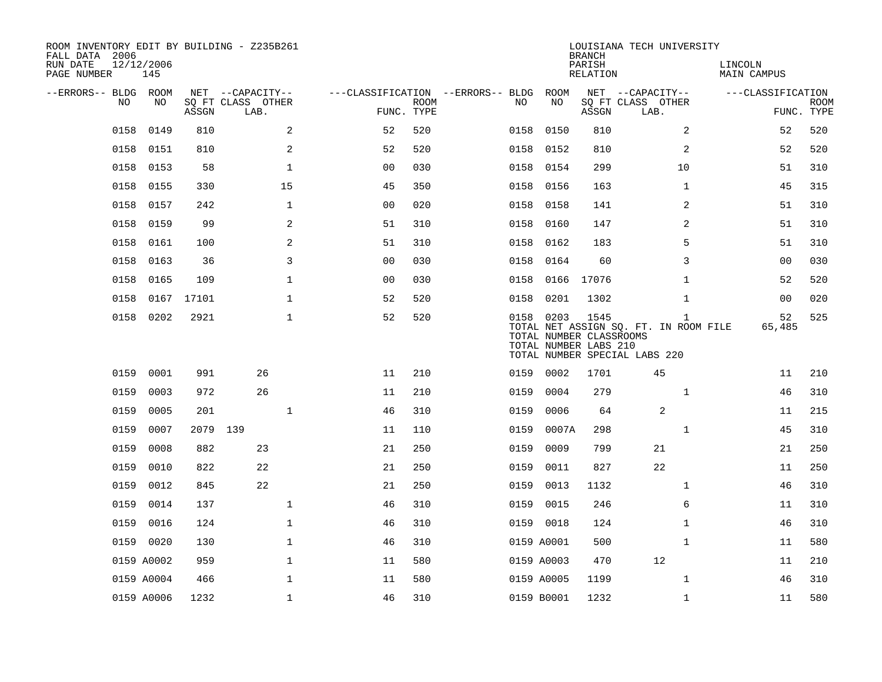| ROOM INVENTORY EDIT BY BUILDING - Z235B261<br>FALL DATA 2006 |                   |            |                           |                |             |                                        |                                                               | <b>BRANCH</b>      | LOUISIANA TECH UNIVERSITY                                                              |                        |                    |
|--------------------------------------------------------------|-------------------|------------|---------------------------|----------------|-------------|----------------------------------------|---------------------------------------------------------------|--------------------|----------------------------------------------------------------------------------------|------------------------|--------------------|
| RUN DATE<br>PAGE NUMBER                                      | 12/12/2006<br>145 |            |                           |                |             |                                        |                                                               | PARISH<br>RELATION |                                                                                        | LINCOLN<br>MAIN CAMPUS |                    |
| --ERRORS-- BLDG ROOM                                         |                   |            | NET --CAPACITY--          |                |             | ---CLASSIFICATION --ERRORS-- BLDG ROOM |                                                               |                    | NET --CAPACITY--                                                                       | ---CLASSIFICATION      |                    |
| NO.                                                          | NO.               | ASSGN      | SQ FT CLASS OTHER<br>LAB. | FUNC. TYPE     | <b>ROOM</b> | NO.                                    | NO                                                            | ASSGN              | SQ FT CLASS OTHER<br>LAB.                                                              |                        | ROOM<br>FUNC. TYPE |
| 0158                                                         | 0149              | 810        | 2                         | 52             | 520         | 0158                                   | 0150                                                          | 810                | 2                                                                                      | 52                     | 520                |
| 0158                                                         | 0151              | 810        | 2                         | 52             | 520         | 0158                                   | 0152                                                          | 810                | 2                                                                                      | 52                     | 520                |
| 0158                                                         | 0153              | 58         | $\mathbf{1}$              | 0 <sub>0</sub> | 030         | 0158                                   | 0154                                                          | 299                | 10                                                                                     | 51                     | 310                |
| 0158                                                         | 0155              | 330        | 15                        | 45             | 350         |                                        | 0158 0156                                                     | 163                | $\mathbf{1}$                                                                           | 45                     | 315                |
| 0158                                                         | 0157              | 242        | $\mathbf 1$               | 00             | 020         | 0158                                   | 0158                                                          | 141                | 2                                                                                      | 51                     | 310                |
| 0158                                                         | 0159              | 99         | 2                         | 51             | 310         | 0158                                   | 0160                                                          | 147                | 2                                                                                      | 51                     | 310                |
| 0158                                                         | 0161              | 100        | 2                         | 51             | 310         | 0158                                   | 0162                                                          | 183                | 5                                                                                      | 51                     | 310                |
| 0158                                                         | 0163              | 36         | 3                         | 0 <sub>0</sub> | 030         | 0158                                   | 0164                                                          | 60                 | 3                                                                                      | 0 <sub>0</sub>         | 030                |
| 0158                                                         | 0165              | 109        | $\mathbf{1}$              | 0 <sub>0</sub> | 030         | 0158                                   | 0166                                                          | 17076              | $\mathbf{1}$                                                                           | 52                     | 520                |
| 0158                                                         |                   | 0167 17101 | $\mathbf 1$               | 52             | 520         | 0158                                   | 0201                                                          | 1302               | $\mathbf{1}$                                                                           | 00                     | 020                |
|                                                              | 0158 0202         | 2921       | $\mathbf{1}$              | 52             | 520         |                                        | 0158 0203<br>TOTAL NUMBER CLASSROOMS<br>TOTAL NUMBER LABS 210 | 1545               | $\mathbf{1}$<br>TOTAL NET ASSIGN SQ. FT. IN ROOM FILE<br>TOTAL NUMBER SPECIAL LABS 220 | 52<br>65,485           | 525                |
| 0159                                                         | 0001              | 991        | 26                        | 11             | 210         |                                        | 0159 0002                                                     | 1701               | 45                                                                                     | 11                     | 210                |
| 0159                                                         | 0003              | 972        | 26                        | 11             | 210         | 0159                                   | 0004                                                          | 279                | $\mathbf{1}$                                                                           | 46                     | 310                |
| 0159                                                         | 0005              | 201        | $\mathbf 1$               | 46             | 310         | 0159                                   | 0006                                                          | 64                 | 2                                                                                      | 11                     | 215                |
| 0159                                                         | 0007              | 2079 139   |                           | 11             | 110         | 0159                                   | 0007A                                                         | 298                | $\mathbf{1}$                                                                           | 45                     | 310                |
| 0159                                                         | 0008              | 882        | 23                        | 21             | 250         | 0159                                   | 0009                                                          | 799                | 21                                                                                     | 21                     | 250                |
| 0159                                                         | 0010              | 822        | 22                        | 21             | 250         | 0159                                   | 0011                                                          | 827                | 22                                                                                     | 11                     | 250                |
| 0159                                                         | 0012              | 845        | 22                        | 21             | 250         | 0159                                   | 0013                                                          | 1132               | $\mathbf{1}$                                                                           | 46                     | 310                |
| 0159                                                         | 0014              | 137        | $\mathbf 1$               | 46             | 310         | 0159                                   | 0015                                                          | 246                | 6                                                                                      | 11                     | 310                |
| 0159                                                         | 0016              | 124        | $\mathbf{1}$              | 46             | 310         |                                        | 0159 0018                                                     | 124                | $\mathbf{1}$                                                                           | 46                     | 310                |
|                                                              | 0159 0020         | 130        | $\mathbf{1}$              | 46             | 310         |                                        | 0159 A0001                                                    | 500                | $\mathbf{1}$                                                                           | 11                     | 580                |
|                                                              | 0159 A0002        | 959        | $\mathbf{1}$              | 11             | 580         |                                        | 0159 A0003                                                    | 470                | 12                                                                                     | 11                     | 210                |
|                                                              | 0159 A0004        | 466        | $\mathbf{1}$              | 11             | 580         |                                        | 0159 A0005                                                    | 1199               | $\mathbf{1}$                                                                           | 46                     | 310                |
|                                                              | 0159 A0006        | 1232       | $\mathbf{1}$              | 46             | 310         |                                        | 0159 B0001                                                    | 1232               | $\mathbf{1}$                                                                           | 11                     | 580                |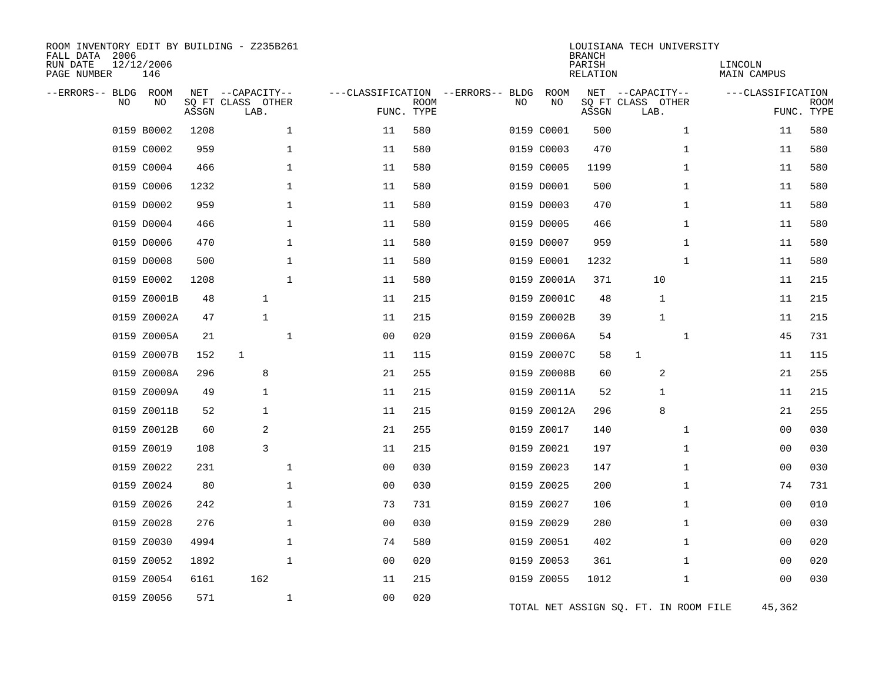| ROOM INVENTORY EDIT BY BUILDING - Z235B261<br>FALL DATA 2006<br>RUN DATE<br>PAGE NUMBER | 12/12/2006<br>146 |       |                                               |                |             |                                         |             | <b>BRANCH</b><br>PARISH<br><b>RELATION</b> | LOUISIANA TECH UNIVERSITY                     | LINCOLN<br><b>MAIN CAMPUS</b> |                           |
|-----------------------------------------------------------------------------------------|-------------------|-------|-----------------------------------------------|----------------|-------------|-----------------------------------------|-------------|--------------------------------------------|-----------------------------------------------|-------------------------------|---------------------------|
| --ERRORS-- BLDG<br>NO.                                                                  | ROOM<br>NO        | ASSGN | NET --CAPACITY--<br>SQ FT CLASS OTHER<br>LAB. | FUNC. TYPE     | <b>ROOM</b> | ---CLASSIFICATION --ERRORS-- BLDG<br>NO | ROOM<br>NO  | ASSGN                                      | NET --CAPACITY--<br>SQ FT CLASS OTHER<br>LAB. | ---CLASSIFICATION             | <b>ROOM</b><br>FUNC. TYPE |
|                                                                                         | 0159 B0002        | 1208  | $\mathbf 1$                                   | 11             | 580         |                                         | 0159 C0001  | 500                                        | $\mathbf{1}$                                  | 11                            | 580                       |
|                                                                                         | 0159 C0002        | 959   | $\mathbf 1$                                   | 11             | 580         |                                         | 0159 C0003  | 470                                        | $\mathbf{1}$                                  | 11                            | 580                       |
|                                                                                         | 0159 C0004        | 466   | $\mathbf 1$                                   | 11             | 580         |                                         | 0159 C0005  | 1199                                       | $\mathbf{1}$                                  | 11                            | 580                       |
|                                                                                         | 0159 C0006        | 1232  | $\mathbf 1$                                   | 11             | 580         |                                         | 0159 D0001  | 500                                        | $\mathbf{1}$                                  | 11                            | 580                       |
|                                                                                         | 0159 D0002        | 959   | $\mathbf 1$                                   | 11             | 580         |                                         | 0159 D0003  | 470                                        | $\mathbf{1}$                                  | 11                            | 580                       |
|                                                                                         | 0159 D0004        | 466   | $\mathbf 1$                                   | 11             | 580         |                                         | 0159 D0005  | 466                                        | $\mathbf{1}$                                  | 11                            | 580                       |
|                                                                                         | 0159 D0006        | 470   | $\mathbf{1}$                                  | 11             | 580         |                                         | 0159 D0007  | 959                                        | $\mathbf{1}$                                  | 11                            | 580                       |
|                                                                                         | 0159 D0008        | 500   | $\mathbf 1$                                   | 11             | 580         |                                         | 0159 E0001  | 1232                                       | $\mathbf{1}$                                  | 11                            | 580                       |
|                                                                                         | 0159 E0002        | 1208  | $\mathbf{1}$                                  | 11             | 580         |                                         | 0159 Z0001A | 371                                        | 10                                            | 11                            | 215                       |
|                                                                                         | 0159 Z0001B       | 48    | $\mathbf{1}$                                  | 11             | 215         |                                         | 0159 Z0001C | 48                                         | 1                                             | 11                            | 215                       |
|                                                                                         | 0159 Z0002A       | 47    | $\mathbf{1}$                                  | 11             | 215         |                                         | 0159 Z0002B | 39                                         | 1                                             | 11                            | 215                       |
|                                                                                         | 0159 Z0005A       | 21    | $\mathbf 1$                                   | 0 <sub>0</sub> | 020         |                                         | 0159 Z0006A | 54                                         | $\mathbf{1}$                                  | 45                            | 731                       |
|                                                                                         | 0159 Z0007B       | 152   | $\mathbf{1}$                                  | 11             | 115         |                                         | 0159 Z0007C | 58                                         | $\mathbf{1}$                                  | 11                            | 115                       |
|                                                                                         | 0159 Z0008A       | 296   | 8                                             | 21             | 255         |                                         | 0159 Z0008B | 60                                         | 2                                             | 21                            | 255                       |
|                                                                                         | 0159 Z0009A       | 49    | 1                                             | 11             | 215         |                                         | 0159 Z0011A | 52                                         | 1                                             | 11                            | 215                       |
|                                                                                         | 0159 Z0011B       | 52    | 1                                             | 11             | 215         |                                         | 0159 Z0012A | 296                                        | 8                                             | 21                            | 255                       |
|                                                                                         | 0159 Z0012B       | 60    | 2                                             | 21             | 255         |                                         | 0159 Z0017  | 140                                        | 1                                             | 00                            | 030                       |
|                                                                                         | 0159 Z0019        | 108   | 3                                             | 11             | 215         |                                         | 0159 Z0021  | 197                                        | $\mathbf{1}$                                  | 0 <sub>0</sub>                | 030                       |
|                                                                                         | 0159 Z0022        | 231   | $\mathbf 1$                                   | 0 <sub>0</sub> | 030         |                                         | 0159 Z0023  | 147                                        | $\mathbf{1}$                                  | 00                            | 030                       |
|                                                                                         | 0159 Z0024        | 80    | $\mathbf 1$                                   | 00             | 030         |                                         | 0159 Z0025  | 200                                        | $\mathbf{1}$                                  | 74                            | 731                       |
|                                                                                         | 0159 Z0026        | 242   | $\mathbf 1$                                   | 73             | 731         |                                         | 0159 Z0027  | 106                                        | $\mathbf{1}$                                  | 00                            | 010                       |
|                                                                                         | 0159 Z0028        | 276   | $\mathbf 1$                                   | 0 <sub>0</sub> | 030         |                                         | 0159 Z0029  | 280                                        | $\mathbf{1}$                                  | 0 <sub>0</sub>                | 030                       |
|                                                                                         | 0159 Z0030        | 4994  | $\mathbf 1$                                   | 74             | 580         |                                         | 0159 Z0051  | 402                                        | $\mathbf{1}$                                  | 0 <sub>0</sub>                | 020                       |
|                                                                                         | 0159 Z0052        | 1892  | $\mathbf 1$                                   | 0 <sub>0</sub> | 020         |                                         | 0159 Z0053  | 361                                        | $\mathbf{1}$                                  | 00                            | 020                       |
|                                                                                         | 0159 Z0054        | 6161  | 162                                           | 11             | 215         |                                         | 0159 Z0055  | 1012                                       | $\mathbf{1}$                                  | 0 <sub>0</sub>                | 030                       |
|                                                                                         | 0159 Z0056        | 571   | $\mathbf 1$                                   | 0 <sub>0</sub> | 020         |                                         |             |                                            | TOTAL NET ASSIGN SQ. FT. IN ROOM FILE         | 45,362                        |                           |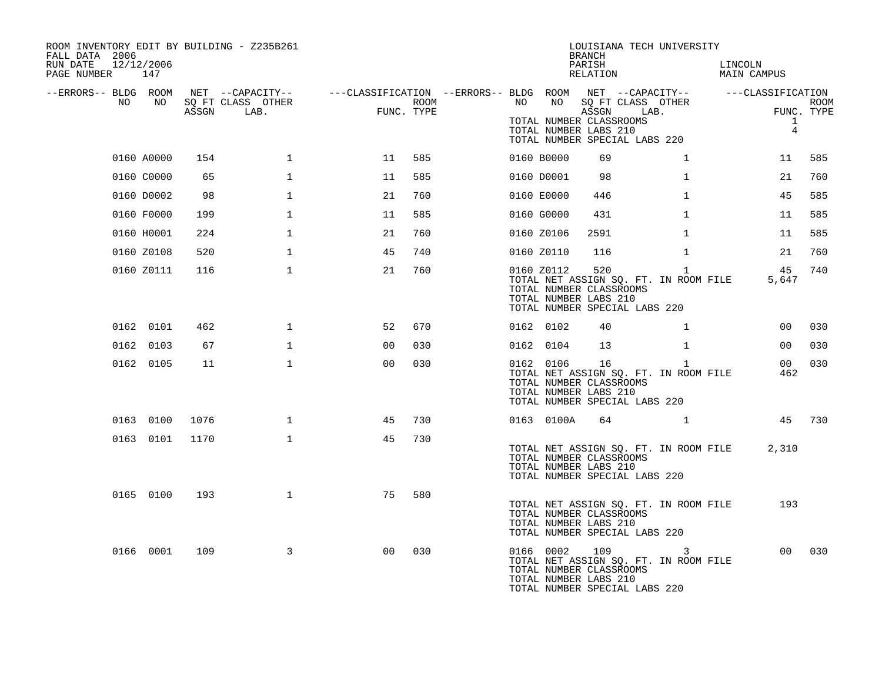| ROOM INVENTORY EDIT BY BUILDING - Z235B261<br>FALL DATA 2006<br>RUN DATE<br>PAGE NUMBER 147 | 12/12/2006 |       |                   |                                                                                                |      |    |            | <b>BRANCH</b><br>PARISH<br>RELATION                                                                | LOUISIANA TECH UNIVERSITY                             | LINCOLN<br>MAIN CAMPUS         |            |
|---------------------------------------------------------------------------------------------|------------|-------|-------------------|------------------------------------------------------------------------------------------------|------|----|------------|----------------------------------------------------------------------------------------------------|-------------------------------------------------------|--------------------------------|------------|
| --ERRORS-- BLDG ROOM<br>NO                                                                  | NO         |       | SQ FT CLASS OTHER | NET --CAPACITY-- - ---CLASSIFICATION --ERRORS-- BLDG ROOM NET --CAPACITY-- - ---CLASSIFICATION | ROOM | NO | NO         | SQ FT CLASS OTHER                                                                                  |                                                       |                                | ROOM       |
|                                                                                             |            | ASSGN | LAB.              | FUNC. TYPE                                                                                     |      |    |            | ASSGN LAB.<br>TOTAL NUMBER CLASSROOMS<br>TOTAL NUMBER LABS 210<br>TOTAL NUMBER SPECIAL LABS 220    |                                                       | $\mathbf{1}$<br>$\overline{4}$ | FUNC. TYPE |
|                                                                                             | 0160 A0000 | 154   | $\mathbf{1}$      | 11                                                                                             | 585  |    | 0160 B0000 | 69                                                                                                 | $\mathbf{1}$                                          | 11                             | 585        |
|                                                                                             | 0160 C0000 | 65    | $\mathbf{1}$      | 11                                                                                             | 585  |    | 0160 D0001 | 98                                                                                                 | 1                                                     | 21                             | 760        |
|                                                                                             | 0160 D0002 | 98    | 1                 | 21                                                                                             | 760  |    | 0160 E0000 | 446                                                                                                | $\mathbf{1}$                                          | 45                             | 585        |
|                                                                                             | 0160 F0000 | 199   | $\mathbf{1}$      | 11                                                                                             | 585  |    | 0160 G0000 | 431                                                                                                | $\mathbf{1}$                                          | 11                             | 585        |
|                                                                                             | 0160 H0001 | 224   | 1                 | 21                                                                                             | 760  |    | 0160 Z0106 | 2591                                                                                               | $\mathbf{1}$                                          | 11                             | 585        |
|                                                                                             | 0160 Z0108 | 520   | $\mathbf{1}$      | 45                                                                                             | 740  |    | 0160 Z0110 | 116                                                                                                | $\mathbf{1}$                                          | 21                             | 760        |
|                                                                                             | 0160 Z0111 | 116   | $\mathbf{1}$      | 21                                                                                             | 760  |    | 0160 Z0112 | 520<br>TOTAL NUMBER CLASSROOMS<br>TOTAL NUMBER LABS 210<br>TOTAL NUMBER SPECIAL LABS 220           | $\mathbf{1}$<br>TOTAL NET ASSIGN SQ. FT. IN ROOM FILE | 45<br>5,647                    | 740        |
|                                                                                             | 0162 0101  | 462   | 1                 | 52                                                                                             | 670  |    | 0162 0102  | 40                                                                                                 | $\mathbf{1}$                                          | 00                             | 030        |
|                                                                                             | 0162 0103  | 67    | $\mathbf 1$       | 0 <sub>0</sub>                                                                                 | 030  |    | 0162 0104  | 13                                                                                                 | $\mathbf{1}$                                          | 00                             | 030        |
|                                                                                             | 0162 0105  | 11    | $\mathbf{1}$      | 0 <sub>0</sub>                                                                                 | 030  |    | 0162 0106  | 16<br>TOTAL NUMBER CLASSROOMS<br>TOTAL NUMBER LABS 210<br>TOTAL NUMBER SPECIAL LABS 220            | $\mathbf{1}$<br>TOTAL NET ASSIGN SQ. FT. IN ROOM FILE | 00 <sub>o</sub><br>462         | 030        |
|                                                                                             | 0163 0100  | 1076  | $\mathbf{1}$      | 45                                                                                             | 730  |    | 0163 0100A | 64                                                                                                 | $\mathbf{1}$                                          | 45                             | 730        |
|                                                                                             | 0163 0101  | 1170  | $\mathbf{1}$      | 45                                                                                             | 730  |    |            | TOTAL NUMBER CLASSROOMS<br>TOTAL NUMBER LABS 210<br>TOTAL NUMBER SPECIAL LABS 220                  | TOTAL NET ASSIGN SQ. FT. IN ROOM FILE                 | 2,310                          |            |
|                                                                                             | 0165 0100  | 193   | $\mathbf{1}$      | 75                                                                                             | 580  |    |            | TOTAL NUMBER CLASSROOMS<br>TOTAL NUMBER LABS 210<br>TOTAL NUMBER SPECIAL LABS 220                  | TOTAL NET ASSIGN SQ. FT. IN ROOM FILE                 | 193                            |            |
|                                                                                             | 0166 0001  | 109   | $\mathbf{3}$      | 0 <sup>0</sup>                                                                                 | 030  |    |            | 0166 0002 109<br>TOTAL NUMBER CLASSROOMS<br>TOTAL NUMBER LABS 210<br>TOTAL NUMBER SPECIAL LABS 220 | 3<br>TOTAL NET ASSIGN SQ. FT. IN ROOM FILE            | 0 <sub>0</sub>                 | 030        |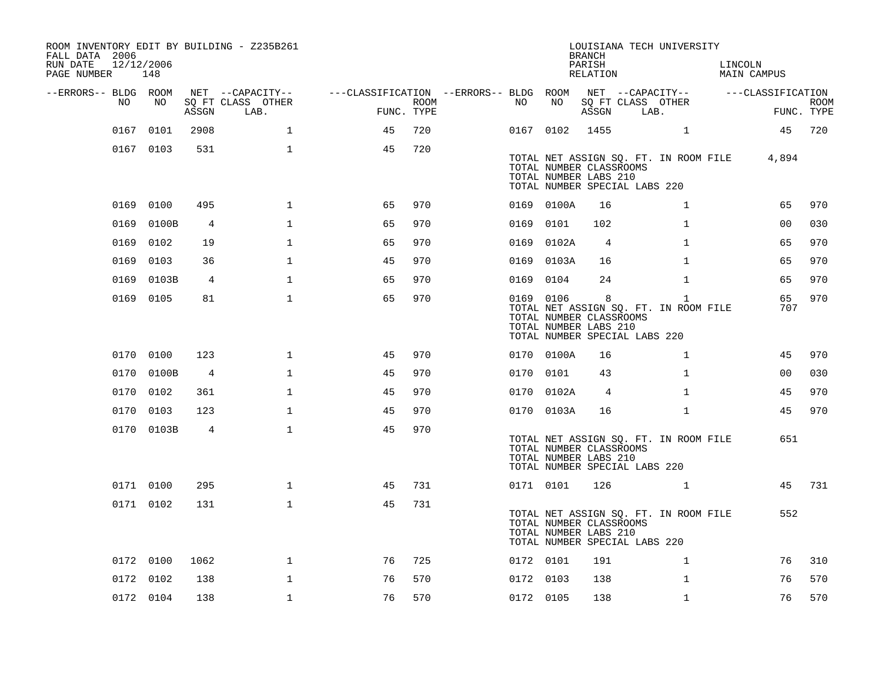| ROOM INVENTORY EDIT BY BUILDING - Z235B261<br>FALL DATA 2006<br>12/12/2006<br>RUN DATE<br>PAGE NUMBER | 148        |       |                           |                                        |                    |           |                                                               | <b>BRANCH</b><br>PARISH<br>RELATION |                               | LOUISIANA TECH UNIVERSITY                             | LINCOLN | MAIN CAMPUS       |                           |
|-------------------------------------------------------------------------------------------------------|------------|-------|---------------------------|----------------------------------------|--------------------|-----------|---------------------------------------------------------------|-------------------------------------|-------------------------------|-------------------------------------------------------|---------|-------------------|---------------------------|
| --ERRORS-- BLDG ROOM                                                                                  |            |       | NET --CAPACITY--          | ---CLASSIFICATION --ERRORS-- BLDG ROOM |                    |           |                                                               |                                     | NET --CAPACITY--              |                                                       |         | ---CLASSIFICATION |                           |
| NO.                                                                                                   | NO         | ASSGN | SQ FT CLASS OTHER<br>LAB. |                                        | ROOM<br>FUNC. TYPE | NO        | NO                                                            | ASSGN                               | SQ FT CLASS OTHER<br>LAB.     |                                                       |         |                   | <b>ROOM</b><br>FUNC. TYPE |
| 0167                                                                                                  | 0101       | 2908  | $\mathbf{1}$              | 45                                     | 720                | 0167 0102 |                                                               | 1455                                |                               | $\mathbf{1}$                                          |         | 45                | 720                       |
|                                                                                                       | 0167 0103  | 531   | $\mathbf{1}$              | 45                                     | 720                |           | TOTAL NUMBER CLASSROOMS<br>TOTAL NUMBER LABS 210              |                                     | TOTAL NUMBER SPECIAL LABS 220 | TOTAL NET ASSIGN SQ. FT. IN ROOM FILE                 |         | 4,894             |                           |
|                                                                                                       | 0169 0100  | 495   | $\mathbf{1}$              | 65                                     | 970                |           | 0169 0100A                                                    | 16                                  |                               | $\mathbf{1}$                                          |         | 65                | 970                       |
|                                                                                                       | 0169 0100B | 4     | $\mathbf{1}$              | 65                                     | 970                | 0169 0101 |                                                               | 102                                 |                               | $\mathbf{1}$                                          |         | 0 <sub>0</sub>    | 030                       |
|                                                                                                       | 0169 0102  | 19    | $\mathbf{1}$              | 65                                     | 970                |           | 0169 0102A                                                    | $\overline{4}$                      |                               | $\mathbf{1}$                                          |         | 65                | 970                       |
|                                                                                                       | 0169 0103  | 36    | $\mathbf 1$               | 45                                     | 970                |           | 0169 0103A                                                    | 16                                  |                               | $\mathbf{1}$                                          |         | 65                | 970                       |
| 0169                                                                                                  | 0103B      | 4     | $\mathbf{1}$              | 65                                     | 970                | 0169      | 0104                                                          | 24                                  |                               | $\mathbf{1}$                                          |         | 65                | 970                       |
|                                                                                                       | 0169 0105  | 81    | $\mathbf{1}$              | 65                                     | 970                |           | 0169 0106<br>TOTAL NUMBER CLASSROOMS<br>TOTAL NUMBER LABS 210 | 8                                   | TOTAL NUMBER SPECIAL LABS 220 | $\mathbf{1}$<br>TOTAL NET ASSIGN SQ. FT. IN ROOM FILE |         | 65<br>707         | 970                       |
|                                                                                                       | 0170 0100  | 123   | $\mathbf{1}$              | 45                                     | 970                |           | 0170 0100A                                                    | 16                                  |                               | $\mathbf{1}$                                          |         | 45                | 970                       |
|                                                                                                       | 0170 0100B | 4     | $\mathbf{1}$              | 45                                     | 970                | 0170 0101 |                                                               | 43                                  |                               | $\mathbf{1}$                                          |         | 00                | 030                       |
|                                                                                                       | 0170 0102  | 361   | $\mathbf{1}$              | 45                                     | 970                |           | 0170 0102A                                                    | 4                                   |                               | $\mathbf{1}$                                          |         | 45                | 970                       |
|                                                                                                       | 0170 0103  | 123   | $\mathbf{1}$              | 45                                     | 970                |           | 0170 0103A                                                    | 16                                  |                               | $\mathbf{1}$                                          |         | 45                | 970                       |
|                                                                                                       | 0170 0103B | 4     | $\mathbf 1$               | 45                                     | 970                |           | TOTAL NUMBER CLASSROOMS<br>TOTAL NUMBER LABS 210              |                                     | TOTAL NUMBER SPECIAL LABS 220 | TOTAL NET ASSIGN SQ. FT. IN ROOM FILE                 |         | 651               |                           |
|                                                                                                       | 0171 0100  | 295   | $\mathbf{1}$              | 45                                     | 731                | 0171 0101 |                                                               | 126                                 |                               | $\mathbf{1}$                                          |         | 45                | 731                       |
|                                                                                                       | 0171 0102  | 131   | $\mathbf 1$               | 45                                     | 731                |           | TOTAL NUMBER CLASSROOMS<br>TOTAL NUMBER LABS 210              |                                     | TOTAL NUMBER SPECIAL LABS 220 | TOTAL NET ASSIGN SQ. FT. IN ROOM FILE                 |         | 552               |                           |
|                                                                                                       | 0172 0100  | 1062  | $\mathbf{1}$              | 76                                     | 725                | 0172 0101 |                                                               | 191                                 |                               | $\mathbf{1}$                                          |         | 76                | 310                       |
|                                                                                                       | 0172 0102  | 138   | $\mathbf{1}$              | 76                                     | 570                | 0172 0103 |                                                               | 138                                 |                               | $\mathbf{1}$                                          |         | 76                | 570                       |
|                                                                                                       | 0172 0104  | 138   | $\mathbf 1$               | 76                                     | 570                | 0172 0105 |                                                               | 138                                 |                               | $\mathbf{1}$                                          |         | 76                | 570                       |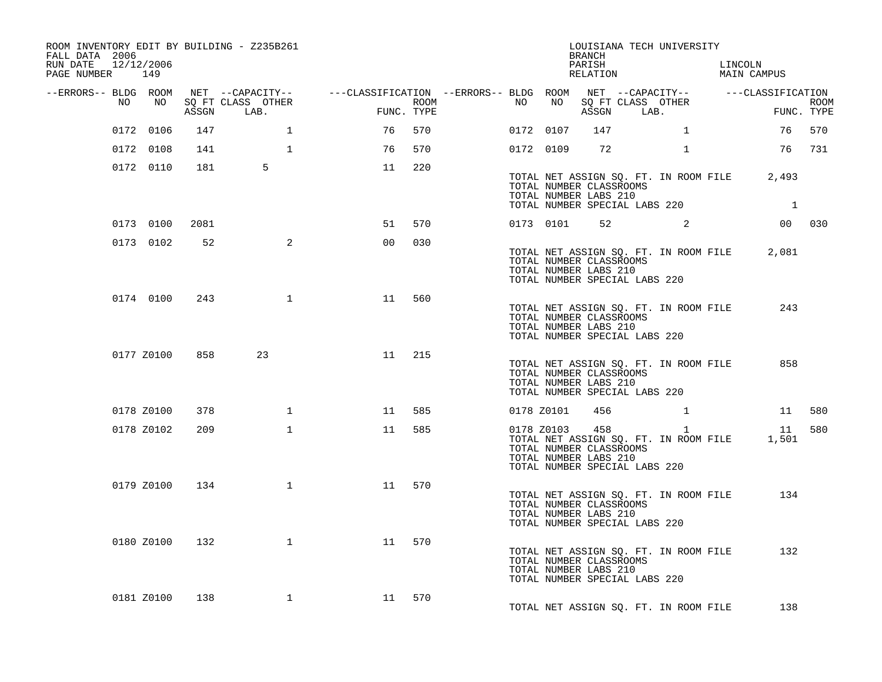| ROOM INVENTORY EDIT BY BUILDING - Z235B261<br>FALL DATA 2006<br>RUN DATE<br>PAGE NUMBER 149 | 12/12/2006 |       |                           |                                                                                                                      |                    |    |            | <b>BRANCH</b><br>PARISH<br>RELATION                                                      | LOUISIANA TECH UNIVERSITY                             | LINCOLN<br>MAIN CAMPUS                                      |                           |
|---------------------------------------------------------------------------------------------|------------|-------|---------------------------|----------------------------------------------------------------------------------------------------------------------|--------------------|----|------------|------------------------------------------------------------------------------------------|-------------------------------------------------------|-------------------------------------------------------------|---------------------------|
|                                                                                             |            |       |                           | --ERRORS-- BLDG ROOM NET --CAPACITY-- -----CLASSIFICATION --ERRORS-- BLDG ROOM NET --CAPACITY-- ------CLASSIFICATION |                    |    |            |                                                                                          |                                                       |                                                             |                           |
| NO                                                                                          | NO 11      | ASSGN | SQ FT CLASS OTHER<br>LAB. |                                                                                                                      | ROOM<br>FUNC. TYPE | NO | NO         | ASSGN LAB.                                                                               | SQ FT CLASS OTHER                                     |                                                             | <b>ROOM</b><br>FUNC. TYPE |
|                                                                                             | 0172 0106  | 147   | $\mathbf{1}$              | 76                                                                                                                   | 570                |    | 0172 0107  | 147                                                                                      | $\mathbf{1}$                                          | 76                                                          | 570                       |
|                                                                                             | 0172 0108  | 141   | $\mathbf{1}$              | 76                                                                                                                   | 570                |    | 0172 0109  | 72                                                                                       | $\mathbf{1}$                                          |                                                             | 76 731                    |
|                                                                                             | 0172 0110  | 181   | 5                         | 11                                                                                                                   | 220                |    |            |                                                                                          |                                                       |                                                             |                           |
|                                                                                             |            |       |                           |                                                                                                                      |                    |    |            | TOTAL NUMBER CLASSROOMS<br>TOTAL NUMBER LABS 210                                         | TOTAL NUMBER SPECIAL LABS 220                         | TOTAL NET ASSIGN SQ. FT. IN ROOM FILE 2,493<br>$\mathbf{1}$ |                           |
|                                                                                             | 0173 0100  | 2081  |                           | 51                                                                                                                   | 570                |    | 0173 0101  |                                                                                          | $52$ 2                                                |                                                             | 00 030                    |
|                                                                                             | 0173 0102  | 52    | $\overline{a}$            | 00                                                                                                                   | 030                |    |            | TOTAL NUMBER CLASSROOMS<br>TOTAL NUMBER LABS 210<br>TOTAL NUMBER SPECIAL LABS 220        | TOTAL NET ASSIGN SQ. FT. IN ROOM FILE                 | 2,081                                                       |                           |
|                                                                                             | 0174 0100  | 243   | $\mathbf{1}$              | 11                                                                                                                   | 560                |    |            | TOTAL NUMBER CLASSROOMS<br>TOTAL NUMBER LABS 210<br>TOTAL NUMBER SPECIAL LABS 220        | TOTAL NET ASSIGN SQ. FT. IN ROOM FILE                 | 243                                                         |                           |
|                                                                                             | 0177 Z0100 | 858   | 23                        | 11                                                                                                                   | 215                |    |            | TOTAL NUMBER CLASSROOMS<br>TOTAL NUMBER LABS 210<br>TOTAL NUMBER SPECIAL LABS 220        | TOTAL NET ASSIGN SQ. FT. IN ROOM FILE                 | 858                                                         |                           |
|                                                                                             | 0178 Z0100 | 378   | $\mathbf{1}$              | 11                                                                                                                   | 585                |    | 0178 Z0101 | 456                                                                                      |                                                       |                                                             | 11 580                    |
|                                                                                             | 0178 Z0102 | 209   | $\mathbf{1}$              | 11                                                                                                                   | 585                |    | 0178 Z0103 | 458<br>TOTAL NUMBER CLASSROOMS<br>TOTAL NUMBER LABS 210<br>TOTAL NUMBER SPECIAL LABS 220 | $\mathbf{1}$<br>TOTAL NET ASSIGN SQ. FT. IN ROOM FILE | 1,501                                                       | 11 580                    |
|                                                                                             | 0179 Z0100 | 134   | $\mathbf{1}$              | 11                                                                                                                   | 570                |    |            | TOTAL NUMBER CLASSROOMS<br>TOTAL NUMBER LABS 210<br>TOTAL NUMBER SPECIAL LABS 220        | TOTAL NET ASSIGN SQ. FT. IN ROOM FILE                 | 134                                                         |                           |
|                                                                                             | 0180 Z0100 | 132   | $\mathbf{1}$              | 11                                                                                                                   | 570                |    |            | TOTAL NUMBER CLASSROOMS<br>TOTAL NUMBER LABS 210<br>TOTAL NUMBER SPECIAL LABS 220        | TOTAL NET ASSIGN SQ. FT. IN ROOM FILE                 | 132                                                         |                           |
|                                                                                             | 0181 Z0100 | 138   | $\mathbf{1}$              | 11 570                                                                                                               |                    |    |            |                                                                                          | TOTAL NET ASSIGN SQ. FT. IN ROOM FILE                 | 138                                                         |                           |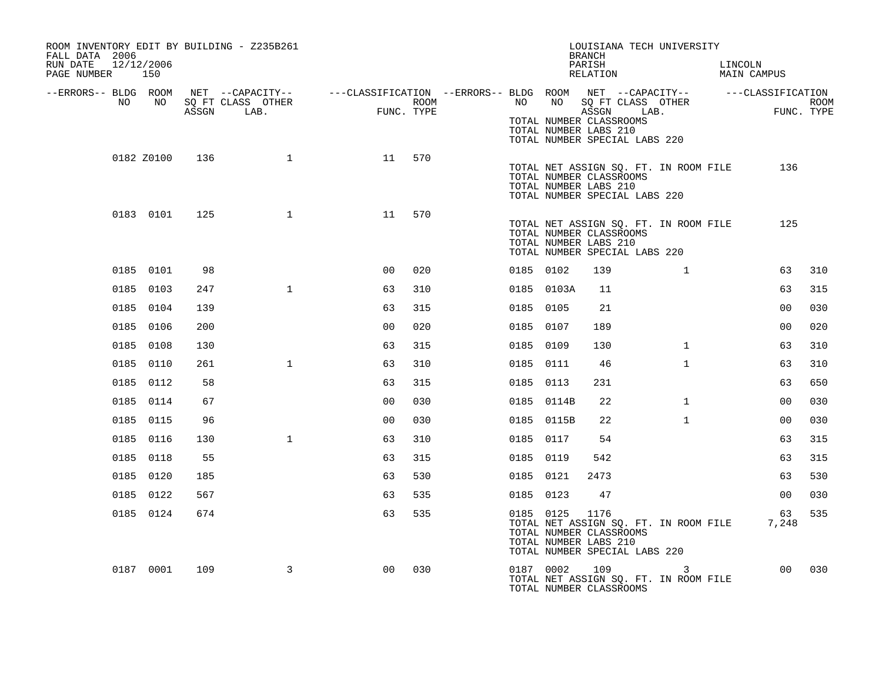| ROOM INVENTORY EDIT BY BUILDING - Z235B261<br>FALL DATA 2006<br>RUN DATE<br>12/12/2006<br>PAGE NUMBER 150 |            |       |                           |                                                                                                                   |                    |           |            | LOUISIANA TECH UNIVERSITY<br><b>BRANCH</b><br>PARISH<br>RELATION                                                                   |              | LINCOLN<br>MAIN CAMPUS |             |      |
|-----------------------------------------------------------------------------------------------------------|------------|-------|---------------------------|-------------------------------------------------------------------------------------------------------------------|--------------------|-----------|------------|------------------------------------------------------------------------------------------------------------------------------------|--------------|------------------------|-------------|------|
| --ERRORS-- BLDG ROOM<br>NO                                                                                | NO .       | ASSGN | SQ FT CLASS OTHER<br>LAB. | NET --CAPACITY-- - ---CLASSIFICATION --ERRORS-- BLDG ROOM NET --CAPACITY-- - ---CLASSIFICATION<br><b>EXECUTE:</b> | ROOM<br>FUNC. TYPE | NO        |            | NO SQ FT CLASS OTHER<br>ASSGN LAB.                                                                                                 |              |                        | FUNC. TYPE  | ROOM |
|                                                                                                           |            |       |                           |                                                                                                                   |                    |           |            | TOTAL NUMBER CLASSROOMS<br>TOTAL NUMBER LABS 210<br>TOTAL NUMBER SPECIAL LABS 220                                                  |              |                        |             |      |
|                                                                                                           | 0182 Z0100 | 136   | $\mathbf{1}$              | 11                                                                                                                | 570                |           |            | TOTAL NET ASSIGN SQ. FT. IN ROOM FILE<br>TOTAL NUMBER CLASSROOMS<br>TOTAL NUMBER LABS 210<br>TOTAL NUMBER SPECIAL LABS 220         |              |                        | 136         |      |
|                                                                                                           | 0183 0101  | 125   | $\mathbf{1}$              | 11                                                                                                                | 570                |           |            | TOTAL NET ASSIGN SQ. FT. IN ROOM FILE<br>TOTAL NUMBER CLASSROOMS<br>TOTAL NUMBER LABS 210<br>TOTAL NUMBER SPECIAL LABS 220         |              |                        | 125         |      |
|                                                                                                           | 0185 0101  | 98    |                           | 00                                                                                                                | 020                | 0185 0102 |            | 139                                                                                                                                | $\mathbf{1}$ |                        | 63          | 310  |
|                                                                                                           | 0185 0103  | 247   | $\mathbf{1}$              | 63                                                                                                                | 310                | 0185      | 0103A      | 11                                                                                                                                 |              |                        | 63          | 315  |
|                                                                                                           | 0185 0104  | 139   |                           | 63                                                                                                                | 315                | 0185 0105 |            | 21                                                                                                                                 |              |                        | 00          | 030  |
|                                                                                                           | 0185 0106  | 200   |                           | 00                                                                                                                | 020                | 0185      | 0107       | 189                                                                                                                                |              |                        | 00          | 020  |
|                                                                                                           | 0185 0108  | 130   |                           | 63                                                                                                                | 315                | 0185 0109 |            | 130                                                                                                                                | $\mathbf{1}$ |                        | 63          | 310  |
|                                                                                                           | 0185 0110  | 261   | $\mathbf 1$               | 63                                                                                                                | 310                | 0185      | 0111       | 46                                                                                                                                 | $\mathbf{1}$ |                        | 63          | 310  |
|                                                                                                           | 0185 0112  | 58    |                           | 63                                                                                                                | 315                | 0185 0113 |            | 231                                                                                                                                |              |                        | 63          | 650  |
|                                                                                                           | 0185 0114  | 67    |                           | 00                                                                                                                | 030                |           | 0185 0114B | 22                                                                                                                                 | $\mathbf{1}$ |                        | 00          | 030  |
|                                                                                                           | 0185 0115  | 96    |                           | 0 <sub>0</sub>                                                                                                    | 030                |           | 0185 0115B | 22                                                                                                                                 | $\mathbf{1}$ |                        | 00          | 030  |
|                                                                                                           | 0185 0116  | 130   | $\mathbf 1$               | 63                                                                                                                | 310                | 0185      | 0117       | 54                                                                                                                                 |              |                        | 63          | 315  |
|                                                                                                           | 0185 0118  | 55    |                           | 63                                                                                                                | 315                | 0185 0119 |            | 542                                                                                                                                |              |                        | 63          | 315  |
|                                                                                                           | 0185 0120  | 185   |                           | 63                                                                                                                | 530                | 0185 0121 |            | 2473                                                                                                                               |              |                        | 63          | 530  |
|                                                                                                           | 0185 0122  | 567   |                           | 63                                                                                                                | 535                | 0185 0123 |            | 47                                                                                                                                 |              |                        | 00          | 030  |
|                                                                                                           | 0185 0124  | 674   |                           | 63                                                                                                                | 535                |           | 0185 0125  | 1176<br>TOTAL NET ASSIGN SQ. FT. IN ROOM FILE<br>TOTAL NUMBER CLASSROOMS<br>TOTAL NUMBER LABS 210<br>TOTAL NUMBER SPECIAL LABS 220 |              |                        | 63<br>7,248 | 535  |
|                                                                                                           | 0187 0001  | 109   | 3                         | 0 <sub>0</sub>                                                                                                    | 030                | 0187 0002 |            | 109<br>TOTAL NET ASSIGN SQ. FT. IN ROOM FILE<br>TOTAL NUMBER CLASSROOMS                                                            |              |                        | 00          | 030  |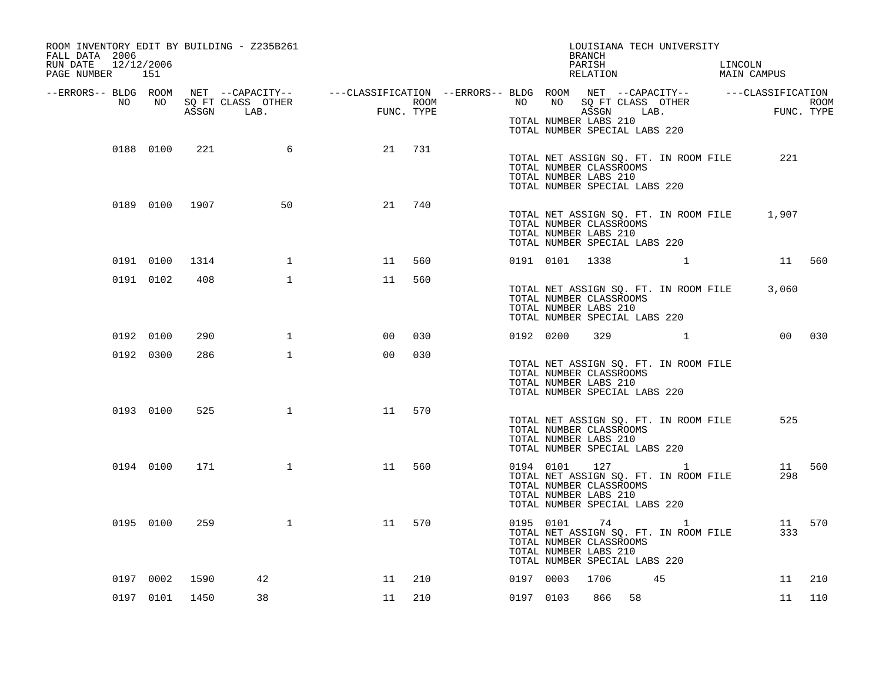| ROOM INVENTORY EDIT BY BUILDING - Z235B261<br>FALL DATA 2006<br>RUN DATE<br>12/12/2006<br>PAGE NUMBER 151                                                                                                                   |           |                |                 |                |     |  |                | BRANCH<br>PARISH                                                                                     | LOUISIANA TECH UNIVERSITY             | LINCOLN<br>PARISH LINCOLN<br>RELATION MAIN CAMPUS |        |
|-----------------------------------------------------------------------------------------------------------------------------------------------------------------------------------------------------------------------------|-----------|----------------|-----------------|----------------|-----|--|----------------|------------------------------------------------------------------------------------------------------|---------------------------------------|---------------------------------------------------|--------|
|                                                                                                                                                                                                                             |           |                |                 |                |     |  |                |                                                                                                      |                                       |                                                   |        |
| ERRORS-- BLDG ROOM NET --CAPACITY--- --CLASSIFICATION --ERRORS-- BLDG ROOM NET --CAPACITY--------------------<br>NO NO SQ FT CLASS OTHER ROOM ROOM NO SQ FT CLASS OTHER ROOM ROOM ROOM NO SQ FT CLASS OTHER ROOM ASSGN LAB. |           |                |                 |                |     |  |                | TOTAL NUMBER LABS 210<br>TOTAL NUMBER SPECIAL LABS 220                                               |                                       |                                                   |        |
|                                                                                                                                                                                                                             | 0188 0100 | 221            | $6\overline{6}$ | 21             | 731 |  |                | TOTAL NUMBER CLASSROOMS<br>TOTAL NUMBER LABS 210<br>TOTAL NUMBER SPECIAL LABS 220                    | TOTAL NET ASSIGN SQ. FT. IN ROOM FILE | 221                                               |        |
|                                                                                                                                                                                                                             |           | 0189 0100 1907 | 50              | 21             | 740 |  |                | TOTAL NUMBER CLASSROOMS<br>TOTAL NUMBER LABS 210<br>TOTAL NUMBER SPECIAL LABS 220                    |                                       | TOTAL NET ASSIGN SQ. FT. IN ROOM FILE 1,907       |        |
| 0191 0100                                                                                                                                                                                                                   |           | 1314           | $\mathbf{1}$    | 11             | 560 |  | 0191 0101 1338 |                                                                                                      | $\mathbf{1}$                          | 11 560                                            |        |
| 0191 0102                                                                                                                                                                                                                   |           | 408            | $\mathbf 1$     | 11             | 560 |  |                | TOTAL NUMBER CLASSROOMS<br>TOTAL NUMBER LABS 210<br>TOTAL NUMBER SPECIAL LABS 220                    |                                       | TOTAL NET ASSIGN SQ. FT. IN ROOM FILE 3,060       |        |
| 0192 0100                                                                                                                                                                                                                   |           | 290            | $\mathbf 1$     | 00             | 030 |  | 0192 0200      | 329                                                                                                  | $\mathbf{1}$                          |                                                   | 00 030 |
| 0192 0300                                                                                                                                                                                                                   |           | 286            | $\mathbf{1}$    | 0 <sup>0</sup> | 030 |  |                | TOTAL NUMBER CLASSROOMS<br>TOTAL NUMBER LABS 210<br>TOTAL NUMBER SPECIAL LABS 220                    | TOTAL NET ASSIGN SQ. FT. IN ROOM FILE |                                                   |        |
| 0193 0100                                                                                                                                                                                                                   |           | 525            | $\mathbf{1}$    | 11             | 570 |  |                | TOTAL NUMBER CLASSROOMS<br>TOTAL NUMBER LABS 210<br>TOTAL NUMBER SPECIAL LABS 220                    | TOTAL NET ASSIGN SQ. FT. IN ROOM FILE | 525                                               |        |
|                                                                                                                                                                                                                             | 0194 0100 | 171            | $\mathbf{1}$    | 11             | 560 |  |                | 0194 0101 127 1<br>TOTAL NUMBER CLASSROOMS<br>TOTAL NUMBER LABS 210<br>TOTAL NUMBER SPECIAL LABS 220 | TOTAL NET ASSIGN SQ. FT. IN ROOM FILE | 298                                               | 11 560 |
|                                                                                                                                                                                                                             | 0195 0100 | 259            | $\mathbf{1}$    | 11             | 570 |  |                | 0195 0101 74 1<br>TOTAL NUMBER CLASSROOMS<br>TOTAL NUMBER LABS 210<br>TOTAL NUMBER SPECIAL LABS 220  | TOTAL NET ASSIGN SQ. FT. IN ROOM FILE | 333                                               | 11 570 |
| 0197 0002                                                                                                                                                                                                                   |           | 1590           | 42              | 11             | 210 |  | 0197 0003      | 1706                                                                                                 | 45                                    | 11                                                | 210    |
|                                                                                                                                                                                                                             |           | 0197 0101 1450 | 38              | 11             | 210 |  |                | 0197 0103 866 58                                                                                     |                                       | 11                                                | 110    |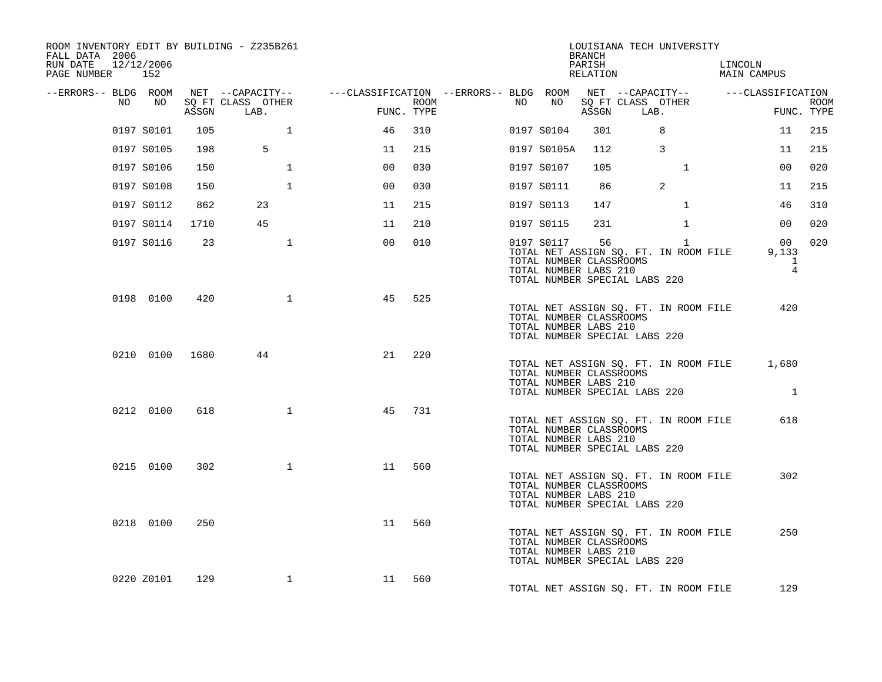| ROOM INVENTORY EDIT BY BUILDING - Z235B261<br>FALL DATA 2006<br>RUN DATE<br>PAGE NUMBER 152 | 12/12/2006      |       |                           |                                                                                                                    |                    |    |             | BRANCH<br>PARISH<br>RELATION                     |                               | LOUISIANA TECH UNIVERSITY                                                        | LINCOLN<br>MAIN CAMPUS                        |                           |
|---------------------------------------------------------------------------------------------|-----------------|-------|---------------------------|--------------------------------------------------------------------------------------------------------------------|--------------------|----|-------------|--------------------------------------------------|-------------------------------|----------------------------------------------------------------------------------|-----------------------------------------------|---------------------------|
| NO                                                                                          | NO <sub>N</sub> | ASSGN | SQ FT CLASS OTHER<br>LAB. | --ERRORS-- BLDG ROOM NET --CAPACITY-- ----CLASSIFICATION --ERRORS-- BLDG ROOM NET --CAPACITY-- -----CLASSIFICATION | ROOM<br>FUNC. TYPE | NO | NO          | ASSGN                                            | LAB.                          | SQ FT CLASS OTHER                                                                |                                               | <b>ROOM</b><br>FUNC. TYPE |
|                                                                                             | 0197 S0101      | 105   | $\mathbf{1}$              | 46                                                                                                                 | 310                |    | 0197 S0104  | 301                                              |                               | 8                                                                                | 11                                            | 215                       |
|                                                                                             | 0197 S0105      | 198   | 5                         | 11                                                                                                                 | 215                |    | 0197 S0105A | 112                                              |                               | $\overline{3}$                                                                   | 11                                            | 215                       |
|                                                                                             | 0197 S0106      | 150   | $\mathbf{1}$              | 0 <sub>0</sub>                                                                                                     | 030                |    | 0197 S0107  | 105                                              |                               | $\mathbf{1}$                                                                     | 0 <sub>0</sub>                                | 020                       |
|                                                                                             | 0197 S0108      | 150   | $\mathbf{1}$              | 0 <sub>0</sub>                                                                                                     | 030                |    | 0197 S0111  | 86                                               |                               | 2                                                                                | 11                                            | 215                       |
|                                                                                             | 0197 S0112      | 862   | 23                        | 11                                                                                                                 | 215                |    | 0197 S0113  | 147                                              |                               | $\mathbf{1}$                                                                     | 46                                            | 310                       |
|                                                                                             | 0197 S0114      | 1710  | 45                        | 11                                                                                                                 | 210                |    | 0197 S0115  | 231                                              |                               | $\mathbf{1}$                                                                     | 00 <sub>o</sub>                               | 020                       |
|                                                                                             | 0197 S0116      | 23    | $\mathbf{1}$              | 0 <sub>0</sub>                                                                                                     | 010                |    | 0197 S0117  | 56<br>TOTAL NUMBER LABS 210                      | TOTAL NUMBER SPECIAL LABS 220 | $\mathbf{1}$<br>TOTAL NET ASSIGN SQ. FT. IN ROOM FILE<br>TOTAL NUMBER CLASSROOMS | 00<br>9,133<br>$\mathbf{1}$<br>$\overline{4}$ | 020                       |
|                                                                                             | 0198 0100       | 420   | 1                         | 45                                                                                                                 | 525                |    |             | TOTAL NUMBER CLASSROOMS<br>TOTAL NUMBER LABS 210 | TOTAL NUMBER SPECIAL LABS 220 | TOTAL NET ASSIGN SQ. FT. IN ROOM FILE                                            | 420                                           |                           |
|                                                                                             | 0210 0100 1680  |       | 44                        | 21                                                                                                                 | 220                |    |             | TOTAL NUMBER CLASSROOMS<br>TOTAL NUMBER LABS 210 | TOTAL NUMBER SPECIAL LABS 220 | TOTAL NET ASSIGN SQ. FT. IN ROOM FILE                                            | 1,680<br>$\blacksquare$                       |                           |
|                                                                                             | 0212 0100       | 618   | $\mathbf{1}$              | 45                                                                                                                 | 731                |    |             | TOTAL NUMBER CLASSROOMS<br>TOTAL NUMBER LABS 210 | TOTAL NUMBER SPECIAL LABS 220 | TOTAL NET ASSIGN SQ. FT. IN ROOM FILE                                            | 618                                           |                           |
|                                                                                             | 0215 0100       | 302   | $\mathbf{1}$              | 11                                                                                                                 | 560                |    |             | TOTAL NUMBER CLASSROOMS<br>TOTAL NUMBER LABS 210 | TOTAL NUMBER SPECIAL LABS 220 | TOTAL NET ASSIGN SQ. FT. IN ROOM FILE                                            | 302                                           |                           |
|                                                                                             | 0218 0100       | 250   |                           | 11                                                                                                                 | 560                |    |             | TOTAL NUMBER CLASSROOMS<br>TOTAL NUMBER LABS 210 | TOTAL NUMBER SPECIAL LABS 220 | TOTAL NET ASSIGN SQ. FT. IN ROOM FILE                                            | 250                                           |                           |
|                                                                                             | 0220 Z0101      | 129   | $\mathbf{1}$              | 11 560                                                                                                             |                    |    |             |                                                  |                               | TOTAL NET ASSIGN SO. FT. IN ROOM FILE                                            | 129                                           |                           |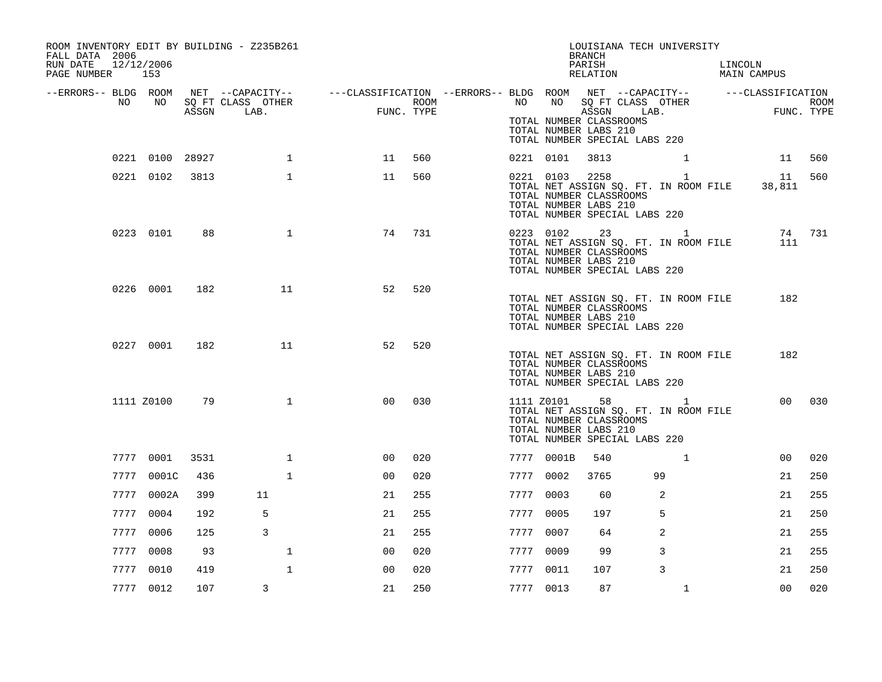| ROOM INVENTORY EDIT BY BUILDING - Z235B261<br>FALL DATA 2006<br>12/12/2006<br>RUN DATE<br>PAGE NUMBER 153 |                 |      |              |                                                                                                                    |                    |           |            | LOUISIANA TECH UNIVERSITY<br>BRANCH<br>PARISH<br>RELATION                                                                                        |    |                | LINCOLN | LINCOLN<br>MAIN CAMPUS                                 |                    |
|-----------------------------------------------------------------------------------------------------------|-----------------|------|--------------|--------------------------------------------------------------------------------------------------------------------|--------------------|-----------|------------|--------------------------------------------------------------------------------------------------------------------------------------------------|----|----------------|---------|--------------------------------------------------------|--------------------|
| NO                                                                                                        | NO 11           |      |              | --ERRORS-- BLDG ROOM NET --CAPACITY-- ----CLASSIFICATION --ERRORS-- BLDG ROOM NET --CAPACITY-- -----CLASSIFICATION | ROOM<br>FUNC. TYPE |           |            | NO NO SQ FT CLASS OTHER<br>ASSGN LAB.<br>TOTAL NUMBER CLASSROOMS<br>TOTAL NUMBER LABS 210<br>TOTAL NUMBER SPECIAL LABS 220                       |    |                |         | FUNC.                                                  | ROOM<br>FUNC. TYPE |
|                                                                                                           | 0221 0100 28927 |      | $\mathbf{1}$ | 11                                                                                                                 | 560                |           | 0221 0101  | 3813                                                                                                                                             |    |                |         |                                                        | 11 560             |
|                                                                                                           | 0221 0102 3813  |      | $\mathbf{1}$ | 11                                                                                                                 | 560                |           |            | 0221 0103 2258 1<br>TOTAL NUMBER CLASSROOMS<br>TOTAL NUMBER LABS 210<br>TOTAL NUMBER SPECIAL LABS 220                                            |    |                |         | 11 560<br>TOTAL NET ASSIGN SQ. FT. IN ROOM FILE 38,811 |                    |
|                                                                                                           | 0223 0101       | 88   | $\mathbf{1}$ | 74                                                                                                                 | 731                |           |            | 0223 0102 23 1<br>TOTAL NET ASSIGN SQ. FT. IN ROOM FILE<br>TOTAL NUMBER CLASSROOMS<br>TOTAL NUMBER LABS 210<br>TOTAL NUMBER SPECIAL LABS 220     |    |                |         | 111                                                    | 74 731             |
|                                                                                                           | 0226 0001       | 182  | 11           | 52                                                                                                                 | 520                |           |            | TOTAL NET ASSIGN SQ. FT. IN ROOM FILE<br>TOTAL NUMBER CLASSROOMS<br>TOTAL NUMBER LABS 210<br>TOTAL NUMBER SPECIAL LABS 220                       |    |                |         | 182                                                    |                    |
|                                                                                                           | 0227 0001       | 182  | 11           | 52                                                                                                                 | 520                |           |            | TOTAL NET ASSIGN SQ. FT. IN ROOM FILE<br>TOTAL NUMBER CLASSROOMS<br>TOTAL NUMBER LABS 210<br>TOTAL NUMBER SPECIAL LABS 220                       |    |                |         | 182                                                    |                    |
|                                                                                                           | 1111 Z0100      | 79   | $\mathbf{1}$ | 0 <sub>0</sub>                                                                                                     | 030                |           |            | 1111 $z$ 0101 58 1<br>TOTAL NET ASSIGN SQ. FT. IN ROOM FILE<br>TOTAL NUMBER CLASSROOMS<br>TOTAL NUMBER LABS 210<br>TOTAL NUMBER SPECIAL LABS 220 |    |                |         |                                                        | 00 030             |
|                                                                                                           | 7777 0001       | 3531 | $\mathbf{1}$ | 00                                                                                                                 | 020                |           | 7777 0001B | 540                                                                                                                                              |    | $\mathbf{1}$   |         | 00                                                     | 020                |
|                                                                                                           | 7777 0001C      | 436  | 1            | 00                                                                                                                 | 020                | 7777 0002 |            | 3765                                                                                                                                             | 99 |                |         | 21                                                     | 250                |
|                                                                                                           | 7777 0002A      | 399  | 11           | 21                                                                                                                 | 255                | 7777 0003 |            | 60                                                                                                                                               |    | 2              |         | 21                                                     | 255                |
|                                                                                                           | 7777 0004       | 192  | 5            | 21                                                                                                                 | 255                | 7777 0005 |            | 197                                                                                                                                              |    | 5              |         | 21                                                     | 250                |
|                                                                                                           | 7777 0006       | 125  | 3            | 21                                                                                                                 | 255                | 7777 0007 |            | 64                                                                                                                                               |    | $\overline{2}$ |         | 21                                                     | 255                |
|                                                                                                           | 7777 0008       | 93   | $\mathbf{1}$ | 0 <sup>0</sup>                                                                                                     | 020                | 7777 0009 |            | 99                                                                                                                                               |    | 3              |         | 21                                                     | 255                |
|                                                                                                           | 7777 0010       | 419  | $\mathbf{1}$ | 00                                                                                                                 | 020                | 7777 0011 |            | 107                                                                                                                                              |    | 3              |         | 21                                                     | 250                |
|                                                                                                           | 7777 0012       | 107  | 3            | 21                                                                                                                 | 250                | 7777 0013 |            | 87                                                                                                                                               |    | $\mathbf{1}$   |         | 0 <sub>0</sub>                                         | 020                |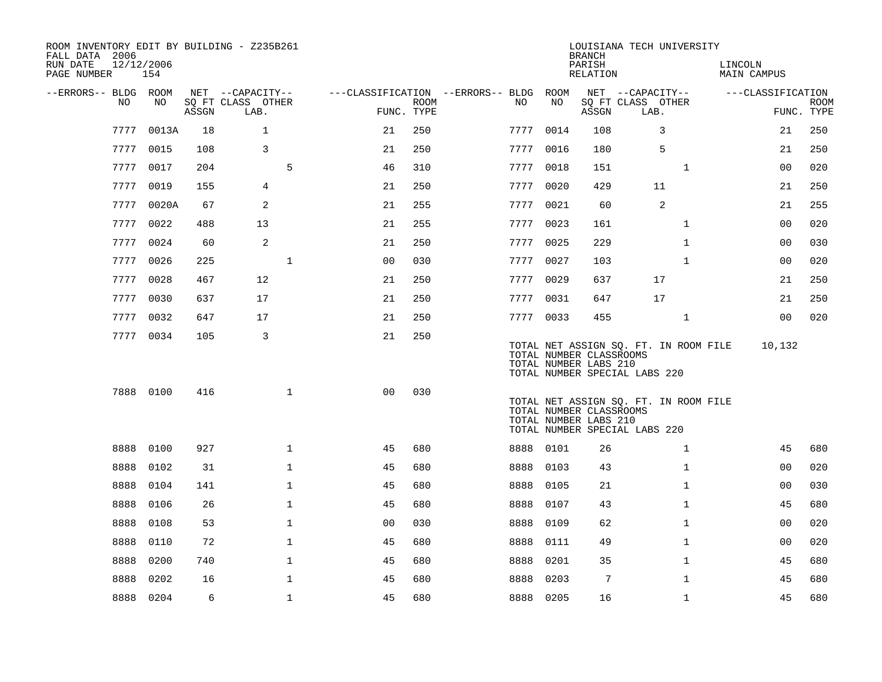| ROOM INVENTORY EDIT BY BUILDING - Z235B261<br>FALL DATA 2006<br>RUN DATE<br>PAGE NUMBER | 12/12/2006<br>154 |       |                           |              |                                        |                           |           |      | <b>BRANCH</b><br>PARISH<br>RELATION              | LOUISIANA TECH UNIVERSITY                                              |              | LINCOLN<br><b>MAIN CAMPUS</b> |                   |             |
|-----------------------------------------------------------------------------------------|-------------------|-------|---------------------------|--------------|----------------------------------------|---------------------------|-----------|------|--------------------------------------------------|------------------------------------------------------------------------|--------------|-------------------------------|-------------------|-------------|
| --ERRORS-- BLDG ROOM                                                                    |                   |       | NET --CAPACITY--          |              | ---CLASSIFICATION --ERRORS-- BLDG ROOM |                           |           |      |                                                  | NET --CAPACITY--                                                       |              |                               | ---CLASSIFICATION |             |
| NO                                                                                      | NO                | ASSGN | SQ FT CLASS OTHER<br>LAB. |              |                                        | <b>ROOM</b><br>FUNC. TYPE | NO        | NO   | ASSGN                                            | SQ FT CLASS OTHER<br>LAB.                                              |              |                               | FUNC. TYPE        | <b>ROOM</b> |
| 7777                                                                                    | 0013A             | 18    | $\mathbf{1}$              |              | 21                                     | 250                       | 7777      | 0014 | 108                                              | 3                                                                      |              |                               | 21                | 250         |
| 7777                                                                                    | 0015              | 108   | 3                         |              | 21                                     | 250                       | 7777 0016 |      | 180                                              | 5                                                                      |              |                               | 21                | 250         |
| 7777                                                                                    | 0017              | 204   |                           | 5            | 46                                     | 310                       | 7777      | 0018 | 151                                              |                                                                        | $\mathbf{1}$ |                               | 00                | 020         |
|                                                                                         | 7777 0019         | 155   | 4                         |              | 21                                     | 250                       | 7777 0020 |      | 429                                              | 11                                                                     |              |                               | 21                | 250         |
| 7777                                                                                    | 0020A             | 67    | 2                         |              | 21                                     | 255                       | 7777      | 0021 | 60                                               | 2                                                                      |              |                               | 21                | 255         |
|                                                                                         | 7777 0022         | 488   | 13                        |              | 21                                     | 255                       | 7777 0023 |      | 161                                              |                                                                        | $\mathbf{1}$ |                               | 00                | 020         |
|                                                                                         | 7777 0024         | 60    | 2                         |              | 21                                     | 250                       | 7777      | 0025 | 229                                              |                                                                        | $\mathbf{1}$ |                               | 0 <sub>0</sub>    | 030         |
|                                                                                         | 7777 0026         | 225   |                           | $\mathbf{1}$ | 0 <sub>0</sub>                         | 030                       | 7777 0027 |      | 103                                              |                                                                        | $\mathbf{1}$ |                               | 0 <sub>0</sub>    | 020         |
| 7777                                                                                    | 0028              | 467   | 12                        |              | 21                                     | 250                       | 7777      | 0029 | 637                                              | 17                                                                     |              |                               | 21                | 250         |
|                                                                                         | 7777 0030         | 637   | 17                        |              | 21                                     | 250                       | 7777 0031 |      | 647                                              | 17                                                                     |              |                               | 21                | 250         |
|                                                                                         | 7777 0032         | 647   | 17                        |              | 21                                     | 250                       | 7777 0033 |      | 455                                              |                                                                        | $\mathbf{1}$ |                               | 00                | 020         |
|                                                                                         | 7777 0034         | 105   | 3                         |              | 21                                     | 250                       |           |      | TOTAL NUMBER CLASSROOMS<br>TOTAL NUMBER LABS 210 | TOTAL NET ASSIGN SQ. FT. IN ROOM FILE<br>TOTAL NUMBER SPECIAL LABS 220 |              |                               | 10,132            |             |
|                                                                                         | 7888 0100         | 416   |                           | $\mathbf{1}$ | 0 <sub>0</sub>                         | 030                       |           |      | TOTAL NUMBER CLASSROOMS<br>TOTAL NUMBER LABS 210 | TOTAL NET ASSIGN SQ. FT. IN ROOM FILE<br>TOTAL NUMBER SPECIAL LABS 220 |              |                               |                   |             |
| 8888                                                                                    | 0100              | 927   |                           | $\mathbf{1}$ | 45                                     | 680                       | 8888      | 0101 | 26                                               |                                                                        | $\mathbf{1}$ |                               | 45                | 680         |
| 8888                                                                                    | 0102              | 31    |                           | $\mathbf{1}$ | 45                                     | 680                       | 8888      | 0103 | 43                                               |                                                                        | $\mathbf{1}$ |                               | 00                | 020         |
| 8888                                                                                    | 0104              | 141   |                           | $\mathbf{1}$ | 45                                     | 680                       | 8888      | 0105 | 21                                               |                                                                        | $\mathbf{1}$ |                               | 00                | 030         |
| 8888                                                                                    | 0106              | 26    |                           | $\mathbf{1}$ | 45                                     | 680                       | 8888      | 0107 | 43                                               |                                                                        | $\mathbf{1}$ |                               | 45                | 680         |
| 8888                                                                                    | 0108              | 53    |                           | $\mathbf{1}$ | 0 <sub>0</sub>                         | 030                       | 8888      | 0109 | 62                                               |                                                                        | $\mathbf{1}$ |                               | 0 <sub>0</sub>    | 020         |
| 8888                                                                                    | 0110              | 72    |                           | $\mathbf{1}$ | 45                                     | 680                       | 8888      | 0111 | 49                                               |                                                                        | $\mathbf{1}$ |                               | 00                | 020         |
| 8888                                                                                    | 0200              | 740   |                           | $\mathbf 1$  | 45                                     | 680                       | 8888      | 0201 | 35                                               |                                                                        | $\mathbf{1}$ |                               | 45                | 680         |
| 8888                                                                                    | 0202              | 16    |                           | 1            | 45                                     | 680                       | 8888      | 0203 | $7\phantom{.0}$                                  |                                                                        | $\mathbf{1}$ |                               | 45                | 680         |
|                                                                                         | 8888 0204         | 6     |                           | $\mathbf 1$  | 45                                     | 680                       | 8888 0205 |      | 16                                               |                                                                        | $\mathbf{1}$ |                               | 45                | 680         |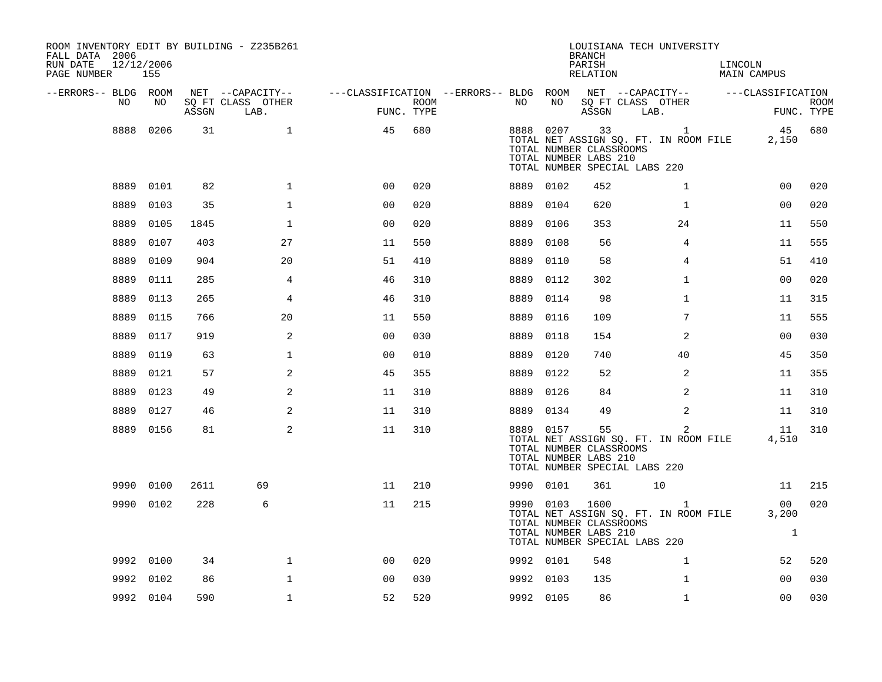| ROOM INVENTORY EDIT BY BUILDING - Z235B261<br>FALL DATA 2006<br>RUN DATE<br>12/12/2006<br>PAGE NUMBER | 155       |       |                                               |                                                                                           |      |      |           | <b>BRANCH</b><br>PARISH<br>RELATION                      | LOUISIANA TECH UNIVERSITY                                                                | LINCOLN<br>MAIN CAMPUS      |                           |
|-------------------------------------------------------------------------------------------------------|-----------|-------|-----------------------------------------------|-------------------------------------------------------------------------------------------|------|------|-----------|----------------------------------------------------------|------------------------------------------------------------------------------------------|-----------------------------|---------------------------|
| --ERRORS-- BLDG ROOM<br>NO                                                                            | NO        | ASSGN | NET --CAPACITY--<br>SQ FT CLASS OTHER<br>LAB. | ---CLASSIFICATION --ERRORS-- BLDG ROOM NET --CAPACITY--   ---CLASSIFICATION<br>FUNC. TYPE | ROOM | NO   | NO        |                                                          | SQ FT CLASS OTHER<br>ASSGN LAB.                                                          |                             | <b>ROOM</b><br>FUNC. TYPE |
| 8888                                                                                                  | 0206      | 31    | $\mathbf{1}$                                  | 45                                                                                        | 680  |      | 8888 0207 | 33<br>TOTAL NUMBER CLASSROOMS<br>TOTAL NUMBER LABS 210   | $\mathbf{1}$<br>TOTAL NET ASSIGN SQ. FT. IN ROOM FILE<br>TOTAL NUMBER SPECIAL LABS 220   | 2,150                       | 45 680                    |
|                                                                                                       | 8889 0101 | 82    | $\mathbf{1}$                                  | 0 <sub>0</sub>                                                                            | 020  |      | 8889 0102 | 452                                                      | $\mathbf{1}$                                                                             | 0 <sub>0</sub>              | 020                       |
| 8889                                                                                                  | 0103      | 35    | $\mathbf{1}$                                  | 00                                                                                        | 020  | 8889 | 0104      | 620                                                      | $\mathbf{1}$                                                                             | 0 <sub>0</sub>              | 020                       |
| 8889                                                                                                  | 0105      | 1845  | $\mathbf 1$                                   | 0 <sub>0</sub>                                                                            | 020  | 8889 | 0106      | 353                                                      | 24                                                                                       | 11                          | 550                       |
| 8889                                                                                                  | 0107      | 403   | 27                                            | 11                                                                                        | 550  | 8889 | 0108      | 56                                                       | 4                                                                                        | 11                          | 555                       |
| 8889                                                                                                  | 0109      | 904   | 20                                            | 51                                                                                        | 410  |      | 8889 0110 | 58                                                       | 4                                                                                        | 51                          | 410                       |
| 8889                                                                                                  | 0111      | 285   | 4                                             | 46                                                                                        | 310  | 8889 | 0112      | 302                                                      | $\mathbf{1}$                                                                             | 0 <sub>0</sub>              | 020                       |
| 8889                                                                                                  | 0113      | 265   | 4                                             | 46                                                                                        | 310  |      | 8889 0114 | 98                                                       | $\mathbf{1}$                                                                             | 11                          | 315                       |
| 8889                                                                                                  | 0115      | 766   | 20                                            | 11                                                                                        | 550  |      | 8889 0116 | 109                                                      | $7\phantom{.0}$                                                                          | 11                          | 555                       |
| 8889                                                                                                  | 0117      | 919   | 2                                             | 0 <sub>0</sub>                                                                            | 030  |      | 8889 0118 | 154                                                      | 2                                                                                        | 0 <sub>0</sub>              | 030                       |
| 8889                                                                                                  | 0119      | 63    | $\mathbf{1}$                                  | 0 <sub>0</sub>                                                                            | 010  | 8889 | 0120      | 740                                                      | 40                                                                                       | 45                          | 350                       |
| 8889                                                                                                  | 0121      | 57    | 2                                             | 45                                                                                        | 355  |      | 8889 0122 | 52                                                       | 2                                                                                        | 11                          | 355                       |
|                                                                                                       | 8889 0123 | 49    | 2                                             | 11                                                                                        | 310  |      | 8889 0126 | 84                                                       | $\overline{2}$                                                                           | 11                          | 310                       |
|                                                                                                       | 8889 0127 | 46    | 2                                             | 11                                                                                        | 310  |      | 8889 0134 | 49                                                       | $\overline{2}$                                                                           | 11                          | 310                       |
|                                                                                                       | 8889 0156 | 81    | 2                                             | 11                                                                                        | 310  |      | 8889 0157 | 55<br>TOTAL NUMBER CLASSROOMS<br>TOTAL NUMBER LABS 210   | $\overline{a}$<br>TOTAL NET ASSIGN SQ. FT. IN ROOM FILE<br>TOTAL NUMBER SPECIAL LABS 220 | 11<br>4,510                 | 310                       |
|                                                                                                       | 9990 0100 | 2611  | 69                                            | 11                                                                                        | 210  |      | 9990 0101 | 361                                                      | 10                                                                                       | 11                          | 215                       |
|                                                                                                       | 9990 0102 | 228   | 6                                             | 11                                                                                        | 215  |      | 9990 0103 | 1600<br>TOTAL NUMBER CLASSROOMS<br>TOTAL NUMBER LABS 210 | $\mathbf{1}$<br>TOTAL NET ASSIGN SQ. FT. IN ROOM FILE<br>TOTAL NUMBER SPECIAL LABS 220   | 00<br>3,200<br>$\mathbf{1}$ | 020                       |
|                                                                                                       | 9992 0100 | 34    | $\mathbf 1$                                   | 0 <sub>0</sub>                                                                            | 020  |      | 9992 0101 | 548                                                      | $\mathbf{1}$                                                                             | 52                          | 520                       |
|                                                                                                       | 9992 0102 | 86    | $\mathbf{1}$                                  | 0 <sub>0</sub>                                                                            | 030  |      | 9992 0103 | 135                                                      | $\mathbf{1}$                                                                             | 00                          | 030                       |
|                                                                                                       | 9992 0104 | 590   | $\mathbf{1}$                                  | 52                                                                                        | 520  |      | 9992 0105 | 86                                                       | $\mathbf{1}$                                                                             | 00                          | 030                       |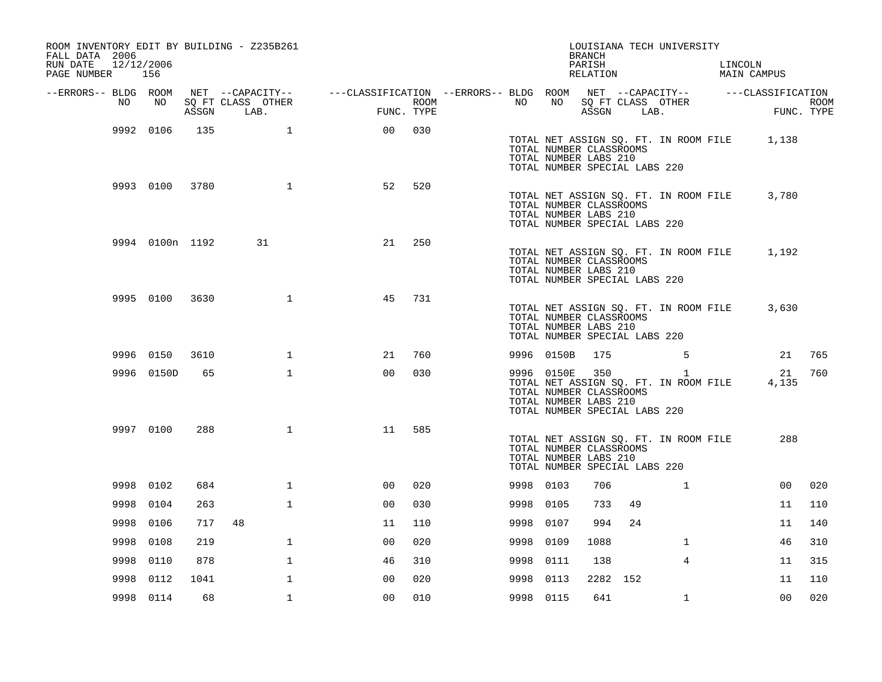| ROOM INVENTORY EDIT BY BUILDING - Z235B261<br>FALL DATA 2006<br>12/12/2006<br>RUN DATE<br>PAGE NUMBER 156 |                 |      |                                 |                                                                                                |            |             |           |                                                                                                 | <b>BRANCH</b><br>PARISH<br>RELATION |      | LOUISIANA TECH UNIVERSITY                             | LINCOLN<br>MAIN CAMPUS                      |                    |
|-----------------------------------------------------------------------------------------------------------|-----------------|------|---------------------------------|------------------------------------------------------------------------------------------------|------------|-------------|-----------|-------------------------------------------------------------------------------------------------|-------------------------------------|------|-------------------------------------------------------|---------------------------------------------|--------------------|
| --ERRORS-- BLDG ROOM                                                                                      |                 |      |                                 | NET --CAPACITY-- - ---CLASSIFICATION --ERRORS-- BLDG ROOM NET --CAPACITY-- - ---CLASSIFICATION |            |             |           |                                                                                                 |                                     |      |                                                       |                                             |                    |
| NO.                                                                                                       | NO              |      | SQ FT CLASS OTHER<br>ASSGN LAB. |                                                                                                | FUNC. TYPE | <b>ROOM</b> | NO        | NO                                                                                              | ASSGN                               | LAB. | SQ FT CLASS OTHER                                     |                                             | ROOM<br>FUNC. TYPE |
|                                                                                                           | 9992 0106       | 135  | 1                               | 00                                                                                             | 030        |             |           | TOTAL NUMBER CLASSROOMS<br>TOTAL NUMBER LABS 210<br>TOTAL NUMBER SPECIAL LABS 220               |                                     |      |                                                       | TOTAL NET ASSIGN SQ. FT. IN ROOM FILE 1,138 |                    |
|                                                                                                           | 9993 0100       | 3780 | $\mathbf{1}$                    | 52                                                                                             | 520        |             |           | TOTAL NUMBER CLASSROOMS<br>TOTAL NUMBER LABS 210<br>TOTAL NUMBER SPECIAL LABS 220               |                                     |      | TOTAL NET ASSIGN SQ. FT. IN ROOM FILE                 | 3,780                                       |                    |
|                                                                                                           | 9994 0100n 1192 |      | 31                              | 21                                                                                             | 250        |             |           | TOTAL NUMBER CLASSROOMS<br>TOTAL NUMBER LABS 210<br>TOTAL NUMBER SPECIAL LABS 220               |                                     |      | TOTAL NET ASSIGN SQ. FT. IN ROOM FILE                 | 1,192                                       |                    |
|                                                                                                           | 9995 0100       | 3630 | $\mathbf{1}$                    | 45                                                                                             | 731        |             |           | TOTAL NUMBER CLASSROOMS<br>TOTAL NUMBER LABS 210<br>TOTAL NUMBER SPECIAL LABS 220               |                                     |      | TOTAL NET ASSIGN SQ. FT. IN ROOM FILE                 | 3,630                                       |                    |
|                                                                                                           | 9996 0150       | 3610 | $\mathbf 1$                     | 21                                                                                             | 760        |             |           | 9996 0150B                                                                                      | 175                                 |      | -5                                                    | 21                                          | 765                |
|                                                                                                           | 9996 0150D      | 65   | $\mathbf{1}$                    | 0 <sub>0</sub>                                                                                 | 030        |             |           | 9996 0150E<br>TOTAL NUMBER CLASSROOMS<br>TOTAL NUMBER LABS 210<br>TOTAL NUMBER SPECIAL LABS 220 | 350                                 |      | $\mathbf{1}$<br>TOTAL NET ASSIGN SQ. FT. IN ROOM FILE | 21<br>4,135                                 | 760                |
|                                                                                                           | 9997 0100       | 288  | $\mathbf 1$                     | 11                                                                                             | 585        |             |           | TOTAL NUMBER CLASSROOMS<br>TOTAL NUMBER LABS 210<br>TOTAL NUMBER SPECIAL LABS 220               |                                     |      | TOTAL NET ASSIGN SQ. FT. IN ROOM FILE                 | 288                                         |                    |
|                                                                                                           | 9998 0102       | 684  | $\mathbf{1}$                    | 0 <sub>0</sub>                                                                                 | 020        |             | 9998 0103 |                                                                                                 | 706                                 |      | $\mathbf{1}$                                          | 0 <sub>0</sub>                              | 020                |
|                                                                                                           | 9998 0104       | 263  | $\mathbf{1}$                    | 00                                                                                             | 030        |             | 9998 0105 |                                                                                                 | 733                                 | 49   |                                                       | 11                                          | 110                |
|                                                                                                           | 9998 0106       | 717  | 48                              | 11                                                                                             | 110        |             | 9998      | 0107                                                                                            | 994                                 | 24   |                                                       | 11                                          | 140                |
| 9998                                                                                                      | 0108            | 219  | $\mathbf{1}$                    | 0 <sub>0</sub>                                                                                 | 020        |             | 9998      | 0109                                                                                            | 1088                                |      | $\mathbf{1}$                                          | 46                                          | 310                |
| 9998                                                                                                      | 0110            | 878  | 1                               | 46                                                                                             | 310        |             | 9998      | 0111                                                                                            | 138                                 |      | 4                                                     | 11                                          | 315                |
| 9998                                                                                                      | 0112            | 1041 | $\mathbf{1}$                    | 0 <sub>0</sub>                                                                                 | 020        |             | 9998      | 0113                                                                                            | 2282 152                            |      |                                                       | 11                                          | 110                |
|                                                                                                           | 9998 0114       | 68   | $\mathbf{1}$                    | 0 <sub>0</sub>                                                                                 | 010        |             | 9998 0115 |                                                                                                 | 641                                 |      | $\mathbf{1}$                                          | 0 <sub>0</sub>                              | 020                |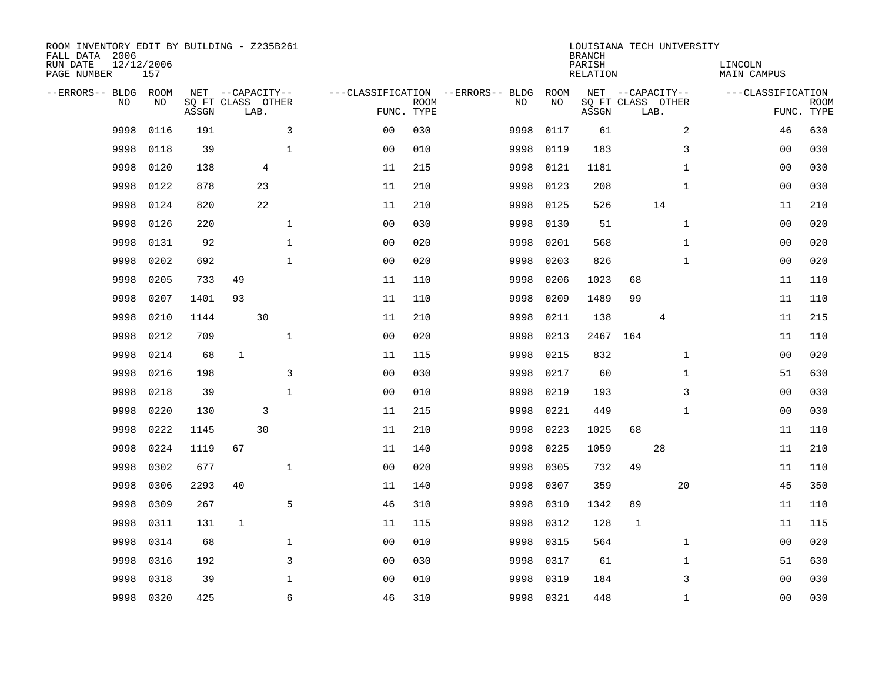| ROOM INVENTORY EDIT BY BUILDING - Z235B261<br>FALL DATA 2006<br>RUN DATE<br>PAGE NUMBER | 12/12/2006<br>157 |       |             |                                               |                | LOUISIANA TECH UNIVERSITY<br><b>BRANCH</b><br>PARISH<br><b>RELATION</b> |                                         |            |       |      |                                       |                   |                           |
|-----------------------------------------------------------------------------------------|-------------------|-------|-------------|-----------------------------------------------|----------------|-------------------------------------------------------------------------|-----------------------------------------|------------|-------|------|---------------------------------------|-------------------|---------------------------|
| --ERRORS-- BLDG ROOM<br>NO                                                              | NO                | ASSGN |             | NET --CAPACITY--<br>SQ FT CLASS OTHER<br>LAB. |                | <b>ROOM</b><br>FUNC. TYPE                                               | ---CLASSIFICATION --ERRORS-- BLDG<br>NO | ROOM<br>NO | ASSGN | LAB. | NET --CAPACITY--<br>SQ FT CLASS OTHER | ---CLASSIFICATION | <b>ROOM</b><br>FUNC. TYPE |
| 9998                                                                                    | 0116              | 191   |             | 3                                             | 0 <sub>0</sub> | 030                                                                     | 9998                                    | 0117       | 61    |      | 2                                     | 46                | 630                       |
| 9998                                                                                    | 0118              | 39    |             | $\mathbf{1}$                                  | 0 <sub>0</sub> | 010                                                                     | 9998                                    | 0119       | 183   |      | 3                                     | 00                | 030                       |
| 9998                                                                                    | 0120              | 138   |             | 4                                             | 11             | 215                                                                     | 9998                                    | 0121       | 1181  |      | $\mathbf{1}$                          | 0 <sub>0</sub>    | 030                       |
| 9998                                                                                    | 0122              | 878   |             | 23                                            | 11             | 210                                                                     | 9998                                    | 0123       | 208   |      | $\mathbf{1}$                          | 00                | 030                       |
| 9998                                                                                    | 0124              | 820   |             | 22                                            | 11             | 210                                                                     | 9998                                    | 0125       | 526   |      | 14                                    | 11                | 210                       |
| 9998                                                                                    | 0126              | 220   |             | $\mathbf 1$                                   | 0 <sub>0</sub> | 030                                                                     | 9998                                    | 0130       | 51    |      | $\mathbf{1}$                          | 0 <sub>0</sub>    | 020                       |
| 9998                                                                                    | 0131              | 92    |             | $\mathbf{1}$                                  | 0 <sub>0</sub> | 020                                                                     | 9998                                    | 0201       | 568   |      | $\mathbf{1}$                          | 0 <sub>0</sub>    | 020                       |
| 9998                                                                                    | 0202              | 692   |             | $\mathbf{1}$                                  | 0 <sub>0</sub> | 020                                                                     | 9998                                    | 0203       | 826   |      | $\mathbf{1}$                          | 0 <sub>0</sub>    | 020                       |
| 9998                                                                                    | 0205              | 733   | 49          |                                               | 11             | 110                                                                     | 9998                                    | 0206       | 1023  | 68   |                                       | 11                | 110                       |
| 9998                                                                                    | 0207              | 1401  | 93          |                                               | 11             | 110                                                                     | 9998                                    | 0209       | 1489  | 99   |                                       | 11                | 110                       |
| 9998                                                                                    | 0210              | 1144  |             | 30                                            | 11             | 210                                                                     | 9998                                    | 0211       | 138   |      | 4                                     | 11                | 215                       |
| 9998                                                                                    | 0212              | 709   |             | $\mathbf{1}$                                  | 0 <sub>0</sub> | 020                                                                     | 9998                                    | 0213       | 2467  | 164  |                                       | 11                | 110                       |
| 9998                                                                                    | 0214              | 68    | $\mathbf 1$ |                                               | 11             | 115                                                                     | 9998                                    | 0215       | 832   |      | $\mathbf{1}$                          | 00                | 020                       |
| 9998                                                                                    | 0216              | 198   |             | 3                                             | 0 <sub>0</sub> | 030                                                                     | 9998                                    | 0217       | 60    |      | $\mathbf{1}$                          | 51                | 630                       |
| 9998                                                                                    | 0218              | 39    |             | $\mathbf{1}$                                  | 0 <sub>0</sub> | 010                                                                     | 9998                                    | 0219       | 193   |      | 3                                     | 00                | 030                       |
| 9998                                                                                    | 0220              | 130   |             | 3                                             | 11             | 215                                                                     | 9998                                    | 0221       | 449   |      | $\mathbf{1}$                          | 00                | 030                       |
| 9998                                                                                    | 0222              | 1145  |             | 30                                            | 11             | 210                                                                     | 9998                                    | 0223       | 1025  | 68   |                                       | 11                | 110                       |
| 9998                                                                                    | 0224              | 1119  | 67          |                                               | 11             | 140                                                                     | 9998                                    | 0225       | 1059  |      | 28                                    | 11                | 210                       |
| 9998                                                                                    | 0302              | 677   |             | $\mathbf 1$                                   | 0 <sub>0</sub> | 020                                                                     | 9998                                    | 0305       | 732   | 49   |                                       | 11                | 110                       |
| 9998                                                                                    | 0306              | 2293  | 40          |                                               | 11             | 140                                                                     | 9998                                    | 0307       | 359   |      | 20                                    | 45                | 350                       |
| 9998                                                                                    | 0309              | 267   |             | 5                                             | 46             | 310                                                                     | 9998                                    | 0310       | 1342  | 89   |                                       | 11                | 110                       |
| 9998                                                                                    | 0311              | 131   | 1           |                                               | 11             | 115                                                                     | 9998                                    | 0312       | 128   | 1    |                                       | 11                | 115                       |
| 9998                                                                                    | 0314              | 68    |             | $\mathbf{1}$                                  | 0 <sub>0</sub> | 010                                                                     | 9998                                    | 0315       | 564   |      | $\mathbf{1}$                          | 0 <sub>0</sub>    | 020                       |
| 9998                                                                                    | 0316              | 192   |             | 3                                             | 0 <sub>0</sub> | 030                                                                     | 9998                                    | 0317       | 61    |      | $\mathbf{1}$                          | 51                | 630                       |
| 9998                                                                                    | 0318              | 39    |             | $\mathbf{1}$                                  | 0 <sub>0</sub> | 010                                                                     | 9998                                    | 0319       | 184   |      | 3                                     | 0 <sub>0</sub>    | 030                       |
| 9998                                                                                    | 0320              | 425   |             | 6                                             | 46             | 310                                                                     |                                         | 9998 0321  | 448   |      | $\mathbf{1}$                          | 0 <sub>0</sub>    | 030                       |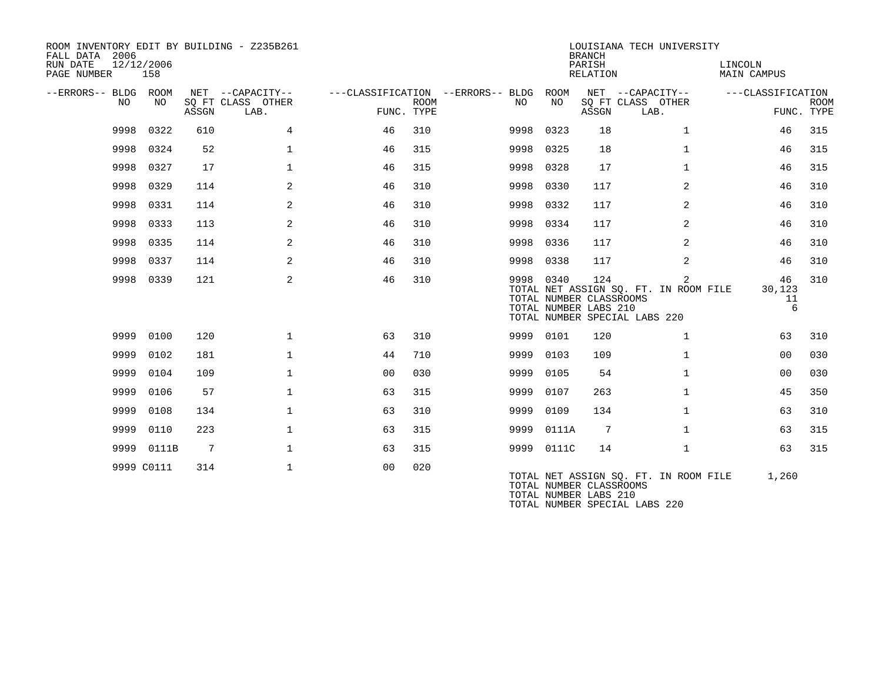| ROOM INVENTORY EDIT BY BUILDING - Z235B261<br>FALL DATA 2006<br>RUN DATE<br>12/12/2006 |            |                 |                           |                                   |      |           |            | <b>BRANCH</b><br>PARISH                                 | LOUISIANA TECH UNIVERSITY                                                   | LINCOLN                 |                           |
|----------------------------------------------------------------------------------------|------------|-----------------|---------------------------|-----------------------------------|------|-----------|------------|---------------------------------------------------------|-----------------------------------------------------------------------------|-------------------------|---------------------------|
| PAGE NUMBER                                                                            | 158        |                 |                           |                                   |      |           |            | <b>RELATION</b>                                         |                                                                             | <b>MAIN CAMPUS</b>      |                           |
| --ERRORS-- BLDG ROOM                                                                   |            |                 | NET --CAPACITY--          | ---CLASSIFICATION --ERRORS-- BLDG |      |           | ROOM       |                                                         | NET --CAPACITY--                                                            | ---CLASSIFICATION       |                           |
| NO.                                                                                    | NO.        | ASSGN           | SQ FT CLASS OTHER<br>LAB. | FUNC. TYPE                        | ROOM | NO.       | NO.        | ASSGN                                                   | SQ FT CLASS OTHER<br>LAB.                                                   |                         | <b>ROOM</b><br>FUNC. TYPE |
| 9998                                                                                   | 0322       | 610             | 4                         | 46                                | 310  | 9998      | 0323       | 18                                                      | $\mathbf{1}$                                                                | 46                      | 315                       |
| 9998                                                                                   | 0324       | 52              | $\mathbf 1$               | 46                                | 315  | 9998      | 0325       | 18                                                      | $\mathbf{1}$                                                                | 46                      | 315                       |
| 9998                                                                                   | 0327       | 17              | $\mathbf 1$               | 46                                | 315  | 9998      | 0328       | 17                                                      | $\mathbf{1}$                                                                | 46                      | 315                       |
| 9998                                                                                   | 0329       | 114             | 2                         | 46                                | 310  | 9998      | 0330       | 117                                                     | 2                                                                           | 46                      | 310                       |
| 9998                                                                                   | 0331       | 114             | 2                         | 46                                | 310  | 9998      | 0332       | 117                                                     | 2                                                                           | 46                      | 310                       |
| 9998                                                                                   | 0333       | 113             | 2                         | 46                                | 310  | 9998      | 0334       | 117                                                     | 2                                                                           | 46                      | 310                       |
| 9998                                                                                   | 0335       | 114             | 2                         | 46                                | 310  | 9998      | 0336       | 117                                                     | 2                                                                           | 46                      | 310                       |
| 9998                                                                                   | 0337       | 114             | 2                         | 46                                | 310  | 9998      | 0338       | 117                                                     | 2                                                                           | 46                      | 310                       |
|                                                                                        | 9998 0339  | 121             | 2                         | 46                                | 310  | 9998 0340 |            | 124<br>TOTAL NUMBER CLASSROOMS<br>TOTAL NUMBER LABS 210 | 2<br>TOTAL NET ASSIGN SQ. FT. IN ROOM FILE<br>TOTAL NUMBER SPECIAL LABS 220 | 46<br>30,123<br>11<br>6 | 310                       |
| 9999                                                                                   | 0100       | 120             | $\mathbf{1}$              | 63                                | 310  | 9999 0101 |            | 120                                                     | $\mathbf{1}$                                                                | 63                      | 310                       |
| 9999                                                                                   | 0102       | 181             | $\mathbf 1$               | 44                                | 710  | 9999      | 0103       | 109                                                     | $\mathbf{1}$                                                                | 0 <sub>0</sub>          | 030                       |
| 9999                                                                                   | 0104       | 109             | $\mathbf 1$               | 00                                | 030  | 9999      | 0105       | 54                                                      | $\mathbf{1}$                                                                | 0 <sub>0</sub>          | 030                       |
| 9999                                                                                   | 0106       | 57              | $\mathbf{1}$              | 63                                | 315  | 9999      | 0107       | 263                                                     | $\mathbf{1}$                                                                | 45                      | 350                       |
| 9999                                                                                   | 0108       | 134             | $\mathbf{1}$              | 63                                | 310  | 9999      | 0109       | 134                                                     | $\mathbf{1}$                                                                | 63                      | 310                       |
| 9999                                                                                   | 0110       | 223             | $\mathbf{1}$              | 63                                | 315  | 9999      | 0111A      | $7\phantom{.0}$                                         | $\mathbf{1}$                                                                | 63                      | 315                       |
|                                                                                        | 9999 0111B | $7\phantom{.0}$ | $\mathbf{1}$              | 63                                | 315  |           | 9999 0111C | 14                                                      | $\mathbf{1}$                                                                | 63                      | 315                       |
|                                                                                        | 9999 C0111 | 314             | $\mathbf 1$               | 0 <sub>0</sub>                    | 020  |           |            | TOTAL NUMBER CLASSROOMS<br>TOTAL NUMBER LABS 210        | TOTAL NET ASSIGN SQ. FT. IN ROOM FILE<br>TOTAL NUMBER SPECIAL LABS 220      | 1,260                   |                           |